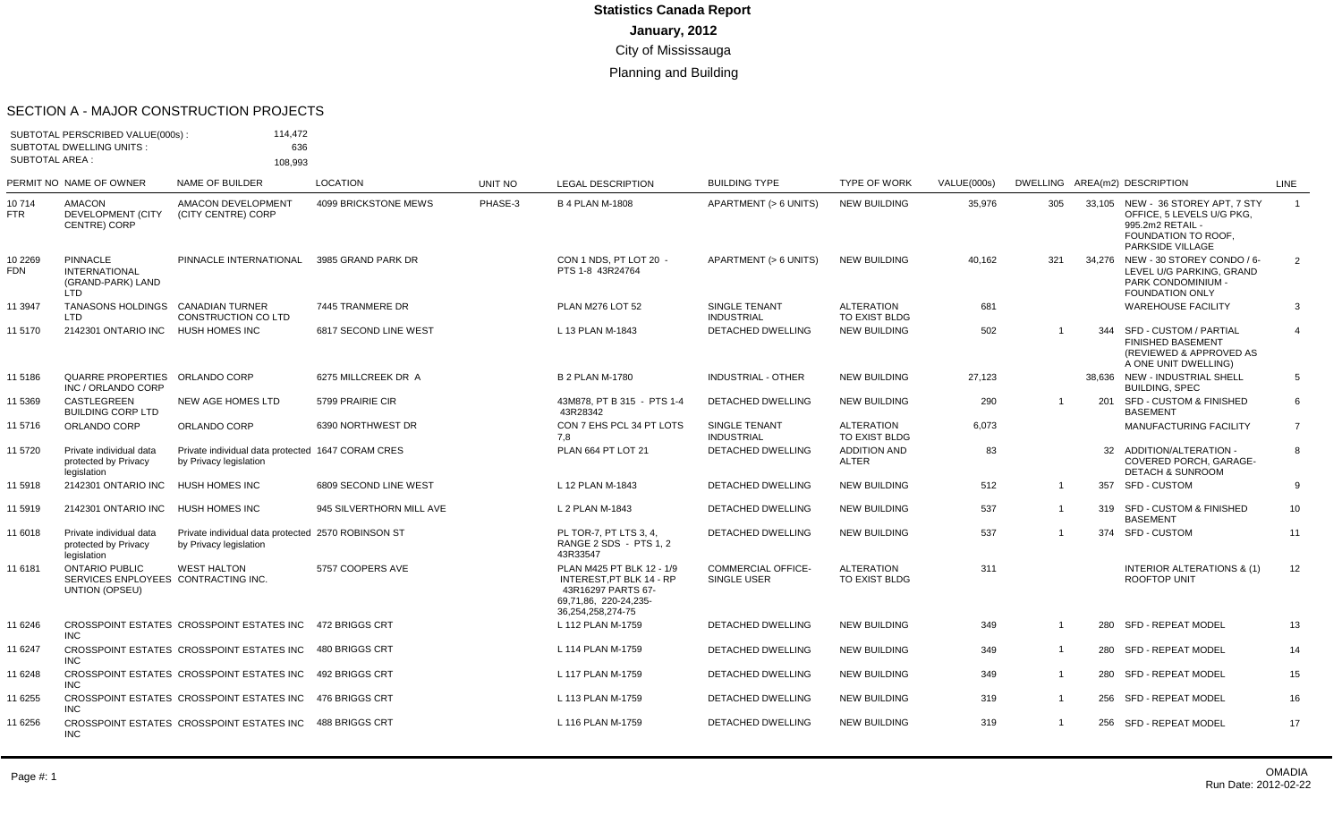#### SECTION A - MAJOR CONSTRUCTION PROJECTS

| <b>SUBTOTAL AREA:</b> | SUBTOTAL PERSCRIBED VALUE(000s):<br><b>SUBTOTAL DWELLING UNITS:</b>            | 114,472<br>636<br>108,993                                                    |                          |         |                                                                                                                           |                                          |                                     |             |                |     |                                                                                                                               |                 |
|-----------------------|--------------------------------------------------------------------------------|------------------------------------------------------------------------------|--------------------------|---------|---------------------------------------------------------------------------------------------------------------------------|------------------------------------------|-------------------------------------|-------------|----------------|-----|-------------------------------------------------------------------------------------------------------------------------------|-----------------|
|                       | PERMIT NO NAME OF OWNER                                                        | NAME OF BUILDER                                                              | <b>LOCATION</b>          | UNIT NO | <b>LEGAL DESCRIPTION</b>                                                                                                  | <b>BUILDING TYPE</b>                     | <b>TYPE OF WORK</b>                 | VALUE(000s) |                |     | DWELLING AREA(m2) DESCRIPTION                                                                                                 | LINE            |
| 10714<br><b>FTR</b>   | <b>AMACON</b><br>DEVELOPMENT (CITY<br><b>CENTRE) CORP</b>                      | <b>AMACON DEVELOPMENT</b><br>(CITY CENTRE) CORP                              | 4099 BRICKSTONE MEWS     | PHASE-3 | <b>B 4 PLAN M-1808</b>                                                                                                    | APARTMENT (> 6 UNITS)                    | <b>NEW BUILDING</b>                 | 35,976      | 305            |     | 33,105 NEW - 36 STOREY APT, 7 STY<br>OFFICE, 5 LEVELS U/G PKG,<br>995.2m2 RETAIL -<br>FOUNDATION TO ROOF,<br>PARKSIDE VILLAGE | $\overline{1}$  |
| 10 2269<br><b>FDN</b> | <b>PINNACLE</b><br><b>INTERNATIONAL</b><br>(GRAND-PARK) LAND<br><b>LTD</b>     | PINNACLE INTERNATIONAL                                                       | 3985 GRAND PARK DR       |         | CON 1 NDS. PT LOT 20 -<br>PTS 1-8 43R24764                                                                                | APARTMENT (> 6 UNITS)                    | <b>NEW BUILDING</b>                 | 40,162      | 321            |     | 34,276 NEW - 30 STOREY CONDO / 6-<br>LEVEL U/G PARKING, GRAND<br><b>PARK CONDOMINIUM -</b><br>FOUNDATION ONLY                 | $\overline{2}$  |
| 11 3947               | <b>TANASONS HOLDINGS</b><br><b>LTD</b>                                         | <b>CANADIAN TURNER</b><br><b>CONSTRUCTION CO LTD</b>                         | 7445 TRANMERE DR         |         | <b>PLAN M276 LOT 52</b>                                                                                                   | SINGLE TENANT<br><b>INDUSTRIAL</b>       | <b>ALTERATION</b><br>TO EXIST BLDG  | 681         |                |     | <b>WAREHOUSE FACILITY</b>                                                                                                     | 3               |
| 11 5170               | 2142301 ONTARIO INC                                                            | <b>HUSH HOMES INC</b>                                                        | 6817 SECOND LINE WEST    |         | L 13 PLAN M-1843                                                                                                          | DETACHED DWELLING                        | <b>NEW BUILDING</b>                 | 502         |                | 344 | SFD - CUSTOM / PARTIAL<br><b>FINISHED BASEMENT</b><br>(REVIEWED & APPROVED AS<br>A ONE UNIT DWELLING)                         | $\overline{4}$  |
| 11 5186               | QUARRE PROPERTIES ORLANDO CORP<br>INC / ORLANDO CORP                           |                                                                              | 6275 MILLCREEK DR A      |         | <b>B 2 PLAN M-1780</b>                                                                                                    | <b>INDUSTRIAL - OTHER</b>                | <b>NEW BUILDING</b>                 | 27,123      |                |     | 38.636 NEW - INDUSTRIAL SHELL<br><b>BUILDING, SPEC</b>                                                                        | 5               |
| 11 5369               | <b>CASTLEGREEN</b><br><b>BUILDING CORP LTD</b>                                 | NEW AGE HOMES LTD                                                            | 5799 PRAIRIE CIR         |         | 43M878. PT B 315 - PTS 1-4<br>43R28342                                                                                    | <b>DETACHED DWELLING</b>                 | <b>NEW BUILDING</b>                 | 290         | $\overline{1}$ | 201 | <b>SFD - CUSTOM &amp; FINISHED</b><br><b>BASEMENT</b>                                                                         | 6               |
| 11 5716               | ORLANDO CORP                                                                   | ORLANDO CORP                                                                 | 6390 NORTHWEST DR        |         | CON 7 EHS PCL 34 PT LOTS<br>7.8                                                                                           | SINGLE TENANT<br><b>INDUSTRIAL</b>       | <b>ALTERATION</b><br>TO EXIST BLDG  | 6,073       |                |     | <b>MANUFACTURING FACILITY</b>                                                                                                 | $\overline{7}$  |
| 11 5720               | Private individual data<br>protected by Privacy<br>legislation                 | Private individual data protected 1647 CORAM CRES<br>by Privacy legislation  |                          |         | PLAN 664 PT LOT 21                                                                                                        | <b>DETACHED DWELLING</b>                 | <b>ADDITION AND</b><br><b>ALTER</b> | 83          |                |     | 32 ADDITION/ALTERATION -<br>COVERED PORCH, GARAGE-<br><b>DETACH &amp; SUNROOM</b>                                             | 8               |
| 11 5918               | 2142301 ONTARIO INC                                                            | <b>HUSH HOMES INC</b>                                                        | 6809 SECOND LINE WEST    |         | L 12 PLAN M-1843                                                                                                          | <b>DETACHED DWELLING</b>                 | <b>NEW BUILDING</b>                 | 512         | $\overline{1}$ |     | 357 SFD - CUSTOM                                                                                                              | 9               |
| 11 5919               | 2142301 ONTARIO INC                                                            | HUSH HOMES INC                                                               | 945 SILVERTHORN MILL AVE |         | L 2 PLAN M-1843                                                                                                           | DETACHED DWELLING                        | <b>NEW BUILDING</b>                 | 537         | $\overline{1}$ |     | 319 SFD - CUSTOM & FINISHED<br><b>BASEMENT</b>                                                                                | 10 <sup>1</sup> |
| 11 6018               | Private individual data<br>protected by Privacy<br>legislation                 | Private individual data protected 2570 ROBINSON ST<br>by Privacy legislation |                          |         | PL TOR-7, PT LTS 3, 4,<br>RANGE 2 SDS - PTS 1, 2<br>43R33547                                                              | <b>DETACHED DWELLING</b>                 | <b>NEW BUILDING</b>                 | 537         | $\overline{1}$ |     | 374 SFD - CUSTOM                                                                                                              | 11              |
| 11 6181               | <b>ONTARIO PUBLIC</b><br>SERVICES ENPLOYEES CONTRACTING INC.<br>UNTION (OPSEU) | <b>WEST HALTON</b>                                                           | 5757 COOPERS AVE         |         | PLAN M425 PT BLK 12 - 1/9<br>INTEREST, PT BLK 14 - RP<br>43R16297 PARTS 67-<br>69,71,86, 220-24,235-<br>36,254,258,274-75 | <b>COMMERCIAL OFFICE-</b><br>SINGLE USER | <b>ALTERATION</b><br>TO EXIST BLDG  | 311         |                |     | <b>INTERIOR ALTERATIONS &amp; (1)</b><br>ROOFTOP UNIT                                                                         | 12              |
| 11 6246               | INC.                                                                           | CROSSPOINT ESTATES CROSSPOINT ESTATES INC                                    | 472 BRIGGS CRT           |         | L 112 PLAN M-1759                                                                                                         | DETACHED DWELLING                        | <b>NEW BUILDING</b>                 | 349         | $\overline{1}$ |     | 280 SFD - REPEAT MODEL                                                                                                        | 13              |
| 11 6247               | <b>INC</b>                                                                     | CROSSPOINT ESTATES CROSSPOINT ESTATES INC                                    | 480 BRIGGS CRT           |         | L 114 PLAN M-1759                                                                                                         | <b>DETACHED DWELLING</b>                 | <b>NEW BUILDING</b>                 | 349         | $\overline{1}$ |     | 280 SFD - REPEAT MODEL                                                                                                        | 14              |
| 11 6248               | <b>INC</b>                                                                     | CROSSPOINT ESTATES CROSSPOINT ESTATES INC                                    | 492 BRIGGS CRT           |         | L 117 PLAN M-1759                                                                                                         | <b>DETACHED DWELLING</b>                 | <b>NEW BUILDING</b>                 | 349         | $\overline{1}$ |     | 280 SFD - REPEAT MODEL                                                                                                        | 15              |
| 11 6255               | INC.                                                                           | CROSSPOINT ESTATES CROSSPOINT ESTATES INC 476 BRIGGS CRT                     |                          |         | L 113 PLAN M-1759                                                                                                         | <b>DETACHED DWELLING</b>                 | <b>NEW BUILDING</b>                 | 319         | $\overline{1}$ |     | 256 SFD - REPEAT MODEL                                                                                                        | 16              |
| 11 6256               | INC.                                                                           | CROSSPOINT ESTATES CROSSPOINT ESTATES INC 488 BRIGGS CRT                     |                          |         | L 116 PLAN M-1759                                                                                                         | <b>DETACHED DWELLING</b>                 | <b>NEW BUILDING</b>                 | 319         | $\overline{1}$ |     | 256 SFD - REPEAT MODEL                                                                                                        | 17              |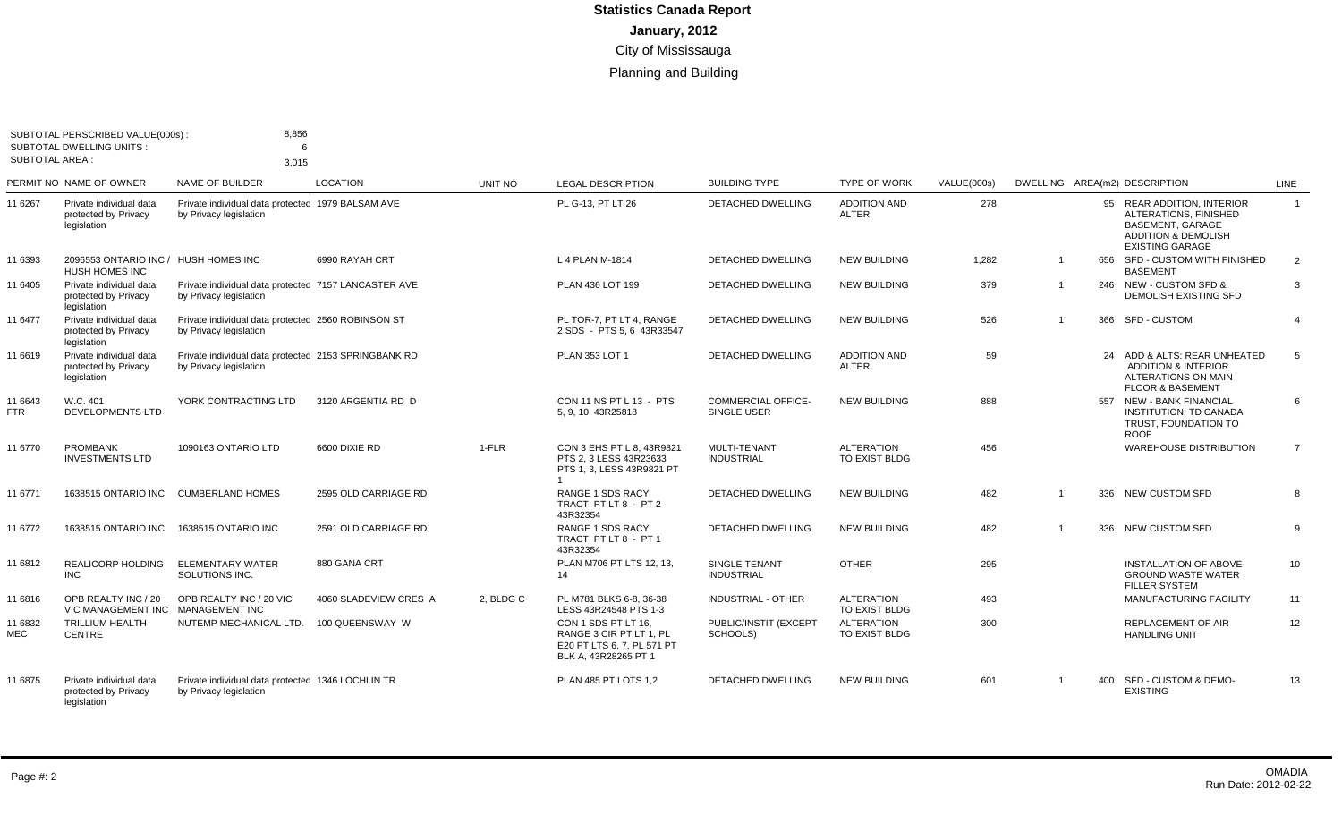| <b>SUBTOTAL AREA:</b> | SUBTOTAL PERSCRIBED VALUE(000s)<br><b>SUBTOTAL DWELLING UNITS:</b> | 8,856<br>6<br>3,015                                                            |                       |           |                                                                                                      |                                          |                                     |             |                |                                                                                                                                     |                |
|-----------------------|--------------------------------------------------------------------|--------------------------------------------------------------------------------|-----------------------|-----------|------------------------------------------------------------------------------------------------------|------------------------------------------|-------------------------------------|-------------|----------------|-------------------------------------------------------------------------------------------------------------------------------------|----------------|
|                       | PERMIT NO NAME OF OWNER                                            | <b>NAME OF BUILDER</b>                                                         | <b>LOCATION</b>       | UNIT NO   | <b>LEGAL DESCRIPTION</b>                                                                             | <b>BUILDING TYPE</b>                     | <b>TYPE OF WORK</b>                 | VALUE(000s) |                | DWELLING AREA(m2) DESCRIPTION                                                                                                       | <b>LINE</b>    |
| 11 6267               | Private individual data<br>protected by Privacy<br>legislation     | Private individual data protected 1979 BALSAM AVE<br>by Privacy legislation    |                       |           | PL G-13, PT LT 26                                                                                    | <b>DETACHED DWELLING</b>                 | <b>ADDITION AND</b><br><b>ALTER</b> | 278         |                | 95 REAR ADDITION, INTERIOR<br>ALTERATIONS, FINISHED<br>BASEMENT, GARAGE<br><b>ADDITION &amp; DEMOLISH</b><br><b>EXISTING GARAGE</b> | $\mathbf{1}$   |
| 11 6393               | 2096553 ONTARIO INC / HUSH HOMES INC<br><b>HUSH HOMES INC</b>      |                                                                                | 6990 RAYAH CRT        |           | L 4 PLAN M-1814                                                                                      | <b>DETACHED DWELLING</b>                 | <b>NEW BUILDING</b>                 | 1,282       | $\mathbf 1$    | 656 SFD - CUSTOM WITH FINISHED<br><b>BASEMENT</b>                                                                                   | 2              |
| 11 6405               | Private individual data<br>protected by Privacy<br>legislation     | Private individual data protected 7157 LANCASTER AVE<br>by Privacy legislation |                       |           | PLAN 436 LOT 199                                                                                     | <b>DETACHED DWELLING</b>                 | <b>NEW BUILDING</b>                 | 379         | $\mathbf 1$    | 246 NEW - CUSTOM SFD &<br><b>DEMOLISH EXISTING SFD</b>                                                                              | 3              |
| 11 6477               | Private individual data<br>protected by Privacy<br>legislation     | Private individual data protected 2560 ROBINSON ST<br>by Privacy legislation   |                       |           | PL TOR-7, PT LT 4, RANGE<br>2 SDS - PTS 5, 6 43R33547                                                | DETACHED DWELLING                        | <b>NEW BUILDING</b>                 | 526         | $\overline{1}$ | 366 SFD - CUSTOM                                                                                                                    | $\overline{4}$ |
| 11 6619               | Private individual data<br>protected by Privacy<br>legislation     | Private individual data protected 2153 SPRINGBANK RD<br>by Privacy legislation |                       |           | <b>PLAN 353 LOT 1</b>                                                                                | <b>DETACHED DWELLING</b>                 | <b>ADDITION AND</b><br><b>ALTER</b> | 59          |                | 24 ADD & ALTS: REAR UNHEATED<br><b>ADDITION &amp; INTERIOR</b><br><b>ALTERATIONS ON MAIN</b><br><b>FLOOR &amp; BASEMENT</b>         | 5              |
| 11 6643<br><b>FTR</b> | W.C. 401<br><b>DEVELOPMENTS LTD</b>                                | YORK CONTRACTING LTD                                                           | 3120 ARGENTIA RD D    |           | CON 11 NS PT L 13 - PTS<br>5, 9, 10 43R25818                                                         | <b>COMMERCIAL OFFICE-</b><br>SINGLE USER | <b>NEW BUILDING</b>                 | 888         |                | 557 NEW - BANK FINANCIAL<br>INSTITUTION, TD CANADA<br>TRUST, FOUNDATION TO<br><b>ROOF</b>                                           | 6              |
| 11 6770               | <b>PROMBANK</b><br><b>INVESTMENTS LTD</b>                          | 1090163 ONTARIO LTD                                                            | 6600 DIXIE RD         | $1-FLR$   | CON 3 EHS PT L 8, 43R9821<br>PTS 2.3 LESS 43R23633<br>PTS 1.3. LESS 43R9821 PT                       | MULTI-TENANT<br><b>INDUSTRIAL</b>        | <b>ALTERATION</b><br>TO EXIST BLDG  | 456         |                | <b>WAREHOUSE DISTRIBUTION</b>                                                                                                       | $\overline{7}$ |
| 11 6771               | 1638515 ONTARIO INC                                                | <b>CUMBERLAND HOMES</b>                                                        | 2595 OLD CARRIAGE RD  |           | <b>RANGE 1 SDS RACY</b><br>TRACT. PT LT 8 - PT 2<br>43R32354                                         | <b>DETACHED DWELLING</b>                 | <b>NEW BUILDING</b>                 | 482         | $\overline{1}$ | 336 NEW CUSTOM SFD                                                                                                                  | 8              |
| 11 6772               | <b>1638515 ONTARIO INC</b>                                         | 1638515 ONTARIO INC                                                            | 2591 OLD CARRIAGE RD  |           | RANGE 1 SDS RACY<br>TRACT, PT LT 8 - PT 1<br>43R32354                                                | <b>DETACHED DWELLING</b>                 | NEW BUILDING                        | 482         | 1              | 336 NEW CUSTOM SFD                                                                                                                  | 9              |
| 11 6812               | <b>REALICORP HOLDING</b><br><b>INC</b>                             | <b>ELEMENTARY WATER</b><br>SOLUTIONS INC.                                      | 880 GANA CRT          |           | PLAN M706 PT LTS 12, 13,<br>14                                                                       | SINGLE TENANT<br><b>INDUSTRIAL</b>       | <b>OTHER</b>                        | 295         |                | INSTALLATION OF ABOVE-<br><b>GROUND WASTE WATER</b><br><b>FILLER SYSTEM</b>                                                         | 10             |
| 11 6816               | OPB REALTY INC / 20<br>VIC MANAGEMENT INC                          | OPB REALTY INC / 20 VIC<br><b>MANAGEMENT INC</b>                               | 4060 SLADEVIEW CRES A | 2, BLDG C | PL M781 BLKS 6-8, 36-38<br>LESS 43R24548 PTS 1-3                                                     | INDUSTRIAL - OTHER                       | <b>ALTERATION</b><br>TO EXIST BLDG  | 493         |                | MANUFACTURING FACILITY                                                                                                              | 11             |
| 11 6832<br>MEC        | TRILLIUM HEALTH<br><b>CENTRE</b>                                   | NUTEMP MECHANICAL LTD.                                                         | 100 QUEENSWAY W       |           | CON 1 SDS PT LT 16.<br>RANGE 3 CIR PT LT 1, PL<br>E20 PT LTS 6, 7, PL 571 PT<br>BLK A, 43R28265 PT 1 | PUBLIC/INSTIT (EXCEPT<br>SCHOOLS)        | <b>ALTERATION</b><br>TO EXIST BLDG  | 300         |                | <b>REPLACEMENT OF AIR</b><br><b>HANDLING UNIT</b>                                                                                   | 12             |
| 11 6875               | Private individual data<br>protected by Privacy<br>legislation     | Private individual data protected 1346 LOCHLIN TR<br>by Privacy legislation    |                       |           | PLAN 485 PT LOTS 1,2                                                                                 | <b>DETACHED DWELLING</b>                 | <b>NEW BUILDING</b>                 | 601         | $\overline{1}$ | 400 SFD - CUSTOM & DEMO-<br><b>EXISTING</b>                                                                                         | 13             |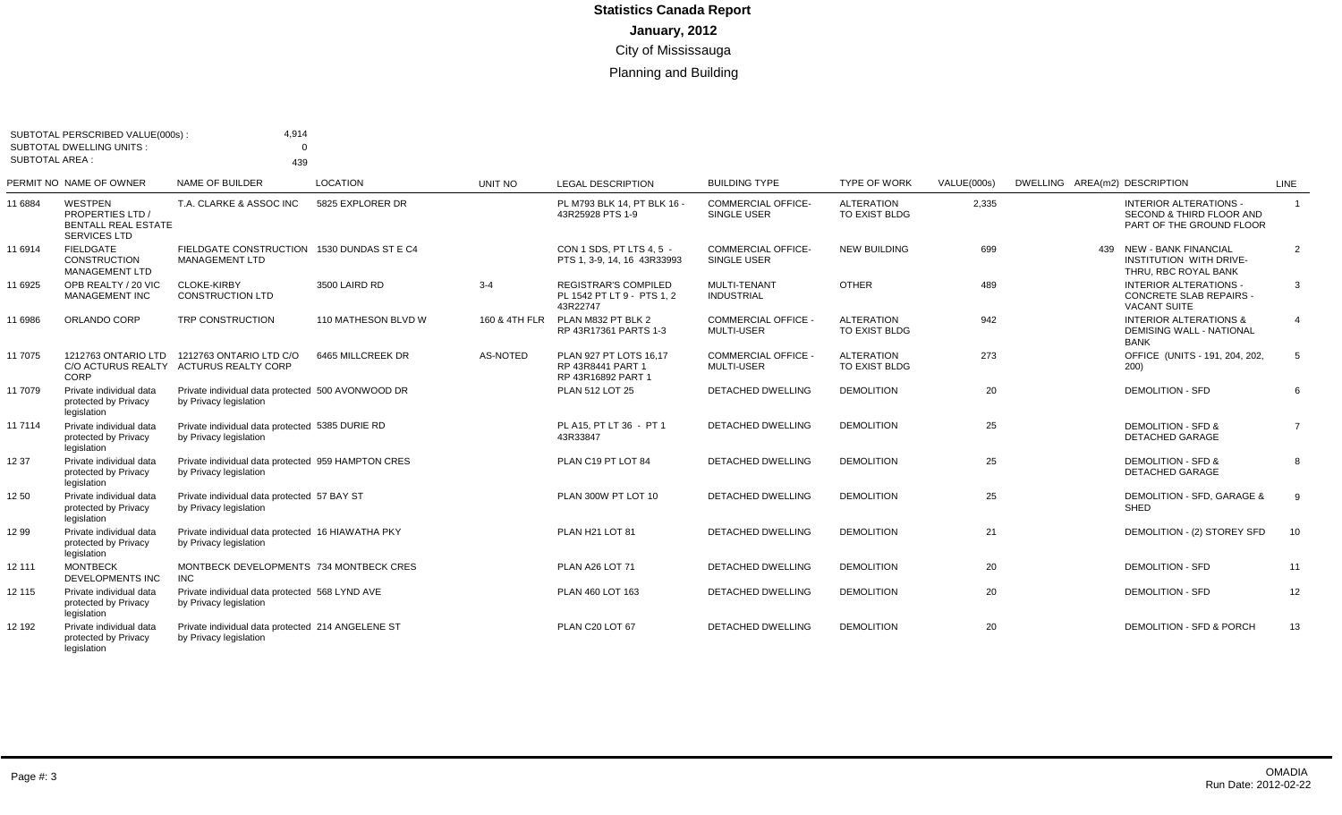|                       | SUBTOTAL PERSCRIBED VALUE(000s):                                                        | 4,914                                                                        |                     |               |                                                                      |                                                 |                                    |             |                                                                                        |                |
|-----------------------|-----------------------------------------------------------------------------------------|------------------------------------------------------------------------------|---------------------|---------------|----------------------------------------------------------------------|-------------------------------------------------|------------------------------------|-------------|----------------------------------------------------------------------------------------|----------------|
|                       | <b>SUBTOTAL DWELLING UNITS:</b>                                                         | $\Omega$                                                                     |                     |               |                                                                      |                                                 |                                    |             |                                                                                        |                |
| <b>SUBTOTAL AREA:</b> |                                                                                         | 439                                                                          |                     |               |                                                                      |                                                 |                                    |             |                                                                                        |                |
|                       | PERMIT NO NAME OF OWNER                                                                 | NAME OF BUILDER                                                              | LOCATION            | UNIT NO       | <b>LEGAL DESCRIPTION</b>                                             | <b>BUILDING TYPE</b>                            | <b>TYPE OF WORK</b>                | VALUE(000s) | DWELLING AREA(m2) DESCRIPTION                                                          | LINE           |
| 11 6884               | WESTPEN<br><b>PROPERTIES LTD /</b><br><b>BENTALL REAL ESTATE</b><br><b>SERVICES LTD</b> | T.A. CLARKE & ASSOC INC                                                      | 5825 EXPLORER DR    |               | PL M793 BLK 14, PT BLK 16 -<br>43R25928 PTS 1-9                      | <b>COMMERCIAL OFFICE-</b><br>SINGLE USER        | <b>ALTERATION</b><br>TO EXIST BLDG | 2,335       | <b>INTERIOR ALTERATIONS -</b><br>SECOND & THIRD FLOOR AND<br>PART OF THE GROUND FLOOR  | $\overline{1}$ |
| 11 6914               | <b>FIELDGATE</b><br><b>CONSTRUCTION</b><br>MANAGEMENT LTD                               | FIELDGATE CONSTRUCTION 1530 DUNDAS ST E C4<br><b>MANAGEMENT LTD</b>          |                     |               | CON 1 SDS. PT LTS 4.5 -<br>PTS 1, 3-9, 14, 16 43R33993               | <b>COMMERCIAL OFFICE-</b><br><b>SINGLE USER</b> | <b>NEW BUILDING</b>                | 699         | 439 NEW - BANK FINANCIAL<br>INSTITUTION WITH DRIVE-<br>THRU, RBC ROYAL BANK            | 2              |
| 11 6925               | OPB REALTY / 20 VIC<br><b>MANAGEMENT INC</b>                                            | <b>CLOKE-KIRBY</b><br><b>CONSTRUCTION LTD</b>                                | 3500 LAIRD RD       | $3 - 4$       | <b>REGISTRAR'S COMPILED</b><br>PL 1542 PT LT 9 - PTS 1.2<br>43R22747 | MULTI-TENANT<br><b>INDUSTRIAL</b>               | <b>OTHER</b>                       | 489         | <b>INTERIOR ALTERATIONS -</b><br><b>CONCRETE SLAB REPAIRS -</b><br><b>VACANT SUITE</b> | 3              |
| 11 6986               | ORLANDO CORP                                                                            | TRP CONSTRUCTION                                                             | 110 MATHESON BLVD W | 160 & 4TH FLR | PLAN M832 PT BLK 2<br>RP 43R17361 PARTS 1-3                          | <b>COMMERCIAL OFFICE -</b><br>MULTI-USER        | <b>ALTERATION</b><br>TO EXIST BLDG | 942         | <b>INTERIOR ALTERATIONS &amp;</b><br><b>DEMISING WALL - NATIONAL</b><br>BANK           | $\overline{4}$ |
| 11 7075               | 1212763 ONTARIO LTD<br>C/O ACTURUS REALTY<br>CORP                                       | 1212763 ONTARIO LTD C/O<br><b>ACTURUS REALTY CORP</b>                        | 6465 MILLCREEK DR   | AS-NOTED      | PLAN 927 PT LOTS 16.17<br>RP 43R8441 PART 1<br>RP 43R16892 PART 1    | <b>COMMERCIAL OFFICE -</b><br>MULTI-USER        | <b>ALTERATION</b><br>TO EXIST BLDG | 273         | OFFICE (UNITS - 191, 204, 202,<br>200)                                                 | -5             |
| 11 7079               | Private individual data<br>protected by Privacy<br>legislation                          | Private individual data protected 500 AVONWOOD DR<br>by Privacy legislation  |                     |               | PLAN 512 LOT 25                                                      | <b>DETACHED DWELLING</b>                        | <b>DEMOLITION</b>                  | 20          | <b>DEMOLITION - SFD</b>                                                                | 6              |
| 11 7114               | Private individual data<br>protected by Privacy<br>legislation                          | Private individual data protected 5385 DURIE RD<br>by Privacy legislation    |                     |               | PL A15, PT LT 36 - PT 1<br>43R33847                                  | <b>DETACHED DWELLING</b>                        | <b>DEMOLITION</b>                  | 25          | <b>DEMOLITION - SFD &amp;</b><br><b>DETACHED GARAGE</b>                                | $\overline{7}$ |
| 12 37                 | Private individual data<br>protected by Privacy<br>legislation                          | Private individual data protected 959 HAMPTON CRES<br>by Privacy legislation |                     |               | PLAN C19 PT LOT 84                                                   | <b>DETACHED DWELLING</b>                        | <b>DEMOLITION</b>                  | 25          | <b>DEMOLITION - SFD &amp;</b><br><b>DETACHED GARAGE</b>                                | 8              |
| 12 50                 | Private individual data<br>protected by Privacy<br>legislation                          | Private individual data protected 57 BAY ST<br>by Privacy legislation        |                     |               | PLAN 300W PT LOT 10                                                  | <b>DETACHED DWELLING</b>                        | <b>DEMOLITION</b>                  | 25          | <b>DEMOLITION - SFD. GARAGE &amp;</b><br>SHED                                          | 9              |
| 12 99                 | Private individual data<br>protected by Privacy<br>legislation                          | Private individual data protected 16 HIAWATHA PKY<br>by Privacy legislation  |                     |               | PLAN H21 LOT 81                                                      | <b>DETACHED DWELLING</b>                        | <b>DEMOLITION</b>                  | 21          | DEMOLITION - (2) STOREY SFD                                                            | 10             |
| 12 111                | <b>MONTBECK</b><br><b>DEVELOPMENTS INC</b>                                              | MONTBECK DEVELOPMENTS 734 MONTBECK CRES<br><b>INC</b>                        |                     |               | PLAN A26 LOT 71                                                      | <b>DETACHED DWELLING</b>                        | <b>DEMOLITION</b>                  | 20          | <b>DEMOLITION - SFD</b>                                                                | 11             |
| 12 115                | Private individual data<br>protected by Privacy<br>legislation                          | Private individual data protected 568 LYND AVE<br>by Privacy legislation     |                     |               | PLAN 460 LOT 163                                                     | <b>DETACHED DWELLING</b>                        | <b>DEMOLITION</b>                  | 20          | <b>DEMOLITION - SFD</b>                                                                | 12             |
| 12 192                | Private individual data<br>protected by Privacy<br>legislation                          | Private individual data protected 214 ANGELENE ST<br>by Privacy legislation  |                     |               | PLAN C20 LOT 67                                                      | <b>DETACHED DWELLING</b>                        | <b>DEMOLITION</b>                  | 20          | DEMOLITION - SFD & PORCH                                                               | 13             |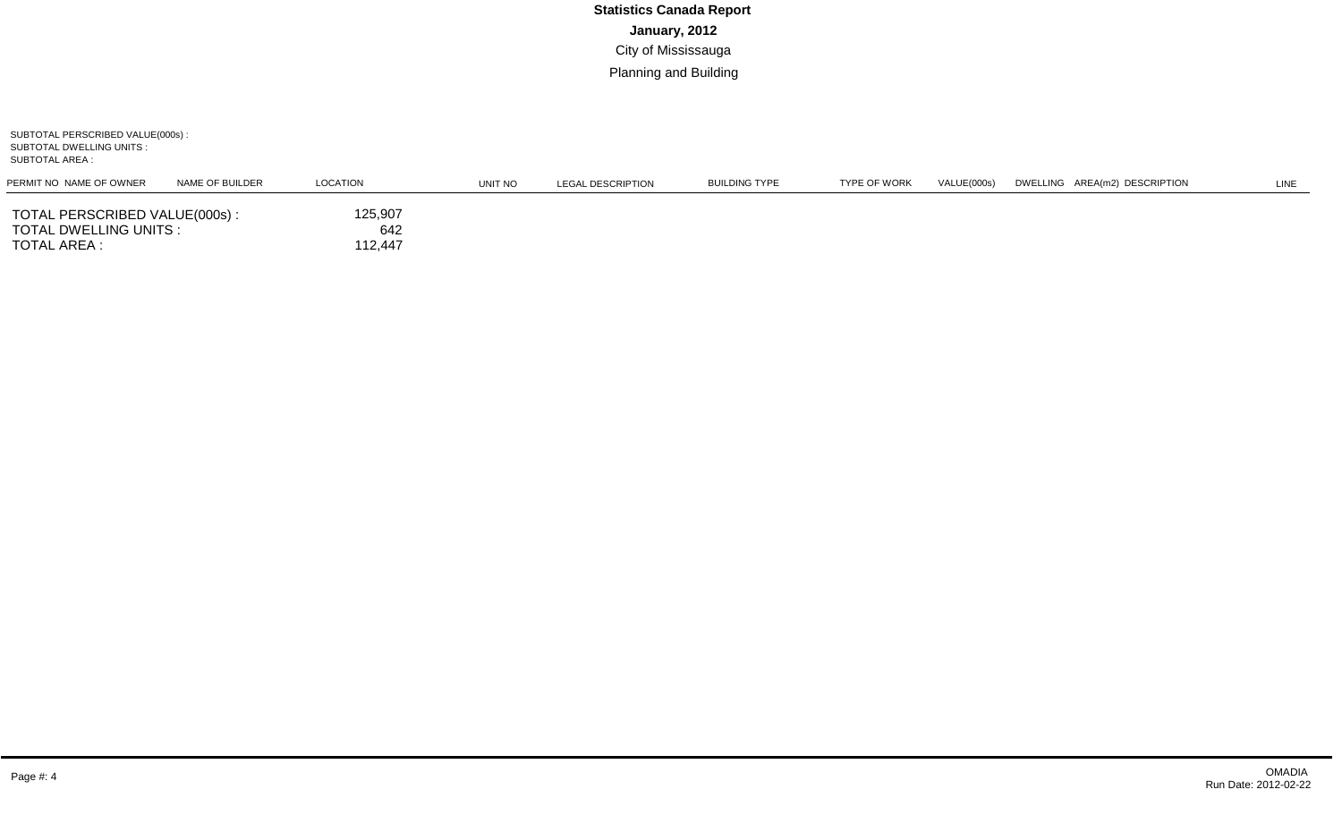SUBTOTAL PERSCRIBED VALUE(000s) : SUBTOTAL DWELLING UNITS : SUBTOTAL AREA :

| PERMIT NO NAME OF OWNER                                                  | NAME OF BUILDER | LOCATION                  | UNIT NO | LEGAL DESCRIPTION | <b>BUILDING TYPE</b> | <b>TYPE OF WORK</b> | VALUE(000s) | DWELLING AREA(m2) DESCRIPTION | LINE |
|--------------------------------------------------------------------------|-----------------|---------------------------|---------|-------------------|----------------------|---------------------|-------------|-------------------------------|------|
| TOTAL PERSCRIBED VALUE(000s) :<br>TOTAL DWELLING UNITS :<br>TOTAL AREA : |                 | 125,907<br>642<br>112,447 |         |                   |                      |                     |             |                               |      |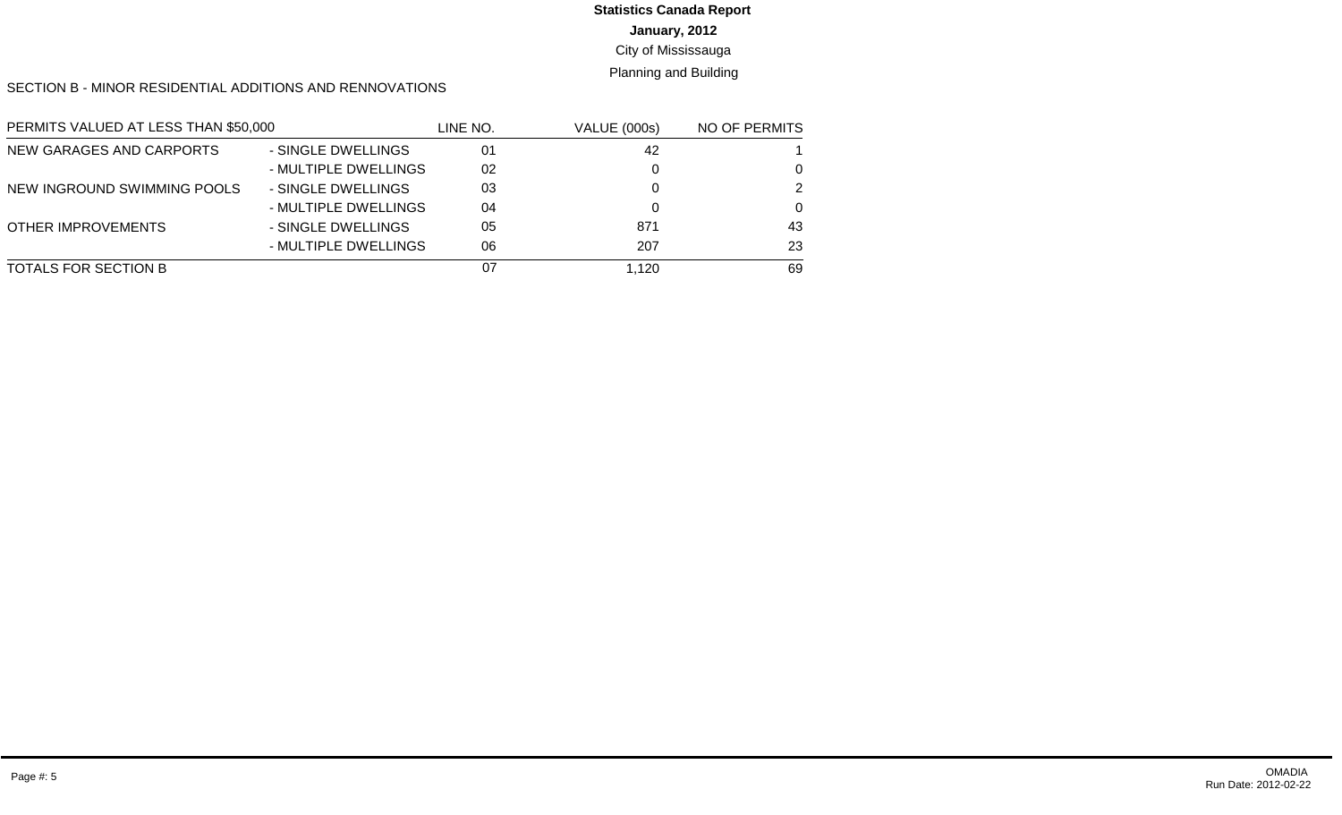# **Statistics Canada Report**

#### **January, 2012**

#### City of Mississauga

#### Planning and Building

#### SECTION B - MINOR RESIDENTIAL ADDITIONS AND RENNOVATIONS

| PERMITS VALUED AT LESS THAN \$50,000 |                      | LINE NO. | <b>VALUE (000s)</b> | NO OF PERMITS |
|--------------------------------------|----------------------|----------|---------------------|---------------|
| NEW GARAGES AND CARPORTS             | - SINGLE DWELLINGS   | 01       | 42                  |               |
|                                      | - MULTIPLE DWELLINGS | 02       |                     | 0             |
| NEW INGROUND SWIMMING POOLS          | - SINGLE DWELLINGS   | 03       |                     | 2             |
|                                      | - MULTIPLE DWELLINGS | 04       |                     | $\Omega$      |
| <b>OTHER IMPROVEMENTS</b>            | - SINGLE DWELLINGS   | 05       | 871                 | 43            |
|                                      | - MULTIPLE DWELLINGS | 06       | 207                 | 23            |
| <b>TOTALS FOR SECTION B</b>          |                      | 07       | 1.120               | 69            |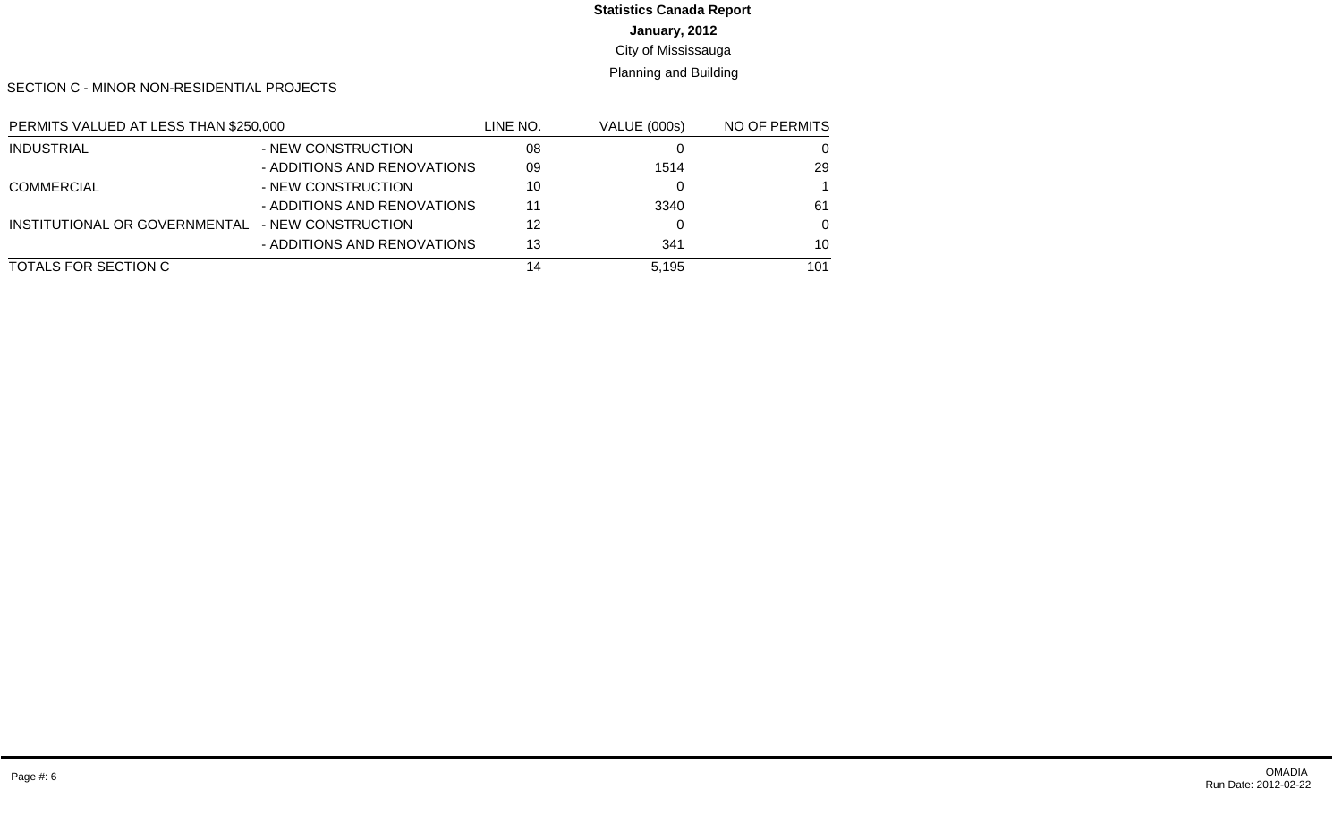# **Statistics Canada Report**

**January, 2012**

City of Mississauga

Planning and Building

SECTION C - MINOR NON-RESIDENTIAL PROJECTS

| PERMITS VALUED AT LESS THAN \$250,000 |                             | LINE NO. | <b>VALUE (000s)</b> | NO OF PERMITS |
|---------------------------------------|-----------------------------|----------|---------------------|---------------|
| <b>INDUSTRIAL</b>                     | - NEW CONSTRUCTION          | 08       |                     | 0             |
|                                       | - ADDITIONS AND RENOVATIONS | 09       | 1514                | 29            |
| <b>COMMERCIAL</b>                     | - NEW CONSTRUCTION          | 10       |                     |               |
|                                       | - ADDITIONS AND RENOVATIONS | 11       | 3340                | 61            |
| INSTITUTIONAL OR GOVERNMENTAL         | - NEW CONSTRUCTION          | 12       |                     | 0             |
|                                       | - ADDITIONS AND RENOVATIONS | 13       | 341                 | 10            |
| TOTALS FOR SECTION C                  |                             | 14       | 5.195               | 101           |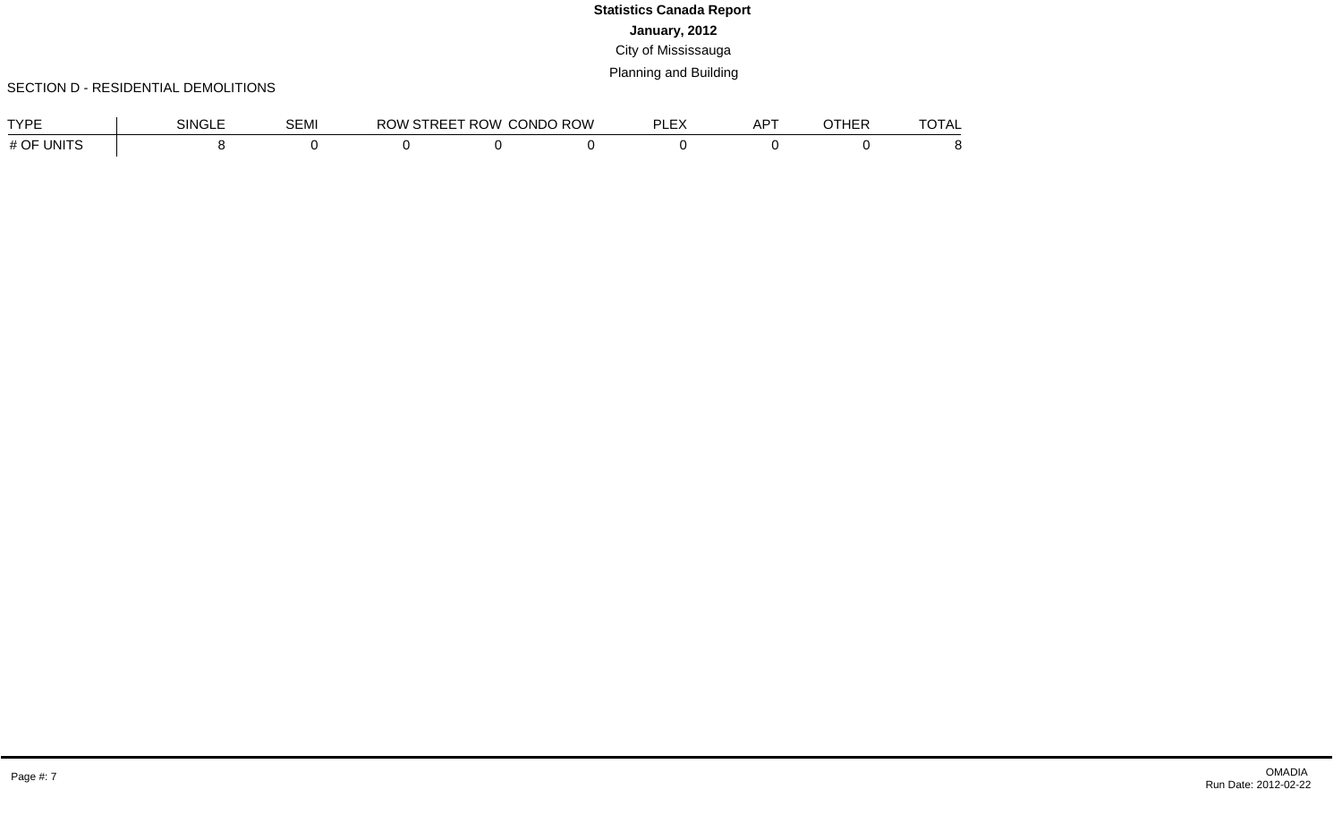#### SECTION D - RESIDENTIAL DEMOLITIONS

| TVDE              | <b>SINGLE</b> | $\sim$ $ \sim$ $\sim$<br>5EMI | <b>ROW</b> | <b>/STREET ROW \</b> | <b>CONDO ROW</b> | DI EV<br>ᄂᄃᄼ | $-$<br>⊣י<br>¬г | <b>ATUED</b><br>י בחוי | <b>TOTAL</b> |
|-------------------|---------------|-------------------------------|------------|----------------------|------------------|--------------|-----------------|------------------------|--------------|
| # OF<br>`'JNITS ⊺ |               |                               |            |                      |                  |              |                 |                        |              |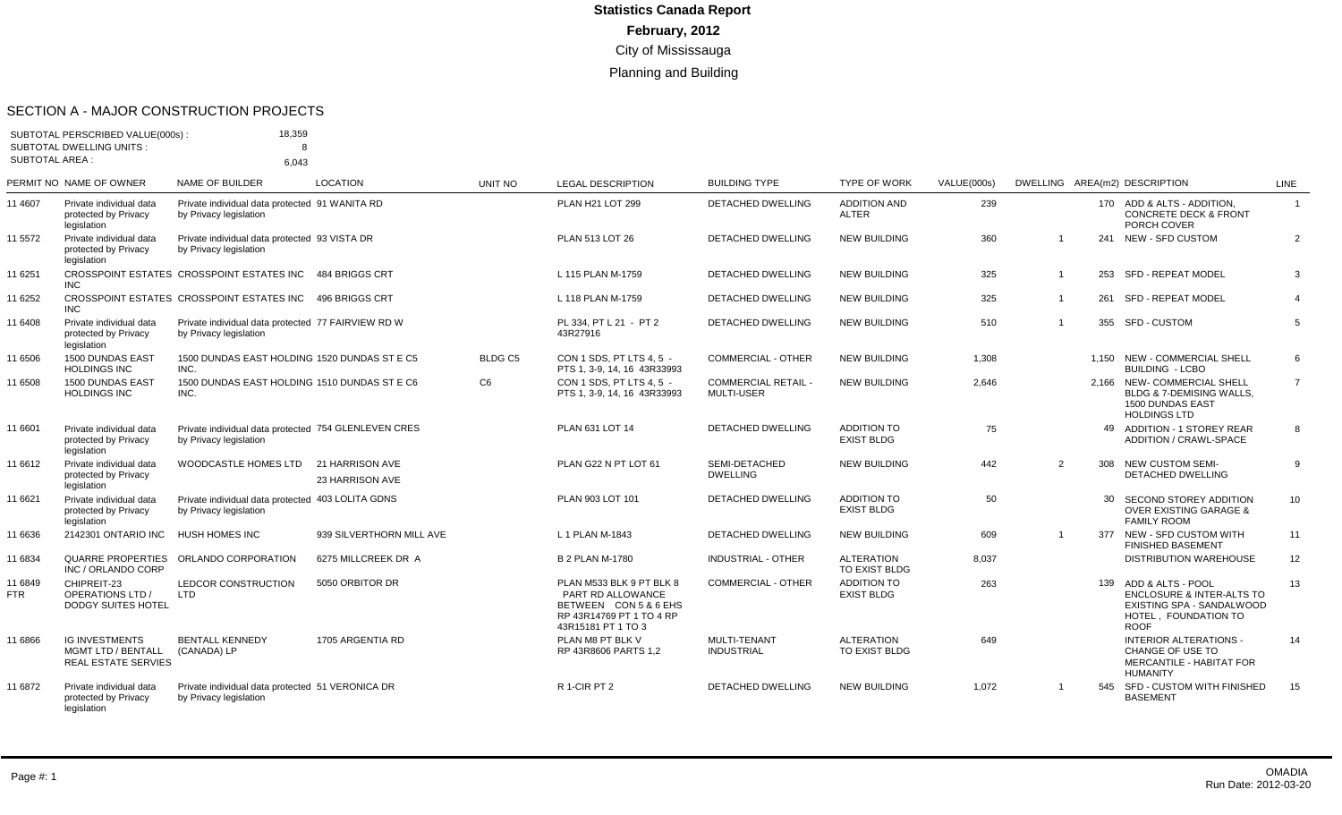#### SECTION A - MAJOR CONSTRUCTION PROJECTS

| <b>SUBTOTAL AREA:</b> | SUBTOTAL PERSCRIBED VALUE(000s) :<br><b>SUBTOTAL DWELLING UNITS:</b>             | 18,359<br>8                                                                    |                                    |                |                                                                                                                          |                                                 |                                         |             |                |     |                                                                                                                                   |                 |
|-----------------------|----------------------------------------------------------------------------------|--------------------------------------------------------------------------------|------------------------------------|----------------|--------------------------------------------------------------------------------------------------------------------------|-------------------------------------------------|-----------------------------------------|-------------|----------------|-----|-----------------------------------------------------------------------------------------------------------------------------------|-----------------|
|                       |                                                                                  | 6.043                                                                          |                                    |                |                                                                                                                          |                                                 |                                         |             |                |     |                                                                                                                                   |                 |
|                       | PERMIT NO NAME OF OWNER                                                          | NAME OF BUILDER                                                                | <b>LOCATION</b>                    | UNIT NO        | <b>LEGAL DESCRIPTION</b>                                                                                                 | <b>BUILDING TYPE</b>                            | <b>TYPE OF WORK</b>                     | VALUE(000s) |                |     | DWELLING AREA(m2) DESCRIPTION                                                                                                     | <b>LINE</b>     |
| 11 4607               | Private individual data<br>protected by Privacy<br>legislation                   | Private individual data protected 91 WANITA RD<br>by Privacy legislation       |                                    |                | PLAN H21 LOT 299                                                                                                         | <b>DETACHED DWELLING</b>                        | <b>ADDITION AND</b><br><b>ALTER</b>     | 239         |                |     | 170 ADD & ALTS - ADDITION.<br><b>CONCRETE DECK &amp; FRONT</b><br>PORCH COVER                                                     | $\overline{1}$  |
| 11 5572               | Private individual data<br>protected by Privacy<br>legislation                   | Private individual data protected 93 VISTA DR<br>by Privacy legislation        |                                    |                | PLAN 513 LOT 26                                                                                                          | <b>DETACHED DWELLING</b>                        | <b>NEW BUILDING</b>                     | 360         |                |     | 241 NEW - SFD CUSTOM                                                                                                              | 2               |
| 11 6251               | <b>INC</b>                                                                       | CROSSPOINT ESTATES CROSSPOINT ESTATES INC 484 BRIGGS CRT                       |                                    |                | L 115 PLAN M-1759                                                                                                        | DETACHED DWELLING                               | <b>NEW BUILDING</b>                     | 325         | $\overline{1}$ |     | 253 SFD - REPEAT MODEL                                                                                                            | 3               |
| 11 6252               | <b>INC</b>                                                                       | CROSSPOINT ESTATES CROSSPOINT ESTATES INC 496 BRIGGS CRT                       |                                    |                | L 118 PLAN M-1759                                                                                                        | <b>DETACHED DWELLING</b>                        | <b>NEW BUILDING</b>                     | 325         | $\overline{1}$ |     | 261 SFD - REPEAT MODEL                                                                                                            | $\overline{4}$  |
| 11 6408               | Private individual data<br>protected by Privacv<br>legislation                   | Private individual data protected 77 FAIRVIEW RD W<br>by Privacy legislation   |                                    |                | PL 334. PT L 21 - PT 2<br>43R27916                                                                                       | <b>DETACHED DWELLING</b>                        | <b>NEW BUILDING</b>                     | 510         | $\overline{1}$ |     | 355 SFD - CUSTOM                                                                                                                  | 5               |
| 11 6506               | 1500 DUNDAS EAST<br><b>HOLDINGS INC</b>                                          | 1500 DUNDAS EAST HOLDING 1520 DUNDAS ST E C5<br>INC.                           |                                    | BLDG C5        | CON 1 SDS. PT LTS 4.5 -<br>PTS 1, 3-9, 14, 16 43R33993                                                                   | <b>COMMERCIAL - OTHER</b>                       | <b>NEW BUILDING</b>                     | 1,308       |                |     | 1.150 NEW - COMMERCIAL SHELL<br><b>BUILDING - LCBO</b>                                                                            | 6               |
| 11 6508               | <b>1500 DUNDAS EAST</b><br><b>HOLDINGS INC</b>                                   | 1500 DUNDAS EAST HOLDING 1510 DUNDAS ST E C6<br>INC.                           |                                    | C <sub>6</sub> | CON 1 SDS. PT LTS 4.5 -<br>PTS 1, 3-9, 14, 16 43R33993                                                                   | <b>COMMERCIAL RETAIL -</b><br><b>MULTI-USER</b> | <b>NEW BUILDING</b>                     | 2.646       |                |     | 2.166 NEW-COMMERCIAL SHELL<br>BLDG & 7-DEMISING WALLS,<br><b>1500 DUNDAS EAST</b><br><b>HOLDINGS LTD</b>                          | $\overline{7}$  |
| 11 6601               | Private individual data<br>protected by Privacy<br>legislation                   | Private individual data protected 754 GLENLEVEN CRES<br>by Privacy legislation |                                    |                | PLAN 631 LOT 14                                                                                                          | DETACHED DWELLING                               | <b>ADDITION TO</b><br><b>EXIST BLDG</b> | 75          |                |     | 49 ADDITION - 1 STOREY REAR<br>ADDITION / CRAWL-SPACE                                                                             | 8               |
| 11 6612               | Private individual data<br>protected by Privacy<br>legislation                   | <b>WOODCASTLE HOMES LTD</b>                                                    | 21 HARRISON AVE<br>23 HARRISON AVE |                | PLAN G22 N PT LOT 61                                                                                                     | SEMI-DETACHED<br><b>DWELLING</b>                | <b>NEW BUILDING</b>                     | 442         | 2              |     | 308 NEW CUSTOM SEMI-<br><b>DETACHED DWELLING</b>                                                                                  | 9               |
| 11 6621               | Private individual data<br>protected by Privacy<br>legislation                   | Private individual data protected 403 LOLITA GDNS<br>by Privacy legislation    |                                    |                | PLAN 903 LOT 101                                                                                                         | <b>DETACHED DWELLING</b>                        | <b>ADDITION TO</b><br><b>EXIST BLDG</b> | 50          |                |     | SECOND STOREY ADDITION<br><b>OVER EXISTING GARAGE &amp;</b><br><b>FAMILY ROOM</b>                                                 | 10 <sup>1</sup> |
| 11 6636               | 2142301 ONTARIO INC                                                              | <b>HUSH HOMES INC</b>                                                          | 939 SILVERTHORN MILL AVE           |                | L 1 PLAN M-1843                                                                                                          | <b>DETACHED DWELLING</b>                        | <b>NEW BUILDING</b>                     | 609         | $\overline{1}$ |     | 377 NEW - SFD CUSTOM WITH<br><b>FINISHED BASEMENT</b>                                                                             | 11              |
| 11 6834               | INC / ORLANDO CORP                                                               | QUARRE PROPERTIES ORLANDO CORPORATION                                          | 6275 MILLCREEK DR A                |                | <b>B 2 PLAN M-1780</b>                                                                                                   | <b>INDUSTRIAL - OTHER</b>                       | <b>ALTERATION</b><br>TO EXIST BLDG      | 8,037       |                |     | <b>DISTRIBUTION WAREHOUSE</b>                                                                                                     | 12              |
| 11 6849<br><b>FTR</b> | CHIPREIT-23<br><b>OPERATIONS LTD /</b><br><b>DODGY SUITES HOTEL</b>              | LEDCOR CONSTRUCTION<br><b>LTD</b>                                              | 5050 ORBITOR DR                    |                | PLAN M533 BLK 9 PT BLK 8<br>PART RD ALLOWANCE<br>BETWEEN CON 5 & 6 EHS<br>RP 43R14769 PT 1 TO 4 RP<br>43R15181 PT 1 TO 3 | <b>COMMERCIAL - OTHER</b>                       | <b>ADDITION TO</b><br><b>EXIST BLDG</b> | 263         |                |     | 139 ADD & ALTS - POOL<br><b>ENCLOSURE &amp; INTER-ALTS TO</b><br>EXISTING SPA - SANDALWOOD<br>HOTEL, FOUNDATION TO<br><b>ROOF</b> | 13              |
| 11 6866               | <b>IG INVESTMENTS</b><br><b>MGMT LTD / BENTALL</b><br><b>REAL ESTATE SERVIES</b> | <b>BENTALL KENNEDY</b><br>(CANADA) LP                                          | 1705 ARGENTIA RD                   |                | PLAN M8 PT BLK V<br>RP 43R8606 PARTS 1.2                                                                                 | MULTI-TENANT<br><b>INDUSTRIAL</b>               | <b>ALTERATION</b><br>TO EXIST BLDG      | 649         |                |     | <b>INTERIOR ALTERATIONS -</b><br>CHANGE OF USE TO<br>MERCANTILE - HABITAT FOR<br><b>HUMANITY</b>                                  | 14              |
| 11 6872               | Private individual data<br>protected by Privacy                                  | Private individual data protected 51 VERONICA DR<br>by Privacy legislation     |                                    |                | R 1-CIR PT 2                                                                                                             | <b>DETACHED DWELLING</b>                        | <b>NEW BUILDING</b>                     | 1.072       | -1             | 545 | SFD - CUSTOM WITH FINISHED<br><b>BASEMENT</b>                                                                                     | 15              |

legislation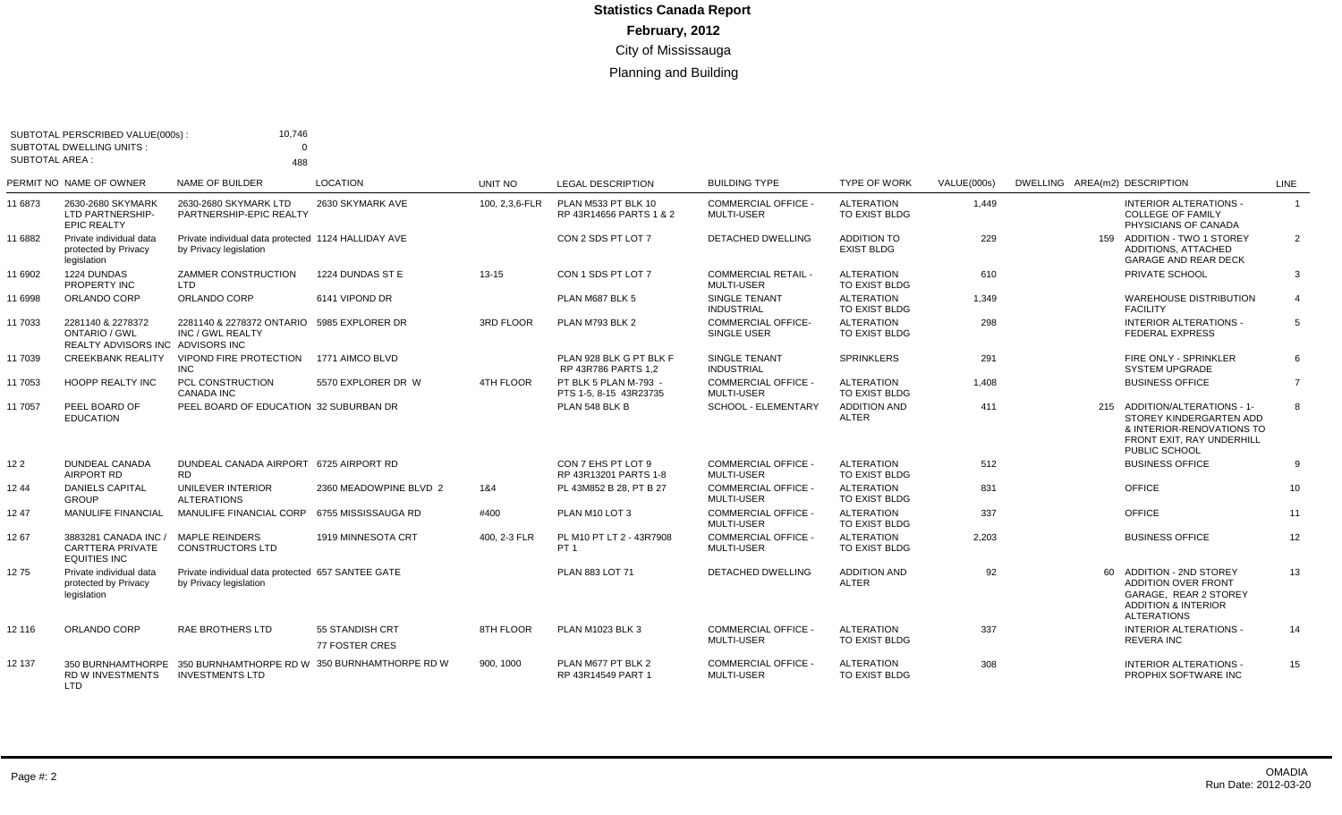|                       | SUBTOTAL PERSCRIBED VALUE(000s)                                               | 10,746                                                                             |                                   |                |                                                 |                                                 |                                         |             |                               |                                                                                                                                         |                |
|-----------------------|-------------------------------------------------------------------------------|------------------------------------------------------------------------------------|-----------------------------------|----------------|-------------------------------------------------|-------------------------------------------------|-----------------------------------------|-------------|-------------------------------|-----------------------------------------------------------------------------------------------------------------------------------------|----------------|
| <b>SUBTOTAL AREA:</b> | <b>SUBTOTAL DWELLING UNITS:</b>                                               | $\Omega$<br>488                                                                    |                                   |                |                                                 |                                                 |                                         |             |                               |                                                                                                                                         |                |
|                       | PERMIT NO NAME OF OWNER                                                       | NAME OF BUILDER                                                                    | <b>LOCATION</b>                   | UNIT NO        | <b>LEGAL DESCRIPTION</b>                        | <b>BUILDING TYPE</b>                            | <b>TYPE OF WORK</b>                     | VALUE(000s) | DWELLING AREA(m2) DESCRIPTION |                                                                                                                                         | <b>LINE</b>    |
| 11 6873               | 2630-2680 SKYMARK<br>LTD PARTNERSHIP-<br><b>EPIC REALTY</b>                   | 2630-2680 SKYMARK LTD<br>PARTNERSHIP-EPIC REALTY                                   | 2630 SKYMARK AVE                  | 100, 2,3,6-FLR | PLAN M533 PT BLK 10<br>RP 43R14656 PARTS 1 & 2  | <b>COMMERCIAL OFFICE</b><br><b>MULTI-USER</b>   | <b>ALTERATION</b><br>TO EXIST BLDG      | 1,449       |                               | INTERIOR ALTERATIONS -<br><b>COLLEGE OF FAMILY</b><br>PHYSICIANS OF CANADA                                                              | $\mathbf{1}$   |
| 11 6882               | Private individual data<br>protected by Privacy<br>legislation                | Private individual data protected 1124 HALLIDAY AVE<br>by Privacy legislation      |                                   |                | CON 2 SDS PT LOT 7                              | <b>DETACHED DWELLING</b>                        | <b>ADDITION TO</b><br><b>EXIST BLDG</b> | 229         |                               | 159 ADDITION - TWO 1 STOREY<br>ADDITIONS, ATTACHED<br>GARAGE AND REAR DECK                                                              | $\overline{2}$ |
| 11 6902               | 1224 DUNDAS<br><b>PROPERTY INC</b>                                            | ZAMMER CONSTRUCTION<br><b>LTD</b>                                                  | 1224 DUNDAS ST E                  | $13 - 15$      | CON 1 SDS PT LOT 7                              | <b>COMMERCIAL RETAIL -</b><br><b>MULTI-USER</b> | <b>ALTERATION</b><br>TO EXIST BLDG      | 610         |                               | PRIVATE SCHOOL                                                                                                                          | 3              |
| 11 6998               | ORLANDO CORP                                                                  | ORLANDO CORP                                                                       | 6141 VIPOND DR                    |                | PLAN M687 BLK 5                                 | SINGLE TENANT<br><b>INDUSTRIAL</b>              | <b>ALTERATION</b><br>TO EXIST BLDG      | 1,349       |                               | <b>WAREHOUSE DISTRIBUTION</b><br><b>FACILITY</b>                                                                                        | $\overline{4}$ |
| 11 7033               | 2281140 & 2278372<br><b>ONTARIO / GWL</b><br>REALTY ADVISORS INC ADVISORS INC | 2281140 & 2278372 ONTARIO<br>INC / GWL REALTY                                      | 5985 EXPLORER DR                  | 3RD FLOOR      | PLAN M793 BLK 2                                 | <b>COMMERCIAL OFFICE-</b><br><b>SINGLE USER</b> | <b>ALTERATION</b><br>TO EXIST BLDG      | 298         |                               | INTERIOR ALTERATIONS -<br><b>FEDERAL EXPRESS</b>                                                                                        | 5              |
| 11 7039               | <b>CREEKBANK REALITY</b>                                                      | VIPOND FIRE PROTECTION<br>INC.                                                     | 1771 AIMCO BLVD                   |                | PLAN 928 BLK G PT BLK F<br>RP 43R786 PARTS 1.2  | SINGLE TENANT<br><b>INDUSTRIAL</b>              | <b>SPRINKLERS</b>                       | 291         |                               | FIRE ONLY - SPRINKLER<br><b>SYSTEM UPGRADE</b>                                                                                          | 6              |
| 11 7053               | <b>HOOPP REALTY INC</b>                                                       | <b>PCL CONSTRUCTION</b><br><b>CANADA INC</b>                                       | 5570 EXPLORER DR W                | 4TH FLOOR      | PT BLK 5 PLAN M-793 -<br>PTS 1-5, 8-15 43R23735 | COMMERCIAL OFFICE -<br><b>MULTI-USER</b>        | <b>ALTERATION</b><br>TO EXIST BLDG      | 1,408       |                               | <b>BUSINESS OFFICE</b>                                                                                                                  | $\overline{7}$ |
| 11 7057               | PEEL BOARD OF<br><b>EDUCATION</b>                                             | PEEL BOARD OF EDUCATION 32 SUBURBAN DR                                             |                                   |                | PLAN 548 BLK B                                  | <b>SCHOOL - ELEMENTARY</b>                      | <b>ADDITION AND</b><br><b>ALTER</b>     | 411         |                               | 215 ADDITION/ALTERATIONS - 1-<br>STOREY KINDERGARTEN ADD<br>& INTERIOR-RENOVATIONS TO<br>FRONT EXIT, RAY UNDERHILL<br>PUBLIC SCHOOL     | 8              |
| 12 <sub>2</sub>       | DUNDEAL CANADA<br><b>AIRPORT RD</b>                                           | DUNDEAL CANADA AIRPORT 6725 AIRPORT RD<br><b>RD</b>                                |                                   |                | CON 7 EHS PT LOT 9<br>RP 43R13201 PARTS 1-8     | <b>COMMERCIAL OFFICE -</b><br><b>MULTI-USER</b> | <b>ALTERATION</b><br>TO EXIST BLDG      | 512         |                               | <b>BUSINESS OFFICE</b>                                                                                                                  | 9              |
| 12 44                 | <b>DANIELS CAPITAL</b><br><b>GROUP</b>                                        | UNILEVER INTERIOR<br><b>ALTERATIONS</b>                                            | 2360 MEADOWPINE BLVD 2            | 1&4            | PL 43M852 B 28. PT B 27                         | COMMERCIAL OFFICE -<br><b>MULTI-USER</b>        | <b>ALTERATION</b><br>TO EXIST BLDG      | 831         |                               | <b>OFFICE</b>                                                                                                                           | 10             |
| 1247                  | <b>MANULIFE FINANCIAL</b>                                                     | MANULIFE FINANCIAL CORP                                                            | 6755 MISSISSAUGA RD               | #400           | PLAN M10 LOT 3                                  | <b>COMMERCIAL OFFICE -</b><br><b>MULTI-USER</b> | <b>ALTERATION</b><br>TO EXIST BLDG      | 337         |                               | OFFICE                                                                                                                                  | 11             |
| 1267                  | 3883281 CANADA INC /<br><b>CARTTERA PRIVATE</b><br><b>EQUITIES INC</b>        | MAPLE REINDERS<br><b>CONSTRUCTORS LTD</b>                                          | 1919 MINNESOTA CRT                | 400, 2-3 FLR   | PL M10 PT LT 2 - 43R7908<br>PT <sub>1</sub>     | COMMERCIAL OFFICE -<br><b>MULTI-USER</b>        | <b>ALTERATION</b><br>TO EXIST BLDG      | 2,203       |                               | <b>BUSINESS OFFICE</b>                                                                                                                  | 12             |
| 1275                  | Private individual data<br>protected by Privacy<br>legislation                | Private individual data protected 657 SANTEE GATE<br>by Privacy legislation        |                                   |                | PLAN 883 LOT 71                                 | <b>DETACHED DWELLING</b>                        | <b>ADDITION AND</b><br><b>ALTER</b>     | 92          |                               | 60 ADDITION - 2ND STOREY<br><b>ADDITION OVER FRONT</b><br>GARAGE. REAR 2 STOREY<br><b>ADDITION &amp; INTERIOR</b><br><b>ALTERATIONS</b> | 13             |
| 12 116                | ORLANDO CORP                                                                  | <b>RAE BROTHERS LTD</b>                                                            | 55 STANDISH CRT<br>77 FOSTER CRES | 8TH FLOOR      | <b>PLAN M1023 BLK 3</b>                         | <b>COMMERCIAL OFFICE -</b><br><b>MULTI-USER</b> | <b>ALTERATION</b><br>TO EXIST BLDG      | 337         |                               | <b>INTERIOR ALTERATIONS -</b><br><b>REVERA INC</b>                                                                                      | 14             |
| 12 137                | RD W INVESTMENTS<br><b>LTD</b>                                                | 350 BURNHAMTHORPE 350 BURNHAMTHORPE RD W 350 BURNHAMTHORPE RD W<br>INVESTMENTS LTD |                                   | 900, 1000      | PLAN M677 PT BLK 2<br>RP 43R14549 PART 1        | <b>COMMERCIAL OFFICE -</b><br><b>MULTI-USER</b> | <b>ALTERATION</b><br>TO EXIST BLDG      | 308         |                               | <b>INTERIOR ALTERATIONS -</b><br>PROPHIX SOFTWARE INC                                                                                   | 15             |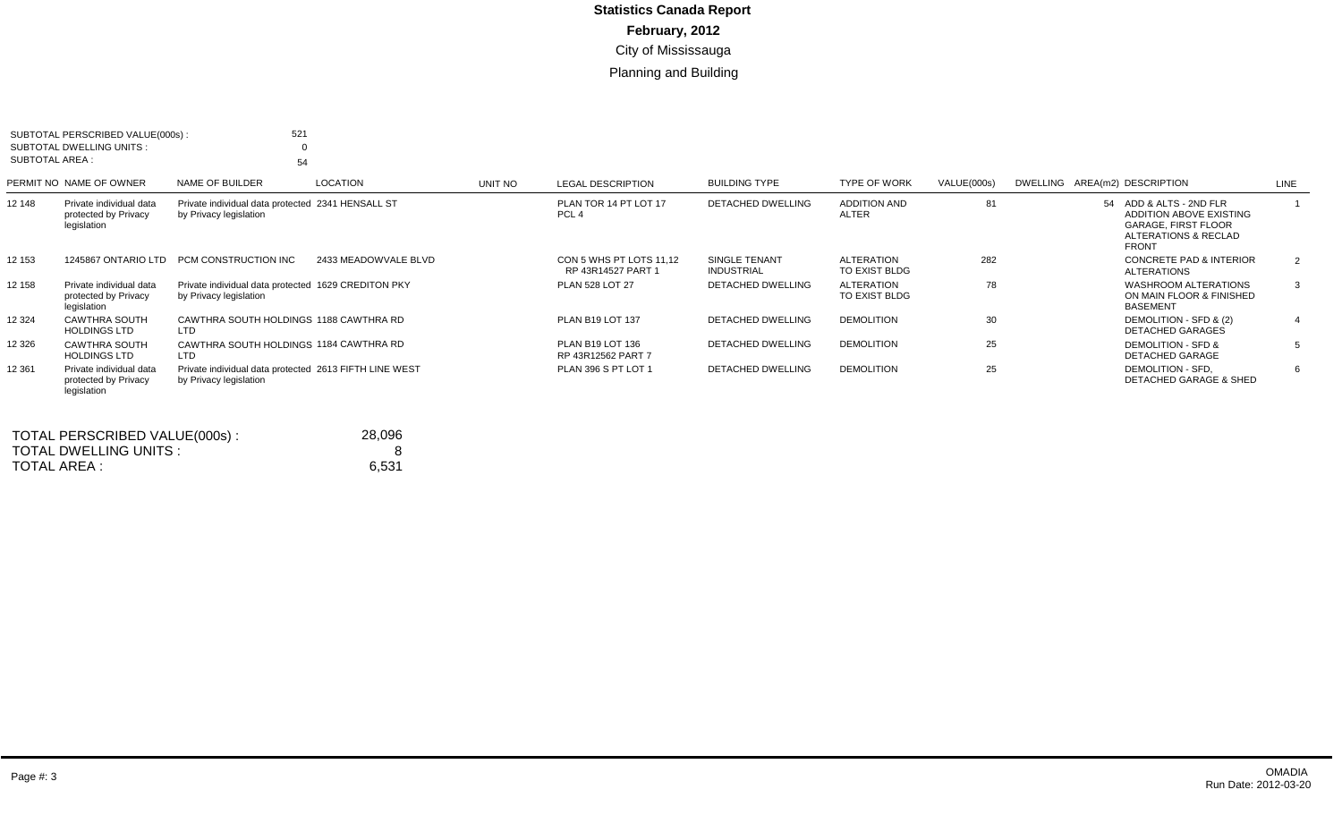| SUBTOTAL AREA : | SUBTOTAL PERSCRIBED VALUE(000s):<br>SUBTOTAL DWELLING UNITS:   | 521<br>54                                                                        |                      |         |                                               |                                    |                                     |             |                                                                                                                          |                |
|-----------------|----------------------------------------------------------------|----------------------------------------------------------------------------------|----------------------|---------|-----------------------------------------------|------------------------------------|-------------------------------------|-------------|--------------------------------------------------------------------------------------------------------------------------|----------------|
|                 | PERMIT NO NAME OF OWNER                                        | NAME OF BUILDER                                                                  | <b>LOCATION</b>      | UNIT NO | <b>LEGAL DESCRIPTION</b>                      | <b>BUILDING TYPE</b>               | TYPE OF WORK                        | VALUE(000s) | DWELLING AREA(m2) DESCRIPTION                                                                                            | LINE           |
| 12 148          | Private individual data<br>protected by Privacy<br>legislation | Private individual data protected 2341 HENSALL ST<br>by Privacy legislation      |                      |         | PLAN TOR 14 PT LOT 17<br>PCL <sub>4</sub>     | <b>DETACHED DWELLING</b>           | <b>ADDITION AND</b><br><b>ALTER</b> | 81          | 54 ADD & ALTS - 2ND FLR<br>ADDITION ABOVE EXISTING<br><b>GARAGE, FIRST FLOOR</b><br>ALTERATIONS & RECLAD<br><b>FRONT</b> |                |
| 12 153          | 1245867 ONTARIO LTD                                            | PCM CONSTRUCTION INC                                                             | 2433 MEADOWVALE BLVD |         | CON 5 WHS PT LOTS 11.12<br>RP 43R14527 PART 1 | SINGLE TENANT<br><b>INDUSTRIAL</b> | <b>ALTERATION</b><br>TO EXIST BLDG  | 282         | <b>CONCRETE PAD &amp; INTERIOR</b><br><b>ALTERATIONS</b>                                                                 | 2              |
| 12 158          | Private individual data<br>protected by Privacy<br>legislation | Private individual data protected 1629 CREDITON PKY<br>by Privacy legislation    |                      |         | <b>PLAN 528 LOT 27</b>                        | DETACHED DWELLING                  | <b>ALTERATION</b><br>TO EXIST BLDG  | 78          | <b>WASHROOM ALTERATIONS</b><br>ON MAIN FLOOR & FINISHED<br><b>BASEMENT</b>                                               | $\mathbf{3}$   |
| 12 3 24         | <b>CAWTHRA SOUTH</b><br><b>HOLDINGS LTD</b>                    | CAWTHRA SOUTH HOLDINGS 1188 CAWTHRA RD<br><b>LTD</b>                             |                      |         | <b>PLAN B19 LOT 137</b>                       | <b>DETACHED DWELLING</b>           | <b>DEMOLITION</b>                   | 30          | DEMOLITION - SFD & (2)<br><b>DETACHED GARAGES</b>                                                                        | $\overline{4}$ |
| 12 3 26         | <b>CAWTHRA SOUTH</b><br><b>HOLDINGS LTD</b>                    | CAWTHRA SOUTH HOLDINGS 1184 CAWTHRA RD<br>LTD                                    |                      |         | PLAN B19 LOT 136<br>RP 43R12562 PART 7        | DETACHED DWELLING                  | <b>DEMOLITION</b>                   | 25          | DEMOLITION - SFD &<br><b>DETACHED GARAGE</b>                                                                             | -5             |
| 12 3 61         | Private individual data<br>protected by Privacy<br>legislation | Private individual data protected 2613 FIFTH LINE WEST<br>by Privacy legislation |                      |         | PLAN 396 S PT LOT 1                           | DETACHED DWELLING                  | <b>DEMOLITION</b>                   | 25          | DEMOLITION - SFD.<br><b>DETACHED GARAGE &amp; SHED</b>                                                                   | -6             |

| TOTAL PERSCRIBED VALUE(000s): | 28.096 |
|-------------------------------|--------|
| TOTAL DWELLING UNITS :        |        |
| TOTAL AREA :                  | 6.531  |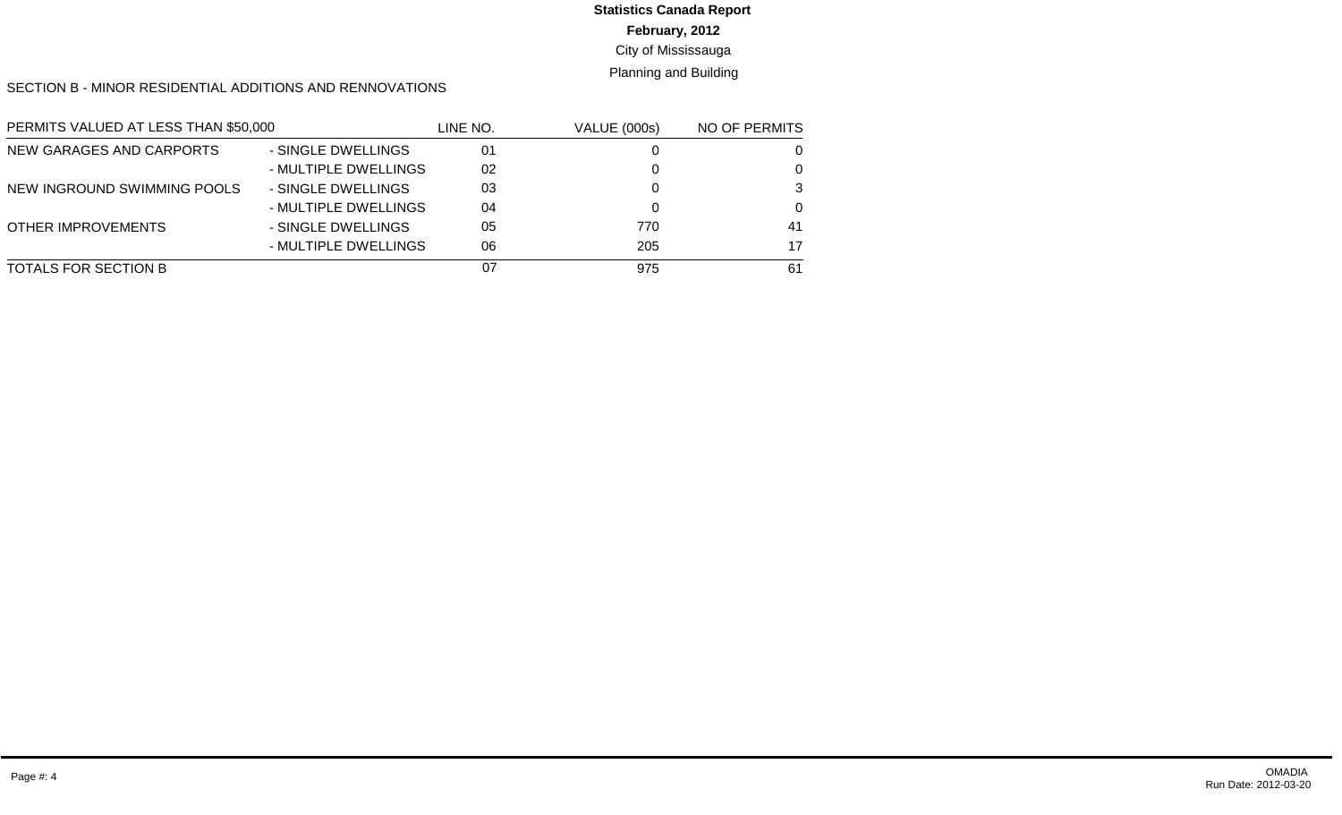# **Statistics Canada Report**

**February, 2012**

City of Mississauga

Planning and Building

SECTION B - MINOR RESIDENTIAL ADDITIONS AND RENNOVATIONS

| PERMITS VALUED AT LESS THAN \$50,000 |                      | LINE NO. | <b>VALUE (000s)</b> | NO OF PERMITS |
|--------------------------------------|----------------------|----------|---------------------|---------------|
| NEW GARAGES AND CARPORTS             | - SINGLE DWELLINGS   | 01       |                     | 0             |
|                                      | - MULTIPLE DWELLINGS | 02       |                     | 0             |
| NEW INGROUND SWIMMING POOLS          | - SINGLE DWELLINGS   | 03       |                     | 3             |
|                                      | - MULTIPLE DWELLINGS | 04       |                     | $\Omega$      |
| <b>OTHER IMPROVEMENTS</b>            | - SINGLE DWELLINGS   | 05       | 770                 | 41            |
|                                      | - MULTIPLE DWELLINGS | 06       | 205                 | 17            |
| <b>TOTALS FOR SECTION B</b>          |                      | 07       | 975                 | 61            |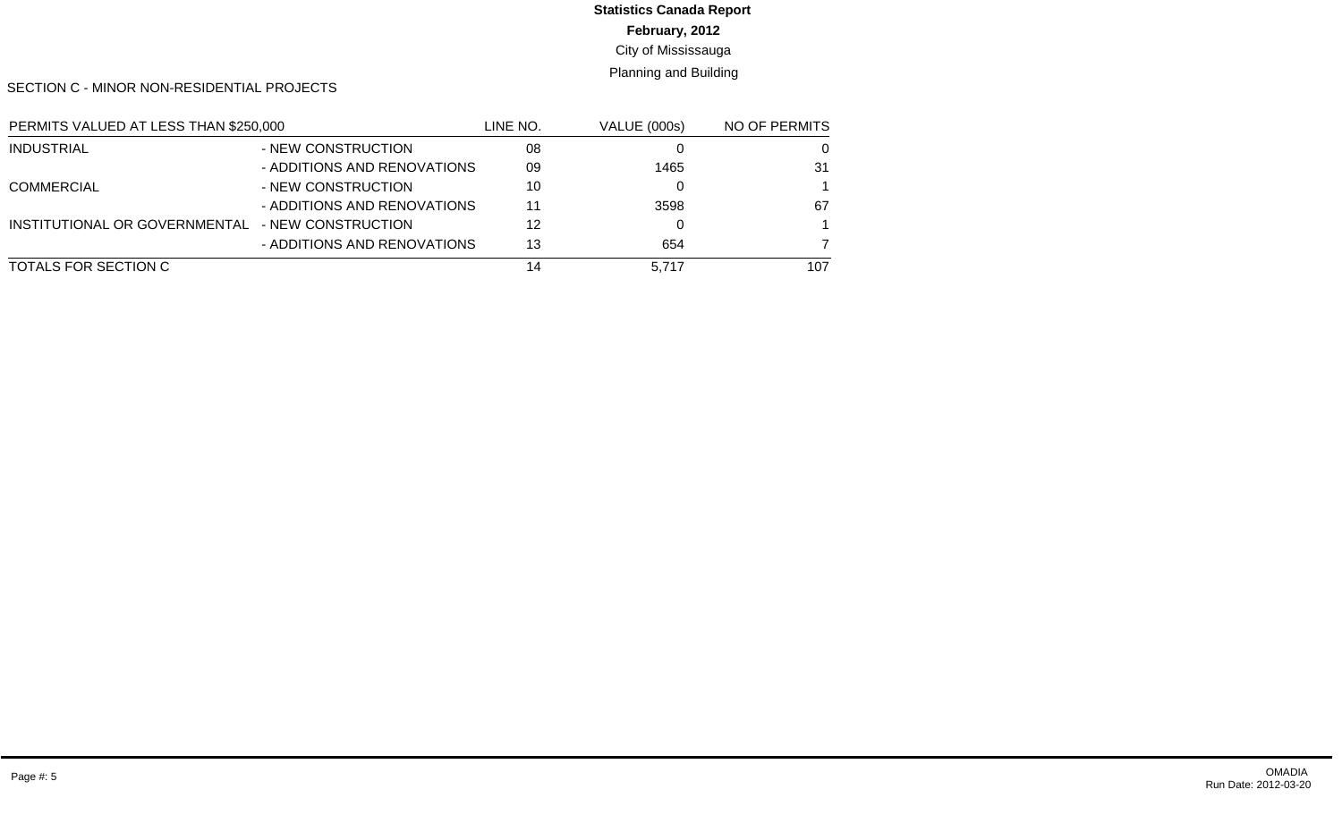# **Statistics Canada Report**

**February, 2012**

City of Mississauga

Planning and Building

SECTION C - MINOR NON-RESIDENTIAL PROJECTS

| PERMITS VALUED AT LESS THAN \$250,000            |                             | LINE NO. | <b>VALUE (000s)</b> | NO OF PERMITS |
|--------------------------------------------------|-----------------------------|----------|---------------------|---------------|
| <b>INDUSTRIAL</b>                                | - NEW CONSTRUCTION          | 08       |                     | 0             |
|                                                  | - ADDITIONS AND RENOVATIONS | 09       | 1465                | 31            |
| <b>COMMERCIAL</b>                                | - NEW CONSTRUCTION          | 10       |                     |               |
|                                                  | - ADDITIONS AND RENOVATIONS | 11       | 3598                | 67            |
| INSTITUTIONAL OR GOVERNMENTAL - NEW CONSTRUCTION |                             | 12       |                     |               |
|                                                  | - ADDITIONS AND RENOVATIONS | 13       | 654                 |               |
| TOTALS FOR SECTION C                             |                             | 14       | 5.717               | 107           |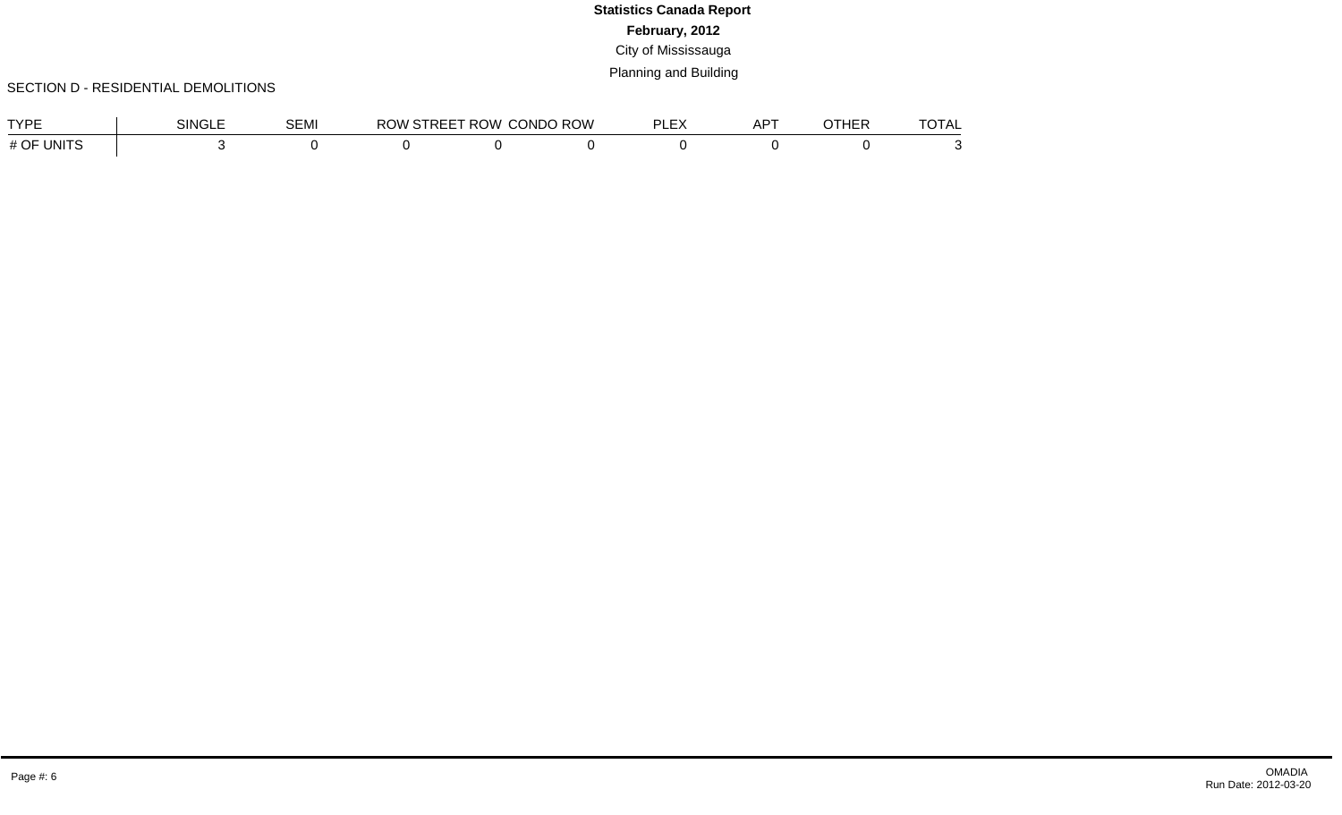#### SECTION D - RESIDENTIAL DEMOLITIONS

| <b>TVDE</b>                | singi | <b>OF</b> 11<br>SEMI | ີດທີ | ، ب<br>r ww<br>. . | ROW<br>CONDO | $-$<br>וח<br>-<br>--- | .<br>∸<br>`` | <b>LUE E</b><br>™ ⊓ : | $-2-$<br>$\overline{C}$ |
|----------------------------|-------|----------------------|------|--------------------|--------------|-----------------------|--------------|-----------------------|-------------------------|
| $H \cap E$<br>UNITS<br>" ∪ |       |                      |      |                    |              |                       |              |                       |                         |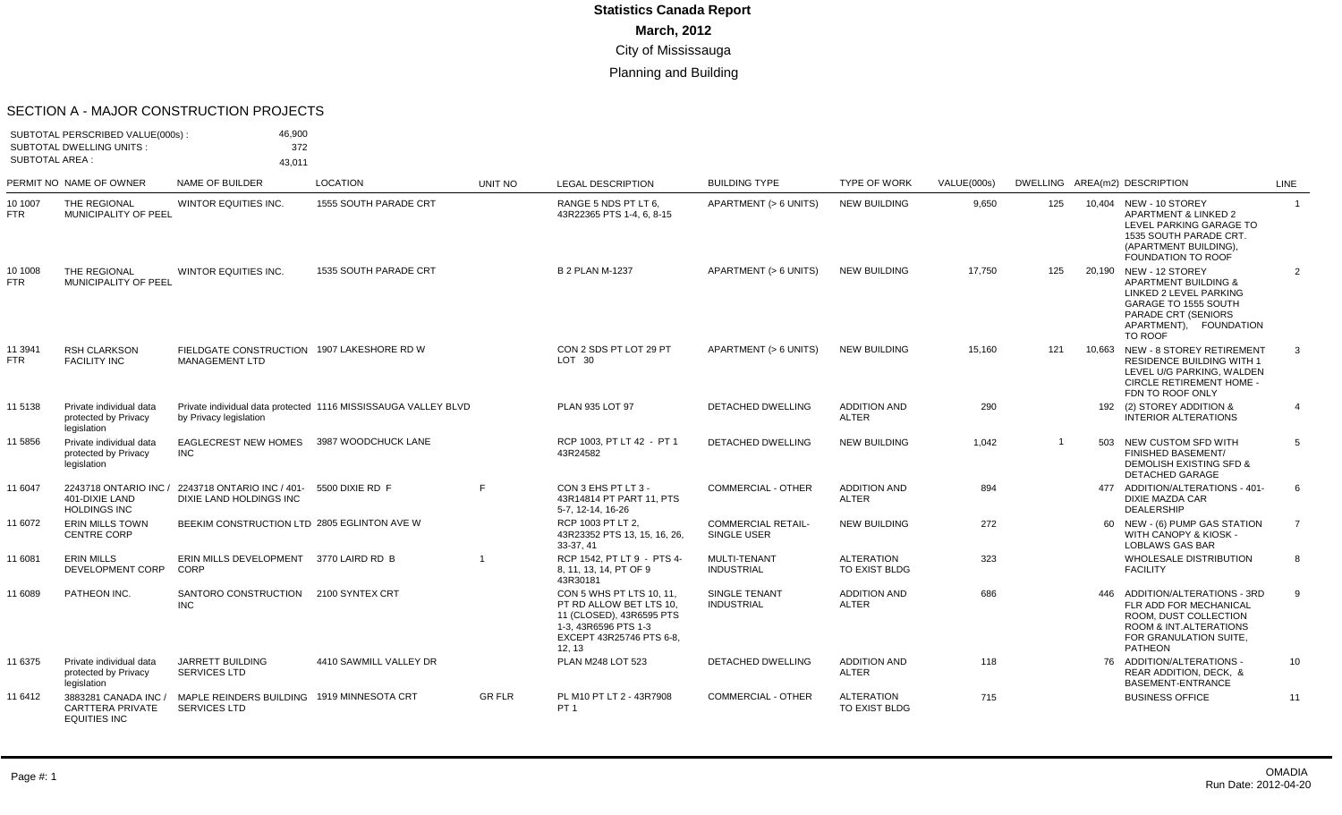#### SECTION A - MAJOR CONSTRUCTION PROJECTS

|                       | SUBTOTAL PERSCRIBED VALUE(000s):<br><b>SUBTOTAL DWELLING UNITS:</b> | 46,900<br>372                                                               |                                                                |               |                                                                                                                                               |                                          |                                     |             |     |     |                                                                                                                                                                         |                |
|-----------------------|---------------------------------------------------------------------|-----------------------------------------------------------------------------|----------------------------------------------------------------|---------------|-----------------------------------------------------------------------------------------------------------------------------------------------|------------------------------------------|-------------------------------------|-------------|-----|-----|-------------------------------------------------------------------------------------------------------------------------------------------------------------------------|----------------|
| <b>SUBTOTAL AREA:</b> |                                                                     | 43,011                                                                      |                                                                |               |                                                                                                                                               |                                          |                                     |             |     |     |                                                                                                                                                                         |                |
|                       | PERMIT NO NAME OF OWNER                                             | <b>NAME OF BUILDER</b>                                                      | <b>LOCATION</b>                                                | UNIT NO       | <b>LEGAL DESCRIPTION</b>                                                                                                                      | <b>BUILDING TYPE</b>                     | <b>TYPE OF WORK</b>                 | VALUE(000s) |     |     | DWELLING AREA(m2) DESCRIPTION                                                                                                                                           | LINE           |
| 10 1007<br><b>FTR</b> | THE REGIONAL<br>MUNICIPALITY OF PEEL                                | WINTOR EQUITIES INC.                                                        | 1555 SOUTH PARADE CRT                                          |               | RANGE 5 NDS PT LT 6.<br>43R22365 PTS 1-4, 6, 8-15                                                                                             | APARTMENT (> 6 UNITS)                    | <b>NEW BUILDING</b>                 | 9,650       | 125 |     | 10.404 NEW - 10 STOREY<br>APARTMENT & LINKED 2<br>LEVEL PARKING GARAGE TO<br>1535 SOUTH PARADE CRT<br>(APARTMENT BUILDING).<br><b>FOUNDATION TO ROOF</b>                | $\overline{1}$ |
| 10 1008<br><b>FTR</b> | THE REGIONAL<br>MUNICIPALITY OF PEEL                                | WINTOR EQUITIES INC.                                                        | <b>1535 SOUTH PARADE CRT</b>                                   |               | <b>B 2 PLAN M-1237</b>                                                                                                                        | APARTMENT (> 6 UNITS)                    | <b>NEW BUILDING</b>                 | 17,750      | 125 |     | 20.190 NEW - 12 STOREY<br><b>APARTMENT BUILDING &amp;</b><br>LINKED 2 LEVEL PARKING<br>GARAGE TO 1555 SOUTH<br>PARADE CRT (SENIORS<br>APARTMENT), FOUNDATION<br>TO ROOF | $\overline{2}$ |
| 11 3941<br>FTR        | <b>RSH CLARKSON</b><br><b>FACILITY INC</b>                          | FIELDGATE CONSTRUCTION 1907 LAKESHORE RD W<br><b>MANAGEMENT LTD</b>         |                                                                |               | CON 2 SDS PT LOT 29 PT<br>LOT <sub>30</sub>                                                                                                   | APARTMENT (> 6 UNITS)                    | <b>NEW BUILDING</b>                 | 15.160      | 121 |     | 10.663 NEW - 8 STOREY RETIREMENT<br><b>RESIDENCE BUILDING WITH 1</b><br>LEVEL U/G PARKING, WALDEN<br><b>CIRCLE RETIREMENT HOME -</b><br>FDN TO ROOF ONLY                | 3              |
| 11 5138               | Private individual data<br>protected by Privacy<br>legislation      | by Privacy legislation                                                      | Private individual data protected 1116 MISSISSAUGA VALLEY BLVD |               | PLAN 935 LOT 97                                                                                                                               | DETACHED DWELLING                        | <b>ADDITION AND</b><br><b>ALTER</b> | 290         |     |     | 192 (2) STOREY ADDITION &<br><b>INTERIOR ALTERATIONS</b>                                                                                                                | $\overline{4}$ |
| 11 5856               | Private individual data<br>protected by Privacy<br>legislation      | <b>EAGLECREST NEW HOMES</b><br><b>INC</b>                                   | 3987 WOODCHUCK LANE                                            |               | RCP 1003, PT LT 42 - PT 1<br>43R24582                                                                                                         | <b>DETACHED DWELLING</b>                 | <b>NEW BUILDING</b>                 | 1,042       | -1  | 503 | NEW CUSTOM SFD WITH<br><b>FINISHED BASEMENT/</b><br><b>DEMOLISH EXISTING SFD &amp;</b><br><b>DETACHED GARAGE</b>                                                        | 5              |
| 11 6047               | 401-DIXIE LAND<br><b>HOLDINGS INC</b>                               | 2243718 ONTARIO INC / 2243718 ONTARIO INC / 401-<br>DIXIE LAND HOLDINGS INC | 5500 DIXIE RD F                                                | E             | CON 3 EHS PT LT 3 -<br>43R14814 PT PART 11, PTS<br>5-7, 12-14, 16-26                                                                          | <b>COMMERCIAL - OTHER</b>                | <b>ADDITION AND</b><br><b>ALTER</b> | 894         |     | 477 | ADDITION/ALTERATIONS - 401-<br><b>DIXIE MAZDA CAR</b><br><b>DEALERSHIP</b>                                                                                              | 6              |
| 11 6072               | <b>ERIN MILLS TOWN</b><br><b>CENTRE CORP</b>                        | BEEKIM CONSTRUCTION LTD 2805 EGLINTON AVE W                                 |                                                                |               | RCP 1003 PT LT 2.<br>43R23352 PTS 13, 15, 16, 26,<br>33-37, 41                                                                                | <b>COMMERCIAL RETAIL-</b><br>SINGLE USER | <b>NEW BUILDING</b>                 | 272         |     |     | 60 NEW - (6) PUMP GAS STATION<br>WITH CANOPY & KIOSK -<br>LOBLAWS GAS BAR                                                                                               | $\overline{7}$ |
| 11 6081               | <b>ERIN MILLS</b><br>DEVELOPMENT CORP                               | ERIN MILLS DEVELOPMENT 3770 LAIRD RD B<br>CORP                              |                                                                |               | RCP 1542. PT LT 9 - PTS 4-<br>8, 11, 13, 14, PT OF 9<br>43R30181                                                                              | MULTI-TENANT<br><b>INDUSTRIAL</b>        | <b>ALTERATION</b><br>TO EXIST BLDG  | 323         |     |     | <b>WHOLESALE DISTRIBUTION</b><br><b>FACILITY</b>                                                                                                                        | 8              |
| 11 6089               | PATHEON INC.                                                        | SANTORO CONSTRUCTION 2100 SYNTEX CRT<br><b>INC</b>                          |                                                                |               | CON 5 WHS PT LTS 10, 11.<br>PT RD ALLOW BET LTS 10,<br>11 (CLOSED), 43R6595 PTS<br>1-3, 43R6596 PTS 1-3<br>EXCEPT 43R25746 PTS 6-8.<br>12, 13 | SINGLE TENANT<br><b>INDUSTRIAL</b>       | <b>ADDITION AND</b><br><b>ALTER</b> | 686         |     | 446 | ADDITION/ALTERATIONS - 3RD<br>FLR ADD FOR MECHANICAL<br>ROOM. DUST COLLECTION<br>ROOM & INT.ALTERATIONS<br>FOR GRANULATION SUITE,<br><b>PATHEON</b>                     | 9              |
| 11 6375               | Private individual data<br>protected by Privacy<br>legislation      | JARRETT BUILDING<br><b>SERVICES LTD</b>                                     | 4410 SAWMILL VALLEY DR                                         |               | PLAN M248 LOT 523                                                                                                                             | <b>DETACHED DWELLING</b>                 | <b>ADDITION AND</b><br><b>ALTER</b> | 118         |     |     | 76 ADDITION/ALTERATIONS -<br>REAR ADDITION, DECK. &<br>BASEMENT-ENTRANCE                                                                                                | 10             |
| 11 6412               | 3883281 CANADA INC /<br>CARTTERA PRIVATE                            | MAPLE REINDERS BUILDING 1919 MINNESOTA CRT<br><b>SERVICES LTD</b>           |                                                                | <b>GR FLR</b> | PL M10 PT LT 2 - 43R7908<br>PT <sub>1</sub>                                                                                                   | <b>COMMERCIAL - OTHER</b>                | <b>ALTERATION</b><br>TO EXIST BLDG  | 715         |     |     | <b>BUSINESS OFFICE</b>                                                                                                                                                  | 11             |

EQUITIES INC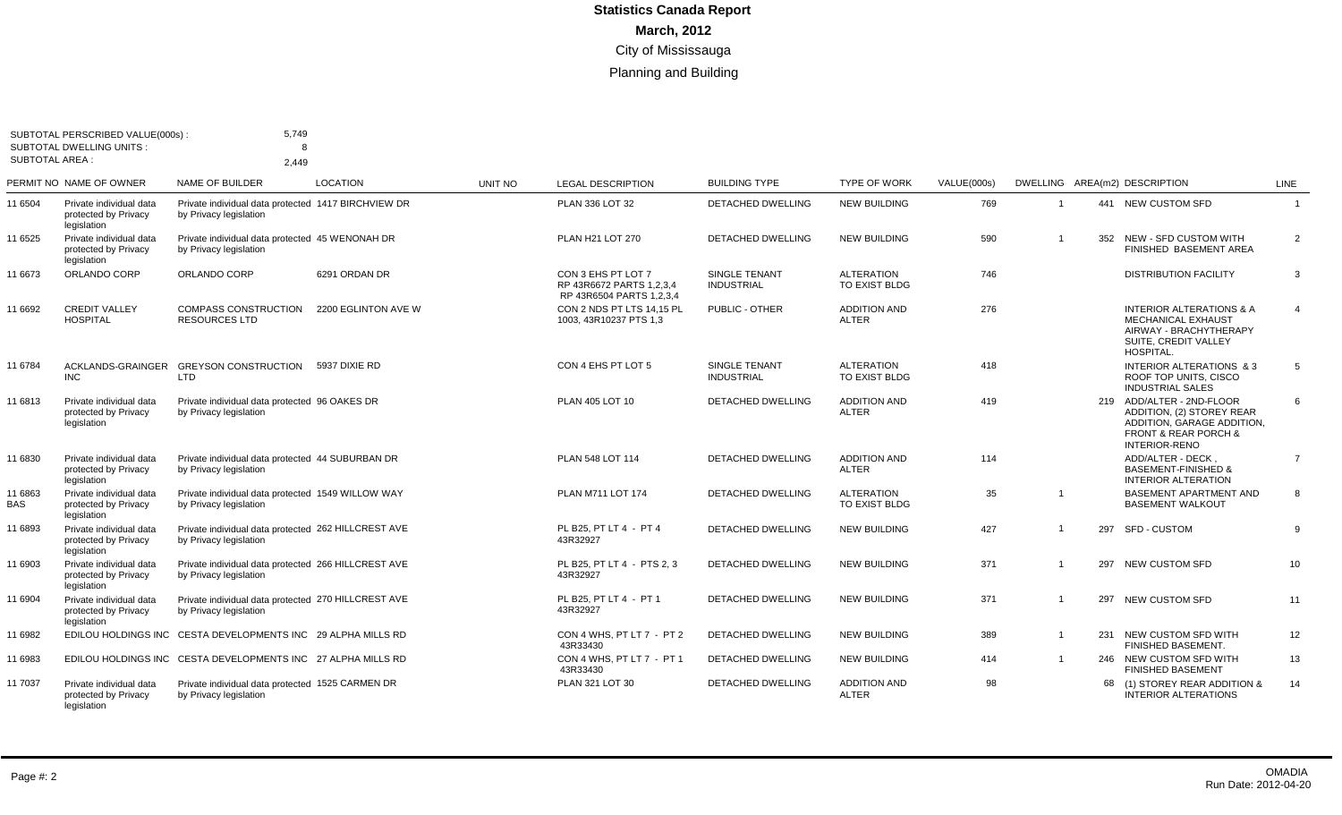| <b>SUBTOTAL AREA:</b> | SUBTOTAL PERSCRIBED VALUE(000s) :<br>SUBTOTAL DWELLING UNITS:  | 5,749<br>8<br>2.449                                                           |                     |         |                                                                            |                                    |                                     |             |                |                                                                                                                                                     |                |
|-----------------------|----------------------------------------------------------------|-------------------------------------------------------------------------------|---------------------|---------|----------------------------------------------------------------------------|------------------------------------|-------------------------------------|-------------|----------------|-----------------------------------------------------------------------------------------------------------------------------------------------------|----------------|
|                       | PERMIT NO NAME OF OWNER                                        | <b>NAME OF BUILDER</b>                                                        | <b>LOCATION</b>     | UNIT NO | <b>LEGAL DESCRIPTION</b>                                                   | <b>BUILDING TYPE</b>               | <b>TYPE OF WORK</b>                 | VALUE(000s) |                | DWELLING AREA(m2) DESCRIPTION                                                                                                                       | <b>LINE</b>    |
| 11 6504               | Private individual data<br>protected by Privacy<br>legislation | Private individual data protected 1417 BIRCHVIEW DR<br>by Privacy legislation |                     |         | PLAN 336 LOT 32                                                            | <b>DETACHED DWELLING</b>           | <b>NEW BUILDING</b>                 | 769         | $\overline{1}$ | 441 NEW CUSTOM SFD                                                                                                                                  | $\overline{1}$ |
| 11 6525               | Private individual data<br>protected by Privacy<br>legislation | Private individual data protected 45 WENONAH DR<br>by Privacy legislation     |                     |         | PLAN H21 LOT 270                                                           | <b>DETACHED DWELLING</b>           | <b>NEW BUILDING</b>                 | 590         |                | 352 NEW - SFD CUSTOM WITH<br>FINISHED BASEMENT AREA                                                                                                 | $\overline{2}$ |
| 11 6673               | ORLANDO CORP                                                   | ORLANDO CORP                                                                  | 6291 ORDAN DR       |         | CON 3 EHS PT LOT 7<br>RP 43R6672 PARTS 1,2,3,4<br>RP 43R6504 PARTS 1,2,3,4 | SINGLE TENANT<br><b>INDUSTRIAL</b> | <b>ALTERATION</b><br>TO EXIST BLDG  | 746         |                | <b>DISTRIBUTION FACILITY</b>                                                                                                                        | 3              |
| 11 6692               | <b>CREDIT VALLEY</b><br><b>HOSPITAL</b>                        | <b>COMPASS CONSTRUCTION</b><br><b>RESOURCES LTD</b>                           | 2200 EGLINTON AVE W |         | CON 2 NDS PT LTS 14.15 PL<br>1003, 43R10237 PTS 1,3                        | PUBLIC - OTHER                     | <b>ADDITION AND</b><br><b>ALTER</b> | 276         |                | <b>INTERIOR ALTERATIONS &amp; A</b><br><b>MECHANICAL EXHAUST</b><br>AIRWAY - BRACHYTHERAPY<br>SUITE, CREDIT VALLEY<br>HOSPITAL.                     | $\overline{4}$ |
| 11 6784               | ACKLANDS-GRAINGER<br><b>INC</b>                                | <b>GREYSON CONSTRUCTION 5937 DIXIE RD</b><br><b>LTD</b>                       |                     |         | CON 4 EHS PT LOT 5                                                         | SINGLE TENANT<br><b>INDUSTRIAL</b> | <b>ALTERATION</b><br>TO EXIST BLDG  | 418         |                | INTERIOR ALTERATIONS & 3<br>ROOF TOP UNITS, CISCO<br><b>INDUSTRIAL SALES</b>                                                                        | 5              |
| 11 6813               | Private individual data<br>protected by Privacy<br>legislation | Private individual data protected 96 OAKES DR<br>by Privacy legislation       |                     |         | PLAN 405 LOT 10                                                            | DETACHED DWELLING                  | <b>ADDITION AND</b><br><b>ALTER</b> | 419         |                | 219 ADD/ALTER - 2ND-FLOOR<br>ADDITION, (2) STOREY REAR<br>ADDITION, GARAGE ADDITION,<br><b>FRONT &amp; REAR PORCH &amp;</b><br><b>INTERIOR-RENO</b> | 6              |
| 11 6830               | Private individual data<br>protected by Privacy<br>legislation | Private individual data protected 44 SUBURBAN DR<br>by Privacy legislation    |                     |         | PLAN 548 LOT 114                                                           | <b>DETACHED DWELLING</b>           | <b>ADDITION AND</b><br><b>ALTER</b> | 114         |                | ADD/ALTER - DECK.<br><b>BASEMENT-FINISHED &amp;</b><br><b>INTERIOR ALTERATION</b>                                                                   | 7              |
| 11 6863<br><b>BAS</b> | Private individual data<br>protected by Privacy<br>legislation | Private individual data protected 1549 WILLOW WAY<br>by Privacy legislation   |                     |         | <b>PLAN M711 LOT 174</b>                                                   | <b>DETACHED DWELLING</b>           | <b>ALTERATION</b><br>TO EXIST BLDG  | 35          |                | <b>BASEMENT APARTMENT AND</b><br><b>BASEMENT WALKOUT</b>                                                                                            | 8              |
| 11 6893               | Private individual data<br>protected by Privacy<br>legislation | Private individual data protected 262 HILLCREST AVE<br>by Privacy legislation |                     |         | PL B25. PT LT 4 - PT 4<br>43R32927                                         | <b>DETACHED DWELLING</b>           | <b>NEW BUILDING</b>                 | 427         |                | 297 SFD - CUSTOM                                                                                                                                    | 9              |
| 11 6903               | Private individual data<br>protected by Privacy<br>legislation | Private individual data protected 266 HILLCREST AVE<br>by Privacy legislation |                     |         | PL B25. PT LT 4 - PTS 2.3<br>43R32927                                      | <b>DETACHED DWELLING</b>           | <b>NEW BUILDING</b>                 | 371         |                | 297 NEW CUSTOM SFD                                                                                                                                  | 10             |
| 11 6904               | Private individual data<br>protected by Privacy<br>legislation | Private individual data protected 270 HILLCREST AVE<br>by Privacy legislation |                     |         | PL B25. PT LT 4 - PT 1<br>43R32927                                         | <b>DETACHED DWELLING</b>           | <b>NEW BUILDING</b>                 | 371         | $\overline{1}$ | 297 NEW CUSTOM SFD                                                                                                                                  | 11             |
| 11 6982               |                                                                | EDILOU HOLDINGS INC CESTA DEVELOPMENTS INC 29 ALPHA MILLS RD                  |                     |         | CON 4 WHS, PT LT 7 - PT 2<br>43R33430                                      | DETACHED DWELLING                  | <b>NEW BUILDING</b>                 | 389         | -1             | 231 NEW CUSTOM SFD WITH<br>FINISHED BASEMENT.                                                                                                       | 12             |
| 11 6983               |                                                                | EDILOU HOLDINGS INC CESTA DEVELOPMENTS INC 27 ALPHA MILLS RD                  |                     |         | CON 4 WHS, PT LT 7 - PT 1<br>43R33430                                      | <b>DETACHED DWELLING</b>           | <b>NEW BUILDING</b>                 | 414         | -1             | 246 NEW CUSTOM SFD WITH<br><b>FINISHED BASEMENT</b>                                                                                                 | 13             |
| 11 7037               | Private individual data<br>protected by Privacy<br>legislation | Private individual data protected 1525 CARMEN DR<br>by Privacy legislation    |                     |         | PLAN 321 LOT 30                                                            | <b>DETACHED DWELLING</b>           | <b>ADDITION AND</b><br><b>ALTER</b> | 98          |                | (1) STOREY REAR ADDITION &<br><b>INTERIOR ALTERATIONS</b>                                                                                           | 14             |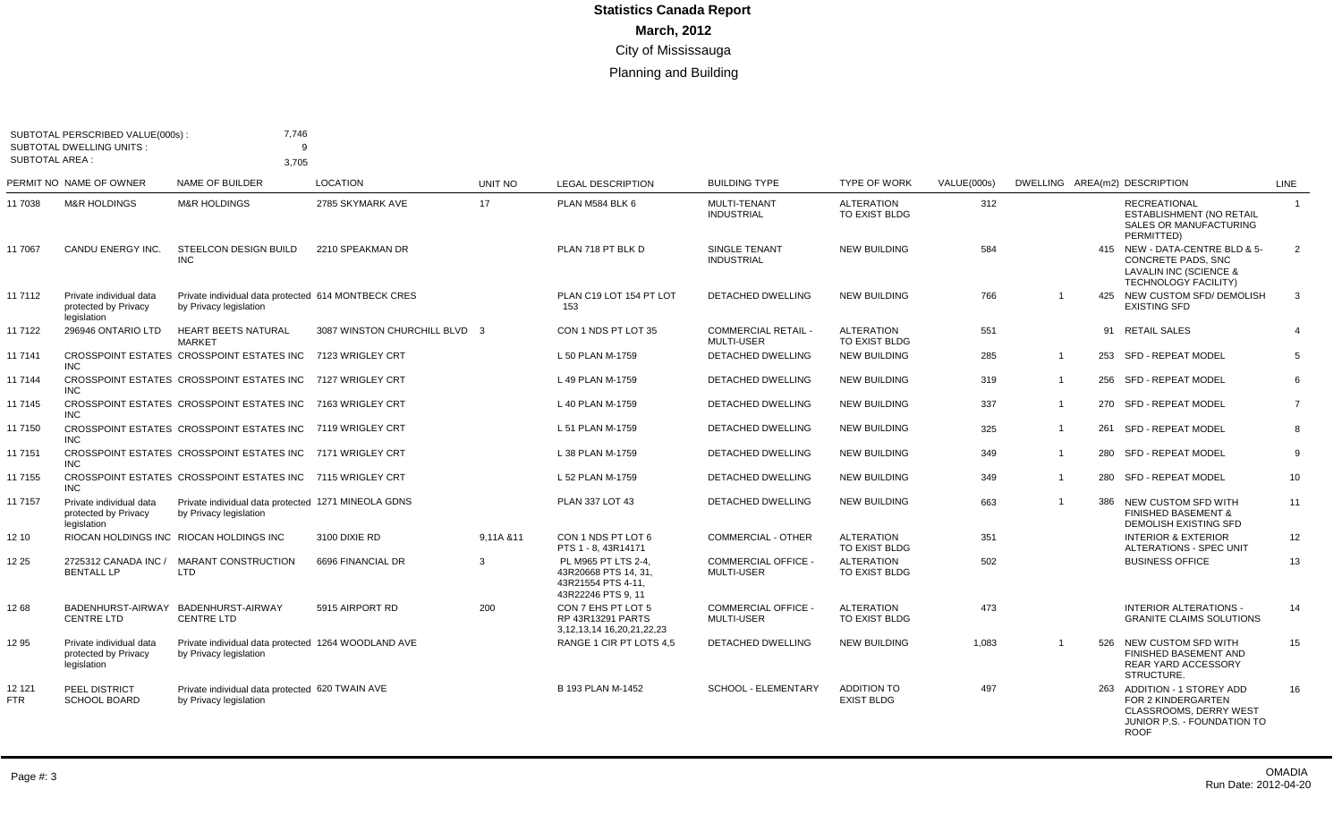| <b>SUBTOTAL AREA:</b> | SUBTOTAL PERSCRIBED VALUE(000s):<br><b>SUBTOTAL DWELLING UNITS:</b> | 7,746<br>Q                                                                    |                               |            |                                                                                        |                                                 |                                         |             |                |     |                                                                                                                                  |                |
|-----------------------|---------------------------------------------------------------------|-------------------------------------------------------------------------------|-------------------------------|------------|----------------------------------------------------------------------------------------|-------------------------------------------------|-----------------------------------------|-------------|----------------|-----|----------------------------------------------------------------------------------------------------------------------------------|----------------|
|                       | PERMIT NO NAME OF OWNER                                             | 3.705<br>NAME OF BUILDER                                                      | <b>LOCATION</b>               | UNIT NO    | <b>LEGAL DESCRIPTION</b>                                                               | <b>BUILDING TYPE</b>                            | <b>TYPE OF WORK</b>                     | VALUE(000s) |                |     | DWELLING AREA(m2) DESCRIPTION                                                                                                    | <b>LINE</b>    |
| 11 7038               | <b>M&amp;R HOLDINGS</b>                                             | <b>M&amp;R HOLDINGS</b>                                                       | 2785 SKYMARK AVE              | 17         | PLAN M584 BLK 6                                                                        | MULTI-TENANT<br><b>INDUSTRIAL</b>               | <b>ALTERATION</b><br>TO EXIST BLDG      | 312         |                |     | <b>RECREATIONAL</b><br><b>ESTABLISHMENT (NO RETAIL</b><br>SALES OR MANUFACTURING<br>PERMITTED)                                   | $\overline{1}$ |
| 11 7067               | CANDU ENERGY INC.                                                   | <b>STEELCON DESIGN BUILD</b><br><b>INC</b>                                    | 2210 SPEAKMAN DR              |            | PLAN 718 PT BLK D                                                                      | <b>SINGLE TENANT</b><br><b>INDUSTRIAL</b>       | <b>NEW BUILDING</b>                     | 584         |                |     | 415 NEW - DATA-CENTRE BLD & 5-<br><b>CONCRETE PADS, SNC</b><br>LAVALIN INC (SCIENCE &<br><b>TECHNOLOGY FACILITY)</b>             | 2              |
| 11 7112               | Private individual data<br>protected by Privacy<br>legislation      | Private individual data protected 614 MONTBECK CRES<br>by Privacy legislation |                               |            | PLAN C19 LOT 154 PT LOT<br>153                                                         | <b>DETACHED DWELLING</b>                        | <b>NEW BUILDING</b>                     | 766         | -1             |     | 425 NEW CUSTOM SFD/ DEMOLISH<br><b>EXISTING SFD</b>                                                                              | 3              |
| 11 7122               | 296946 ONTARIO LTD                                                  | <b>HEART BEETS NATURAL</b><br><b>MARKET</b>                                   | 3087 WINSTON CHURCHILL BLVD 3 |            | CON 1 NDS PT LOT 35                                                                    | <b>COMMERCIAL RETAIL -</b><br><b>MULTI-USER</b> | <b>ALTERATION</b><br>TO EXIST BLDG      | 551         |                |     | 91 RETAIL SALES                                                                                                                  |                |
| 11 7141               | <b>INC</b>                                                          | CROSSPOINT ESTATES CROSSPOINT ESTATES INC                                     | 7123 WRIGLEY CRT              |            | L 50 PLAN M-1759                                                                       | <b>DETACHED DWELLING</b>                        | <b>NEW BUILDING</b>                     | 285         | $\overline{1}$ | 253 | SFD - REPEAT MODEL                                                                                                               | 5              |
| 11 7144               | <b>INC</b>                                                          | CROSSPOINT ESTATES CROSSPOINT ESTATES INC                                     | 7127 WRIGLEY CRT              |            | L 49 PLAN M-1759                                                                       | <b>DETACHED DWELLING</b>                        | <b>NEW BUILDING</b>                     | 319         | $\overline{1}$ | 256 | SFD - REPEAT MODEL                                                                                                               | 6              |
| 11 7145               | <b>INC</b>                                                          | CROSSPOINT ESTATES CROSSPOINT ESTATES INC                                     | 7163 WRIGLEY CRT              |            | L 40 PLAN M-1759                                                                       | <b>DETACHED DWELLING</b>                        | <b>NEW BUILDING</b>                     | 337         | $\overline{1}$ |     | 270 SFD - REPEAT MODEL                                                                                                           | $\overline{7}$ |
| 11 7150               | <b>INC</b>                                                          | CROSSPOINT ESTATES CROSSPOINT ESTATES INC 7119 WRIGLEY CRT                    |                               |            | L 51 PLAN M-1759                                                                       | <b>DETACHED DWELLING</b>                        | <b>NEW BUILDING</b>                     | 325         | $\overline{1}$ | 261 | SFD - REPEAT MODEL                                                                                                               | 8              |
| 11 7151               | <b>INC</b>                                                          | CROSSPOINT ESTATES CROSSPOINT ESTATES INC 7171 WRIGLEY CRT                    |                               |            | L 38 PLAN M-1759                                                                       | <b>DETACHED DWELLING</b>                        | <b>NEW BUILDING</b>                     | 349         | $\overline{1}$ | 280 | <b>SFD - REPEAT MODEL</b>                                                                                                        | 9              |
| 11 7155               | <b>INC</b>                                                          | CROSSPOINT ESTATES CROSSPOINT ESTATES INC 7115 WRIGLEY CRT                    |                               |            | L 52 PLAN M-1759                                                                       | DETACHED DWELLING                               | <b>NEW BUILDING</b>                     | 349         | $\overline{1}$ |     | 280 SFD - REPEAT MODEL                                                                                                           | 10             |
| 11 7157               | Private individual data<br>protected by Privacy<br>legislation      | Private individual data protected 1271 MINEOLA GDNS<br>by Privacy legislation |                               |            | PLAN 337 LOT 43                                                                        | DETACHED DWELLING                               | <b>NEW BUILDING</b>                     | 663         | $\overline{1}$ | 386 | NEW CUSTOM SFD WITH<br><b>FINISHED BASEMENT &amp;</b><br><b>DEMOLISH EXISTING SFD</b>                                            | 11             |
| 12 10                 |                                                                     | RIOCAN HOLDINGS INC RIOCAN HOLDINGS INC                                       | 3100 DIXIE RD                 | 9.11A & 11 | CON 1 NDS PT LOT 6<br>PTS 1 - 8, 43R14171                                              | <b>COMMERCIAL - OTHER</b>                       | <b>ALTERATION</b><br>TO EXIST BLDG      | 351         |                |     | <b>INTERIOR &amp; EXTERIOR</b><br>ALTERATIONS - SPEC UNIT                                                                        | 12             |
| 12 25                 | 2725312 CANADA INC /<br><b>BENTALL LP</b>                           | <b>MARANT CONSTRUCTION</b><br>LTD                                             | 6696 FINANCIAL DR             | 3          | PL M965 PT LTS 2-4.<br>43R20668 PTS 14, 31,<br>43R21554 PTS 4-11,<br>43R22246 PTS 9.11 | <b>COMMERCIAL OFFICE -</b><br><b>MULTI-USER</b> | <b>ALTERATION</b><br>TO EXIST BLDG      | 502         |                |     | <b>BUSINESS OFFICE</b>                                                                                                           | 13             |
| 12 68                 | BADENHURST-AIRWAY<br><b>CENTRE LTD</b>                              | BADENHURST-AIRWAY<br><b>CENTRE LTD</b>                                        | 5915 AIRPORT RD               | 200        | CON 7 EHS PT LOT 5<br><b>RP 43R13291 PARTS</b><br>3, 12, 13, 14 16, 20, 21, 22, 23     | <b>COMMERCIAL OFFICE -</b><br><b>MULTI-USER</b> | <b>ALTERATION</b><br>TO EXIST BLDG      | 473         |                |     | <b>INTERIOR ALTERATIONS -</b><br><b>GRANITE CLAIMS SOLUTIONS</b>                                                                 | 14             |
| 12 95                 | Private individual data<br>protected by Privacy<br>legislation      | Private individual data protected 1264 WOODLAND AVE<br>by Privacy legislation |                               |            | RANGE 1 CIR PT LOTS 4,5                                                                | DETACHED DWELLING                               | <b>NEW BUILDING</b>                     | 1,083       | $\overline{1}$ |     | 526 NEW CUSTOM SFD WITH<br>FINISHED BASEMENT AND<br><b>REAR YARD ACCESSORY</b><br>STRUCTURE.                                     | 15             |
| 12 121<br><b>FTR</b>  | PEEL DISTRICT<br>SCHOOL BOARD                                       | Private individual data protected 620 TWAIN AVE<br>by Privacy legislation     |                               |            | B 193 PLAN M-1452                                                                      | SCHOOL - ELEMENTARY                             | <b>ADDITION TO</b><br><b>EXIST BLDG</b> | 497         |                |     | 263 ADDITION - 1 STOREY ADD<br>FOR 2 KINDERGARTEN<br><b>CLASSROOMS, DERRY WEST</b><br>JUNIOR P.S. - FOUNDATION TO<br><b>ROOF</b> | 16             |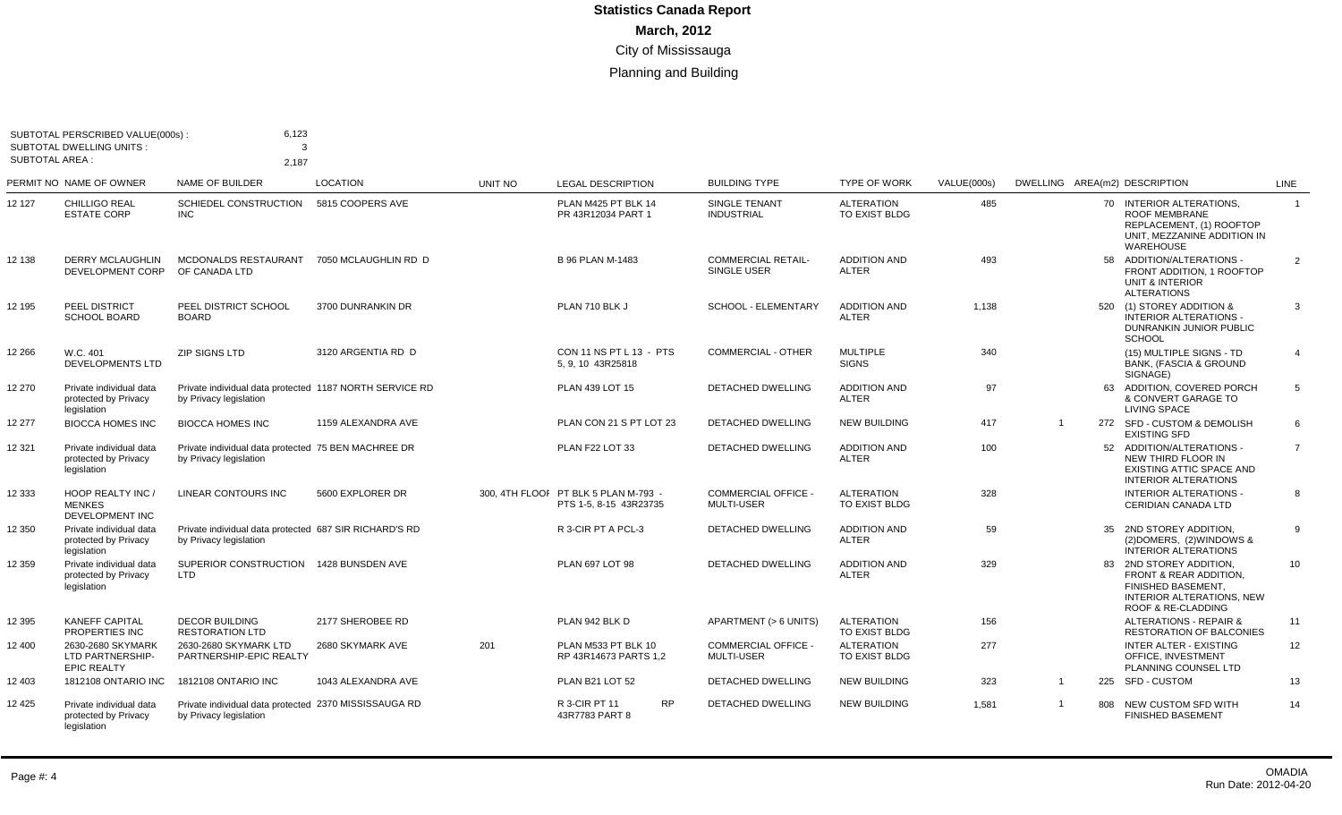| <b>SUBTOTAL AREA:</b> | SUBTOTAL PERSCRIBED VALUE(000s):<br><b>SUBTOTAL DWELLING UNITS:</b> | 6,123<br>3<br>2,187                                                               |                      |         |                                                                |                                                 |                                     |             |                |     |                                                                                                                                                                |                |
|-----------------------|---------------------------------------------------------------------|-----------------------------------------------------------------------------------|----------------------|---------|----------------------------------------------------------------|-------------------------------------------------|-------------------------------------|-------------|----------------|-----|----------------------------------------------------------------------------------------------------------------------------------------------------------------|----------------|
|                       | PERMIT NO NAME OF OWNER                                             | <b>NAME OF BUILDER</b>                                                            | <b>LOCATION</b>      | UNIT NO | <b>LEGAL DESCRIPTION</b>                                       | <b>BUILDING TYPE</b>                            | <b>TYPE OF WORK</b>                 | VALUE(000s) |                |     | DWELLING AREA(m2) DESCRIPTION                                                                                                                                  | <b>LINE</b>    |
| 12 127                | <b>CHILLIGO REAL</b><br><b>ESTATE CORP</b>                          | SCHIEDEL CONSTRUCTION<br><b>INC</b>                                               | 5815 COOPERS AVE     |         | PLAN M425 PT BLK 14<br>PR 43R12034 PART 1                      | <b>SINGLE TENANT</b><br><b>INDUSTRIAL</b>       | <b>ALTERATION</b><br>TO EXIST BLDG  | 485         |                |     | 70 INTERIOR ALTERATIONS.<br><b>ROOF MEMBRANE</b><br>REPLACEMENT. (1) ROOFTOP<br>UNIT. MEZZANINE ADDITION IN<br>WAREHOUSE                                       | $\overline{1}$ |
| 12 138                | DERRY MCLAUGHLIN<br>DEVELOPMENT CORP                                | MCDONALDS RESTAURANT<br>OF CANADA LTD                                             | 7050 MCLAUGHLIN RD D |         | <b>B 96 PLAN M-1483</b>                                        | <b>COMMERCIAL RETAIL-</b><br>SINGLE USER        | <b>ADDITION AND</b><br><b>ALTER</b> | 493         |                | 58  | ADDITION/ALTERATIONS -<br>FRONT ADDITION, 1 ROOFTOP<br><b>UNIT &amp; INTERIOR</b><br><b>ALTERATIONS</b>                                                        | $\overline{2}$ |
| 12 195                | PEEL DISTRICT<br><b>SCHOOL BOARD</b>                                | PEEL DISTRICT SCHOOL<br><b>BOARD</b>                                              | 3700 DUNRANKIN DR    |         | PLAN 710 BLK J                                                 | <b>SCHOOL - ELEMENTARY</b>                      | <b>ADDITION AND</b><br><b>ALTER</b> | 1,138       |                |     | 520 (1) STOREY ADDITION &<br><b>INTERIOR ALTERATIONS -</b><br>DUNRANKIN JUNIOR PUBLIC<br><b>SCHOOL</b>                                                         | 3              |
| 12 266                | W.C. 401<br><b>DEVELOPMENTS LTD</b>                                 | <b>ZIP SIGNS LTD</b>                                                              | 3120 ARGENTIA RD D   |         | CON 11 NS PT L 13 - PTS<br>5.9.10 43R25818                     | <b>COMMERCIAL - OTHER</b>                       | <b>MULTIPLE</b><br><b>SIGNS</b>     | 340         |                |     | (15) MULTIPLE SIGNS - TD<br><b>BANK, (FASCIA &amp; GROUND</b><br>SIGNAGE)                                                                                      | $\overline{4}$ |
| 12 270                | Private individual data<br>protected by Privacy<br>legislation      | Private individual data protected 1187 NORTH SERVICE RD<br>by Privacy legislation |                      |         | PLAN 439 LOT 15                                                | <b>DETACHED DWELLING</b>                        | <b>ADDITION AND</b><br><b>ALTER</b> | 97          |                |     | 63 ADDITION, COVERED PORCH<br>& CONVERT GARAGE TO<br>LIVING SPACE                                                                                              | 5              |
| 12 277                | <b>BIOCCA HOMES INC</b>                                             | <b>BIOCCA HOMES INC</b>                                                           | 1159 ALEXANDRA AVE   |         | PLAN CON 21 S PT LOT 23                                        | <b>DETACHED DWELLING</b>                        | <b>NEW BUILDING</b>                 | 417         | - 1            |     | 272 SFD - CUSTOM & DEMOLISH<br><b>EXISTING SFD</b>                                                                                                             | 6              |
| 12 321                | Private individual data<br>protected by Privacy<br>legislation      | Private individual data protected 75 BEN MACHREE DR<br>by Privacy legislation     |                      |         | PLAN F22 LOT 33                                                | <b>DETACHED DWELLING</b>                        | <b>ADDITION AND</b><br><b>ALTER</b> | 100         |                |     | 52 ADDITION/ALTERATIONS -<br>NEW THIRD FLOOR IN<br>EXISTING ATTIC SPACE AND<br><b>INTERIOR ALTERATIONS</b>                                                     | $\overline{7}$ |
| 12 333                | HOOP REALTY INC /<br><b>MENKES</b><br>DEVELOPMENT INC               | <b>LINEAR CONTOURS INC</b>                                                        | 5600 EXPLORER DR     |         | 300, 4TH FLOOI PT BLK 5 PLAN M-793 -<br>PTS 1-5, 8-15 43R23735 | <b>COMMERCIAL OFFICE -</b><br>MULTI-USER        | <b>ALTERATION</b><br>TO EXIST BLDG  | 328         |                |     | <b>INTERIOR ALTERATIONS -</b><br>CERIDIAN CANADA LTD                                                                                                           | 8              |
| 12 350                | Private individual data<br>protected by Privacy<br>legislation      | Private individual data protected 687 SIR RICHARD'S RD<br>by Privacy legislation  |                      |         | R 3-CIR PT A PCL-3                                             | <b>DETACHED DWELLING</b>                        | <b>ADDITION AND</b><br><b>ALTER</b> | 59          |                |     | 35 2ND STOREY ADDITION,<br>(2) DOMERS, (2) WINDOWS &<br><b>INTERIOR ALTERATIONS</b>                                                                            | 9              |
| 12 359                | Private individual data<br>protected by Privacy<br>legislation      | SUPERIOR CONSTRUCTION<br><b>LTD</b>                                               | 1428 BUNSDEN AVE     |         | PLAN 697 LOT 98                                                | <b>DETACHED DWELLING</b>                        | <b>ADDITION AND</b><br><b>ALTER</b> | 329         |                |     | 83 2ND STOREY ADDITION.<br><b>FRONT &amp; REAR ADDITION.</b><br><b>FINISHED BASEMENT.</b><br><b>INTERIOR ALTERATIONS, NEW</b><br><b>ROOF &amp; RE-CLADDING</b> | 10             |
| 12 395                | <b>KANEFF CAPITAL</b><br>PROPERTIES INC                             | <b>DECOR BUILDING</b><br><b>RESTORATION LTD</b>                                   | 2177 SHEROBEE RD     |         | PLAN 942 BLK D                                                 | APARTMENT (> 6 UNITS)                           | <b>ALTERATION</b><br>TO EXIST BLDG  | 156         |                |     | <b>ALTERATIONS - REPAIR &amp;</b><br><b>RESTORATION OF BALCONIES</b>                                                                                           | 11             |
| 12 400                | 2630-2680 SKYMARK<br>LTD PARTNERSHIP-<br><b>EPIC REALTY</b>         | 2630-2680 SKYMARK LTD<br>PARTNERSHIP-EPIC REALTY                                  | 2680 SKYMARK AVE     | 201     | PLAN M533 PT BLK 10<br>RP 43R14673 PARTS 1.2                   | <b>COMMERCIAL OFFICE -</b><br><b>MULTI-USER</b> | <b>ALTERATION</b><br>TO EXIST BLDG  | 277         |                |     | <b>INTER ALTER - EXISTING</b><br>OFFICE. INVESTMENT<br>PLANNING COUNSEL LTD                                                                                    | 12             |
| 12 403                | <b>1812108 ONTARIO INC</b>                                          | 1812108 ONTARIO INC                                                               | 1043 ALEXANDRA AVE   |         | PLAN B21 LOT 52                                                | <b>DETACHED DWELLING</b>                        | <b>NEW BUILDING</b>                 | 323         | $\overline{1}$ |     | 225 SFD - CUSTOM                                                                                                                                               | 13             |
| 12 425                | Private individual data<br>protected by Privacy<br>legislation      | Private individual data protected 2370 MISSISSAUGA RD<br>by Privacy legislation   |                      |         | R 3-CIR PT 11<br><b>RP</b><br>43R7783 PART 8                   | <b>DETACHED DWELLING</b>                        | <b>NEW BUILDING</b>                 | 1,581       | $\overline{1}$ | 808 | NEW CUSTOM SFD WITH<br><b>FINISHED BASEMENT</b>                                                                                                                | 14             |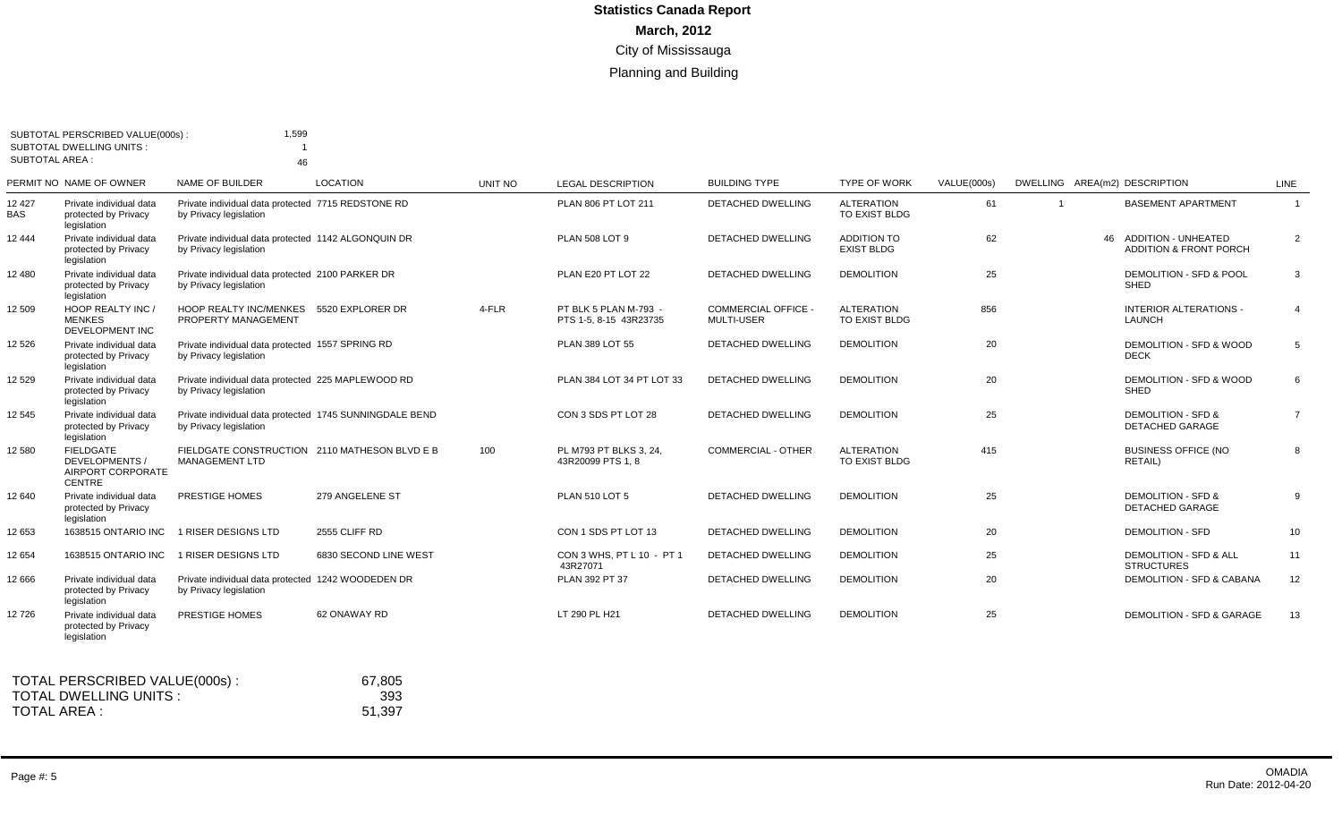|                       | SUBTOTAL PERSCRIBED VALUE(000s):<br><b>SUBTOTAL DWELLING UNITS:</b>             | 1,599                                                                             |                       |         |                                                 |                                                 |                                         |             |                               |                                                                       |                |
|-----------------------|---------------------------------------------------------------------------------|-----------------------------------------------------------------------------------|-----------------------|---------|-------------------------------------------------|-------------------------------------------------|-----------------------------------------|-------------|-------------------------------|-----------------------------------------------------------------------|----------------|
| <b>SUBTOTAL AREA:</b> |                                                                                 | 46                                                                                |                       |         |                                                 |                                                 |                                         |             |                               |                                                                       |                |
|                       | PERMIT NO NAME OF OWNER                                                         | <b>NAME OF BUILDER</b>                                                            | <b>LOCATION</b>       | UNIT NO | <b>LEGAL DESCRIPTION</b>                        | <b>BUILDING TYPE</b>                            | <b>TYPE OF WORK</b>                     | VALUE(000s) | DWELLING AREA(m2) DESCRIPTION |                                                                       | LINE           |
| 12 4 27<br><b>BAS</b> | Private individual data<br>protected by Privacy<br>legislation                  | Private individual data protected 7715 REDSTONE RD<br>by Privacy legislation      |                       |         | PLAN 806 PT LOT 211                             | <b>DETACHED DWELLING</b>                        | <b>ALTERATION</b><br>TO EXIST BLDG      | 61          |                               | <b>BASEMENT APARTMENT</b>                                             | $\overline{1}$ |
| 12 444                | Private individual data<br>protected by Privacy<br>legislation                  | Private individual data protected 1142 ALGONQUIN DR<br>by Privacy legislation     |                       |         | <b>PLAN 508 LOT 9</b>                           | DETACHED DWELLING                               | <b>ADDITION TO</b><br><b>EXIST BLDG</b> | 62          |                               | <b>ADDITION - UNHEATED</b><br>46<br><b>ADDITION &amp; FRONT PORCH</b> | $\overline{2}$ |
| 12 480                | Private individual data<br>protected by Privacy<br>legislation                  | Private individual data protected 2100 PARKER DR<br>by Privacy legislation        |                       |         | PLAN E20 PT LOT 22                              | <b>DETACHED DWELLING</b>                        | <b>DEMOLITION</b>                       | 25          |                               | DEMOLITION - SFD & POOL<br><b>SHED</b>                                | 3              |
| 12 509                | HOOP REALTY INC /<br><b>MENKES</b><br><b>DEVELOPMENT INC</b>                    | HOOP REALTY INC/MENKES 5520 EXPLORER DR<br>PROPERTY MANAGEMENT                    |                       | 4-FLR   | PT BLK 5 PLAN M-793 -<br>PTS 1-5, 8-15 43R23735 | <b>COMMERCIAL OFFICE -</b><br><b>MULTI-USER</b> | <b>ALTERATION</b><br>TO EXIST BLDG      | 856         |                               | <b>INTERIOR ALTERATIONS -</b><br><b>LAUNCH</b>                        | $\overline{4}$ |
| 12 5 26               | Private individual data<br>protected by Privacy<br>legislation                  | Private individual data protected 1557 SPRING RD<br>by Privacy legislation        |                       |         | <b>PLAN 389 LOT 55</b>                          | DETACHED DWELLING                               | <b>DEMOLITION</b>                       | 20          |                               | DEMOLITION - SFD & WOOD<br><b>DECK</b>                                | 5              |
| 12 5 29               | Private individual data<br>protected by Privacy<br>legislation                  | Private individual data protected 225 MAPLEWOOD RD<br>by Privacy legislation      |                       |         | PLAN 384 LOT 34 PT LOT 33                       | <b>DETACHED DWELLING</b>                        | <b>DEMOLITION</b>                       | 20          |                               | DEMOLITION - SFD & WOOD<br><b>SHED</b>                                | 6              |
| 12 545                | Private individual data<br>protected by Privacy<br>legislation                  | Private individual data protected 1745 SUNNINGDALE BEND<br>by Privacy legislation |                       |         | CON 3 SDS PT LOT 28                             | <b>DETACHED DWELLING</b>                        | <b>DEMOLITION</b>                       | 25          |                               | <b>DEMOLITION - SFD &amp;</b><br><b>DETACHED GARAGE</b>               | $\overline{7}$ |
| 12 580                | <b>FIELDGATE</b><br><b>DEVELOPMENTS /</b><br>AIRPORT CORPORATE<br><b>CENTRE</b> | FIELDGATE CONSTRUCTION 2110 MATHESON BLVD E B<br><b>MANAGEMENT LTD</b>            |                       | 100     | PL M793 PT BLKS 3, 24,<br>43R20099 PTS 1.8      | <b>COMMERCIAL - OTHER</b>                       | <b>ALTERATION</b><br>TO EXIST BLDG      | 415         |                               | <b>BUSINESS OFFICE (NO</b><br>RETAIL)                                 | 8              |
| 12 640                | Private individual data<br>protected by Privacy<br>legislation                  | PRESTIGE HOMES                                                                    | 279 ANGELENE ST       |         | <b>PLAN 510 LOT 5</b>                           | <b>DETACHED DWELLING</b>                        | <b>DEMOLITION</b>                       | 25          |                               | <b>DEMOLITION - SFD &amp;</b><br>DETACHED GARAGE                      | 9              |
| 12 653                | 1638515 ONTARIO INC                                                             | 1 RISER DESIGNS LTD                                                               | 2555 CLIFF RD         |         | CON 1 SDS PT LOT 13                             | <b>DETACHED DWELLING</b>                        | <b>DEMOLITION</b>                       | 20          |                               | <b>DEMOLITION - SFD</b>                                               | 10             |
| 12 654                | 1638515 ONTARIO INC                                                             | 1 RISER DESIGNS LTD                                                               | 6830 SECOND LINE WEST |         | CON 3 WHS, PT L 10 - PT 1<br>43R27071           | DETACHED DWELLING                               | <b>DEMOLITION</b>                       | 25          |                               | <b>DEMOLITION - SFD &amp; ALL</b><br><b>STRUCTURES</b>                | 11             |
| 12 666                | Private individual data<br>protected by Privacy<br>legislation                  | Private individual data protected 1242 WOODEDEN DR<br>by Privacy legislation      |                       |         | PLAN 392 PT 37                                  | DETACHED DWELLING                               | <b>DEMOLITION</b>                       | 20          |                               | DEMOLITION - SFD & CABANA                                             | 12             |
| 12726                 | Private individual data<br>protected by Privacy<br>legislation                  | PRESTIGE HOMES                                                                    | 62 ONAWAY RD          |         | LT 290 PL H21                                   | <b>DETACHED DWELLING</b>                        | <b>DEMOLITION</b>                       | 25          |                               | <b>DEMOLITION - SFD &amp; GARAGE</b>                                  | 13             |
|                       | TOTAL PERSCRIBED VALUE(000s):                                                   |                                                                                   | 67.805                |         |                                                 |                                                 |                                         |             |                               |                                                                       |                |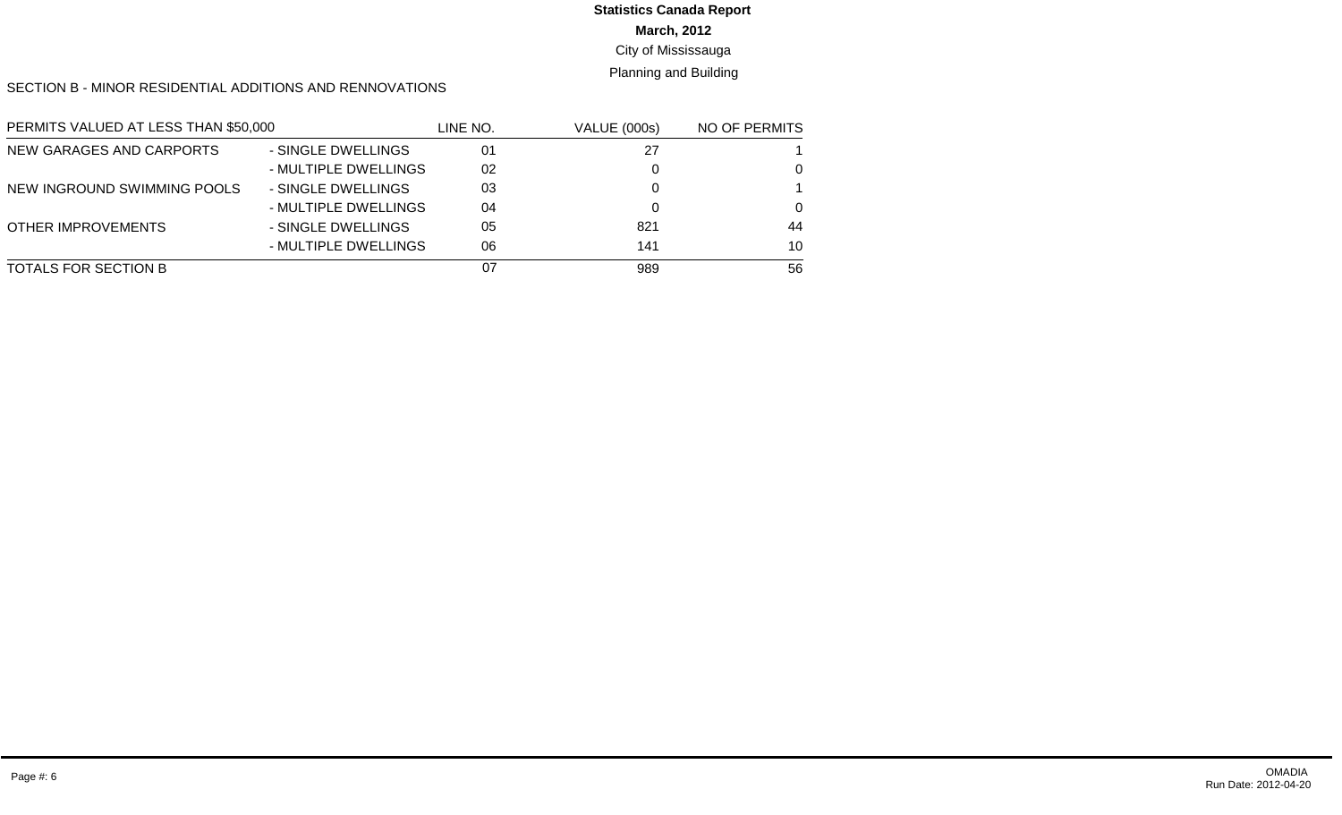#### **March, 2012** City of Mississauga **Statistics Canada Report**

Planning and Building

#### SECTION B - MINOR RESIDENTIAL ADDITIONS AND RENNOVATIONS

| PERMITS VALUED AT LESS THAN \$50,000 |                      | LINE NO. | <b>VALUE (000s)</b> | NO OF PERMITS |
|--------------------------------------|----------------------|----------|---------------------|---------------|
| NEW GARAGES AND CARPORTS             | - SINGLE DWELLINGS   | 01       | 27                  |               |
|                                      | - MULTIPLE DWELLINGS | 02       |                     | 0             |
| NEW INGROUND SWIMMING POOLS          | - SINGLE DWELLINGS   | 03       |                     |               |
|                                      | - MULTIPLE DWELLINGS | 04       |                     | $\Omega$      |
| <b>OTHER IMPROVEMENTS</b>            | - SINGLE DWELLINGS   | 05       | 821                 | 44            |
|                                      | - MULTIPLE DWELLINGS | 06       | 141                 | 10            |
| TOTALS FOR SECTION B                 |                      | 07       | 989                 | 56            |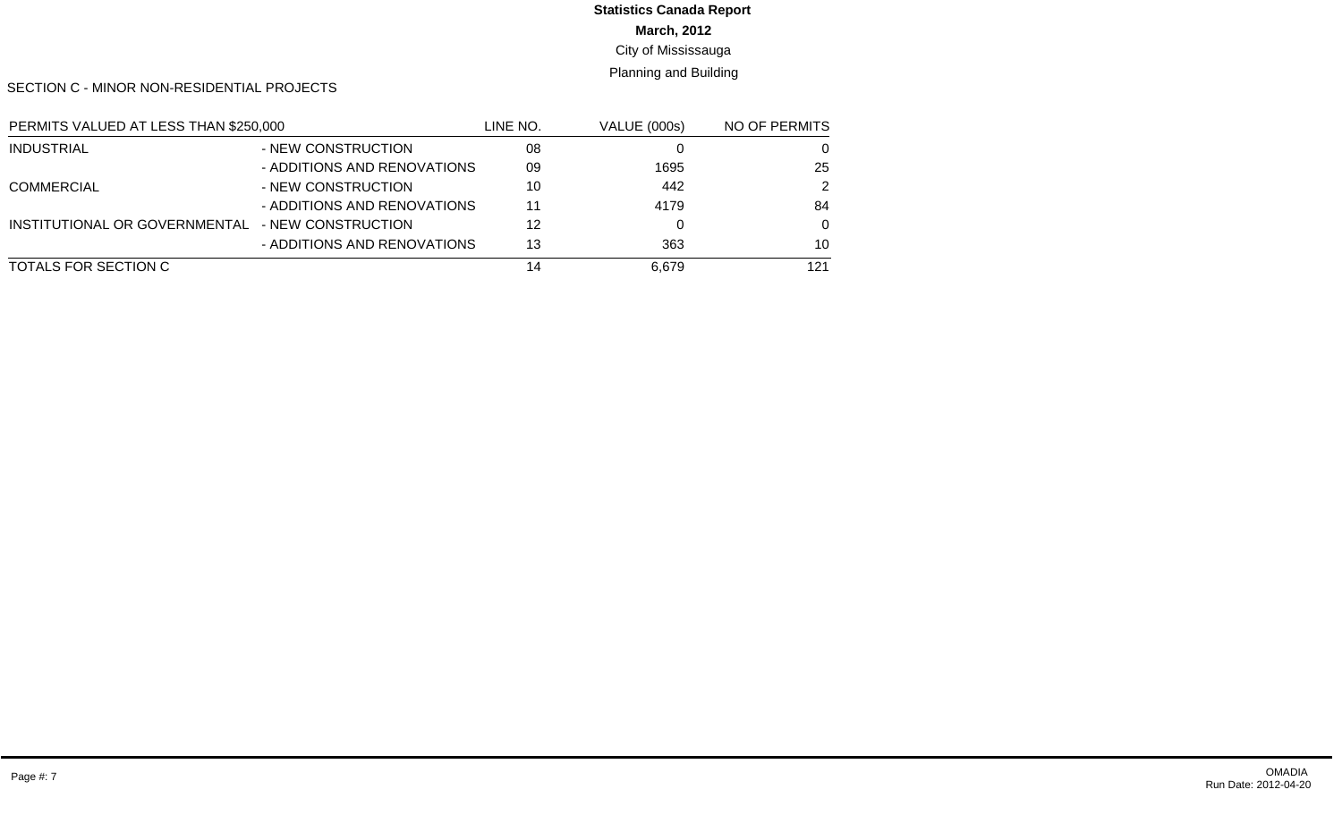## **March, 2012 Statistics Canada Report**

#### City of Mississauga

#### Planning and Building

SECTION C - MINOR NON-RESIDENTIAL PROJECTS

| PERMITS VALUED AT LESS THAN \$250,000 |                             | line no. | <b>VALUE (000s)</b> | NO OF PERMITS |
|---------------------------------------|-----------------------------|----------|---------------------|---------------|
| <b>INDUSTRIAL</b>                     | - NEW CONSTRUCTION          | 08       |                     | 0             |
|                                       | - ADDITIONS AND RENOVATIONS | 09       | 1695                | 25            |
| <b>COMMERCIAL</b>                     | - NEW CONSTRUCTION          | 10       | 442                 | 2             |
|                                       | - ADDITIONS AND RENOVATIONS | 11       | 4179                | 84            |
| INSTITUTIONAL OR GOVERNMENTAL         | - NEW CONSTRUCTION          | 12       |                     | $\Omega$      |
|                                       | - ADDITIONS AND RENOVATIONS | 13       | 363                 | 10            |
| TOTALS FOR SECTION C                  |                             | 14       | 6.679               | 121           |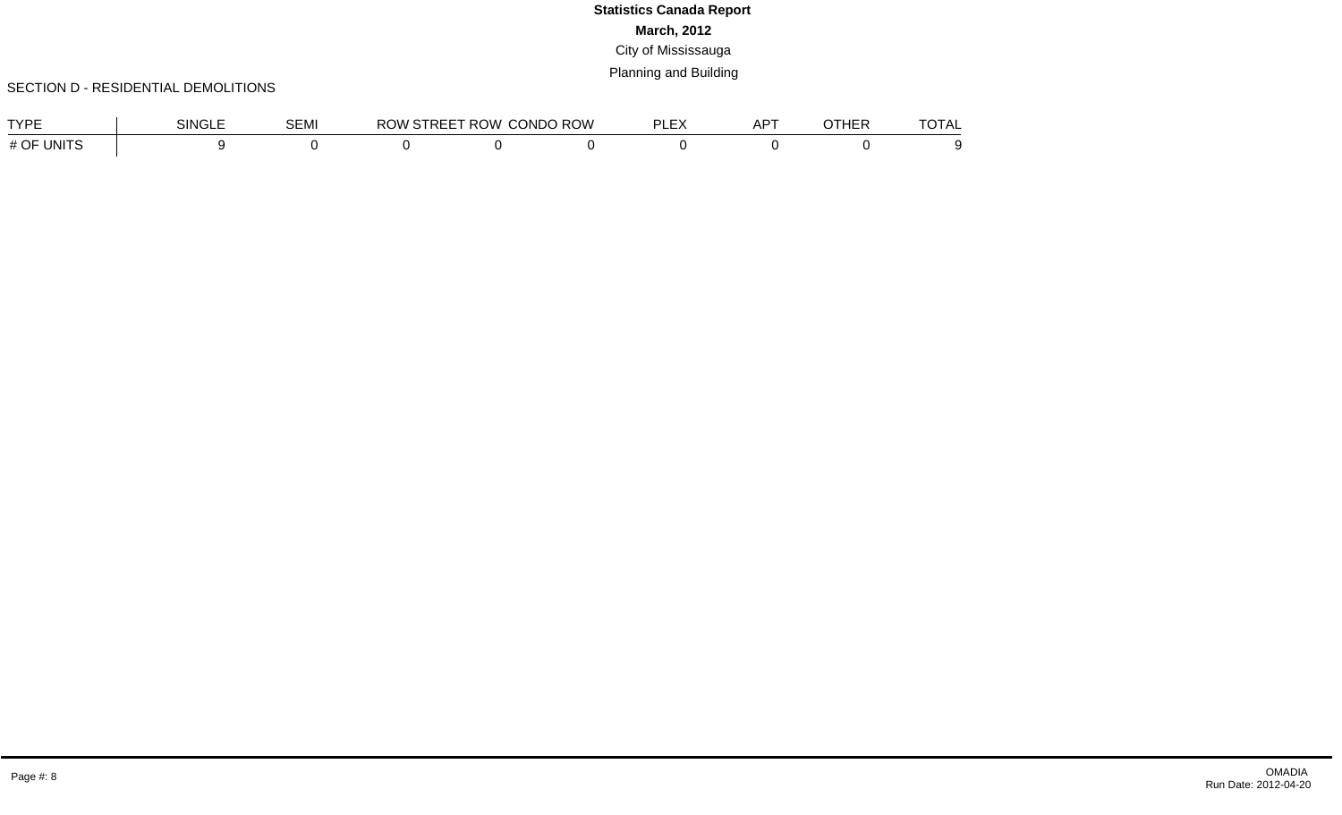#### SECTION D - RESIDENTIAL DEMOLITIONS

| <b>TVDE</b>                           | <b>NINGLL</b> | $\sim$ $\sim$ $\sim$ $\sim$<br><b>DEMI</b> | <b>IVV</b> | ROW.<br>. . | CONDO ROW | $ \cdot$<br>וח<br>$\cdot$<br>--- | $\sqrt{2}$<br>ים בי<br>ור | . | ____<br>1 A L |
|---------------------------------------|---------------|--------------------------------------------|------------|-------------|-----------|----------------------------------|---------------------------|---|---------------|
| <b>TINITS</b><br>$\#$ $\cap$ $\bar{}$ |               |                                            |            |             |           |                                  |                           |   |               |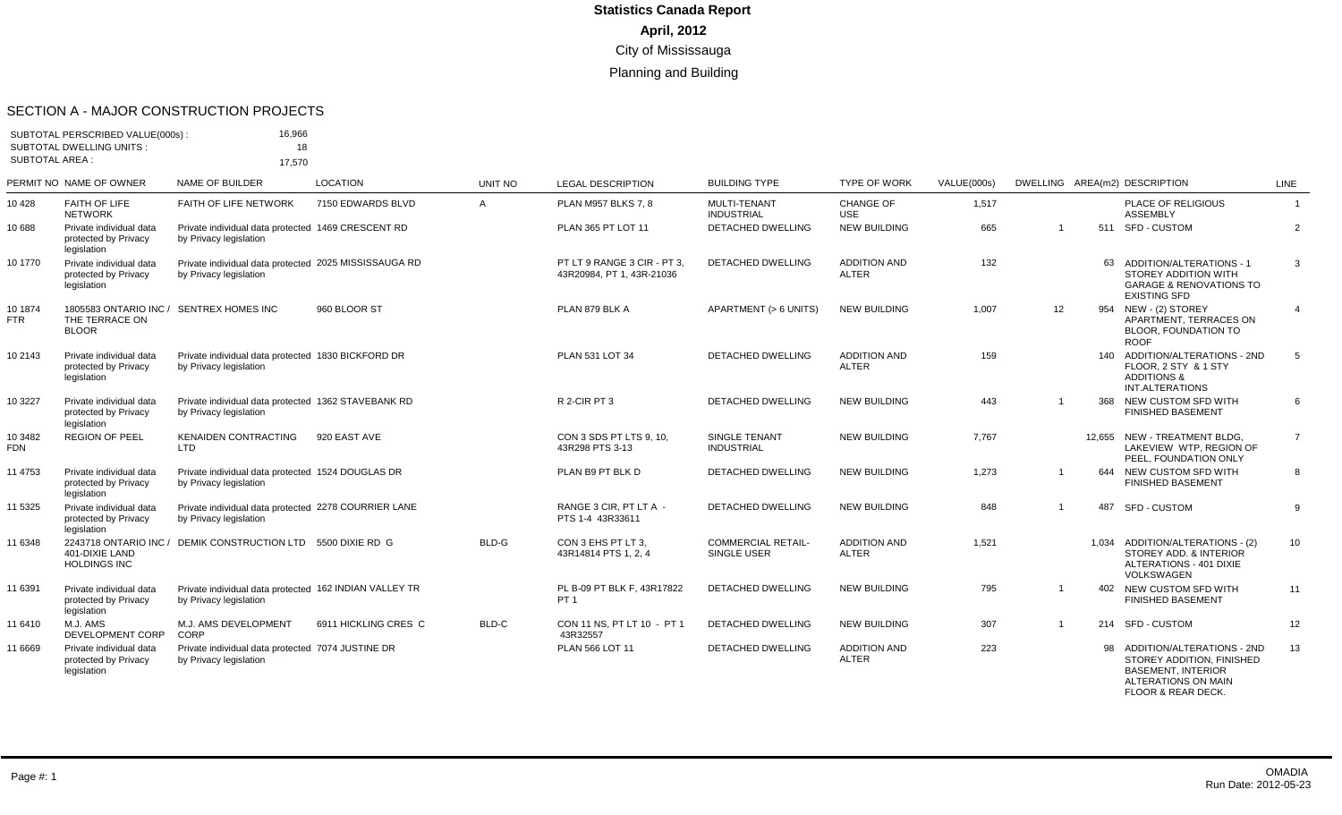#### SECTION A - MAJOR CONSTRUCTION PROJECTS

| <b>SUBTOTAL AREA:</b> | SUBTOTAL PERSCRIBED VALUE(000s):<br><b>SUBTOTAL DWELLING UNITS:</b>       | 16.966<br>18                                                                     |                      |                                |                                                          |                                          |                                     |                      |                |     |                                                                                                                         |                               |
|-----------------------|---------------------------------------------------------------------------|----------------------------------------------------------------------------------|----------------------|--------------------------------|----------------------------------------------------------|------------------------------------------|-------------------------------------|----------------------|----------------|-----|-------------------------------------------------------------------------------------------------------------------------|-------------------------------|
|                       | PERMIT NO NAME OF OWNER                                                   | 17,570<br>NAME OF BUILDER                                                        | <b>LOCATION</b>      |                                |                                                          | <b>BUILDING TYPE</b>                     | <b>TYPE OF WORK</b>                 |                      |                |     |                                                                                                                         |                               |
| 10 4 28               | <b>FAITH OF LIFE</b>                                                      | FAITH OF LIFE NETWORK                                                            | 7150 EDWARDS BLVD    | <b>UNIT NO</b><br>$\mathsf{A}$ | <b>LEGAL DESCRIPTION</b><br><b>PLAN M957 BLKS 7.8</b>    | MULTI-TENANT                             | CHANGE OF                           | VALUE(000s)<br>1,517 |                |     | DWELLING AREA(m2) DESCRIPTION<br>PLACE OF RELIGIOUS                                                                     | <b>LINE</b><br>$\overline{1}$ |
|                       | <b>NETWORK</b>                                                            |                                                                                  |                      |                                |                                                          | <b>INDUSTRIAL</b>                        | <b>USE</b>                          |                      |                |     | <b>ASSEMBLY</b>                                                                                                         |                               |
| 10 688                | Private individual data<br>protected by Privacy<br>legislation            | Private individual data protected 1469 CRESCENT RD<br>by Privacy legislation     |                      |                                | PLAN 365 PT LOT 11                                       | <b>DETACHED DWELLING</b>                 | <b>NEW BUILDING</b>                 | 665                  | -1             |     | 511 SFD - CUSTOM                                                                                                        | 2                             |
| 10 1770               | Private individual data<br>protected by Privacy<br>legislation            | Private individual data protected 2025 MISSISSAUGA RD<br>by Privacy legislation  |                      |                                | PT LT 9 RANGE 3 CIR - PT 3.<br>43R20984, PT 1, 43R-21036 | <b>DETACHED DWELLING</b>                 | <b>ADDITION AND</b><br><b>ALTER</b> | 132                  |                |     | 63 ADDITION/ALTERATIONS - 1<br><b>STOREY ADDITION WITH</b><br><b>GARAGE &amp; RENOVATIONS TO</b><br><b>EXISTING SFD</b> | 3                             |
| 10 1874<br><b>FTR</b> | 1805583 ONTARIO INC / SENTREX HOMES INC<br>THE TERRACE ON<br><b>BLOOR</b> |                                                                                  | 960 BLOOR ST         |                                | PLAN 879 BLK A                                           | APARTMENT (> 6 UNITS)                    | <b>NEW BUILDING</b>                 | 1,007                | 12             | 954 | NEW - (2) STOREY<br>APARTMENT, TERRACES ON<br>BLOOR, FOUNDATION TO<br><b>ROOF</b>                                       | 4                             |
| 10 2143               | Private individual data<br>protected by Privacy<br>legislation            | Private individual data protected 1830 BICKFORD DR<br>by Privacy legislation     |                      |                                | PLAN 531 LOT 34                                          | DETACHED DWELLING                        | <b>ADDITION AND</b><br><b>ALTER</b> | 159                  |                |     | 140 ADDITION/ALTERATIONS - 2ND<br>FLOOR, 2 STY & 1 STY<br><b>ADDITIONS &amp;</b><br>INT.ALTERATIONS                     | 5                             |
| 10 3227               | Private individual data<br>protected by Privacy<br>legislation            | Private individual data protected 1362 STAVEBANK RD<br>by Privacy legislation    |                      |                                | R 2-CIR PT 3                                             | <b>DETACHED DWELLING</b>                 | <b>NEW BUILDING</b>                 | 443                  |                |     | 368 NEW CUSTOM SFD WITH<br><b>FINISHED BASEMENT</b>                                                                     | 6                             |
| 10 3482<br><b>FDN</b> | <b>REGION OF PEEL</b>                                                     | <b>KENAIDEN CONTRACTING</b><br><b>LTD</b>                                        | 920 EAST AVE         |                                | CON 3 SDS PT LTS 9, 10.<br>43R298 PTS 3-13               | SINGLE TENANT<br><b>INDUSTRIAL</b>       | <b>NEW BUILDING</b>                 | 7.767                |                |     | 12.655 NEW - TREATMENT BLDG.<br>LAKEVIEW WTP, REGION OF<br>PEEL, FOUNDATION ONLY                                        | $\overline{7}$                |
| 11 4753               | Private individual data<br>protected by Privacy<br>legislation            | Private individual data protected 1524 DOUGLAS DR<br>by Privacy legislation      |                      |                                | PLAN B9 PT BLK D                                         | <b>DETACHED DWELLING</b>                 | <b>NEW BUILDING</b>                 | 1,273                | -1             |     | 644 NEW CUSTOM SFD WITH<br><b>FINISHED BASEMENT</b>                                                                     | 8                             |
| 11 5325               | Private individual data<br>protected by Privacy<br>legislation            | Private individual data protected 2278 COURRIER LANE<br>by Privacy legislation   |                      |                                | RANGE 3 CIR. PT LT A -<br>PTS 1-4 43R33611               | <b>DETACHED DWELLING</b>                 | <b>NEW BUILDING</b>                 | 848                  |                | 487 | SFD - CUSTOM                                                                                                            | 9                             |
| 11 6348               | 401-DIXIE LAND<br><b>HOLDINGS INC</b>                                     | 2243718 ONTARIO INC / DEMIK CONSTRUCTION LTD 5500 DIXIE RD G                     |                      | BLD-G                          | CON 3 EHS PT LT 3.<br>43R14814 PTS 1, 2, 4               | <b>COMMERCIAL RETAIL-</b><br>SINGLE USER | <b>ADDITION AND</b><br><b>ALTER</b> | 1,521                |                |     | 1,034 ADDITION/ALTERATIONS - (2)<br>STOREY ADD, & INTERIOR<br>ALTERATIONS - 401 DIXIE<br><b>VOLKSWAGEN</b>              | 10                            |
| 11 6391               | Private individual data<br>protected by Privacy<br>legislation            | Private individual data protected 162 INDIAN VALLEY TR<br>by Privacy legislation |                      |                                | PL B-09 PT BLK F. 43R17822<br>PT <sub>1</sub>            | <b>DETACHED DWELLING</b>                 | <b>NEW BUILDING</b>                 | 795                  | $\overline{1}$ |     | 402 NEW CUSTOM SFD WITH<br><b>FINISHED BASEMENT</b>                                                                     | 11                            |
| 11 6410               | M.J. AMS<br><b>DEVELOPMENT CORP</b>                                       | M.J. AMS DEVELOPMENT<br>CORP                                                     | 6911 HICKLING CRES C | BLD-C                          | CON 11 NS. PT LT 10 - PT 1<br>43R32557                   | <b>DETACHED DWELLING</b>                 | <b>NEW BUILDING</b>                 | 307                  | $\overline{1}$ |     | 214 SFD - CUSTOM                                                                                                        | 12                            |
| 11 6669               | Private individual data<br>protected by Privacy<br>legislation            | Private individual data protected 7074 JUSTINE DR<br>by Privacy legislation      |                      |                                | PLAN 566 LOT 11                                          | <b>DETACHED DWELLING</b>                 | <b>ADDITION AND</b><br><b>ALTER</b> | 223                  |                | 98  | ADDITION/ALTERATIONS - 2ND<br>STOREY ADDITION. FINISHED<br><b>BASEMENT, INTERIOR</b>                                    | 13                            |

ALTERATIONS ON MAIN FLOOR & REAR DECK.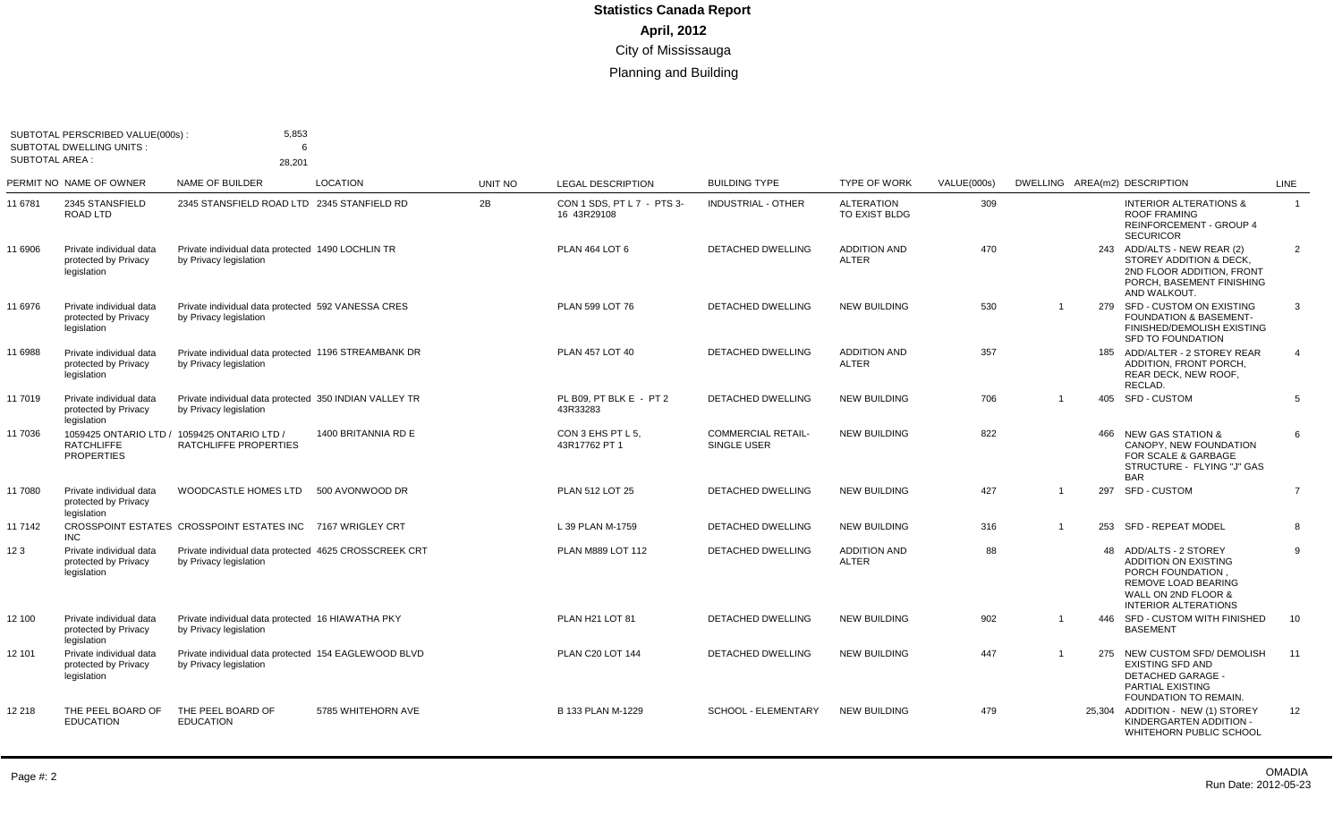| SUBTOTAL AREA : | SUBTOTAL PERSCRIBED VALUE(000s):<br><b>SUBTOTAL DWELLING UNITS:</b> | 5,853<br>6<br>28,201                                                             |                     |                |                                           |                                          |                                     |                    |                               |     |                                                                                                                                                         |                |
|-----------------|---------------------------------------------------------------------|----------------------------------------------------------------------------------|---------------------|----------------|-------------------------------------------|------------------------------------------|-------------------------------------|--------------------|-------------------------------|-----|---------------------------------------------------------------------------------------------------------------------------------------------------------|----------------|
|                 | PERMIT NO NAME OF OWNER                                             | NAME OF BUILDER                                                                  | <b>LOCATION</b>     | <b>UNIT NO</b> | <b>LEGAL DESCRIPTION</b>                  | <b>BUILDING TYPE</b>                     | <b>TYPE OF WORK</b>                 | <b>VALUE(000s)</b> | DWELLING AREA(m2) DESCRIPTION |     |                                                                                                                                                         | <b>LINE</b>    |
| 11 6781         | 2345 STANSFIELD<br>ROAD LTD                                         | 2345 STANSFIELD ROAD LTD 2345 STANFIELD RD                                       |                     | 2B             | CON 1 SDS, PT L 7 - PTS 3-<br>16 43R29108 | <b>INDUSTRIAL - OTHER</b>                | <b>ALTERATION</b><br>TO EXIST BLDG  | 309                |                               |     | <b>INTERIOR ALTERATIONS &amp;</b><br><b>ROOF FRAMING</b><br><b>REINFORCEMENT - GROUP 4</b><br><b>SECURICOR</b>                                          | $\overline{1}$ |
| 11 6906         | Private individual data<br>protected by Privacy<br>legislation      | Private individual data protected 1490 LOCHLIN TR<br>by Privacy legislation      |                     |                | PLAN 464 LOT 6                            | <b>DETACHED DWELLING</b>                 | <b>ADDITION AND</b><br><b>ALTER</b> | 470                |                               |     | 243 ADD/ALTS - NEW REAR (2)<br>STOREY ADDITION & DECK,<br>2ND FLOOR ADDITION, FRONT<br>PORCH. BASEMENT FINISHING<br>AND WALKOUT.                        | 2              |
| 11 6976         | Private individual data<br>protected by Privacy<br>legislation      | Private individual data protected 592 VANESSA CRES<br>by Privacy legislation     |                     |                | PLAN 599 LOT 76                           | DETACHED DWELLING                        | <b>NEW BUILDING</b>                 | 530                | $\overline{\mathbf{1}}$       |     | 279 SFD - CUSTOM ON EXISTING<br><b>FOUNDATION &amp; BASEMENT-</b><br>FINISHED/DEMOLISH EXISTING<br><b>SFD TO FOUNDATION</b>                             | 3              |
| 11 6988         | Private individual data<br>protected by Privacy<br>legislation      | Private individual data protected 1196 STREAMBANK DR<br>by Privacy legislation   |                     |                | <b>PLAN 457 LOT 40</b>                    | DETACHED DWELLING                        | <b>ADDITION AND</b><br><b>ALTER</b> | 357                |                               |     | 185 ADD/ALTER - 2 STOREY REAR<br>ADDITION, FRONT PORCH,<br>REAR DECK, NEW ROOF,<br>RECLAD.                                                              | $\overline{4}$ |
| 11 7019         | Private individual data<br>protected by Privacv<br>legislation      | Private individual data protected 350 INDIAN VALLEY TR<br>by Privacy legislation |                     |                | PL B09, PT BLK E - PT 2<br>43R33283       | DETACHED DWELLING                        | <b>NEW BUILDING</b>                 | 706                | -1                            |     | 405 SFD - CUSTOM                                                                                                                                        | 5              |
| 11 7036         | <b>RATCHLIFFE</b><br><b>PROPERTIES</b>                              | 1059425 ONTARIO LTD / 1059425 ONTARIO LTD /<br>RATCHLIFFE PROPERTIES             | 1400 BRITANNIA RD E |                | CON 3 EHS PT L 5,<br>43R17762 PT 1        | <b>COMMERCIAL RETAIL-</b><br>SINGLE USER | <b>NEW BUILDING</b>                 | 822                |                               | 466 | <b>NEW GAS STATION &amp;</b><br>CANOPY, NEW FOUNDATION<br>FOR SCALE & GARBAGE<br>STRUCTURE - FLYING "J" GAS<br><b>BAR</b>                               | 6              |
| 11 7080         | Private individual data<br>protected by Privacy<br>legislation      | WOODCASTLE HOMES LTD                                                             | 500 AVONWOOD DR     |                | PLAN 512 LOT 25                           | <b>DETACHED DWELLING</b>                 | <b>NEW BUILDING</b>                 | 427                | $\overline{1}$                | 297 | <b>SFD - CUSTOM</b>                                                                                                                                     | $\overline{7}$ |
| 11 7142         | <b>INC</b>                                                          | CROSSPOINT ESTATES CROSSPOINT ESTATES INC 7167 WRIGLEY CRT                       |                     |                | L 39 PLAN M-1759                          | <b>DETACHED DWELLING</b>                 | <b>NEW BUILDING</b>                 | 316                | $\overline{1}$                |     | 253 SFD - REPEAT MODEL                                                                                                                                  | 8              |
| 123             | Private individual data<br>protected by Privacy<br>legislation      | Private individual data protected 4625 CROSSCREEK CRT<br>by Privacy legislation  |                     |                | PLAN M889 LOT 112                         | <b>DETACHED DWELLING</b>                 | <b>ADDITION AND</b><br><b>ALTER</b> | 88                 |                               |     | 48 ADD/ALTS - 2 STOREY<br><b>ADDITION ON EXISTING</b><br>PORCH FOUNDATION.<br>REMOVE LOAD BEARING<br>WALL ON 2ND FLOOR &<br><b>INTERIOR ALTERATIONS</b> | 9              |
| 12 100          | Private individual data<br>protected by Privacy<br>legislation      | Private individual data protected 16 HIAWATHA PKY<br>by Privacy legislation      |                     |                | PLAN H21 LOT 81                           | <b>DETACHED DWELLING</b>                 | <b>NEW BUILDING</b>                 | 902                | $\overline{1}$                |     | 446 SFD - CUSTOM WITH FINISHED<br><b>BASEMENT</b>                                                                                                       | 10             |
| 12 101          | Private individual data<br>protected by Privacy<br>legislation      | Private individual data protected 154 EAGLEWOOD BLVD<br>by Privacy legislation   |                     |                | PLAN C20 LOT 144                          | <b>DETACHED DWELLING</b>                 | <b>NEW BUILDING</b>                 | 447                | $\overline{\mathbf{1}}$       |     | 275 NEW CUSTOM SFD/ DEMOLISH<br><b>EXISTING SFD AND</b><br><b>DETACHED GARAGE -</b><br>PARTIAL EXISTING<br><b>FOUNDATION TO REMAIN.</b>                 | 11             |
| 12 218          | THE PEEL BOARD OF<br><b>EDUCATION</b>                               | THE PEEL BOARD OF<br><b>EDUCATION</b>                                            | 5785 WHITEHORN AVE  |                | B 133 PLAN M-1229                         | <b>SCHOOL - ELEMENTARY</b>               | <b>NEW BUILDING</b>                 | 479                |                               |     | 25,304 ADDITION - NEW (1) STOREY<br>KINDERGARTEN ADDITION -<br>WHITEHORN PUBLIC SCHOOL                                                                  | 12             |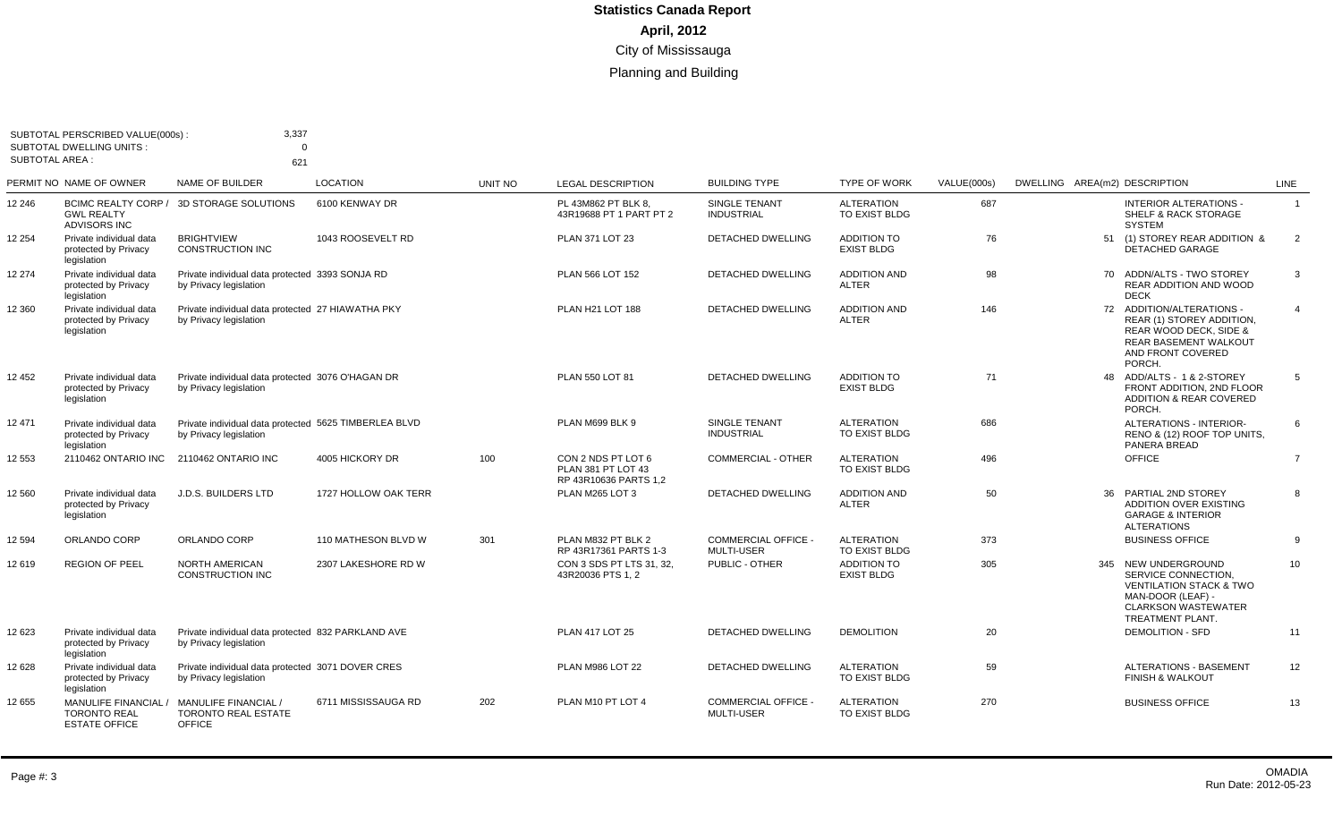|                       | SUBTOTAL PERSCRIBED VALUE(000s):<br><b>SUBTOTAL DWELLING UNITS:</b> | 3,337<br>$\Omega$                                                               |                      |         |                                                                   |                                                 |                                         |                    |                                                                                                                                                         |                |
|-----------------------|---------------------------------------------------------------------|---------------------------------------------------------------------------------|----------------------|---------|-------------------------------------------------------------------|-------------------------------------------------|-----------------------------------------|--------------------|---------------------------------------------------------------------------------------------------------------------------------------------------------|----------------|
| <b>SUBTOTAL AREA:</b> | PERMIT NO NAME OF OWNER                                             | 621<br>NAME OF BUILDER                                                          | <b>LOCATION</b>      | UNIT NO | <b>LEGAL DESCRIPTION</b>                                          | <b>BUILDING TYPE</b>                            | <b>TYPE OF WORK</b>                     | <b>VALUE(000s)</b> | DWELLING AREA(m2) DESCRIPTION                                                                                                                           | <b>LINE</b>    |
| 12 246                | <b>GWL REALTY</b><br>ADVISORS INC                                   | BCIMC REALTY CORP / 3D STORAGE SOLUTIONS                                        | 6100 KENWAY DR       |         | PL 43M862 PT BLK 8.<br>43R19688 PT 1 PART PT 2                    | <b>SINGLE TENANT</b><br><b>INDUSTRIAL</b>       | <b>ALTERATION</b><br>TO EXIST BLDG      | 687                | <b>INTERIOR ALTERATIONS -</b><br><b>SHELF &amp; RACK STORAGE</b><br><b>SYSTEM</b>                                                                       | $\overline{1}$ |
| 12 254                | Private individual data<br>protected by Privacy<br>legislation      | <b>BRIGHTVIEW</b><br>CONSTRUCTION INC                                           | 1043 ROOSEVELT RD    |         | PLAN 371 LOT 23                                                   | DETACHED DWELLING                               | <b>ADDITION TO</b><br><b>EXIST BLDG</b> | 76                 | 51 (1) STOREY REAR ADDITION &<br>DETACHED GARAGE                                                                                                        | 2              |
| 12 274                | Private individual data<br>protected by Privacy<br>legislation      | Private individual data protected 3393 SONJA RD<br>by Privacy legislation       |                      |         | PLAN 566 LOT 152                                                  | <b>DETACHED DWELLING</b>                        | <b>ADDITION AND</b><br><b>ALTER</b>     | 98                 | 70 ADDN/ALTS - TWO STOREY<br><b>REAR ADDITION AND WOOD</b><br><b>DECK</b>                                                                               | 3              |
| 12 360                | Private individual data<br>protected by Privacy<br>legislation      | Private individual data protected 27 HIAWATHA PKY<br>by Privacy legislation     |                      |         | PLAN H21 LOT 188                                                  | <b>DETACHED DWELLING</b>                        | <b>ADDITION AND</b><br><b>ALTER</b>     | 146                | 72 ADDITION/ALTERATIONS -<br>REAR (1) STOREY ADDITION,<br>REAR WOOD DECK, SIDE &<br><b>REAR BASEMENT WALKOUT</b><br>AND FRONT COVERED<br>PORCH.         | $\overline{4}$ |
| 12 452                | Private individual data<br>protected by Privacy<br>legislation      | Private individual data protected 3076 O'HAGAN DR<br>by Privacy legislation     |                      |         | PLAN 550 LOT 81                                                   | <b>DETACHED DWELLING</b>                        | <b>ADDITION TO</b><br><b>EXIST BLDG</b> | 71                 | 48 ADD/ALTS - 1 & 2-STOREY<br>FRONT ADDITION, 2ND FLOOR<br><b>ADDITION &amp; REAR COVERED</b><br>PORCH.                                                 | -5             |
| 12 471                | Private individual data<br>protected by Privacy<br>legislation      | Private individual data protected 5625 TIMBERLEA BLVD<br>by Privacy legislation |                      |         | PLAN M699 BLK 9                                                   | SINGLE TENANT<br><b>INDUSTRIAL</b>              | <b>ALTERATION</b><br>TO EXIST BLDG      | 686                | ALTERATIONS - INTERIOR-<br>RENO & (12) ROOF TOP UNITS,<br>PANERA BREAD                                                                                  | 6              |
| 12 553                | 2110462 ONTARIO INC                                                 | 2110462 ONTARIO INC                                                             | 4005 HICKORY DR      | 100     | CON 2 NDS PT LOT 6<br>PLAN 381 PT LOT 43<br>RP 43R10636 PARTS 1,2 | <b>COMMERCIAL - OTHER</b>                       | <b>ALTERATION</b><br>TO EXIST BLDG      | 496                | <b>OFFICE</b>                                                                                                                                           | $\overline{7}$ |
| 12 560                | Private individual data<br>protected by Privacy<br>legislation      | <b>J.D.S. BUILDERS LTD</b>                                                      | 1727 HOLLOW OAK TERR |         | PLAN M265 LOT 3                                                   | <b>DETACHED DWELLING</b>                        | <b>ADDITION AND</b><br><b>ALTER</b>     | 50                 | 36 PARTIAL 2ND STOREY<br><b>ADDITION OVER EXISTING</b><br><b>GARAGE &amp; INTERIOR</b><br><b>ALTERATIONS</b>                                            | 8              |
| 12 5 94               | ORLANDO CORP                                                        | ORLANDO CORP                                                                    | 110 MATHESON BLVD W  | 301     | PLAN M832 PT BLK 2<br>RP 43R17361 PARTS 1-3                       | <b>COMMERCIAL OFFICE -</b><br><b>MULTI-USER</b> | <b>ALTERATION</b><br>TO EXIST BLDG      | 373                | <b>BUSINESS OFFICE</b>                                                                                                                                  | 9              |
| 12 619                | REGION OF PEEL                                                      | NORTH AMERICAN<br>CONSTRUCTION INC                                              | 2307 LAKESHORE RD W  |         | CON 3 SDS PT LTS 31, 32.<br>43R20036 PTS 1, 2                     | PUBLIC - OTHER                                  | <b>ADDITION TO</b><br><b>EXIST BLDG</b> | 305                | 345 NEW UNDERGROUND<br>SERVICE CONNECTION.<br><b>VENTILATION STACK &amp; TWO</b><br>MAN-DOOR (LEAF) -<br><b>CLARKSON WASTEWATER</b><br>TREATMENT PLANT. | 10             |
| 12 623                | Private individual data<br>protected by Privacy<br>legislation      | Private individual data protected 832 PARKLAND AVE<br>by Privacy legislation    |                      |         | <b>PLAN 417 LOT 25</b>                                            | DETACHED DWELLING                               | <b>DEMOLITION</b>                       | 20                 | <b>DEMOLITION - SFD</b>                                                                                                                                 | 11             |
| 12 628                | Private individual data<br>protected by Privacy<br>legislation      | Private individual data protected 3071 DOVER CRES<br>by Privacy legislation     |                      |         | PLAN M986 LOT 22                                                  | DETACHED DWELLING                               | <b>ALTERATION</b><br>TO EXIST BLDG      | 59                 | <b>ALTERATIONS - BASEMENT</b><br><b>FINISH &amp; WALKOUT</b>                                                                                            | 12             |
| 12 655                | MANULIFE FINANCIAL<br><b>TORONTO REAL</b><br><b>ESTATE OFFICE</b>   | <b>MANULIFE FINANCIAL /</b><br><b>TORONTO REAL ESTATE</b><br><b>OFFICE</b>      | 6711 MISSISSAUGA RD  | 202     | PLAN M10 PT LOT 4                                                 | <b>COMMERCIAL OFFICE -</b><br><b>MULTI-USER</b> | <b>ALTERATION</b><br>TO EXIST BLDG      | 270                | <b>BUSINESS OFFICE</b>                                                                                                                                  | 13             |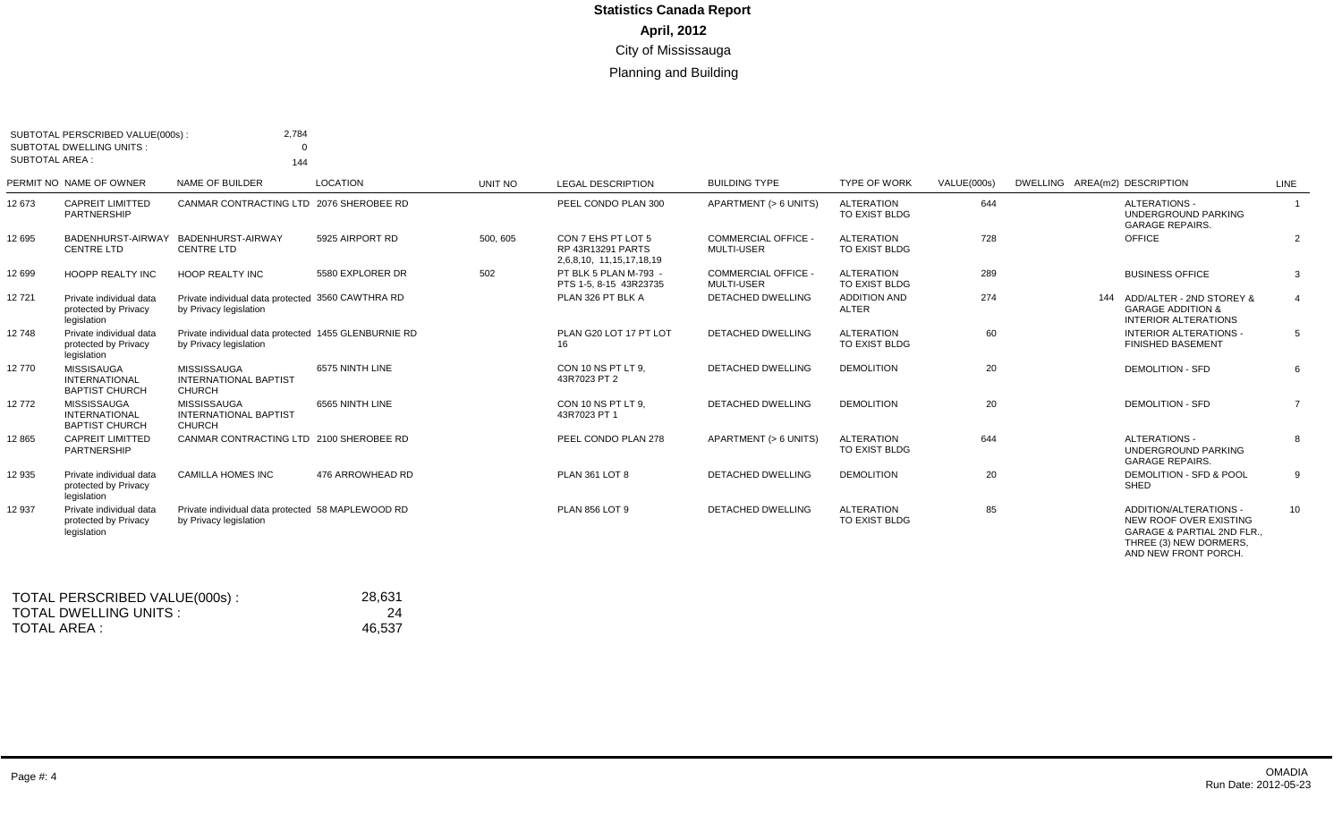| <b>SUBTOTAL AREA:</b> | SUBTOTAL PERSCRIBED VALUE(000s):<br><b>SUBTOTAL DWELLING UNITS:</b> | 2,784<br>$\Omega$<br>144                                                       |                  |          |                                                                     |                                                 |                                    |             |                                                                                                                                             |                |
|-----------------------|---------------------------------------------------------------------|--------------------------------------------------------------------------------|------------------|----------|---------------------------------------------------------------------|-------------------------------------------------|------------------------------------|-------------|---------------------------------------------------------------------------------------------------------------------------------------------|----------------|
|                       | PERMIT NO NAME OF OWNER                                             | NAME OF BUILDER                                                                | <b>LOCATION</b>  | UNIT NO  | <b>LEGAL DESCRIPTION</b>                                            | <b>BUILDING TYPE</b>                            | <b>TYPE OF WORK</b>                | VALUE(000s) | DWELLING AREA(m2) DESCRIPTION                                                                                                               | LINE           |
| 12 673                | <b>CAPREIT LIMITTED</b><br>PARTNERSHIP                              | CANMAR CONTRACTING LTD 2076 SHEROBEE RD                                        |                  |          | PEEL CONDO PLAN 300                                                 | APARTMENT (> 6 UNITS)                           | <b>ALTERATION</b><br>TO EXIST BLDG | 644         | ALTERATIONS -<br><b>UNDERGROUND PARKING</b><br><b>GARAGE REPAIRS.</b>                                                                       |                |
| 12 695                | BADENHURST-AIRWAY<br>CENTRE LTD                                     | BADENHURST-AIRWAY<br>CENTRE LTD                                                | 5925 AIRPORT RD  | 500, 605 | CON 7 EHS PT LOT 5<br>RP 43R13291 PARTS<br>2,6,8,10, 11,15,17,18,19 | COMMERCIAL OFFICE -<br><b>MULTI-USER</b>        | <b>ALTERATION</b><br>TO EXIST BLDG | 728         | OFFICE                                                                                                                                      | 2              |
| 12 699                | <b>HOOPP REALTY INC</b>                                             | <b>HOOP REALTY INC</b>                                                         | 5580 EXPLORER DR | 502      | PT BLK 5 PLAN M-793 -<br>PTS 1-5, 8-15 43R23735                     | <b>COMMERCIAL OFFICE -</b><br><b>MULTI-USER</b> | <b>ALTERATION</b><br>TO EXIST BLDG | 289         | <b>BUSINESS OFFICE</b>                                                                                                                      | 3              |
| 12721                 | Private individual data<br>protected by Privacy<br>legislation      | Private individual data protected 3560 CAWTHRA RD<br>by Privacy legislation    |                  |          | PLAN 326 PT BLK A                                                   | <b>DETACHED DWELLING</b>                        | <b>ADDITION AND</b><br>ALTER       | 274         | 144 ADD/ALTER - 2ND STOREY &<br><b>GARAGE ADDITION &amp;</b><br><b>INTERIOR ALTERATIONS</b>                                                 | $\overline{4}$ |
| 12748                 | Private individual data<br>protected by Privacy<br>legislation      | Private individual data protected 1455 GLENBURNIE RD<br>by Privacy legislation |                  |          | PLAN G20 LOT 17 PT LOT<br>16                                        | DETACHED DWELLING                               | <b>ALTERATION</b><br>TO EXIST BLDG | 60          | INTERIOR ALTERATIONS -<br><b>FINISHED BASEMENT</b>                                                                                          | 5              |
| 12770                 | MISSISAUGA<br><b>INTERNATIONAL</b><br><b>BAPTIST CHURCH</b>         | MISSISSAUGA<br><b>INTERNATIONAL BAPTIST</b><br><b>CHURCH</b>                   | 6575 NINTH LINE  |          | CON 10 NS PT LT 9.<br>43R7023 PT 2                                  | <b>DETACHED DWELLING</b>                        | <b>DEMOLITION</b>                  | 20          | <b>DEMOLITION - SFD</b>                                                                                                                     | 6              |
| 12772                 | MISSISSAUGA<br><b>INTERNATIONAL</b><br><b>BAPTIST CHURCH</b>        | MISSISSAUGA<br><b>INTERNATIONAL BAPTIST</b><br><b>CHURCH</b>                   | 6565 NINTH LINE  |          | CON 10 NS PT LT 9.<br>43R7023 PT 1                                  | <b>DETACHED DWELLING</b>                        | <b>DEMOLITION</b>                  | 20          | <b>DEMOLITION - SFD</b>                                                                                                                     | $\overline{7}$ |
| 12 8 65               | <b>CAPREIT LIMITTED</b><br>PARTNERSHIP                              | CANMAR CONTRACTING LTD 2100 SHEROBEE RD                                        |                  |          | PEEL CONDO PLAN 278                                                 | APARTMENT (> 6 UNITS)                           | <b>ALTERATION</b><br>TO EXIST BLDG | 644         | ALTERATIONS -<br><b>UNDERGROUND PARKING</b><br><b>GARAGE REPAIRS.</b>                                                                       | 8              |
| 12 935                | Private individual data<br>protected by Privacy<br>legislation      | <b>CAMILLA HOMES INC</b>                                                       | 476 ARROWHEAD RD |          | PLAN 361 LOT 8                                                      | DETACHED DWELLING                               | <b>DEMOLITION</b>                  | 20          | DEMOLITION - SFD & POOL<br>SHED                                                                                                             | 9              |
| 12 937                | Private individual data<br>protected by Privacy<br>legislation      | Private individual data protected 58 MAPLEWOOD RD<br>by Privacy legislation    |                  |          | PLAN 856 LOT 9                                                      | <b>DETACHED DWELLING</b>                        | <b>ALTERATION</b><br>TO EXIST BLDG | 85          | ADDITION/ALTERATIONS -<br>NEW ROOF OVER EXISTING<br><b>GARAGE &amp; PARTIAL 2ND FLR.,</b><br>THREE (3) NEW DORMERS,<br>AND NEW FRONT PORCH. | 10             |

| TOTAL PERSCRIBED VALUE(000s): | 28.631 |
|-------------------------------|--------|
| TOTAL DWELLING UNITS :        | 24     |
| TOTAL AREA :                  | 46.537 |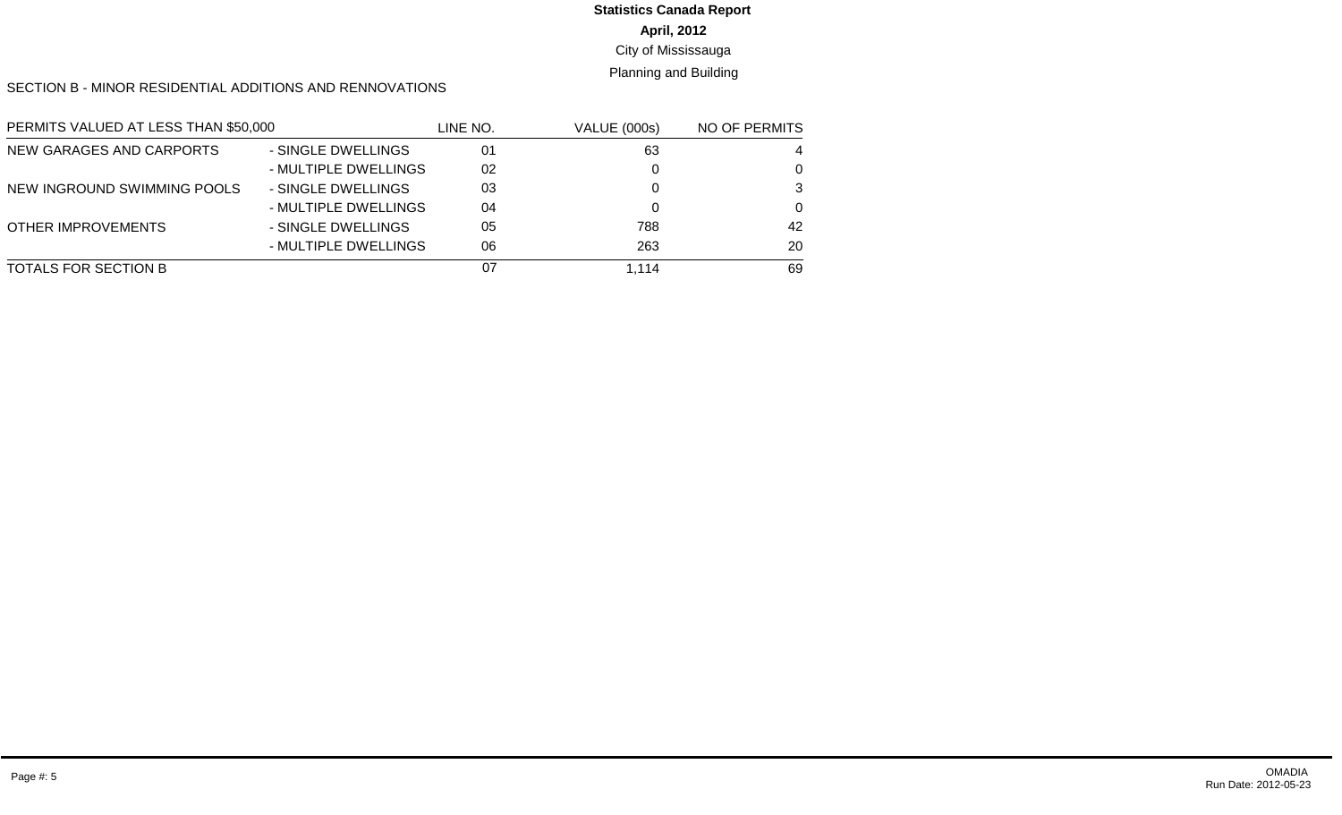## **April, 2012** City of Mississauga **Statistics Canada Report**

#### Planning and Building

#### SECTION B - MINOR RESIDENTIAL ADDITIONS AND RENNOVATIONS

| PERMITS VALUED AT LESS THAN \$50,000 |                      | LINE NO. | <b>VALUE (000s)</b> | NO OF PERMITS |
|--------------------------------------|----------------------|----------|---------------------|---------------|
| NEW GARAGES AND CARPORTS             | - SINGLE DWELLINGS   | 01       | 63                  | 4             |
|                                      | - MULTIPLE DWELLINGS | 02       |                     | 0             |
| NEW INGROUND SWIMMING POOLS          | - SINGLE DWELLINGS   | 03       |                     | 3             |
|                                      | - MULTIPLE DWELLINGS | 04       |                     | $\Omega$      |
| <b>OTHER IMPROVEMENTS</b>            | - SINGLE DWELLINGS   | 05       | 788                 | 42            |
|                                      | - MULTIPLE DWELLINGS | 06       | 263                 | 20            |
| TOTALS FOR SECTION B                 |                      | 07       | 1.114               | 69            |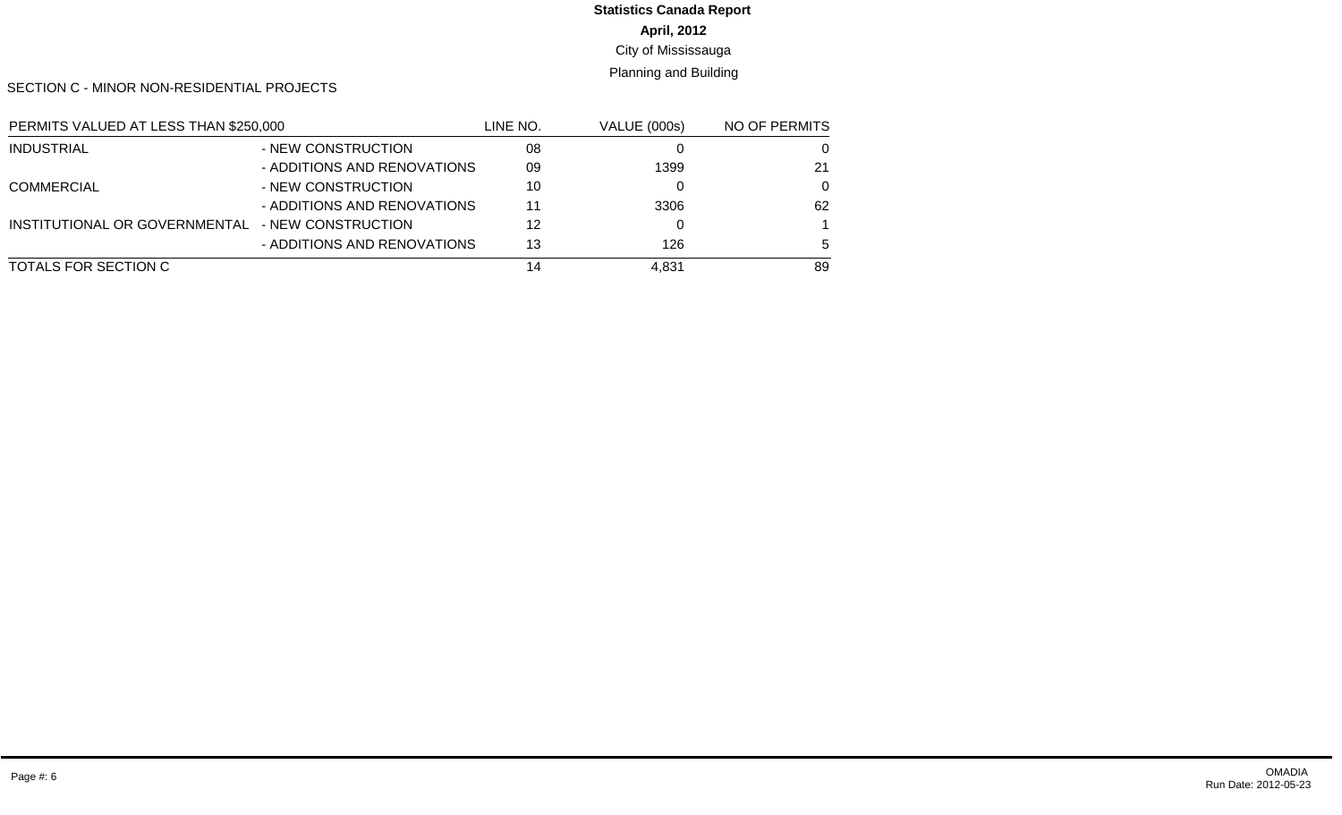#### **April, 2012** City of Mississauga **Statistics Canada Report**

#### Planning and Building

SECTION C - MINOR NON-RESIDENTIAL PROJECTS

| PERMITS VALUED AT LESS THAN \$250,000 |                             | LINE NO. | <b>VALUE (000s)</b> | NO OF PERMITS |
|---------------------------------------|-----------------------------|----------|---------------------|---------------|
| <b>INDUSTRIAL</b>                     | - NEW CONSTRUCTION          | 08       |                     |               |
|                                       | - ADDITIONS AND RENOVATIONS | 09       | 1399                | 21            |
| <b>COMMERCIAL</b>                     | - NEW CONSTRUCTION          | 10       |                     | $\Omega$      |
|                                       | - ADDITIONS AND RENOVATIONS | 11       | 3306                | 62            |
| INSTITUTIONAL OR GOVERNMENTAL         | - NEW CONSTRUCTION          | 12       |                     |               |
|                                       | - ADDITIONS AND RENOVATIONS | 13       | 126                 | 5             |
| TOTALS FOR SECTION C                  |                             | 14       | 4.831               | 89            |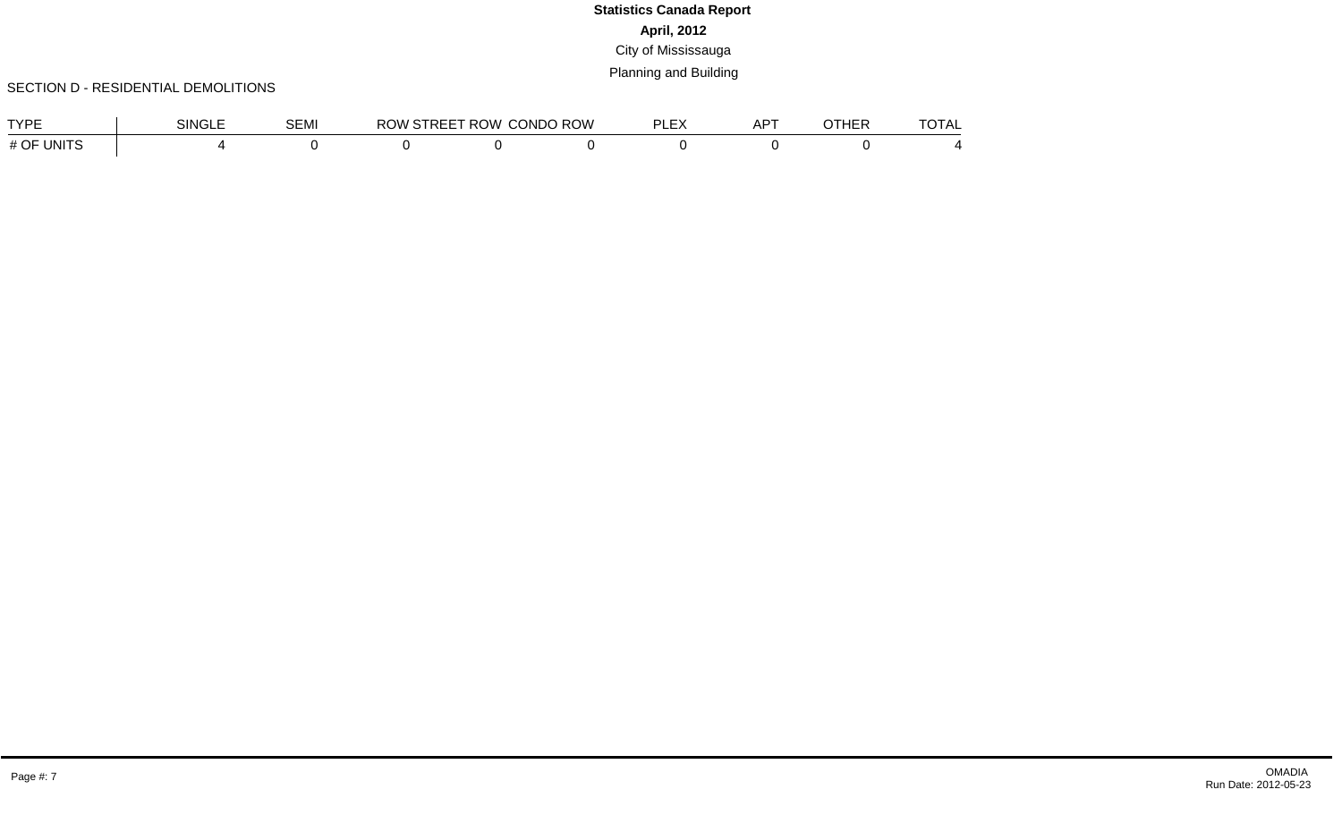#### SECTION D - RESIDENTIAL DEMOLITIONS

| <b>TVDE</b>        | SINGLE | <b>SEMI</b> | <b>JVV</b> | $\sim$ - $\sim$ $\sim$ $\sim$ $\sim$ $\sim$ ROW ( ) that $\sim$ | <b>CONDO ROW</b> | PI EY | $AP^{\intercal}$ | OTHER | <b>TAT</b><br>UIAL |
|--------------------|--------|-------------|------------|-----------------------------------------------------------------|------------------|-------|------------------|-------|--------------------|
| UNITS<br>OF<br># ( |        |             |            |                                                                 |                  |       |                  |       |                    |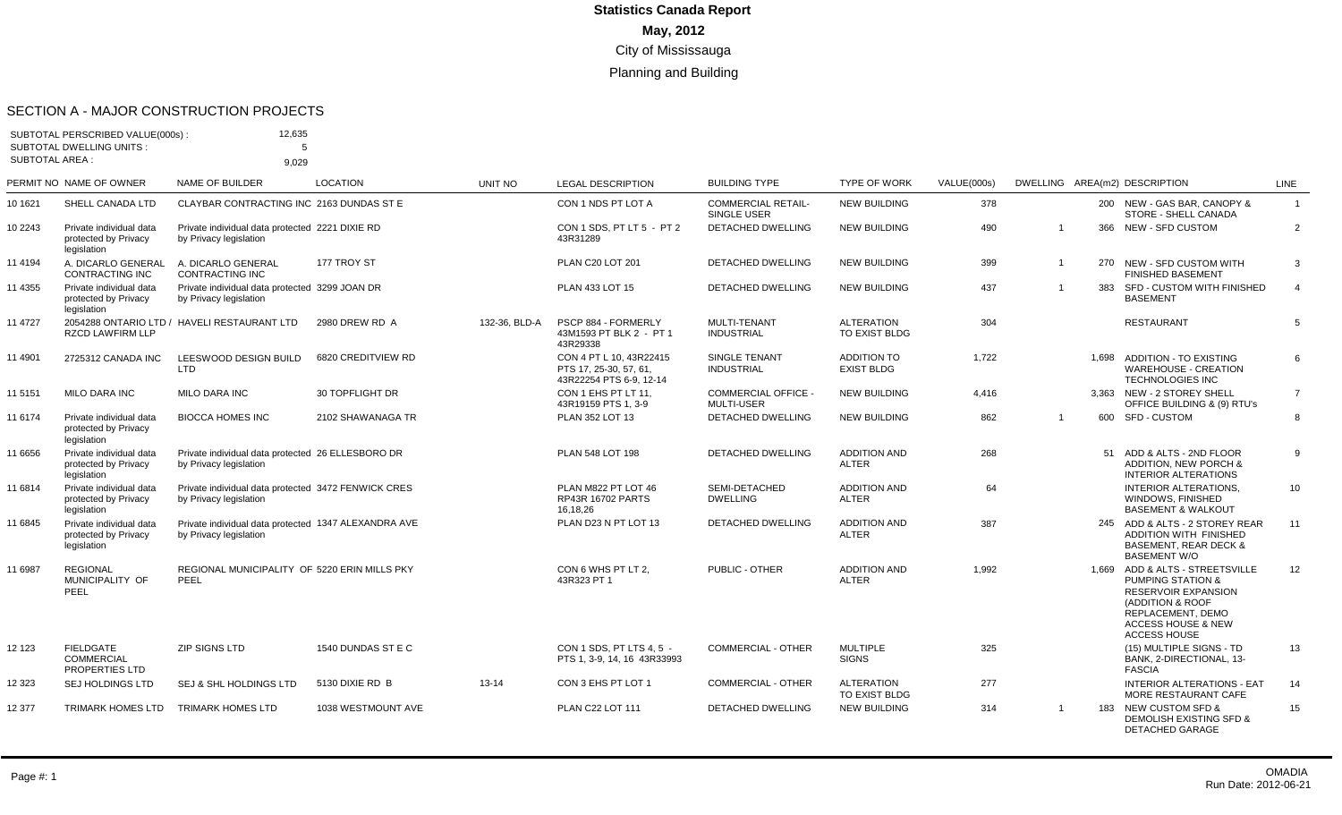#### SECTION A - MAJOR CONSTRUCTION PROJECTS

| <b>SUBTOTAL AREA:</b> | SUBTOTAL PERSCRIBED VALUE(000s):<br><b>SUBTOTAL DWELLING UNITS:</b> | 12,635<br>5<br>9,029                                                           |                    |               |                                                                              |                                                 |                                         |                    |                |       |                                                                                                                                                                                         |                |
|-----------------------|---------------------------------------------------------------------|--------------------------------------------------------------------------------|--------------------|---------------|------------------------------------------------------------------------------|-------------------------------------------------|-----------------------------------------|--------------------|----------------|-------|-----------------------------------------------------------------------------------------------------------------------------------------------------------------------------------------|----------------|
|                       | PERMIT NO NAME OF OWNER                                             | <b>NAME OF BUILDER</b>                                                         | <b>LOCATION</b>    | UNIT NO       | <b>LEGAL DESCRIPTION</b>                                                     | <b>BUILDING TYPE</b>                            | <b>TYPE OF WORK</b>                     | <b>VALUE(000s)</b> |                |       | DWELLING AREA(m2) DESCRIPTION                                                                                                                                                           | LINE           |
| 10 1621               | SHELL CANADA LTD                                                    | CLAYBAR CONTRACTING INC 2163 DUNDAS ST E                                       |                    |               | CON 1 NDS PT LOT A                                                           | <b>COMMERCIAL RETAIL-</b><br>SINGLE USER        | <b>NEW BUILDING</b>                     | 378                |                |       | 200 NEW - GAS BAR, CANOPY &<br>STORE - SHELL CANADA                                                                                                                                     | $\overline{1}$ |
| 10 2243               | Private individual data<br>protected by Privacy<br>legislation      | Private individual data protected 2221 DIXIE RD<br>by Privacy legislation      |                    |               | CON 1 SDS, PT LT 5 - PT 2<br>43R31289                                        | DETACHED DWELLING                               | <b>NEW BUILDING</b>                     | 490                | $\overline{1}$ |       | 366 NEW - SFD CUSTOM                                                                                                                                                                    | $\overline{2}$ |
| 11 4194               | A. DICARLO GENERAL<br>CONTRACTING INC                               | A. DICARLO GENERAL<br>CONTRACTING INC                                          | 177 TROY ST        |               | PLAN C20 LOT 201                                                             | <b>DETACHED DWELLING</b>                        | <b>NEW BUILDING</b>                     | 399                |                |       | 270 NEW - SFD CUSTOM WITH<br><b>FINISHED BASEMENT</b>                                                                                                                                   | 3              |
| 11 4355               | Private individual data<br>protected by Privacy<br>legislation      | Private individual data protected 3299 JOAN DR<br>by Privacy legislation       |                    |               | PLAN 433 LOT 15                                                              | DETACHED DWELLING                               | <b>NEW BUILDING</b>                     | 437                |                |       | 383 SFD - CUSTOM WITH FINISHED<br><b>BASEMENT</b>                                                                                                                                       | $\overline{4}$ |
| 11 4727               | <b>RZCD LAWFIRM LLP</b>                                             | 2054288 ONTARIO LTD / HAVELI RESTAURANT LTD                                    | 2980 DREW RD A     | 132-36, BLD-A | PSCP 884 - FORMERLY<br>43M1593 PT BLK 2 - PT 1<br>43R29338                   | MULTI-TENANT<br><b>INDUSTRIAL</b>               | <b>ALTERATION</b><br>TO EXIST BLDG      | 304                |                |       | <b>RESTAURANT</b>                                                                                                                                                                       | 5              |
| 11 4901               | 2725312 CANADA INC                                                  | LEESWOOD DESIGN BUILD<br>LTD                                                   | 6820 CREDITVIEW RD |               | CON 4 PT L 10, 43R22415<br>PTS 17, 25-30, 57, 61,<br>43R22254 PTS 6-9, 12-14 | SINGLE TENANT<br><b>INDUSTRIAL</b>              | <b>ADDITION TO</b><br><b>EXIST BLDG</b> | 1,722              |                | 1.698 | <b>ADDITION - TO EXISTING</b><br><b>WAREHOUSE - CREATION</b><br><b>TECHNOLOGIES INC</b>                                                                                                 | 6              |
| 11 5151               | <b>MILO DARA INC</b>                                                | <b>MILO DARA INC</b>                                                           | 30 TOPFLIGHT DR    |               | CON 1 EHS PT LT 11.<br>43R19159 PTS 1, 3-9                                   | <b>COMMERCIAL OFFICE -</b><br><b>MULTI-USER</b> | <b>NEW BUILDING</b>                     | 4,416              |                |       | 3,363 NEW - 2 STOREY SHELL<br>OFFICE BUILDING & (9) RTU's                                                                                                                               | $\overline{7}$ |
| 11 6174               | Private individual data<br>protected by Privacy<br>legislation      | <b>BIOCCA HOMES INC</b>                                                        | 2102 SHAWANAGA TR  |               | PLAN 352 LOT 13                                                              | DETACHED DWELLING                               | <b>NEW BUILDING</b>                     | 862                | $\overline{1}$ |       | 600 SFD-CUSTOM                                                                                                                                                                          | 8              |
| 11 6656               | Private individual data<br>protected by Privacy<br>legislation      | Private individual data protected 26 ELLESBORO DR<br>by Privacy legislation    |                    |               | PLAN 548 LOT 198                                                             | DETACHED DWELLING                               | <b>ADDITION AND</b><br>ALTER            | 268                |                |       | 51 ADD & ALTS - 2ND FLOOR<br><b>ADDITION, NEW PORCH &amp;</b><br><b>INTERIOR ALTERATIONS</b>                                                                                            | 9              |
| 11 6814               | Private individual data<br>protected by Privacy<br>legislation      | Private individual data protected 3472 FENWICK CRES<br>by Privacy legislation  |                    |               | PLAN M822 PT LOT 46<br><b>RP43R 16702 PARTS</b><br>16,18,26                  | SEMI-DETACHED<br><b>DWELLING</b>                | <b>ADDITION AND</b><br><b>ALTER</b>     | 64                 |                |       | <b>INTERIOR ALTERATIONS.</b><br>WINDOWS, FINISHED<br><b>BASEMENT &amp; WALKOUT</b>                                                                                                      | 10             |
| 11 6845               | Private individual data<br>protected by Privacy<br>legislation      | Private individual data protected 1347 ALEXANDRA AVE<br>by Privacy legislation |                    |               | PLAN D23 N PT LOT 13                                                         | <b>DETACHED DWELLING</b>                        | <b>ADDITION AND</b><br><b>ALTER</b>     | 387                |                |       | 245 ADD & ALTS - 2 STOREY REAR<br><b>ADDITION WITH FINISHED</b><br><b>BASEMENT, REAR DECK &amp;</b><br><b>BASEMENT W/O</b>                                                              | 11             |
| 11 6987               | <b>REGIONAL</b><br>MUNICIPALITY OF<br>PEEL                          | REGIONAL MUNICIPALITY OF 5220 ERIN MILLS PKY<br>PEEL                           |                    |               | CON 6 WHS PT LT 2.<br>43R323 PT 1                                            | PUBLIC - OTHER                                  | <b>ADDITION AND</b><br><b>ALTER</b>     | 1,992              |                |       | 1.669 ADD & ALTS - STREETSVILLE<br><b>PUMPING STATION &amp;</b><br>RESERVOIR EXPANSION<br>(ADDITION & ROOF<br>REPLACEMENT, DEMO<br><b>ACCESS HOUSE &amp; NEW</b><br><b>ACCESS HOUSE</b> | 12             |
| 12 123                | <b>FIELDGATE</b><br><b>COMMERCIAL</b><br><b>PROPERTIES LTD</b>      | <b>ZIP SIGNS LTD</b>                                                           | 1540 DUNDAS ST E C |               | CON 1 SDS. PT LTS 4.5 -<br>PTS 1, 3-9, 14, 16 43R33993                       | <b>COMMERCIAL - OTHER</b>                       | <b>MULTIPLE</b><br><b>SIGNS</b>         | 325                |                |       | (15) MULTIPLE SIGNS - TD<br>BANK, 2-DIRECTIONAL, 13-<br><b>FASCIA</b>                                                                                                                   | 13             |
| 12 323                | <b>SEJ HOLDINGS LTD</b>                                             | <b>SEJ &amp; SHL HOLDINGS LTD</b>                                              | 5130 DIXIE RD B    | $13 - 14$     | CON 3 EHS PT LOT 1                                                           | <b>COMMERCIAL - OTHER</b>                       | <b>ALTERATION</b><br>TO EXIST BLDG      | 277                |                |       | <b>INTERIOR ALTERATIONS - EAT</b><br>MORE RESTAURANT CAFE                                                                                                                               | 14             |
| 12 377                | <b>TRIMARK HOMES LTD</b>                                            | <b>TRIMARK HOMES LTD</b>                                                       | 1038 WESTMOUNT AVE |               | <b>PLAN C22 LOT 111</b>                                                      | <b>DETACHED DWELLING</b>                        | <b>NEW BUILDING</b>                     | 314                |                |       | 183 NEW CUSTOM SFD &<br><b>DEMOLISH EXISTING SFD &amp;</b><br><b>DETACHED GARAGE</b>                                                                                                    | 15             |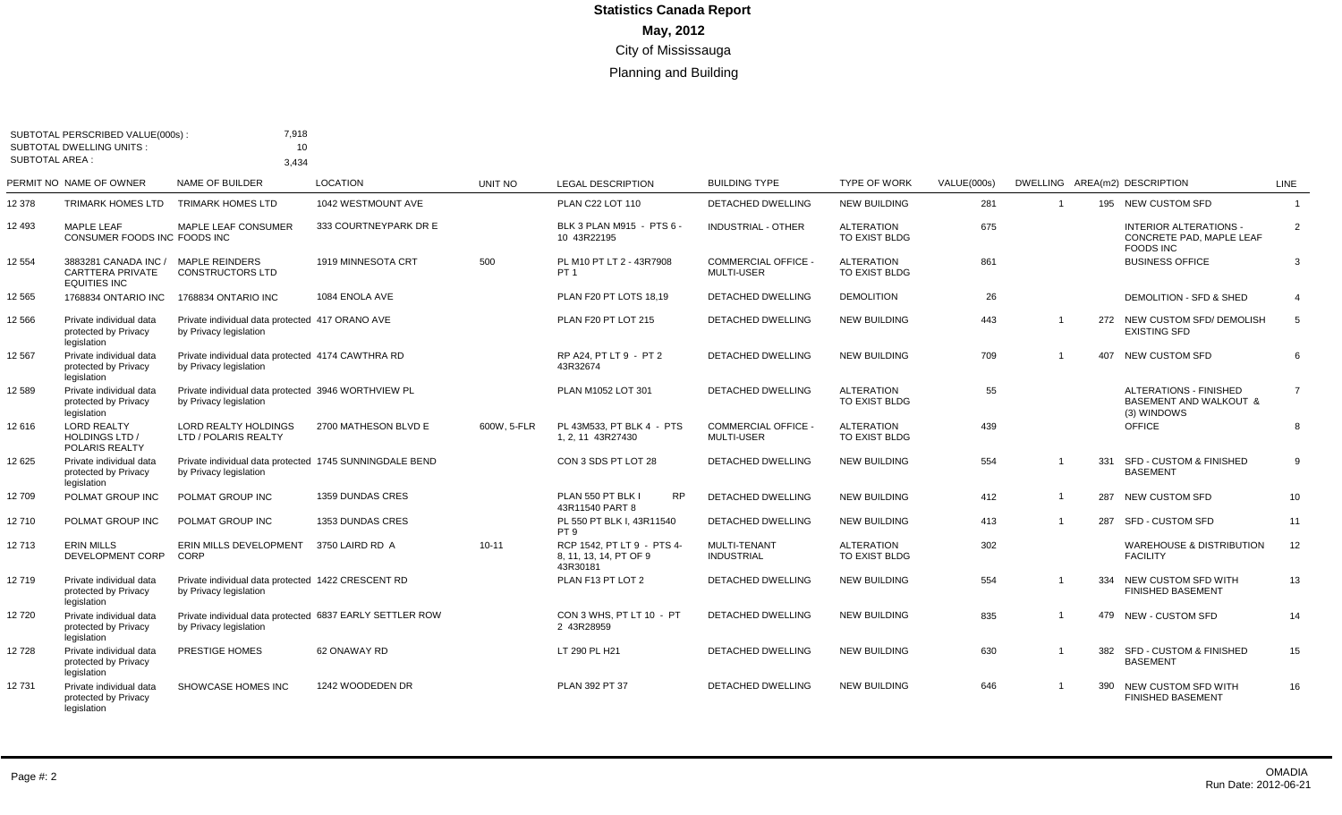|                 | SUBTOTAL PERSCRIBED VALUE(000s):<br><b>SUBTOTAL DWELLING UNITS:</b>    | 7,918<br>10                                                                        |                       |             |                                                                  |                                                 |                                    |             |                |     |                                                                                   |                |
|-----------------|------------------------------------------------------------------------|------------------------------------------------------------------------------------|-----------------------|-------------|------------------------------------------------------------------|-------------------------------------------------|------------------------------------|-------------|----------------|-----|-----------------------------------------------------------------------------------|----------------|
| SUBTOTAL AREA : |                                                                        | 3,434                                                                              |                       |             |                                                                  |                                                 |                                    |             |                |     |                                                                                   |                |
|                 | PERMIT NO NAME OF OWNER                                                | NAME OF BUILDER                                                                    | <b>LOCATION</b>       | UNIT NO     | <b>LEGAL DESCRIPTION</b>                                         | <b>BUILDING TYPE</b>                            | <b>TYPE OF WORK</b>                | VALUE(000s) |                |     | DWELLING AREA(m2) DESCRIPTION                                                     | <b>LINE</b>    |
| 12 378          | <b>TRIMARK HOMES LTD</b>                                               | <b>TRIMARK HOMES LTD</b>                                                           | 1042 WESTMOUNT AVE    |             | PLAN C22 LOT 110                                                 | <b>DETACHED DWELLING</b>                        | <b>NEW BUILDING</b>                | 281         | $\overline{1}$ |     | 195 NEW CUSTOM SFD                                                                | $\overline{1}$ |
| 12 493          | MAPLE LEAF<br>CONSUMER FOODS INC FOODS INC                             | <b>MAPLE LEAF CONSUMER</b>                                                         | 333 COURTNEYPARK DR E |             | BLK 3 PLAN M915 - PTS 6 -<br>10 43R22195                         | <b>INDUSTRIAL - OTHER</b>                       | <b>ALTERATION</b><br>TO EXIST BLDG | 675         |                |     | <b>INTERIOR ALTERATIONS -</b><br>CONCRETE PAD. MAPLE LEAF<br><b>FOODS INC</b>     | 2              |
| 12 554          | 3883281 CANADA INC /<br><b>CARTTERA PRIVATE</b><br><b>EQUITIES INC</b> | <b>MAPLE REINDERS</b><br><b>CONSTRUCTORS LTD</b>                                   | 1919 MINNESOTA CRT    | 500         | PL M10 PT LT 2 - 43R7908<br>PT <sub>1</sub>                      | <b>COMMERCIAL OFFICE -</b><br><b>MULTI-USER</b> | <b>ALTERATION</b><br>TO EXIST BLDG | 861         |                |     | <b>BUSINESS OFFICE</b>                                                            | 3              |
| 12 565          | 1768834 ONTARIO INC                                                    | 1768834 ONTARIO INC                                                                | 1084 ENOLA AVE        |             | PLAN F20 PT LOTS 18.19                                           | <b>DETACHED DWELLING</b>                        | <b>DEMOLITION</b>                  | 26          |                |     | DEMOLITION - SFD & SHED                                                           | $\overline{4}$ |
| 12 566          | Private individual data<br>protected by Privacy<br>legislation         | Private individual data protected 417 ORANO AVE<br>by Privacy legislation          |                       |             | PLAN F20 PT LOT 215                                              | <b>DETACHED DWELLING</b>                        | <b>NEW BUILDING</b>                | 443         | $\overline{1}$ |     | 272 NEW CUSTOM SFD/ DEMOLISH<br><b>EXISTING SFD</b>                               | 5              |
| 12 567          | Private individual data<br>protected by Privacy<br>legislation         | Private individual data protected 4174 CAWTHRA RD<br>by Privacy legislation        |                       |             | RP A24, PT LT 9 - PT 2<br>43R32674                               | DETACHED DWELLING                               | <b>NEW BUILDING</b>                | 709         | $\overline{1}$ |     | 407 NEW CUSTOM SFD                                                                | 6              |
| 12 589          | Private individual data<br>protected by Privacy<br>legislation         | Private individual data protected 3946 WORTHVIEW PL<br>by Privacy legislation      |                       |             | PLAN M1052 LOT 301                                               | <b>DETACHED DWELLING</b>                        | <b>ALTERATION</b><br>TO EXIST BLDG | 55          |                |     | <b>ALTERATIONS - FINISHED</b><br><b>BASEMENT AND WALKOUT &amp;</b><br>(3) WINDOWS | $\overline{7}$ |
| 12 616          | <b>LORD REALTY</b><br><b>HOLDINGS LTD /</b><br>POLARIS REALTY          | <b>LORD REALTY HOLDINGS</b><br>LTD / POLARIS REALTY                                | 2700 MATHESON BLVD E  | 600W. 5-FLR | PL 43M533, PT BLK 4 - PTS<br>1, 2, 11 43R27430                   | <b>COMMERCIAL OFFICE -</b><br><b>MULTI-USER</b> | <b>ALTERATION</b><br>TO EXIST BLDG | 439         |                |     | <b>OFFICE</b>                                                                     | 8              |
| 12 625          | Private individual data<br>protected by Privacy<br>legislation         | Private individual data protected 1745 SUNNINGDALE BEND<br>by Privacy legislation  |                       |             | CON 3 SDS PT LOT 28                                              | <b>DETACHED DWELLING</b>                        | <b>NEW BUILDING</b>                | 554         | $\overline{1}$ | 331 | <b>SFD - CUSTOM &amp; FINISHED</b><br><b>BASEMENT</b>                             | 9              |
| 12709           | POLMAT GROUP INC                                                       | POLMAT GROUP INC                                                                   | 1359 DUNDAS CRES      |             | PLAN 550 PT BLK I<br><b>RP</b><br>43R11540 PART 8                | DETACHED DWELLING                               | <b>NEW BUILDING</b>                | 412         | $\overline{1}$ |     | 287 NEW CUSTOM SFD                                                                | 10             |
| 12710           | POLMAT GROUP INC                                                       | POLMAT GROUP INC                                                                   | 1353 DUNDAS CRES      |             | PL 550 PT BLK I, 43R11540<br>PT <sub>9</sub>                     | <b>DETACHED DWELLING</b>                        | <b>NEW BUILDING</b>                | 413         | $\mathbf{1}$   |     | 287 SFD - CUSTOM SFD                                                              | 11             |
| 12713           | <b>ERIN MILLS</b><br>DEVELOPMENT CORP                                  | ERIN MILLS DEVELOPMENT 3750 LAIRD RD A<br>CORP                                     |                       | $10 - 11$   | RCP 1542. PT LT 9 - PTS 4-<br>8. 11. 13. 14. PT OF 9<br>43R30181 | MULTI-TENANT<br><b>INDUSTRIAL</b>               | <b>ALTERATION</b><br>TO EXIST BLDG | 302         |                |     | <b>WAREHOUSE &amp; DISTRIBUTION</b><br><b>FACILITY</b>                            | 12             |
| 12719           | Private individual data<br>protected by Privacy<br>legislation         | Private individual data protected 1422 CRESCENT RD<br>by Privacy legislation       |                       |             | PLAN F13 PT LOT 2                                                | <b>DETACHED DWELLING</b>                        | <b>NEW BUILDING</b>                | 554         | $\mathbf{1}$   | 334 | NEW CUSTOM SFD WITH<br><b>FINISHED BASEMENT</b>                                   | 13             |
| 12720           | Private individual data<br>protected by Privacy<br>legislation         | Private individual data protected 6837 EARLY SETTLER ROW<br>by Privacy legislation |                       |             | CON 3 WHS. PT LT 10 - PT<br>2 43R28959                           | DETACHED DWELLING                               | <b>NEW BUILDING</b>                | 835         | $\overline{1}$ |     | 479 NEW - CUSTOM SFD                                                              | 14             |
| 12728           | Private individual data<br>protected by Privacy<br>legislation         | PRESTIGE HOMES                                                                     | 62 ONAWAY RD          |             | LT 290 PL H21                                                    | <b>DETACHED DWELLING</b>                        | <b>NEW BUILDING</b>                | 630         | $\overline{1}$ | 382 | <b>SFD - CUSTOM &amp; FINISHED</b><br><b>BASEMENT</b>                             | 15             |
| 12731           | Private individual data<br>protected by Privacy<br>legislation         | SHOWCASE HOMES INC                                                                 | 1242 WOODEDEN DR      |             | PLAN 392 PT 37                                                   | <b>DETACHED DWELLING</b>                        | <b>NEW BUILDING</b>                | 646         | $\overline{1}$ |     | 390 NEW CUSTOM SFD WITH<br><b>FINISHED BASEMENT</b>                               | 16             |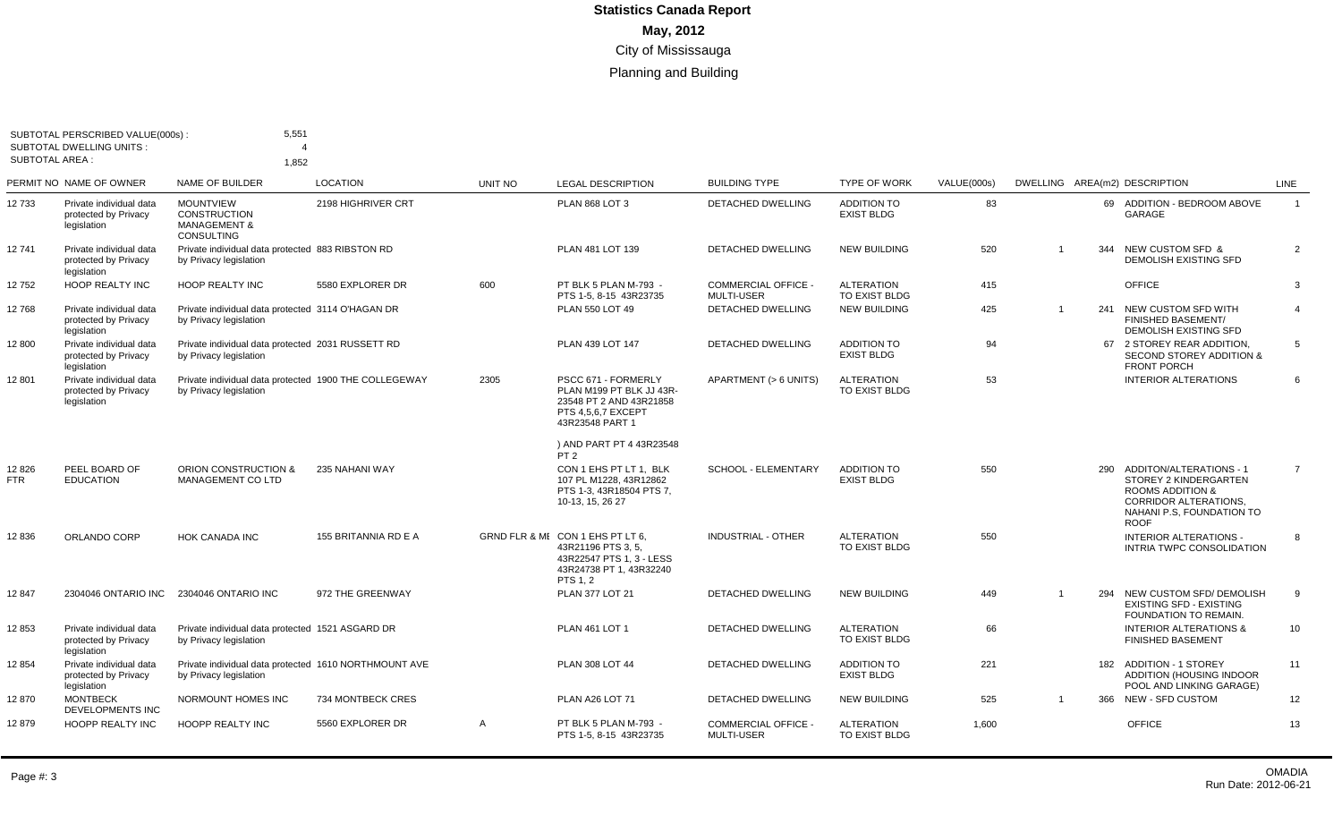|                     | SUBTOTAL PERSCRIBED VALUE(000s)<br><b>SUBTOTAL DWELLING UNITS:</b> | 5,551                                                                                   |                      |              |                                                                                                                         |                                                 |                                         |             |                |     |                                                                                                                                                                 |                |
|---------------------|--------------------------------------------------------------------|-----------------------------------------------------------------------------------------|----------------------|--------------|-------------------------------------------------------------------------------------------------------------------------|-------------------------------------------------|-----------------------------------------|-------------|----------------|-----|-----------------------------------------------------------------------------------------------------------------------------------------------------------------|----------------|
| SUBTOTAL AREA :     |                                                                    | 1,852                                                                                   |                      |              |                                                                                                                         |                                                 |                                         |             |                |     |                                                                                                                                                                 |                |
|                     | PERMIT NO NAME OF OWNER                                            | NAME OF BUILDER                                                                         | <b>LOCATION</b>      | UNIT NO      | <b>LEGAL DESCRIPTION</b>                                                                                                | <b>BUILDING TYPE</b>                            | <b>TYPE OF WORK</b>                     | VALUE(000s) |                |     | DWELLING AREA(m2) DESCRIPTION                                                                                                                                   | LINE           |
| 12 733              | Private individual data<br>protected by Privacy<br>legislation     | <b>MOUNTVIEW</b><br><b>CONSTRUCTION</b><br><b>MANAGEMENT &amp;</b><br><b>CONSULTING</b> | 2198 HIGHRIVER CRT   |              | <b>PLAN 868 LOT 3</b>                                                                                                   | <b>DETACHED DWELLING</b>                        | <b>ADDITION TO</b><br><b>EXIST BLDG</b> | 83          |                |     | 69 ADDITION - BEDROOM ABOVE<br>GARAGE                                                                                                                           | $\overline{1}$ |
| 12741               | Private individual data<br>protected by Privacy<br>legislation     | Private individual data protected 883 RIBSTON RD<br>by Privacy legislation              |                      |              | PLAN 481 LOT 139                                                                                                        | DETACHED DWELLING                               | <b>NEW BUILDING</b>                     | 520         | $\overline{1}$ | 344 | <b>NEW CUSTOM SFD &amp;</b><br><b>DEMOLISH EXISTING SFD</b>                                                                                                     | $\overline{2}$ |
| 12752               | <b>HOOP REALTY INC</b>                                             | <b>HOOP REALTY INC</b>                                                                  | 5580 EXPLORER DR     | 600          | PT BLK 5 PLAN M-793 -<br>PTS 1-5, 8-15 43R23735                                                                         | <b>COMMERCIAL OFFICE -</b><br>MULTI-USER        | <b>ALTERATION</b><br>TO EXIST BLDG      | 415         |                |     | OFFICE                                                                                                                                                          | 3              |
| 12768               | Private individual data<br>protected by Privacy<br>legislation     | Private individual data protected 3114 O'HAGAN DR<br>by Privacy legislation             |                      |              | PLAN 550 LOT 49                                                                                                         | <b>DETACHED DWELLING</b>                        | <b>NEW BUILDING</b>                     | 425         | $\overline{1}$ |     | 241 NEW CUSTOM SFD WITH<br><b>FINISHED BASEMENT/</b><br><b>DEMOLISH EXISTING SFD</b>                                                                            | $\overline{4}$ |
| 12 800              | Private individual data<br>protected by Privacy<br>legislation     | Private individual data protected 2031 RUSSETT RD<br>by Privacy legislation             |                      |              | PLAN 439 LOT 147                                                                                                        | DETACHED DWELLING                               | <b>ADDITION TO</b><br><b>EXIST BLDG</b> | 94          |                |     | 67 2 STOREY REAR ADDITION,<br><b>SECOND STOREY ADDITION &amp;</b><br><b>FRONT PORCH</b>                                                                         | 5              |
| 12801               | Private individual data<br>protected by Privacy<br>legislation     | Private individual data protected 1900 THE COLLEGEWAY<br>by Privacy legislation         |                      | 2305         | PSCC 671 - FORMERLY<br>PLAN M199 PT BLK JJ 43R-<br>23548 PT 2 AND 43R21858<br>PTS 4,5,6,7 EXCEPT<br>43R23548 PART 1     | APARTMENT (> 6 UNITS)                           | <b>ALTERATION</b><br>TO EXIST BLDG      | 53          |                |     | <b>INTERIOR ALTERATIONS</b>                                                                                                                                     | 6              |
|                     |                                                                    |                                                                                         |                      |              | ) AND PART PT 4 43R23548<br>PT <sub>2</sub>                                                                             |                                                 |                                         |             |                |     |                                                                                                                                                                 |                |
| 12826<br><b>FTR</b> | PEEL BOARD OF<br><b>EDUCATION</b>                                  | <b>ORION CONSTRUCTION &amp;</b><br><b>MANAGEMENT CO LTD</b>                             | 235 NAHANI WAY       |              | CON 1 EHS PT LT 1. BLK<br>107 PL M1228, 43R12862<br>PTS 1-3, 43R18504 PTS 7,<br>10-13, 15, 26 27                        | <b>SCHOOL - ELEMENTARY</b>                      | <b>ADDITION TO</b><br><b>EXIST BLDG</b> | 550         |                |     | 290 ADDITON/ALTERATIONS - 1<br>STOREY 2 KINDERGARTEN<br><b>ROOMS ADDITION &amp;</b><br><b>CORRIDOR ALTERATIONS.</b><br>NAHANI P.S. FOUNDATION TO<br><b>ROOF</b> | $\overline{7}$ |
| 12836               | ORLANDO CORP                                                       | <b>HOK CANADA INC</b>                                                                   | 155 BRITANNIA RD E A |              | GRND FLR & MI CON 1 EHS PT LT 6.<br>43R21196 PTS 3.5.<br>43R22547 PTS 1, 3 - LESS<br>43R24738 PT 1, 43R32240<br>PTS 1.2 | <b>INDUSTRIAL - OTHER</b>                       | <b>ALTERATION</b><br>TO EXIST BLDG      | 550         |                |     | <b>INTERIOR ALTERATIONS -</b><br>INTRIA TWPC CONSOLIDATION                                                                                                      | 8              |
| 12 847              | 2304046 ONTARIO INC                                                | 2304046 ONTARIO INC                                                                     | 972 THE GREENWAY     |              | PLAN 377 LOT 21                                                                                                         | DETACHED DWELLING                               | <b>NEW BUILDING</b>                     | 449         | $\overline{1}$ | 294 | NEW CUSTOM SFD/ DEMOLISH<br><b>EXISTING SFD - EXISTING</b><br>FOUNDATION TO REMAIN.                                                                             | 9              |
| 12853               | Private individual data<br>protected by Privacy<br>legislation     | Private individual data protected 1521 ASGARD DR<br>by Privacy legislation              |                      |              | PLAN 461 LOT 1                                                                                                          | DETACHED DWELLING                               | <b>ALTERATION</b><br>TO EXIST BLDG      | 66          |                |     | <b>INTERIOR ALTERATIONS &amp;</b><br><b>FINISHED BASEMENT</b>                                                                                                   | 10             |
| 12 854              | Private individual data<br>protected by Privacy<br>legislation     | Private individual data protected 1610 NORTHMOUNT AVE<br>by Privacy legislation         |                      |              | <b>PLAN 308 LOT 44</b>                                                                                                  | DETACHED DWELLING                               | <b>ADDITION TO</b><br><b>EXIST BLDG</b> | 221         |                |     | 182 ADDITION - 1 STOREY<br>ADDITION (HOUSING INDOOR<br>POOL AND LINKING GARAGE)                                                                                 | 11             |
| 12870               | <b>MONTBECK</b><br>DEVELOPMENTS INC                                | NORMOUNT HOMES INC                                                                      | 734 MONTBECK CRES    |              | PLAN A26 LOT 71                                                                                                         | <b>DETACHED DWELLING</b>                        | <b>NEW BUILDING</b>                     | 525         | $\mathbf{1}$   |     | 366 NEW - SFD CUSTOM                                                                                                                                            | 12             |
| 12879               | HOOPP REALTY INC                                                   | HOOPP REALTY INC                                                                        | 5560 EXPLORER DR     | $\mathsf{A}$ | PT BLK 5 PLAN M-793 -<br>PTS 1-5, 8-15 43R23735                                                                         | <b>COMMERCIAL OFFICE -</b><br><b>MULTI-USER</b> | <b>ALTERATION</b><br>TO EXIST BLDG      | 1,600       |                |     | <b>OFFICE</b>                                                                                                                                                   | 13             |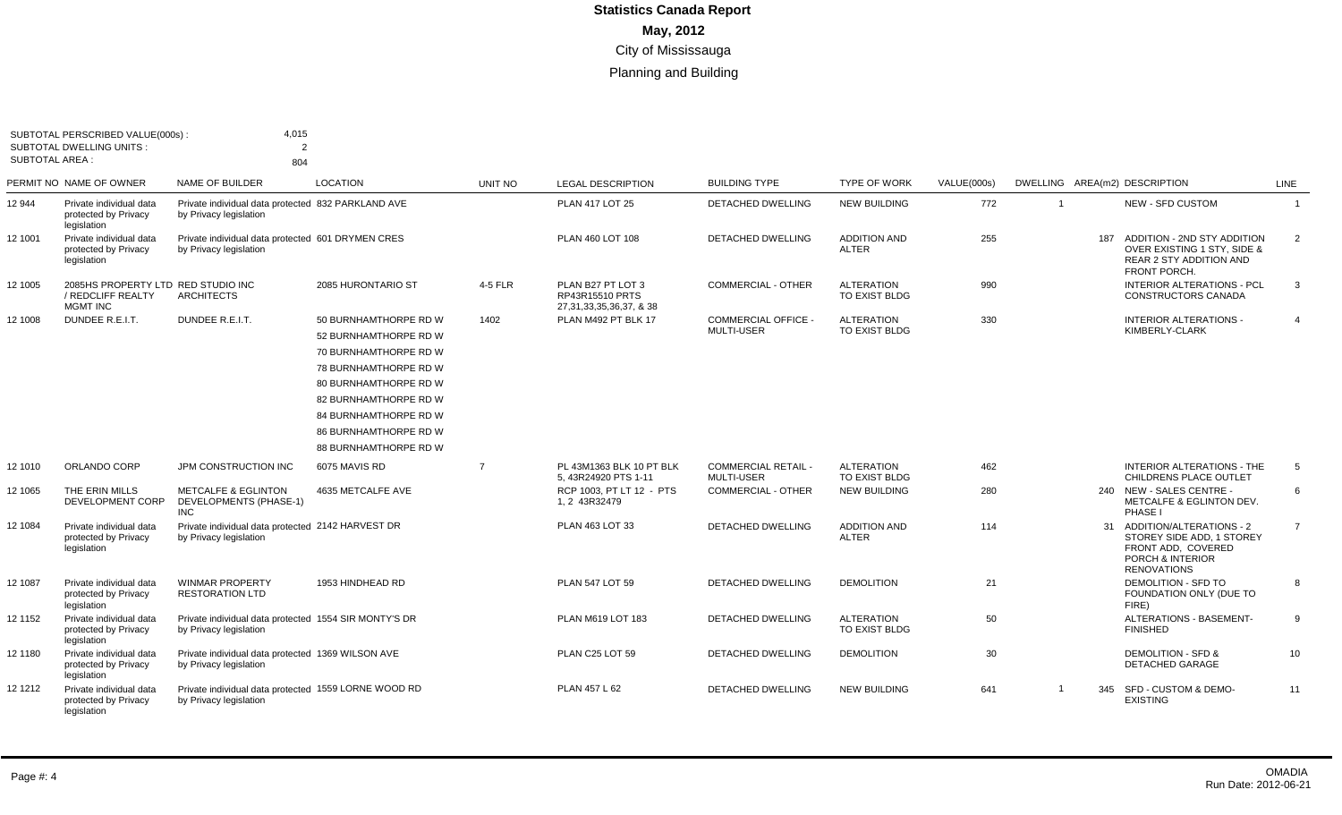| SUBTOTAL PERSCRIBED VALUE(000s):<br><b>SUBTOTAL DWELLING UNITS:</b><br><b>SUBTOTAL AREA:</b> |                                                                            | 4,015<br>$\mathcal{P}$<br>804                                                   |                                                                                                                                                                                                                                      |                |                                                                      |                                          |                                     |             |                         |     |                                                                                                                          |                 |
|----------------------------------------------------------------------------------------------|----------------------------------------------------------------------------|---------------------------------------------------------------------------------|--------------------------------------------------------------------------------------------------------------------------------------------------------------------------------------------------------------------------------------|----------------|----------------------------------------------------------------------|------------------------------------------|-------------------------------------|-------------|-------------------------|-----|--------------------------------------------------------------------------------------------------------------------------|-----------------|
|                                                                                              | PERMIT NO NAME OF OWNER                                                    | NAME OF BUILDER                                                                 | <b>LOCATION</b>                                                                                                                                                                                                                      | UNIT NO        | <b>LEGAL DESCRIPTION</b>                                             | <b>BUILDING TYPE</b>                     | <b>TYPE OF WORK</b>                 | VALUE(000s) |                         |     | DWELLING AREA(m2) DESCRIPTION                                                                                            | LINE            |
| 12 944                                                                                       | Private individual data<br>protected by Privacy<br>legislation             | Private individual data protected 832 PARKLAND AVE<br>by Privacy legislation    |                                                                                                                                                                                                                                      |                | <b>PLAN 417 LOT 25</b>                                               | <b>DETACHED DWELLING</b>                 | <b>NEW BUILDING</b>                 | 772         |                         |     | <b>NEW - SFD CUSTOM</b>                                                                                                  | $\overline{1}$  |
| 12 1001                                                                                      | Private individual data<br>protected by Privacy<br>legislation             | Private individual data protected 601 DRYMEN CRES<br>by Privacy legislation     |                                                                                                                                                                                                                                      |                | PLAN 460 LOT 108                                                     | DETACHED DWELLING                        | <b>ADDITION AND</b><br><b>ALTER</b> | 255         |                         | 187 | ADDITION - 2ND STY ADDITION<br><b>OVER EXISTING 1 STY, SIDE &amp;</b><br><b>REAR 2 STY ADDITION AND</b><br>FRONT PORCH.  | 2               |
| 12 1005                                                                                      | 2085HS PROPERTY LTD RED STUDIO INC<br>/ REDCLIFF REALTY<br><b>MGMT INC</b> | <b>ARCHITECTS</b>                                                               | 2085 HURONTARIO ST                                                                                                                                                                                                                   | 4-5 FLR        | PLAN B27 PT LOT 3<br>RP43R15510 PRTS<br>27, 31, 33, 35, 36, 37, & 38 | <b>COMMERCIAL - OTHER</b>                | <b>ALTERATION</b><br>TO EXIST BLDG  | 990         |                         |     | <b>INTERIOR ALTERATIONS - PCL</b><br>CONSTRUCTORS CANADA                                                                 | 3               |
| 12 1008                                                                                      | DUNDEE R.E.I.T.                                                            | DUNDEE R.E.I.T.                                                                 | 50 BURNHAMTHORPE RD W<br>52 BURNHAMTHORPE RD W<br>70 BURNHAMTHORPE RD W<br>78 BURNHAMTHORPE RD W<br>80 BURNHAMTHORPE RD W<br>82 BURNHAMTHORPE RD W<br>84 BURNHAMTHORPE RD W<br><b>86 BURNHAMTHORPE RD W</b><br>88 BURNHAMTHORPE RD W | 1402           | PLAN M492 PT BLK 17                                                  | <b>COMMERCIAL OFFICE -</b><br>MULTI-USER | <b>ALTERATION</b><br>TO EXIST BLDG  | 330         |                         |     | <b>INTERIOR ALTERATIONS -</b><br>KIMBERLY-CLARK                                                                          | $\overline{4}$  |
| 12 1010                                                                                      | ORLANDO CORP                                                               | JPM CONSTRUCTION INC                                                            | 6075 MAVIS RD                                                                                                                                                                                                                        | $\overline{7}$ | PL 43M1363 BLK 10 PT BLK<br>5, 43R24920 PTS 1-11                     | <b>COMMERCIAL RETAIL -</b><br>MULTI-USER | <b>ALTERATION</b><br>TO EXIST BLDG  | 462         |                         |     | INTERIOR ALTERATIONS - THE<br>CHILDRENS PLACE OUTLET                                                                     | $5\overline{5}$ |
| 12 1065                                                                                      | THE ERIN MILLS<br>DEVELOPMENT CORP                                         | <b>METCALFE &amp; EGLINTON</b><br><b>DEVELOPMENTS (PHASE-1)</b><br><b>INC</b>   | 4635 METCALFE AVE                                                                                                                                                                                                                    |                | RCP 1003, PT LT 12 - PTS<br>1, 2 43R32479                            | COMMERCIAL - OTHER                       | <b>NEW BUILDING</b>                 | 280         |                         |     | 240 NEW - SALES CENTRE -<br>METCALFE & EGLINTON DEV.<br>PHASE I                                                          | 6               |
| 12 1084                                                                                      | Private individual data<br>protected by Privacy<br>legislation             | Private individual data protected 2142 HARVEST DR<br>by Privacy legislation     |                                                                                                                                                                                                                                      |                | PLAN 463 LOT 33                                                      | DETACHED DWELLING                        | <b>ADDITION AND</b><br><b>ALTER</b> | 114         |                         |     | 31 ADDITION/ALTERATIONS - 2<br>STOREY SIDE ADD. 1 STOREY<br>FRONT ADD, COVERED<br>PORCH & INTERIOR<br><b>RENOVATIONS</b> | $\overline{7}$  |
| 12 1087                                                                                      | Private individual data<br>protected by Privacy<br>legislation             | <b>WINMAR PROPERTY</b><br><b>RESTORATION LTD</b>                                | 1953 HINDHEAD RD                                                                                                                                                                                                                     |                | PLAN 547 LOT 59                                                      | <b>DETACHED DWELLING</b>                 | <b>DEMOLITION</b>                   | 21          |                         |     | <b>DEMOLITION - SFD TO</b><br>FOUNDATION ONLY (DUE TO<br>FIRE)                                                           | 8               |
| 12 1152                                                                                      | Private individual data<br>protected by Privacy<br>legislation             | Private individual data protected 1554 SIR MONTY'S DR<br>by Privacy legislation |                                                                                                                                                                                                                                      |                | PLAN M619 LOT 183                                                    | DETACHED DWELLING                        | <b>ALTERATION</b><br>TO EXIST BLDG  | 50          |                         |     | ALTERATIONS - BASEMENT-<br><b>FINISHED</b>                                                                               | 9               |
| 12 1180                                                                                      | Private individual data<br>protected by Privacy<br>legislation             | Private individual data protected 1369 WILSON AVE<br>by Privacy legislation     |                                                                                                                                                                                                                                      |                | PLAN C25 LOT 59                                                      | <b>DETACHED DWELLING</b>                 | <b>DEMOLITION</b>                   | 30          |                         |     | <b>DEMOLITION - SFD &amp;</b><br><b>DETACHED GARAGE</b>                                                                  | 10 <sup>1</sup> |
| 12 12 12                                                                                     | Private individual data<br>protected by Privacy<br>legislation             | Private individual data protected 1559 LORNE WOOD RD<br>by Privacy legislation  |                                                                                                                                                                                                                                      |                | PLAN 457 L 62                                                        | <b>DETACHED DWELLING</b>                 | <b>NEW BUILDING</b>                 | 641         | $\overline{\mathbf{1}}$ |     | 345 SFD - CUSTOM & DEMO-<br><b>EXISTING</b>                                                                              | 11              |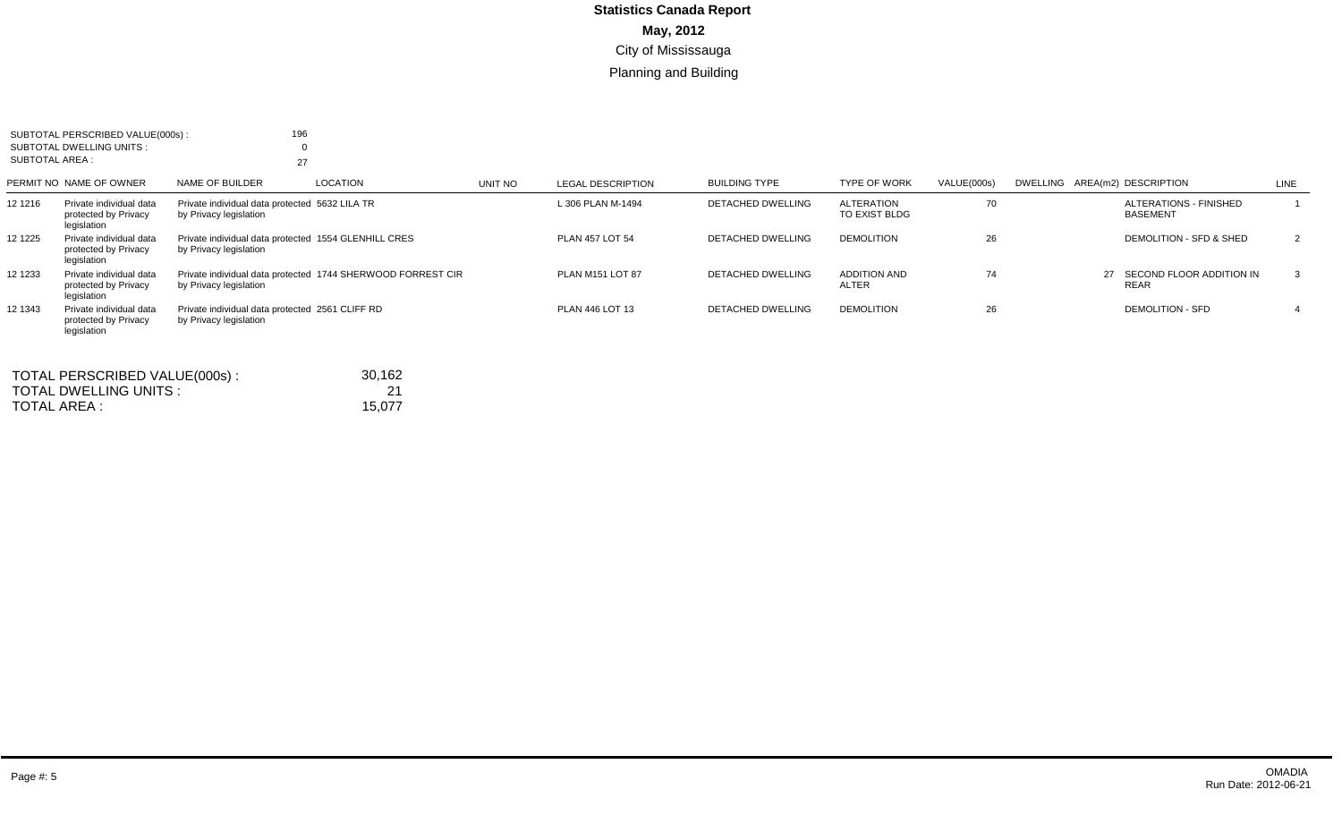|                 | SUBTOTAL PERSCRIBED VALUE(000s):                               | 196                                                                            |                                                             |         |                          |                          |                                     |             |                                                  |                |
|-----------------|----------------------------------------------------------------|--------------------------------------------------------------------------------|-------------------------------------------------------------|---------|--------------------------|--------------------------|-------------------------------------|-------------|--------------------------------------------------|----------------|
|                 | SUBTOTAL DWELLING UNITS :                                      |                                                                                |                                                             |         |                          |                          |                                     |             |                                                  |                |
| SUBTOTAL AREA : |                                                                | 27                                                                             |                                                             |         |                          |                          |                                     |             |                                                  |                |
|                 | PERMIT NO NAME OF OWNER                                        | NAME OF BUILDER                                                                | LOCATION                                                    | UNIT NO | <b>LEGAL DESCRIPTION</b> | <b>BUILDING TYPE</b>     | <b>TYPE OF WORK</b>                 | VALUE(000s) | DWELLING AREA(m2) DESCRIPTION                    | LINE           |
| 12 1216         | Private individual data<br>protected by Privacy<br>legislation | Private individual data protected 5632 LILA TR<br>by Privacy legislation       |                                                             |         | L 306 PLAN M-1494        | <b>DETACHED DWELLING</b> | <b>ALTERATION</b><br>TO EXIST BLDG  | 70          | <b>ALTERATIONS - FINISHED</b><br><b>BASEMENT</b> |                |
| 12 1225         | Private individual data<br>protected by Privacy<br>legislation | Private individual data protected 1554 GLENHILL CRES<br>by Privacy legislation |                                                             |         | <b>PLAN 457 LOT 54</b>   | <b>DETACHED DWELLING</b> | <b>DEMOLITION</b>                   | 26          | DEMOLITION - SFD & SHED                          | $\overline{2}$ |
| 12 1233         | Private individual data<br>protected by Privacy<br>legislation | by Privacy legislation                                                         | Private individual data protected 1744 SHERWOOD FORREST CIR |         | <b>PLAN M151 LOT 87</b>  | <b>DETACHED DWELLING</b> | <b>ADDITION AND</b><br><b>ALTER</b> | 74          | SECOND FLOOR ADDITION IN<br>27<br><b>REAR</b>    | 3              |
| 12 1343         | Private individual data<br>protected by Privacy<br>legislation | Private individual data protected 2561 CLIFF RD<br>by Privacy legislation      |                                                             |         | PLAN 446 LOT 13          | <b>DETACHED DWELLING</b> | <b>DEMOLITION</b>                   | 26          | <b>DEMOLITION - SFD</b>                          |                |
|                 | TOTAL PERSCRIBED VALUE(000s):                                  |                                                                                | 30,162                                                      |         |                          |                          |                                     |             |                                                  |                |
|                 | TOTAL DWELLING UNITS :                                         |                                                                                | 21                                                          |         |                          |                          |                                     |             |                                                  |                |
| TOTAL AREA :    |                                                                |                                                                                | 15,077                                                      |         |                          |                          |                                     |             |                                                  |                |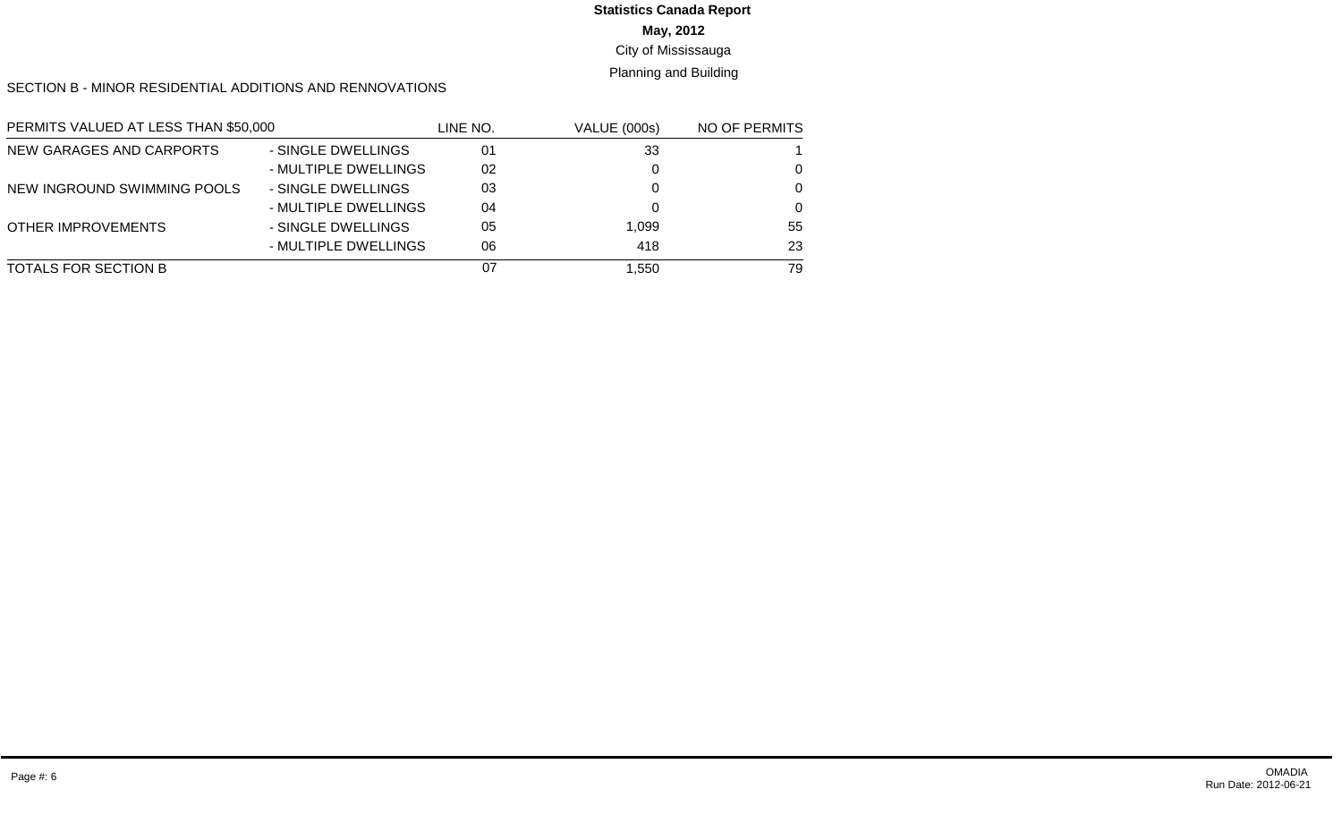#### **May, 2012** City of Mississauga **Statistics Canada Report**

## Planning and Building

SECTION B - MINOR RESIDENTIAL ADDITIONS AND RENNOVATIONS

| PERMITS VALUED AT LESS THAN \$50,000 |                      | line no. | <b>VALUE (000s)</b> | NO OF PERMITS |
|--------------------------------------|----------------------|----------|---------------------|---------------|
| NEW GARAGES AND CARPORTS             | - SINGLE DWELLINGS   | 01       | 33                  |               |
|                                      | - MULTIPLE DWELLINGS | 02       |                     | 0             |
| NEW INGROUND SWIMMING POOLS          | - SINGLE DWELLINGS   | 03       |                     | $\Omega$      |
|                                      | - MULTIPLE DWELLINGS | 04       |                     | $\Omega$      |
| <b>OTHER IMPROVEMENTS</b>            | - SINGLE DWELLINGS   | 05       | 1.099               | 55            |
|                                      | - MULTIPLE DWELLINGS | 06       | 418                 | 23            |
| TOTALS FOR SECTION B                 |                      | 07       | 1.550               | 79            |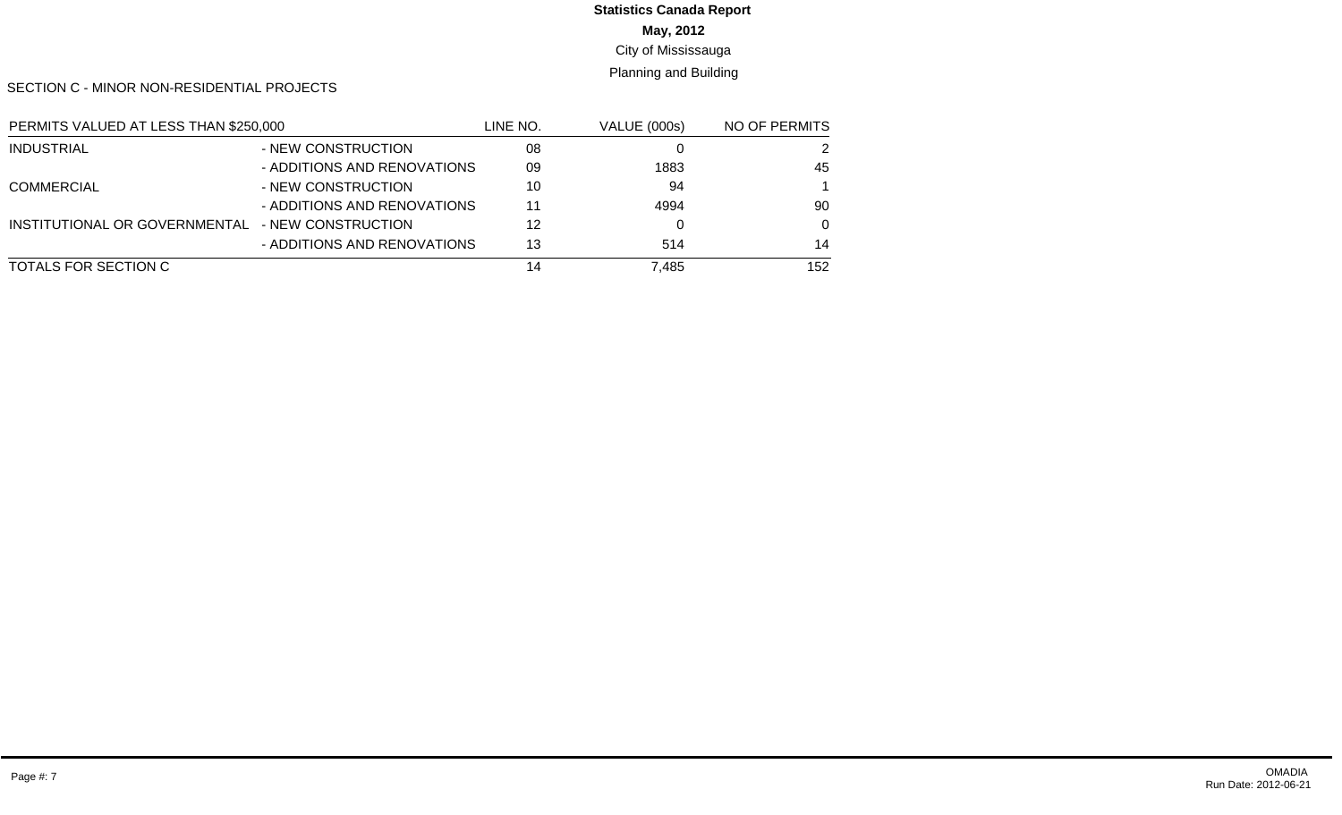#### **May, 2012 Statistics Canada Report**

City of Mississauga

Planning and Building

SECTION C - MINOR NON-RESIDENTIAL PROJECTS

| PERMITS VALUED AT LESS THAN \$250,000 |                             | LINE NO. | VALUE (000s) | NO OF PERMITS |  |
|---------------------------------------|-----------------------------|----------|--------------|---------------|--|
| <b>INDUSTRIAL</b>                     | - NEW CONSTRUCTION          | 08       |              |               |  |
|                                       | - ADDITIONS AND RENOVATIONS | 09       | 1883         | 45            |  |
| <b>COMMERCIAL</b>                     | - NEW CONSTRUCTION          | 10       | 94           |               |  |
|                                       | - ADDITIONS AND RENOVATIONS | 11       | 4994         | 90            |  |
| INSTITUTIONAL OR GOVERNMENTAL         | - NEW CONSTRUCTION          | 12       |              | $\Omega$      |  |
|                                       | - ADDITIONS AND RENOVATIONS | 13       | 514          | 14            |  |
| TOTALS FOR SECTION C                  |                             | 14       | 7.485        | 152           |  |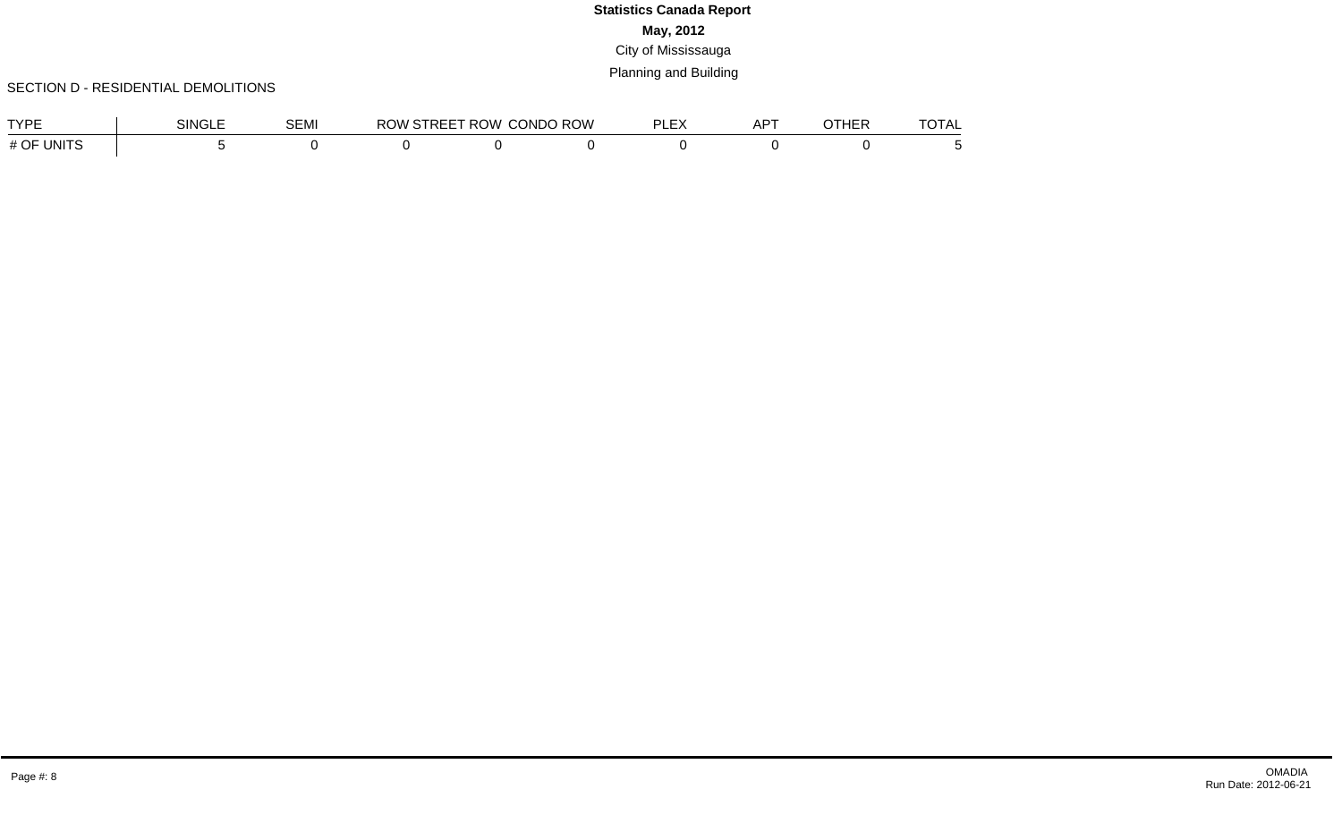#### SECTION D - RESIDENTIAL DEMOLITIONS

| <b>TVDE</b><br>_              | <b>SINGLE</b> | <b>SEMI</b> | RC. | `∩W<br>, ⊿י | <b>CONDO ROW</b> | $\mathbf{r}$<br>וח<br>$\overline{\phantom{a}}$<br>--- | $-$<br>. .<br>יי | . | ____<br>1 A L |
|-------------------------------|---------------|-------------|-----|-------------|------------------|-------------------------------------------------------|------------------|---|---------------|
| <b>UNITS</b><br>$\cap$<br>ا # |               |             |     |             |                  |                                                       |                  |   |               |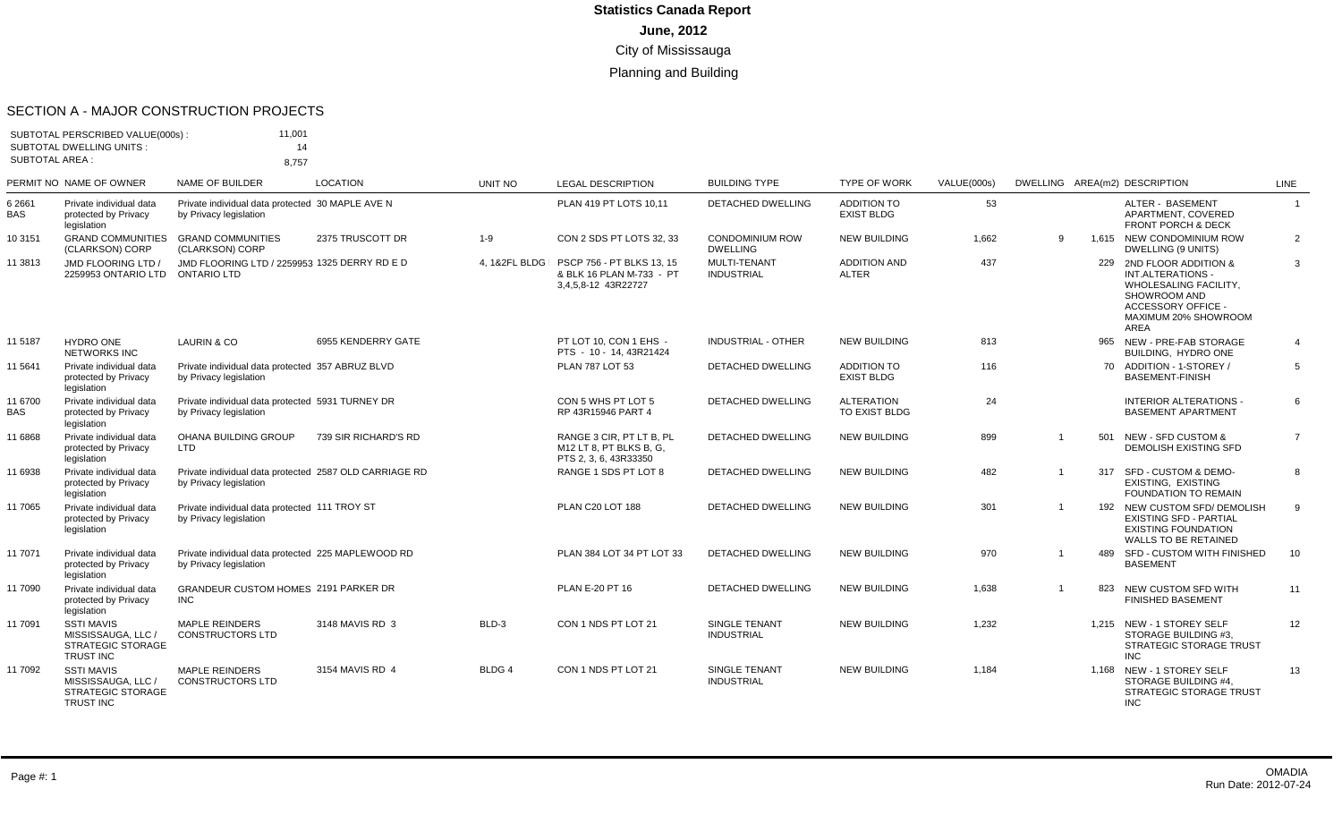#### SECTION A - MAJOR CONSTRUCTION PROJECTS

| <b>SUBTOTAL AREA:</b> | SUBTOTAL PERSCRIBED VALUE(000s):<br><b>SUBTOTAL DWELLING UNITS:</b>              | 11,001<br>14<br>8,757                                                            |                      |               |                                                                              |                                           |                                         |             |   |                                                                                                                                                     |                |
|-----------------------|----------------------------------------------------------------------------------|----------------------------------------------------------------------------------|----------------------|---------------|------------------------------------------------------------------------------|-------------------------------------------|-----------------------------------------|-------------|---|-----------------------------------------------------------------------------------------------------------------------------------------------------|----------------|
|                       | PERMIT NO NAME OF OWNER                                                          | <b>NAME OF BUILDER</b>                                                           | <b>LOCATION</b>      | UNIT NO       | <b>LEGAL DESCRIPTION</b>                                                     | <b>BUILDING TYPE</b>                      | <b>TYPE OF WORK</b>                     | VALUE(000s) |   | DWELLING AREA(m2) DESCRIPTION                                                                                                                       | <b>LINE</b>    |
| 6 2661<br>BAS         | Private individual data<br>protected by Privacy<br>legislation                   | Private individual data protected 30 MAPLE AVE N<br>by Privacy legislation       |                      |               | PLAN 419 PT LOTS 10.11                                                       | <b>DETACHED DWELLING</b>                  | <b>ADDITION TO</b><br><b>EXIST BLDG</b> | 53          |   | ALTER - BASEMENT<br>APARTMENT, COVERED<br><b>FRONT PORCH &amp; DECK</b>                                                                             | $\overline{1}$ |
| 10 3151               | <b>GRAND COMMUNITIES</b><br>(CLARKSON) CORP                                      | <b>GRAND COMMUNITIES</b><br>(CLARKSON) CORP                                      | 2375 TRUSCOTT DR     | $1-9$         | CON 2 SDS PT LOTS 32, 33                                                     | <b>CONDOMINIUM ROW</b><br><b>DWELLING</b> | <b>NEW BUILDING</b>                     | 1,662       | 9 | 1.615 NEW CONDOMINIUM ROW<br>DWELLING (9 UNITS)                                                                                                     | 2              |
| 11 3813               | JMD FLOORING LTD /<br>2259953 ONTARIO LTD ONTARIO LTD                            | JMD FLOORING LTD / 2259953 1325 DERRY RD E D                                     |                      | 4. 1&2FL BLDG | PSCP 756 - PT BLKS 13, 15<br>& BLK 16 PLAN M-733 - PT<br>3,4,5,8-12 43R22727 | MULTI-TENANT<br><b>INDUSTRIAL</b>         | <b>ADDITION AND</b><br><b>ALTER</b>     | 437         |   | 229 2ND FLOOR ADDITION &<br>INT.ALTERATIONS -<br>WHOLESALING FACILITY,<br>SHOWROOM AND<br>ACCESSORY OFFICE -<br>MAXIMUM 20% SHOWROOM<br><b>AREA</b> | $\mathbf{3}$   |
| 11 5187               | <b>HYDRO ONE</b><br>NETWORKS INC                                                 | <b>LAURIN &amp; CO</b>                                                           | 6955 KENDERRY GATE   |               | PT LOT 10. CON 1 EHS -<br>PTS - 10 - 14, 43R21424                            | <b>INDUSTRIAL - OTHER</b>                 | <b>NEW BUILDING</b>                     | 813         |   | 965 NEW - PRE-FAB STORAGE<br>BUILDING, HYDRO ONE                                                                                                    | 4              |
| 11 5641               | Private individual data<br>protected by Privacy<br>legislation                   | Private individual data protected 357 ABRUZ BLVD<br>by Privacy legislation       |                      |               | <b>PLAN 787 LOT 53</b>                                                       | DETACHED DWELLING                         | <b>ADDITION TO</b><br><b>EXIST BLDG</b> | 116         |   | 70 ADDITION - 1-STOREY /<br><b>BASEMENT-FINISH</b>                                                                                                  | 5              |
| 11 6700<br>BAS        | Private individual data<br>protected by Privacy<br>legislation                   | Private individual data protected 5931 TURNEY DR<br>by Privacy legislation       |                      |               | CON 5 WHS PT LOT 5<br>RP 43R15946 PART 4                                     | DETACHED DWELLING                         | <b>ALTERATION</b><br>TO EXIST BLDG      | 24          |   | <b>INTERIOR ALTERATIONS -</b><br><b>BASEMENT APARTMENT</b>                                                                                          | 6              |
| 11 6868               | Private individual data<br>protected by Privacy<br>legislation                   | OHANA BUILDING GROUP<br><b>LTD</b>                                               | 739 SIR RICHARD'S RD |               | RANGE 3 CIR, PT LT B, PL<br>M12 LT 8, PT BLKS B, G,<br>PTS 2, 3, 6, 43R33350 | <b>DETACHED DWELLING</b>                  | <b>NEW BUILDING</b>                     | 899         |   | 501 NEW - SFD CUSTOM &<br>DEMOLISH EXISTING SFD                                                                                                     | $\overline{7}$ |
| 11 6938               | Private individual data<br>protected by Privacy<br>legislation                   | Private individual data protected 2587 OLD CARRIAGE RD<br>by Privacy legislation |                      |               | RANGE 1 SDS PT LOT 8                                                         | <b>DETACHED DWELLING</b>                  | <b>NEW BUILDING</b>                     | 482         |   | 317 SFD - CUSTOM & DEMO-<br><b>EXISTING, EXISTING</b><br><b>FOUNDATION TO REMAIN</b>                                                                | 8              |
| 11 7065               | Private individual data<br>protected by Privacy<br>legislation                   | Private individual data protected 111 TROY ST<br>by Privacy legislation          |                      |               | PLAN C20 LOT 188                                                             | <b>DETACHED DWELLING</b>                  | <b>NEW BUILDING</b>                     | 301         |   | 192 NEW CUSTOM SFD/ DEMOLISH<br><b>EXISTING SFD - PARTIAL</b><br><b>EXISTING FOUNDATION</b><br><b>WALLS TO BE RETAINED</b>                          | 9              |
| 11 7071               | Private individual data<br>protected by Privacy<br>legislation                   | Private individual data protected 225 MAPLEWOOD RD<br>by Privacy legislation     |                      |               | PLAN 384 LOT 34 PT LOT 33                                                    | <b>DETACHED DWELLING</b>                  | <b>NEW BUILDING</b>                     | 970         |   | 489 SFD - CUSTOM WITH FINISHED<br><b>BASEMENT</b>                                                                                                   | 10             |
| 11 7090               | Private individual data<br>protected by Privacy<br>legislation                   | <b>GRANDEUR CUSTOM HOMES 2191 PARKER DR</b><br>INC.                              |                      |               | <b>PLAN E-20 PT 16</b>                                                       | <b>DETACHED DWELLING</b>                  | <b>NEW BUILDING</b>                     | 1,638       |   | 823 NEW CUSTOM SFD WITH<br><b>FINISHED BASEMENT</b>                                                                                                 | 11             |
| 11 7091               | <b>SSTI MAVIS</b><br>MISSISSAUGA, LLC /<br><b>STRATEGIC STORAGE</b><br>TRUST INC | <b>MAPLE REINDERS</b><br><b>CONSTRUCTORS LTD</b>                                 | 3148 MAVIS RD 3      | BLD-3         | CON 1 NDS PT LOT 21                                                          | SINGLE TENANT<br><b>INDUSTRIAL</b>        | <b>NEW BUILDING</b>                     | 1,232       |   | 1,215 NEW - 1 STOREY SELF<br>STORAGE BUILDING #3.<br><b>STRATEGIC STORAGE TRUST</b><br><b>INC</b>                                                   | 12             |
| 11 7092               | <b>SSTI MAVIS</b><br>MISSISSAUGA, LLC /<br><b>STRATEGIC STORAGE</b><br>TRUST INC | <b>MAPLE REINDERS</b><br><b>CONSTRUCTORS LTD</b>                                 | 3154 MAVIS RD 4      | BLDG 4        | CON 1 NDS PT LOT 21                                                          | SINGLE TENANT<br><b>INDUSTRIAL</b>        | <b>NEW BUILDING</b>                     | 1,184       |   | 1,168 NEW - 1 STOREY SELF<br>STORAGE BUILDING #4.<br><b>STRATEGIC STORAGE TRUST</b><br><b>INC</b>                                                   | 13             |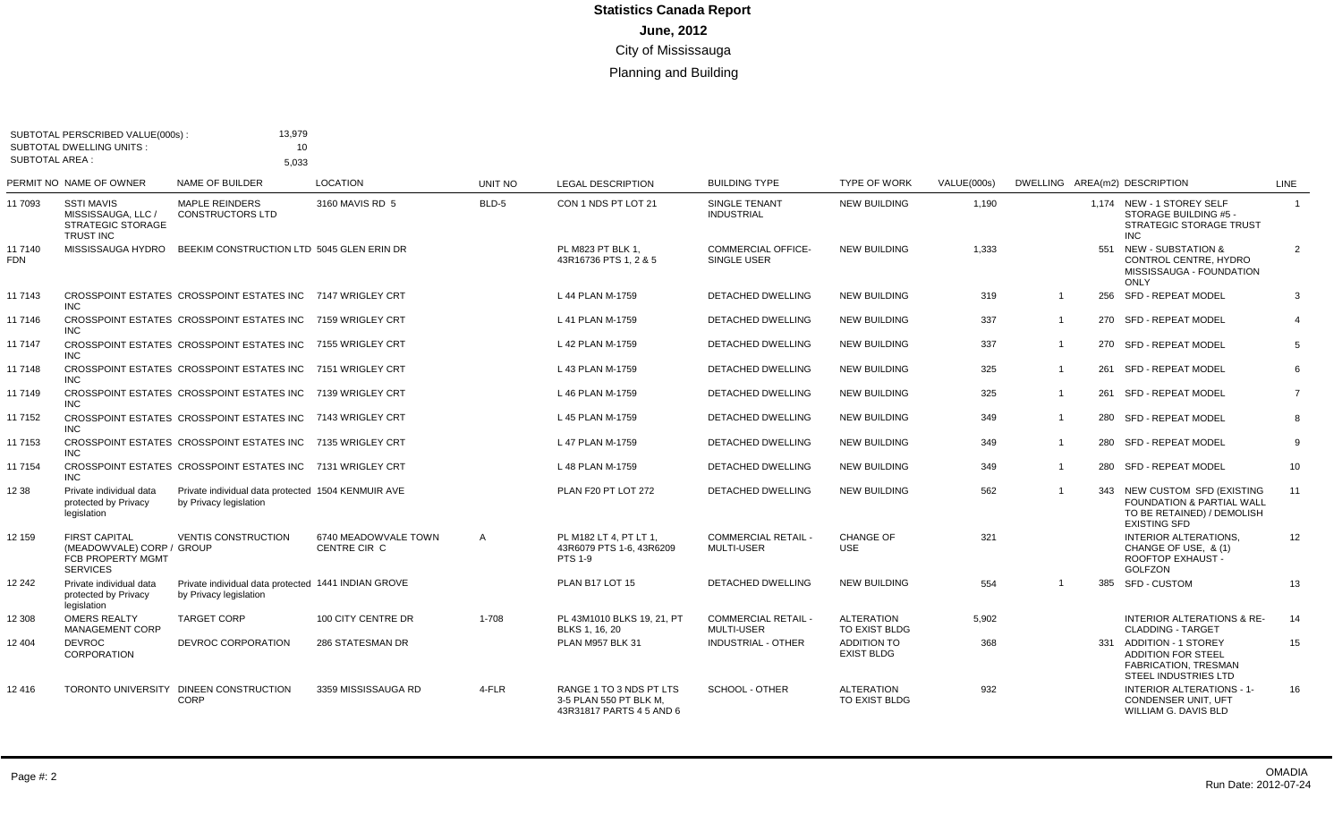|                       | SUBTOTAL PERSCRIBED VALUE(000s):<br><b>SUBTOTAL DWELLING UNITS:</b>                       | 13,979<br>10                                                                  |                                      |         |                                                                               |                                                 |                                    |             |                |     |                                                                                                                |                |
|-----------------------|-------------------------------------------------------------------------------------------|-------------------------------------------------------------------------------|--------------------------------------|---------|-------------------------------------------------------------------------------|-------------------------------------------------|------------------------------------|-------------|----------------|-----|----------------------------------------------------------------------------------------------------------------|----------------|
| <b>SUBTOTAL AREA:</b> |                                                                                           | 5,033                                                                         |                                      |         |                                                                               |                                                 |                                    |             |                |     |                                                                                                                |                |
|                       | PERMIT NO NAME OF OWNER                                                                   | NAME OF BUILDER                                                               | <b>LOCATION</b>                      | UNIT NO | <b>LEGAL DESCRIPTION</b>                                                      | <b>BUILDING TYPE</b>                            | <b>TYPE OF WORK</b>                | VALUE(000s) |                |     | DWELLING AREA(m2) DESCRIPTION                                                                                  | <b>LINE</b>    |
| 11 7093               | <b>SSTI MAVIS</b><br>MISSISSAUGA, LLC /<br><b>STRATEGIC STORAGE</b><br><b>TRUST INC</b>   | <b>MAPLE REINDERS</b><br><b>CONSTRUCTORS LTD</b>                              | 3160 MAVIS RD 5                      | BLD-5   | CON 1 NDS PT LOT 21                                                           | SINGLE TENANT<br><b>INDUSTRIAL</b>              | <b>NEW BUILDING</b>                | 1,190       |                |     | 1.174 NEW - 1 STOREY SELF<br>STORAGE BUILDING #5 -<br><b>STRATEGIC STORAGE TRUST</b><br><b>INC</b>             | $\overline{1}$ |
| 11 7140<br><b>FDN</b> |                                                                                           | MISSISSAUGA HYDRO BEEKIM CONSTRUCTION LTD 5045 GLEN ERIN DR                   |                                      |         | PL M823 PT BLK 1,<br>43R16736 PTS 1, 2 & 5                                    | <b>COMMERCIAL OFFICE-</b><br>SINGLE USER        | <b>NEW BUILDING</b>                | 1,333       |                | 551 | <b>NEW - SUBSTATION &amp;</b><br>CONTROL CENTRE, HYDRO<br>MISSISSAUGA - FOUNDATION<br>ONLY                     | $\overline{2}$ |
| 11 7143               | <b>INC</b>                                                                                | CROSSPOINT ESTATES CROSSPOINT ESTATES INC 7147 WRIGLEY CRT                    |                                      |         | L 44 PLAN M-1759                                                              | DETACHED DWELLING                               | <b>NEW BUILDING</b>                | 319         | $\overline{1}$ |     | 256 SFD - REPEAT MODEL                                                                                         | 3              |
| 11 7146               | INC.                                                                                      | CROSSPOINT ESTATES CROSSPOINT ESTATES INC 7159 WRIGLEY CRT                    |                                      |         | L 41 PLAN M-1759                                                              | DETACHED DWELLING                               | <b>NEW BUILDING</b>                | 337         | $\overline{1}$ |     | 270 SFD - REPEAT MODEL                                                                                         | $\overline{4}$ |
| 11 7147               | <b>INC</b>                                                                                | CROSSPOINT ESTATES CROSSPOINT ESTATES INC 7155 WRIGLEY CRT                    |                                      |         | L 42 PLAN M-1759                                                              | <b>DETACHED DWELLING</b>                        | <b>NEW BUILDING</b>                | 337         | $\overline{1}$ |     | 270 SFD - REPEAT MODEL                                                                                         | 5              |
| 11 7148               | <b>INC</b>                                                                                | CROSSPOINT ESTATES CROSSPOINT ESTATES INC 7151 WRIGLEY CRT                    |                                      |         | L 43 PLAN M-1759                                                              | <b>DETACHED DWELLING</b>                        | <b>NEW BUILDING</b>                | 325         | $\overline{1}$ | 261 | SFD - REPEAT MODEL                                                                                             | 6              |
| 11 7149               | <b>INC</b>                                                                                | CROSSPOINT ESTATES CROSSPOINT ESTATES INC 7139 WRIGLEY CRT                    |                                      |         | L 46 PLAN M-1759                                                              | <b>DETACHED DWELLING</b>                        | <b>NEW BUILDING</b>                | 325         | $\mathbf{1}$   | 261 | <b>SFD - REPEAT MODEL</b>                                                                                      | $\overline{7}$ |
| 11 7152               | INC.                                                                                      | CROSSPOINT ESTATES CROSSPOINT ESTATES INC 7143 WRIGLEY CRT                    |                                      |         | L 45 PLAN M-1759                                                              | <b>DETACHED DWELLING</b>                        | <b>NEW BUILDING</b>                | 349         | $\overline{1}$ |     | 280 SFD - REPEAT MODEL                                                                                         | 8              |
| 11 7153               | <b>INC</b>                                                                                | CROSSPOINT ESTATES CROSSPOINT ESTATES INC 7135 WRIGLEY CRT                    |                                      |         | L 47 PLAN M-1759                                                              | <b>DETACHED DWELLING</b>                        | <b>NEW BUILDING</b>                | 349         | $\overline{1}$ | 280 | SFD - REPEAT MODEL                                                                                             | 9              |
| 11 7154               | <b>INC</b>                                                                                | CROSSPOINT ESTATES CROSSPOINT ESTATES INC 7131 WRIGLEY CRT                    |                                      |         | L 48 PLAN M-1759                                                              | DETACHED DWELLING                               | <b>NEW BUILDING</b>                | 349         | $\overline{1}$ |     | 280 SFD - REPEAT MODEL                                                                                         | 10             |
| 12 38                 | Private individual data<br>protected by Privacy<br>legislation                            | Private individual data protected 1504 KENMUIR AVE<br>by Privacy legislation  |                                      |         | PLAN F20 PT LOT 272                                                           | <b>DETACHED DWELLING</b>                        | <b>NEW BUILDING</b>                | 562         | $\overline{1}$ |     | 343 NEW CUSTOM SFD (EXISTING<br>FOUNDATION & PARTIAL WALL<br>TO BE RETAINED) / DEMOLISH<br><b>EXISTING SFD</b> | 11             |
| 12 159                | <b>FIRST CAPITAL</b><br>(MEADOWVALE) CORP / GROUP<br>FCB PROPERTY MGMT<br><b>SERVICES</b> | <b>VENTIS CONSTRUCTION</b>                                                    | 6740 MEADOWVALE TOWN<br>CENTRE CIR C | A       | PL M182 LT 4, PT LT 1,<br>43R6079 PTS 1-6, 43R6209<br><b>PTS 1-9</b>          | <b>COMMERCIAL RETAIL -</b><br><b>MULTI-USER</b> | <b>CHANGE OF</b><br><b>USE</b>     | 321         |                |     | <b>INTERIOR ALTERATIONS,</b><br>CHANGE OF USE, & (1)<br>ROOFTOP EXHAUST -<br><b>GOLFZON</b>                    | 12             |
| 12 242                | Private individual data<br>protected by Privacy<br>legislation                            | Private individual data protected 1441 INDIAN GROVE<br>by Privacy legislation |                                      |         | PLAN B17 LOT 15                                                               | <b>DETACHED DWELLING</b>                        | <b>NEW BUILDING</b>                | 554         | $\overline{1}$ | 385 | <b>SFD - CUSTOM</b>                                                                                            | 13             |
| 12 308                | <b>OMERS REALTY</b><br><b>MANAGEMENT CORP</b>                                             | <b>TARGET CORP</b>                                                            | 100 CITY CENTRE DR                   | 1-708   | PL 43M1010 BLKS 19, 21, PT<br>BLKS 1, 16, 20                                  | <b>COMMERCIAL RETAIL -</b><br><b>MULTI-USER</b> | <b>ALTERATION</b><br>TO EXIST BLDG | 5.902       |                |     | <b>INTERIOR ALTERATIONS &amp; RE-</b><br><b>CLADDING - TARGET</b>                                              | 14             |
| 12 404                | <b>DEVROC</b><br><b>CORPORATION</b>                                                       | DEVROC CORPORATION                                                            | 286 STATESMAN DR                     |         | PLAN M957 BLK 31                                                              | INDUSTRIAL - OTHER                              | ADDITION TO<br><b>EXIST BLDG</b>   | 368         |                |     | 331 ADDITION - 1 STOREY<br><b>ADDITION FOR STEEL</b><br>FABRICATION, TRESMAN<br><b>STEEL INDUSTRIES LTD</b>    | 15             |
| 12 416                |                                                                                           | TORONTO UNIVERSITY DINEEN CONSTRUCTION<br><b>CORP</b>                         | 3359 MISSISSAUGA RD                  | 4-FLR   | RANGE 1 TO 3 NDS PT LTS<br>3-5 PLAN 550 PT BLK M.<br>43R31817 PARTS 4 5 AND 6 | <b>SCHOOL - OTHER</b>                           | <b>ALTERATION</b><br>TO EXIST BLDG | 932         |                |     | <b>INTERIOR ALTERATIONS - 1-</b><br>CONDENSER UNIT, UFT<br>WILLIAM G. DAVIS BLD                                | 16             |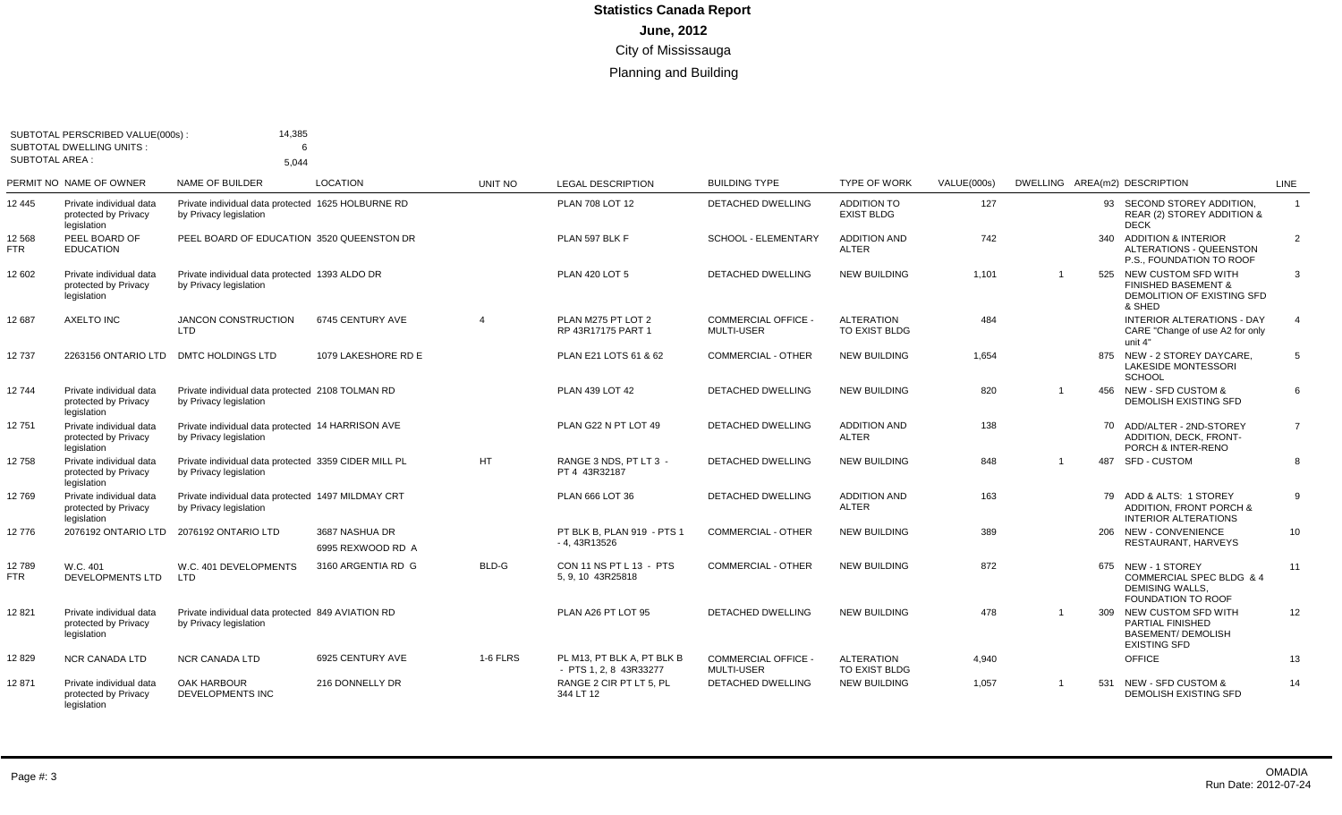| <b>SUBTOTAL AREA:</b> | SUBTOTAL PERSCRIBED VALUE(000s):<br><b>SUBTOTAL DWELLING UNITS:</b> | 14,385<br>6                                                                    |                                     |                          |                                                      |                                                 |                                         |             |                |     |                                                                                                    |                |
|-----------------------|---------------------------------------------------------------------|--------------------------------------------------------------------------------|-------------------------------------|--------------------------|------------------------------------------------------|-------------------------------------------------|-----------------------------------------|-------------|----------------|-----|----------------------------------------------------------------------------------------------------|----------------|
|                       |                                                                     | 5.044                                                                          |                                     |                          |                                                      |                                                 |                                         |             |                |     |                                                                                                    |                |
|                       | PERMIT NO NAME OF OWNER                                             | <b>NAME OF BUILDER</b>                                                         | <b>LOCATION</b>                     | UNIT NO                  | <b>LEGAL DESCRIPTION</b>                             | <b>BUILDING TYPE</b>                            | <b>TYPE OF WORK</b>                     | VALUE(000s) |                |     | DWELLING AREA(m2) DESCRIPTION                                                                      | LINE           |
| 12 445                | Private individual data<br>protected by Privacy<br>legislation      | Private individual data protected 1625 HOLBURNE RD<br>by Privacy legislation   |                                     |                          | PLAN 708 LOT 12                                      | <b>DETACHED DWELLING</b>                        | <b>ADDITION TO</b><br><b>EXIST BLDG</b> | 127         |                | 93  | SECOND STOREY ADDITION,<br>REAR (2) STOREY ADDITION &<br><b>DECK</b>                               | $\overline{1}$ |
| 12 568<br>FTR         | PEEL BOARD OF<br><b>EDUCATION</b>                                   | PEEL BOARD OF EDUCATION 3520 QUEENSTON DR                                      |                                     |                          | PLAN 597 BLK F                                       | <b>SCHOOL - ELEMENTARY</b>                      | <b>ADDITION AND</b><br><b>ALTER</b>     | 742         |                | 340 | <b>ADDITION &amp; INTERIOR</b><br><b>ALTERATIONS - QUEENSTON</b><br>P.S., FOUNDATION TO ROOF       | $\overline{2}$ |
| 12 602                | Private individual data<br>protected by Privacy<br>legislation      | Private individual data protected 1393 ALDO DR<br>by Privacy legislation       |                                     |                          | <b>PLAN 420 LOT 5</b>                                | <b>DETACHED DWELLING</b>                        | <b>NEW BUILDING</b>                     | 1,101       | $\overline{1}$ |     | 525 NEW CUSTOM SFD WITH<br><b>FINISHED BASEMENT &amp;</b><br>DEMOLITION OF EXISTING SFD<br>& SHED  | 3              |
| 12 687                | <b>AXELTO INC</b>                                                   | <b>JANCON CONSTRUCTION</b><br><b>LTD</b>                                       | 6745 CENTURY AVE                    | $\boldsymbol{\varDelta}$ | PLAN M275 PT LOT 2<br>RP 43R17175 PART 1             | COMMERCIAL OFFICE -<br><b>MULTI-USER</b>        | <b>ALTERATION</b><br>TO EXIST BLDG      | 484         |                |     | <b>INTERIOR ALTERATIONS - DAY</b><br>CARE "Change of use A2 for only<br>unit 4"                    | $\overline{4}$ |
| 12737                 | 2263156 ONTARIO LTD                                                 | <b>DMTC HOLDINGS LTD</b>                                                       | 1079 LAKESHORE RD E                 |                          | PLAN E21 LOTS 61 & 62                                | <b>COMMERCIAL - OTHER</b>                       | <b>NEW BUILDING</b>                     | 1,654       |                |     | 875 NEW - 2 STOREY DAYCARE,<br><b>LAKESIDE MONTESSORI</b><br><b>SCHOOL</b>                         | 5              |
| 12744                 | Private individual data<br>protected by Privacy<br>legislation      | Private individual data protected 2108 TOLMAN RD<br>by Privacy legislation     |                                     |                          | PLAN 439 LOT 42                                      | <b>DETACHED DWELLING</b>                        | <b>NEW BUILDING</b>                     | 820         | $\overline{1}$ |     | 456 NEW - SFD CUSTOM &<br>DEMOLISH EXISTING SFD                                                    | 6              |
| 12751                 | Private individual data<br>protected by Privacy<br>legislation      | Private individual data protected 14 HARRISON AVE<br>by Privacy legislation    |                                     |                          | PLAN G22 N PT LOT 49                                 | <b>DETACHED DWELLING</b>                        | <b>ADDITION AND</b><br><b>ALTER</b>     | 138         |                | 70  | ADD/ALTER - 2ND-STOREY<br>ADDITION, DECK, FRONT-<br>PORCH & INTER-RENO                             | $\overline{7}$ |
| 12 758                | Private individual data<br>protected by Privacy<br>legislation      | Private individual data protected 3359 CIDER MILL PL<br>by Privacy legislation |                                     | <b>HT</b>                | RANGE 3 NDS, PT LT 3 -<br>PT 4 43R32187              | <b>DETACHED DWELLING</b>                        | <b>NEW BUILDING</b>                     | 848         | $\overline{1}$ | 487 | <b>SFD - CUSTOM</b>                                                                                | 8              |
| 12769                 | Private individual data<br>protected by Privacy<br>legislation      | Private individual data protected 1497 MILDMAY CRT<br>by Privacy legislation   |                                     |                          | PLAN 666 LOT 36                                      | <b>DETACHED DWELLING</b>                        | <b>ADDITION AND</b><br><b>ALTER</b>     | 163         |                |     | 79 ADD & ALTS: 1 STOREY<br><b>ADDITION. FRONT PORCH &amp;</b><br>INTERIOR ALTERATIONS              | 9              |
| 12776                 | 2076192 ONTARIO LTD                                                 | 2076192 ONTARIO LTD                                                            | 3687 NASHUA DR<br>6995 REXWOOD RD A |                          | PT BLK B, PLAN 919 - PTS 1<br>$-4,43R13526$          | <b>COMMERCIAL - OTHER</b>                       | <b>NEW BUILDING</b>                     | 389         |                |     | 206 NEW - CONVENIENCE<br>RESTAURANT, HARVEYS                                                       | 10             |
| 12 789<br>FTR         | W.C. 401<br><b>DEVELOPMENTS LTD</b>                                 | W.C. 401 DEVELOPMENTS<br>LTD                                                   | 3160 ARGENTIA RD G                  | BLD-G                    | CON 11 NS PT L 13 - PTS<br>5, 9, 10 43R25818         | COMMERCIAL - OTHER                              | <b>NEW BUILDING</b>                     | 872         |                |     | 675 NEW - 1 STOREY<br>COMMERCIAL SPEC BLDG & 4<br>DEMISING WALLS.<br><b>FOUNDATION TO ROOF</b>     | 11             |
| 12 821                | Private individual data<br>protected by Privacy<br>legislation      | Private individual data protected 849 AVIATION RD<br>by Privacy legislation    |                                     |                          | PLAN A26 PT LOT 95                                   | <b>DETACHED DWELLING</b>                        | <b>NEW BUILDING</b>                     | 478         | $\mathbf{1}$   | 309 | NEW CUSTOM SFD WITH<br><b>PARTIAL FINISHED</b><br><b>BASEMENT/ DEMOLISH</b><br><b>EXISTING SFD</b> | 12             |
| 12829                 | <b>NCR CANADA LTD</b>                                               | <b>NCR CANADA LTD</b>                                                          | 6925 CENTURY AVE                    | 1-6 FLRS                 | PL M13. PT BLK A. PT BLK B<br>- PTS 1, 2, 8 43R33277 | <b>COMMERCIAL OFFICE -</b><br><b>MULTI-USER</b> | <b>ALTERATION</b><br>TO EXIST BLDG      | 4,940       |                |     | <b>OFFICE</b>                                                                                      | 13             |
| 12 871                | Private individual data<br>protected by Privacy<br>legislation      | OAK HARBOUR<br>DEVELOPMENTS INC                                                | 216 DONNELLY DR                     |                          | RANGE 2 CIR PT LT 5, PL<br>344 LT 12                 | DETACHED DWELLING                               | <b>NEW BUILDING</b>                     | 1,057       | $\mathbf{1}$   |     | 531 NEW - SFD CUSTOM &<br><b>DEMOLISH EXISTING SFD</b>                                             | 14             |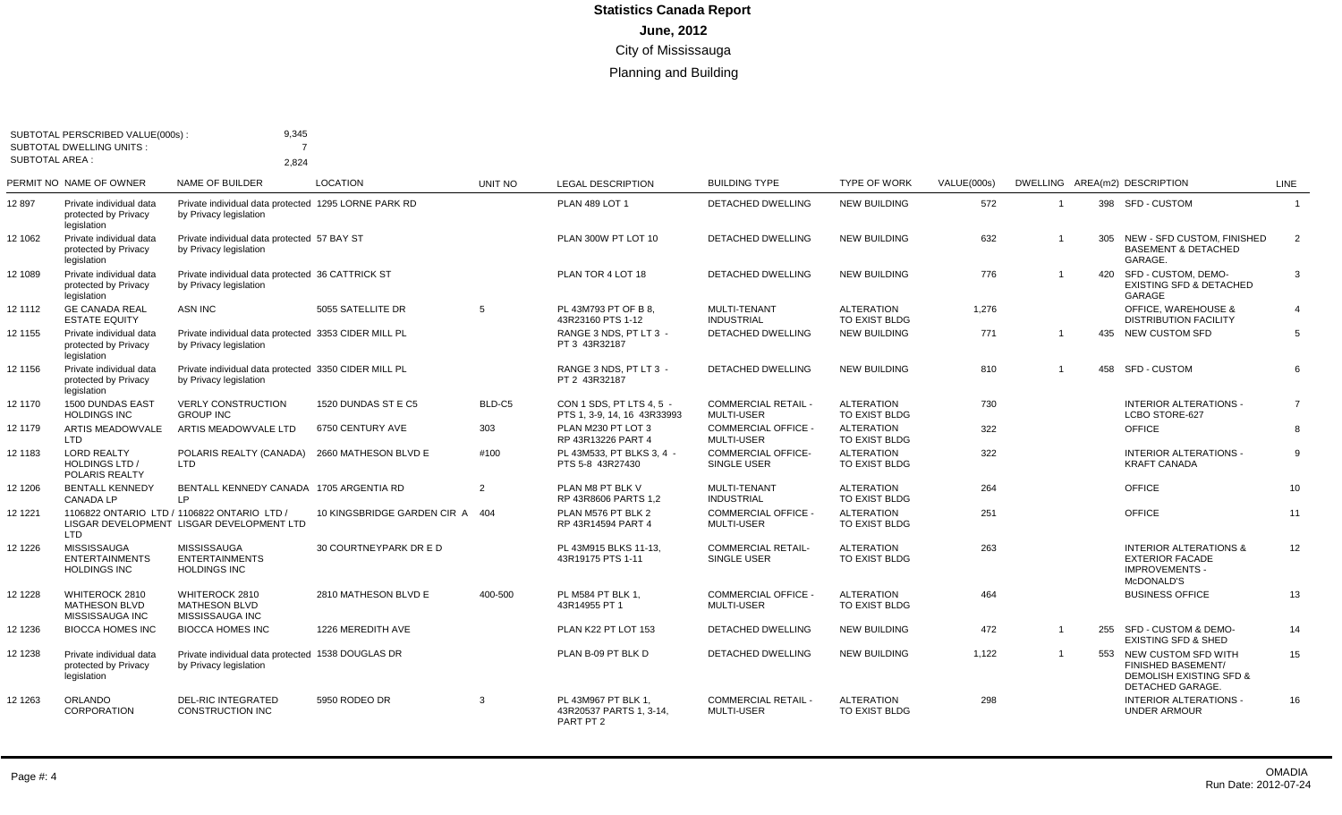| <b>SUBTOTAL AREA:</b> | SUBTOTAL PERSCRIBED VALUE(000s)<br><b>SUBTOTAL DWELLING UNITS:</b> | 9,345<br>$\overline{7}$                                                                  |                             |                |                                                             |                                                 |                                    |             |                         |     |                                                                                                                |                |
|-----------------------|--------------------------------------------------------------------|------------------------------------------------------------------------------------------|-----------------------------|----------------|-------------------------------------------------------------|-------------------------------------------------|------------------------------------|-------------|-------------------------|-----|----------------------------------------------------------------------------------------------------------------|----------------|
|                       | PERMIT NO NAME OF OWNER                                            | 2.824<br><b>NAME OF BUILDER</b>                                                          | <b>LOCATION</b>             | <b>UNIT NO</b> | <b>LEGAL DESCRIPTION</b>                                    | <b>BUILDING TYPE</b>                            | <b>TYPE OF WORK</b>                | VALUE(000s) |                         |     | DWELLING AREA(m2) DESCRIPTION                                                                                  | <b>LINE</b>    |
| 12 897                | Private individual data<br>protected by Privacy<br>legislation     | Private individual data protected 1295 LORNE PARK RD<br>by Privacy legislation           |                             |                | <b>PLAN 489 LOT 1</b>                                       | <b>DETACHED DWELLING</b>                        | <b>NEW BUILDING</b>                | 572         | $\overline{\mathbf{1}}$ |     | 398 SFD - CUSTOM                                                                                               | $\mathbf{1}$   |
| 12 1062               | Private individual data<br>protected by Privacy<br>legislation     | Private individual data protected 57 BAY ST<br>by Privacy legislation                    |                             |                | PLAN 300W PT LOT 10                                         | <b>DETACHED DWELLING</b>                        | <b>NEW BUILDING</b>                | 632         | $\overline{1}$          |     | 305 NEW - SFD CUSTOM, FINISHED<br><b>BASEMENT &amp; DETACHED</b><br>GARAGE.                                    | 2              |
| 12 1089               | Private individual data<br>protected by Privacy<br>legislation     | Private individual data protected 36 CATTRICK ST<br>by Privacy legislation               |                             |                | PLAN TOR 4 LOT 18                                           | DETACHED DWELLING                               | <b>NEW BUILDING</b>                | 776         |                         | 420 | SFD - CUSTOM, DEMO-<br><b>EXISTING SFD &amp; DETACHED</b><br>GARAGE                                            | 3              |
| 12 1112               | <b>GE CANADA REAL</b><br><b>ESTATE EQUITY</b>                      | <b>ASN INC</b>                                                                           | 5055 SATELLITE DR           | 5              | PL 43M793 PT OF B 8.<br>43R23160 PTS 1-12                   | <b>MULTI-TENANT</b><br><b>INDUSTRIAL</b>        | <b>ALTERATION</b><br>TO EXIST BLDG | 1,276       |                         |     | <b>OFFICE, WAREHOUSE &amp;</b><br><b>DISTRIBUTION FACILITY</b>                                                 | $\overline{4}$ |
| 12 1155               | Private individual data<br>protected by Privacy<br>legislation     | Private individual data protected 3353 CIDER MILL PL<br>by Privacy legislation           |                             |                | RANGE 3 NDS. PT LT 3 -<br>PT 3 43R32187                     | <b>DETACHED DWELLING</b>                        | <b>NEW BUILDING</b>                | 771         |                         |     | 435 NEW CUSTOM SFD                                                                                             | 5              |
| 12 1156               | Private individual data<br>protected by Privacy<br>legislation     | Private individual data protected 3350 CIDER MILL PL<br>by Privacy legislation           |                             |                | RANGE 3 NDS, PT LT 3 -<br>PT 2 43R32187                     | <b>DETACHED DWELLING</b>                        | <b>NEW BUILDING</b>                | 810         |                         |     | 458 SFD - CUSTOM                                                                                               | 6              |
| 12 1170               | 1500 DUNDAS EAST<br><b>HOLDINGS INC</b>                            | <b>VERLY CONSTRUCTION</b><br><b>GROUP INC</b>                                            | 1520 DUNDAS ST E C5         | BLD-C5         | CON 1 SDS. PT LTS 4.5 -<br>PTS 1, 3-9, 14, 16 43R33993      | <b>COMMERCIAL RETAIL -</b><br>MULTI-USER        | <b>ALTERATION</b><br>TO EXIST BLDG | 730         |                         |     | <b>INTERIOR ALTERATIONS -</b><br>LCBO STORE-627                                                                | $\overline{7}$ |
| 12 1179               | ARTIS MEADOWVALE<br>LTD                                            | ARTIS MEADOWVALE LTD                                                                     | 6750 CENTURY AVE            | 303            | PLAN M230 PT LOT 3<br>RP 43R13226 PART 4                    | COMMERCIAL OFFICE -<br><b>MULTI-USER</b>        | <b>ALTERATION</b><br>TO EXIST BLDG | 322         |                         |     | <b>OFFICE</b>                                                                                                  | 8              |
| 12 1183               | <b>LORD REALTY</b><br><b>HOLDINGS LTD /</b><br>POLARIS REALTY      | POLARIS REALTY (CANADA)<br>LTD                                                           | 2660 MATHESON BLVD E        | #100           | PL 43M533. PT BLKS 3.4 -<br>PTS 5-8 43R27430                | <b>COMMERCIAL OFFICE-</b><br><b>SINGLE USER</b> | <b>ALTERATION</b><br>TO EXIST BLDG | 322         |                         |     | INTERIOR ALTERATIONS -<br><b>KRAFT CANADA</b>                                                                  | 9              |
| 12 1206               | <b>BENTALL KENNEDY</b><br><b>CANADA LP</b>                         | BENTALL KENNEDY CANADA 1705 ARGENTIA RD<br>LP.                                           |                             | 2              | PLAN M8 PT BLK V<br>RP 43R8606 PARTS 1.2                    | <b>MULTI-TENANT</b><br><b>INDUSTRIAL</b>        | <b>ALTERATION</b><br>TO EXIST BLDG | 264         |                         |     | <b>OFFICE</b>                                                                                                  | 10             |
| 12 12 21              | <b>LTD</b>                                                         | 1106822 ONTARIO LTD / 1106822 ONTARIO LTD /<br>LISGAR DEVELOPMENT LISGAR DEVELOPMENT LTD | 10 KINGSBRIDGE GARDEN CIR A | 404            | PLAN M576 PT BLK 2<br>RP 43R14594 PART 4                    | <b>COMMERCIAL OFFICE -</b><br><b>MULTI-USER</b> | <b>ALTERATION</b><br>TO EXIST BLDG | 251         |                         |     | <b>OFFICE</b>                                                                                                  | 11             |
| 12 1226               | <b>MISSISSAUGA</b><br><b>ENTERTAINMENTS</b><br><b>HOLDINGS INC</b> | <b>MISSISSAUGA</b><br><b>ENTERTAINMENTS</b><br><b>HOLDINGS INC</b>                       | 30 COURTNEYPARK DR E D      |                | PL 43M915 BLKS 11-13,<br>43R19175 PTS 1-11                  | <b>COMMERCIAL RETAIL-</b><br>SINGLE USER        | <b>ALTERATION</b><br>TO EXIST BLDG | 263         |                         |     | <b>INTERIOR ALTERATIONS &amp;</b><br><b>EXTERIOR FACADE</b><br><b>IMPROVEMENTS -</b><br>McDONALD'S             | 12             |
| 12 12 28              | WHITEROCK 2810<br><b>MATHESON BLVD</b><br>MISSISSAUGA INC          | WHITEROCK 2810<br><b>MATHESON BLVD</b><br>MISSISSAUGA INC                                | 2810 MATHESON BLVD E        | 400-500        | PL M584 PT BLK 1.<br>43R14955 PT 1                          | <b>COMMERCIAL OFFICE -</b><br><b>MULTI-USER</b> | <b>ALTERATION</b><br>TO EXIST BLDG | 464         |                         |     | <b>BUSINESS OFFICE</b>                                                                                         | 13             |
| 12 12 36              | <b>BIOCCA HOMES INC</b>                                            | <b>BIOCCA HOMES INC</b>                                                                  | 1226 MEREDITH AVE           |                | PLAN K22 PT LOT 153                                         | <b>DETACHED DWELLING</b>                        | <b>NEW BUILDING</b>                | 472         | $\overline{1}$          |     | 255 SFD - CUSTOM & DEMO-<br><b>EXISTING SFD &amp; SHED</b>                                                     | 14             |
| 12 1238               | Private individual data<br>protected by Privacy<br>legislation     | Private individual data protected 1538 DOUGLAS DR<br>by Privacy legislation              |                             |                | PLAN B-09 PT BLK D                                          | <b>DETACHED DWELLING</b>                        | <b>NEW BUILDING</b>                | 1,122       |                         |     | 553 NEW CUSTOM SFD WITH<br><b>FINISHED BASEMENT/</b><br><b>DEMOLISH EXISTING SFD &amp;</b><br>DETACHED GARAGE. | 15             |
| 12 12 63              | <b>ORLANDO</b><br><b>CORPORATION</b>                               | <b>DEL-RIC INTEGRATED</b><br>CONSTRUCTION INC                                            | 5950 RODEO DR               | 3              | PL 43M967 PT BLK 1,<br>43R20537 PARTS 1, 3-14,<br>PART PT 2 | <b>COMMERCIAL RETAIL -</b><br><b>MULTI-USER</b> | <b>ALTERATION</b><br>TO EXIST BLDG | 298         |                         |     | <b>INTERIOR ALTERATIONS -</b><br><b>UNDER ARMOUR</b>                                                           | 16             |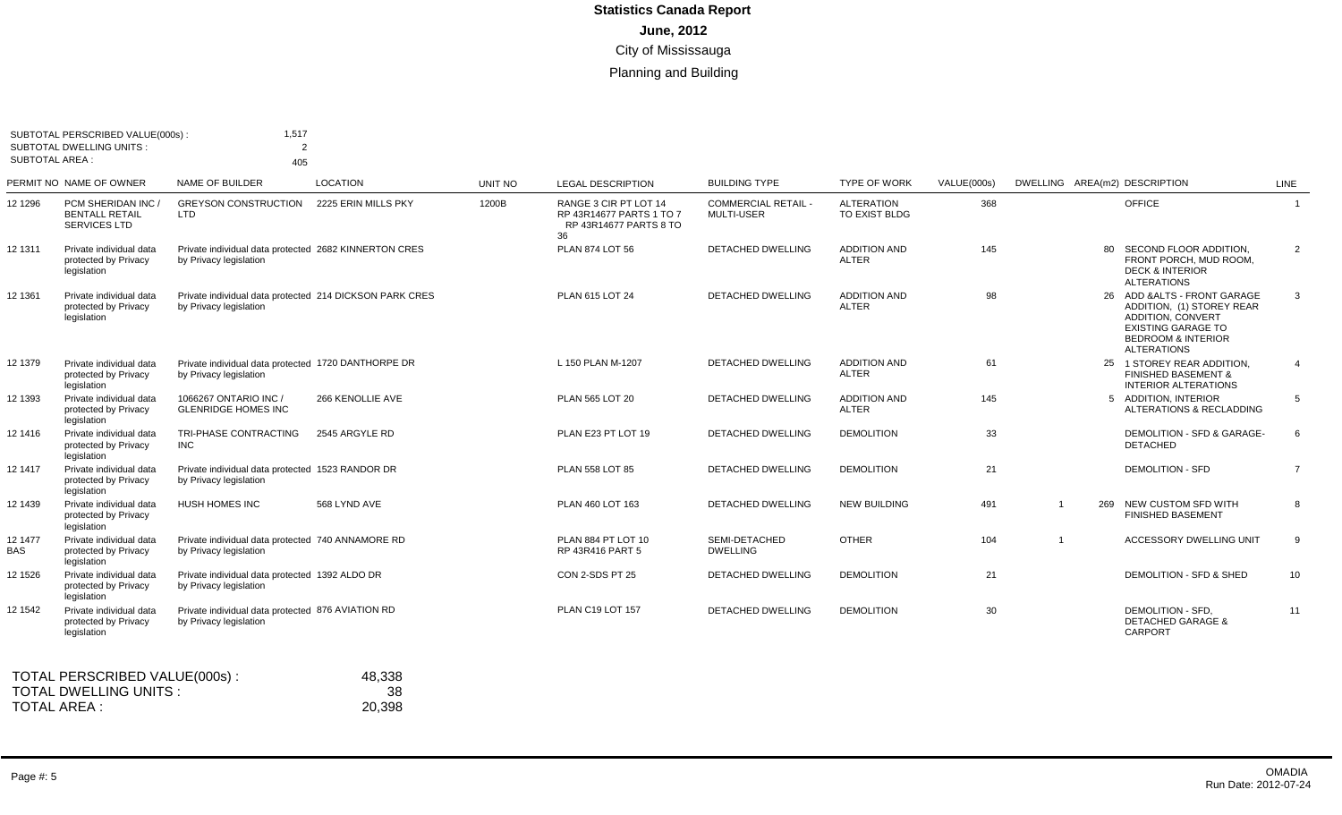|                 | SUBTOTAL PERSCRIBED VALUE(000s):<br><b>SUBTOTAL DWELLING UNITS:</b> | 1,517<br>$\overline{2}$                                                           |                     |         |                                                                                   |                                                 |                                     |             |     |                                                                                                                                                                           |                |
|-----------------|---------------------------------------------------------------------|-----------------------------------------------------------------------------------|---------------------|---------|-----------------------------------------------------------------------------------|-------------------------------------------------|-------------------------------------|-------------|-----|---------------------------------------------------------------------------------------------------------------------------------------------------------------------------|----------------|
| SUBTOTAL AREA : |                                                                     | 405                                                                               |                     |         |                                                                                   |                                                 |                                     |             |     |                                                                                                                                                                           |                |
|                 | PERMIT NO NAME OF OWNER                                             | NAME OF BUILDER                                                                   | <b>LOCATION</b>     | UNIT NO | <b>LEGAL DESCRIPTION</b>                                                          | <b>BUILDING TYPE</b>                            | <b>TYPE OF WORK</b>                 | VALUE(000s) |     | DWELLING AREA(m2) DESCRIPTION                                                                                                                                             | LINE           |
| 12 1296         | PCM SHERIDAN INC /<br><b>BENTALL RETAIL</b><br><b>SERVICES LTD</b>  | <b>GREYSON CONSTRUCTION</b><br>LTD                                                | 2225 ERIN MILLS PKY | 1200B   | RANGE 3 CIR PT LOT 14<br>RP 43R14677 PARTS 1 TO 7<br>RP 43R14677 PARTS 8 TO<br>36 | <b>COMMERCIAL RETAIL -</b><br><b>MULTI-USER</b> | <b>ALTERATION</b><br>TO EXIST BLDG  | 368         |     | <b>OFFICE</b>                                                                                                                                                             | $\mathbf{1}$   |
| 12 1311         | Private individual data<br>protected by Privacy<br>legislation      | Private individual data protected 2682 KINNERTON CRES<br>by Privacy legislation   |                     |         | <b>PLAN 874 LOT 56</b>                                                            | <b>DETACHED DWELLING</b>                        | <b>ADDITION AND</b><br><b>ALTER</b> | 145         |     | 80 SECOND FLOOR ADDITION,<br>FRONT PORCH, MUD ROOM,<br><b>DECK &amp; INTERIOR</b><br><b>ALTERATIONS</b>                                                                   | 2              |
| 12 1361         | Private individual data<br>protected by Privacy<br>legislation      | Private individual data protected 214 DICKSON PARK CRES<br>by Privacy legislation |                     |         | PLAN 615 LOT 24                                                                   | <b>DETACHED DWELLING</b>                        | <b>ADDITION AND</b><br><b>ALTER</b> | 98          |     | 26 ADD & ALTS - FRONT GARAGE<br>ADDITION, (1) STOREY REAR<br><b>ADDITION, CONVERT</b><br><b>EXISTING GARAGE TO</b><br><b>BEDROOM &amp; INTERIOR</b><br><b>ALTERATIONS</b> | 3              |
| 12 1379         | Private individual data<br>protected by Privacy<br>legislation      | Private individual data protected 1720 DANTHORPE DR<br>by Privacy legislation     |                     |         | L 150 PLAN M-1207                                                                 | <b>DETACHED DWELLING</b>                        | <b>ADDITION AND</b><br>ALTER        | 61          |     | 25 1 STOREY REAR ADDITION.<br><b>FINISHED BASEMENT &amp;</b><br><b>INTERIOR ALTERATIONS</b>                                                                               | $\overline{4}$ |
| 12 1393         | Private individual data<br>protected by Privacy<br>legislation      | 1066267 ONTARIO INC /<br><b>GLENRIDGE HOMES INC</b>                               | 266 KENOLLIE AVE    |         | PLAN 565 LOT 20                                                                   | <b>DETACHED DWELLING</b>                        | <b>ADDITION AND</b><br><b>ALTER</b> | 145         |     | 5 ADDITION, INTERIOR<br>ALTERATIONS & RECLADDING                                                                                                                          | 5              |
| 12 1416         | Private individual data<br>protected by Privacy<br>legislation      | TRI-PHASE CONTRACTING<br><b>INC</b>                                               | 2545 ARGYLE RD      |         | PLAN E23 PT LOT 19                                                                | DETACHED DWELLING                               | <b>DEMOLITION</b>                   | 33          |     | DEMOLITION - SFD & GARAGE-<br><b>DETACHED</b>                                                                                                                             | 6              |
| 12 1417         | Private individual data<br>protected by Privacy<br>legislation      | Private individual data protected 1523 RANDOR DR<br>by Privacy legislation        |                     |         | PLAN 558 LOT 85                                                                   | DETACHED DWELLING                               | <b>DEMOLITION</b>                   | 21          |     | <b>DEMOLITION - SFD</b>                                                                                                                                                   | $\overline{7}$ |
| 12 1439         | Private individual data<br>protected by Privacy<br>legislation      | <b>HUSH HOMES INC</b>                                                             | 568 LYND AVE        |         | PLAN 460 LOT 163                                                                  | <b>DETACHED DWELLING</b>                        | <b>NEW BUILDING</b>                 | 491         | 269 | NEW CUSTOM SFD WITH<br><b>FINISHED BASEMENT</b>                                                                                                                           | 8              |
| 12 1477<br>BAS  | Private individual data<br>protected by Privacy<br>legislation      | Private individual data protected 740 ANNAMORE RD<br>by Privacy legislation       |                     |         | PLAN 884 PT LOT 10<br>RP 43R416 PART 5                                            | SEMI-DETACHED<br><b>DWELLING</b>                | <b>OTHER</b>                        | 104         |     | <b>ACCESSORY DWELLING UNIT</b>                                                                                                                                            | 9              |
| 12 1526         | Private individual data<br>protected by Privacy<br>legislation      | Private individual data protected 1392 ALDO DR<br>by Privacy legislation          |                     |         | CON 2-SDS PT 25                                                                   | DETACHED DWELLING                               | <b>DEMOLITION</b>                   | 21          |     | DEMOLITION - SFD & SHED                                                                                                                                                   | 10             |
| 12 1542         | Private individual data<br>protected by Privacy<br>legislation      | Private individual data protected 876 AVIATION RD<br>by Privacy legislation       |                     |         | PLAN C19 LOT 157                                                                  | <b>DETACHED DWELLING</b>                        | <b>DEMOLITION</b>                   | 30          |     | DEMOLITION - SFD.<br><b>DETACHED GARAGE &amp;</b><br>CARPORT                                                                                                              | 11             |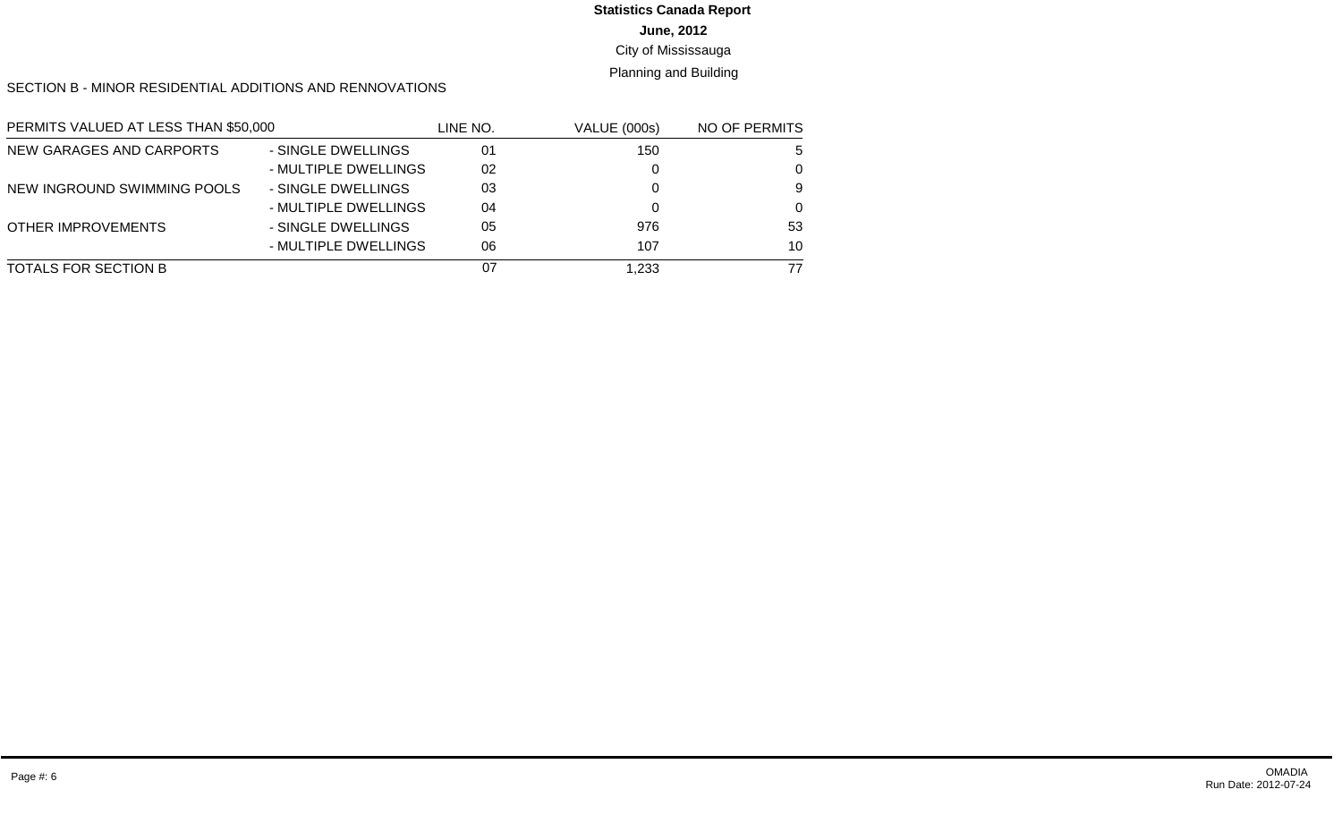#### **June, 2012 Statistics Canada Report**

#### City of Mississauga

#### Planning and Building

SECTION B - MINOR RESIDENTIAL ADDITIONS AND RENNOVATIONS

| PERMITS VALUED AT LESS THAN \$50,000 |                      | LINE NO. | <b>VALUE (000s)</b> | NO OF PERMITS |
|--------------------------------------|----------------------|----------|---------------------|---------------|
| NEW GARAGES AND CARPORTS             | - SINGLE DWELLINGS   | 01       | 150                 | -5            |
|                                      | - MULTIPLE DWELLINGS | 02       |                     | $\Omega$      |
| NEW INGROUND SWIMMING POOLS          | - SINGLE DWELLINGS   | 03       |                     | 9             |
|                                      | - MULTIPLE DWELLINGS | 04       |                     | $\Omega$      |
| OTHER IMPROVEMENTS                   | - SINGLE DWELLINGS   | 05       | 976                 | 53            |
|                                      | - MULTIPLE DWELLINGS | 06       | 107                 | 10            |
| TOTALS FOR SECTION B                 |                      | 07       | 1.233               | 77            |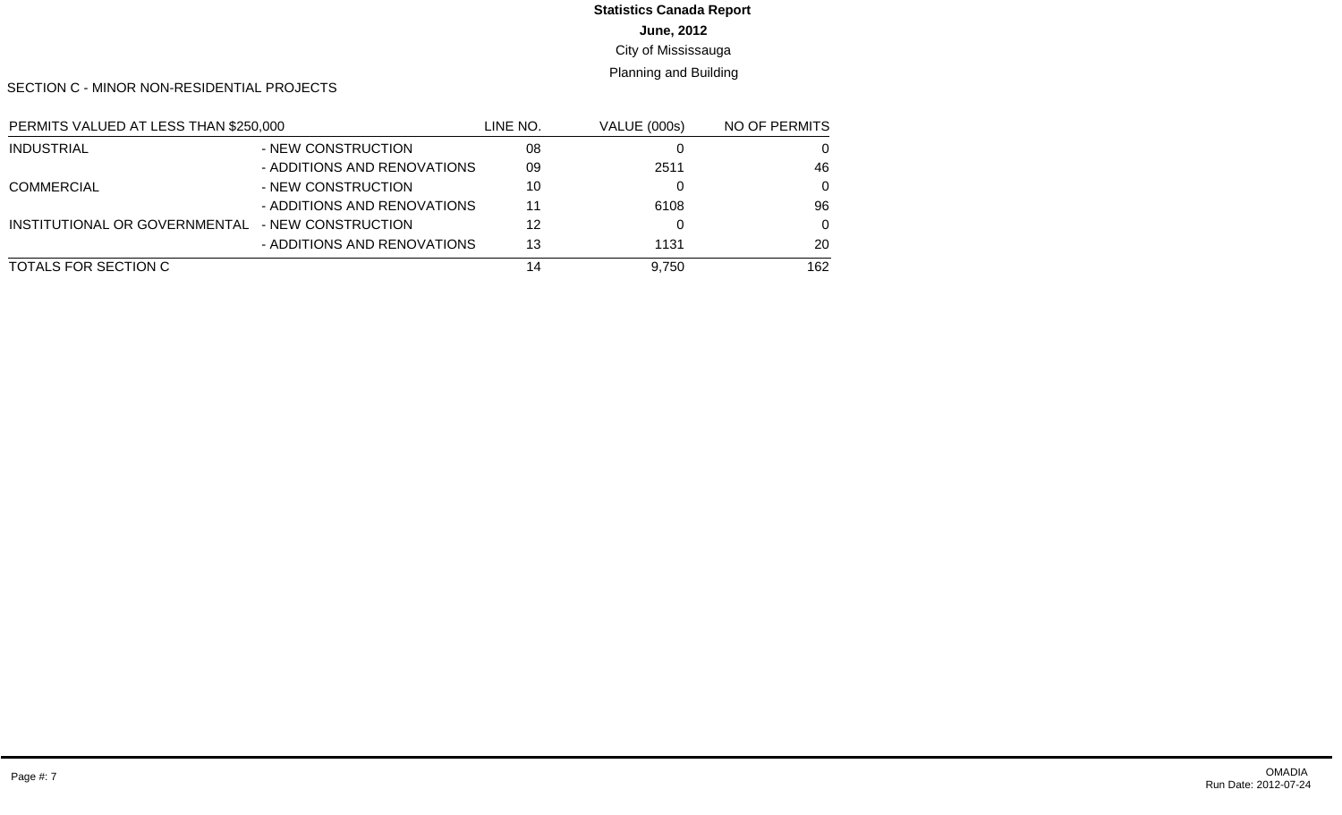# **Statistics Canada Report**

**June, 2012**

City of Mississauga

Planning and Building

SECTION C - MINOR NON-RESIDENTIAL PROJECTS

| PERMITS VALUED AT LESS THAN \$250,000 |                             | LINE NO. | VALUE (000s) | NO OF PERMITS |
|---------------------------------------|-----------------------------|----------|--------------|---------------|
| INDUSTRIAL                            | - NEW CONSTRUCTION          | 08       |              | 0             |
|                                       | - ADDITIONS AND RENOVATIONS | 09       | 2511         | 46            |
| <b>COMMERCIAL</b>                     | - NEW CONSTRUCTION          | 10       |              | $\Omega$      |
|                                       | - ADDITIONS AND RENOVATIONS | 11       | 6108         | 96            |
| INSTITUTIONAL OR GOVERNMENTAL         | - NEW CONSTRUCTION          | 12       |              | $\Omega$      |
|                                       | - ADDITIONS AND RENOVATIONS | 13       | 1131         | 20            |
| TOTALS FOR SECTION C                  |                             | 14       | 9,750        | 162           |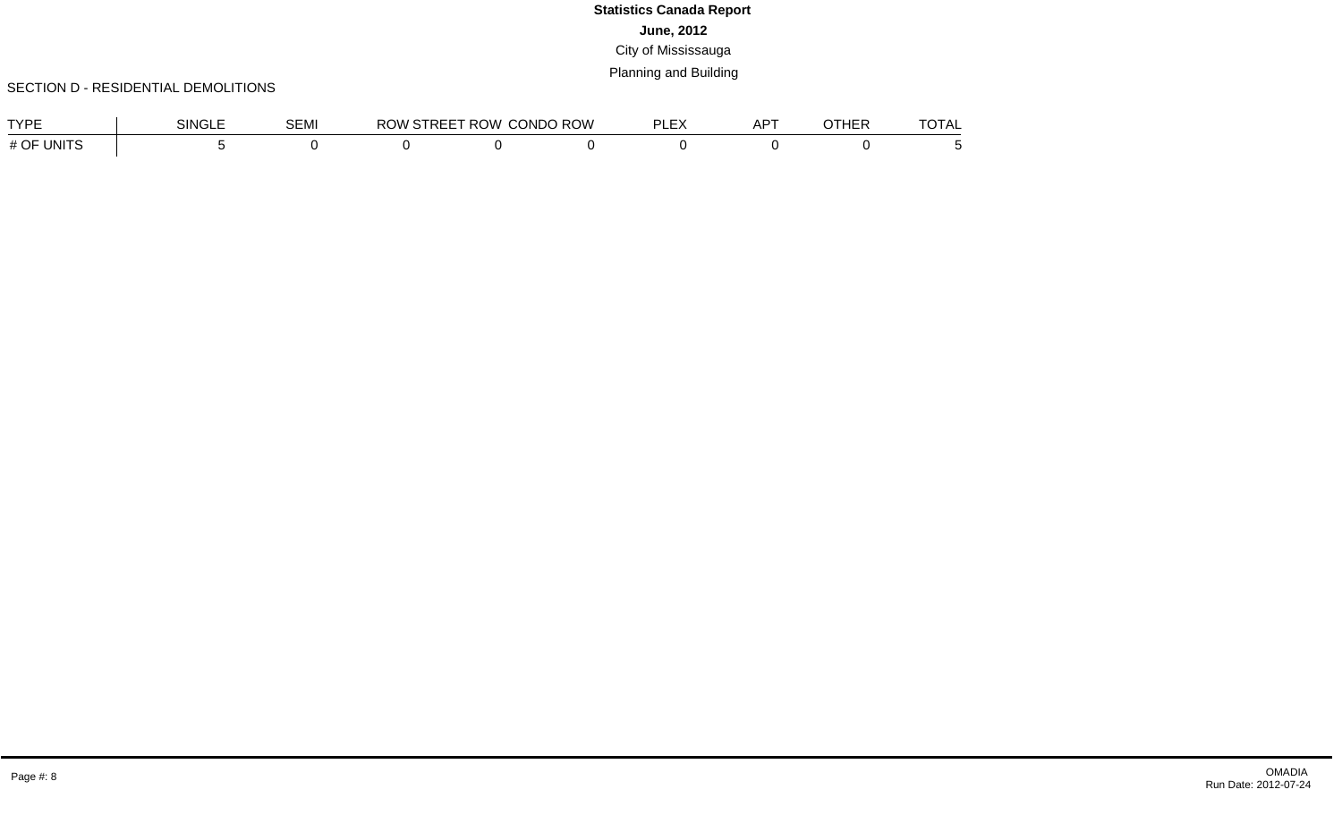#### SECTION D - RESIDENTIAL DEMOLITIONS

| <b>TVDE</b>     | SINGLE | <b>SEMI</b> | RC.<br>WU | ∵ROW. | <b>CONDO ROW</b> | $\mathbf{r}$<br>וח<br>$\overline{\phantom{a}}$<br>--- | $\sqrt{2}$<br>∸<br>`` | பார<br>וםח | $-2 - 1$<br>ΓΔ<br>᠁ |
|-----------------|--------|-------------|-----------|-------|------------------|-------------------------------------------------------|-----------------------|------------|---------------------|
| , INITS<br># OF |        |             |           |       |                  |                                                       |                       |            |                     |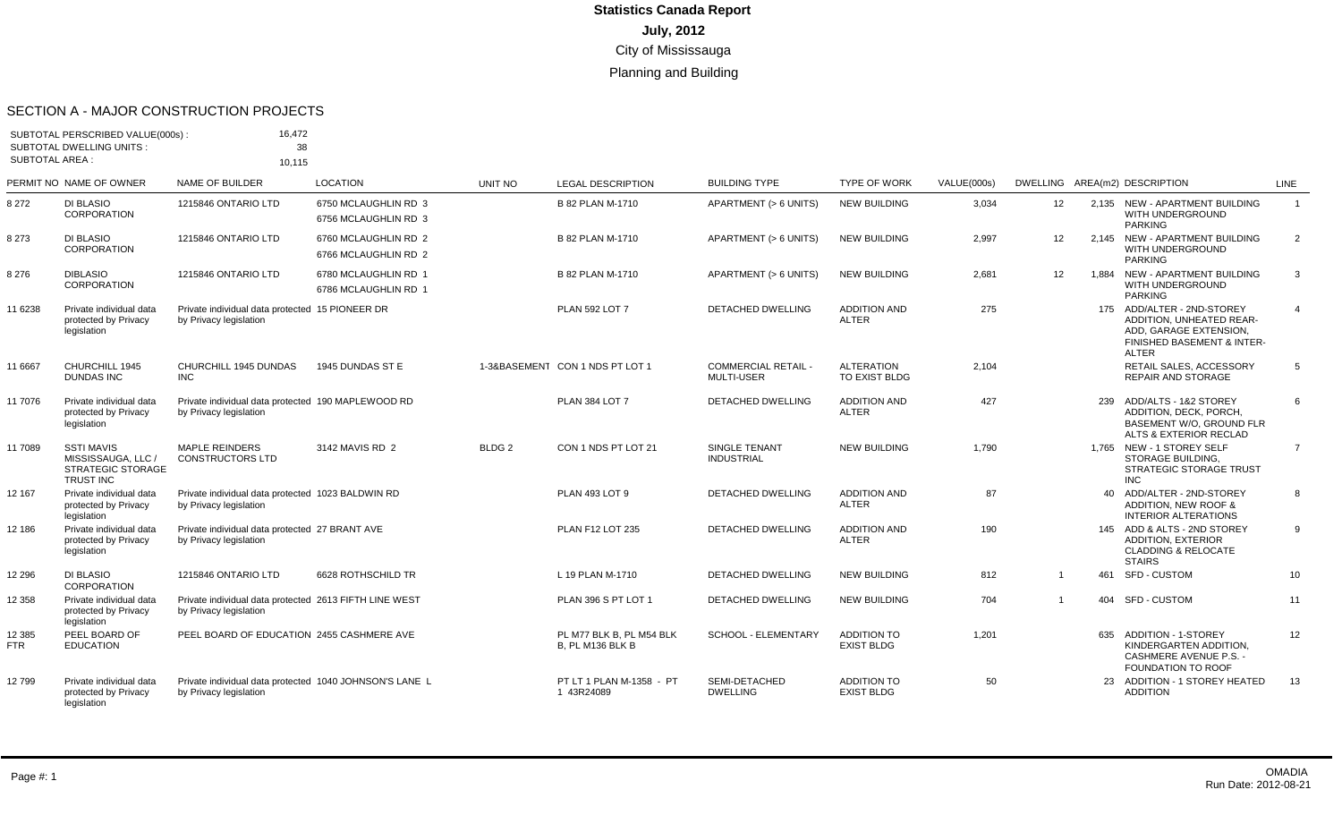#### SECTION A - MAJOR CONSTRUCTION PROJECTS

|                        | SUBTOTAL PERSCRIBED VALUE(000s):<br>SUBTOTAL DWELLING UNITS:                            | 16,472<br>38                                                                      |                                              |                   |                                                     |                                                 |                                         |             |                   |       |                                                                                                                                |                |
|------------------------|-----------------------------------------------------------------------------------------|-----------------------------------------------------------------------------------|----------------------------------------------|-------------------|-----------------------------------------------------|-------------------------------------------------|-----------------------------------------|-------------|-------------------|-------|--------------------------------------------------------------------------------------------------------------------------------|----------------|
| <b>SUBTOTAL AREA:</b>  |                                                                                         | 10.115                                                                            |                                              |                   |                                                     |                                                 |                                         |             |                   |       |                                                                                                                                |                |
|                        | PERMIT NO NAME OF OWNER                                                                 | NAME OF BUILDER                                                                   | <b>LOCATION</b>                              | <b>UNIT NO</b>    | <b>LEGAL DESCRIPTION</b>                            | <b>BUILDING TYPE</b>                            | <b>TYPE OF WORK</b>                     | VALUE(000s) |                   |       | DWELLING AREA(m2) DESCRIPTION                                                                                                  | <b>LINE</b>    |
| 8 2 7 2                | <b>DI BLASIO</b><br>CORPORATION                                                         | 1215846 ONTARIO LTD                                                               | 6750 MCLAUGHLIN RD 3<br>6756 MCLAUGHLIN RD 3 |                   | B 82 PLAN M-1710                                    | APARTMENT (> 6 UNITS)                           | <b>NEW BUILDING</b>                     | 3,034       | 12 <sup>2</sup>   |       | 2.135 NEW - APARTMENT BUILDING<br>WITH UNDERGROUND<br><b>PARKING</b>                                                           | $\mathbf{1}$   |
| 8 2 7 3                | <b>DI BLASIO</b><br>CORPORATION                                                         | 1215846 ONTARIO LTD                                                               | 6760 MCLAUGHLIN RD 2<br>6766 MCLAUGHLIN RD 2 |                   | B 82 PLAN M-1710                                    | APARTMENT (> 6 UNITS)                           | <b>NEW BUILDING</b>                     | 2,997       | $12 \overline{ }$ |       | 2.145 NEW - APARTMENT BUILDING<br>WITH UNDERGROUND<br><b>PARKING</b>                                                           | $\overline{2}$ |
| 8 2 7 6                | <b>DIBLASIO</b><br><b>CORPORATION</b>                                                   | 1215846 ONTARIO LTD                                                               | 6780 MCLAUGHLIN RD 1<br>6786 MCLAUGHLIN RD 1 |                   | B 82 PLAN M-1710                                    | APARTMENT (> 6 UNITS)                           | <b>NEW BUILDING</b>                     | 2,681       | 12                | 1.884 | NEW - APARTMENT BUILDING<br>WITH UNDERGROUND<br><b>PARKING</b>                                                                 | 3              |
| 11 6238                | Private individual data<br>protected by Privacy<br>legislation                          | Private individual data protected 15 PIONEER DR<br>by Privacy legislation         |                                              |                   | <b>PLAN 592 LOT 7</b>                               | <b>DETACHED DWELLING</b>                        | <b>ADDITION AND</b><br><b>ALTER</b>     | 275         |                   |       | 175 ADD/ALTER - 2ND-STOREY<br>ADDITION, UNHEATED REAR-<br>ADD, GARAGE EXTENSION,<br>FINISHED BASEMENT & INTER-<br><b>ALTER</b> | $\overline{4}$ |
| 11 6667                | CHURCHILL 1945<br><b>DUNDAS INC</b>                                                     | CHURCHILL 1945 DUNDAS<br><b>INC</b>                                               | 1945 DUNDAS ST E                             |                   | 1-3&BASEMENT CON 1 NDS PT LOT 1                     | <b>COMMERCIAL RETAIL -</b><br><b>MULTI-USER</b> | <b>ALTERATION</b><br>TO EXIST BLDG      | 2,104       |                   |       | RETAIL SALES, ACCESSORY<br><b>REPAIR AND STORAGE</b>                                                                           | 5              |
| 11 7076                | Private individual data<br>protected by Privacy<br>legislation                          | Private individual data protected 190 MAPLEWOOD RD<br>by Privacy legislation      |                                              |                   | PLAN 384 LOT 7                                      | <b>DETACHED DWELLING</b>                        | <b>ADDITION AND</b><br><b>ALTER</b>     | 427         |                   | 239   | ADD/ALTS - 1&2 STOREY<br>ADDITION, DECK, PORCH,<br>BASEMENT W/O. GROUND FLR<br>ALTS & EXTERIOR RECLAD                          | 6              |
| 11 7089                | <b>SSTI MAVIS</b><br>MISSISSAUGA, LLC /<br><b>STRATEGIC STORAGE</b><br><b>TRUST INC</b> | <b>MAPLE REINDERS</b><br><b>CONSTRUCTORS LTD</b>                                  | 3142 MAVIS RD 2                              | BLDG <sub>2</sub> | CON 1 NDS PT LOT 21                                 | <b>SINGLE TENANT</b><br><b>INDUSTRIAL</b>       | <b>NEW BUILDING</b>                     | 1.790       |                   |       | 1,765 NEW - 1 STOREY SELF<br>STORAGE BUILDING,<br><b>STRATEGIC STORAGE TRUST</b><br><b>INC</b>                                 | $\overline{7}$ |
| 12 167                 | Private individual data<br>protected by Privacy<br>legislation                          | Private individual data protected 1023 BALDWIN RD<br>by Privacy legislation       |                                              |                   | PLAN 493 LOT 9                                      | <b>DETACHED DWELLING</b>                        | <b>ADDITION AND</b><br><b>ALTER</b>     | 87          |                   |       | 40 ADD/ALTER - 2ND-STOREY<br>ADDITION, NEW ROOF &<br><b>INTERIOR ALTERATIONS</b>                                               | 8              |
| 12 186                 | Private individual data<br>protected by Privacy<br>legislation                          | Private individual data protected 27 BRANT AVE<br>by Privacy legislation          |                                              |                   | <b>PLAN F12 LOT 235</b>                             | <b>DETACHED DWELLING</b>                        | <b>ADDITION AND</b><br><b>ALTER</b>     | 190         |                   |       | 145 ADD & ALTS - 2ND STOREY<br><b>ADDITION, EXTERIOR</b><br><b>CLADDING &amp; RELOCATE</b><br><b>STAIRS</b>                    | 9              |
| 12 2 9 6               | <b>DI BLASIO</b><br>CORPORATION                                                         | 1215846 ONTARIO LTD                                                               | 6628 ROTHSCHILD TR                           |                   | L 19 PLAN M-1710                                    | <b>DETACHED DWELLING</b>                        | <b>NEW BUILDING</b>                     | 812         |                   | 461   | <b>SFD - CUSTOM</b>                                                                                                            | 10             |
| 12 3 58                | Private individual data<br>protected by Privacy<br>legislation                          | Private individual data protected 2613 FIFTH LINE WEST<br>by Privacy legislation  |                                              |                   | PLAN 396 S PT LOT 1                                 | <b>DETACHED DWELLING</b>                        | <b>NEW BUILDING</b>                     | 704         | $\overline{1}$    | 404   | SFD - CUSTOM                                                                                                                   | 11             |
| 12 3 8 5<br><b>FTR</b> | PEEL BOARD OF<br><b>EDUCATION</b>                                                       | PEEL BOARD OF EDUCATION 2455 CASHMERE AVE                                         |                                              |                   | PL M77 BLK B. PL M54 BLK<br><b>B. PL M136 BLK B</b> | SCHOOL - ELEMENTARY                             | <b>ADDITION TO</b><br><b>EXIST BLDG</b> | 1,201       |                   |       | 635 ADDITION - 1-STOREY<br>KINDERGARTEN ADDITION.<br><b>CASHMERE AVENUE P.S. -</b><br>FOUNDATION TO ROOF                       | 12             |
| 12799                  | Private individual data<br>protected by Privacy<br>legislation                          | Private individual data protected 1040 JOHNSON'S LANE L<br>by Privacy legislation |                                              |                   | PT LT 1 PLAN M-1358 - PT<br>1 43R24089              | SEMI-DETACHED<br><b>DWELLING</b>                | <b>ADDITION TO</b><br><b>EXIST BLDG</b> | 50          |                   | 23    | ADDITION - 1 STOREY HEATED<br><b>ADDITION</b>                                                                                  | 13             |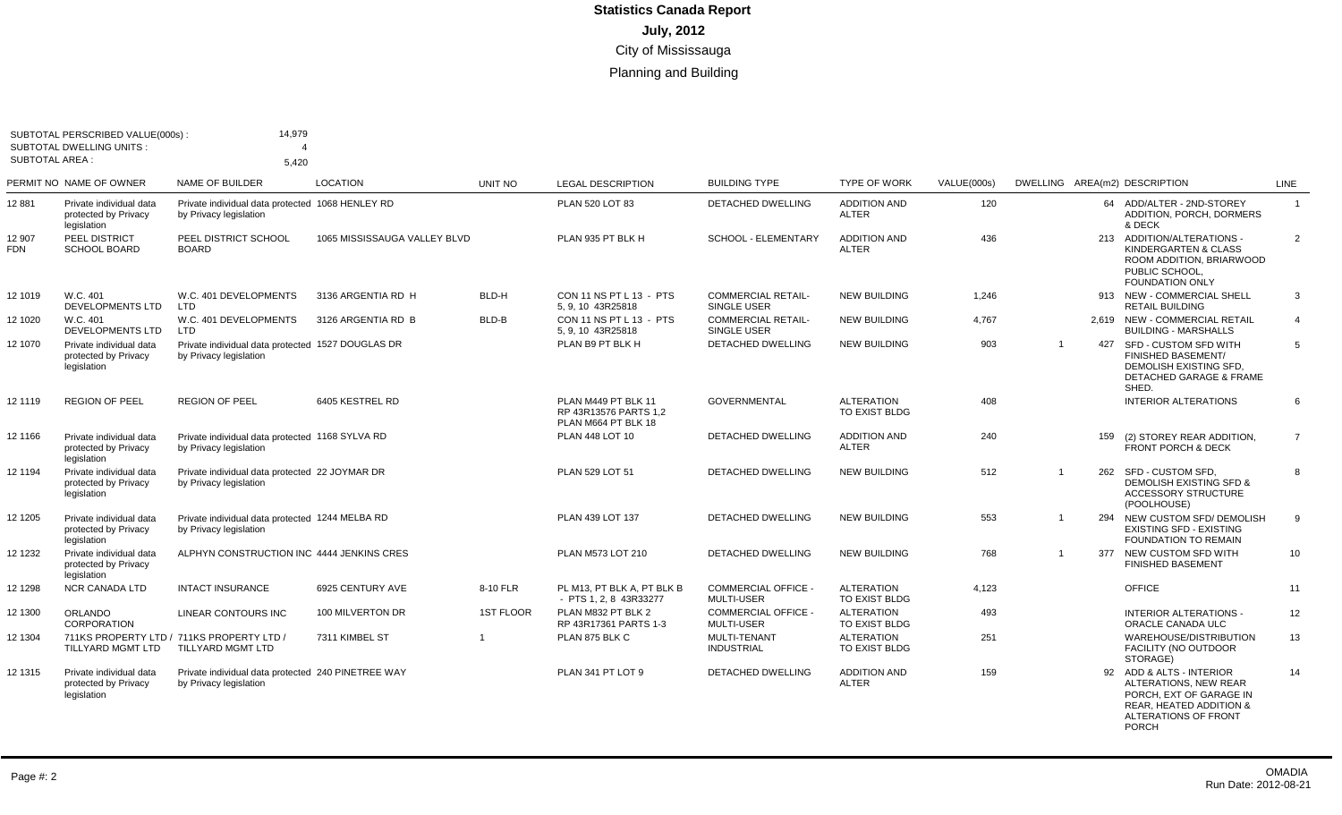| <b>SUBTOTAL AREA:</b> | SUBTOTAL PERSCRIBED VALUE(000s):<br><b>SUBTOTAL DWELLING UNITS:</b> | 14,979<br>$\boldsymbol{\Delta}$<br>5.420                                     |                              |                  |                                                                     |                                                 |                                           |             |                |     |                                                                                                                                          |                |
|-----------------------|---------------------------------------------------------------------|------------------------------------------------------------------------------|------------------------------|------------------|---------------------------------------------------------------------|-------------------------------------------------|-------------------------------------------|-------------|----------------|-----|------------------------------------------------------------------------------------------------------------------------------------------|----------------|
|                       | PERMIT NO NAME OF OWNER                                             | <b>NAME OF BUILDER</b>                                                       | <b>LOCATION</b>              | UNIT NO          | <b>LEGAL DESCRIPTION</b>                                            | <b>BUILDING TYPE</b>                            | <b>TYPE OF WORK</b>                       | VALUE(000s) |                |     | DWELLING AREA(m2) DESCRIPTION                                                                                                            | LINE           |
| 12881                 | Private individual data<br>protected by Privacy<br>legislation      | Private individual data protected 1068 HENLEY RD<br>by Privacy legislation   |                              |                  | PLAN 520 LOT 83                                                     | <b>DETACHED DWELLING</b>                        | <b>ADDITION AND</b><br><b>ALTER</b>       | 120         |                |     | 64 ADD/ALTER - 2ND-STOREY<br>ADDITION, PORCH, DORMERS<br>& DECK                                                                          | $\overline{1}$ |
| 12 907<br>FDN         | PEEL DISTRICT<br><b>SCHOOL BOARD</b>                                | PEEL DISTRICT SCHOOL<br><b>BOARD</b>                                         | 1065 MISSISSAUGA VALLEY BLVD |                  | PLAN 935 PT BLK H                                                   | SCHOOL - ELEMENTARY                             | <b>ADDITION AND</b><br><b>ALTER</b>       | 436         |                |     | 213 ADDITION/ALTERATIONS -<br>KINDERGARTEN & CLASS<br>ROOM ADDITION, BRIARWOOD<br>PUBLIC SCHOOL<br><b>FOUNDATION ONLY</b>                | $\overline{2}$ |
| 12 1019               | W.C. 401<br>DEVELOPMENTS LTD                                        | W.C. 401 DEVELOPMENTS<br>LTD                                                 | 3136 ARGENTIA RD H           | BLD-H            | CON 11 NS PT L 13 - PTS<br>5, 9, 10 43R25818                        | <b>COMMERCIAL RETAIL-</b><br>SINGLE USER        | <b>NEW BUILDING</b>                       | 1,246       |                |     | 913 NEW - COMMERCIAL SHELL<br><b>RETAIL BUILDING</b>                                                                                     | $\mathbf{3}$   |
| 12 1020               | W.C. 401<br><b>DEVELOPMENTS LTD</b>                                 | W.C. 401 DEVELOPMENTS<br><b>LTD</b>                                          | 3126 ARGENTIA RD B           | BLD-B            | CON 11 NS PT L 13 - PTS<br>5, 9, 10 43R25818                        | <b>COMMERCIAL RETAIL-</b><br>SINGLE USER        | <b>NEW BUILDING</b>                       | 4.767       |                |     | 2.619 NEW - COMMERCIAL RETAIL<br><b>BUILDING - MARSHALLS</b>                                                                             | $\overline{4}$ |
| 12 1070               | Private individual data<br>protected by Privacy<br>legislation      | Private individual data protected 1527 DOUGLAS DR<br>by Privacy legislation  |                              |                  | PLAN B9 PT BLK H                                                    | DETACHED DWELLING                               | <b>NEW BUILDING</b>                       | 903         | $\overline{1}$ | 427 | SFD - CUSTOM SFD WITH<br><b>FINISHED BASEMENT/</b><br>DEMOLISH EXISTING SFD,<br>DETACHED GARAGE & FRAME<br>SHED.                         | 5              |
| 12 1119               | <b>REGION OF PEEL</b>                                               | <b>REGION OF PEEL</b>                                                        | 6405 KESTREL RD              |                  | PLAN M449 PT BLK 11<br>RP 43R13576 PARTS 1.2<br>PLAN M664 PT BLK 18 | <b>GOVERNMENTAL</b>                             | <b>ALTERATION</b><br><b>TO EXIST BLDG</b> | 408         |                |     | <b>INTERIOR ALTERATIONS</b>                                                                                                              | 6              |
| 12 1166               | Private individual data<br>protected by Privacy<br>legislation      | Private individual data protected 1168 SYLVA RD<br>by Privacy legislation    |                              |                  | PLAN 448 LOT 10                                                     | <b>DETACHED DWELLING</b>                        | <b>ADDITION AND</b><br><b>ALTER</b>       | 240         |                | 159 | (2) STOREY REAR ADDITION,<br>FRONT PORCH & DECK                                                                                          | $\overline{7}$ |
| 12 1194               | Private individual data<br>protected by Privacy<br>legislation      | Private individual data protected 22 JOYMAR DR<br>by Privacy legislation     |                              |                  | PLAN 529 LOT 51                                                     | <b>DETACHED DWELLING</b>                        | <b>NEW BUILDING</b>                       | 512         | $\mathbf{1}$   |     | 262 SFD - CUSTOM SFD.<br><b>DEMOLISH EXISTING SFD &amp;</b><br><b>ACCESSORY STRUCTURE</b><br>(POOLHOUSE)                                 | 8              |
| 12 1205               | Private individual data<br>protected by Privacy<br>legislation      | Private individual data protected 1244 MELBA RD<br>by Privacy legislation    |                              |                  | PLAN 439 LOT 137                                                    | <b>DETACHED DWELLING</b>                        | <b>NEW BUILDING</b>                       | 553         | $\overline{1}$ | 294 | NEW CUSTOM SFD/ DEMOLISH<br><b>EXISTING SFD - EXISTING</b><br><b>FOUNDATION TO REMAIN</b>                                                | 9              |
| 12 1232               | Private individual data<br>protected by Privacy<br>legislation      | ALPHYN CONSTRUCTION INC 4444 JENKINS CRES                                    |                              |                  | PLAN M573 LOT 210                                                   | <b>DETACHED DWELLING</b>                        | <b>NEW BUILDING</b>                       | 768         | $\mathbf{1}$   | 377 | NEW CUSTOM SFD WITH<br><b>FINISHED BASEMENT</b>                                                                                          | 10             |
| 12 1298               | <b>NCR CANADA LTD</b>                                               | <b>INTACT INSURANCE</b>                                                      | 6925 CENTURY AVE             | 8-10 FLR         | PL M13, PT BLK A, PT BLK B<br>- PTS 1, 2, 8 43R33277                | <b>COMMERCIAL OFFICE -</b><br><b>MULTI-USER</b> | <b>ALTERATION</b><br>TO EXIST BLDG        | 4,123       |                |     | <b>OFFICE</b>                                                                                                                            | 11             |
| 12 1300               | ORLANDO<br>CORPORATION                                              | LINEAR CONTOURS INC                                                          | 100 MILVERTON DR             | <b>1ST FLOOR</b> | PLAN M832 PT BLK 2<br>RP 43R17361 PARTS 1-3                         | <b>COMMERCIAL OFFICE -</b><br><b>MULTI-USER</b> | <b>ALTERATION</b><br>TO EXIST BLDG        | 493         |                |     | <b>INTERIOR ALTERATIONS -</b><br>ORACLE CANADA ULC                                                                                       | 12             |
| 12 1304               | TILLYARD MGMT LTD                                                   | 711KS PROPERTY LTD / 711KS PROPERTY LTD<br>TILLYARD MGMT LTD                 | 7311 KIMBEL ST               | $\overline{1}$   | PLAN 875 BLK C                                                      | <b>MULTI-TENANT</b><br><b>INDUSTRIAL</b>        | <b>ALTERATION</b><br>TO EXIST BLDG        | 251         |                |     | WAREHOUSE/DISTRIBUTION<br><b>FACILITY (NO OUTDOOR</b><br>STORAGE)                                                                        | 13             |
| 12 1315               | Private individual data<br>protected by Privacy<br>legislation      | Private individual data protected 240 PINETREE WAY<br>by Privacy legislation |                              |                  | PLAN 341 PT LOT 9                                                   | <b>DETACHED DWELLING</b>                        | <b>ADDITION AND</b><br><b>ALTER</b>       | 159         |                |     | 92 ADD & ALTS - INTERIOR<br>ALTERATIONS, NEW REAR<br>PORCH, EXT OF GARAGE IN<br>REAR, HEATED ADDITION &<br>ALTERATIONS OF FRONT<br>PORCH | 14             |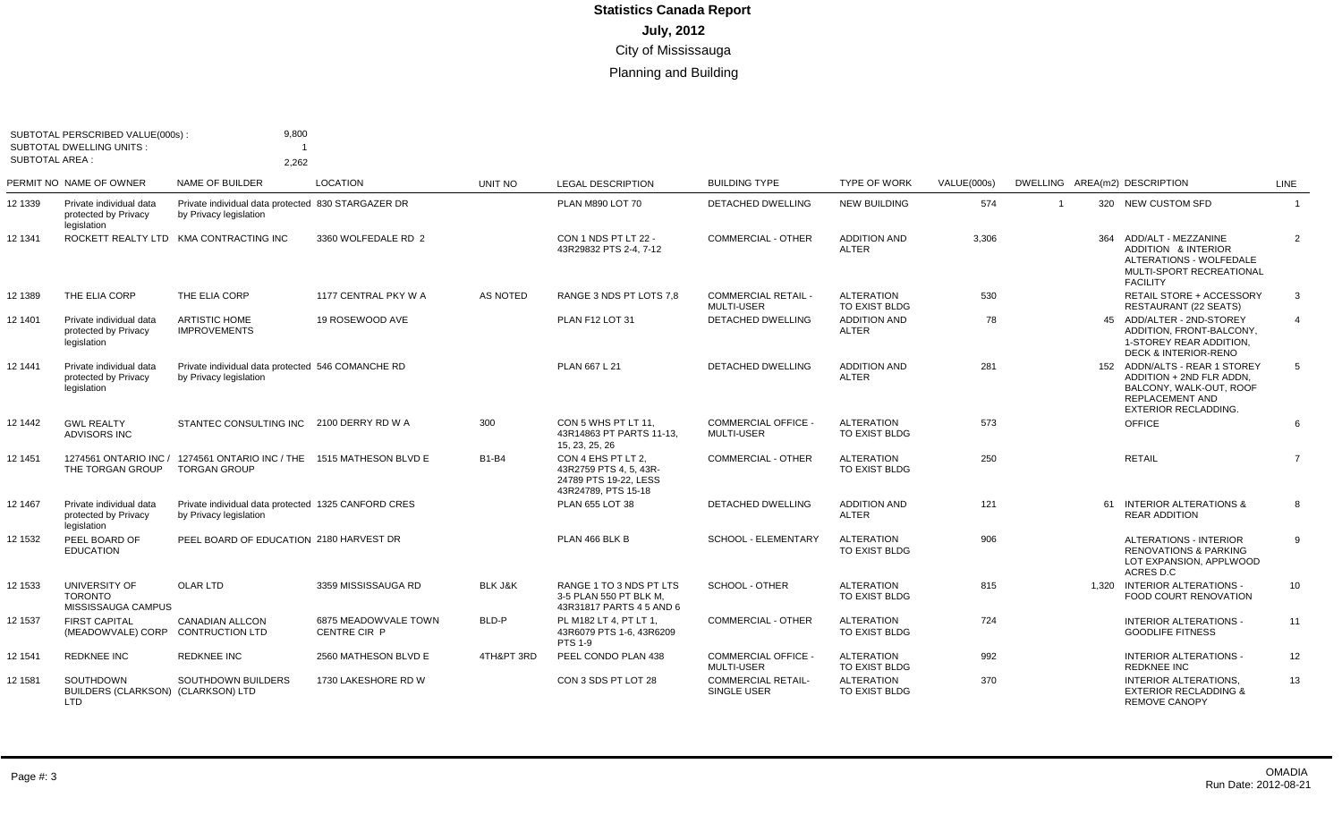| <b>SUBTOTAL AREA:</b> | SUBTOTAL PERSCRIBED VALUE(000s)<br>SUBTOTAL DWELLING UNITS:    | 9,800<br>2,262                                                                |                                             |                    |                                                                                              |                                                 |                                     |             |                |     |                                                                                                                                               |                |
|-----------------------|----------------------------------------------------------------|-------------------------------------------------------------------------------|---------------------------------------------|--------------------|----------------------------------------------------------------------------------------------|-------------------------------------------------|-------------------------------------|-------------|----------------|-----|-----------------------------------------------------------------------------------------------------------------------------------------------|----------------|
|                       | PERMIT NO NAME OF OWNER                                        | NAME OF BUILDER                                                               | <b>LOCATION</b>                             | <b>UNIT NO</b>     | <b>LEGAL DESCRIPTION</b>                                                                     | <b>BUILDING TYPE</b>                            | <b>TYPE OF WORK</b>                 | VALUE(000s) |                |     | DWELLING AREA(m2) DESCRIPTION                                                                                                                 | LINE           |
| 12 1339               | Private individual data<br>protected by Privacy<br>legislation | Private individual data protected 830 STARGAZER DR<br>by Privacy legislation  |                                             |                    | PLAN M890 LOT 70                                                                             | <b>DETACHED DWELLING</b>                        | <b>NEW BUILDING</b>                 | 574         | $\overline{1}$ |     | 320 NEW CUSTOM SFD                                                                                                                            | $\overline{1}$ |
| 12 1341               |                                                                | ROCKETT REALTY LTD KMA CONTRACTING INC                                        | 3360 WOLFEDALE RD 2                         |                    | CON 1 NDS PT LT 22 -<br>43R29832 PTS 2-4, 7-12                                               | <b>COMMERCIAL - OTHER</b>                       | <b>ADDITION AND</b><br>ALTER        | 3,306       |                | 364 | ADD/ALT - MEZZANINE<br>ADDITION & INTERIOR<br>ALTERATIONS - WOLFEDALE<br>MULTI-SPORT RECREATIONAL<br><b>FACILITY</b>                          | $\overline{2}$ |
| 12 1389               | THE ELIA CORP                                                  | THE ELIA CORP                                                                 | 1177 CENTRAL PKY W A                        | AS NOTED           | RANGE 3 NDS PT LOTS 7.8                                                                      | <b>COMMERCIAL RETAIL -</b><br>MULTI-USER        | <b>ALTERATION</b><br>TO EXIST BLDG  | 530         |                |     | RETAIL STORE + ACCESSORY<br>RESTAURANT (22 SEATS)                                                                                             | $\mathbf{3}$   |
| 12 1401               | Private individual data<br>protected by Privacy<br>legislation | <b>ARTISTIC HOME</b><br><b>IMPROVEMENTS</b>                                   | 19 ROSEWOOD AVE                             |                    | PLAN F12 LOT 31                                                                              | <b>DETACHED DWELLING</b>                        | <b>ADDITION AND</b><br><b>ALTER</b> | 78          |                |     | 45 ADD/ALTER - 2ND-STOREY<br>ADDITION. FRONT-BALCONY.<br>1-STOREY REAR ADDITION,<br><b>DECK &amp; INTERIOR-RENO</b>                           | $\overline{4}$ |
| 12 1441               | Private individual data<br>protected by Privacy<br>legislation | Private individual data protected 546 COMANCHE RD<br>by Privacy legislation   |                                             |                    | PLAN 667 L 21                                                                                | <b>DETACHED DWELLING</b>                        | <b>ADDITION AND</b><br><b>ALTER</b> | 281         |                |     | 152 ADDN/ALTS - REAR 1 STOREY<br>ADDITION + 2ND FLR ADDN.<br>BALCONY, WALK-OUT, ROOF<br><b>REPLACEMENT AND</b><br><b>EXTERIOR RECLADDING.</b> | 5              |
| 12 1442               | <b>GWL REALTY</b><br>ADVISORS INC                              | STANTEC CONSULTING INC 2100 DERRY RD W A                                      |                                             | 300                | CON 5 WHS PT LT 11.<br>43R14863 PT PARTS 11-13,<br>15, 23, 25, 26                            | <b>COMMERCIAL OFFICE -</b><br><b>MULTI-USER</b> | <b>ALTERATION</b><br>TO EXIST BLDG  | 573         |                |     | OFFICE                                                                                                                                        | 6              |
| 12 1451               | 1274561 ONTARIO INC /<br>THE TORGAN GROUP                      | 1274561 ONTARIO INC / THE<br><b>TORGAN GROUP</b>                              | 1515 MATHESON BLVD E                        | <b>B1-B4</b>       | CON 4 EHS PT LT 2.<br>43R2759 PTS 4, 5, 43R-<br>24789 PTS 19-22. LESS<br>43R24789, PTS 15-18 | <b>COMMERCIAL - OTHER</b>                       | <b>ALTERATION</b><br>TO EXIST BLDG  | 250         |                |     | <b>RETAIL</b>                                                                                                                                 | $\overline{7}$ |
| 12 1467               | Private individual data<br>protected by Privacy<br>legislation | Private individual data protected 1325 CANFORD CRES<br>by Privacy legislation |                                             |                    | PLAN 655 LOT 38                                                                              | <b>DETACHED DWELLING</b>                        | <b>ADDITION AND</b><br>ALTER        | 121         |                |     | 61 INTERIOR ALTERATIONS &<br><b>REAR ADDITION</b>                                                                                             | 8              |
| 12 1532               | PEEL BOARD OF<br><b>EDUCATION</b>                              | PEEL BOARD OF EDUCATION 2180 HARVEST DR                                       |                                             |                    | PLAN 466 BLK B                                                                               | <b>SCHOOL - ELEMENTARY</b>                      | <b>ALTERATION</b><br>TO EXIST BLDG  | 906         |                |     | <b>ALTERATIONS - INTERIOR</b><br><b>RENOVATIONS &amp; PARKING</b><br>LOT EXPANSION, APPLWOOD<br>ACRES D.C                                     | -9             |
| 12 1533               | UNIVERSITY OF<br><b>TORONTO</b><br>MISSISSAUGA CAMPUS          | OLAR LTD                                                                      | 3359 MISSISSAUGA RD                         | <b>BLK J&amp;K</b> | RANGE 1 TO 3 NDS PT LTS<br>3-5 PLAN 550 PT BLK M.<br>43R31817 PARTS 4 5 AND 6                | SCHOOL - OTHER                                  | <b>ALTERATION</b><br>TO EXIST BLDG  | 815         |                |     | 1.320 INTERIOR ALTERATIONS -<br><b>FOOD COURT RENOVATION</b>                                                                                  | 10             |
| 12 1537               | <b>FIRST CAPITAL</b><br>(MEADOWVALE) CORP                      | <b>CANADIAN ALLCON</b><br><b>CONTRUCTION LTD</b>                              | 6875 MEADOWVALE TOWN<br><b>CENTRE CIR P</b> | BLD-P              | PL M182 LT 4. PT LT 1.<br>43R6079 PTS 1-6, 43R6209<br><b>PTS 1-9</b>                         | <b>COMMERCIAL - OTHER</b>                       | <b>ALTERATION</b><br>TO EXIST BLDG  | 724         |                |     | <b>INTERIOR ALTERATIONS -</b><br><b>GOODLIFE FITNESS</b>                                                                                      | 11             |
| 12 1541               | <b>REDKNEE INC</b>                                             | <b>REDKNEE INC</b>                                                            | 2560 MATHESON BLVD E                        | 4TH&PT 3RD         | PEEL CONDO PLAN 438                                                                          | <b>COMMERCIAL OFFICE -</b><br><b>MULTI-USER</b> | <b>ALTERATION</b><br>TO EXIST BLDG  | 992         |                |     | <b>INTERIOR ALTERATIONS -</b><br><b>REDKNEE INC</b>                                                                                           | 12             |
| 12 1581               | SOUTHDOWN<br>BUILDERS (CLARKSON) (CLARKSON) LTD<br><b>LTD</b>  | <b>SOUTHDOWN BUILDERS</b>                                                     | 1730 LAKESHORE RD W                         |                    | CON 3 SDS PT LOT 28                                                                          | <b>COMMERCIAL RETAIL-</b><br><b>SINGLE USER</b> | <b>ALTERATION</b><br>TO EXIST BLDG  | 370         |                |     | <b>INTERIOR ALTERATIONS.</b><br><b>EXTERIOR RECLADDING &amp;</b><br><b>REMOVE CANOPY</b>                                                      | 13             |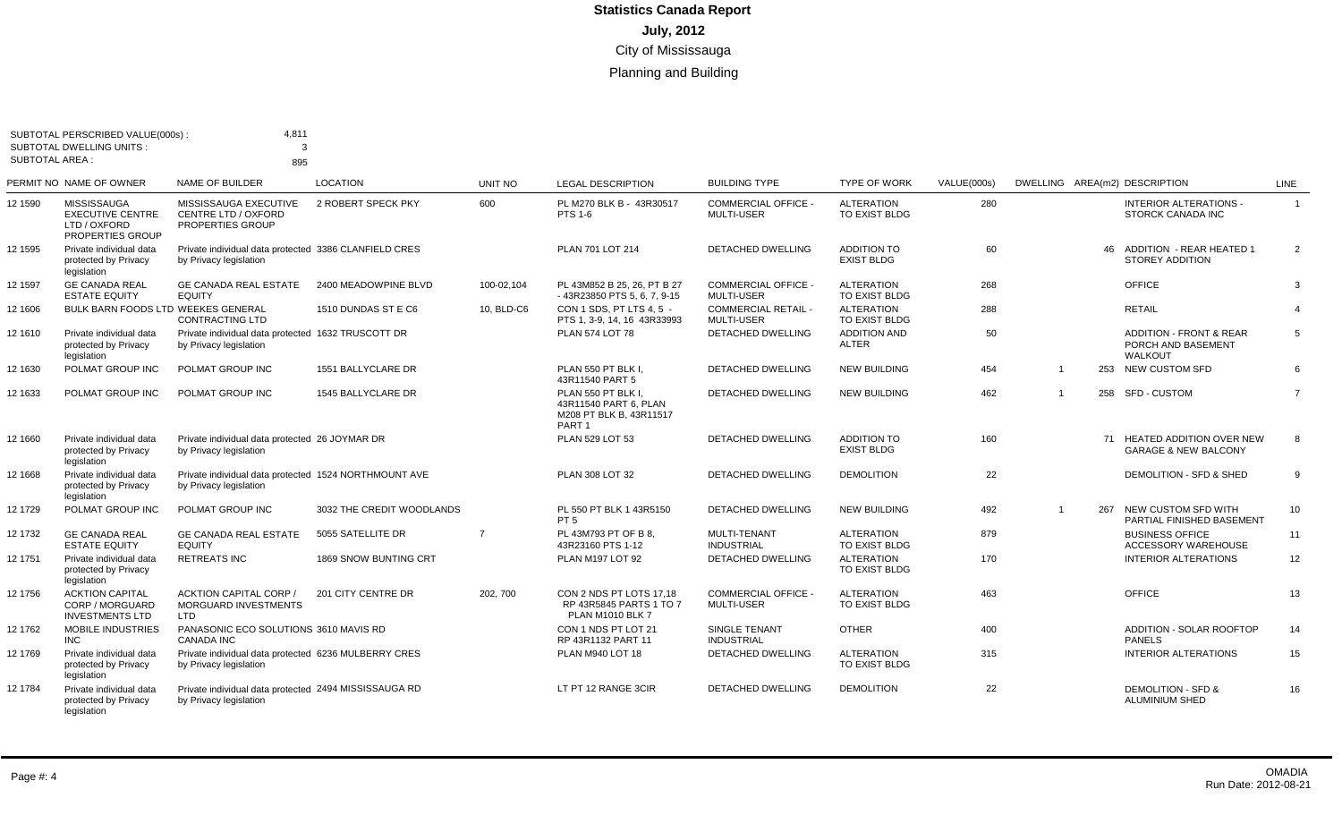| <b>SUBTOTAL AREA:</b> | SUBTOTAL PERSCRIBED VALUE(000s):<br><b>SUBTOTAL DWELLING UNITS:</b>               | 4,811<br>3                                                                      |                           |                |                                                                                             |                                                 |                                         |             |                |     |                                                                     |                |
|-----------------------|-----------------------------------------------------------------------------------|---------------------------------------------------------------------------------|---------------------------|----------------|---------------------------------------------------------------------------------------------|-------------------------------------------------|-----------------------------------------|-------------|----------------|-----|---------------------------------------------------------------------|----------------|
|                       |                                                                                   | 895                                                                             |                           |                |                                                                                             |                                                 |                                         |             |                |     |                                                                     |                |
|                       | PERMIT NO NAME OF OWNER                                                           | NAME OF BUILDER                                                                 | <b>LOCATION</b>           | <b>UNIT NO</b> | <b>LEGAL DESCRIPTION</b>                                                                    | <b>BUILDING TYPE</b>                            | <b>TYPE OF WORK</b>                     | VALUE(000s) |                |     | DWELLING AREA(m2) DESCRIPTION                                       | LINE           |
| 12 1590               | <b>MISSISSAUGA</b><br><b>EXECUTIVE CENTRE</b><br>LTD / OXFORD<br>PROPERTIES GROUP | MISSISSAUGA EXECUTIVE<br>CENTRE LTD / OXFORD<br>PROPERTIES GROUP                | 2 ROBERT SPECK PKY        | 600            | PL M270 BLK B - 43R30517<br><b>PTS 1-6</b>                                                  | <b>COMMERCIAL OFFICE</b><br><b>MULTI-USER</b>   | <b>ALTERATION</b><br>TO EXIST BLDG      | 280         |                |     | <b>INTERIOR ALTERATIONS -</b><br>STORCK CANADA INC                  | $\overline{1}$ |
| 12 1595               | Private individual data<br>protected by Privacy<br>legislation                    | Private individual data protected 3386 CLANFIELD CRES<br>by Privacy legislation |                           |                | PLAN 701 LOT 214                                                                            | <b>DETACHED DWELLING</b>                        | <b>ADDITION TO</b><br><b>EXIST BLDG</b> | 60          |                |     | 46 ADDITION - REAR HEATED 1<br>STOREY ADDITION                      | 2              |
| 12 1597               | <b>GE CANADA REAL</b><br><b>ESTATE EQUITY</b>                                     | <b>GE CANADA REAL ESTATE</b><br><b>EQUITY</b>                                   | 2400 MEADOWPINE BLVD      | 100-02,104     | PL 43M852 B 25, 26, PT B 27<br>-43R23850 PTS 5, 6, 7, 9-15                                  | <b>COMMERCIAL OFFICE -</b><br>MULTI-USER        | <b>ALTERATION</b><br>TO EXIST BLDG      | 268         |                |     | <b>OFFICE</b>                                                       | 3              |
| 12 1606               | BULK BARN FOODS LTD WEEKES GENERAL                                                | <b>CONTRACTING LTD</b>                                                          | 1510 DUNDAS ST E C6       | 10, BLD-C6     | CON 1 SDS, PT LTS 4, 5 -<br>PTS 1, 3-9, 14, 16 43R33993                                     | <b>COMMERCIAL RETAIL -</b><br><b>MULTI-USER</b> | <b>ALTERATION</b><br>TO EXIST BLDG      | 288         |                |     | <b>RETAIL</b>                                                       | $\overline{4}$ |
| 12 1610               | Private individual data<br>protected by Privacy<br>legislation                    | Private individual data protected 1632 TRUSCOTT DR<br>by Privacy legislation    |                           |                | <b>PLAN 574 LOT 78</b>                                                                      | <b>DETACHED DWELLING</b>                        | <b>ADDITION AND</b><br>ALTER            | 50          |                |     | <b>ADDITION - FRONT &amp; REAR</b><br>PORCH AND BASEMENT<br>WALKOUT | 5              |
| 12 1630               | POLMAT GROUP INC                                                                  | POLMAT GROUP INC                                                                | 1551 BALLYCLARE DR        |                | PLAN 550 PT BLK I.<br>43R11540 PART 5                                                       | DETACHED DWELLING                               | <b>NEW BUILDING</b>                     | 454         | $\overline{1}$ |     | 253 NEW CUSTOM SFD                                                  | 6              |
| 12 1633               | POLMAT GROUP INC                                                                  | POLMAT GROUP INC                                                                | 1545 BALLYCLARE DR        |                | PLAN 550 PT BLK I.<br>43R11540 PART 6. PLAN<br>M208 PT BLK B, 43R11517<br>PART <sub>1</sub> | <b>DETACHED DWELLING</b>                        | <b>NEW BUILDING</b>                     | 462         | $\overline{1}$ |     | 258 SFD-CUSTOM                                                      | $\overline{7}$ |
| 12 1660               | Private individual data<br>protected by Privacy<br>legislation                    | Private individual data protected 26 JOYMAR DR<br>by Privacy legislation        |                           |                | PLAN 529 LOT 53                                                                             | <b>DETACHED DWELLING</b>                        | <b>ADDITION TO</b><br><b>EXIST BLDG</b> | 160         |                |     | 71 HEATED ADDITION OVER NEW<br><b>GARAGE &amp; NEW BALCONY</b>      | 8              |
| 12 1668               | Private individual data<br>protected by Privacy<br>legislation                    | Private individual data protected 1524 NORTHMOUNT AVE<br>by Privacy legislation |                           |                | PLAN 308 LOT 32                                                                             | <b>DETACHED DWELLING</b>                        | <b>DEMOLITION</b>                       | 22          |                |     | DEMOLITION - SFD & SHED                                             | 9              |
| 12 1729               | POLMAT GROUP INC                                                                  | POLMAT GROUP INC                                                                | 3032 THE CREDIT WOODLANDS |                | PL 550 PT BLK 1 43R5150<br>PT <sub>5</sub>                                                  | <b>DETACHED DWELLING</b>                        | <b>NEW BUILDING</b>                     | 492         | $\overline{1}$ | 267 | NEW CUSTOM SFD WITH<br>PARTIAL FINISHED BASEMENT                    | 10             |
| 12 1732               | <b>GE CANADA REAL</b><br><b>ESTATE EQUITY</b>                                     | <b>GE CANADA REAL ESTATE</b><br><b>EQUITY</b>                                   | 5055 SATELLITE DR         | $\overline{7}$ | PL 43M793 PT OF B 8.<br>43R23160 PTS 1-12                                                   | MULTI-TENANT<br><b>INDUSTRIAL</b>               | <b>ALTERATION</b><br>TO EXIST BLDG      | 879         |                |     | <b>BUSINESS OFFICE</b><br><b>ACCESSORY WAREHOUSE</b>                | 11             |
| 12 1751               | Private individual data<br>protected by Privacy<br>legislation                    | <b>RETREATS INC</b>                                                             | 1869 SNOW BUNTING CRT     |                | PLAN M197 LOT 92                                                                            | DETACHED DWELLING                               | <b>ALTERATION</b><br>TO EXIST BLDG      | 170         |                |     | <b>INTERIOR ALTERATIONS</b>                                         | 12             |
| 12 1756               | <b>ACKTION CAPITAL</b><br>CORP / MORGUARD<br><b>INVESTMENTS LTD</b>               | <b>ACKTION CAPITAL CORP /</b><br>MORGUARD INVESTMENTS<br><b>LTD</b>             | 201 CITY CENTRE DR        | 202, 700       | CON 2 NDS PT LOTS 17.18<br>RP 43R5845 PARTS 1 TO 7<br><b>PLAN M1010 BLK 7</b>               | <b>COMMERCIAL OFFICE</b><br><b>MULTI-USER</b>   | <b>ALTERATION</b><br>TO EXIST BLDG      | 463         |                |     | OFFICE                                                              | 13             |
| 12 1762               | <b>MOBILE INDUSTRIES</b><br>INC.                                                  | PANASONIC ECO SOLUTIONS 3610 MAVIS RD<br><b>CANADA INC</b>                      |                           |                | CON 1 NDS PT LOT 21<br>RP 43R1132 PART 11                                                   | <b>SINGLE TENANT</b><br><b>INDUSTRIAL</b>       | <b>OTHER</b>                            | 400         |                |     | ADDITION - SOLAR ROOFTOP<br><b>PANELS</b>                           | 14             |
| 12 1769               | Private individual data<br>protected by Privacy<br>legislation                    | Private individual data protected 6236 MULBERRY CRES<br>by Privacy legislation  |                           |                | PLAN M940 LOT 18                                                                            | DETACHED DWELLING                               | <b>ALTERATION</b><br>TO EXIST BLDG      | 315         |                |     | <b>INTERIOR ALTERATIONS</b>                                         | 15             |
| 12 1784               | Private individual data<br>protected by Privacy<br>legislation                    | Private individual data protected 2494 MISSISSAUGA RD<br>by Privacy legislation |                           |                | LT PT 12 RANGE 3CIR                                                                         | <b>DETACHED DWELLING</b>                        | <b>DEMOLITION</b>                       | 22          |                |     | <b>DEMOLITION - SFD &amp;</b><br><b>ALUMINIUM SHED</b>              | 16             |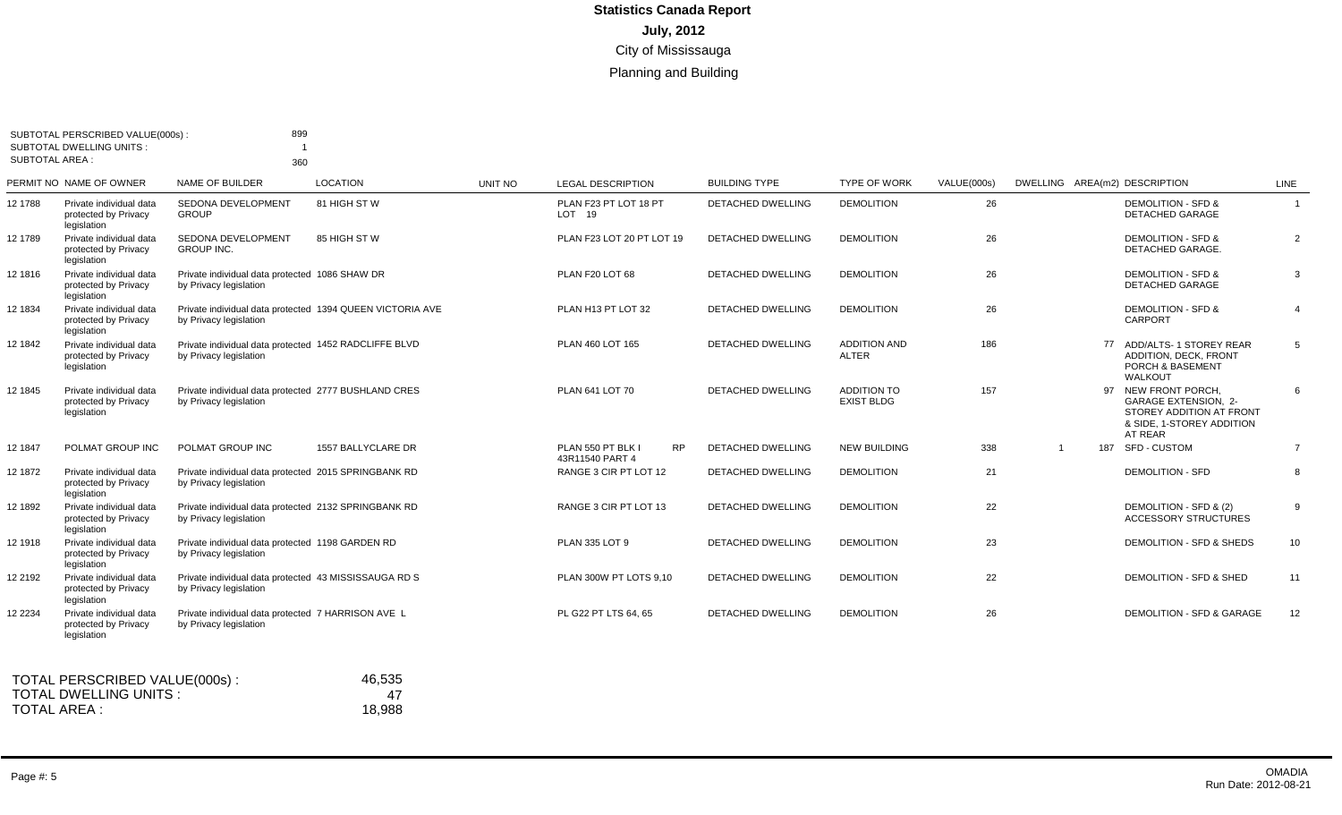| <b>SUBTOTAL AREA:</b> | <b>SUBTOTAL DWELLING UNITS:</b>                                | 360                                                                                 |                    |         |                                                   |                          |                                         |             |  |                                                                                                                       |                |
|-----------------------|----------------------------------------------------------------|-------------------------------------------------------------------------------------|--------------------|---------|---------------------------------------------------|--------------------------|-----------------------------------------|-------------|--|-----------------------------------------------------------------------------------------------------------------------|----------------|
|                       | PERMIT NO NAME OF OWNER                                        | NAME OF BUILDER                                                                     | <b>LOCATION</b>    | UNIT NO | <b>LEGAL DESCRIPTION</b>                          | <b>BUILDING TYPE</b>     | <b>TYPE OF WORK</b>                     | VALUE(000s) |  | DWELLING AREA(m2) DESCRIPTION                                                                                         | LINE           |
| 12 1788               | Private individual data<br>protected by Privacy<br>legislation | SEDONA DEVELOPMENT<br><b>GROUP</b>                                                  | 81 HIGH ST W       |         | PLAN F23 PT LOT 18 PT<br>$LOT$ 19                 | <b>DETACHED DWELLING</b> | <b>DEMOLITION</b>                       | 26          |  | <b>DEMOLITION - SFD &amp;</b><br><b>DETACHED GARAGE</b>                                                               | $\overline{1}$ |
| 12 1789               | Private individual data<br>protected by Privacy<br>legislation | SEDONA DEVELOPMENT<br><b>GROUP INC.</b>                                             | 85 HIGH ST W       |         | PLAN F23 LOT 20 PT LOT 19                         | <b>DETACHED DWELLING</b> | <b>DEMOLITION</b>                       | 26          |  | <b>DEMOLITION - SFD &amp;</b><br>DETACHED GARAGE.                                                                     | $\overline{2}$ |
| 12 1816               | Private individual data<br>protected by Privacy<br>legislation | Private individual data protected 1086 SHAW DR<br>by Privacy legislation            |                    |         | PLAN F20 LOT 68                                   | <b>DETACHED DWELLING</b> | <b>DEMOLITION</b>                       | 26          |  | <b>DEMOLITION - SFD &amp;</b><br>DETACHED GARAGE                                                                      | 3              |
| 12 1834               | Private individual data<br>protected by Privacy<br>legislation | Private individual data protected 1394 QUEEN VICTORIA AVE<br>by Privacy legislation |                    |         | PLAN H13 PT LOT 32                                | DETACHED DWELLING        | <b>DEMOLITION</b>                       | 26          |  | <b>DEMOLITION - SFD &amp;</b><br><b>CARPORT</b>                                                                       | $\overline{4}$ |
| 12 1842               | Private individual data<br>protected by Privacy<br>legislation | Private individual data protected 1452 RADCLIFFE BLVD<br>by Privacy legislation     |                    |         | PLAN 460 LOT 165                                  | <b>DETACHED DWELLING</b> | <b>ADDITION AND</b><br><b>ALTER</b>     | 186         |  | 77 ADD/ALTS-1 STOREY REAR<br><b>ADDITION, DECK, FRONT</b><br>PORCH & BASEMENT<br>WALKOUT                              | 5              |
| 12 1845               | Private individual data<br>protected by Privacy<br>legislation | Private individual data protected 2777 BUSHLAND CRES<br>by Privacy legislation      |                    |         | PLAN 641 LOT 70                                   | <b>DETACHED DWELLING</b> | <b>ADDITION TO</b><br><b>EXIST BLDG</b> | 157         |  | 97 NEW FRONT PORCH<br><b>GARAGE EXTENSION, 2-</b><br>STOREY ADDITION AT FRONT<br>& SIDE, 1-STOREY ADDITION<br>AT REAR | 6              |
| 12 1847               | POLMAT GROUP INC                                               | POLMAT GROUP INC                                                                    | 1557 BALLYCLARE DR |         | PLAN 550 PT BLK I<br><b>RP</b><br>43R11540 PART 4 | <b>DETACHED DWELLING</b> | <b>NEW BUILDING</b>                     | 338         |  | 187 SFD - CUSTOM                                                                                                      | $\overline{7}$ |
| 12 1872               | Private individual data<br>protected by Privacy<br>legislation | Private individual data protected 2015 SPRINGBANK RD<br>by Privacy legislation      |                    |         | RANGE 3 CIR PT LOT 12                             | DETACHED DWELLING        | <b>DEMOLITION</b>                       | 21          |  | <b>DEMOLITION - SFD</b>                                                                                               | 8              |
| 12 1892               | Private individual data<br>protected by Privacy<br>legislation | Private individual data protected 2132 SPRINGBANK RD<br>by Privacy legislation      |                    |         | RANGE 3 CIR PT LOT 13                             | <b>DETACHED DWELLING</b> | <b>DEMOLITION</b>                       | 22          |  | DEMOLITION - SFD & (2)<br><b>ACCESSORY STRUCTURES</b>                                                                 | 9              |
| 12 1918               | Private individual data<br>protected by Privacy<br>legislation | Private individual data protected 1198 GARDEN RD<br>by Privacy legislation          |                    |         | <b>PLAN 335 LOT 9</b>                             | <b>DETACHED DWELLING</b> | <b>DEMOLITION</b>                       | 23          |  | DEMOLITION - SFD & SHEDS                                                                                              | 10             |
| 12 2192               | Private individual data<br>protected by Privacy<br>legislation | Private individual data protected 43 MISSISSAUGA RD S<br>by Privacy legislation     |                    |         | PLAN 300W PT LOTS 9.10                            | DETACHED DWELLING        | <b>DEMOLITION</b>                       | 22          |  | DEMOLITION - SFD & SHED                                                                                               | 11             |
| 12 2234               | Private individual data<br>protected by Privacy<br>legislation | Private individual data protected 7 HARRISON AVE L<br>by Privacy legislation        |                    |         | PL G22 PT LTS 64, 65                              | <b>DETACHED DWELLING</b> | <b>DEMOLITION</b>                       | 26          |  | DEMOLITION - SFD & GARAGE                                                                                             | 12             |
|                       | TOTAL PERSCRIBED VALUE(000s):<br><b>TOTAL DWELLING UNITS:</b>  |                                                                                     | 46,535<br>47       |         |                                                   |                          |                                         |             |  |                                                                                                                       |                |

TOTAL AREA :

18,988

Page #: 5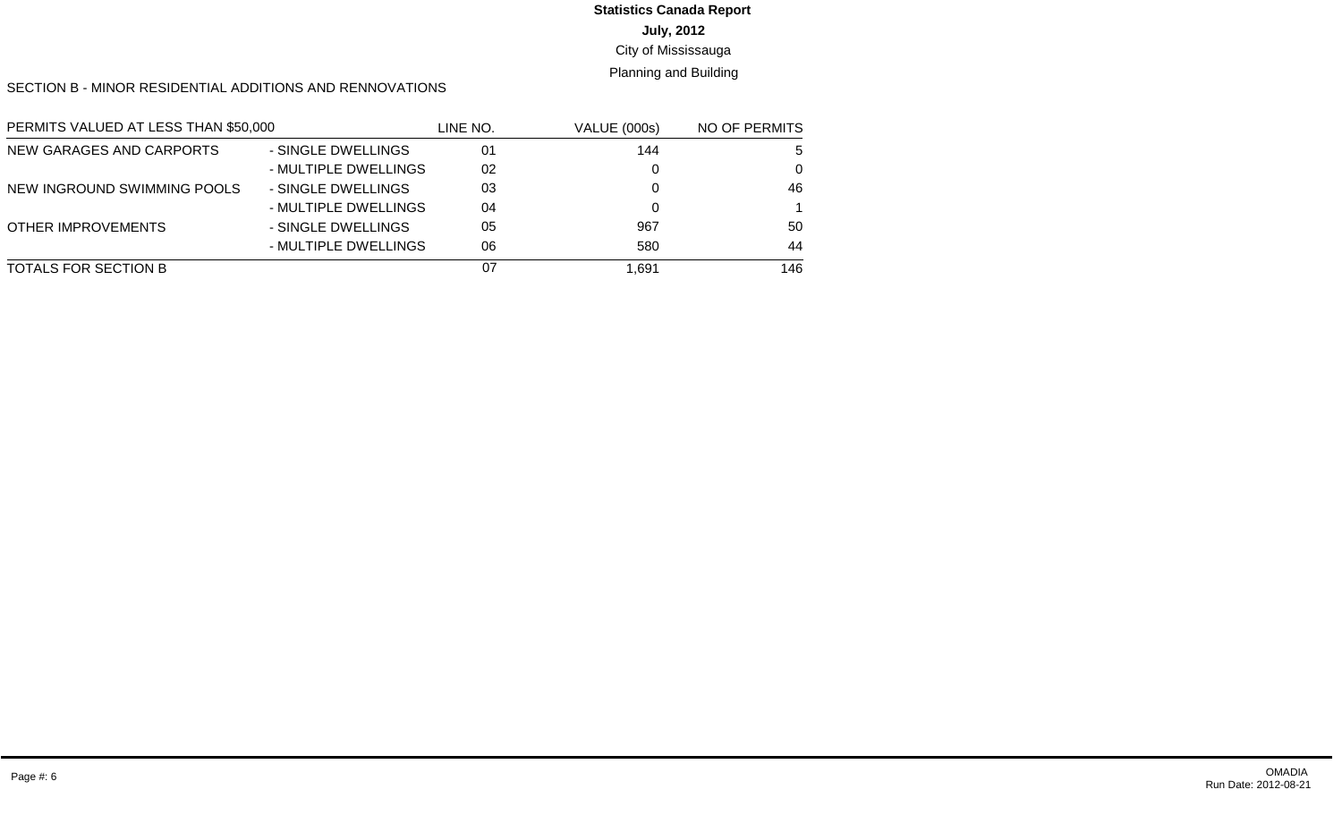# **July, 2012 Statistics Canada Report**

#### City of Mississauga

#### Planning and Building

SECTION B - MINOR RESIDENTIAL ADDITIONS AND RENNOVATIONS

| PERMITS VALUED AT LESS THAN \$50,000 |                      | line no. | <b>VALUE (000s)</b> | NO OF PERMITS |
|--------------------------------------|----------------------|----------|---------------------|---------------|
| NEW GARAGES AND CARPORTS             | - SINGLE DWELLINGS   | 01       | 144                 | 5             |
|                                      | - MULTIPLE DWELLINGS | 02       |                     | $\Omega$      |
| NEW INGROUND SWIMMING POOLS          | - SINGLE DWELLINGS   | 03       |                     | 46            |
|                                      | - MULTIPLE DWELLINGS | 04       |                     |               |
| <b>OTHER IMPROVEMENTS</b>            | - SINGLE DWELLINGS   | 05       | 967                 | 50            |
|                                      | - MULTIPLE DWELLINGS | 06       | 580                 | 44            |
| TOTALS FOR SECTION B                 |                      | 07       | 691. ا              | 146           |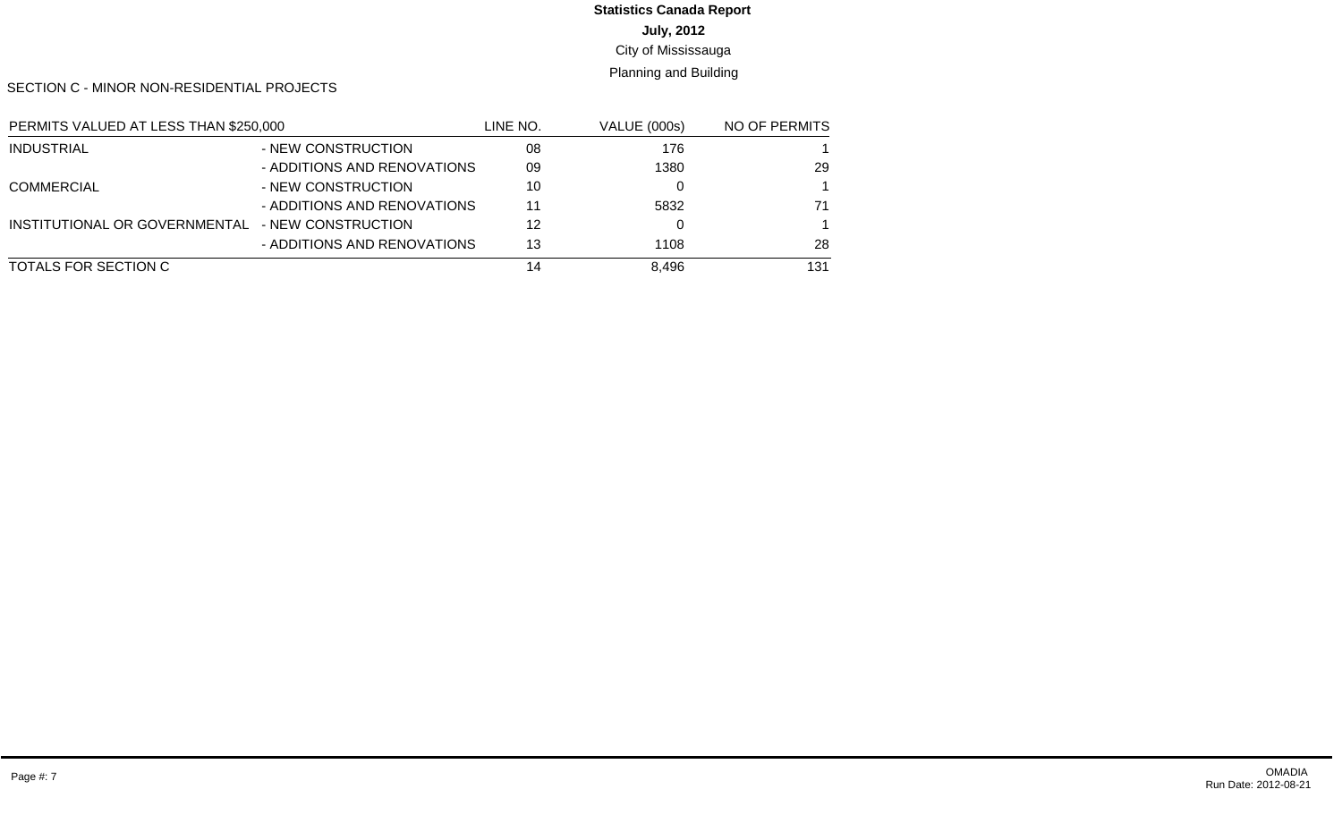# **July, 2012 Statistics Canada Report**

#### City of Mississauga

#### Planning and Building

SECTION C - MINOR NON-RESIDENTIAL PROJECTS

| PERMITS VALUED AT LESS THAN \$250,000 |                             | LINE NO. | <b>VALUE (000s)</b> | NO OF PERMITS |
|---------------------------------------|-----------------------------|----------|---------------------|---------------|
| <b>INDUSTRIAL</b>                     | - NEW CONSTRUCTION          | 08       | 176                 |               |
|                                       | - ADDITIONS AND RENOVATIONS | 09       | 1380                | 29            |
| <b>COMMERCIAL</b>                     | - NEW CONSTRUCTION          | 10       |                     |               |
|                                       | - ADDITIONS AND RENOVATIONS | 11       | 5832                | 71            |
| INSTITUTIONAL OR GOVERNMENTAL         | - NEW CONSTRUCTION          | 12       |                     |               |
|                                       | - ADDITIONS AND RENOVATIONS | 13       | 1108                | 28            |
| TOTALS FOR SECTION C                  |                             | 14       | 8.496               | 131           |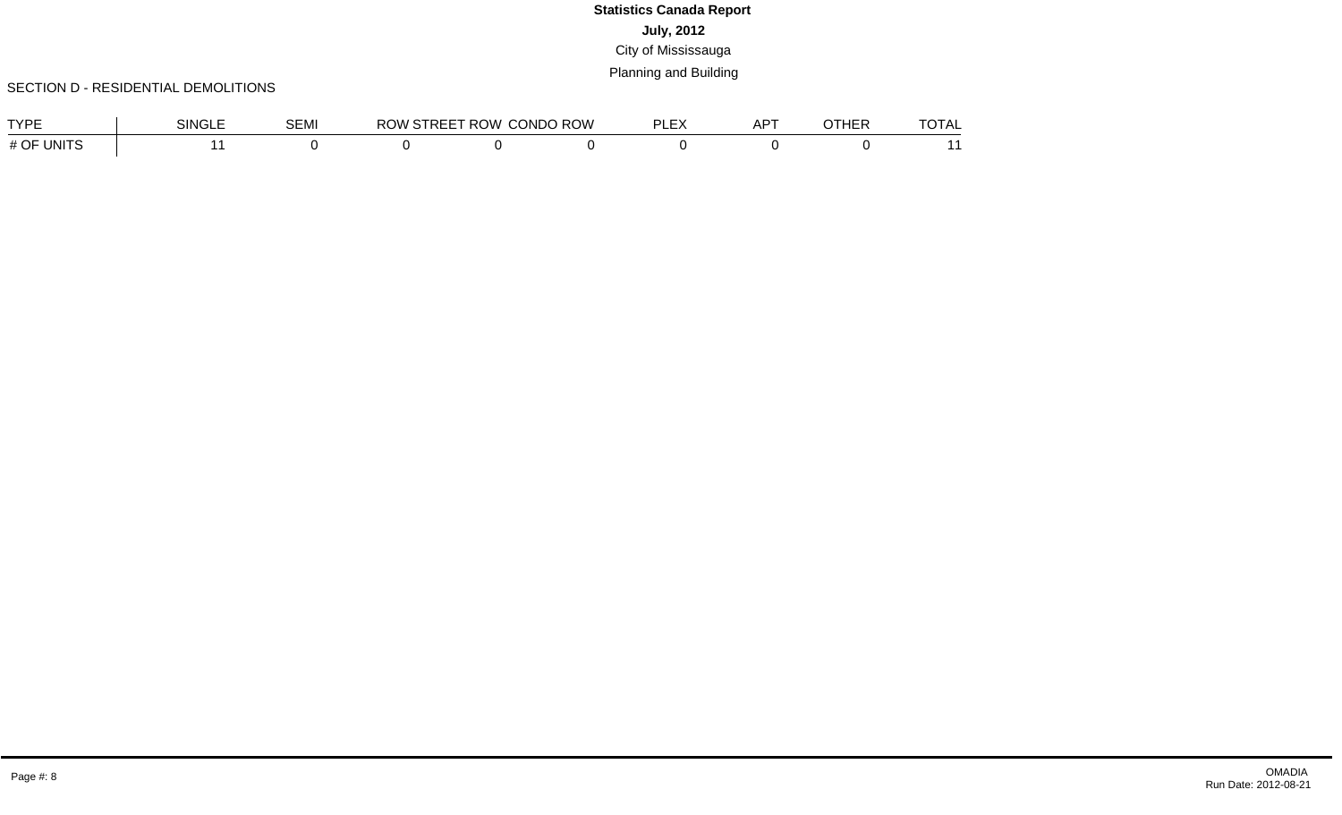#### SECTION D - RESIDENTIAL DEMOLITIONS

| TVDE               | <b>SINGLE</b> | <b>SEMI</b> | <b>RC</b><br>) W | PEET ROW<br>RFF | <b>CONDO ROW</b> | $-1$ | <b>ADT</b><br>nı. | 1 L L L | $-\sim -$ . |
|--------------------|---------------|-------------|------------------|-----------------|------------------|------|-------------------|---------|-------------|
| # OF UNIT $\Gamma$ |               |             |                  |                 |                  |      |                   |         |             |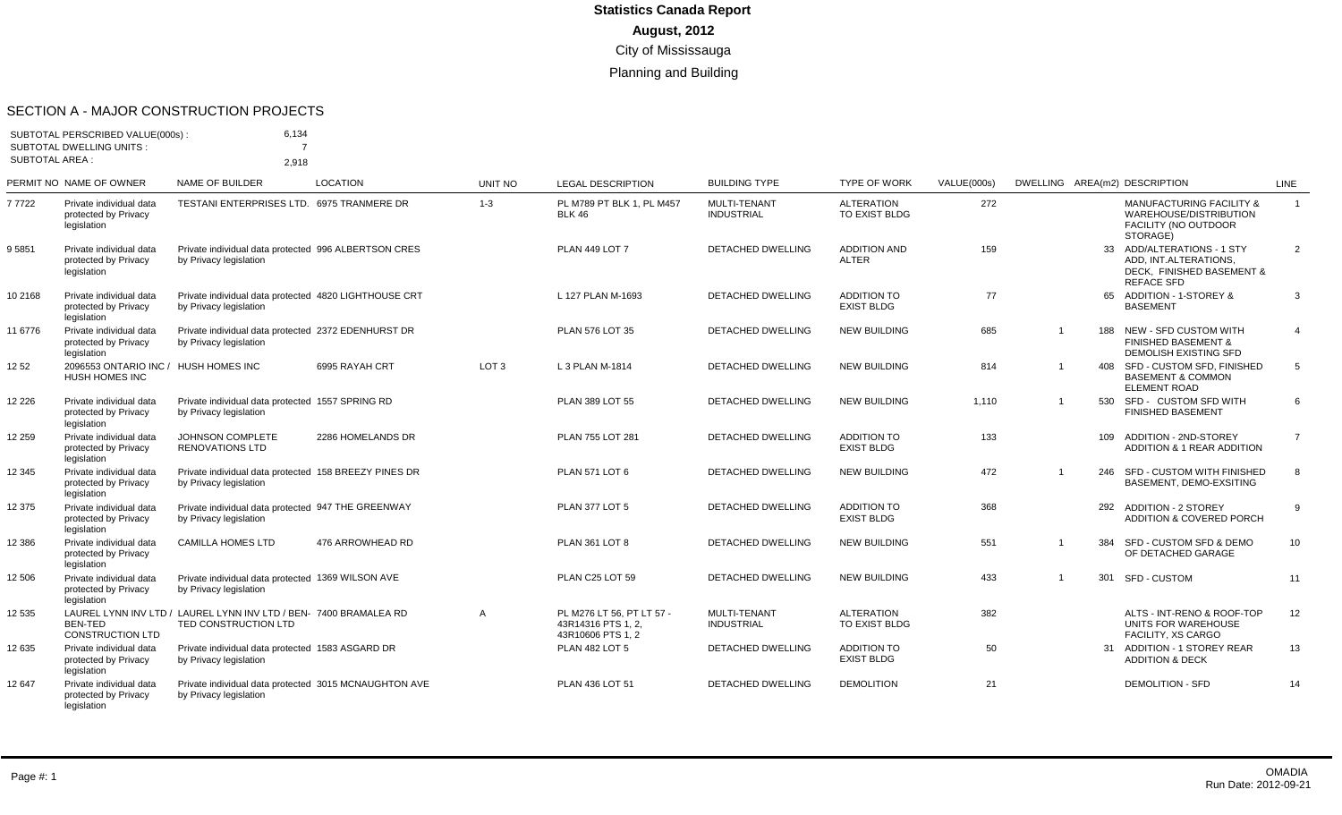#### SECTION A - MAJOR CONSTRUCTION PROJECTS

|                       | SUBTOTAL PERSCRIBED VALUE(000s):<br><b>SUBTOTAL DWELLING UNITS:</b> | 6.134                                                                                     |                   |                  |                                                                     |                                          |                                           |             |                |     |                                                                                                       |                 |
|-----------------------|---------------------------------------------------------------------|-------------------------------------------------------------------------------------------|-------------------|------------------|---------------------------------------------------------------------|------------------------------------------|-------------------------------------------|-------------|----------------|-----|-------------------------------------------------------------------------------------------------------|-----------------|
| <b>SUBTOTAL AREA:</b> |                                                                     | 2.918                                                                                     |                   |                  |                                                                     |                                          |                                           |             |                |     |                                                                                                       |                 |
|                       | PERMIT NO NAME OF OWNER                                             | NAME OF BUILDER                                                                           | <b>LOCATION</b>   | <b>UNIT NO</b>   | <b>LEGAL DESCRIPTION</b>                                            | <b>BUILDING TYPE</b>                     | <b>TYPE OF WORK</b>                       | VALUE(000s) |                |     | DWELLING AREA(m2) DESCRIPTION                                                                         | LINE            |
| 7 7 7 2 2             | Private individual data<br>protected by Privacy<br>legislation      | TESTANI ENTERPRISES LTD. 6975 TRANMERE DR                                                 |                   | $1 - 3$          | PL M789 PT BLK 1. PL M457<br><b>BLK 46</b>                          | <b>MULTI-TENANT</b><br><b>INDUSTRIAL</b> | <b>ALTERATION</b><br><b>TO EXIST BLDG</b> | 272         |                |     | <b>MANUFACTURING FACILITY &amp;</b><br>WAREHOUSE/DISTRIBUTION<br>FACILITY (NO OUTDOOR<br>STORAGE)     | $\mathbf{1}$    |
| 95851                 | Private individual data<br>protected by Privacv<br>legislation      | Private individual data protected 996 ALBERTSON CRES<br>by Privacy legislation            |                   |                  | <b>PLAN 449 LOT 7</b>                                               | <b>DETACHED DWELLING</b>                 | <b>ADDITION AND</b><br><b>ALTER</b>       | 159         |                |     | 33 ADD/ALTERATIONS - 1 STY<br>ADD. INT.ALTERATIONS.<br>DECK, FINISHED BASEMENT &<br><b>REFACE SFD</b> | 2               |
| 10 2168               | Private individual data<br>protected by Privacy<br>legislation      | Private individual data protected 4820 LIGHTHOUSE CRT<br>by Privacy legislation           |                   |                  | L 127 PLAN M-1693                                                   | DETACHED DWELLING                        | <b>ADDITION TO</b><br><b>EXIST BLDG</b>   | 77          |                | 65  | ADDITION - 1-STOREY &<br><b>BASEMENT</b>                                                              | 3               |
| 11 6776               | Private individual data<br>protected by Privacy<br>legislation      | Private individual data protected 2372 EDENHURST DR<br>by Privacy legislation             |                   |                  | <b>PLAN 576 LOT 35</b>                                              | <b>DETACHED DWELLING</b>                 | <b>NEW BUILDING</b>                       | 685         | $\overline{1}$ | 188 | NEW - SFD CUSTOM WITH<br><b>FINISHED BASEMENT &amp;</b><br><b>DEMOLISH EXISTING SFD</b>               | $\overline{4}$  |
| 12 52                 | 2096553 ONTARIO INC / HUSH HOMES INC<br>HUSH HOMES INC              |                                                                                           | 6995 RAYAH CRT    | LOT <sub>3</sub> | L 3 PLAN M-1814                                                     | <b>DETACHED DWELLING</b>                 | <b>NEW BUILDING</b>                       | 814         | $\overline{1}$ |     | 408 SFD - CUSTOM SFD, FINISHED<br><b>BASEMENT &amp; COMMON</b><br>ELEMENT ROAD                        | 5               |
| 12 2 2 6              | Private individual data<br>protected by Privacy<br>legislation      | Private individual data protected 1557 SPRING RD<br>by Privacy legislation                |                   |                  | <b>PLAN 389 LOT 55</b>                                              | <b>DETACHED DWELLING</b>                 | <b>NEW BUILDING</b>                       | 1,110       | -1             | 530 | SFD - CUSTOM SFD WITH<br><b>FINISHED BASEMENT</b>                                                     | 6               |
| 12 259                | Private individual data<br>protected by Privacy<br>legislation      | <b>JOHNSON COMPLETE</b><br><b>RENOVATIONS LTD</b>                                         | 2286 HOMELANDS DR |                  | PLAN 755 LOT 281                                                    | <b>DETACHED DWELLING</b>                 | <b>ADDITION TO</b><br><b>EXIST BLDG</b>   | 133         |                | 109 | ADDITION - 2ND-STOREY<br>ADDITION & 1 REAR ADDITION                                                   | $\overline{7}$  |
| 12 3 45               | Private individual data<br>protected by Privacy<br>legislation      | Private individual data protected 158 BREEZY PINES DR<br>by Privacy legislation           |                   |                  | <b>PLAN 571 LOT 6</b>                                               | <b>DETACHED DWELLING</b>                 | <b>NEW BUILDING</b>                       | 472         | $\overline{1}$ | 246 | SFD - CUSTOM WITH FINISHED<br>BASEMENT, DEMO-EXSITING                                                 | 8               |
| 12 375                | Private individual data<br>protected by Privacy<br>legislation      | Private individual data protected 947 THE GREENWAY<br>by Privacy legislation              |                   |                  | <b>PLAN 377 LOT 5</b>                                               | <b>DETACHED DWELLING</b>                 | <b>ADDITION TO</b><br><b>EXIST BLDG</b>   | 368         |                | 292 | <b>ADDITION - 2 STOREY</b><br><b>ADDITION &amp; COVERED PORCH</b>                                     | 9               |
| 12 386                | Private individual data<br>protected by Privacy<br>legislation      | <b>CAMILLA HOMES LTD</b>                                                                  | 476 ARROWHEAD RD  |                  | <b>PLAN 361 LOT 8</b>                                               | DETACHED DWELLING                        | <b>NEW BUILDING</b>                       | 551         | $\overline{1}$ | 384 | SFD - CUSTOM SFD & DEMO<br>OF DETACHED GARAGE                                                         | 10 <sup>1</sup> |
| 12 506                | Private individual data<br>protected by Privacy<br>legislation      | Private individual data protected 1369 WILSON AVE<br>by Privacy legislation               |                   |                  | PLAN C25 LOT 59                                                     | <b>DETACHED DWELLING</b>                 | <b>NEW BUILDING</b>                       | 433         | $\overline{1}$ | 301 | SFD - CUSTOM                                                                                          | 11              |
| 12 535                | BEN-TED<br><b>CONSTRUCTION LTD</b>                                  | LAUREL LYNN INV LTD / LAUREL LYNN INV LTD / BEN- 7400 BRAMALEA RD<br>TED CONSTRUCTION LTD |                   | $\overline{A}$   | PL M276 LT 56. PT LT 57 -<br>43R14316 PTS 1.2.<br>43R10606 PTS 1, 2 | MULTI-TENANT<br><b>INDUSTRIAL</b>        | <b>ALTERATION</b><br><b>TO EXIST BLDG</b> | 382         |                |     | ALTS - INT-RENO & ROOF-TOP<br>UNITS FOR WAREHOUSE<br>FACILITY, XS CARGO                               | 12              |
| 12 635                | Private individual data<br>protected by Privacy<br>legislation      | Private individual data protected 1583 ASGARD DR<br>by Privacy legislation                |                   |                  | <b>PLAN 482 LOT 5</b>                                               | <b>DETACHED DWELLING</b>                 | <b>ADDITION TO</b><br><b>EXIST BLDG</b>   | 50          |                | 31  | ADDITION - 1 STOREY REAR<br><b>ADDITION &amp; DECK</b>                                                | 13              |
| 12 647                | Private individual data<br>protected by Privacy                     | Private individual data protected 3015 MCNAUGHTON AVE<br>by Privacy legislation           |                   |                  | PLAN 436 LOT 51                                                     | <b>DETACHED DWELLING</b>                 | <b>DEMOLITION</b>                         | 21          |                |     | <b>DEMOLITION - SFD</b>                                                                               | 14              |

legislation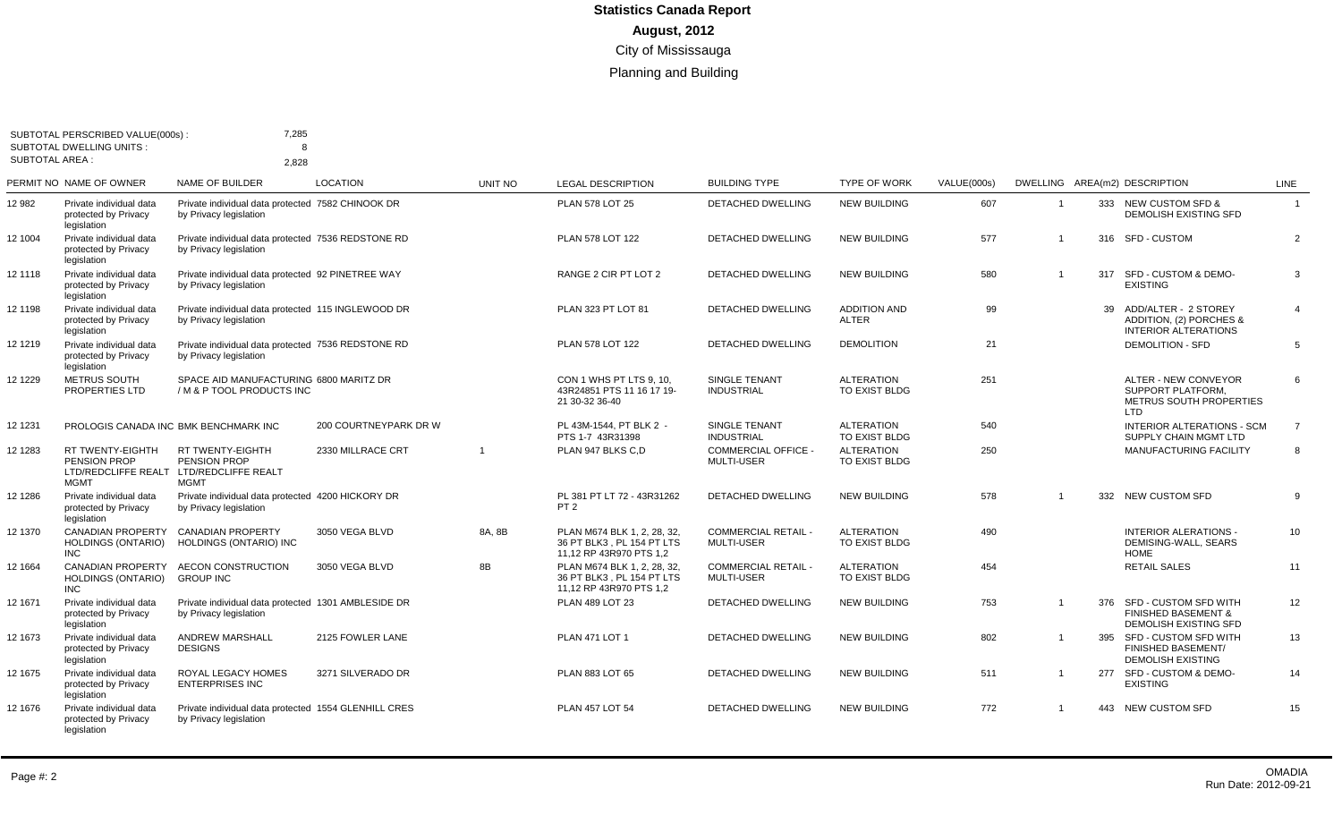|                 | SUBTOTAL PERSCRIBED VALUE(000s):                                              | 7,285<br>8                                                                     |                       |                |                                                                                     |                                                 |                                     |             |                         |    |                                                                                             |                |
|-----------------|-------------------------------------------------------------------------------|--------------------------------------------------------------------------------|-----------------------|----------------|-------------------------------------------------------------------------------------|-------------------------------------------------|-------------------------------------|-------------|-------------------------|----|---------------------------------------------------------------------------------------------|----------------|
| SUBTOTAL AREA : | <b>SUBTOTAL DWELLING UNITS:</b>                                               | 2,828                                                                          |                       |                |                                                                                     |                                                 |                                     |             |                         |    |                                                                                             |                |
|                 | PERMIT NO NAME OF OWNER                                                       | <b>NAME OF BUILDER</b>                                                         | <b>LOCATION</b>       | UNIT NO        | <b>LEGAL DESCRIPTION</b>                                                            | <b>BUILDING TYPE</b>                            | <b>TYPE OF WORK</b>                 | VALUE(000s) |                         |    | DWELLING AREA(m2) DESCRIPTION                                                               | LINE           |
| 12 982          | Private individual data<br>protected by Privacy<br>legislation                | Private individual data protected 7582 CHINOOK DR<br>by Privacy legislation    |                       |                | <b>PLAN 578 LOT 25</b>                                                              | DETACHED DWELLING                               | <b>NEW BUILDING</b>                 | 607         | $\overline{\mathbf{1}}$ |    | 333 NEW CUSTOM SFD &<br><b>DEMOLISH EXISTING SFD</b>                                        | $\overline{1}$ |
| 12 1004         | Private individual data<br>protected by Privacy<br>legislation                | Private individual data protected 7536 REDSTONE RD<br>by Privacy legislation   |                       |                | PLAN 578 LOT 122                                                                    | <b>DETACHED DWELLING</b>                        | <b>NEW BUILDING</b>                 | 577         |                         |    | 316 SFD - CUSTOM                                                                            | $\overline{2}$ |
| 12 1118         | Private individual data<br>protected by Privacy<br>legislation                | Private individual data protected 92 PINETREE WAY<br>by Privacy legislation    |                       |                | RANGE 2 CIR PT LOT 2                                                                | DETACHED DWELLING                               | <b>NEW BUILDING</b>                 | 580         |                         |    | 317 SFD - CUSTOM & DEMO-<br><b>EXISTING</b>                                                 | 3              |
| 12 1198         | Private individual data<br>protected by Privacy<br>legislation                | Private individual data protected 115 INGLEWOOD DR<br>by Privacy legislation   |                       |                | PLAN 323 PT LOT 81                                                                  | <b>DETACHED DWELLING</b>                        | <b>ADDITION AND</b><br><b>ALTER</b> | 99          |                         | 39 | ADD/ALTER - 2 STOREY<br>ADDITION, (2) PORCHES &<br><b>INTERIOR ALTERATIONS</b>              | $\overline{4}$ |
| 12 1219         | Private individual data<br>protected by Privacy<br>legislation                | Private individual data protected 7536 REDSTONE RD<br>by Privacy legislation   |                       |                | PLAN 578 LOT 122                                                                    | <b>DETACHED DWELLING</b>                        | <b>DEMOLITION</b>                   | 21          |                         |    | <b>DEMOLITION - SFD</b>                                                                     | 5              |
| 12 1229         | <b>METRUS SOUTH</b><br><b>PROPERTIES LTD</b>                                  | SPACE AID MANUFACTURING 6800 MARITZ DR<br>/ M & P TOOL PRODUCTS INC            |                       |                | CON 1 WHS PT LTS 9, 10.<br>43R24851 PTS 11 16 17 19-<br>21 30-32 36-40              | <b>SINGLE TENANT</b><br><b>INDUSTRIAL</b>       | <b>ALTERATION</b><br>TO EXIST BLDG  | 251         |                         |    | ALTER - NEW CONVEYOR<br><b>SUPPORT PLATFORM.</b><br>METRUS SOUTH PROPERTIES<br>LTD          | 6              |
| 12 1231         | PROLOGIS CANADA INC BMK BENCHMARK INC                                         |                                                                                | 200 COURTNEYPARK DR W |                | PL 43M-1544. PT BLK 2 -<br>PTS 1-7 43R31398                                         | <b>SINGLE TENANT</b><br><b>INDUSTRIAL</b>       | <b>ALTERATION</b><br>TO EXIST BLDG  | 540         |                         |    | <b>INTERIOR ALTERATIONS - SCM</b><br>SUPPLY CHAIN MGMT LTD                                  | $\overline{7}$ |
| 12 1283         | <b>RT TWENTY-EIGHTH</b><br>PENSION PROP<br>LTD/REDCLIFFE REALT<br><b>MGMT</b> | <b>RT TWENTY-EIGHTH</b><br>PENSION PROP<br>LTD/REDCLIFFE REALT<br><b>MGMT</b>  | 2330 MILLRACE CRT     | $\overline{1}$ | PLAN 947 BLKS C.D                                                                   | <b>COMMERCIAL OFFICE -</b><br><b>MULTI-USER</b> | <b>ALTERATION</b><br>TO EXIST BLDG  | 250         |                         |    | MANUFACTURING FACILITY                                                                      | 8              |
| 12 1286         | Private individual data<br>protected by Privacy<br>legislation                | Private individual data protected 4200 HICKORY DR<br>by Privacy legislation    |                       |                | PL 381 PT LT 72 - 43R31262<br>PT <sub>2</sub>                                       | <b>DETACHED DWELLING</b>                        | <b>NEW BUILDING</b>                 | 578         | $\overline{1}$          |    | 332 NEW CUSTOM SFD                                                                          | 9              |
| 12 1370         | <b>CANADIAN PROPERTY</b><br><b>HOLDINGS (ONTARIO)</b><br><b>INC</b>           | <b>CANADIAN PROPERTY</b><br>HOLDINGS (ONTARIO) INC                             | 3050 VEGA BLVD        | 8A, 8B         | PLAN M674 BLK 1, 2, 28, 32,<br>36 PT BLK3, PL 154 PT LTS<br>11,12 RP 43R970 PTS 1,2 | <b>COMMERCIAL RETAIL -</b><br><b>MULTI-USER</b> | <b>ALTERATION</b><br>TO EXIST BLDG  | 490         |                         |    | <b>INTERIOR ALERATIONS -</b><br>DEMISING-WALL, SEARS<br><b>HOME</b>                         | 10             |
| 12 1664         | <b>CANADIAN PROPERTY</b><br><b>HOLDINGS (ONTARIO)</b><br><b>INC</b>           | <b>AECON CONSTRUCTION</b><br><b>GROUP INC</b>                                  | 3050 VEGA BLVD        | 8B             | PLAN M674 BLK 1, 2, 28, 32,<br>36 PT BLK3, PL 154 PT LTS<br>11,12 RP 43R970 PTS 1,2 | <b>COMMERCIAL RETAIL -</b><br><b>MULTI-USER</b> | <b>ALTERATION</b><br>TO EXIST BLDG  | 454         |                         |    | <b>RETAIL SALES</b>                                                                         | 11             |
| 12 1671         | Private individual data<br>protected by Privacy<br>legislation                | Private individual data protected 1301 AMBLESIDE DR<br>by Privacy legislation  |                       |                | PLAN 489 LOT 23                                                                     | DETACHED DWELLING                               | <b>NEW BUILDING</b>                 | 753         |                         |    | 376 SFD - CUSTOM SFD WITH<br><b>FINISHED BASEMENT &amp;</b><br><b>DEMOLISH EXISTING SFD</b> | 12             |
| 12 1673         | Private individual data<br>protected by Privacy<br>legislation                | <b>ANDREW MARSHALL</b><br><b>DESIGNS</b>                                       | 2125 FOWLER LANE      |                | <b>PLAN 471 LOT 1</b>                                                               | DETACHED DWELLING                               | <b>NEW BUILDING</b>                 | 802         |                         |    | 395 SFD - CUSTOM SFD WITH<br><b>FINISHED BASEMENT/</b><br><b>DEMOLISH EXISTING</b>          | 13             |
| 12 1675         | Private individual data<br>protected by Privacy<br>legislation                | ROYAL LEGACY HOMES<br><b>ENTERPRISES INC</b>                                   | 3271 SILVERADO DR     |                | PLAN 883 LOT 65                                                                     | DETACHED DWELLING                               | <b>NEW BUILDING</b>                 | 511         | $\overline{1}$          |    | 277 SFD - CUSTOM & DEMO-<br><b>EXISTING</b>                                                 | 14             |
| 12 1676         | Private individual data<br>protected by Privacy<br>legislation                | Private individual data protected 1554 GLENHILL CRES<br>by Privacy legislation |                       |                | <b>PLAN 457 LOT 54</b>                                                              | DETACHED DWELLING                               | <b>NEW BUILDING</b>                 | 772         | $\mathbf{1}$            |    | 443 NEW CUSTOM SFD                                                                          | 15             |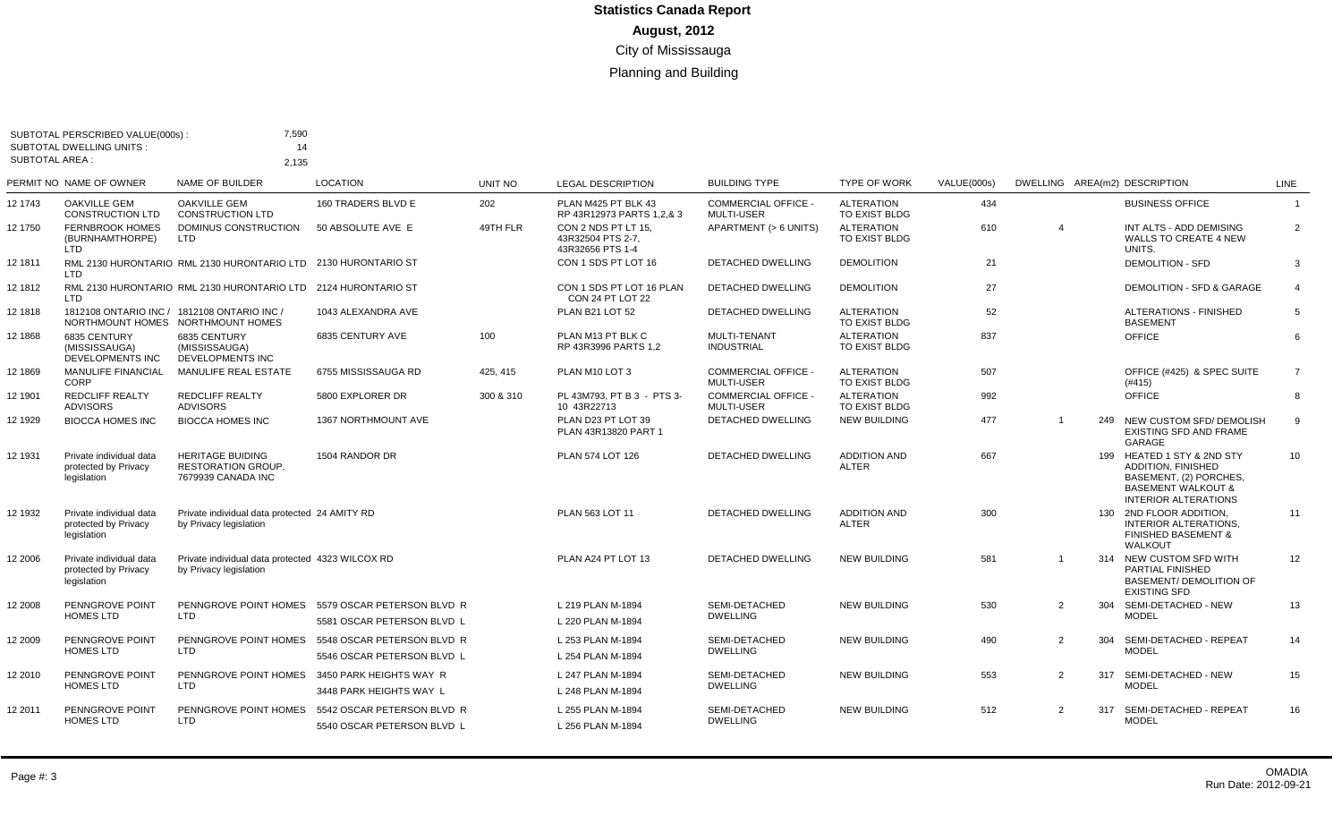|                       | SUBTOTAL PERSCRIBED VALUE(000s):<br><b>SUBTOTAL DWELLING UNITS:</b>              | 7,590<br>14                                                                |                                                          |                |                                                              |                                                 |                                     |             |                               |     |                                                                                                                                                   |                 |
|-----------------------|----------------------------------------------------------------------------------|----------------------------------------------------------------------------|----------------------------------------------------------|----------------|--------------------------------------------------------------|-------------------------------------------------|-------------------------------------|-------------|-------------------------------|-----|---------------------------------------------------------------------------------------------------------------------------------------------------|-----------------|
| <b>SUBTOTAL AREA:</b> |                                                                                  | 2.135                                                                      |                                                          |                |                                                              |                                                 |                                     |             |                               |     |                                                                                                                                                   |                 |
|                       | PERMIT NO NAME OF OWNER                                                          | <b>NAME OF BUILDER</b>                                                     | <b>LOCATION</b>                                          | <b>UNIT NO</b> | <b>LEGAL DESCRIPTION</b>                                     | <b>BUILDING TYPE</b>                            | <b>TYPE OF WORK</b>                 | VALUE(000s) | DWELLING AREA(m2) DESCRIPTION |     |                                                                                                                                                   | <b>LINE</b>     |
| 12 1743               | <b>OAKVILLE GEM</b><br><b>CONSTRUCTION LTD</b>                                   | <b>OAKVILLE GEM</b><br><b>CONSTRUCTION LTD</b>                             | 160 TRADERS BLVD E                                       | 202            | PLAN M425 PT BLK 43<br>RP 43R12973 PARTS 1,2,& 3             | COMMERCIAL OFFICE -<br><b>MULTI-USER</b>        | <b>ALTERATION</b><br>TO EXIST BLDG  | 434         |                               |     | <b>BUSINESS OFFICE</b>                                                                                                                            | $\overline{1}$  |
| 12 1750               | <b>FERNBROOK HOMES</b><br>(BURNHAMTHORPE)<br>LTD                                 | DOMINUS CONSTRUCTION<br><b>LTD</b>                                         | 50 ABSOLUTE AVE E                                        | 49TH FLR       | CON 2 NDS PT LT 15.<br>43R32504 PTS 2-7,<br>43R32656 PTS 1-4 | APARTMENT (> 6 UNITS)                           | <b>ALTERATION</b><br>TO EXIST BLDG  | 610         | $\overline{4}$                |     | INT ALTS - ADD DEMISING<br><b>WALLS TO CREATE 4 NEW</b><br>UNITS.                                                                                 | $\overline{2}$  |
| 12 1811               | <b>LTD</b>                                                                       | RML 2130 HURONTARIO RML 2130 HURONTARIO LTD 2130 HURONTARIO ST             |                                                          |                | CON 1 SDS PT LOT 16                                          | DETACHED DWELLING                               | <b>DEMOLITION</b>                   | 21          |                               |     | <b>DEMOLITION - SFD</b>                                                                                                                           | 3               |
| 12 1812               | LTD                                                                              | RML 2130 HURONTARIO RML 2130 HURONTARIO LTD 2124 HURONTARIO ST             |                                                          |                | CON 1 SDS PT LOT 16 PLAN<br>CON 24 PT LOT 22                 | <b>DETACHED DWELLING</b>                        | <b>DEMOLITION</b>                   | 27          |                               |     | <b>DEMOLITION - SFD &amp; GARAGE</b>                                                                                                              | $\overline{4}$  |
| 12 1818               | 1812108 ONTARIO INC / 1812108 ONTARIO INC /<br>NORTHMOUNT HOMES NORTHMOUNT HOMES |                                                                            | 1043 ALEXANDRA AVE                                       |                | PLAN B21 LOT 52                                              | DETACHED DWELLING                               | <b>ALTERATION</b><br>TO EXIST BLDG  | 52          |                               |     | <b>ALTERATIONS - FINISHED</b><br><b>BASEMENT</b>                                                                                                  | 5               |
| 12 1868               | 6835 CENTURY<br>(MISSISSAUGA)<br>DEVELOPMENTS INC                                | 6835 CENTURY<br>(MISSISSAUGA)<br>DEVELOPMENTS INC                          | 6835 CENTURY AVE                                         | 100            | PLAN M13 PT BLK C<br>RP 43R3996 PARTS 1,2                    | MULTI-TENANT<br><b>INDUSTRIAL</b>               | <b>ALTERATION</b><br>TO EXIST BLDG  | 837         |                               |     | OFFICE                                                                                                                                            | $6\overline{6}$ |
| 12 1869               | <b>MANULIFE FINANCIAL</b><br>CORP                                                | MANULIFE REAL ESTATE                                                       | 6755 MISSISSAUGA RD                                      | 425, 415       | PLAN M10 LOT 3                                               | <b>COMMERCIAL OFFICE -</b><br><b>MULTI-USER</b> | <b>ALTERATION</b><br>TO EXIST BLDG  | 507         |                               |     | OFFICE (#425) & SPEC SUITE<br>(#415)                                                                                                              | $\overline{7}$  |
| 12 1901               | <b>REDCLIFF REALTY</b><br><b>ADVISORS</b>                                        | <b>REDCLIFF REALTY</b><br><b>ADVISORS</b>                                  | 5800 EXPLORER DR                                         | 300 & 310      | PL 43M793, PT B 3 - PTS 3-<br>10 43R22713                    | <b>COMMERCIAL OFFICE -</b><br><b>MULTI-USER</b> | <b>ALTERATION</b><br>TO EXIST BLDG  | 992         |                               |     | OFFICE                                                                                                                                            | 8               |
| 12 1929               | <b>BIOCCA HOMES INC</b>                                                          | <b>BIOCCA HOMES INC</b>                                                    | <b>1367 NORTHMOUNT AVE</b>                               |                | PLAN D23 PT LOT 39<br>PLAN 43R13820 PART 1                   | DETACHED DWELLING                               | <b>NEW BUILDING</b>                 | 477         |                               | 249 | NEW CUSTOM SFD/ DEMOLISH<br>EXISTING SFD AND FRAME<br>GARAGE                                                                                      | 9               |
| 12 1931               | Private individual data<br>protected by Privacy<br>legislation                   | <b>HERITAGE BUIDING</b><br><b>RESTORATION GROUP.</b><br>7679939 CANADA INC | 1504 RANDOR DR                                           |                | PLAN 574 LOT 126                                             | <b>DETACHED DWELLING</b>                        | <b>ADDITION AND</b><br><b>ALTER</b> | 667         |                               |     | 199 HEATED 1 STY & 2ND STY<br><b>ADDITION, FINISHED</b><br>BASEMENT, (2) PORCHES,<br><b>BASEMENT WALKOUT &amp;</b><br><b>INTERIOR ALTERATIONS</b> | 10              |
| 12 1932               | Private individual data<br>protected by Privacy<br>legislation                   | Private individual data protected 24 AMITY RD<br>by Privacy legislation    |                                                          |                | PLAN 563 LOT 11                                              | <b>DETACHED DWELLING</b>                        | <b>ADDITION AND</b><br><b>ALTER</b> | 300         |                               |     | 130 2ND FLOOR ADDITION.<br>INTERIOR ALTERATIONS,<br><b>FINISHED BASEMENT &amp;</b><br>WALKOUT                                                     | 11              |
| 12 2006               | Private individual data<br>protected by Privacy<br>legislation                   | Private individual data protected 4323 WILCOX RD<br>by Privacy legislation |                                                          |                | PLAN A24 PT LOT 13                                           | DETACHED DWELLING                               | <b>NEW BUILDING</b>                 | 581         | $\overline{1}$                |     | 314 NEW CUSTOM SFD WITH<br><b>PARTIAL FINISHED</b><br><b>BASEMENT/ DEMOLITION OF</b><br><b>EXISTING SFD</b>                                       | 12              |
| 12 2008               | PENNGROVE POINT<br><b>HOMES LTD</b>                                              | PENNGROVE POINT HOMES<br><b>LTD</b>                                        | 5579 OSCAR PETERSON BLVD R<br>5581 OSCAR PETERSON BLVD L |                | L 219 PLAN M-1894<br>L 220 PLAN M-1894                       | SEMI-DETACHED<br><b>DWELLING</b>                | <b>NEW BUILDING</b>                 | 530         | $\overline{2}$                |     | 304 SEMI-DETACHED - NEW<br><b>MODEL</b>                                                                                                           | 13              |
| 12 2009               | PENNGROVE POINT<br><b>HOMES LTD</b>                                              | PENNGROVE POINT HOMES<br><b>LTD</b>                                        | 5548 OSCAR PETERSON BLVD R<br>5546 OSCAR PETERSON BLVD L |                | L 253 PLAN M-1894<br>L 254 PLAN M-1894                       | SEMI-DETACHED<br><b>DWELLING</b>                | <b>NEW BUILDING</b>                 | 490         | 2                             |     | 304 SEMI-DETACHED - REPEAT<br><b>MODEL</b>                                                                                                        | 14              |
| 12 2010               | PENNGROVE POINT<br><b>HOMES LTD</b>                                              | PENNGROVE POINT HOMES<br>LTD                                               | 3450 PARK HEIGHTS WAY R<br>3448 PARK HEIGHTS WAY L       |                | L 247 PLAN M-1894<br>L 248 PLAN M-1894                       | SEMI-DETACHED<br><b>DWELLING</b>                | <b>NEW BUILDING</b>                 | 553         | 2                             | 317 | SEMI-DETACHED - NEW<br><b>MODEL</b>                                                                                                               | 15              |
| 12 2011               | PENNGROVE POINT<br><b>HOMES LTD</b>                                              | PENNGROVE POINT HOMES<br><b>LTD</b>                                        | 5542 OSCAR PETERSON BLVD R<br>5540 OSCAR PETERSON BLVD L |                | L 255 PLAN M-1894<br>L 256 PLAN M-1894                       | SEMI-DETACHED<br><b>DWELLING</b>                | <b>NEW BUILDING</b>                 | 512         | $\mathcal{P}$                 | 317 | SEMI-DETACHED - REPEAT<br><b>MODEL</b>                                                                                                            | 16              |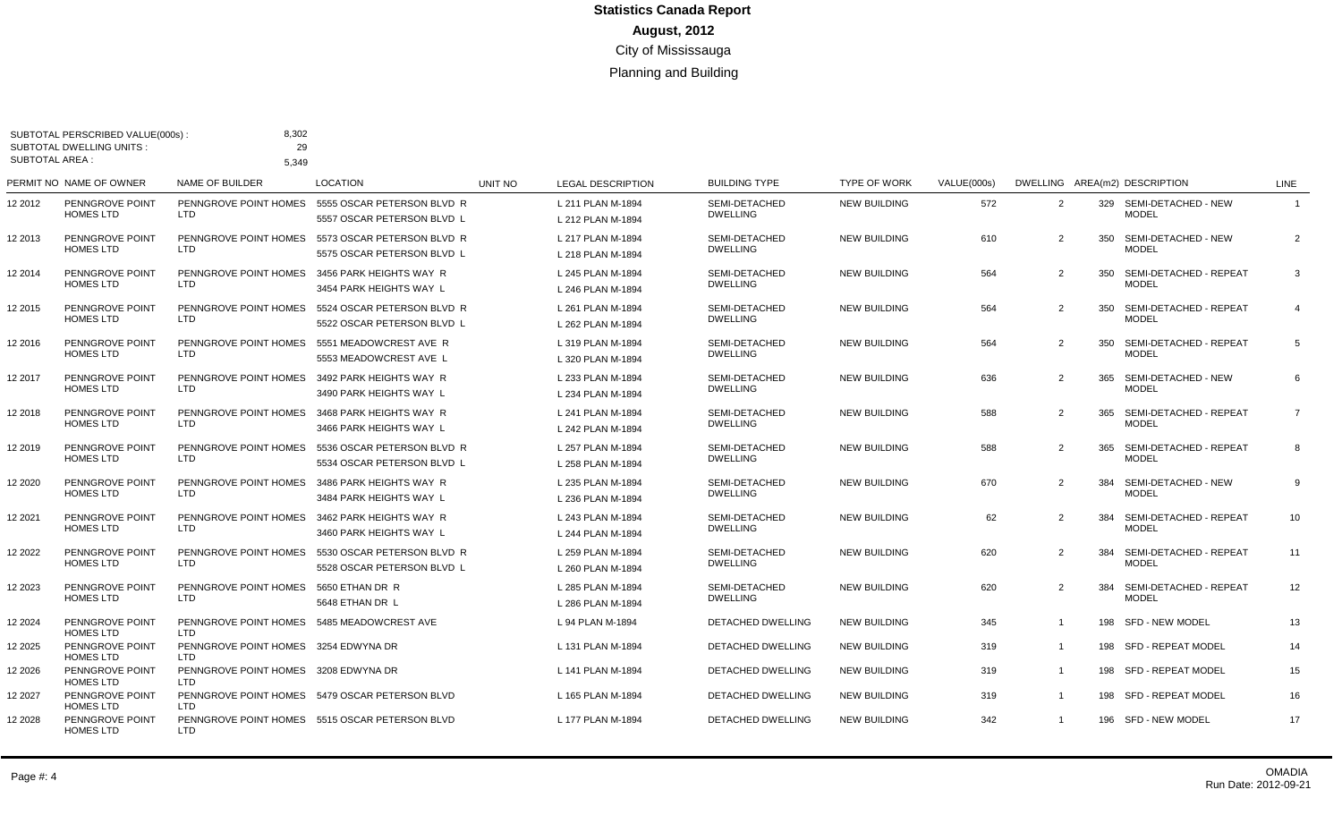| <b>SUBTOTAL AREA:</b> | SUBTOTAL PERSCRIBED VALUE(000s):<br><b>SUBTOTAL DWELLING UNITS:</b> | 8,302<br>29<br>5,349                              |                                                          |         |                                        |                                  |                     |             |                |     |                                            |                |
|-----------------------|---------------------------------------------------------------------|---------------------------------------------------|----------------------------------------------------------|---------|----------------------------------------|----------------------------------|---------------------|-------------|----------------|-----|--------------------------------------------|----------------|
|                       | PERMIT NO NAME OF OWNER                                             | <b>NAME OF BUILDER</b>                            | <b>LOCATION</b>                                          | UNIT NO | <b>LEGAL DESCRIPTION</b>               | <b>BUILDING TYPE</b>             | <b>TYPE OF WORK</b> | VALUE(000s) |                |     | DWELLING AREA(m2) DESCRIPTION              | <b>LINE</b>    |
| 12 2012               | PENNGROVE POINT<br><b>HOMES LTD</b>                                 | PENNGROVE POINT HOMES<br>LTD.                     | 5555 OSCAR PETERSON BLVD R<br>5557 OSCAR PETERSON BLVD L |         | L 211 PLAN M-1894<br>L 212 PLAN M-1894 | SEMI-DETACHED<br><b>DWELLING</b> | <b>NEW BUILDING</b> | 572         | 2              |     | 329 SEMI-DETACHED - NEW<br><b>MODEL</b>    | $\mathbf{1}$   |
| 12 2013               | PENNGROVE POINT<br><b>HOMES LTD</b>                                 | PENNGROVE POINT HOMES<br>LTD.                     | 5573 OSCAR PETERSON BLVD R<br>5575 OSCAR PETERSON BLVD L |         | L 217 PLAN M-1894<br>L 218 PLAN M-1894 | SEMI-DETACHED<br><b>DWELLING</b> | <b>NEW BUILDING</b> | 610         | 2              |     | 350 SEMI-DETACHED - NEW<br><b>MODEL</b>    | 2              |
| 12 2014               | PENNGROVE POINT<br><b>HOMES LTD</b>                                 | PENNGROVE POINT HOMES<br>LTD.                     | 3456 PARK HEIGHTS WAY R<br>3454 PARK HEIGHTS WAY L       |         | L 245 PLAN M-1894<br>L 246 PLAN M-1894 | SEMI-DETACHED<br><b>DWELLING</b> | <b>NEW BUILDING</b> | 564         | 2              |     | 350 SEMI-DETACHED - REPEAT<br><b>MODEL</b> | 3              |
| 2 2 0 1 5             | PENNGROVE POINT<br><b>HOMES LTD</b>                                 | PENNGROVE POINT HOMES<br>LTD                      | 5524 OSCAR PETERSON BLVD R<br>5522 OSCAR PETERSON BLVD L |         | L 261 PLAN M-1894<br>L 262 PLAN M-1894 | SEMI-DETACHED<br><b>DWELLING</b> | <b>NEW BUILDING</b> | 564         | 2              | 350 | SEMI-DETACHED - REPEAT<br><b>MODEL</b>     | $\overline{4}$ |
| 12 2016               | PENNGROVE POINT<br><b>HOMES LTD</b>                                 | PENNGROVE POINT HOMES<br><b>LTD</b>               | 5551 MEADOWCREST AVE R<br>5553 MEADOWCREST AVE L         |         | L 319 PLAN M-1894<br>L 320 PLAN M-1894 | SEMI-DETACHED<br><b>DWELLING</b> | <b>NEW BUILDING</b> | 564         | 2              | 350 | SEMI-DETACHED - REPEAT<br><b>MODEL</b>     | 5              |
| 12 2017               | PENNGROVE POINT<br><b>HOMES LTD</b>                                 | PENNGROVE POINT HOMES<br>LTD.                     | 3492 PARK HEIGHTS WAY R<br>3490 PARK HEIGHTS WAY L       |         | L 233 PLAN M-1894<br>L 234 PLAN M-1894 | SEMI-DETACHED<br><b>DWELLING</b> | <b>NEW BUILDING</b> | 636         | 2              | 365 | SEMI-DETACHED - NEW<br><b>MODEL</b>        | 6              |
| 12 2018               | PENNGROVE POINT<br><b>HOMES LTD</b>                                 | PENNGROVE POINT HOMES<br>LTD                      | 3468 PARK HEIGHTS WAY R<br>3466 PARK HEIGHTS WAY L       |         | L 241 PLAN M-1894<br>L 242 PLAN M-1894 | SEMI-DETACHED<br><b>DWELLING</b> | <b>NEW BUILDING</b> | 588         | 2              | 365 | SEMI-DETACHED - REPEAT<br><b>MODEL</b>     | $\overline{7}$ |
| 12 2019               | PENNGROVE POINT<br><b>HOMES LTD</b>                                 | PENNGROVE POINT HOMES<br>LTD.                     | 5536 OSCAR PETERSON BLVD R<br>5534 OSCAR PETERSON BLVD L |         | L 257 PLAN M-1894<br>L 258 PLAN M-1894 | SEMI-DETACHED<br><b>DWELLING</b> | <b>NEW BUILDING</b> | 588         | $\overline{2}$ |     | 365 SEMI-DETACHED - REPEAT<br><b>MODEL</b> | 8              |
| 12 2020               | PENNGROVE POINT<br><b>HOMES LTD</b>                                 | PENNGROVE POINT HOMES<br>LTD.                     | 3486 PARK HEIGHTS WAY R<br>3484 PARK HEIGHTS WAY L       |         | L 235 PLAN M-1894<br>L 236 PLAN M-1894 | SEMI-DETACHED<br><b>DWELLING</b> | <b>NEW BUILDING</b> | 670         | 2              | 384 | SEMI-DETACHED - NEW<br><b>MODEL</b>        | 9              |
| 2 2 0 2 1             | PENNGROVE POINT<br><b>HOMES LTD</b>                                 | PENNGROVE POINT HOMES<br><b>LTD</b>               | 3462 PARK HEIGHTS WAY R<br>3460 PARK HEIGHTS WAY L       |         | L 243 PLAN M-1894<br>L 244 PLAN M-1894 | SEMI-DETACHED<br><b>DWELLING</b> | <b>NEW BUILDING</b> | 62          | 2              | 384 | SEMI-DETACHED - REPEAT<br><b>MODEL</b>     | 10             |
| 2 2022                | PENNGROVE POINT<br><b>HOMES LTD</b>                                 | PENNGROVE POINT HOMES<br><b>LTD</b>               | 5530 OSCAR PETERSON BLVD R<br>5528 OSCAR PETERSON BLVD L |         | L 259 PLAN M-1894<br>L 260 PLAN M-1894 | SEMI-DETACHED<br><b>DWELLING</b> | <b>NEW BUILDING</b> | 620         | 2              | 384 | SEMI-DETACHED - REPEAT<br><b>MODEL</b>     | 11             |
| 2 2 0 2 3             | PENNGROVE POINT<br><b>HOMES LTD</b>                                 | PENNGROVE POINT HOMES<br>LTD                      | 5650 ETHAN DR R<br>5648 ETHAN DR L                       |         | L 285 PLAN M-1894<br>L 286 PLAN M-1894 | SEMI-DETACHED<br><b>DWELLING</b> | <b>NEW BUILDING</b> | 620         | 2              | 384 | SEMI-DETACHED - REPEAT<br><b>MODEL</b>     | 12             |
| 2 2024                | PENNGROVE POINT<br><b>HOMES LTD</b>                                 | PENNGROVE POINT HOMES 5485 MEADOWCREST AVE<br>LTD |                                                          |         | L 94 PLAN M-1894                       | DETACHED DWELLING                | <b>NEW BUILDING</b> | 345         | $\mathbf{1}$   |     | 198 SFD - NEW MODEL                        | 13             |
| 12 2025               | PENNGROVE POINT<br><b>HOMES LTD</b>                                 | PENNGROVE POINT HOMES 3254 EDWYNA DR<br>LTD       |                                                          |         | L 131 PLAN M-1894                      | <b>DETACHED DWELLING</b>         | <b>NEW BUILDING</b> | 319         | $\overline{1}$ |     | 198 SFD - REPEAT MODEL                     | 14             |
| 12 2026               | PENNGROVE POINT<br><b>HOMES LTD</b>                                 | PENNGROVE POINT HOMES 3208 EDWYNA DR<br>LTD       |                                                          |         | L 141 PLAN M-1894                      | <b>DETACHED DWELLING</b>         | <b>NEW BUILDING</b> | 319         | $\overline{1}$ |     | 198 SFD - REPEAT MODEL                     | 15             |
| 12 2027               | PENNGROVE POINT<br><b>HOMES LTD</b>                                 | LTD                                               | PENNGROVE POINT HOMES 5479 OSCAR PETERSON BLVD           |         | L 165 PLAN M-1894                      | <b>DETACHED DWELLING</b>         | <b>NEW BUILDING</b> | 319         | $\overline{1}$ |     | 198 SFD - REPEAT MODEL                     | 16             |
| 12 2028               | PENNGROVE POINT<br><b>HOMES LTD</b>                                 | LTD.                                              | PENNGROVE POINT HOMES 5515 OSCAR PETERSON BLVD           |         | L 177 PLAN M-1894                      | <b>DETACHED DWELLING</b>         | <b>NEW BUILDING</b> | 342         | $\overline{1}$ |     | 196 SFD - NEW MODEL                        | 17             |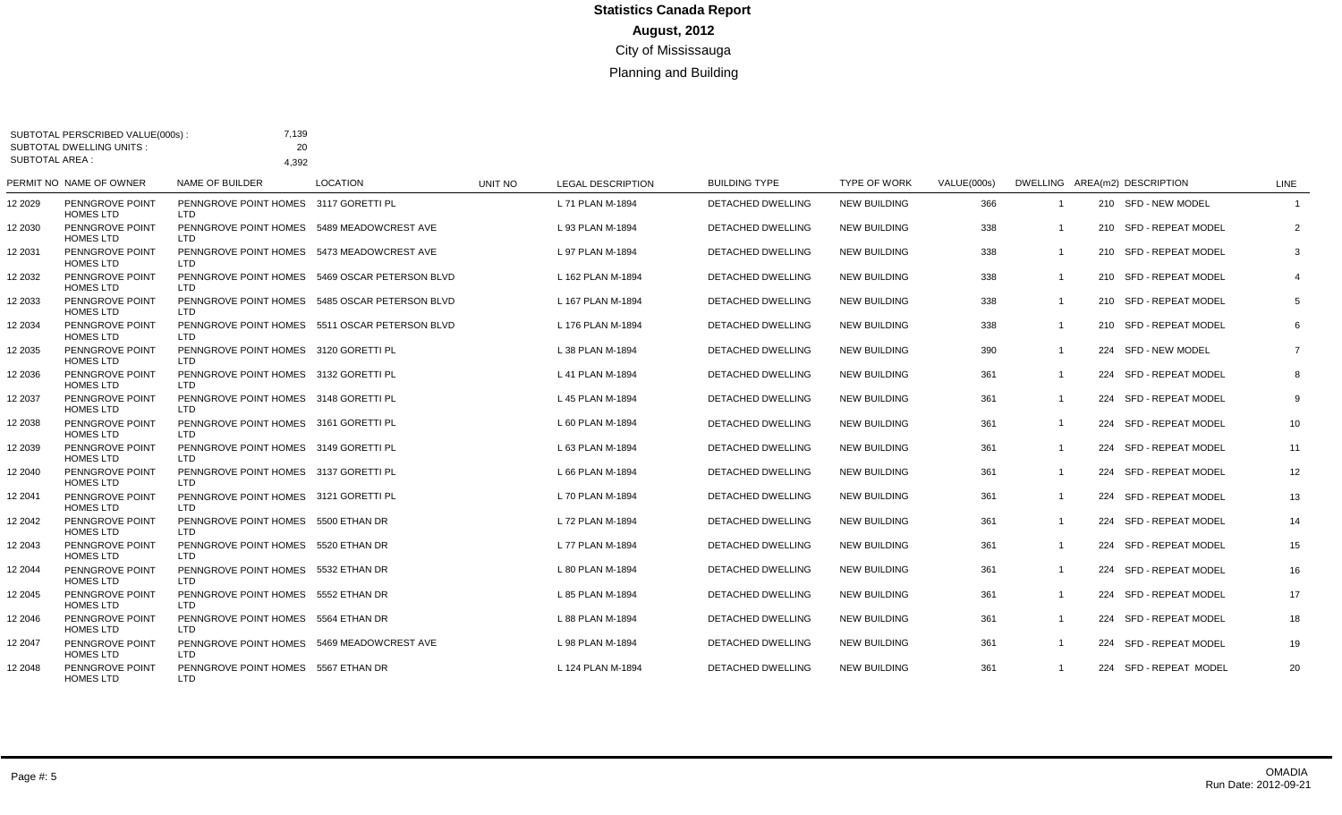| <b>SUBTOTAL AREA:</b> | <b>SUBTOTAL DWELLING UNITS:</b>                         | 20                                                              |                                                |         |                          |                          |                     |             |                         |                               |                |
|-----------------------|---------------------------------------------------------|-----------------------------------------------------------------|------------------------------------------------|---------|--------------------------|--------------------------|---------------------|-------------|-------------------------|-------------------------------|----------------|
|                       | PERMIT NO NAME OF OWNER                                 | 4.392<br><b>NAME OF BUILDER</b>                                 | <b>LOCATION</b>                                | UNIT NO | <b>LEGAL DESCRIPTION</b> | <b>BUILDING TYPE</b>     | <b>TYPE OF WORK</b> | VALUE(000s) |                         | DWELLING AREA(m2) DESCRIPTION | LINE           |
| 12 2029               | PENNGROVE POINT                                         | PENNGROVE POINT HOMES 3117 GORETTI PL                           |                                                |         | L 71 PLAN M-1894         | DETACHED DWELLING        | <b>NEW BUILDING</b> | 366         |                         | 210 SFD - NEW MODEL           | $\overline{1}$ |
| 12 2030               | <b>HOMES LTD</b><br>PENNGROVE POINT<br><b>HOMES LTD</b> | LTD<br>PENNGROVE POINT HOMES 5489 MEADOWCREST AVE<br><b>LTD</b> |                                                |         | L 93 PLAN M-1894         | <b>DETACHED DWELLING</b> | <b>NEW BUILDING</b> | 338         |                         | 210 SFD - REPEAT MODEL        | 2              |
| 12 2031               | PENNGROVE POINT<br><b>HOMES LTD</b>                     | PENNGROVE POINT HOMES 5473 MEADOWCREST AVE<br>LTD               |                                                |         | L 97 PLAN M-1894         | DETACHED DWELLING        | <b>NEW BUILDING</b> | 338         | $\overline{1}$          | 210 SFD - REPEAT MODEL        | 3              |
| 12 2032               | PENNGROVE POINT<br><b>HOMES LTD</b>                     | LTD                                                             | PENNGROVE POINT HOMES 5469 OSCAR PETERSON BLVD |         | L 162 PLAN M-1894        | <b>DETACHED DWELLING</b> | <b>NEW BUILDING</b> | 338         | $\overline{1}$          | 210 SFD - REPEAT MODEL        | $\overline{4}$ |
| 12 2033               | PENNGROVE POINT<br><b>HOMES LTD</b>                     | LTD.                                                            | PENNGROVE POINT HOMES 5485 OSCAR PETERSON BLVD |         | L 167 PLAN M-1894        | DETACHED DWELLING        | <b>NEW BUILDING</b> | 338         | $\overline{\mathbf{1}}$ | 210 SFD - REPEAT MODEL        | 5              |
| 12 2034               | PENNGROVE POINT<br><b>HOMES LTD</b>                     | LTD                                                             | PENNGROVE POINT HOMES 5511 OSCAR PETERSON BLVD |         | L 176 PLAN M-1894        | DETACHED DWELLING        | <b>NEW BUILDING</b> | 338         | $\mathbf 1$             | 210 SFD - REPEAT MODEL        | 6              |
| 12 2035               | PENNGROVE POINT<br><b>HOMES LTD</b>                     | PENNGROVE POINT HOMES 3120 GORETTI PL<br>LTD.                   |                                                |         | L 38 PLAN M-1894         | DETACHED DWELLING        | <b>NEW BUILDING</b> | 390         | $\mathbf 1$             | 224 SFD - NEW MODEL           | $\overline{7}$ |
| 12 2036               | PENNGROVE POINT<br><b>HOMES LTD</b>                     | PENNGROVE POINT HOMES 3132 GORETTI PL<br>LTD                    |                                                |         | L 41 PLAN M-1894         | DETACHED DWELLING        | <b>NEW BUILDING</b> | 361         | $\overline{\mathbf{1}}$ | 224 SFD - REPEAT MODEL        | 8              |
| 12 2037               | PENNGROVE POINT<br><b>HOMES LTD</b>                     | PENNGROVE POINT HOMES 3148 GORETTI PL<br>LTD                    |                                                |         | L 45 PLAN M-1894         | <b>DETACHED DWELLING</b> | <b>NEW BUILDING</b> | 361         |                         | 224 SFD - REPEAT MODEL        | 9              |
| 12 2038               | PENNGROVE POINT<br><b>HOMES LTD</b>                     | PENNGROVE POINT HOMES 3161 GORETTI PL<br>LTD.                   |                                                |         | L 60 PLAN M-1894         | <b>DETACHED DWELLING</b> | <b>NEW BUILDING</b> | 361         | $\mathbf 1$             | 224 SFD - REPEAT MODEL        | 10             |
| 12 2039               | PENNGROVE POINT<br><b>HOMES LTD</b>                     | PENNGROVE POINT HOMES 3149 GORETTI PL<br>LTD                    |                                                |         | L 63 PLAN M-1894         | <b>DETACHED DWELLING</b> | <b>NEW BUILDING</b> | 361         | $\overline{1}$          | 224 SFD - REPEAT MODEL        | 11             |
| 12 2040               | PENNGROVE POINT<br><b>HOMES LTD</b>                     | PENNGROVE POINT HOMES 3137 GORETTI PL<br>LTD                    |                                                |         | L 66 PLAN M-1894         | <b>DETACHED DWELLING</b> | <b>NEW BUILDING</b> | 361         | -1                      | 224 SFD - REPEAT MODEL        | 12             |
| 12 2041               | PENNGROVE POINT<br><b>HOMES LTD</b>                     | PENNGROVE POINT HOMES 3121 GORETTI PL<br>LTD                    |                                                |         | L 70 PLAN M-1894         | <b>DETACHED DWELLING</b> | <b>NEW BUILDING</b> | 361         | $\overline{1}$          | 224 SFD - REPEAT MODEL        | 13             |
| 12 2042               | PENNGROVE POINT<br><b>HOMES LTD</b>                     | PENNGROVE POINT HOMES 5500 ETHAN DR<br><b>LTD</b>               |                                                |         | L 72 PLAN M-1894         | <b>DETACHED DWELLING</b> | <b>NEW BUILDING</b> | 361         | $\mathbf 1$             | 224 SFD - REPEAT MODEL        | 14             |
| 12 2043               | PENNGROVE POINT<br><b>HOMES LTD</b>                     | PENNGROVE POINT HOMES 5520 ETHAN DR<br>LTD                      |                                                |         | L 77 PLAN M-1894         | <b>DETACHED DWELLING</b> | <b>NEW BUILDING</b> | 361         | $\mathbf 1$             | 224 SFD - REPEAT MODEL        | 15             |
| 12 2044               | PENNGROVE POINT<br><b>HOMES LTD</b>                     | PENNGROVE POINT HOMES 5532 ETHAN DR<br><b>LTD</b>               |                                                |         | L 80 PLAN M-1894         | DETACHED DWELLING        | <b>NEW BUILDING</b> | 361         | $\overline{\mathbf{1}}$ | 224 SFD - REPEAT MODEL        | 16             |
| 12 2045               | PENNGROVE POINT<br><b>HOMES LTD</b>                     | PENNGROVE POINT HOMES 5552 ETHAN DR<br>LTD                      |                                                |         | L 85 PLAN M-1894         | <b>DETACHED DWELLING</b> | <b>NEW BUILDING</b> | 361         | -1                      | 224 SFD - REPEAT MODEL        | 17             |
| 12 2046               | PENNGROVE POINT<br><b>HOMES LTD</b>                     | PENNGROVE POINT HOMES 5564 ETHAN DR<br>LTD                      |                                                |         | L 88 PLAN M-1894         | <b>DETACHED DWELLING</b> | <b>NEW BUILDING</b> | 361         | -1                      | 224 SFD - REPEAT MODEL        | 18             |
| 12 2047               | PENNGROVE POINT<br><b>HOMES LTD</b>                     | PENNGROVE POINT HOMES 5469 MEADOWCREST AVE<br><b>LTD</b>        |                                                |         | L 98 PLAN M-1894         | <b>DETACHED DWELLING</b> | <b>NEW BUILDING</b> | 361         | $\overline{1}$          | 224 SFD - REPEAT MODEL        | 19             |
| 12 2048               | PENNGROVE POINT<br><b>HOMES LTD</b>                     | PENNGROVE POINT HOMES 5567 ETHAN DR<br><b>LTD</b>               |                                                |         | L 124 PLAN M-1894        | <b>DETACHED DWELLING</b> | <b>NEW BUILDING</b> | 361         |                         | 224 SFD - REPEAT MODEL        | 20             |

SUBTOTAL PERSCRIBED VALUE(000s) :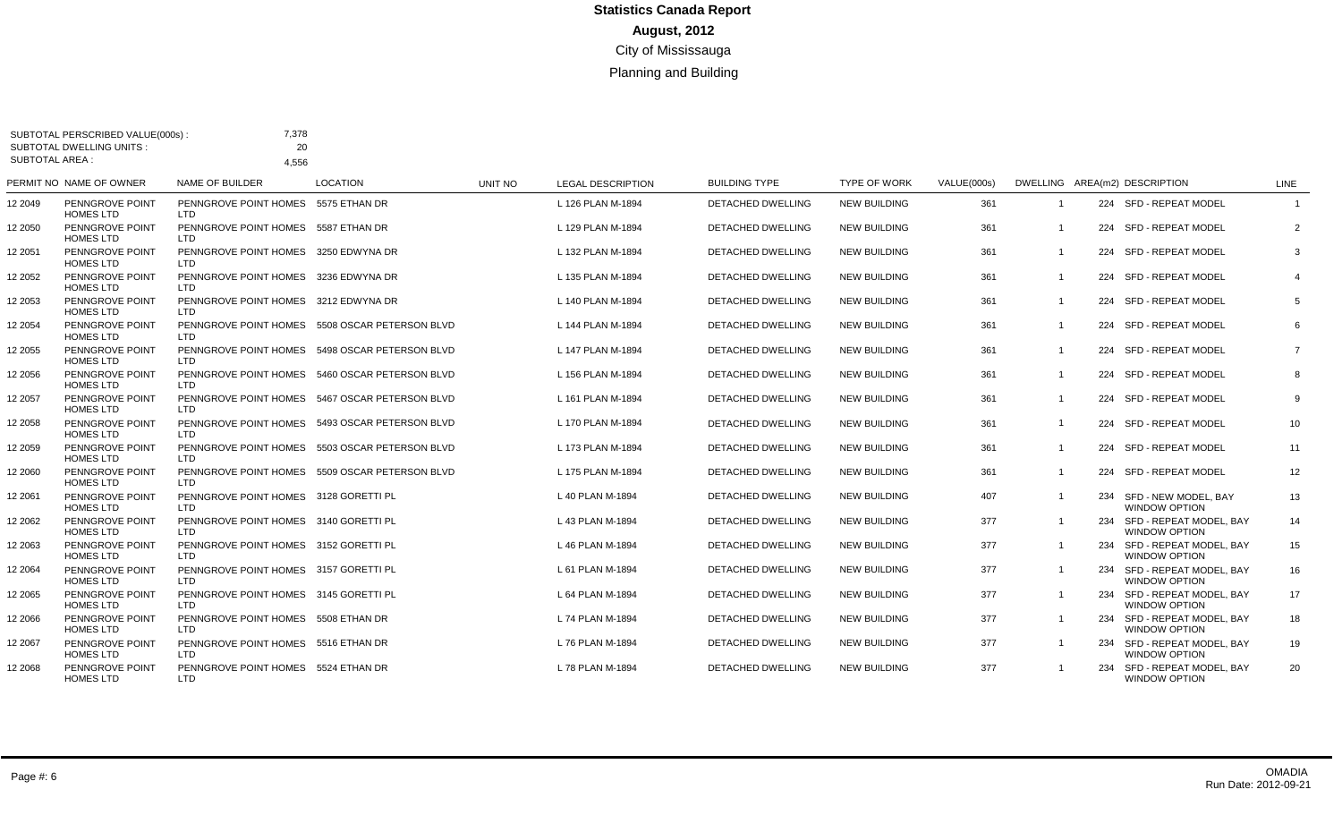| <b>SUBTOTAL AREA:</b> | SUBTOTAL PERSCRIBED VALUE(000s)<br><b>SUBTOTAL DWELLING UNITS:</b> | 7,378<br>20<br>4.556                                |                                                |         |                          |                          |                     |             |                |                                                     |                         |
|-----------------------|--------------------------------------------------------------------|-----------------------------------------------------|------------------------------------------------|---------|--------------------------|--------------------------|---------------------|-------------|----------------|-----------------------------------------------------|-------------------------|
|                       | PERMIT NO NAME OF OWNER                                            | <b>NAME OF BUILDER</b>                              | <b>LOCATION</b>                                | UNIT NO | <b>LEGAL DESCRIPTION</b> | <b>BUILDING TYPE</b>     | <b>TYPE OF WORK</b> | VALUE(000s) |                | DWELLING AREA(m2) DESCRIPTION                       | LINE                    |
| 12 2049               | PENNGROVE POINT<br><b>HOMES LTD</b>                                | PENNGROVE POINT HOMES<br>LTD.                       | 5575 ETHAN DR                                  |         | L 126 PLAN M-1894        | DETACHED DWELLING        | <b>NEW BUILDING</b> | 361         |                | 224 SFD - REPEAT MODEL                              | $\overline{\mathbf{1}}$ |
| 12 2050               | PENNGROVE POINT<br><b>HOMES LTD</b>                                | PENNGROVE POINT HOMES 5587 ETHAN DR<br><b>LTD</b>   |                                                |         | L 129 PLAN M-1894        | <b>DETACHED DWELLING</b> | <b>NEW BUILDING</b> | 361         |                | 224 SFD - REPEAT MODEL                              | $\overline{2}$          |
| 12 2051               | PENNGROVE POINT<br><b>HOMES LTD</b>                                | PENNGROVE POINT HOMES 3250 EDWYNA DR<br><b>LTD</b>  |                                                |         | L 132 PLAN M-1894        | <b>DETACHED DWELLING</b> | <b>NEW BUILDING</b> | 361         | $\overline{1}$ | 224 SFD - REPEAT MODEL                              | 3                       |
| 12 2052               | PENNGROVE POINT<br><b>HOMES LTD</b>                                | PENNGROVE POINT HOMES 3236 EDWYNA DR<br>LTD         |                                                |         | L 135 PLAN M-1894        | DETACHED DWELLING        | <b>NEW BUILDING</b> | 361         |                | 224 SFD - REPEAT MODEL                              | 4                       |
| 12 2053               | PENNGROVE POINT<br><b>HOMES LTD</b>                                | PENNGROVE POINT HOMES 3212 EDWYNA DR<br>LTD         |                                                |         | L 140 PLAN M-1894        | <b>DETACHED DWELLING</b> | <b>NEW BUILDING</b> | 361         |                | 224 SFD - REPEAT MODEL                              | 5                       |
| 12 2054               | PENNGROVE POINT<br><b>HOMES LTD</b>                                | <b>LTD</b>                                          | PENNGROVE POINT HOMES 5508 OSCAR PETERSON BLVD |         | L 144 PLAN M-1894        | DETACHED DWELLING        | <b>NEW BUILDING</b> | 361         |                | 224 SFD - REPEAT MODEL                              | 6                       |
| 12 2055               | PENNGROVE POINT<br><b>HOMES LTD</b>                                | LTD                                                 | PENNGROVE POINT HOMES 5498 OSCAR PETERSON BLVD |         | L 147 PLAN M-1894        | <b>DETACHED DWELLING</b> | <b>NEW BUILDING</b> | 361         | $\overline{1}$ | 224 SFD - REPEAT MODEL                              | $\overline{7}$          |
| 12 2056               | PENNGROVE POINT<br><b>HOMES LTD</b>                                | <b>LTD</b>                                          | PENNGROVE POINT HOMES 5460 OSCAR PETERSON BLVD |         | L 156 PLAN M-1894        | <b>DETACHED DWELLING</b> | <b>NEW BUILDING</b> | 361         |                | 224 SFD - REPEAT MODEL                              | 8                       |
| 12 2057               | PENNGROVE POINT<br><b>HOMES LTD</b>                                | LTD                                                 | PENNGROVE POINT HOMES 5467 OSCAR PETERSON BLVD |         | L 161 PLAN M-1894        | <b>DETACHED DWELLING</b> | <b>NEW BUILDING</b> | 361         |                | 224 SFD - REPEAT MODEL                              | 9                       |
| 12 2058               | PENNGROVE POINT<br><b>HOMES LTD</b>                                | PENNGROVE POINT HOMES<br><b>LTD</b>                 | 5493 OSCAR PETERSON BLVD                       |         | L 170 PLAN M-1894        | <b>DETACHED DWELLING</b> | <b>NEW BUILDING</b> | 361         |                | 224 SFD - REPEAT MODEL                              | 10                      |
| 12 2059               | PENNGROVE POINT<br><b>HOMES LTD</b>                                | <b>LTD</b>                                          | PENNGROVE POINT HOMES 5503 OSCAR PETERSON BLVD |         | L 173 PLAN M-1894        | DETACHED DWELLING        | <b>NEW BUILDING</b> | 361         |                | 224 SFD - REPEAT MODEL                              | 11                      |
| 12 2060               | PENNGROVE POINT<br><b>HOMES LTD</b>                                | LTD                                                 | PENNGROVE POINT HOMES 5509 OSCAR PETERSON BLVD |         | L 175 PLAN M-1894        | <b>DETACHED DWELLING</b> | <b>NEW BUILDING</b> | 361         |                | 224 SFD - REPEAT MODEL                              | 12                      |
| 12 2061               | PENNGROVE POINT<br><b>HOMES LTD</b>                                | PENNGROVE POINT HOMES 3128 GORETTI PL<br><b>LTD</b> |                                                |         | L 40 PLAN M-1894         | <b>DETACHED DWELLING</b> | <b>NEW BUILDING</b> | 407         |                | 234 SFD - NEW MODEL, BAY<br>WINDOW OPTION           | 13                      |
| 12 2062               | PENNGROVE POINT<br><b>HOMES LTD</b>                                | PENNGROVE POINT HOMES 3140 GORETTI PL<br><b>LTD</b> |                                                |         | L 43 PLAN M-1894         | DETACHED DWELLING        | <b>NEW BUILDING</b> | 377         |                | 234 SFD - REPEAT MODEL, BAY<br><b>WINDOW OPTION</b> | 14                      |
| 12 2063               | PENNGROVE POINT<br><b>HOMES LTD</b>                                | PENNGROVE POINT HOMES 3152 GORETTI PL<br>LTD        |                                                |         | L 46 PLAN M-1894         | DETACHED DWELLING        | <b>NEW BUILDING</b> | 377         |                | 234 SFD - REPEAT MODEL, BAY<br><b>WINDOW OPTION</b> | 15                      |
| 12 2064               | PENNGROVE POINT<br><b>HOMES LTD</b>                                | PENNGROVE POINT HOMES 3157 GORETTI PL<br><b>LTD</b> |                                                |         | L 61 PLAN M-1894         | <b>DETACHED DWELLING</b> | <b>NEW BUILDING</b> | 377         |                | 234 SFD - REPEAT MODEL, BAY<br>WINDOW OPTION        | 16                      |
| 12 2065               | PENNGROVE POINT<br><b>HOMES LTD</b>                                | PENNGROVE POINT HOMES 3145 GORETTI PL<br><b>LTD</b> |                                                |         | L 64 PLAN M-1894         | <b>DETACHED DWELLING</b> | <b>NEW BUILDING</b> | 377         |                | 234 SFD - REPEAT MODEL, BAY<br><b>WINDOW OPTION</b> | 17                      |
| 12 2066               | PENNGROVE POINT<br><b>HOMES LTD</b>                                | PENNGROVE POINT HOMES 5508 ETHAN DR<br>LTD.         |                                                |         | L 74 PLAN M-1894         | DETACHED DWELLING        | <b>NEW BUILDING</b> | 377         | $\overline{1}$ | 234 SFD - REPEAT MODEL, BAY<br><b>WINDOW OPTION</b> | 18                      |
| 12 2067               | PENNGROVE POINT<br><b>HOMES LTD</b>                                | PENNGROVE POINT HOMES 5516 ETHAN DR<br><b>LTD</b>   |                                                |         | L 76 PLAN M-1894         | DETACHED DWELLING        | <b>NEW BUILDING</b> | 377         |                | 234 SFD - REPEAT MODEL, BAY<br><b>WINDOW OPTION</b> | 19                      |
| 12 2068               | PENNGROVE POINT<br><b>HOMES LTD</b>                                | PENNGROVE POINT HOMES 5524 ETHAN DR<br><b>LTD</b>   |                                                |         | L 78 PLAN M-1894         | <b>DETACHED DWELLING</b> | <b>NEW BUILDING</b> | 377         |                | 234 SFD - REPEAT MODEL, BAY<br><b>WINDOW OPTION</b> | 20                      |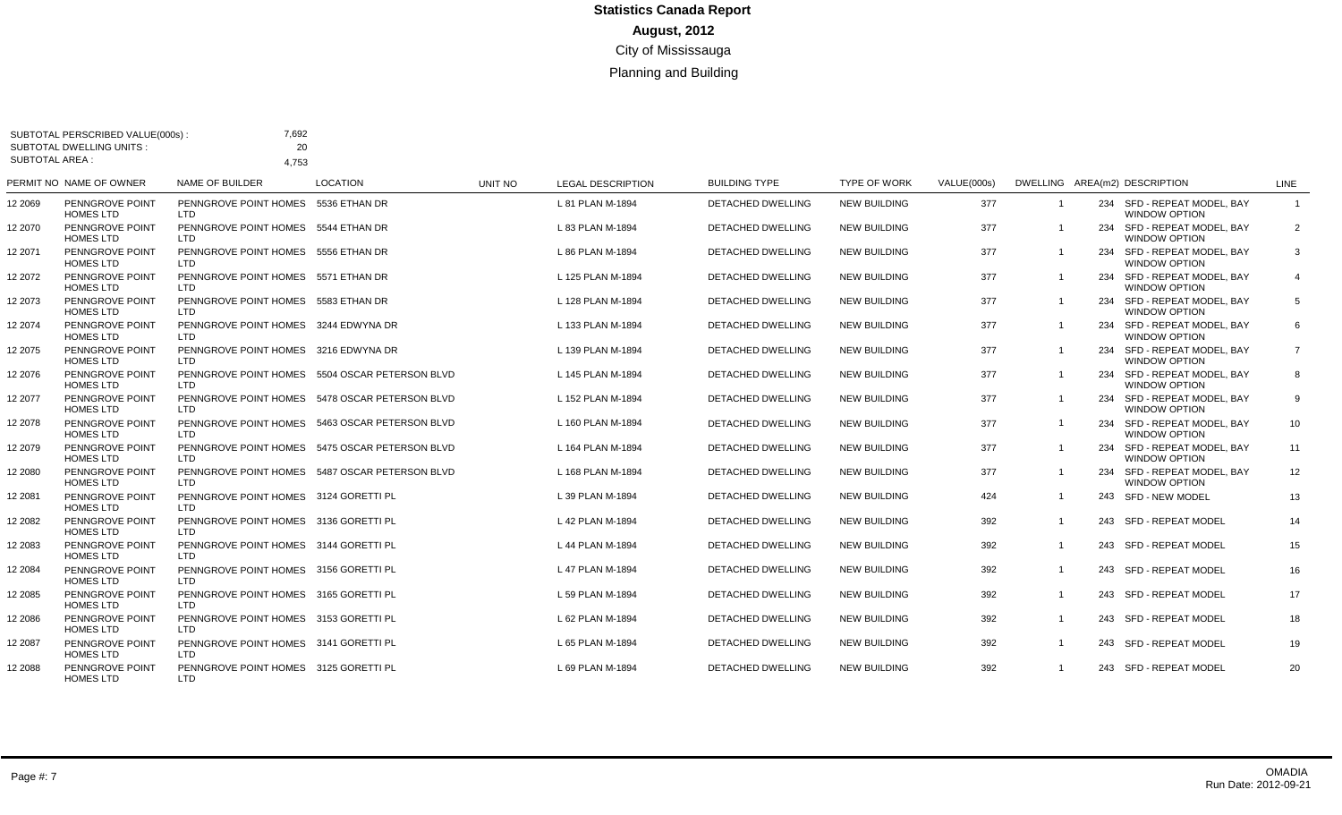| <b>SUBTOTAL AREA:</b> | <b>SUBTOTAL DWELLING UNITS:</b>     | 20<br>4.753                                         |                                                |         |                          |                          |                     |             |                         |                                                     |                |
|-----------------------|-------------------------------------|-----------------------------------------------------|------------------------------------------------|---------|--------------------------|--------------------------|---------------------|-------------|-------------------------|-----------------------------------------------------|----------------|
|                       | PERMIT NO NAME OF OWNER             | NAME OF BUILDER                                     | <b>LOCATION</b>                                | UNIT NO | <b>LEGAL DESCRIPTION</b> | <b>BUILDING TYPE</b>     | <b>TYPE OF WORK</b> | VALUE(000s) |                         | DWELLING AREA(m2) DESCRIPTION                       | LINE           |
| 12 2069               | PENNGROVE POINT<br><b>HOMES LTD</b> | PENNGROVE POINT HOMES 5536 ETHAN DR<br>LTD.         |                                                |         | L 81 PLAN M-1894         | <b>DETACHED DWELLING</b> | <b>NEW BUILDING</b> | 377         | $\overline{1}$          | 234 SFD - REPEAT MODEL, BAY<br>WINDOW OPTION        | $\mathbf{1}$   |
| 12 2070               | PENNGROVE POINT<br><b>HOMES LTD</b> | PENNGROVE POINT HOMES 5544 ETHAN DR<br>LTD.         |                                                |         | L 83 PLAN M-1894         | DETACHED DWELLING        | <b>NEW BUILDING</b> | 377         |                         | 234 SFD - REPEAT MODEL, BAY<br>WINDOW OPTION        | $\overline{2}$ |
| 12 2071               | PENNGROVE POINT<br><b>HOMES LTD</b> | PENNGROVE POINT HOMES 5556 ETHAN DR<br>LTD.         |                                                |         | L 86 PLAN M-1894         | <b>DETACHED DWELLING</b> | <b>NEW BUILDING</b> | 377         | $\overline{1}$          | 234 SFD - REPEAT MODEL, BAY<br>WINDOW OPTION        | 3              |
| 12 2072               | PENNGROVE POINT<br><b>HOMES LTD</b> | PENNGROVE POINT HOMES 5571 ETHAN DR<br>LTD.         |                                                |         | L 125 PLAN M-1894        | <b>DETACHED DWELLING</b> | <b>NEW BUILDING</b> | 377         |                         | 234 SFD - REPEAT MODEL, BAY<br>WINDOW OPTION        | $\overline{4}$ |
| 12 2073               | PENNGROVE POINT<br><b>HOMES LTD</b> | PENNGROVE POINT HOMES 5583 ETHAN DR<br>LTD          |                                                |         | L 128 PLAN M-1894        | <b>DETACHED DWELLING</b> | <b>NEW BUILDING</b> | 377         |                         | 234 SFD - REPEAT MODEL, BAY<br><b>WINDOW OPTION</b> | 5              |
| 12 2074               | PENNGROVE POINT<br><b>HOMES LTD</b> | PENNGROVE POINT HOMES 3244 EDWYNA DR<br><b>LTD</b>  |                                                |         | L 133 PLAN M-1894        | DETACHED DWELLING        | <b>NEW BUILDING</b> | 377         | $\overline{1}$          | 234 SFD - REPEAT MODEL, BAY<br>WINDOW OPTION        | 6              |
| 12 2075               | PENNGROVE POINT<br><b>HOMES LTD</b> | PENNGROVE POINT HOMES 3216 EDWYNA DR<br>LTD         |                                                |         | L 139 PLAN M-1894        | DETACHED DWELLING        | <b>NEW BUILDING</b> | 377         |                         | 234 SFD - REPEAT MODEL, BAY<br>WINDOW OPTION        | $\overline{7}$ |
| 12 2076               | PENNGROVE POINT<br><b>HOMES LTD</b> | LTD.                                                | PENNGROVE POINT HOMES 5504 OSCAR PETERSON BLVD |         | L 145 PLAN M-1894        | <b>DETACHED DWELLING</b> | <b>NEW BUILDING</b> | 377         | $\overline{1}$          | 234 SFD - REPEAT MODEL, BAY<br>WINDOW OPTION        | 8              |
| 12 2077               | PENNGROVE POINT<br><b>HOMES LTD</b> | LTD                                                 | PENNGROVE POINT HOMES 5478 OSCAR PETERSON BLVD |         | L 152 PLAN M-1894        | <b>DETACHED DWELLING</b> | <b>NEW BUILDING</b> | 377         |                         | 234 SFD - REPEAT MODEL, BAY<br>WINDOW OPTION        | 9              |
| 12 2078               | PENNGROVE POINT<br><b>HOMES LTD</b> | <b>LTD</b>                                          | PENNGROVE POINT HOMES 5463 OSCAR PETERSON BLVD |         | L 160 PLAN M-1894        | <b>DETACHED DWELLING</b> | <b>NEW BUILDING</b> | 377         |                         | 234 SFD - REPEAT MODEL, BAY<br>WINDOW OPTION        | 10             |
| 12 2079               | PENNGROVE POINT<br><b>HOMES LTD</b> | <b>LTD</b>                                          | PENNGROVE POINT HOMES 5475 OSCAR PETERSON BLVD |         | L 164 PLAN M-1894        | DETACHED DWELLING        | <b>NEW BUILDING</b> | 377         | $\overline{1}$          | 234 SFD - REPEAT MODEL, BAY<br>WINDOW OPTION        | 11             |
| 12 2080               | PENNGROVE POINT<br><b>HOMES LTD</b> | LTD.                                                | PENNGROVE POINT HOMES 5487 OSCAR PETERSON BLVD |         | L 168 PLAN M-1894        | <b>DETACHED DWELLING</b> | <b>NEW BUILDING</b> | 377         | $\overline{1}$          | 234 SFD - REPEAT MODEL, BAY<br>WINDOW OPTION        | 12             |
| 12 2081               | PENNGROVE POINT<br><b>HOMES LTD</b> | PENNGROVE POINT HOMES 3124 GORETTI PL<br>LTD.       |                                                |         | L 39 PLAN M-1894         | <b>DETACHED DWELLING</b> | <b>NEW BUILDING</b> | 424         |                         | 243 SFD - NEW MODEL                                 | 13             |
| 12 2082               | PENNGROVE POINT<br><b>HOMES LTD</b> | PENNGROVE POINT HOMES 3136 GORETTI PL<br>LTD        |                                                |         | L 42 PLAN M-1894         | <b>DETACHED DWELLING</b> | <b>NEW BUILDING</b> | 392         | $\overline{1}$          | 243 SFD - REPEAT MODEL                              | 14             |
| 12 2083               | PENNGROVE POINT<br><b>HOMES LTD</b> | PENNGROVE POINT HOMES 3144 GORETTI PL<br><b>LTD</b> |                                                |         | L 44 PLAN M-1894         | <b>DETACHED DWELLING</b> | <b>NEW BUILDING</b> | 392         | $\overline{1}$          | 243 SFD - REPEAT MODEL                              | 15             |
| 12 2084               | PENNGROVE POINT<br><b>HOMES LTD</b> | PENNGROVE POINT HOMES 3156 GORETTI PL<br><b>LTD</b> |                                                |         | L 47 PLAN M-1894         | DETACHED DWELLING        | <b>NEW BUILDING</b> | 392         | $\overline{1}$          | 243 SFD - REPEAT MODEL                              | 16             |
| 12 2085               | PENNGROVE POINT<br><b>HOMES LTD</b> | PENNGROVE POINT HOMES 3165 GORETTI PL<br>LTD.       |                                                |         | L 59 PLAN M-1894         | <b>DETACHED DWELLING</b> | <b>NEW BUILDING</b> | 392         | $\overline{1}$          | 243 SFD - REPEAT MODEL                              | 17             |
| 12 2086               | PENNGROVE POINT<br><b>HOMES LTD</b> | PENNGROVE POINT HOMES 3153 GORETTI PL<br>LTD.       |                                                |         | L 62 PLAN M-1894         | <b>DETACHED DWELLING</b> | <b>NEW BUILDING</b> | 392         | $\overline{1}$          | 243 SFD - REPEAT MODEL                              | 18             |
| 12 2087               | PENNGROVE POINT<br><b>HOMES LTD</b> | PENNGROVE POINT HOMES 3141 GORETTI PL<br>LTD.       |                                                |         | L 65 PLAN M-1894         | <b>DETACHED DWELLING</b> | <b>NEW BUILDING</b> | 392         | $\overline{1}$          | 243 SFD - REPEAT MODEL                              | 19             |
| 12 2088               | PENNGROVE POINT<br><b>HOMES LTD</b> | PENNGROVE POINT HOMES 3125 GORETTI PL<br><b>LTD</b> |                                                |         | L 69 PLAN M-1894         | <b>DETACHED DWELLING</b> | <b>NEW BUILDING</b> | 392         | $\overline{\mathbf{1}}$ | 243 SFD - REPEAT MODEL                              | 20             |

SUBTOTAL PERSCRIBED VALUE(000s) :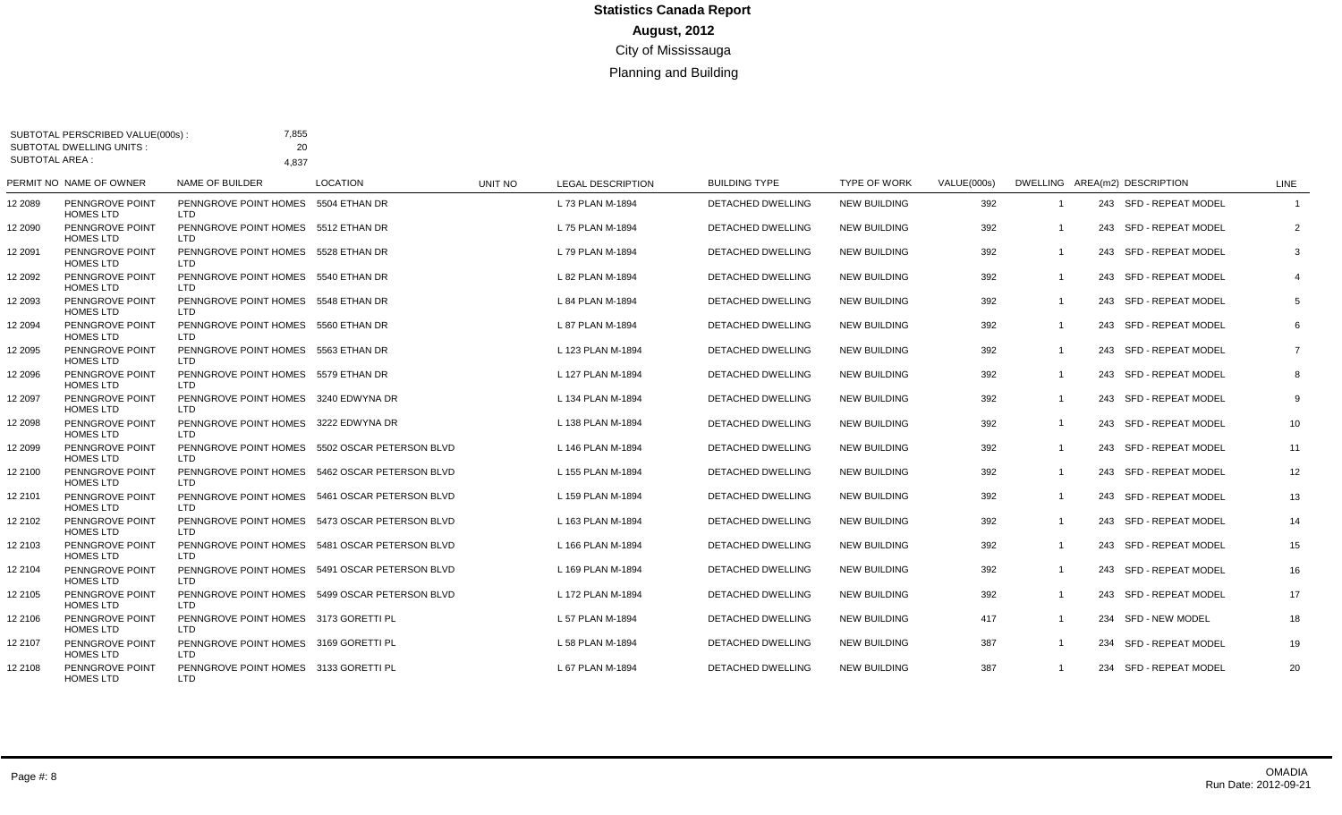| <b>SUBTOTAL AREA:</b> | <b>SUBTOTAL DWELLING UNITS:</b>     | 20                                                  |                                                |         |                          |                          |                     |             |                         |                               |                         |
|-----------------------|-------------------------------------|-----------------------------------------------------|------------------------------------------------|---------|--------------------------|--------------------------|---------------------|-------------|-------------------------|-------------------------------|-------------------------|
|                       | PERMIT NO NAME OF OWNER             | 4.837<br><b>NAME OF BUILDER</b>                     | <b>LOCATION</b>                                | UNIT NO | <b>LEGAL DESCRIPTION</b> | <b>BUILDING TYPE</b>     | <b>TYPE OF WORK</b> | VALUE(000s) |                         | DWELLING AREA(m2) DESCRIPTION | <b>LINE</b>             |
| 12 2089               | PENNGROVE POINT<br><b>HOMES LTD</b> | PENNGROVE POINT HOMES 5504 ETHAN DR<br>LTD          |                                                |         | L 73 PLAN M-1894         | DETACHED DWELLING        | <b>NEW BUILDING</b> | 392         | $\overline{\mathbf{1}}$ | 243 SFD - REPEAT MODEL        | $\overline{\mathbf{1}}$ |
| 12 2090               | PENNGROVE POINT<br><b>HOMES LTD</b> | PENNGROVE POINT HOMES 5512 ETHAN DR<br><b>LTD</b>   |                                                |         | L 75 PLAN M-1894         | DETACHED DWELLING        | <b>NEW BUILDING</b> | 392         |                         | 243 SFD - REPEAT MODEL        | 2                       |
| 12 2091               | PENNGROVE POINT<br><b>HOMES LTD</b> | PENNGROVE POINT HOMES 5528 ETHAN DR<br>LTD.         |                                                |         | L 79 PLAN M-1894         | DETACHED DWELLING        | <b>NEW BUILDING</b> | 392         | $\overline{1}$          | 243 SFD - REPEAT MODEL        | 3                       |
| 12 2092               | PENNGROVE POINT<br><b>HOMES LTD</b> | PENNGROVE POINT HOMES 5540 ETHAN DR<br>LTD          |                                                |         | L 82 PLAN M-1894         | <b>DETACHED DWELLING</b> | <b>NEW BUILDING</b> | 392         | - 1                     | 243 SFD - REPEAT MODEL        | 4                       |
| 12 2093               | PENNGROVE POINT<br><b>HOMES LTD</b> | PENNGROVE POINT HOMES 5548 ETHAN DR<br>LTD.         |                                                |         | L 84 PLAN M-1894         | <b>DETACHED DWELLING</b> | <b>NEW BUILDING</b> | 392         | $\overline{1}$          | 243 SFD - REPEAT MODEL        | 5                       |
| 12 2094               | PENNGROVE POINT<br><b>HOMES LTD</b> | PENNGROVE POINT HOMES 5560 ETHAN DR<br>LTD          |                                                |         | L 87 PLAN M-1894         | <b>DETACHED DWELLING</b> | <b>NEW BUILDING</b> | 392         | $\overline{1}$          | 243 SFD - REPEAT MODEL        | 6                       |
| 12 2095               | PENNGROVE POINT<br><b>HOMES LTD</b> | PENNGROVE POINT HOMES 5563 ETHAN DR<br><b>LTD</b>   |                                                |         | L 123 PLAN M-1894        | <b>DETACHED DWELLING</b> | <b>NEW BUILDING</b> | 392         | - 1                     | 243 SFD - REPEAT MODEL        | $\overline{7}$          |
| 12 2096               | PENNGROVE POINT<br><b>HOMES LTD</b> | PENNGROVE POINT HOMES 5579 ETHAN DR<br><b>LTD</b>   |                                                |         | L 127 PLAN M-1894        | DETACHED DWELLING        | <b>NEW BUILDING</b> | 392         | $\overline{1}$          | 243 SFD - REPEAT MODEL        | 8                       |
| 12 2097               | PENNGROVE POINT<br><b>HOMES LTD</b> | PENNGROVE POINT HOMES 3240 EDWYNA DR<br><b>LTD</b>  |                                                |         | L 134 PLAN M-1894        | <b>DETACHED DWELLING</b> | <b>NEW BUILDING</b> | 392         | $\overline{1}$          | 243 SFD - REPEAT MODEL        | 9                       |
| 12 2098               | PENNGROVE POINT<br><b>HOMES LTD</b> | PENNGROVE POINT HOMES 3222 EDWYNA DR<br><b>LTD</b>  |                                                |         | L 138 PLAN M-1894        | <b>DETACHED DWELLING</b> | <b>NEW BUILDING</b> | 392         | $\overline{1}$          | 243 SFD - REPEAT MODEL        | 10                      |
| 12 2099               | PENNGROVE POINT<br><b>HOMES LTD</b> | <b>LTD</b>                                          | PENNGROVE POINT HOMES 5502 OSCAR PETERSON BLVD |         | L 146 PLAN M-1894        | DETACHED DWELLING        | <b>NEW BUILDING</b> | 392         | $\overline{1}$          | 243 SFD - REPEAT MODEL        | 11                      |
| 12 2100               | PENNGROVE POINT<br><b>HOMES LTD</b> | <b>LTD</b>                                          | PENNGROVE POINT HOMES 5462 OSCAR PETERSON BLVD |         | L 155 PLAN M-1894        | <b>DETACHED DWELLING</b> | <b>NEW BUILDING</b> | 392         | $\overline{1}$          | 243 SFD - REPEAT MODEL        | 12                      |
| 12 2101               | PENNGROVE POINT<br><b>HOMES LTD</b> | LTD                                                 | PENNGROVE POINT HOMES 5461 OSCAR PETERSON BLVD |         | L 159 PLAN M-1894        | DETACHED DWELLING        | <b>NEW BUILDING</b> | 392         | $\overline{1}$          | 243 SFD - REPEAT MODEL        | 13                      |
| 12 2102               | PENNGROVE POINT<br><b>HOMES LTD</b> | <b>LTD</b>                                          | PENNGROVE POINT HOMES 5473 OSCAR PETERSON BLVD |         | L 163 PLAN M-1894        | DETACHED DWELLING        | <b>NEW BUILDING</b> | 392         | $\overline{1}$          | 243 SFD - REPEAT MODEL        | 14                      |
| 12 2103               | PENNGROVE POINT<br><b>HOMES LTD</b> | LTD.                                                | PENNGROVE POINT HOMES 5481 OSCAR PETERSON BLVD |         | L 166 PLAN M-1894        | <b>DETACHED DWELLING</b> | <b>NEW BUILDING</b> | 392         |                         | 243 SFD - REPEAT MODEL        | 15                      |
| 12 2104               | PENNGROVE POINT<br><b>HOMES LTD</b> | <b>LTD</b>                                          | PENNGROVE POINT HOMES 5491 OSCAR PETERSON BLVD |         | L 169 PLAN M-1894        | <b>DETACHED DWELLING</b> | <b>NEW BUILDING</b> | 392         | $\overline{1}$          | 243 SFD - REPEAT MODEL        | 16                      |
| 12 2105               | PENNGROVE POINT<br><b>HOMES LTD</b> | LTD.                                                | PENNGROVE POINT HOMES 5499 OSCAR PETERSON BLVD |         | L 172 PLAN M-1894        | <b>DETACHED DWELLING</b> | <b>NEW BUILDING</b> | 392         | -1                      | 243 SFD - REPEAT MODEL        | 17                      |
| 12 2106               | PENNGROVE POINT<br><b>HOMES LTD</b> | PENNGROVE POINT HOMES 3173 GORETTI PL<br>LTD.       |                                                |         | L 57 PLAN M-1894         | <b>DETACHED DWELLING</b> | <b>NEW BUILDING</b> | 417         | -1                      | 234 SFD - NEW MODEL           | 18                      |
| 12 2107               | PENNGROVE POINT<br><b>HOMES LTD</b> | PENNGROVE POINT HOMES 3169 GORETTI PL<br><b>LTD</b> |                                                |         | L 58 PLAN M-1894         | <b>DETACHED DWELLING</b> | <b>NEW BUILDING</b> | 387         | $\overline{1}$          | 234 SFD - REPEAT MODEL        | 19                      |
| 12 2108               | PENNGROVE POINT<br><b>HOMES LTD</b> | PENNGROVE POINT HOMES 3133 GORETTI PL<br><b>LTD</b> |                                                |         | L 67 PLAN M-1894         | DETACHED DWELLING        | <b>NEW BUILDING</b> | 387         | - 1                     | 234 SFD - REPEAT MODEL        | 20                      |

SUBTOTAL PERSCRIBED VALUE(000s) :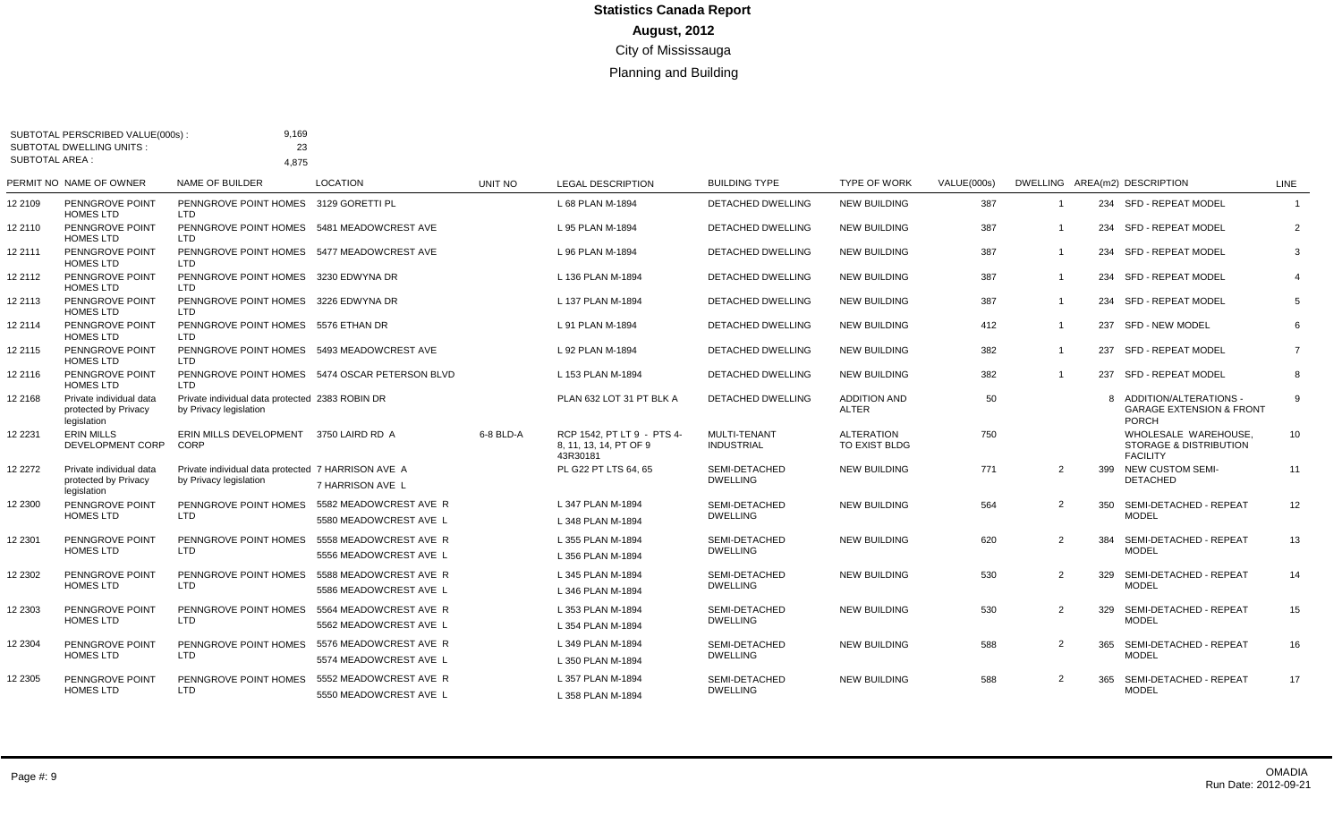| <b>SUBTOTAL AREA:</b> | <b>SUBTOTAL DWELLING UNITS:</b>                                | 23<br>4,875                                                                  |                                                |                |                                                                  |                                          |                                     |                    |                |     |                                                                              |                |
|-----------------------|----------------------------------------------------------------|------------------------------------------------------------------------------|------------------------------------------------|----------------|------------------------------------------------------------------|------------------------------------------|-------------------------------------|--------------------|----------------|-----|------------------------------------------------------------------------------|----------------|
|                       | PERMIT NO NAME OF OWNER                                        | NAME OF BUILDER                                                              | <b>LOCATION</b>                                | <b>UNIT NO</b> | <b>LEGAL DESCRIPTION</b>                                         | <b>BUILDING TYPE</b>                     | <b>TYPE OF WORK</b>                 | <b>VALUE(000s)</b> |                |     | DWELLING AREA(m2) DESCRIPTION                                                | LINE           |
| 12 2109               | PENNGROVE POINT<br><b>HOMES LTD</b>                            | PENNGROVE POINT HOMES 3129 GORETTI PL<br><b>LTD</b>                          |                                                |                | L 68 PLAN M-1894                                                 | DETACHED DWELLING                        | <b>NEW BUILDING</b>                 | 387                | $\overline{1}$ |     | 234 SFD - REPEAT MODEL                                                       | $\overline{1}$ |
| 12 2110               | PENNGROVE POINT<br><b>HOMES LTD</b>                            | PENNGROVE POINT HOMES 5481 MEADOWCREST AVE<br>LTD                            |                                                |                | L 95 PLAN M-1894                                                 | <b>DETACHED DWELLING</b>                 | <b>NEW BUILDING</b>                 | 387                | -1             | 234 | SFD - REPEAT MODEL                                                           | $\overline{2}$ |
| 12 2111               | PENNGROVE POINT<br><b>HOMES LTD</b>                            | PENNGROVE POINT HOMES 5477 MEADOWCREST AVE<br><b>LTD</b>                     |                                                |                | L 96 PLAN M-1894                                                 | <b>DETACHED DWELLING</b>                 | <b>NEW BUILDING</b>                 | 387                | $\overline{1}$ | 234 | SFD - REPEAT MODEL                                                           | 3              |
| 12 2112               | PENNGROVE POINT<br><b>HOMES LTD</b>                            | PENNGROVE POINT HOMES 3230 EDWYNA DR<br><b>LTD</b>                           |                                                |                | L 136 PLAN M-1894                                                | <b>DETACHED DWELLING</b>                 | <b>NEW BUILDING</b>                 | 387                | $\mathbf{1}$   | 234 | <b>SFD - REPEAT MODEL</b>                                                    | $\overline{4}$ |
| 12 2113               | PENNGROVE POINT<br><b>HOMES LTD</b>                            | PENNGROVE POINT HOMES 3226 EDWYNA DR<br><b>LTD</b>                           |                                                |                | L 137 PLAN M-1894                                                | <b>DETACHED DWELLING</b>                 | <b>NEW BUILDING</b>                 | 387                | $\overline{1}$ |     | 234 SFD - REPEAT MODEL                                                       | 5              |
| 12 2114               | PENNGROVE POINT<br><b>HOMES LTD</b>                            | PENNGROVE POINT HOMES 5576 ETHAN DR<br><b>LTD</b>                            |                                                |                | L 91 PLAN M-1894                                                 | <b>DETACHED DWELLING</b>                 | <b>NEW BUILDING</b>                 | 412                | $\mathbf{1}$   | 237 | SFD - NEW MODEL                                                              | 6              |
| 12 2115               | PENNGROVE POINT<br><b>HOMES LTD</b>                            | PENNGROVE POINT HOMES 5493 MEADOWCREST AVE<br>LTD                            |                                                |                | L 92 PLAN M-1894                                                 | <b>DETACHED DWELLING</b>                 | <b>NEW BUILDING</b>                 | 382                | -1             | 237 | SFD - REPEAT MODEL                                                           | $\overline{7}$ |
| 12 2116               | PENNGROVE POINT<br><b>HOMES LTD</b>                            | LTD                                                                          | PENNGROVE POINT HOMES 5474 OSCAR PETERSON BLVD |                | L 153 PLAN M-1894                                                | <b>DETACHED DWELLING</b>                 | <b>NEW BUILDING</b>                 | 382                | $\overline{1}$ |     | 237 SFD - REPEAT MODEL                                                       | 8              |
| 12 2168               | Private individual data<br>protected by Privacy<br>legislation | Private individual data protected 2383 ROBIN DR<br>by Privacy legislation    |                                                |                | PLAN 632 LOT 31 PT BLK A                                         | <b>DETACHED DWELLING</b>                 | <b>ADDITION AND</b><br><b>ALTER</b> | 50                 |                | R   | ADDITION/ALTERATIONS -<br><b>GARAGE EXTENSION &amp; FRONT</b><br>PORCH       | 9              |
| 12 2231               | <b>ERIN MILLS</b><br>DEVELOPMENT CORP                          | ERIN MILLS DEVELOPMENT 3750 LAIRD RD A<br>CORP                               |                                                | 6-8 BLD-A      | RCP 1542. PT LT 9 - PTS 4-<br>8, 11, 13, 14, PT OF 9<br>43R30181 | <b>MULTI-TENANT</b><br><b>INDUSTRIAL</b> | <b>ALTERATION</b><br>TO EXIST BLDG  | 750                |                |     | WHOLESALE WAREHOUSE.<br><b>STORAGE &amp; DISTRIBUTION</b><br><b>FACILITY</b> | 10             |
| 12 2272               | Private individual data<br>protected by Privacy                | Private individual data protected 7 HARRISON AVE A<br>by Privacy legislation | 7 HARRISON AVE L                               |                | PL G22 PT LTS 64, 65                                             | SEMI-DETACHED<br><b>DWELLING</b>         | <b>NEW BUILDING</b>                 | 771                | $\overline{2}$ |     | 399 NEW CUSTOM SEMI-<br><b>DETACHED</b>                                      | 11             |
| 12 2300               | legislation<br>PENNGROVE POINT                                 | PENNGROVE POINT HOMES                                                        | 5582 MEADOWCREST AVE R                         |                | L 347 PLAN M-1894                                                | SEMI-DETACHED                            | <b>NEW BUILDING</b>                 | 564                | $\overline{2}$ | 350 | SEMI-DETACHED - REPEAT                                                       | 12             |
|                       | <b>HOMES LTD</b>                                               | <b>LTD</b>                                                                   | 5580 MEADOWCREST AVE L                         |                | L 348 PLAN M-1894                                                | <b>DWELLING</b>                          |                                     |                    |                |     | <b>MODEL</b>                                                                 |                |
| 12 2301               | PENNGROVE POINT                                                | PENNGROVE POINT HOMES                                                        | 5558 MEADOWCREST AVE R                         |                | L 355 PLAN M-1894                                                | SEMI-DETACHED                            | <b>NEW BUILDING</b>                 | 620                | 2              | 384 | SEMI-DETACHED - REPEAT                                                       | 13             |
|                       | <b>HOMES LTD</b>                                               | <b>LTD</b>                                                                   | 5556 MEADOWCREST AVE L                         |                | L 356 PLAN M-1894                                                | <b>DWELLING</b>                          |                                     |                    |                |     | <b>MODEL</b>                                                                 |                |
| 12 2302               | PENNGROVE POINT                                                | PENNGROVE POINT HOMES                                                        | 5588 MEADOWCREST AVE R                         |                | L 345 PLAN M-1894                                                | SEMI-DETACHED                            | <b>NEW BUILDING</b>                 | 530                | 2              | 329 | SEMI-DETACHED - REPEAT                                                       | 14             |
|                       | <b>HOMES LTD</b>                                               | <b>LTD</b>                                                                   | 5586 MEADOWCREST AVE L                         |                | L 346 PLAN M-1894                                                | <b>DWELLING</b>                          |                                     |                    |                |     | <b>MODEL</b>                                                                 |                |
| 12 2303               | PENNGROVE POINT                                                | PENNGROVE POINT HOMES                                                        | 5564 MEADOWCREST AVE R                         |                | L 353 PLAN M-1894                                                | SEMI-DETACHED                            | <b>NEW BUILDING</b>                 | 530                | $\overline{2}$ | 329 | SEMI-DETACHED - REPEAT                                                       | 15             |
|                       | <b>HOMES LTD</b>                                               | LTD                                                                          | 5562 MEADOWCREST AVE L                         |                | L 354 PLAN M-1894                                                | <b>DWELLING</b>                          |                                     |                    |                |     | <b>MODEL</b>                                                                 |                |
| 12 2304               | PENNGROVE POINT                                                | PENNGROVE POINT HOMES                                                        | 5576 MEADOWCREST AVE R                         |                | L 349 PLAN M-1894                                                | SEMI-DETACHED                            | <b>NEW BUILDING</b>                 | 588                | 2              | 365 | SEMI-DETACHED - REPEAT                                                       | 16             |
|                       | <b>HOMES LTD</b>                                               | <b>LTD</b>                                                                   | 5574 MEADOWCREST AVE L                         |                | L 350 PLAN M-1894                                                | <b>DWELLING</b>                          |                                     |                    |                |     | <b>MODEL</b>                                                                 |                |
| 12 2305               | PENNGROVE POINT                                                | PENNGROVE POINT HOMES                                                        | 5552 MEADOWCREST AVE R                         |                | L 357 PLAN M-1894                                                | SEMI-DETACHED                            | <b>NEW BUILDING</b>                 | 588                | $\mathcal{P}$  | 365 | SEMI-DETACHED - REPEAT                                                       | 17             |
|                       | <b>HOMES LTD</b>                                               | <b>LTD</b>                                                                   | 5550 MEADOWCREST AVE L                         |                | L 358 PLAN M-1894                                                | <b>DWELLING</b>                          |                                     |                    |                |     | <b>MODEL</b>                                                                 |                |

SUBTOTAL PERSCRIBED VALUE(000s) :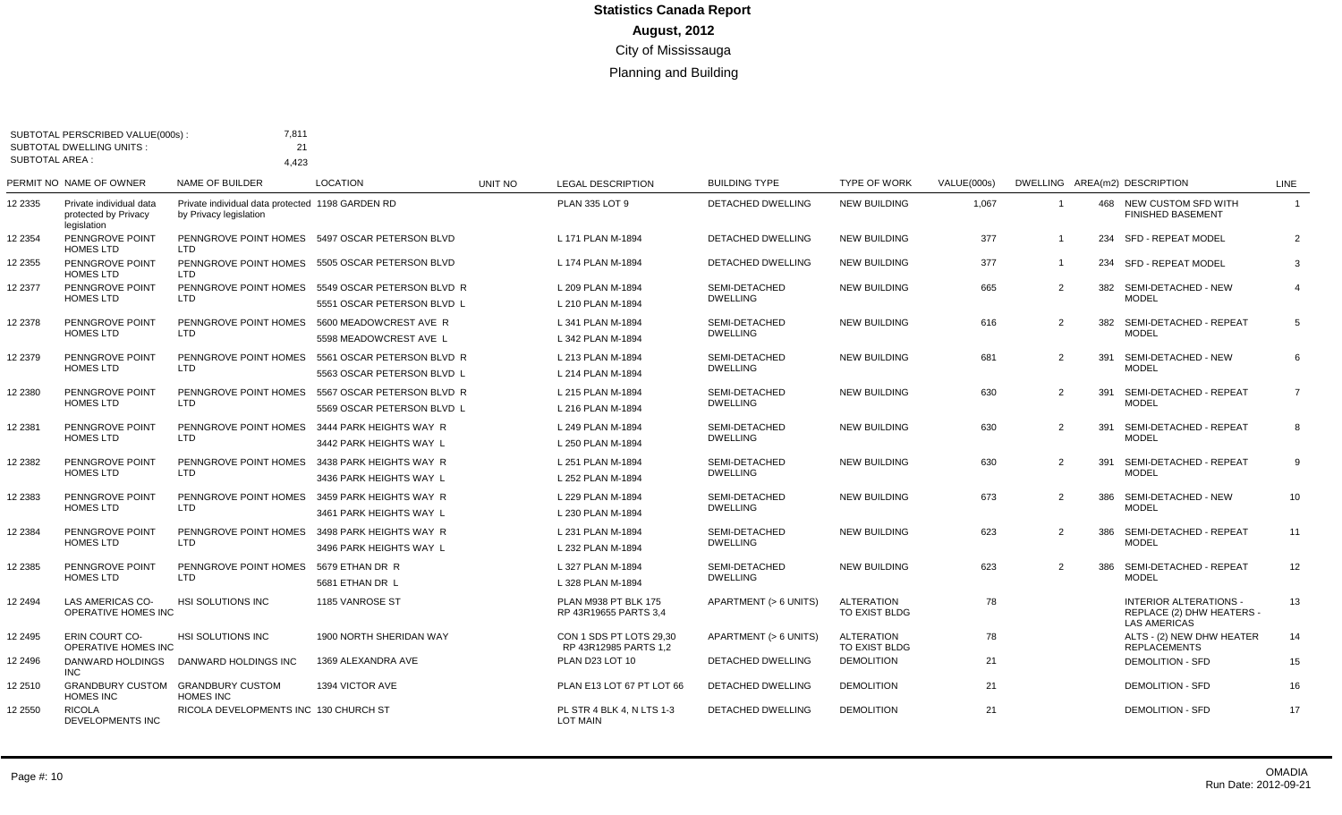| <b>SUBTOTAL AREA:</b> | SUBTOTAL PERSCRIBED VALUE(000s):<br><b>SUBTOTAL DWELLING UNITS:</b> | 7.811<br>21<br>4,423                                                       |                                                          |         |                                                  |                                  |                                    |             |                |     |                                                                                   |                |
|-----------------------|---------------------------------------------------------------------|----------------------------------------------------------------------------|----------------------------------------------------------|---------|--------------------------------------------------|----------------------------------|------------------------------------|-------------|----------------|-----|-----------------------------------------------------------------------------------|----------------|
|                       | PERMIT NO NAME OF OWNER                                             | <b>NAME OF BUILDER</b>                                                     | <b>LOCATION</b>                                          | UNIT NO | <b>LEGAL DESCRIPTION</b>                         | <b>BUILDING TYPE</b>             | <b>TYPE OF WORK</b>                | VALUE(000s) |                |     | DWELLING AREA(m2) DESCRIPTION                                                     | <b>LINE</b>    |
| 12 2335               | Private individual data<br>protected by Privacy<br>legislation      | Private individual data protected 1198 GARDEN RD<br>by Privacy legislation |                                                          |         | PLAN 335 LOT 9                                   | <b>DETACHED DWELLING</b>         | <b>NEW BUILDING</b>                | 1,067       | $\overline{1}$ |     | 468 NEW CUSTOM SFD WITH<br><b>FINISHED BASEMENT</b>                               | $\mathbf{1}$   |
| 12 2354               | PENNGROVE POINT<br><b>HOMES LTD</b>                                 | LTD                                                                        | PENNGROVE POINT HOMES 5497 OSCAR PETERSON BLVD           |         | L 171 PLAN M-1894                                | <b>DETACHED DWELLING</b>         | NEW BUILDING                       | 377         | -1             | 234 | SFD - REPEAT MODEL                                                                | $\overline{2}$ |
| 12 2355               | PENNGROVE POINT<br><b>HOMES LTD</b>                                 | LTD                                                                        | PENNGROVE POINT HOMES 5505 OSCAR PETERSON BLVD           |         | L 174 PLAN M-1894                                | <b>DETACHED DWELLING</b>         | <b>NEW BUILDING</b>                | 377         | $\overline{1}$ |     | 234 SFD - REPEAT MODEL                                                            | 3              |
| 12 2377               | PENNGROVE POINT<br><b>HOMES LTD</b>                                 | PENNGROVE POINT HOMES<br>LTD                                               | 5549 OSCAR PETERSON BLVD R<br>5551 OSCAR PETERSON BLVD L |         | L 209 PLAN M-1894<br>L 210 PLAN M-1894           | SEMI-DETACHED<br><b>DWELLING</b> | <b>NEW BUILDING</b>                | 665         | $\overline{2}$ | 382 | SEMI-DETACHED - NEW<br><b>MODEL</b>                                               | $\overline{4}$ |
| 12 2378               | PENNGROVE POINT<br><b>HOMES LTD</b>                                 | PENNGROVE POINT HOMES<br>LTD                                               | 5600 MEADOWCREST AVE R<br>5598 MEADOWCREST AVE L         |         | L 341 PLAN M-1894<br>L 342 PLAN M-1894           | SEMI-DETACHED<br><b>DWELLING</b> | <b>NEW BUILDING</b>                | 616         | $\overline{2}$ | 382 | SEMI-DETACHED - REPEAT<br><b>MODEL</b>                                            | 5              |
| 2 2 3 7 9             | PENNGROVE POINT<br><b>HOMES LTD</b>                                 | PENNGROVE POINT HOMES<br><b>LTD</b>                                        | 5561 OSCAR PETERSON BLVD R<br>5563 OSCAR PETERSON BLVD L |         | L 213 PLAN M-1894<br>L 214 PLAN M-1894           | SEMI-DETACHED<br><b>DWELLING</b> | <b>NEW BUILDING</b>                | 681         | $\overline{2}$ | 391 | SEMI-DETACHED - NEW<br><b>MODEL</b>                                               | 6              |
| 12 2380               | PENNGROVE POINT<br><b>HOMES LTD</b>                                 | PENNGROVE POINT HOMES<br><b>LTD</b>                                        | 5567 OSCAR PETERSON BLVD R<br>5569 OSCAR PETERSON BLVD L |         | L 215 PLAN M-1894<br>L 216 PLAN M-1894           | SEMI-DETACHED<br><b>DWELLING</b> | <b>NEW BUILDING</b>                | 630         | $\overline{2}$ | 391 | SEMI-DETACHED - REPEAT<br><b>MODEL</b>                                            | $\overline{7}$ |
| 12 2381               | PENNGROVE POINT<br><b>HOMES LTD</b>                                 | PENNGROVE POINT HOMES<br>LTD.                                              | 3444 PARK HEIGHTS WAY R<br>3442 PARK HEIGHTS WAY L       |         | L 249 PLAN M-1894<br>L 250 PLAN M-1894           | SEMI-DETACHED<br><b>DWELLING</b> | <b>NEW BUILDING</b>                | 630         | $\overline{2}$ | 391 | SEMI-DETACHED - REPEAT<br><b>MODEL</b>                                            | 8              |
| 2 2 3 8 2             | PENNGROVE POINT<br><b>HOMES LTD</b>                                 | PENNGROVE POINT HOMES<br>LTD                                               | 3438 PARK HEIGHTS WAY R<br>3436 PARK HEIGHTS WAY L       |         | L 251 PLAN M-1894<br>L 252 PLAN M-1894           | SEMI-DETACHED<br><b>DWELLING</b> | <b>NEW BUILDING</b>                | 630         | $\overline{2}$ | 391 | SEMI-DETACHED - REPEAT<br><b>MODEL</b>                                            | 9              |
| 12 2383               | PENNGROVE POINT<br><b>HOMES LTD</b>                                 | PENNGROVE POINT HOMES<br>LTD                                               | 3459 PARK HEIGHTS WAY R<br>3461 PARK HEIGHTS WAY L       |         | L 229 PLAN M-1894<br>L 230 PLAN M-1894           | SEMI-DETACHED<br><b>DWELLING</b> | <b>NEW BUILDING</b>                | 673         | $\overline{2}$ | 386 | SEMI-DETACHED - NEW<br><b>MODEL</b>                                               | 10             |
| 12 2384               | PENNGROVE POINT<br><b>HOMES LTD</b>                                 | PENNGROVE POINT HOMES<br>LTD                                               | 3498 PARK HEIGHTS WAY R<br>3496 PARK HEIGHTS WAY L       |         | L 231 PLAN M-1894<br>L 232 PLAN M-1894           | SEMI-DETACHED<br><b>DWELLING</b> | <b>NEW BUILDING</b>                | 623         | $\overline{2}$ | 386 | SEMI-DETACHED - REPEAT<br><b>MODEL</b>                                            | 11             |
| 12 2385               | PENNGROVE POINT<br><b>HOMES LTD</b>                                 | PENNGROVE POINT HOMES<br><b>LTD</b>                                        | 5679 ETHAN DR R<br>5681 ETHAN DR L                       |         | L 327 PLAN M-1894<br>L 328 PLAN M-1894           | SEMI-DETACHED<br><b>DWELLING</b> | <b>NEW BUILDING</b>                | 623         | $\overline{2}$ | 386 | SEMI-DETACHED - REPEAT<br><b>MODEL</b>                                            | 12             |
| 12 2494               | LAS AMERICAS CO-<br>OPERATIVE HOMES INC                             | HSI SOLUTIONS INC                                                          | 1185 VANROSE ST                                          |         | PLAN M938 PT BLK 175<br>RP 43R19655 PARTS 3.4    | APARTMENT (> 6 UNITS)            | ALTERATION<br>TO EXIST BLDG        | 78          |                |     | <b>INTERIOR ALTERATIONS -</b><br>REPLACE (2) DHW HEATERS -<br><b>LAS AMERICAS</b> | 13             |
| 12 2495               | <b>ERIN COURT CO-</b><br>OPERATIVE HOMES INC                        | <b>HSI SOLUTIONS INC</b>                                                   | 1900 NORTH SHERIDAN WAY                                  |         | CON 1 SDS PT LOTS 29.30<br>RP 43R12985 PARTS 1,2 | APARTMENT (> 6 UNITS)            | <b>ALTERATION</b><br>TO EXIST BLDG | 78          |                |     | ALTS - (2) NEW DHW HEATER<br><b>REPLACEMENTS</b>                                  | 14             |
| 12 2496               | DANWARD HOLDINGS<br><b>INC</b>                                      | DANWARD HOLDINGS INC                                                       | 1369 ALEXANDRA AVE                                       |         | PLAN D23 LOT 10                                  | DETACHED DWELLING                | <b>DEMOLITION</b>                  | 21          |                |     | <b>DEMOLITION - SFD</b>                                                           | 15             |
| 12 2510               | <b>GRANDBURY CUSTOM</b><br>HOMES INC                                | <b>GRANDBURY CUSTOM</b><br><b>HOMES INC</b>                                | 1394 VICTOR AVE                                          |         | PLAN E13 LOT 67 PT LOT 66                        | DETACHED DWELLING                | <b>DEMOLITION</b>                  | 21          |                |     | <b>DEMOLITION - SFD</b>                                                           | 16             |
| 12 2550               | <b>RICOLA</b><br>DEVELOPMENTS INC                                   | RICOLA DEVELOPMENTS INC 130 CHURCH ST                                      |                                                          |         | PL STR 4 BLK 4, N LTS 1-3<br>LOT MAIN            | <b>DETACHED DWELLING</b>         | <b>DEMOLITION</b>                  | 21          |                |     | DEMOLITION - SFD                                                                  | 17             |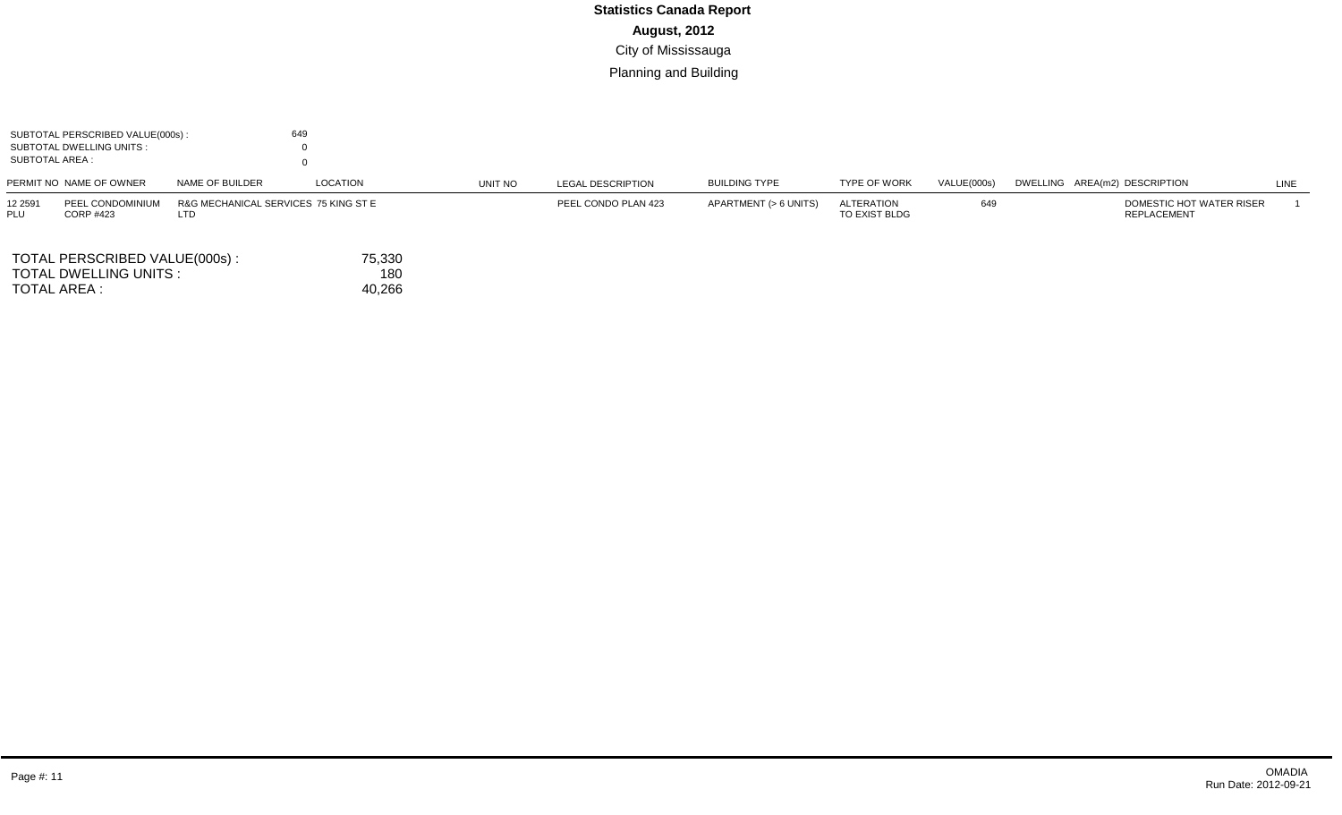| SUBTOTAL AREA :       | SUBTOTAL PERSCRIBED VALUE(000s):<br>SUBTOTAL DWELLING UNITS: |                                             | 649                     |         |                          |                       |                             |             |                                                |      |
|-----------------------|--------------------------------------------------------------|---------------------------------------------|-------------------------|---------|--------------------------|-----------------------|-----------------------------|-------------|------------------------------------------------|------|
|                       | PERMIT NO NAME OF OWNER                                      | NAME OF BUILDER                             | LOCATION                | UNIT NO | <b>LEGAL DESCRIPTION</b> | <b>BUILDING TYPE</b>  | <b>TYPE OF WORK</b>         | VALUE(000s) | DWELLING AREA(m2) DESCRIPTION                  | LINE |
| 12 2591<br><b>PLU</b> | PEEL CONDOMINIUM<br><b>CORP #423</b>                         | R&G MECHANICAL SERVICES 75 KING ST E<br>LTD |                         |         | PEEL CONDO PLAN 423      | APARTMENT (> 6 UNITS) | ALTERATION<br>TO EXIST BLDG | 649         | DOMESTIC HOT WATER RISER<br><b>REPLACEMENT</b> |      |
| TOTAL AREA :          | TOTAL PERSCRIBED VALUE(000s):<br>TOTAL DWELLING UNITS :      |                                             | 75,330<br>180<br>40,266 |         |                          |                       |                             |             |                                                |      |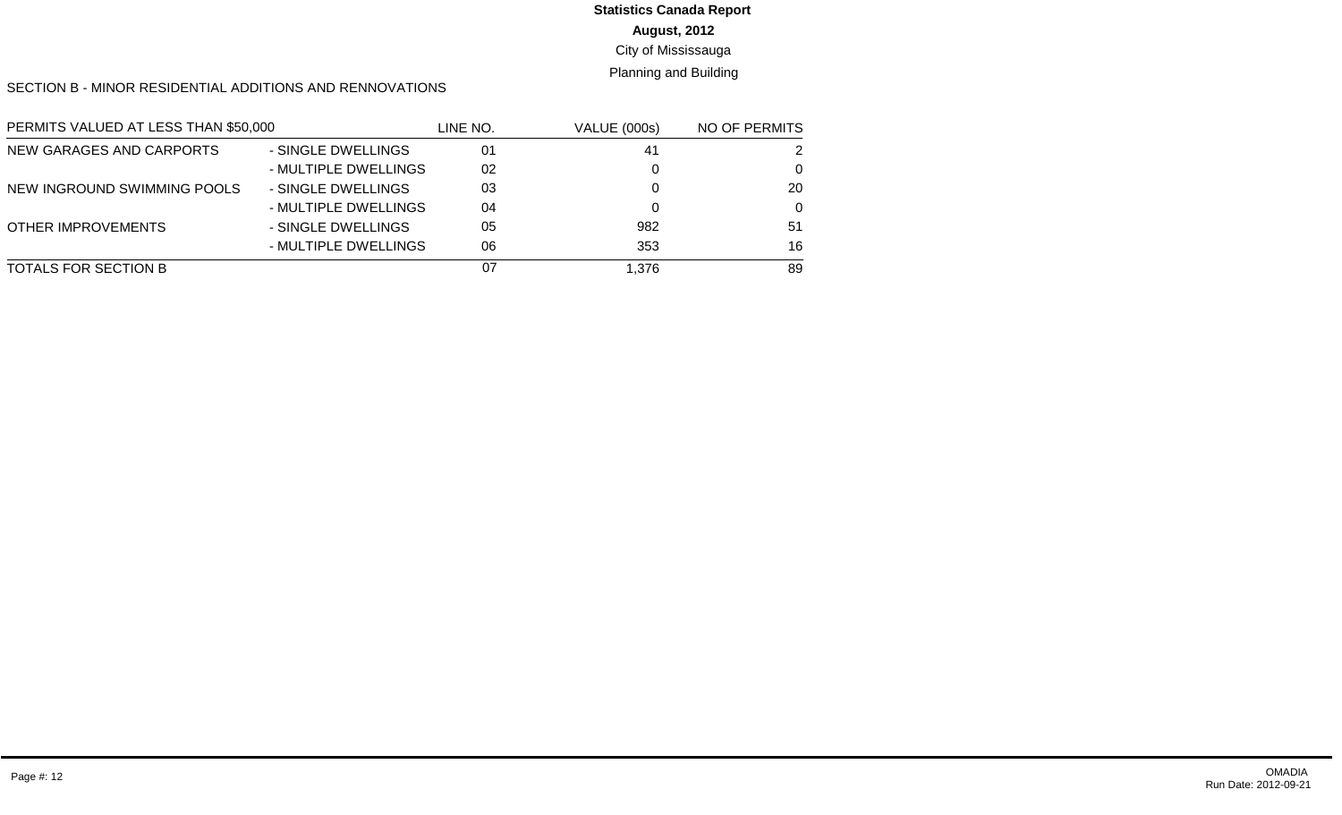# **Statistics Canada Report**

# **August, 2012**

#### City of Mississauga

#### Planning and Building

SECTION B - MINOR RESIDENTIAL ADDITIONS AND RENNOVATIONS

| PERMITS VALUED AT LESS THAN \$50,000 |                      | LINE NO. | VALUE (000s) | NO OF PERMITS |
|--------------------------------------|----------------------|----------|--------------|---------------|
| NEW GARAGES AND CARPORTS             | - SINGLE DWELLINGS   | 01       | 41           | 2             |
|                                      | - MULTIPLE DWELLINGS | 02       | 0            | $\Omega$      |
| NEW INGROUND SWIMMING POOLS          | - SINGLE DWELLINGS   | 03       |              | 20            |
|                                      | - MULTIPLE DWELLINGS | 04       | 0            | $\Omega$      |
| <b>OTHER IMPROVEMENTS</b>            | - SINGLE DWELLINGS   | 05       | 982          | 51            |
|                                      | - MULTIPLE DWELLINGS | 06       | 353          | 16            |
| TOTALS FOR SECTION B                 |                      | 07       | 1.376        | 89            |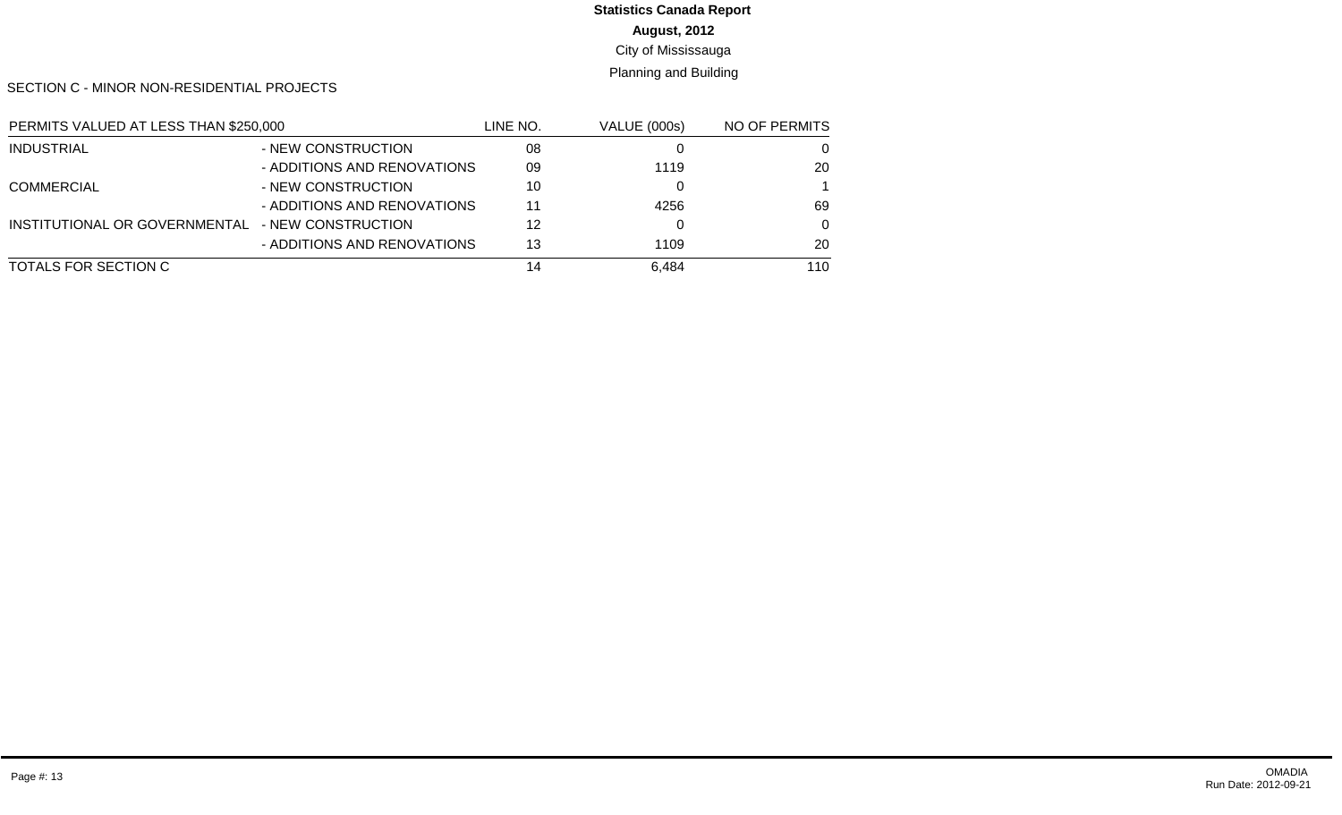#### **August, 2012 Statistics Canada Report**

# City of Mississauga

# Planning and Building

SECTION C - MINOR NON-RESIDENTIAL PROJECTS

| PERMITS VALUED AT LESS THAN \$250,000 |                             | LINE NO. | <b>VALUE (000s)</b> | NO OF PERMITS |
|---------------------------------------|-----------------------------|----------|---------------------|---------------|
| INDUSTRIAL                            | - NEW CONSTRUCTION          | 08       |                     | 0             |
|                                       | - ADDITIONS AND RENOVATIONS | 09       | 1119                | 20            |
| <b>COMMERCIAL</b>                     | - NEW CONSTRUCTION          | 10       |                     |               |
|                                       | - ADDITIONS AND RENOVATIONS | 11       | 4256                | 69            |
| INSTITUTIONAL OR GOVERNMENTAL         | - NEW CONSTRUCTION          | 12       |                     | $\Omega$      |
|                                       | - ADDITIONS AND RENOVATIONS | 13       | 1109                | 20            |
| TOTALS FOR SECTION C                  |                             | 14       | 6.484               | 110           |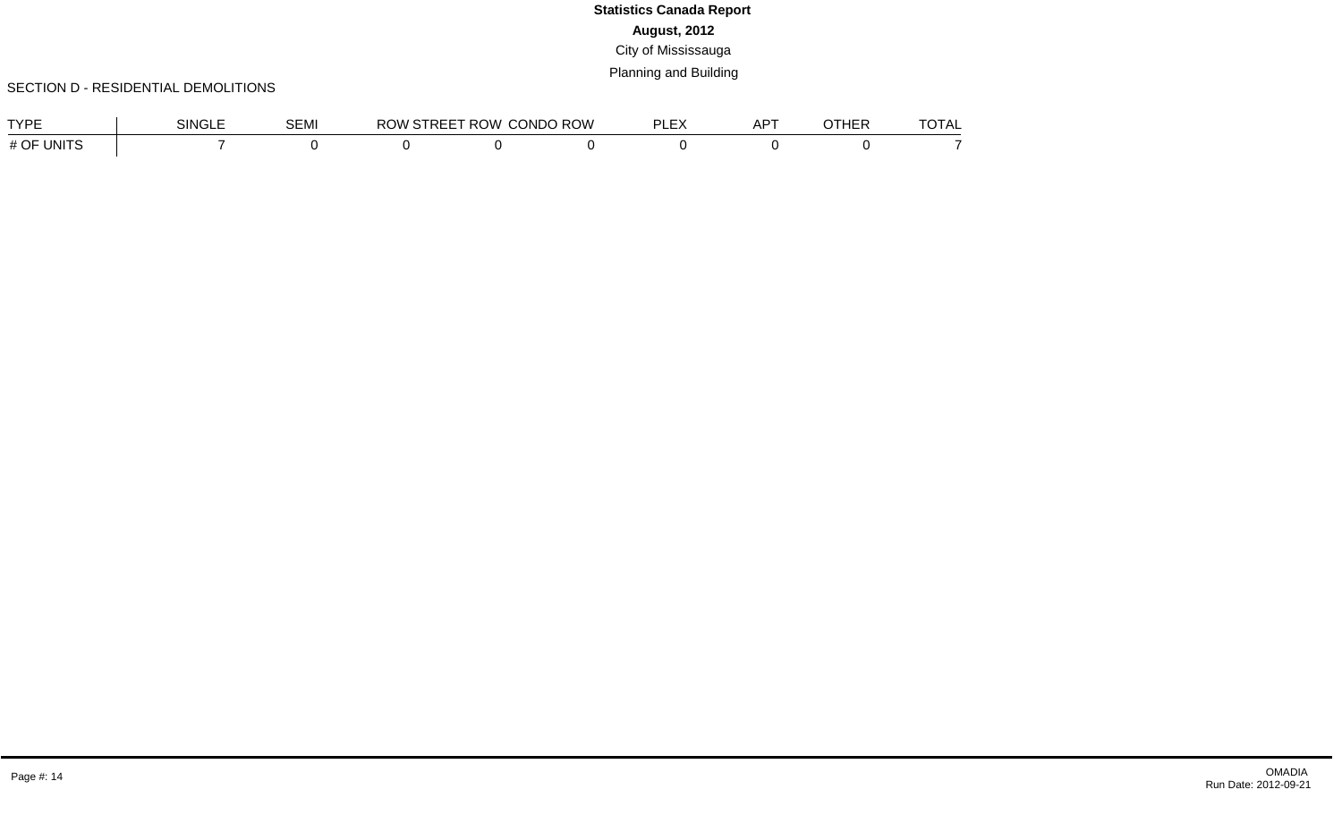#### SECTION D - RESIDENTIAL DEMOLITIONS

| TVDE                   | <b>SINGLE</b> | $\sim$ $\sim$ $\sim$<br>ו∨ו⊐כ | ROW<br>. . | <b>CONDO ROW</b> | DI EV<br>--- | <b>APT</b> | חחשדר<br>ncr | $T\cap T$<br>`∪TAL |
|------------------------|---------------|-------------------------------|------------|------------------|--------------|------------|--------------|--------------------|
| 0F<br>. H<br><b>II</b> |               |                               |            |                  |              |            |              |                    |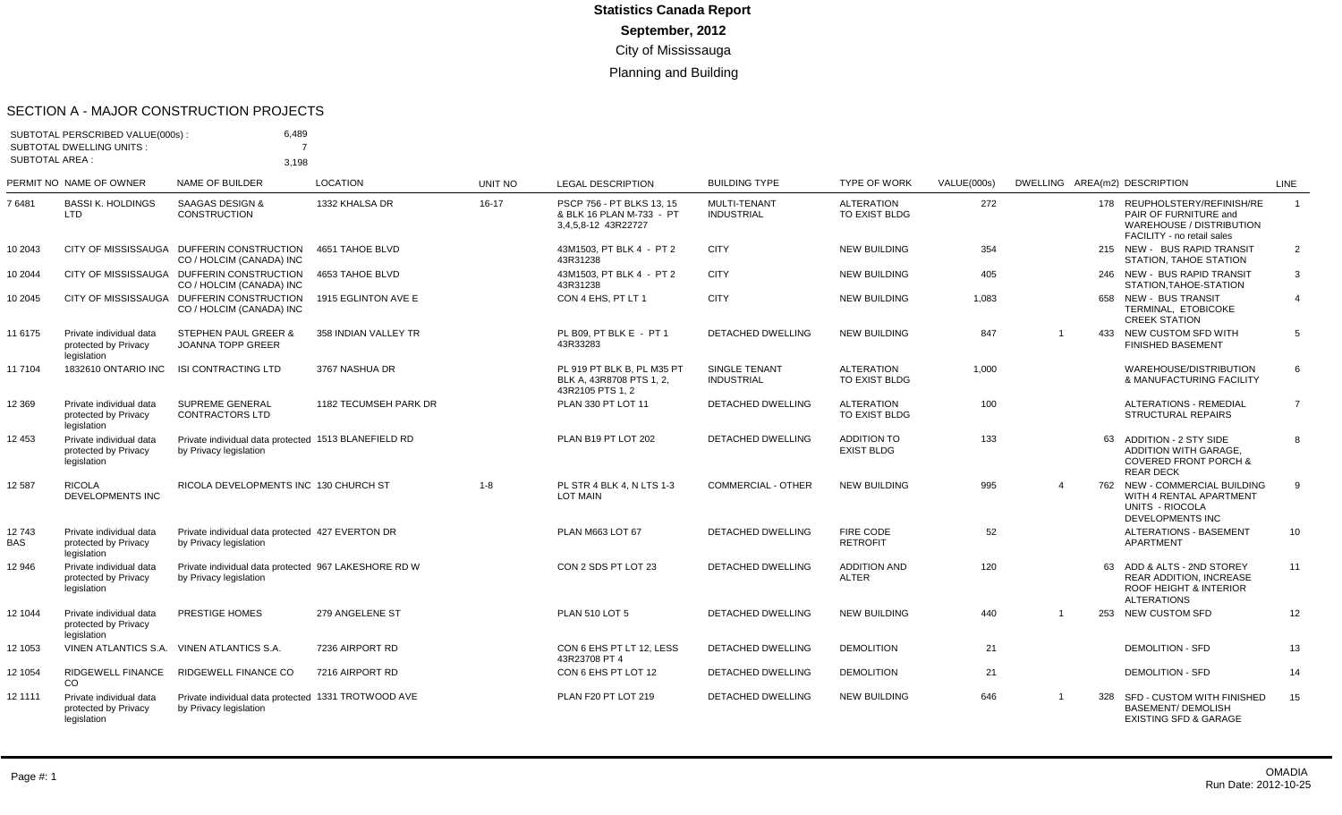#### SECTION A - MAJOR CONSTRUCTION PROJECTS

|                       | SUBTOTAL PERSCRIBED VALUE(000s):<br><b>SUBTOTAL DWELLING UNITS:</b> | 6,489<br>$\overline{7}$                                                        |                       |         |                                                                              |                                          |                                           |             |                |     |                                                                                                                         |                |
|-----------------------|---------------------------------------------------------------------|--------------------------------------------------------------------------------|-----------------------|---------|------------------------------------------------------------------------------|------------------------------------------|-------------------------------------------|-------------|----------------|-----|-------------------------------------------------------------------------------------------------------------------------|----------------|
| <b>SUBTOTAL AREA:</b> |                                                                     | 3.198                                                                          |                       |         |                                                                              |                                          |                                           |             |                |     |                                                                                                                         |                |
|                       | PERMIT NO NAME OF OWNER                                             | <b>NAME OF BUILDER</b>                                                         | <b>LOCATION</b>       | UNIT NO | <b>LEGAL DESCRIPTION</b>                                                     | <b>BUILDING TYPE</b>                     | <b>TYPE OF WORK</b>                       | VALUE(000s) |                |     | DWELLING AREA(m2) DESCRIPTION                                                                                           | LINE           |
| 76481                 | <b>BASSI K. HOLDINGS</b><br>LTD                                     | <b>SAAGAS DESIGN &amp;</b><br><b>CONSTRUCTION</b>                              | 1332 KHALSA DR        | 16-17   | PSCP 756 - PT BLKS 13, 15<br>& BLK 16 PLAN M-733 - PT<br>3,4,5,8-12 43R22727 | <b>MULTI-TENANT</b><br><b>INDUSTRIAL</b> | <b>ALTERATION</b><br>TO EXIST BLDG        | 272         |                |     | 178 REUPHOLSTERY/REFINISH/RE<br>PAIR OF FURNITURE and<br>WAREHOUSE / DISTRIBUTION<br>FACILITY - no retail sales         | $\overline{1}$ |
| 10 2043               |                                                                     | CITY OF MISSISSAUGA DUFFERIN CONSTRUCTION<br>CO / HOLCIM (CANADA) INC          | 4651 TAHOE BLVD       |         | 43M1503. PT BLK 4 - PT 2<br>43R31238                                         | <b>CITY</b>                              | <b>NEW BUILDING</b>                       | 354         |                |     | 215 NEW - BUS RAPID TRANSIT<br>STATION, TAHOE STATION                                                                   | 2              |
| 10 2044               |                                                                     | CITY OF MISSISSAUGA DUFFERIN CONSTRUCTION<br>CO / HOLCIM (CANADA) INC          | 4653 TAHOE BLVD       |         | 43M1503. PT BLK 4 - PT 2<br>43R31238                                         | <b>CITY</b>                              | <b>NEW BUILDING</b>                       | 405         |                |     | 246 NEW - BUS RAPID TRANSIT<br>STATION, TAHOE-STATION                                                                   | 3              |
| 10 2045               |                                                                     | CITY OF MISSISSAUGA DUFFERIN CONSTRUCTION<br>CO / HOLCIM (CANADA) INC          | 1915 EGLINTON AVE E   |         | CON 4 EHS. PT LT 1                                                           | <b>CITY</b>                              | <b>NEW BUILDING</b>                       | 1.083       |                |     | 658 NEW - BUS TRANSIT<br>TERMINAL, ETOBICOKE<br><b>CREEK STATION</b>                                                    | $\overline{4}$ |
| 11 6175               | Private individual data<br>protected by Privacy<br>legislation      | STEPHEN PAUL GREER &<br><b>JOANNA TOPP GREER</b>                               | 358 INDIAN VALLEY TR  |         | PL B09, PT BLK E - PT 1<br>43R33283                                          | <b>DETACHED DWELLING</b>                 | <b>NEW BUILDING</b>                       | 847         | -1             | 433 | NEW CUSTOM SFD WITH<br><b>FINISHED BASEMENT</b>                                                                         | 5              |
| 11 7104               | 1832610 ONTARIO INC                                                 | <b>ISI CONTRACTING LTD</b>                                                     | 3767 NASHUA DR        |         | PL 919 PT BLK B. PL M35 PT<br>BLK A. 43R8708 PTS 1.2.<br>43R2105 PTS 1, 2    | SINGLE TENANT<br><b>INDUSTRIAL</b>       | <b>ALTERATION</b><br>TO EXIST BLDG        | 1,000       |                |     | WAREHOUSE/DISTRIBUTION<br>& MANUFACTURING FACILITY                                                                      | 6              |
| 12 3 69               | Private individual data<br>protected by Privacy<br>legislation      | SUPREME GENERAL<br><b>CONTRACTORS LTD</b>                                      | 1182 TECUMSEH PARK DR |         | PLAN 330 PT LOT 11                                                           | DETACHED DWELLING                        | <b>ALTERATION</b><br><b>TO EXIST BLDG</b> | 100         |                |     | <b>ALTERATIONS - REMEDIAL</b><br><b>STRUCTURAL REPAIRS</b>                                                              | $\overline{7}$ |
| 12 453                | Private individual data<br>protected by Privacy<br>legislation      | Private individual data protected 1513 BLANEFIELD RD<br>by Privacy legislation |                       |         | PLAN B19 PT LOT 202                                                          | <b>DETACHED DWELLING</b>                 | <b>ADDITION TO</b><br><b>EXIST BLDG</b>   | 133         |                |     | 63 ADDITION - 2 STY SIDE<br><b>ADDITION WITH GARAGE.</b><br><b>COVERED FRONT PORCH &amp;</b><br><b>REAR DECK</b>        | 8              |
| 12 587                | <b>RICOLA</b><br><b>DEVELOPMENTS INC</b>                            | RICOLA DEVELOPMENTS INC 130 CHURCH ST                                          |                       | $1 - 8$ | PL STR 4 BLK 4. N LTS 1-3<br><b>LOT MAIN</b>                                 | <b>COMMERCIAL - OTHER</b>                | <b>NEW BUILDING</b>                       | 995         | $\overline{4}$ |     | 762 NEW - COMMERCIAL BUILDING<br>WITH 4 RENTAL APARTMENT<br>UNITS - RIOCOLA<br><b>DEVELOPMENTS INC</b>                  | 9              |
| 12743<br><b>BAS</b>   | Private individual data<br>protected by Privacy<br>legislation      | Private individual data protected 427 EVERTON DR<br>by Privacy legislation     |                       |         | PLAN M663 LOT 67                                                             | <b>DETACHED DWELLING</b>                 | <b>FIRE CODE</b><br><b>RETROFIT</b>       | 52          |                |     | <b>ALTERATIONS - BASEMENT</b><br>APARTMENT                                                                              | 10             |
| 12 946                | Private individual data<br>protected by Privacy<br>legislation      | Private individual data protected 967 LAKESHORE RD W<br>by Privacy legislation |                       |         | CON 2 SDS PT LOT 23                                                          | <b>DETACHED DWELLING</b>                 | <b>ADDITION AND</b><br><b>ALTER</b>       | 120         |                |     | 63 ADD & ALTS - 2ND STOREY<br><b>REAR ADDITION. INCREASE</b><br><b>ROOF HEIGHT &amp; INTERIOR</b><br><b>ALTERATIONS</b> | 11             |
| 12 1044               | Private individual data<br>protected by Privacy<br>legislation      | PRESTIGE HOMES                                                                 | 279 ANGELENE ST       |         | <b>PLAN 510 LOT 5</b>                                                        | DETACHED DWELLING                        | <b>NEW BUILDING</b>                       | 440         |                |     | 253 NEW CUSTOM SFD                                                                                                      | 12             |
| 12 1053               |                                                                     | VINEN ATLANTICS S.A. VINEN ATLANTICS S.A.                                      | 7236 AIRPORT RD       |         | CON 6 EHS PT LT 12. LESS<br>43R23708 PT 4                                    | <b>DETACHED DWELLING</b>                 | <b>DEMOLITION</b>                         | 21          |                |     | <b>DEMOLITION - SFD</b>                                                                                                 | 13             |
| 12 1054               | RIDGEWELL FINANCE<br><b>CO</b>                                      | <b>RIDGEWELL FINANCE CO</b>                                                    | 7216 AIRPORT RD       |         | CON 6 EHS PT LOT 12                                                          | DETACHED DWELLING                        | <b>DEMOLITION</b>                         | 21          |                |     | <b>DEMOLITION - SFD</b>                                                                                                 | 14             |
| 12 1111               | Private individual data<br>protected by Privacy<br>legislation      | Private individual data protected 1331 TROTWOOD AVE<br>by Privacy legislation  |                       |         | PLAN F20 PT LOT 219                                                          | <b>DETACHED DWELLING</b>                 | <b>NEW BUILDING</b>                       | 646         | $\overline{1}$ | 328 | SFD - CUSTOM WITH FINISHED<br><b>BASEMENT/ DEMOLISH</b><br><b>EXISTING SFD &amp; GARAGE</b>                             | 15             |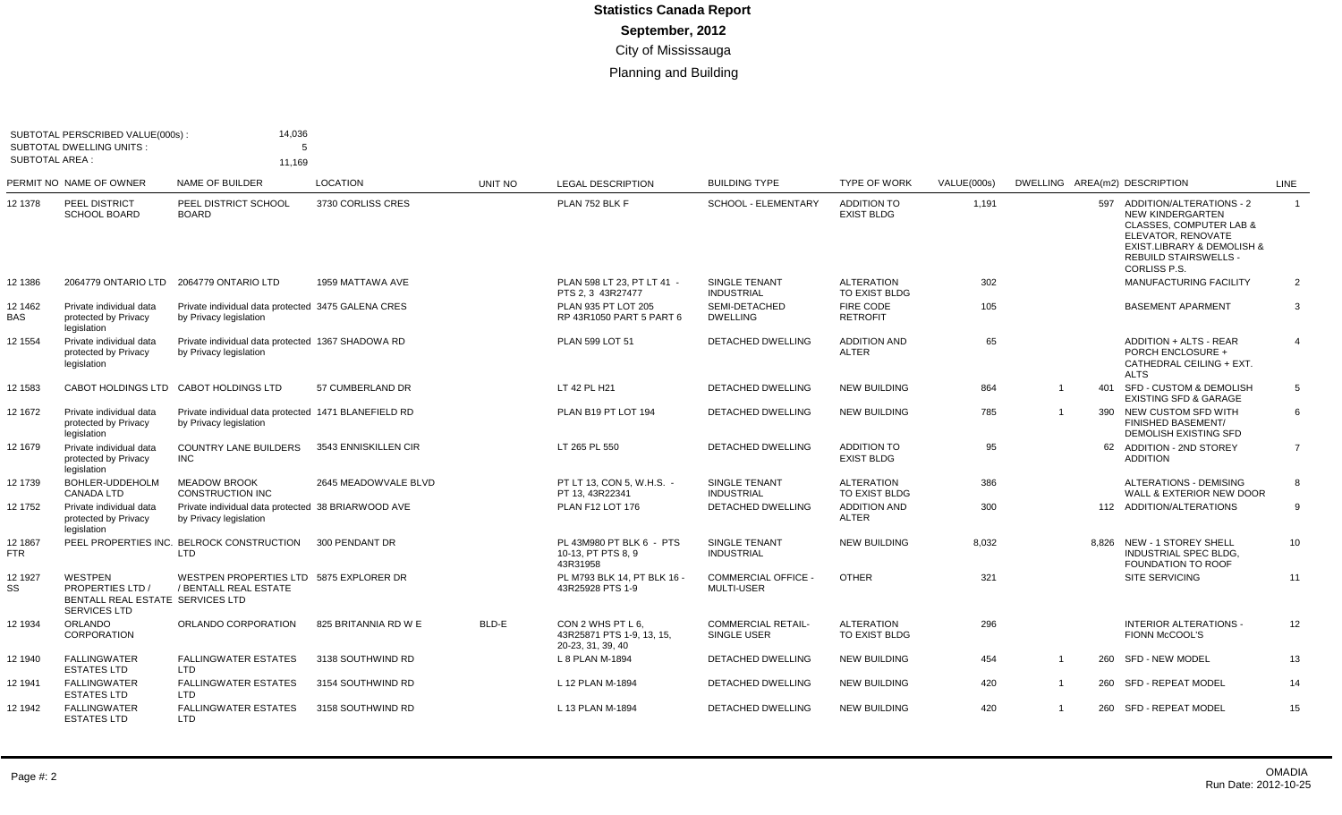| <b>SUBTOTAL AREA:</b> | SUBTOTAL PERSCRIBED VALUE(000s):<br><b>SUBTOTAL DWELLING UNITS:</b>                                  | 14,036<br>5<br>11,169                                                          |                      |         |                                                                     |                                           |                                         |             |              |     |                                                                                                                                                                                            |                |
|-----------------------|------------------------------------------------------------------------------------------------------|--------------------------------------------------------------------------------|----------------------|---------|---------------------------------------------------------------------|-------------------------------------------|-----------------------------------------|-------------|--------------|-----|--------------------------------------------------------------------------------------------------------------------------------------------------------------------------------------------|----------------|
|                       | PERMIT NO NAME OF OWNER                                                                              | <b>NAME OF BUILDER</b>                                                         | <b>LOCATION</b>      | UNIT NO | <b>LEGAL DESCRIPTION</b>                                            | <b>BUILDING TYPE</b>                      | <b>TYPE OF WORK</b>                     | VALUE(000s) |              |     | DWELLING AREA(m2) DESCRIPTION                                                                                                                                                              | <b>LINE</b>    |
| 12 1378               | <b>PEEL DISTRICT</b><br><b>SCHOOL BOARD</b>                                                          | PEEL DISTRICT SCHOOL<br><b>BOARD</b>                                           | 3730 CORLISS CRES    |         | PLAN 752 BLK F                                                      | SCHOOL - ELEMENTARY                       | <b>ADDITION TO</b><br><b>EXIST BLDG</b> | 1,191       |              |     | 597 ADDITION/ALTERATIONS - 2<br>NEW KINDERGARTEN<br><b>CLASSES, COMPUTER LAB &amp;</b><br>ELEVATOR, RENOVATE<br>EXIST.LIBRARY & DEMOLISH &<br><b>REBUILD STAIRSWELLS -</b><br>CORLISS P.S. | $\overline{1}$ |
| 12 1386               | 2064779 ONTARIO LTD                                                                                  | 2064779 ONTARIO LTD                                                            | 1959 MATTAWA AVE     |         | PLAN 598 LT 23, PT LT 41 -<br>PTS 2.3 43R27477                      | SINGLE TENANT<br><b>INDUSTRIAL</b>        | <b>ALTERATION</b><br>TO EXIST BLDG      | 302         |              |     | <b>MANUFACTURING FACILITY</b>                                                                                                                                                              | 2              |
| 12 1462<br><b>BAS</b> | Private individual data<br>protected by Privacy<br>legislation                                       | Private individual data protected 3475 GALENA CRES<br>by Privacy legislation   |                      |         | PLAN 935 PT LOT 205<br>RP 43R1050 PART 5 PART 6                     | SEMI-DETACHED<br><b>DWELLING</b>          | FIRE CODE<br><b>RETROFIT</b>            | 105         |              |     | <b>BASEMENT APARMENT</b>                                                                                                                                                                   | 3              |
| 12 1554               | Private individual data<br>protected by Privacv<br>legislation                                       | Private individual data protected 1367 SHADOWA RD<br>by Privacy legislation    |                      |         | PLAN 599 LOT 51                                                     | <b>DETACHED DWELLING</b>                  | <b>ADDITION AND</b><br><b>ALTER</b>     | 65          |              |     | ADDITION + ALTS - REAR<br><b>PORCH ENCLOSURE +</b><br>CATHEDRAL CEILING + EXT.<br><b>ALTS</b>                                                                                              |                |
| 12 1583               | <b>CABOT HOLDINGS LTD</b>                                                                            | <b>CABOT HOLDINGS LTD</b>                                                      | 57 CUMBERLAND DR     |         | LT 42 PL H21                                                        | <b>DETACHED DWELLING</b>                  | <b>NEW BUILDING</b>                     | 864         | $\mathbf{1}$ |     | 401 SFD - CUSTOM & DEMOLISH<br><b>EXISTING SFD &amp; GARAGE</b>                                                                                                                            | 5              |
| 12 1672               | Private individual data<br>protected by Privacy<br>legislation                                       | Private individual data protected 1471 BLANEFIELD RD<br>by Privacy legislation |                      |         | PLAN B19 PT LOT 194                                                 | <b>DETACHED DWELLING</b>                  | <b>NEW BUILDING</b>                     | 785         | $\mathbf{1}$ |     | 390 NEW CUSTOM SFD WITH<br>FINISHED BASEMENT/<br><b>DEMOLISH EXISTING SFD</b>                                                                                                              | 6              |
| 12 1679               | Private individual data<br>protected by Privacy<br>legislation                                       | <b>COUNTRY LANE BUILDERS</b><br><b>INC</b>                                     | 3543 ENNISKILLEN CIR |         | LT 265 PL 550                                                       | <b>DETACHED DWELLING</b>                  | <b>ADDITION TO</b><br><b>EXIST BLDG</b> | 95          |              | 62  | <b>ADDITION - 2ND STOREY</b><br><b>ADDITION</b>                                                                                                                                            | $\overline{7}$ |
| 12 1739               | BOHLER-UDDEHOLM<br><b>CANADA LTD</b>                                                                 | <b>MEADOW BROOK</b><br><b>CONSTRUCTION INC</b>                                 | 2645 MEADOWVALE BLVD |         | PT LT 13, CON 5, W.H.S. -<br>PT 13, 43R22341                        | <b>SINGLE TENANT</b><br><b>INDUSTRIAL</b> | <b>ALTERATION</b><br>TO EXIST BLDG      | 386         |              |     | <b>ALTERATIONS - DEMISING</b><br>WALL & EXTERIOR NEW DOOR                                                                                                                                  | 8              |
| 12 1752               | Private individual data<br>protected by Privacy<br>legislation                                       | Private individual data protected 38 BRIARWOOD AVE<br>by Privacy legislation   |                      |         | PLAN F12 LOT 176                                                    | <b>DETACHED DWELLING</b>                  | <b>ADDITION AND</b><br><b>ALTER</b>     | 300         |              |     | 112 ADDITION/ALTERATIONS                                                                                                                                                                   | 9              |
| 12 1867<br><b>FTR</b> |                                                                                                      | PEEL PROPERTIES INC. BELROCK CONSTRUCTION<br><b>LTD</b>                        | 300 PENDANT DR       |         | PL 43M980 PT BLK 6 - PTS<br>10-13, PT PTS 8, 9<br>43R31958          | SINGLE TENANT<br><b>INDUSTRIAL</b>        | <b>NEW BUILDING</b>                     | 8,032       |              |     | 8.826 NEW - 1 STOREY SHELL<br>INDUSTRIAL SPEC BLDG.<br><b>FOUNDATION TO ROOF</b>                                                                                                           | 10             |
| 12 1927<br>SS         | <b>WESTPEN</b><br><b>PROPERTIES LTD /</b><br>BENTALL REAL ESTATE SERVICES LTD<br><b>SERVICES LTD</b> | WESTPEN PROPERTIES LTD 5875 EXPLORER DR<br>/ BENTALL REAL ESTATE               |                      |         | PL M793 BLK 14. PT BLK 16 -<br>43R25928 PTS 1-9                     | COMMERCIAL OFFICE -<br><b>MULTI-USER</b>  | <b>OTHER</b>                            | 321         |              |     | SITE SERVICING                                                                                                                                                                             | 11             |
| 12 1934               | <b>ORLANDO</b><br>CORPORATION                                                                        | ORLANDO CORPORATION                                                            | 825 BRITANNIA RD W E | BLD-E   | CON 2 WHS PT L 6.<br>43R25871 PTS 1-9, 13, 15,<br>20-23, 31, 39, 40 | <b>COMMERCIAL RETAIL-</b><br>SINGLE USER  | <b>ALTERATION</b><br>TO EXIST BLDG      | 296         |              |     | <b>INTERIOR ALTERATIONS -</b><br>FIONN McCOOL'S                                                                                                                                            | 12             |
| 12 1940               | <b>FALLINGWATER</b><br><b>ESTATES LTD</b>                                                            | <b>FALLINGWATER ESTATES</b><br><b>LTD</b>                                      | 3138 SOUTHWIND RD    |         | L 8 PLAN M-1894                                                     | <b>DETACHED DWELLING</b>                  | <b>NEW BUILDING</b>                     | 454         | $\mathbf{1}$ | 260 | <b>SFD - NEW MODEL</b>                                                                                                                                                                     | 13             |
| 12 1941               | <b>FALLINGWATER</b><br><b>ESTATES LTD</b>                                                            | <b>FALLINGWATER ESTATES</b><br><b>LTD</b>                                      | 3154 SOUTHWIND RD    |         | L 12 PLAN M-1894                                                    | DETACHED DWELLING                         | <b>NEW BUILDING</b>                     | 420         | $\mathbf{1}$ | 260 | <b>SFD - REPEAT MODEL</b>                                                                                                                                                                  | 14             |
| 12 1942               | <b>FALLINGWATER</b><br><b>ESTATES LTD</b>                                                            | <b>FALLINGWATER ESTATES</b><br>LTD                                             | 3158 SOUTHWIND RD    |         | L 13 PLAN M-1894                                                    | <b>DETACHED DWELLING</b>                  | <b>NEW BUILDING</b>                     | 420         | $\mathbf{1}$ |     | 260 SFD - REPEAT MODEL                                                                                                                                                                     | 15             |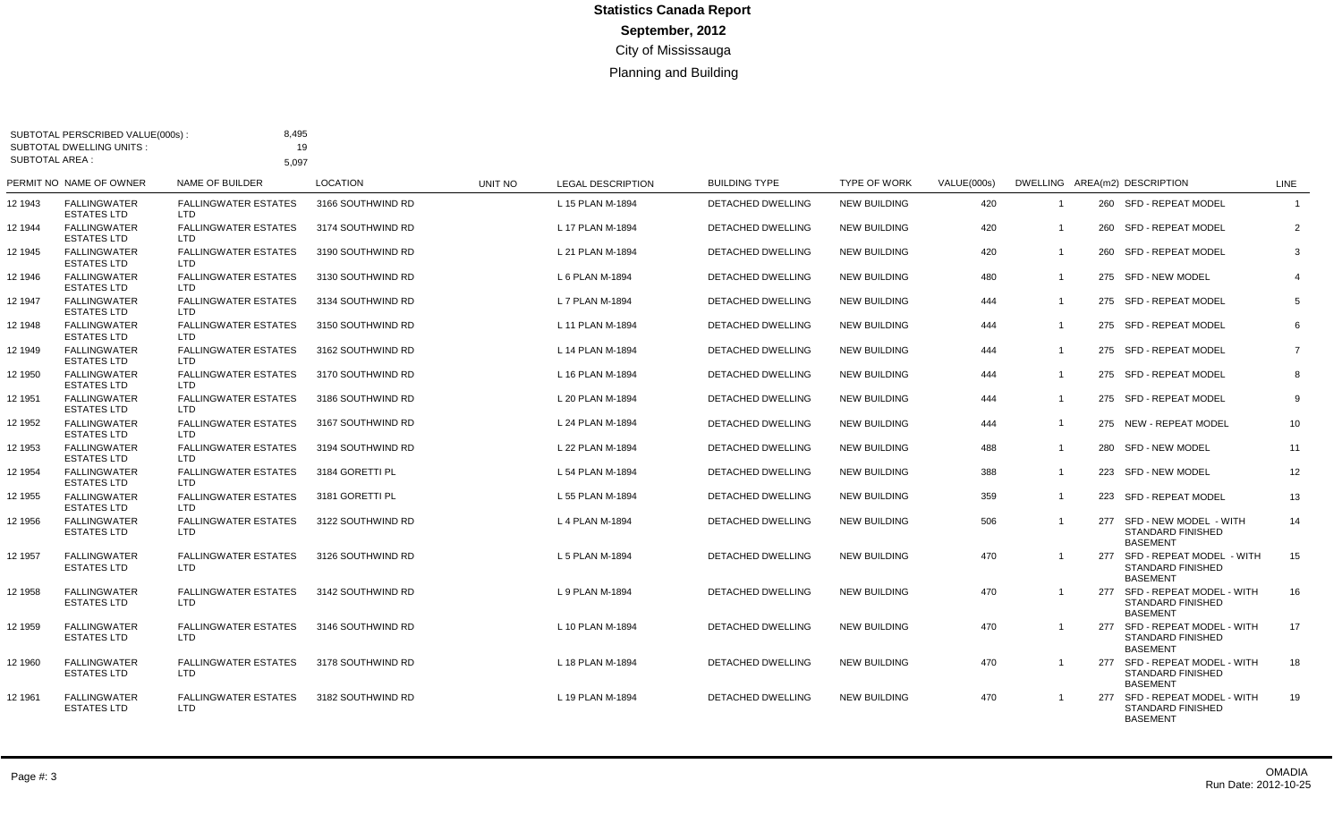| SUBTOTAL AREA : | SUBTOTAL PERSCRIBED VALUE(000s):<br>SUBTOTAL DWELLING UNITS: | 8,495<br>19<br>5,097                      |                   |                |                          |                          |                     |             |                         |                                                                              |                |
|-----------------|--------------------------------------------------------------|-------------------------------------------|-------------------|----------------|--------------------------|--------------------------|---------------------|-------------|-------------------------|------------------------------------------------------------------------------|----------------|
|                 | PERMIT NO NAME OF OWNER                                      | NAME OF BUILDER                           | <b>LOCATION</b>   | <b>UNIT NO</b> | <b>LEGAL DESCRIPTION</b> | <b>BUILDING TYPE</b>     | <b>TYPE OF WORK</b> | VALUE(000s) |                         | DWELLING AREA(m2) DESCRIPTION                                                | LINE           |
| 12 1943         | <b>FALLINGWATER</b><br><b>ESTATES LTD</b>                    | <b>FALLINGWATER ESTATES</b><br>LTD.       | 3166 SOUTHWIND RD |                | L 15 PLAN M-1894         | <b>DETACHED DWELLING</b> | <b>NEW BUILDING</b> | 420         | $\overline{1}$          | 260 SFD - REPEAT MODEL                                                       | $\overline{1}$ |
| 12 1944         | <b>FALLINGWATER</b><br><b>ESTATES LTD</b>                    | <b>FALLINGWATER ESTATES</b><br>LTD.       | 3174 SOUTHWIND RD |                | L 17 PLAN M-1894         | DETACHED DWELLING        | <b>NEW BUILDING</b> | 420         | $\overline{1}$          | 260 SFD - REPEAT MODEL                                                       | $\overline{2}$ |
| 12 1945         | <b>FALLINGWATER</b><br><b>ESTATES LTD</b>                    | <b>FALLINGWATER ESTATES</b><br>LTD.       | 3190 SOUTHWIND RD |                | L 21 PLAN M-1894         | <b>DETACHED DWELLING</b> | <b>NEW BUILDING</b> | 420         | $\overline{1}$          | 260 SFD - REPEAT MODEL                                                       | $\mathbf{3}$   |
| 12 1946         | <b>FALLINGWATER</b><br><b>ESTATES LTD</b>                    | <b>FALLINGWATER ESTATES</b><br>LTD.       | 3130 SOUTHWIND RD |                | L 6 PLAN M-1894          | <b>DETACHED DWELLING</b> | <b>NEW BUILDING</b> | 480         | $\mathbf{1}$            | 275 SFD - NEW MODEL                                                          | $\overline{4}$ |
| 12 1947         | <b>FALLINGWATER</b><br><b>ESTATES LTD</b>                    | <b>FALLINGWATER ESTATES</b><br>LTD.       | 3134 SOUTHWIND RD |                | L 7 PLAN M-1894          | <b>DETACHED DWELLING</b> | <b>NEW BUILDING</b> | 444         | -1                      | 275 SFD - REPEAT MODEL                                                       | 5              |
| 12 1948         | <b>FALLINGWATER</b><br><b>ESTATES LTD</b>                    | <b>FALLINGWATER ESTATES</b><br>LTD.       | 3150 SOUTHWIND RD |                | L 11 PLAN M-1894         | DETACHED DWELLING        | <b>NEW BUILDING</b> | 444         | $\overline{\mathbf{1}}$ | 275 SFD - REPEAT MODEL                                                       | 6              |
| 12 1949         | <b>FALLINGWATER</b><br><b>ESTATES LTD</b>                    | <b>FALLINGWATER ESTATES</b><br>LTD.       | 3162 SOUTHWIND RD |                | L 14 PLAN M-1894         | DETACHED DWELLING        | <b>NEW BUILDING</b> | 444         | $\overline{\mathbf{1}}$ | 275 SFD - REPEAT MODEL                                                       | $\overline{7}$ |
| 12 1950         | <b>FALLINGWATER</b><br><b>ESTATES LTD</b>                    | <b>FALLINGWATER ESTATES</b><br>LTD.       | 3170 SOUTHWIND RD |                | L 16 PLAN M-1894         | <b>DETACHED DWELLING</b> | <b>NEW BUILDING</b> | 444         | $\overline{1}$          | 275 SFD - REPEAT MODEL                                                       | 8              |
| 12 1951         | <b>FALLINGWATER</b><br><b>ESTATES LTD</b>                    | <b>FALLINGWATER ESTATES</b><br>LTD.       | 3186 SOUTHWIND RD |                | L 20 PLAN M-1894         | DETACHED DWELLING        | <b>NEW BUILDING</b> | 444         | $\overline{1}$          | 275 SFD - REPEAT MODEL                                                       | 9              |
| 12 1952         | <b>FALLINGWATER</b><br><b>ESTATES LTD</b>                    | <b>FALLINGWATER ESTATES</b><br>LTD        | 3167 SOUTHWIND RD |                | L 24 PLAN M-1894         | DETACHED DWELLING        | <b>NEW BUILDING</b> | 444         | $\overline{1}$          | 275 NEW - REPEAT MODEL                                                       | 10             |
| 12 1953         | <b>FALLINGWATER</b><br><b>ESTATES LTD</b>                    | <b>FALLINGWATER ESTATES</b><br>LTD        | 3194 SOUTHWIND RD |                | L 22 PLAN M-1894         | <b>DETACHED DWELLING</b> | <b>NEW BUILDING</b> | 488         | $\overline{1}$          | 280 SFD - NEW MODEL                                                          | 11             |
| 12 1954         | <b>FALLINGWATER</b><br><b>ESTATES LTD</b>                    | <b>FALLINGWATER ESTATES</b><br>LTD.       | 3184 GORETTI PL   |                | L 54 PLAN M-1894         | <b>DETACHED DWELLING</b> | <b>NEW BUILDING</b> | 388         | $\overline{1}$          | 223 SFD - NEW MODEL                                                          | 12             |
| 12 1955         | <b>FALLINGWATER</b><br><b>ESTATES LTD</b>                    | <b>FALLINGWATER ESTATES</b><br>LTD.       | 3181 GORETTI PL   |                | L 55 PLAN M-1894         | <b>DETACHED DWELLING</b> | <b>NEW BUILDING</b> | 359         | $\overline{1}$          | 223 SFD - REPEAT MODEL                                                       | 13             |
| 12 1956         | <b>FALLINGWATER</b><br><b>ESTATES LTD</b>                    | <b>FALLINGWATER ESTATES</b><br>LTD        | 3122 SOUTHWIND RD |                | L 4 PLAN M-1894          | DETACHED DWELLING        | <b>NEW BUILDING</b> | 506         | $\overline{1}$          | 277 SFD - NEW MODEL - WITH<br>STANDARD FINISHED<br><b>BASEMENT</b>           | 14             |
| 12 1957         | <b>FALLINGWATER</b><br><b>ESTATES LTD</b>                    | <b>FALLINGWATER ESTATES</b><br>LTD.       | 3126 SOUTHWIND RD |                | L 5 PLAN M-1894          | DETACHED DWELLING        | <b>NEW BUILDING</b> | 470         |                         | 277 SFD - REPEAT MODEL - WITH<br>STANDARD FINISHED<br><b>BASEMENT</b>        | 15             |
| 12 1958         | <b>FALLINGWATER</b><br><b>ESTATES LTD</b>                    | <b>FALLINGWATER ESTATES</b><br>LTD        | 3142 SOUTHWIND RD |                | L 9 PLAN M-1894          | DETACHED DWELLING        | <b>NEW BUILDING</b> | 470         | $\mathbf{1}$            | 277 SFD - REPEAT MODEL - WITH<br><b>STANDARD FINISHED</b><br><b>BASEMENT</b> | 16             |
| 12 1959         | <b>FALLINGWATER</b><br><b>ESTATES LTD</b>                    | <b>FALLINGWATER ESTATES</b><br><b>LTD</b> | 3146 SOUTHWIND RD |                | L 10 PLAN M-1894         | <b>DETACHED DWELLING</b> | <b>NEW BUILDING</b> | 470         | $\overline{1}$          | 277 SFD - REPEAT MODEL - WITH<br><b>STANDARD FINISHED</b><br><b>BASEMENT</b> | 17             |
| 12 1960         | <b>FALLINGWATER</b><br><b>ESTATES LTD</b>                    | <b>FALLINGWATER ESTATES</b><br>LTD.       | 3178 SOUTHWIND RD |                | L 18 PLAN M-1894         | <b>DETACHED DWELLING</b> | <b>NEW BUILDING</b> | 470         | -1                      | 277 SFD - REPEAT MODEL - WITH<br><b>STANDARD FINISHED</b><br><b>BASEMENT</b> | 18             |
| 12 1961         | <b>FALLINGWATER</b><br><b>ESTATES LTD</b>                    | <b>FALLINGWATER ESTATES</b><br>LTD        | 3182 SOUTHWIND RD |                | L 19 PLAN M-1894         | <b>DETACHED DWELLING</b> | <b>NEW BUILDING</b> | 470         |                         | 277 SFD - REPEAT MODEL - WITH<br><b>STANDARD FINISHED</b><br><b>BASEMENT</b> | 19             |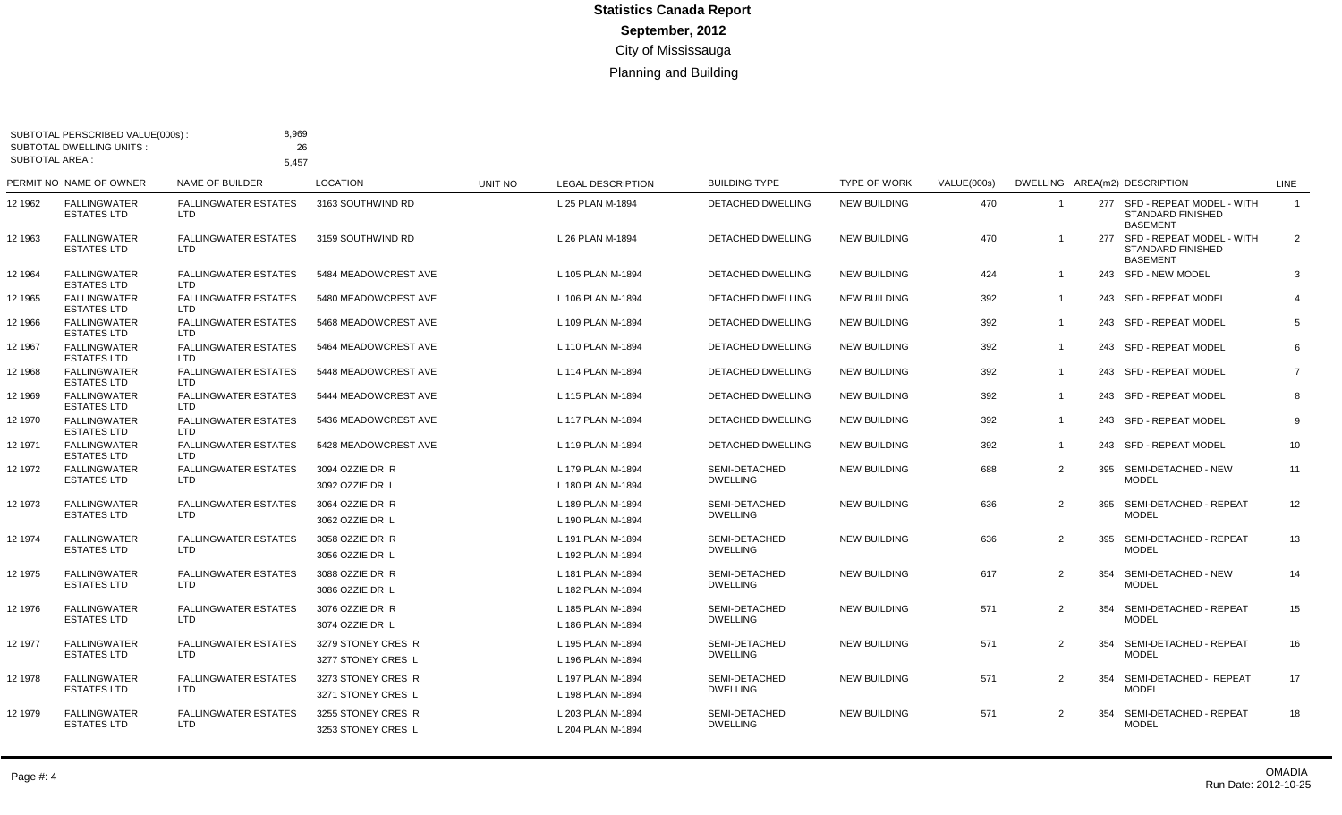| <b>SUBTOTAL AREA:</b> | SUBTOTAL PERSCRIBED VALUE(000s):<br><b>SUBTOTAL DWELLING UNITS:</b> | 8,969<br>26<br>5.457                      |                                          |         |                                        |                                  |                     |             |                |                                                                              |                |
|-----------------------|---------------------------------------------------------------------|-------------------------------------------|------------------------------------------|---------|----------------------------------------|----------------------------------|---------------------|-------------|----------------|------------------------------------------------------------------------------|----------------|
|                       | PERMIT NO NAME OF OWNER                                             | NAME OF BUILDER                           | <b>LOCATION</b>                          | UNIT NO | <b>LEGAL DESCRIPTION</b>               | <b>BUILDING TYPE</b>             | <b>TYPE OF WORK</b> | VALUE(000s) |                | DWELLING AREA(m2) DESCRIPTION                                                | LINE           |
| 12 1962               | <b>FALLINGWATER</b><br><b>ESTATES LTD</b>                           | <b>FALLINGWATER ESTATES</b><br><b>LTD</b> | 3163 SOUTHWIND RD                        |         | L 25 PLAN M-1894                       | <b>DETACHED DWELLING</b>         | <b>NEW BUILDING</b> | 470         | $\overline{1}$ | 277 SFD - REPEAT MODEL - WITH<br><b>STANDARD FINISHED</b><br><b>BASEMENT</b> | $\overline{1}$ |
| 12 1963               | FALLINGWATER<br><b>ESTATES LTD</b>                                  | <b>FALLINGWATER ESTATES</b><br>LTD        | 3159 SOUTHWIND RD                        |         | L 26 PLAN M-1894                       | DETACHED DWELLING                | <b>NEW BUILDING</b> | 470         |                | 277 SFD - REPEAT MODEL - WITH<br><b>STANDARD FINISHED</b><br><b>BASEMENT</b> | 2              |
| 12 1964               | <b>FALLINGWATER</b><br><b>ESTATES LTD</b>                           | <b>FALLINGWATER ESTATES</b><br>LTD.       | 5484 MEADOWCREST AVE                     |         | L 105 PLAN M-1894                      | DETACHED DWELLING                | <b>NEW BUILDING</b> | 424         | $\overline{1}$ | 243 SFD - NEW MODEL                                                          | 3              |
| 12 1965               | <b>FALLINGWATER</b><br><b>ESTATES LTD</b>                           | <b>FALLINGWATER ESTATES</b><br>LTD.       | 5480 MEADOWCREST AVE                     |         | L 106 PLAN M-1894                      | DETACHED DWELLING                | <b>NEW BUILDING</b> | 392         | $\overline{1}$ | 243 SFD - REPEAT MODEL                                                       | $\overline{4}$ |
| 12 1966               | FALLINGWATER<br><b>ESTATES LTD</b>                                  | <b>FALLINGWATER ESTATES</b><br>LTD.       | 5468 MEADOWCREST AVE                     |         | L 109 PLAN M-1894                      | <b>DETACHED DWELLING</b>         | <b>NEW BUILDING</b> | 392         | $\overline{1}$ | 243 SFD - REPEAT MODEL                                                       | 5              |
| 12 1967               | <b>FALLINGWATER</b><br><b>ESTATES LTD</b>                           | <b>FALLINGWATER ESTATES</b><br>LTD        | 5464 MEADOWCREST AVE                     |         | L 110 PLAN M-1894                      | <b>DETACHED DWELLING</b>         | <b>NEW BUILDING</b> | 392         | $\overline{1}$ | 243 SFD - REPEAT MODEL                                                       | 6              |
| 12 1968               | <b>FALLINGWATER</b><br><b>ESTATES LTD</b>                           | <b>FALLINGWATER ESTATES</b><br>LTD        | 5448 MEADOWCREST AVE                     |         | L 114 PLAN M-1894                      | <b>DETACHED DWELLING</b>         | <b>NEW BUILDING</b> | 392         | $\overline{1}$ | 243 SFD - REPEAT MODEL                                                       | $\overline{7}$ |
| 12 1969               | <b>FALLINGWATER</b><br><b>ESTATES LTD</b>                           | <b>FALLINGWATER ESTATES</b><br><b>LTD</b> | 5444 MEADOWCREST AVE                     |         | L 115 PLAN M-1894                      | <b>DETACHED DWELLING</b>         | <b>NEW BUILDING</b> | 392         | $\overline{1}$ | 243 SFD - REPEAT MODEL                                                       | 8              |
| 12 1970               | <b>FALLINGWATER</b><br>ESTATES LTD                                  | <b>FALLINGWATER ESTATES</b><br>LTD.       | 5436 MEADOWCREST AVE                     |         | L 117 PLAN M-1894                      | DETACHED DWELLING                | <b>NEW BUILDING</b> | 392         | $\overline{1}$ | 243 SFD - REPEAT MODEL                                                       | 9              |
| 12 1971               | <b>FALLINGWATER</b><br><b>ESTATES LTD</b>                           | <b>FALLINGWATER ESTATES</b><br><b>LTD</b> | 5428 MEADOWCREST AVE                     |         | L 119 PLAN M-1894                      | DETACHED DWELLING                | <b>NEW BUILDING</b> | 392         | $\overline{1}$ | 243 SFD - REPEAT MODEL                                                       | 10             |
| 12 1972               | <b>FALLINGWATER</b>                                                 | <b>FALLINGWATER ESTATES</b>               | 3094 OZZIE DR R                          |         | L 179 PLAN M-1894                      | SEMI-DETACHED                    | <b>NEW BUILDING</b> | 688         | $\overline{2}$ | 395 SEMI-DETACHED - NEW                                                      | 11             |
|                       | <b>ESTATES LTD</b>                                                  | <b>LTD</b>                                | 3092 OZZIE DR L                          |         | L 180 PLAN M-1894                      | <b>DWELLING</b>                  |                     |             |                | <b>MODEL</b>                                                                 |                |
| 12 1973               | <b>FALLINGWATER</b>                                                 | <b>FALLINGWATER ESTATES</b>               | 3064 OZZIE DR R                          |         | L 189 PLAN M-1894                      | SEMI-DETACHED                    | <b>NEW BUILDING</b> | 636         | $\overline{2}$ | 395 SEMI-DETACHED - REPEAT                                                   | 12             |
|                       | ESTATES LTD                                                         | LTD.                                      | 3062 OZZIE DR L                          |         | L 190 PLAN M-1894                      | <b>DWELLING</b>                  |                     |             |                | <b>MODEL</b>                                                                 |                |
| 12 1974               | <b>FALLINGWATER</b><br><b>ESTATES LTD</b>                           | <b>FALLINGWATER ESTATES</b><br><b>LTD</b> | 3058 OZZIE DR R<br>3056 OZZIE DR L       |         | L 191 PLAN M-1894<br>L 192 PLAN M-1894 | SEMI-DETACHED<br><b>DWELLING</b> | <b>NEW BUILDING</b> | 636         | $\overline{2}$ | 395 SEMI-DETACHED - REPEAT<br><b>MODEL</b>                                   | 13             |
| 12 1975               | <b>FALLINGWATER</b><br><b>ESTATES LTD</b>                           | <b>FALLINGWATER ESTATES</b><br>LTD        | 3088 OZZIE DR R<br>3086 OZZIE DR L       |         | L 181 PLAN M-1894<br>L 182 PLAN M-1894 | SEMI-DETACHED<br><b>DWELLING</b> | <b>NEW BUILDING</b> | 617         | 2              | 354<br>SEMI-DETACHED - NEW<br><b>MODEL</b>                                   | 14             |
| 12 1976               | <b>FALLINGWATER</b><br><b>ESTATES LTD</b>                           | <b>FALLINGWATER ESTATES</b><br>LTD        | 3076 OZZIE DR R<br>3074 OZZIE DR L       |         | L 185 PLAN M-1894<br>L 186 PLAN M-1894 | SEMI-DETACHED<br><b>DWELLING</b> | <b>NEW BUILDING</b> | 571         | $\overline{2}$ | 354<br>SEMI-DETACHED - REPEAT<br><b>MODEL</b>                                | 15             |
| 12 1977               | FALLINGWATER<br><b>ESTATES LTD</b>                                  | <b>FALLINGWATER ESTATES</b><br>LTD.       | 3279 STONEY CRES R<br>3277 STONEY CRES L |         | L 195 PLAN M-1894<br>L 196 PLAN M-1894 | SEMI-DETACHED<br><b>DWELLING</b> | <b>NEW BUILDING</b> | 571         | 2              | SEMI-DETACHED - REPEAT<br>354<br><b>MODEL</b>                                | 16             |
| 12 1978               | <b>FALLINGWATER</b><br>ESTATES LTD                                  | <b>FALLINGWATER ESTATES</b><br>LTD.       | 3273 STONEY CRES R<br>3271 STONEY CRES L |         | L 197 PLAN M-1894<br>L 198 PLAN M-1894 | SEMI-DETACHED<br><b>DWELLING</b> | <b>NEW BUILDING</b> | 571         | 2              | SEMI-DETACHED - REPEAT<br>354<br><b>MODEL</b>                                | 17             |
| 12 1979               | <b>FALLINGWATER</b><br><b>ESTATES LTD</b>                           | <b>FALLINGWATER ESTATES</b><br>LTD        | 3255 STONEY CRES R<br>3253 STONEY CRES L |         | L 203 PLAN M-1894<br>L 204 PLAN M-1894 | SEMI-DETACHED<br><b>DWELLING</b> | <b>NEW BUILDING</b> | 571         | 2              | 354<br>SEMI-DETACHED - REPEAT<br><b>MODEL</b>                                | 18             |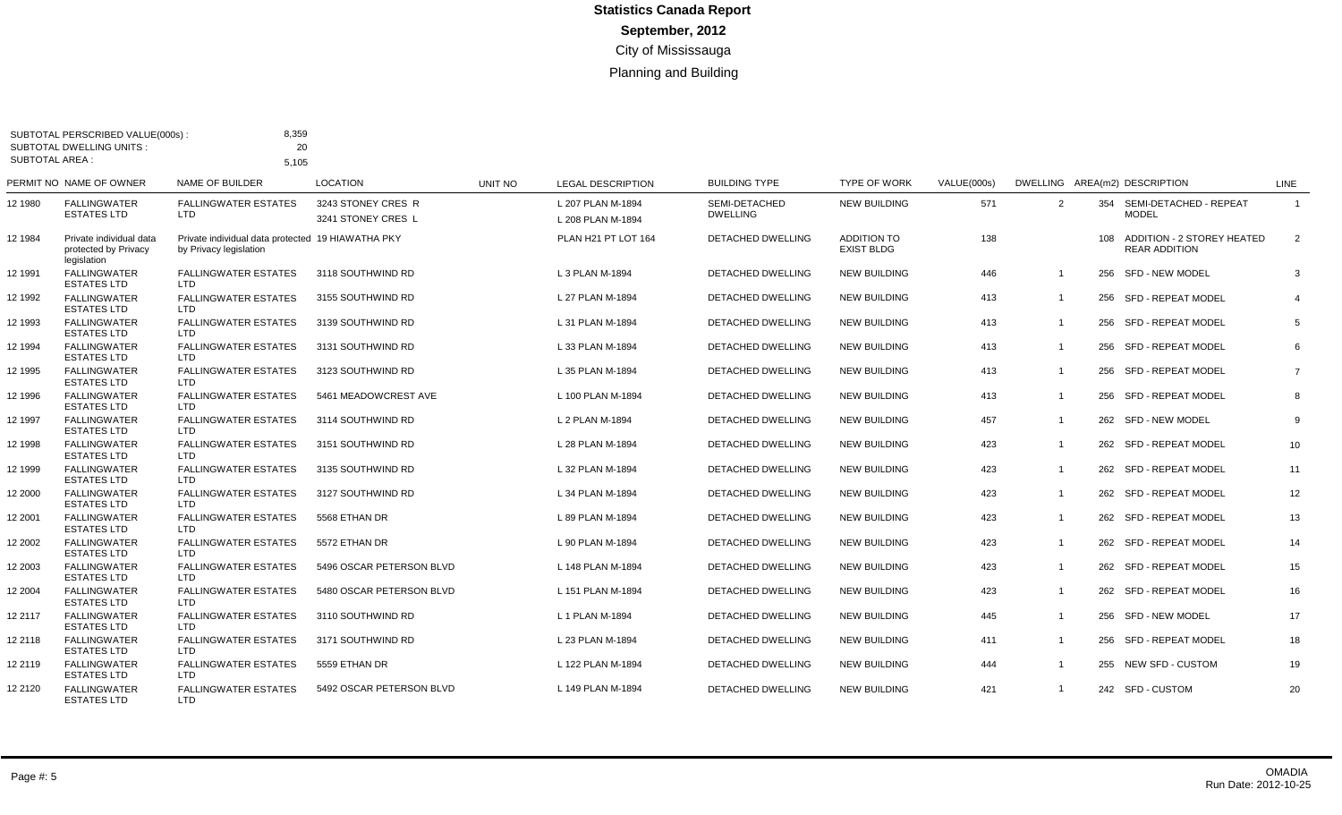|                 | SUBTOTAL PERSCRIBED VALUE(000s):<br><b>SUBTOTAL DWELLING UNITS:</b> | 8,359<br>20                                                                 |                                          |         |                                        |                                  |                                         |             |                |                                                        |                |
|-----------------|---------------------------------------------------------------------|-----------------------------------------------------------------------------|------------------------------------------|---------|----------------------------------------|----------------------------------|-----------------------------------------|-------------|----------------|--------------------------------------------------------|----------------|
| SUBTOTAL AREA : |                                                                     | 5,105                                                                       |                                          |         |                                        |                                  |                                         |             |                |                                                        |                |
|                 | PERMIT NO NAME OF OWNER                                             | NAME OF BUILDER                                                             | <b>LOCATION</b>                          | UNIT NO | <b>LEGAL DESCRIPTION</b>               | <b>BUILDING TYPE</b>             | <b>TYPE OF WORK</b>                     | VALUE(000s) |                | DWELLING AREA(m2) DESCRIPTION                          | LINE           |
| 12 1980         | <b>FALLINGWATER</b><br><b>ESTATES LTD</b>                           | <b>FALLINGWATER ESTATES</b><br><b>LTD</b>                                   | 3243 STONEY CRES R<br>3241 STONEY CRES L |         | L 207 PLAN M-1894<br>L 208 PLAN M-1894 | SEMI-DETACHED<br><b>DWELLING</b> | <b>NEW BUILDING</b>                     | 571         | 2              | 354 SEMI-DETACHED - REPEAT<br><b>MODEL</b>             | $\overline{1}$ |
| 12 1984         | Private individual data<br>protected by Privacy<br>legislation      | Private individual data protected 19 HIAWATHA PKY<br>by Privacy legislation |                                          |         | PLAN H21 PT LOT 164                    | DETACHED DWELLING                | <b>ADDITION TO</b><br><b>EXIST BLDG</b> | 138         |                | 108 ADDITION - 2 STOREY HEATED<br><b>REAR ADDITION</b> | $\overline{2}$ |
| 12 1991         | <b>FALLINGWATER</b><br><b>ESTATES LTD</b>                           | <b>FALLINGWATER ESTATES</b><br><b>LTD</b>                                   | 3118 SOUTHWIND RD                        |         | L 3 PLAN M-1894                        | <b>DETACHED DWELLING</b>         | <b>NEW BUILDING</b>                     | 446         | $\overline{1}$ | 256 SFD - NEW MODEL                                    | 3              |
| 12 1992         | <b>FALLINGWATER</b><br><b>ESTATES LTD</b>                           | <b>FALLINGWATER ESTATES</b><br><b>LTD</b>                                   | 3155 SOUTHWIND RD                        |         | L 27 PLAN M-1894                       | <b>DETACHED DWELLING</b>         | <b>NEW BUILDING</b>                     | 413         | $\overline{1}$ | 256 SFD - REPEAT MODEL                                 | $\overline{4}$ |
| 12 1993         | <b>FALLINGWATER</b><br><b>ESTATES LTD</b>                           | <b>FALLINGWATER ESTATES</b><br><b>LTD</b>                                   | 3139 SOUTHWIND RD                        |         | L 31 PLAN M-1894                       | DETACHED DWELLING                | <b>NEW BUILDING</b>                     | 413         | $\overline{1}$ | 256 SFD - REPEAT MODEL                                 | 5              |
| 12 1994         | <b>FALLINGWATER</b><br><b>ESTATES LTD</b>                           | <b>FALLINGWATER ESTATES</b><br><b>LTD</b>                                   | 3131 SOUTHWIND RD                        |         | L 33 PLAN M-1894                       | DETACHED DWELLING                | <b>NEW BUILDING</b>                     | 413         | $\overline{1}$ | 256 SFD - REPEAT MODEL                                 | 6              |
| 12 1995         | <b>FALLINGWATER</b><br>ESTATES LTD                                  | <b>FALLINGWATER ESTATES</b><br><b>LTD</b>                                   | 3123 SOUTHWIND RD                        |         | L 35 PLAN M-1894                       | DETACHED DWELLING                | <b>NEW BUILDING</b>                     | 413         | $\overline{1}$ | 256 SFD - REPEAT MODEL                                 | $\overline{7}$ |
| 12 1996         | <b>FALLINGWATER</b><br><b>ESTATES LTD</b>                           | <b>FALLINGWATER ESTATES</b><br>LTD.                                         | 5461 MEADOWCREST AVE                     |         | L 100 PLAN M-1894                      | DETACHED DWELLING                | <b>NEW BUILDING</b>                     | 413         | $\mathbf{1}$   | 256 SFD - REPEAT MODEL                                 | 8              |
| 12 1997         | <b>FALLINGWATER</b><br><b>ESTATES LTD</b>                           | <b>FALLINGWATER ESTATES</b><br><b>LTD</b>                                   | 3114 SOUTHWIND RD                        |         | L 2 PLAN M-1894                        | <b>DETACHED DWELLING</b>         | <b>NEW BUILDING</b>                     | 457         | $\mathbf 1$    | 262 SFD - NEW MODEL                                    | 9              |
| 12 1998         | <b>FALLINGWATER</b><br><b>ESTATES LTD</b>                           | <b>FALLINGWATER ESTATES</b><br>LTD.                                         | 3151 SOUTHWIND RD                        |         | L 28 PLAN M-1894                       | <b>DETACHED DWELLING</b>         | <b>NEW BUILDING</b>                     | 423         | $\overline{1}$ | 262 SFD - REPEAT MODEL                                 | 10             |
| 12 1999         | <b>FALLINGWATER</b><br><b>ESTATES LTD</b>                           | <b>FALLINGWATER ESTATES</b><br>LTD.                                         | 3135 SOUTHWIND RD                        |         | L 32 PLAN M-1894                       | DETACHED DWELLING                | <b>NEW BUILDING</b>                     | 423         | $\overline{1}$ | 262 SFD - REPEAT MODEL                                 | 11             |
| 12 2000         | <b>FALLINGWATER</b><br><b>ESTATES LTD</b>                           | <b>FALLINGWATER ESTATES</b><br><b>LTD</b>                                   | 3127 SOUTHWIND RD                        |         | L 34 PLAN M-1894                       | <b>DETACHED DWELLING</b>         | <b>NEW BUILDING</b>                     | 423         | $\overline{1}$ | 262 SFD - REPEAT MODEL                                 | 12             |
| 12 2001         | <b>FALLINGWATER</b><br><b>ESTATES LTD</b>                           | <b>FALLINGWATER ESTATES</b><br><b>LTD</b>                                   | 5568 ETHAN DR                            |         | L 89 PLAN M-1894                       | DETACHED DWELLING                | <b>NEW BUILDING</b>                     | 423         | $\overline{1}$ | 262 SFD - REPEAT MODEL                                 | 13             |
| 12 2002         | <b>FALLINGWATER</b><br><b>ESTATES LTD</b>                           | <b>FALLINGWATER ESTATES</b><br>LTD                                          | 5572 ETHAN DR                            |         | L 90 PLAN M-1894                       | DETACHED DWELLING                | <b>NEW BUILDING</b>                     | 423         | $\mathbf 1$    | 262 SFD - REPEAT MODEL                                 | 14             |
| 12 2003         | <b>FALLINGWATER</b><br><b>ESTATES LTD</b>                           | <b>FALLINGWATER ESTATES</b><br>LTD.                                         | 5496 OSCAR PETERSON BLVD                 |         | L 148 PLAN M-1894                      | DETACHED DWELLING                | <b>NEW BUILDING</b>                     | 423         | $\overline{1}$ | 262 SFD - REPEAT MODEL                                 | 15             |
| 12 2004         | <b>FALLINGWATER</b><br><b>ESTATES LTD</b>                           | <b>FALLINGWATER ESTATES</b><br>LTD.                                         | 5480 OSCAR PETERSON BLVD                 |         | L 151 PLAN M-1894                      | DETACHED DWELLING                | <b>NEW BUILDING</b>                     | 423         | $\mathbf 1$    | 262 SFD - REPEAT MODEL                                 | 16             |
| 12 2117         | <b>FALLINGWATER</b><br><b>ESTATES LTD</b>                           | <b>FALLINGWATER ESTATES</b><br>LTD.                                         | 3110 SOUTHWIND RD                        |         | L 1 PLAN M-1894                        | DETACHED DWELLING                | <b>NEW BUILDING</b>                     | 445         | $\overline{1}$ | 256 SFD - NEW MODEL                                    | 17             |
| 12 2118         | <b>FALLINGWATER</b><br><b>ESTATES LTD</b>                           | <b>FALLINGWATER ESTATES</b><br>LTD                                          | 3171 SOUTHWIND RD                        |         | L 23 PLAN M-1894                       | DETACHED DWELLING                | <b>NEW BUILDING</b>                     | 411         | $\overline{1}$ | 256 SFD - REPEAT MODEL                                 | 18             |
| 12 2119         | <b>FALLINGWATER</b><br><b>ESTATES LTD</b>                           | <b>FALLINGWATER ESTATES</b><br><b>LTD</b>                                   | 5559 ETHAN DR                            |         | L 122 PLAN M-1894                      | <b>DETACHED DWELLING</b>         | <b>NEW BUILDING</b>                     | 444         |                | 255 NEW SFD - CUSTOM                                   | 19             |
| 12 21 20        | <b>FALLINGWATER</b><br><b>ESTATES LTD</b>                           | <b>FALLINGWATER ESTATES</b><br><b>LTD</b>                                   | 5492 OSCAR PETERSON BLVD                 |         | L 149 PLAN M-1894                      | <b>DETACHED DWELLING</b>         | <b>NEW BUILDING</b>                     | 421         | $\mathbf 1$    | 242 SFD - CUSTOM                                       | 20             |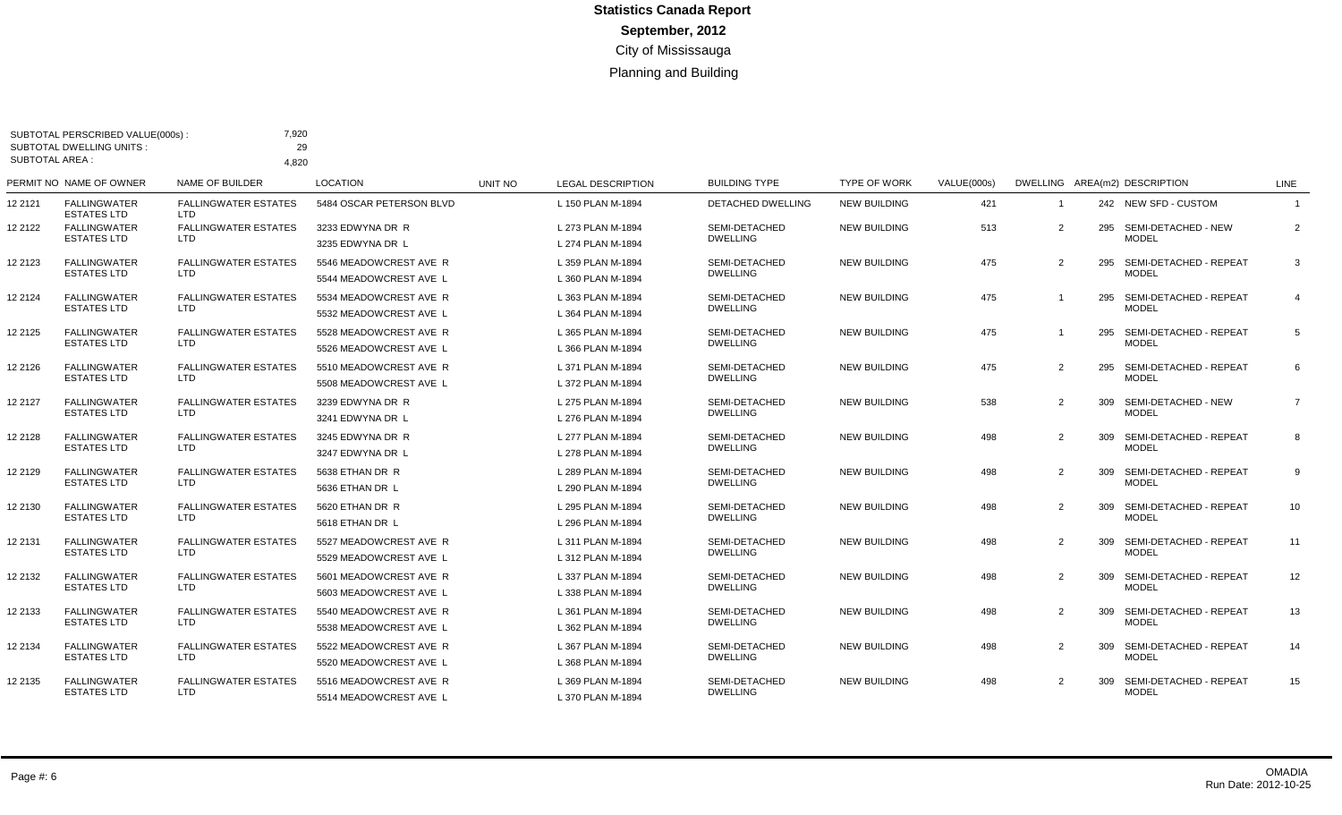| <b>SUBTOTAL AREA:</b> | SUBTOTAL PERSCRIBED VALUE(000s)<br><b>SUBTOTAL DWELLING UNITS:</b> | 7,920<br>29<br>4.820                      |                                                  |         |                                        |                                  |                     |             |                |     |                                            |                         |
|-----------------------|--------------------------------------------------------------------|-------------------------------------------|--------------------------------------------------|---------|----------------------------------------|----------------------------------|---------------------|-------------|----------------|-----|--------------------------------------------|-------------------------|
|                       | PERMIT NO NAME OF OWNER                                            | NAME OF BUILDER                           | <b>LOCATION</b>                                  | UNIT NO | <b>LEGAL DESCRIPTION</b>               | <b>BUILDING TYPE</b>             | <b>TYPE OF WORK</b> | VALUE(000s) |                |     | DWELLING AREA(m2) DESCRIPTION              | LINE                    |
| 12 2121               | <b>FALLINGWATER</b><br><b>ESTATES LTD</b>                          | <b>FALLINGWATER ESTATES</b><br>LTD.       | 5484 OSCAR PETERSON BLVD                         |         | L 150 PLAN M-1894                      | <b>DETACHED DWELLING</b>         | <b>NEW BUILDING</b> | 421         | -1             |     | 242 NEW SFD - CUSTOM                       |                         |
| 12 2122               | <b>FALLINGWATER</b><br><b>ESTATES LTD</b>                          | <b>FALLINGWATER ESTATES</b><br><b>LTD</b> | 3233 EDWYNA DR R<br>3235 EDWYNA DR L             |         | L 273 PLAN M-1894<br>L 274 PLAN M-1894 | SEMI-DETACHED<br><b>DWELLING</b> | <b>NEW BUILDING</b> | 513         | 2              |     | 295 SEMI-DETACHED - NEW<br><b>MODEL</b>    | $\overline{2}$          |
| 12 2123               | <b>FALLINGWATER</b><br><b>ESTATES LTD</b>                          | <b>FALLINGWATER ESTATES</b><br><b>LTD</b> | 5546 MEADOWCREST AVE R<br>5544 MEADOWCREST AVE L |         | L 359 PLAN M-1894<br>L 360 PLAN M-1894 | SEMI-DETACHED<br><b>DWELLING</b> | <b>NEW BUILDING</b> | 475         | 2              |     | 295 SEMI-DETACHED - REPEAT<br><b>MODEL</b> | 3                       |
| 12 2124               | <b>FALLINGWATER</b><br><b>ESTATES LTD</b>                          | <b>FALLINGWATER ESTATES</b><br><b>LTD</b> | 5534 MEADOWCREST AVE R<br>5532 MEADOWCREST AVE L |         | L 363 PLAN M-1894<br>L 364 PLAN M-1894 | SEMI-DETACHED<br><b>DWELLING</b> | <b>NEW BUILDING</b> | 475         |                |     | 295 SEMI-DETACHED - REPEAT<br><b>MODEL</b> | $\overline{\mathbf{4}}$ |
| 12 2125               | <b>FALLINGWATER</b><br><b>ESTATES LTD</b>                          | <b>FALLINGWATER ESTATES</b><br><b>LTD</b> | 5528 MEADOWCREST AVE R<br>5526 MEADOWCREST AVE L |         | L 365 PLAN M-1894<br>L 366 PLAN M-1894 | SEMI-DETACHED<br><b>DWELLING</b> | <b>NEW BUILDING</b> | 475         |                |     | 295 SEMI-DETACHED - REPEAT<br><b>MODEL</b> | 5                       |
| 12 2126               | <b>FALLINGWATER</b><br><b>ESTATES LTD</b>                          | <b>FALLINGWATER ESTATES</b><br><b>LTD</b> | 5510 MEADOWCREST AVE R<br>5508 MEADOWCREST AVE L |         | L 371 PLAN M-1894<br>L 372 PLAN M-1894 | SEMI-DETACHED<br><b>DWELLING</b> | <b>NEW BUILDING</b> | 475         | $\overline{2}$ |     | 295 SEMI-DETACHED - REPEAT<br><b>MODEL</b> | 6                       |
| 12 2127               | <b>FALLINGWATER</b><br><b>ESTATES LTD</b>                          | <b>FALLINGWATER ESTATES</b><br><b>LTD</b> | 3239 EDWYNA DR R<br>3241 EDWYNA DR L             |         | L 275 PLAN M-1894<br>L 276 PLAN M-1894 | SEMI-DETACHED<br><b>DWELLING</b> | <b>NEW BUILDING</b> | 538         | $\overline{2}$ |     | 309 SEMI-DETACHED - NEW<br><b>MODEL</b>    | $\overline{7}$          |
| 12 2128               | <b>FALLINGWATER</b><br><b>ESTATES LTD</b>                          | <b>FALLINGWATER ESTATES</b><br><b>LTD</b> | 3245 EDWYNA DR R<br>3247 EDWYNA DR L             |         | L 277 PLAN M-1894<br>L 278 PLAN M-1894 | SEMI-DETACHED<br><b>DWELLING</b> | <b>NEW BUILDING</b> | 498         | $\overline{2}$ | 309 | SEMI-DETACHED - REPEAT<br><b>MODEL</b>     | 8                       |
| 12 2129               | <b>FALLINGWATER</b><br><b>ESTATES LTD</b>                          | <b>FALLINGWATER ESTATES</b><br><b>LTD</b> | 5638 ETHAN DR R<br>5636 ETHAN DR L               |         | L 289 PLAN M-1894<br>L 290 PLAN M-1894 | SEMI-DETACHED<br><b>DWELLING</b> | <b>NEW BUILDING</b> | 498         | $\overline{2}$ |     | 309 SEMI-DETACHED - REPEAT<br><b>MODEL</b> | 9                       |
| 12 2130               | <b>FALLINGWATER</b><br><b>ESTATES LTD</b>                          | <b>FALLINGWATER ESTATES</b><br>LTD        | 5620 ETHAN DR R<br>5618 ETHAN DR L               |         | L 295 PLAN M-1894<br>L 296 PLAN M-1894 | SEMI-DETACHED<br><b>DWELLING</b> | <b>NEW BUILDING</b> | 498         | 2              | 309 | SEMI-DETACHED - REPEAT<br><b>MODEL</b>     | 10                      |
| 12 2131               | <b>FALLINGWATER</b><br>ESTATES LTD                                 | <b>FALLINGWATER ESTATES</b><br>LTD.       | 5527 MEADOWCREST AVE R<br>5529 MEADOWCREST AVE L |         | L 311 PLAN M-1894<br>L 312 PLAN M-1894 | SEMI-DETACHED<br><b>DWELLING</b> | <b>NEW BUILDING</b> | 498         | $\overline{2}$ | 309 | SEMI-DETACHED - REPEAT<br><b>MODEL</b>     | 11                      |
| 12 2132               | <b>FALLINGWATER</b><br>ESTATES LTD                                 | <b>FALLINGWATER ESTATES</b><br>LTD        | 5601 MEADOWCREST AVE R<br>5603 MEADOWCREST AVE L |         | L 337 PLAN M-1894<br>L 338 PLAN M-1894 | SEMI-DETACHED<br><b>DWELLING</b> | <b>NEW BUILDING</b> | 498         | 2              | 309 | SEMI-DETACHED - REPEAT<br><b>MODEL</b>     | 12                      |
| 12 2133               | <b>FALLINGWATER</b><br>ESTATES LTD                                 | <b>FALLINGWATER ESTATES</b><br>LTD.       | 5540 MEADOWCREST AVE R<br>5538 MEADOWCREST AVE L |         | L 361 PLAN M-1894<br>L 362 PLAN M-1894 | SEMI-DETACHED<br><b>DWELLING</b> | <b>NEW BUILDING</b> | 498         | $\overline{2}$ |     | 309 SEMI-DETACHED - REPEAT<br><b>MODEL</b> | 13                      |
| 12 2134               | <b>FALLINGWATER</b><br>ESTATES LTD                                 | <b>FALLINGWATER ESTATES</b><br>LTD        | 5522 MEADOWCREST AVE R<br>5520 MEADOWCREST AVE L |         | L 367 PLAN M-1894<br>L 368 PLAN M-1894 | SEMI-DETACHED<br><b>DWELLING</b> | <b>NEW BUILDING</b> | 498         | $\overline{2}$ | 309 | SEMI-DETACHED - REPEAT<br><b>MODEL</b>     | 14                      |
| 12 2135               | <b>FALLINGWATER</b><br>ESTATES LTD                                 | <b>FALLINGWATER ESTATES</b><br>LTD        | 5516 MEADOWCREST AVE R<br>5514 MEADOWCREST AVE L |         | L 369 PLAN M-1894<br>L 370 PLAN M-1894 | SEMI-DETACHED<br><b>DWELLING</b> | <b>NEW BUILDING</b> | 498         | 2              | 309 | SEMI-DETACHED - REPEAT<br><b>MODEL</b>     | 15                      |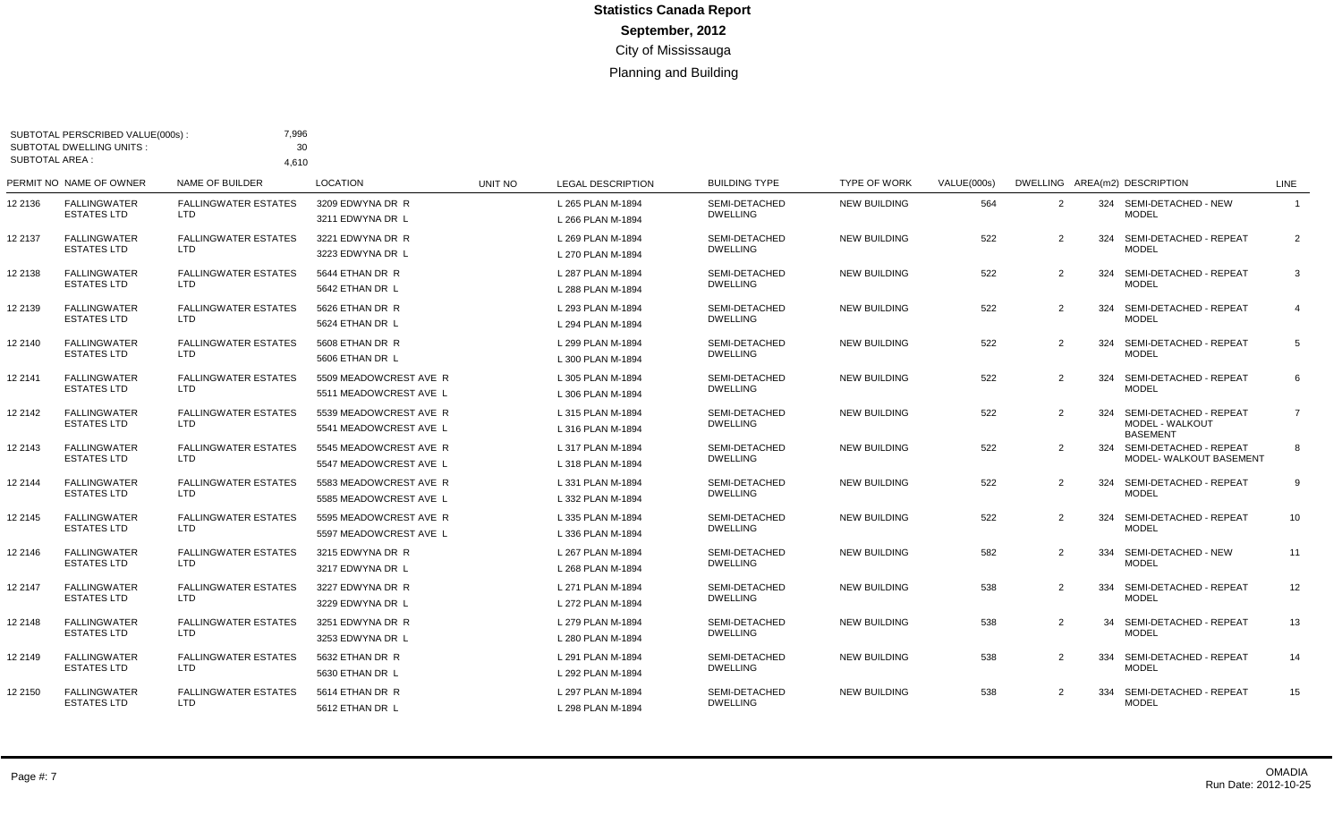| <b>SUBTOTAL AREA:</b> | SUBTOTAL PERSCRIBED VALUE(000s)<br><b>SUBTOTAL DWELLING UNITS:</b> | 7,996<br>30<br>4.610                      |                                                  |         |                                        |                                  |                     |             |   |     |                                                              |                |
|-----------------------|--------------------------------------------------------------------|-------------------------------------------|--------------------------------------------------|---------|----------------------------------------|----------------------------------|---------------------|-------------|---|-----|--------------------------------------------------------------|----------------|
|                       | PERMIT NO NAME OF OWNER                                            | NAME OF BUILDER                           | <b>LOCATION</b>                                  | UNIT NO | <b>LEGAL DESCRIPTION</b>               | <b>BUILDING TYPE</b>             | <b>TYPE OF WORK</b> | VALUE(000s) |   |     | DWELLING AREA(m2) DESCRIPTION                                | <b>LINE</b>    |
| 12 2136               | <b>FALLINGWATER</b><br><b>ESTATES LTD</b>                          | <b>FALLINGWATER ESTATES</b><br>LTD.       | 3209 EDWYNA DR R<br>3211 EDWYNA DR L             |         | L 265 PLAN M-1894<br>L 266 PLAN M-1894 | SEMI-DETACHED<br><b>DWELLING</b> | <b>NEW BUILDING</b> | 564         | 2 |     | 324 SEMI-DETACHED - NEW<br><b>MODEL</b>                      |                |
| 12 2137               | <b>FALLINGWATER</b><br><b>ESTATES LTD</b>                          | <b>FALLINGWATER ESTATES</b><br>LTD.       | 3221 EDWYNA DR R<br>3223 EDWYNA DR L             |         | L 269 PLAN M-1894<br>L 270 PLAN M-1894 | SEMI-DETACHED<br><b>DWELLING</b> | <b>NEW BUILDING</b> | 522         | 2 | 324 | SEMI-DETACHED - REPEAT<br><b>MODEL</b>                       | 2              |
| 12 2138               | FALLINGWATER<br><b>ESTATES LTD</b>                                 | <b>FALLINGWATER ESTATES</b><br>LTD        | 5644 ETHAN DR R<br>5642 ETHAN DR L               |         | L 287 PLAN M-1894<br>L 288 PLAN M-1894 | SEMI-DETACHED<br><b>DWELLING</b> | <b>NEW BUILDING</b> | 522         | 2 | 324 | SEMI-DETACHED - REPEAT<br><b>MODEL</b>                       | 3              |
| 12 2139               | <b>FALLINGWATER</b><br><b>ESTATES LTD</b>                          | <b>FALLINGWATER ESTATES</b><br>LTD        | 5626 ETHAN DR R<br>5624 ETHAN DR L               |         | L 293 PLAN M-1894<br>L 294 PLAN M-1894 | SEMI-DETACHED<br><b>DWELLING</b> | <b>NEW BUILDING</b> | 522         | 2 | 324 | SEMI-DETACHED - REPEAT<br><b>MODEL</b>                       | $\overline{4}$ |
| 12 2140               | <b>FALLINGWATER</b><br>ESTATES LTD                                 | <b>FALLINGWATER ESTATES</b><br>LTD.       | 5608 ETHAN DR R<br>5606 ETHAN DR L               |         | L 299 PLAN M-1894<br>L 300 PLAN M-1894 | SEMI-DETACHED<br><b>DWELLING</b> | <b>NEW BUILDING</b> | 522         | 2 | 324 | SEMI-DETACHED - REPEAT<br><b>MODEL</b>                       | 5              |
| 12 2141               | <b>FALLINGWATER</b><br><b>ESTATES LTD</b>                          | <b>FALLINGWATER ESTATES</b><br><b>LTD</b> | 5509 MEADOWCREST AVE R<br>5511 MEADOWCREST AVE L |         | L 305 PLAN M-1894<br>L 306 PLAN M-1894 | SEMI-DETACHED<br><b>DWELLING</b> | <b>NEW BUILDING</b> | 522         | 2 | 324 | SEMI-DETACHED - REPEAT<br><b>MODEL</b>                       | 6              |
| 12 2142               | <b>FALLINGWATER</b><br><b>ESTATES LTD</b>                          | <b>FALLINGWATER ESTATES</b><br><b>LTD</b> | 5539 MEADOWCREST AVE R<br>5541 MEADOWCREST AVE L |         | L 315 PLAN M-1894<br>L 316 PLAN M-1894 | SEMI-DETACHED<br><b>DWELLING</b> | <b>NEW BUILDING</b> | 522         | 2 | 324 | SEMI-DETACHED - REPEAT<br>MODEL - WALKOUT<br><b>BASEMENT</b> | $\overline{7}$ |
| 12 2143               | <b>FALLINGWATER</b><br><b>ESTATES LTD</b>                          | <b>FALLINGWATER ESTATES</b><br>LTD        | 5545 MEADOWCREST AVE R<br>5547 MEADOWCREST AVE L |         | L 317 PLAN M-1894<br>L 318 PLAN M-1894 | SEMI-DETACHED<br><b>DWELLING</b> | <b>NEW BUILDING</b> | 522         | 2 |     | 324 SEMI-DETACHED - REPEAT<br>MODEL- WALKOUT BASEMENT        | 8              |
| 12 2144               | <b>FALLINGWATER</b><br><b>ESTATES LTD</b>                          | <b>FALLINGWATER ESTATES</b><br><b>LTD</b> | 5583 MEADOWCREST AVE R<br>5585 MEADOWCREST AVE L |         | L 331 PLAN M-1894<br>L 332 PLAN M-1894 | SEMI-DETACHED<br><b>DWELLING</b> | <b>NEW BUILDING</b> | 522         | 2 | 324 | SEMI-DETACHED - REPEAT<br><b>MODEL</b>                       | 9              |
| 12 2145               | <b>FALLINGWATER</b><br><b>ESTATES LTD</b>                          | <b>FALLINGWATER ESTATES</b><br>LTD.       | 5595 MEADOWCREST AVE R<br>5597 MEADOWCREST AVE L |         | L 335 PLAN M-1894<br>L 336 PLAN M-1894 | SEMI-DETACHED<br><b>DWELLING</b> | <b>NEW BUILDING</b> | 522         | 2 | 324 | SEMI-DETACHED - REPEAT<br><b>MODEL</b>                       | 10             |
| 12 2146               | <b>FALLINGWATER</b><br>ESTATES LTD                                 | <b>FALLINGWATER ESTATES</b><br>LTD        | 3215 EDWYNA DR R<br>3217 EDWYNA DR L             |         | L 267 PLAN M-1894<br>L 268 PLAN M-1894 | SEMI-DETACHED<br><b>DWELLING</b> | <b>NEW BUILDING</b> | 582         | 2 | 334 | SEMI-DETACHED - NEW<br><b>MODEL</b>                          | 11             |
| 12 2147               | <b>FALLINGWATER</b><br>ESTATES LTD                                 | <b>FALLINGWATER ESTATES</b><br>LTD.       | 3227 EDWYNA DR R<br>3229 EDWYNA DR L             |         | L 271 PLAN M-1894<br>L 272 PLAN M-1894 | SEMI-DETACHED<br><b>DWELLING</b> | <b>NEW BUILDING</b> | 538         | 2 | 334 | SEMI-DETACHED - REPEAT<br><b>MODEL</b>                       | 12             |
| 12 2148               | <b>FALLINGWATER</b><br><b>ESTATES LTD</b>                          | <b>FALLINGWATER ESTATES</b><br>LTD        | 3251 EDWYNA DR R<br>3253 EDWYNA DR L             |         | L 279 PLAN M-1894<br>L 280 PLAN M-1894 | SEMI-DETACHED<br><b>DWELLING</b> | <b>NEW BUILDING</b> | 538         | 2 | 34  | SEMI-DETACHED - REPEAT<br><b>MODEL</b>                       | 13             |
| 12 2149               | FALLINGWATER<br><b>ESTATES LTD</b>                                 | <b>FALLINGWATER ESTATES</b><br>LTD        | 5632 ETHAN DR R<br>5630 ETHAN DR L               |         | L 291 PLAN M-1894<br>L 292 PLAN M-1894 | SEMI-DETACHED<br><b>DWELLING</b> | <b>NEW BUILDING</b> | 538         | 2 | 334 | SEMI-DETACHED - REPEAT<br><b>MODEL</b>                       | 14             |
| 12 2150               | <b>FALLINGWATER</b><br>ESTATES LTD                                 | <b>FALLINGWATER ESTATES</b><br>LTD        | 5614 ETHAN DR R<br>5612 ETHAN DR L               |         | L 297 PLAN M-1894<br>L 298 PLAN M-1894 | SEMI-DETACHED<br><b>DWELLING</b> | <b>NEW BUILDING</b> | 538         | 2 | 334 | SEMI-DETACHED - REPEAT<br><b>MODEL</b>                       | 15             |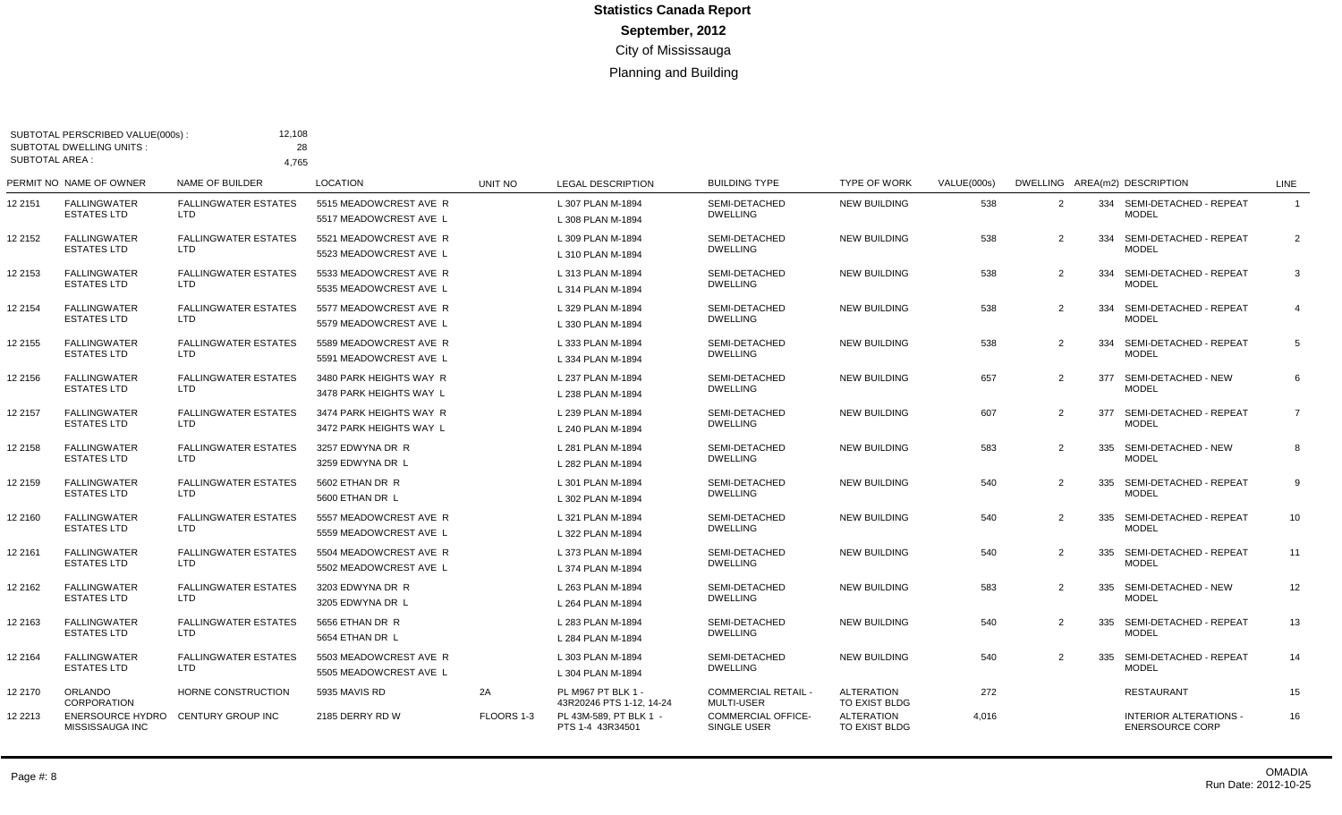| <b>SUBTOTAL AREA:</b> | SUBTOTAL PERSCRIBED VALUE(000s):<br><b>SUBTOTAL DWELLING UNITS:</b> | 12,108<br>28<br>4.765                     |                                                    |            |                                                |                                                 |                                    |             |                |     |                                                         |                |
|-----------------------|---------------------------------------------------------------------|-------------------------------------------|----------------------------------------------------|------------|------------------------------------------------|-------------------------------------------------|------------------------------------|-------------|----------------|-----|---------------------------------------------------------|----------------|
|                       | PERMIT NO NAME OF OWNER                                             | NAME OF BUILDER                           | <b>LOCATION</b>                                    | UNIT NO    | <b>LEGAL DESCRIPTION</b>                       | <b>BUILDING TYPE</b>                            | <b>TYPE OF WORK</b>                | VALUE(000s) |                |     | DWELLING AREA(m2) DESCRIPTION                           | LINE           |
| 12 2151               | <b>FALLINGWATER</b><br><b>ESTATES LTD</b>                           | <b>FALLINGWATER ESTATES</b><br>LTD.       | 5515 MEADOWCREST AVE R<br>5517 MEADOWCREST AVE L   |            | L 307 PLAN M-1894<br>L 308 PLAN M-1894         | SEMI-DETACHED<br><b>DWELLING</b>                | <b>NEW BUILDING</b>                | 538         | 2              |     | 334 SEMI-DETACHED - REPEAT<br><b>MODEL</b>              | $\overline{1}$ |
| 12 2152               | <b>FALLINGWATER</b><br><b>ESTATES LTD</b>                           | <b>FALLINGWATER ESTATES</b><br>LTD.       | 5521 MEADOWCREST AVE R<br>5523 MEADOWCREST AVE L   |            | L 309 PLAN M-1894<br>L 310 PLAN M-1894         | SEMI-DETACHED<br><b>DWELLING</b>                | <b>NEW BUILDING</b>                | 538         | $\overline{2}$ |     | 334 SEMI-DETACHED - REPEAT<br><b>MODEL</b>              | $\overline{2}$ |
| 12 2153               | <b>FALLINGWATER</b><br><b>ESTATES LTD</b>                           | <b>FALLINGWATER ESTATES</b><br><b>LTD</b> | 5533 MEADOWCREST AVE R<br>5535 MEADOWCREST AVE L   |            | L 313 PLAN M-1894<br>L 314 PLAN M-1894         | SEMI-DETACHED<br><b>DWELLING</b>                | <b>NEW BUILDING</b>                | 538         | 2              |     | 334 SEMI-DETACHED - REPEAT<br><b>MODEL</b>              | 3              |
| 12 2154               | <b>FALLINGWATER</b><br><b>ESTATES LTD</b>                           | <b>FALLINGWATER ESTATES</b><br>LTD.       | 5577 MEADOWCREST AVE R<br>5579 MEADOWCREST AVE L   |            | L 329 PLAN M-1894<br>L 330 PLAN M-1894         | SEMI-DETACHED<br><b>DWELLING</b>                | <b>NEW BUILDING</b>                | 538         | 2              |     | 334 SEMI-DETACHED - REPEAT<br><b>MODEL</b>              | $\overline{4}$ |
| 12 2155               | <b>FALLINGWATER</b><br><b>ESTATES LTD</b>                           | <b>FALLINGWATER ESTATES</b><br><b>LTD</b> | 5589 MEADOWCREST AVE R<br>5591 MEADOWCREST AVE L   |            | L 333 PLAN M-1894<br>L 334 PLAN M-1894         | SEMI-DETACHED<br><b>DWELLING</b>                | <b>NEW BUILDING</b>                | 538         | 2              | 334 | SEMI-DETACHED - REPEAT<br><b>MODEL</b>                  | 5              |
| 12 2156               | <b>FALLINGWATER</b><br><b>ESTATES LTD</b>                           | <b>FALLINGWATER ESTATES</b><br><b>LTD</b> | 3480 PARK HEIGHTS WAY R<br>3478 PARK HEIGHTS WAY L |            | L 237 PLAN M-1894<br>L 238 PLAN M-1894         | SEMI-DETACHED<br><b>DWELLING</b>                | <b>NEW BUILDING</b>                | 657         | 2              | 377 | SEMI-DETACHED - NEW<br><b>MODEL</b>                     | 6              |
| 12 2157               | <b>FALLINGWATER</b><br><b>ESTATES LTD</b>                           | <b>FALLINGWATER ESTATES</b><br>LTD.       | 3474 PARK HEIGHTS WAY R<br>3472 PARK HEIGHTS WAY L |            | L 239 PLAN M-1894<br>L 240 PLAN M-1894         | SEMI-DETACHED<br><b>DWELLING</b>                | <b>NEW BUILDING</b>                | 607         | 2              | 377 | SEMI-DETACHED - REPEAT<br><b>MODEL</b>                  | $\overline{7}$ |
| 12 2158               | <b>FALLINGWATER</b><br><b>ESTATES LTD</b>                           | <b>FALLINGWATER ESTATES</b><br>LTD.       | 3257 EDWYNA DR R<br>3259 EDWYNA DR L               |            | L 281 PLAN M-1894<br>L 282 PLAN M-1894         | SEMI-DETACHED<br><b>DWELLING</b>                | <b>NEW BUILDING</b>                | 583         | $\overline{2}$ |     | 335 SEMI-DETACHED - NEW<br><b>MODEL</b>                 | 8              |
| 12 2159               | <b>FALLINGWATER</b><br><b>ESTATES LTD</b>                           | <b>FALLINGWATER ESTATES</b><br>LTD        | 5602 ETHAN DR R<br>5600 ETHAN DR L                 |            | L 301 PLAN M-1894<br>L 302 PLAN M-1894         | SEMI-DETACHED<br><b>DWELLING</b>                | <b>NEW BUILDING</b>                | 540         | $\overline{2}$ |     | 335 SEMI-DETACHED - REPEAT<br><b>MODEL</b>              | 9              |
| 12 2160               | FALLINGWATER<br><b>ESTATES LTD</b>                                  | <b>FALLINGWATER ESTATES</b><br>LTD        | 5557 MEADOWCREST AVE R<br>5559 MEADOWCREST AVE L   |            | L 321 PLAN M-1894<br>L 322 PLAN M-1894         | SEMI-DETACHED<br><b>DWELLING</b>                | <b>NEW BUILDING</b>                | 540         | $\overline{2}$ | 335 | SEMI-DETACHED - REPEAT<br><b>MODEL</b>                  | 10             |
| 12 2161               | <b>FALLINGWATER</b><br><b>ESTATES LTD</b>                           | <b>FALLINGWATER ESTATES</b><br>LTD.       | 5504 MEADOWCREST AVE R<br>5502 MEADOWCREST AVE L   |            | L 373 PLAN M-1894<br>L 374 PLAN M-1894         | SEMI-DETACHED<br><b>DWELLING</b>                | <b>NEW BUILDING</b>                | 540         | 2              | 335 | SEMI-DETACHED - REPEAT<br><b>MODEL</b>                  | 11             |
| 12 2162               | <b>FALLINGWATER</b><br><b>ESTATES LTD</b>                           | <b>FALLINGWATER ESTATES</b><br><b>LTD</b> | 3203 EDWYNA DR R<br>3205 EDWYNA DR L               |            | L 263 PLAN M-1894<br>L 264 PLAN M-1894         | SEMI-DETACHED<br><b>DWELLING</b>                | <b>NEW BUILDING</b>                | 583         | 2              | 335 | SEMI-DETACHED - NEW<br><b>MODEL</b>                     | 12             |
| 12 2163               | <b>FALLINGWATER</b><br><b>ESTATES LTD</b>                           | <b>FALLINGWATER ESTATES</b><br>LTD.       | 5656 ETHAN DR R<br>5654 ETHAN DR L                 |            | L 283 PLAN M-1894<br>L 284 PLAN M-1894         | SEMI-DETACHED<br><b>DWELLING</b>                | <b>NEW BUILDING</b>                | 540         | 2              |     | 335 SEMI-DETACHED - REPEAT<br><b>MODEL</b>              | 13             |
| 12 2164               | <b>FALLINGWATER</b><br><b>ESTATES LTD</b>                           | <b>FALLINGWATER ESTATES</b><br><b>LTD</b> | 5503 MEADOWCREST AVE R<br>5505 MEADOWCREST AVE L   |            | L 303 PLAN M-1894<br>L 304 PLAN M-1894         | SEMI-DETACHED<br><b>DWELLING</b>                | <b>NEW BUILDING</b>                | 540         | 2              |     | 335 SEMI-DETACHED - REPEAT<br><b>MODEL</b>              | 14             |
| 12 2170               | ORLANDO<br><b>CORPORATION</b>                                       | HORNE CONSTRUCTION                        | 5935 MAVIS RD                                      | 2A         | PL M967 PT BLK 1 -<br>43R20246 PTS 1-12, 14-24 | <b>COMMERCIAL RETAIL -</b><br><b>MULTI-USER</b> | <b>ALTERATION</b><br>TO EXIST BLDG | 272         |                |     | <b>RESTAURANT</b>                                       | 15             |
| 12 2213               | <b>ENERSOURCE HYDRO</b><br>MISSISSAUGA INC                          | <b>CENTURY GROUP INC</b>                  | 2185 DERRY RD W                                    | FLOORS 1-3 | PL 43M-589, PT BLK 1 -<br>PTS 1-4 43R34501     | <b>COMMERCIAL OFFICE-</b><br><b>SINGLE USER</b> | <b>ALTERATION</b><br>TO EXIST BLDG | 4,016       |                |     | <b>INTERIOR ALTERATIONS -</b><br><b>ENERSOURCE CORP</b> | 16             |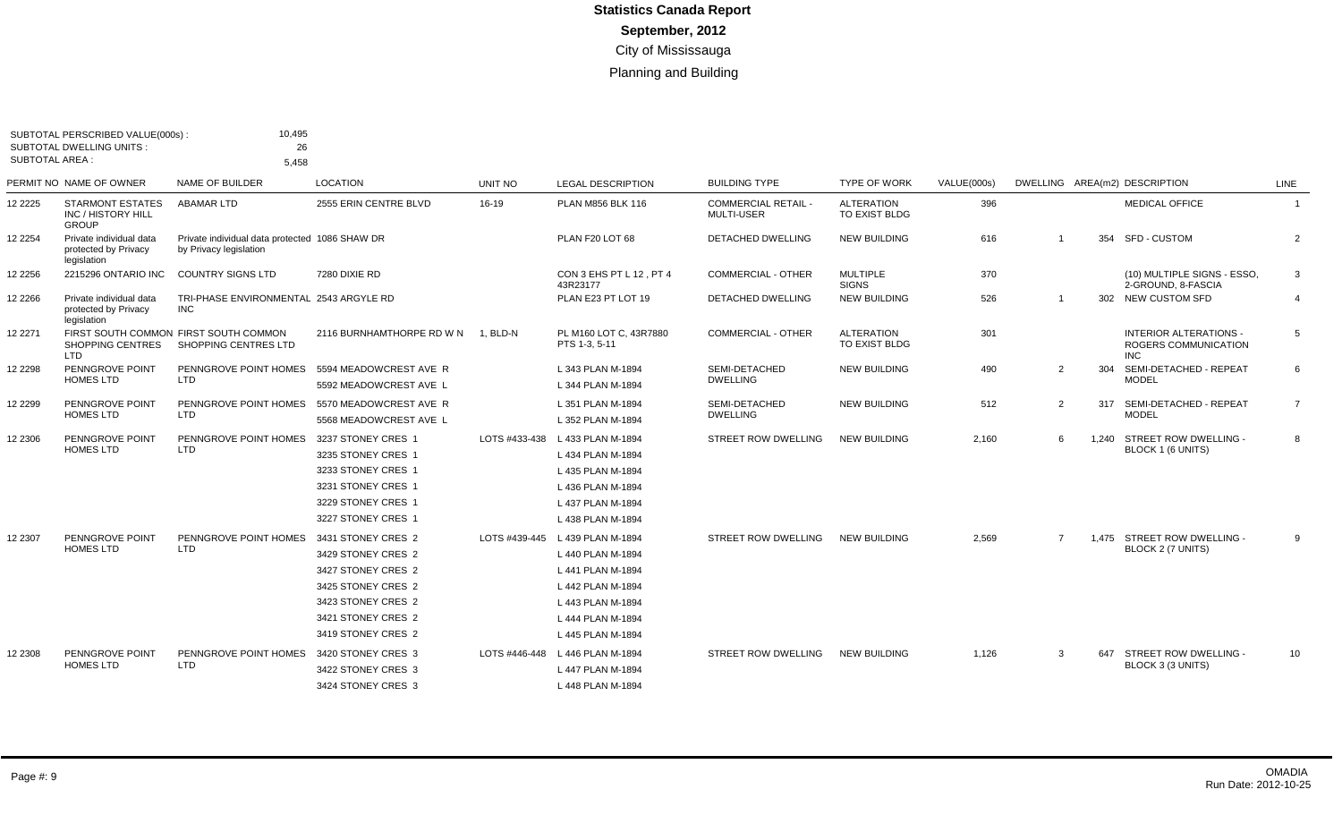| <b>SUBTOTAL AREA:</b> | SUBTOTAL PERSCRIBED VALUE(000s)<br><b>SUBTOTAL DWELLING UNITS:</b> | 10,495<br>26<br>5,458                                                    |                                                                                                                                                        |                |                                                                                                                                                               |                                                 |                                    |                    |                |     |                                                                            |                |
|-----------------------|--------------------------------------------------------------------|--------------------------------------------------------------------------|--------------------------------------------------------------------------------------------------------------------------------------------------------|----------------|---------------------------------------------------------------------------------------------------------------------------------------------------------------|-------------------------------------------------|------------------------------------|--------------------|----------------|-----|----------------------------------------------------------------------------|----------------|
|                       | PERMIT NO NAME OF OWNER                                            | NAME OF BUILDER                                                          | <b>LOCATION</b>                                                                                                                                        | <b>UNIT NO</b> | <b>LEGAL DESCRIPTION</b>                                                                                                                                      | <b>BUILDING TYPE</b>                            | <b>TYPE OF WORK</b>                | <b>VALUE(000s)</b> |                |     | DWELLING AREA(m2) DESCRIPTION                                              | LINE           |
| 12 2225               | <b>STARMONT ESTATES</b><br>INC / HISTORY HILL<br><b>GROUP</b>      | <b>ABAMAR LTD</b>                                                        | 2555 ERIN CENTRE BLVD                                                                                                                                  | 16-19          | PLAN M856 BLK 116                                                                                                                                             | <b>COMMERCIAL RETAIL -</b><br><b>MULTI-USER</b> | <b>ALTERATION</b><br>TO EXIST BLDG | 396                |                |     | <b>MEDICAL OFFICE</b>                                                      | $\overline{1}$ |
| 12 2254               | Private individual data<br>protected by Privacy<br>legislation     | Private individual data protected 1086 SHAW DR<br>by Privacy legislation |                                                                                                                                                        |                | PLAN F20 LOT 68                                                                                                                                               | <b>DETACHED DWELLING</b>                        | <b>NEW BUILDING</b>                | 616                | $\overline{1}$ |     | 354 SFD - CUSTOM                                                           | $\overline{2}$ |
| 2 2 2 5 6             | 2215296 ONTARIO INC                                                | <b>COUNTRY SIGNS LTD</b>                                                 | 7280 DIXIE RD                                                                                                                                          |                | CON 3 EHS PT L 12, PT 4<br>43R23177                                                                                                                           | <b>COMMERCIAL - OTHER</b>                       | <b>MULTIPLE</b><br><b>SIGNS</b>    | 370                |                |     | (10) MULTIPLE SIGNS - ESSO,<br>2-GROUND, 8-FASCIA                          | -3             |
| 2 2 2 6 6             | Private individual data<br>protected by Privacy<br>legislation     | TRI-PHASE ENVIRONMENTAL 2543 ARGYLE RD<br><b>INC</b>                     |                                                                                                                                                        |                | PLAN E23 PT LOT 19                                                                                                                                            | <b>DETACHED DWELLING</b>                        | <b>NEW BUILDING</b>                | 526                | $\overline{1}$ |     | 302 NEW CUSTOM SFD                                                         | $\overline{4}$ |
| 12 2271               | <b>SHOPPING CENTRES</b><br><b>LTD</b>                              | FIRST SOUTH COMMON FIRST SOUTH COMMON<br>SHOPPING CENTRES LTD            | 2116 BURNHAMTHORPE RD W N                                                                                                                              | 1, BLD-N       | PL M160 LOT C, 43R7880<br>PTS 1-3, 5-11                                                                                                                       | <b>COMMERCIAL - OTHER</b>                       | <b>ALTERATION</b><br>TO EXIST BLDG | 301                |                |     | <b>INTERIOR ALTERATIONS -</b><br><b>ROGERS COMMUNICATION</b><br><b>INC</b> | 5              |
| 12 2298               | PENNGROVE POINT<br><b>HOMES LTD</b>                                | PENNGROVE POINT HOMES<br><b>LTD</b>                                      | 5594 MEADOWCREST AVE R<br>5592 MEADOWCREST AVE L                                                                                                       |                | L 343 PLAN M-1894<br>L 344 PLAN M-1894                                                                                                                        | SEMI-DETACHED<br><b>DWELLING</b>                | <b>NEW BUILDING</b>                | 490                | 2              | 304 | SEMI-DETACHED - REPEAT<br><b>MODEL</b>                                     | 6              |
| 2 2 2 9 9             | PENNGROVE POINT<br>HOMES LTD                                       | PENNGROVE POINT HOMES<br><b>LTD</b>                                      | 5570 MEADOWCREST AVE R<br>5568 MEADOWCREST AVE L                                                                                                       |                | L 351 PLAN M-1894<br>L 352 PLAN M-1894                                                                                                                        | SEMI-DETACHED<br><b>DWELLING</b>                | <b>NEW BUILDING</b>                | 512                | 2              |     | 317 SEMI-DETACHED - REPEAT<br><b>MODEL</b>                                 | $\overline{7}$ |
| 12 2306               | PENNGROVE POINT<br><b>HOMES LTD</b>                                | PENNGROVE POINT HOMES<br><b>LTD</b>                                      | 3237 STONEY CRES 1<br>3235 STONEY CRES 1<br>3233 STONEY CRES 1<br>3231 STONEY CRES 1<br>3229 STONEY CRES 1<br>3227 STONEY CRES 1                       |                | LOTS #433-438 L 433 PLAN M-1894<br>L 434 PLAN M-1894<br>L 435 PLAN M-1894<br>L 436 PLAN M-1894<br>L 437 PLAN M-1894<br>L 438 PLAN M-1894                      | <b>STREET ROW DWELLING</b>                      | <b>NEW BUILDING</b>                | 2,160              | 6              |     | 1.240 STREET ROW DWELLING -<br>BLOCK 1 (6 UNITS)                           | 8              |
| 12 2307               | PENNGROVE POINT<br><b>HOMES LTD</b>                                | PENNGROVE POINT HOMES<br><b>LTD</b>                                      | 3431 STONEY CRES 2<br>3429 STONEY CRES 2<br>3427 STONEY CRES 2<br>3425 STONEY CRES 2<br>3423 STONEY CRES 2<br>3421 STONEY CRES 2<br>3419 STONEY CRES 2 |                | LOTS #439-445 L 439 PLAN M-1894<br>L 440 PLAN M-1894<br>L 441 PLAN M-1894<br>L 442 PLAN M-1894<br>L 443 PLAN M-1894<br>L 444 PLAN M-1894<br>L 445 PLAN M-1894 | <b>STREET ROW DWELLING</b>                      | <b>NEW BUILDING</b>                | 2,569              | 7              |     | 1.475 STREET ROW DWELLING -<br>BLOCK 2 (7 UNITS)                           | -9             |
| 12 2308               | PENNGROVE POINT<br><b>HOMES LTD</b>                                | PENNGROVE POINT HOMES 3420 STONEY CRES 3<br><b>LTD</b>                   | 3422 STONEY CRES 3<br>3424 STONEY CRES 3                                                                                                               | LOTS #446-448  | L 446 PLAN M-1894<br>L 447 PLAN M-1894<br>L 448 PLAN M-1894                                                                                                   | STREET ROW DWELLING                             | <b>NEW BUILDING</b>                | 1,126              | -3             | 647 | STREET ROW DWELLING -<br>BLOCK 3 (3 UNITS)                                 | 10             |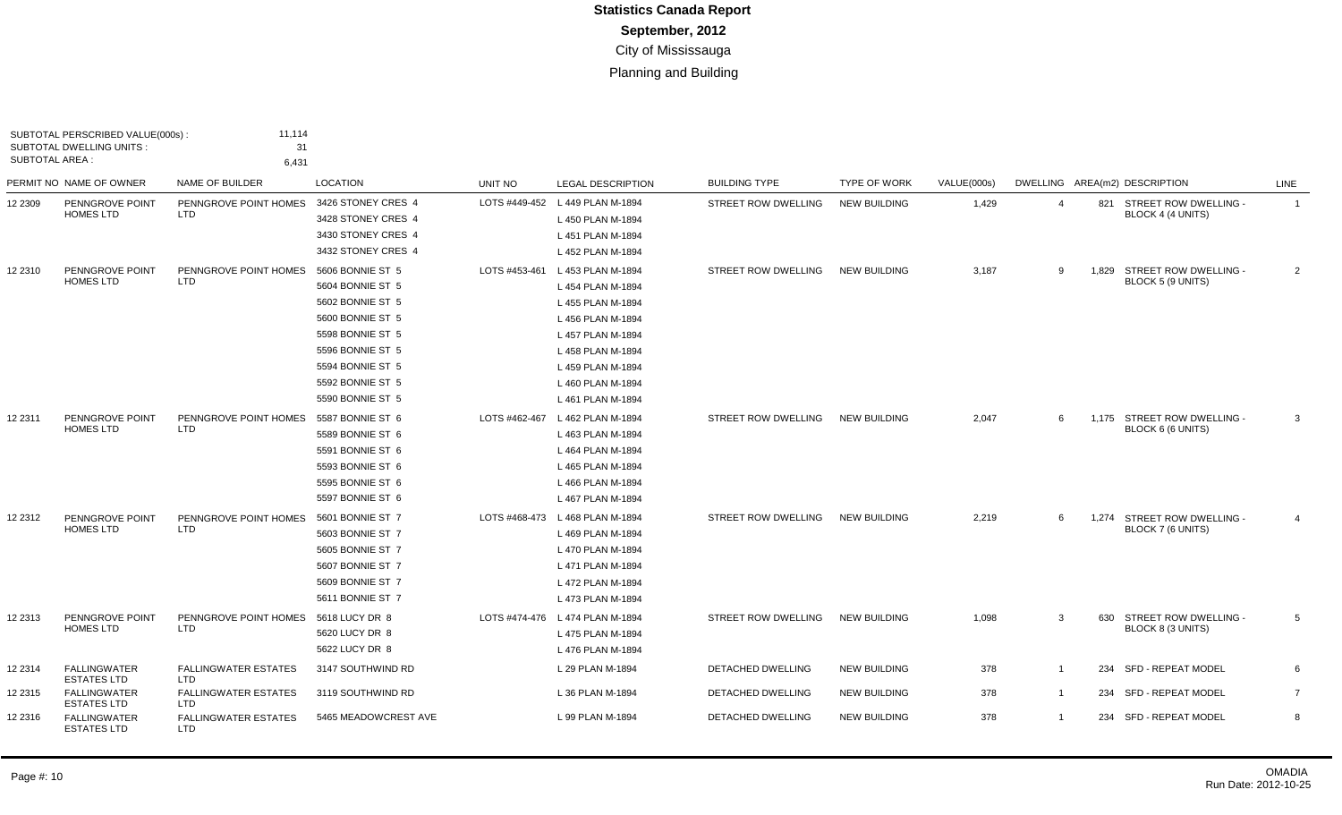| SUBTOTAL AREA : | SUBTOTAL PERSCRIBED VALUE(000s):<br><b>SUBTOTAL DWELLING UNITS:</b> | 11,114<br>31<br>6,431                     |                                                                                                                                                                                  |               |                                                                                                                                                                                           |                      |                     |             |                |     |                                                  |                |
|-----------------|---------------------------------------------------------------------|-------------------------------------------|----------------------------------------------------------------------------------------------------------------------------------------------------------------------------------|---------------|-------------------------------------------------------------------------------------------------------------------------------------------------------------------------------------------|----------------------|---------------------|-------------|----------------|-----|--------------------------------------------------|----------------|
|                 | PERMIT NO NAME OF OWNER                                             | NAME OF BUILDER                           | LOCATION                                                                                                                                                                         | UNIT NO       | <b>LEGAL DESCRIPTION</b>                                                                                                                                                                  | <b>BUILDING TYPE</b> | <b>TYPE OF WORK</b> | VALUE(000s) |                |     | DWELLING AREA(m2) DESCRIPTION                    | LINE           |
| 12 2309         | PENNGROVE POINT<br><b>HOMES LTD</b>                                 | PENNGROVE POINT HOMES<br><b>LTD</b>       | 3426 STONEY CRES 4<br>3428 STONEY CRES 4<br>3430 STONEY CRES 4<br>3432 STONEY CRES 4                                                                                             |               | LOTS #449-452 L 449 PLAN M-1894<br>L 450 PLAN M-1894<br>L 451 PLAN M-1894<br>L 452 PLAN M-1894                                                                                            | STREET ROW DWELLING  | <b>NEW BUILDING</b> | 1,429       | $\overline{4}$ |     | 821 STREET ROW DWELLING -<br>BLOCK 4 (4 UNITS)   | $\mathbf{1}$   |
| 12 2310         | PENNGROVE POINT<br><b>HOMES LTD</b>                                 | PENNGROVE POINT HOMES<br><b>LTD</b>       | 5606 BONNIE ST 5<br>5604 BONNIE ST 5<br>5602 BONNIE ST 5<br>5600 BONNIE ST 5<br>5598 BONNIE ST 5<br>5596 BONNIE ST 5<br>5594 BONNIE ST 5<br>5592 BONNIE ST 5<br>5590 BONNIE ST 5 | LOTS #453-461 | L 453 PLAN M-1894<br>L 454 PLAN M-1894<br>L 455 PLAN M-1894<br>L 456 PLAN M-1894<br>L 457 PLAN M-1894<br>L 458 PLAN M-1894<br>L 459 PLAN M-1894<br>L 460 PLAN M-1894<br>L 461 PLAN M-1894 | STREET ROW DWELLING  | <b>NEW BUILDING</b> | 3,187       | 9              |     | 1.829 STREET ROW DWELLING -<br>BLOCK 5 (9 UNITS) | $\overline{2}$ |
| 12 2311         | PENNGROVE POINT<br><b>HOMES LTD</b>                                 | PENNGROVE POINT HOMES<br><b>LTD</b>       | 5587 BONNIE ST 6<br>5589 BONNIE ST 6<br>5591 BONNIE ST 6<br>5593 BONNIE ST 6<br>5595 BONNIE ST 6<br>5597 BONNIE ST 6                                                             |               | LOTS #462-467 L 462 PLAN M-1894<br>L 463 PLAN M-1894<br>L 464 PLAN M-1894<br>L 465 PLAN M-1894<br>L 466 PLAN M-1894<br>L 467 PLAN M-1894                                                  | STREET ROW DWELLING  | <b>NEW BUILDING</b> | 2,047       | 6              |     | 1,175 STREET ROW DWELLING -<br>BLOCK 6 (6 UNITS) | 3              |
| 12 2312         | PENNGROVE POINT<br><b>HOMES LTD</b>                                 | PENNGROVE POINT HOMES<br><b>LTD</b>       | 5601 BONNIE ST 7<br>5603 BONNIE ST 7<br>5605 BONNIE ST 7<br>5607 BONNIE ST 7<br>5609 BONNIE ST 7<br>5611 BONNIE ST 7                                                             |               | LOTS #468-473 L 468 PLAN M-1894<br>L 469 PLAN M-1894<br>L 470 PLAN M-1894<br>L 471 PLAN M-1894<br>L 472 PLAN M-1894<br>L 473 PLAN M-1894                                                  | STREET ROW DWELLING  | <b>NEW BUILDING</b> | 2,219       | 6              |     | 1,274 STREET ROW DWELLING -<br>BLOCK 7 (6 UNITS) | $\overline{4}$ |
| 12 2313         | PENNGROVE POINT<br><b>HOMES LTD</b>                                 | PENNGROVE POINT HOMES<br><b>LTD</b>       | 5618 LUCY DR 8<br>5620 LUCY DR 8<br>5622 LUCY DR 8                                                                                                                               |               | LOTS #474-476 L 474 PLAN M-1894<br>L 475 PLAN M-1894<br>L 476 PLAN M-1894                                                                                                                 | STREET ROW DWELLING  | <b>NEW BUILDING</b> | 1,098       | 3              |     | 630 STREET ROW DWELLING -<br>BLOCK 8 (3 UNITS)   | 5              |
| 12 2314         | <b>FALLINGWATER</b><br><b>ESTATES LTD</b>                           | <b>FALLINGWATER ESTATES</b><br><b>LTD</b> | 3147 SOUTHWIND RD                                                                                                                                                                |               | L 29 PLAN M-1894                                                                                                                                                                          | DETACHED DWELLING    | <b>NEW BUILDING</b> | 378         | $\overline{1}$ | 234 | <b>SFD - REPEAT MODEL</b>                        | 6              |
| 12 2315         | <b>FALLINGWATER</b><br><b>ESTATES LTD</b>                           | <b>FALLINGWATER ESTATES</b><br>LTD        | 3119 SOUTHWIND RD                                                                                                                                                                |               | L 36 PLAN M-1894                                                                                                                                                                          | DETACHED DWELLING    | <b>NEW BUILDING</b> | 378         | $\overline{1}$ |     | 234 SFD - REPEAT MODEL                           | $\overline{7}$ |
| 12 2316         | <b>FALLINGWATER</b><br><b>ESTATES LTD</b>                           | <b>FALLINGWATER ESTATES</b><br><b>LTD</b> | 5465 MEADOWCREST AVE                                                                                                                                                             |               | L 99 PLAN M-1894                                                                                                                                                                          | DETACHED DWELLING    | <b>NEW BUILDING</b> | 378         | $\overline{1}$ |     | 234 SFD - REPEAT MODEL                           | 8              |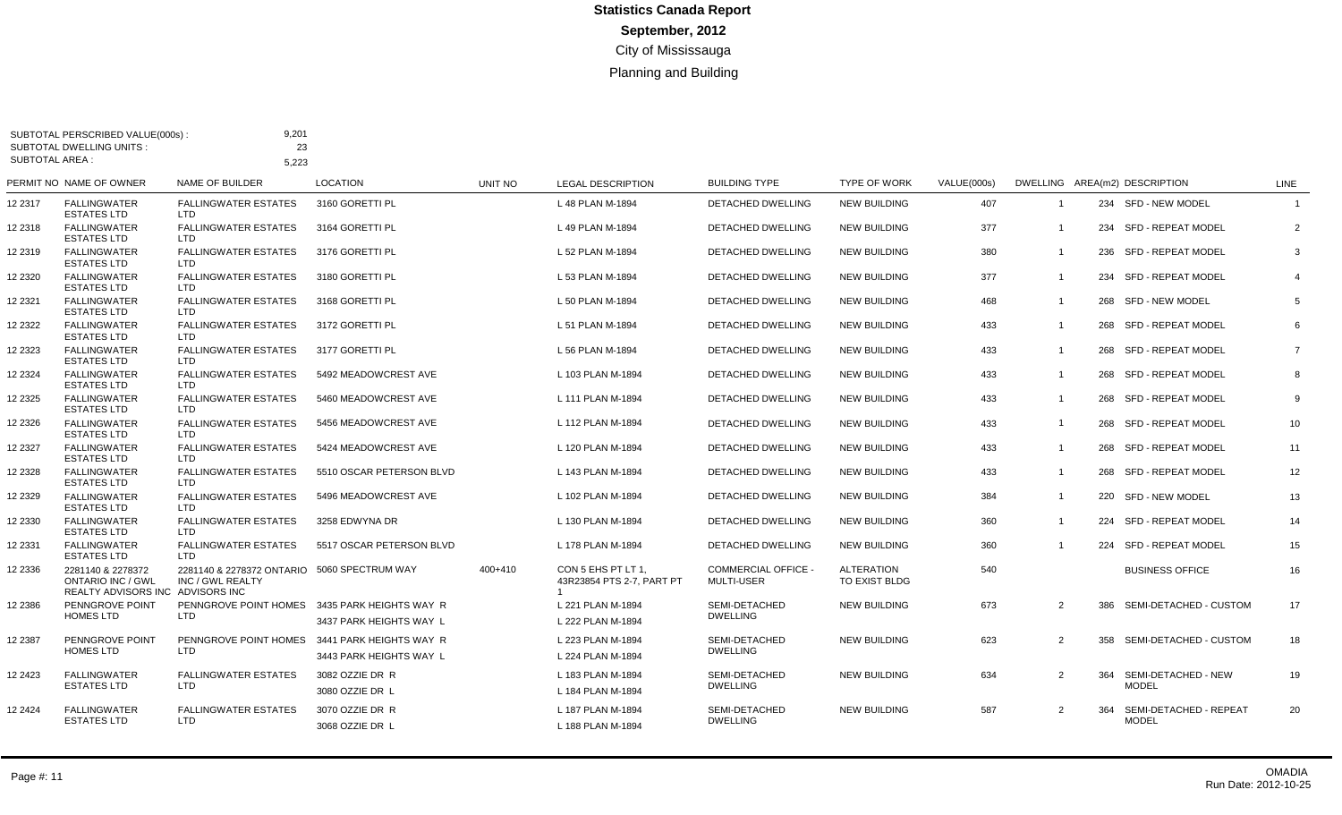| <b>SUBTOTAL AREA:</b> | SUBTOTAL PERSCRIBED VALUE(000s):<br><b>SUBTOTAL DWELLING UNITS:</b>               | 9,201<br>23                                                     |                                                                          |         |                                                 |                                                 |                                    |             |                |     |                                         |                |
|-----------------------|-----------------------------------------------------------------------------------|-----------------------------------------------------------------|--------------------------------------------------------------------------|---------|-------------------------------------------------|-------------------------------------------------|------------------------------------|-------------|----------------|-----|-----------------------------------------|----------------|
|                       | PERMIT NO NAME OF OWNER                                                           | 5,223<br>NAME OF BUILDER                                        | <b>LOCATION</b>                                                          | UNIT NO | <b>LEGAL DESCRIPTION</b>                        | <b>BUILDING TYPE</b>                            | <b>TYPE OF WORK</b>                | VALUE(000s) |                |     | DWELLING AREA(m2) DESCRIPTION           | LINE           |
| 12 2317               | <b>FALLINGWATER</b><br><b>ESTATES LTD</b>                                         | <b>FALLINGWATER ESTATES</b><br>LTD                              | 3160 GORETTI PL                                                          |         | L 48 PLAN M-1894                                | <b>DETACHED DWELLING</b>                        | <b>NEW BUILDING</b>                | 407         | $\overline{1}$ |     | 234 SFD - NEW MODEL                     | $\overline{1}$ |
| 12 2318               | <b>FALLINGWATER</b><br><b>ESTATES LTD</b>                                         | <b>FALLINGWATER ESTATES</b><br>LTD.                             | 3164 GORETTI PL                                                          |         | L 49 PLAN M-1894                                | DETACHED DWELLING                               | <b>NEW BUILDING</b>                | 377         | $\overline{1}$ |     | 234 SFD - REPEAT MODEL                  | 2              |
| 12 2319               | <b>FALLINGWATER</b><br><b>ESTATES LTD</b>                                         | <b>FALLINGWATER ESTATES</b><br><b>LTD</b>                       | 3176 GORETTI PL                                                          |         | L 52 PLAN M-1894                                | <b>DETACHED DWELLING</b>                        | <b>NEW BUILDING</b>                | 380         | $\overline{1}$ |     | 236 SFD - REPEAT MODEL                  | 3              |
| 12 23 20              | <b>FALLINGWATER</b><br><b>ESTATES LTD</b>                                         | <b>FALLINGWATER ESTATES</b><br>LTD.                             | 3180 GORETTI PL                                                          |         | L 53 PLAN M-1894                                | DETACHED DWELLING                               | <b>NEW BUILDING</b>                | 377         | $\overline{1}$ |     | 234 SFD - REPEAT MODEL                  | $\overline{4}$ |
| 12 23 21              | <b>FALLINGWATER</b><br><b>ESTATES LTD</b>                                         | <b>FALLINGWATER ESTATES</b><br>LTD                              | 3168 GORETTI PL                                                          |         | L 50 PLAN M-1894                                | DETACHED DWELLING                               | <b>NEW BUILDING</b>                | 468         | $\overline{1}$ |     | 268 SFD - NEW MODEL                     | 5              |
| 12 2322               | <b>FALLINGWATER</b><br><b>ESTATES LTD</b>                                         | <b>FALLINGWATER ESTATES</b><br>LTD                              | 3172 GORETTI PL                                                          |         | L 51 PLAN M-1894                                | DETACHED DWELLING                               | <b>NEW BUILDING</b>                | 433         | $\overline{1}$ |     | 268 SFD - REPEAT MODEL                  | 6              |
| 12 2323               | <b>FALLINGWATER</b><br><b>ESTATES LTD</b>                                         | <b>FALLINGWATER ESTATES</b><br>LTD                              | 3177 GORETTI PL                                                          |         | L 56 PLAN M-1894                                | DETACHED DWELLING                               | <b>NEW BUILDING</b>                | 433         | $\overline{1}$ |     | 268 SFD - REPEAT MODEL                  | $\overline{7}$ |
| 12 2324               | <b>FALLINGWATER</b><br><b>ESTATES LTD</b>                                         | <b>FALLINGWATER ESTATES</b><br>LTD                              | 5492 MEADOWCREST AVE                                                     |         | L 103 PLAN M-1894                               | DETACHED DWELLING                               | <b>NEW BUILDING</b>                | 433         | $\overline{1}$ |     | 268 SFD - REPEAT MODEL                  | 8              |
| 12 2325               | <b>FALLINGWATER</b><br><b>ESTATES LTD</b>                                         | <b>FALLINGWATER ESTATES</b><br>LTD                              | 5460 MEADOWCREST AVE                                                     |         | L 111 PLAN M-1894                               | DETACHED DWELLING                               | <b>NEW BUILDING</b>                | 433         | $\overline{1}$ |     | 268 SFD - REPEAT MODEL                  | 9              |
| 12 23 26              | <b>FALLINGWATER</b><br><b>ESTATES LTD</b>                                         | <b>FALLINGWATER ESTATES</b><br><b>LTD</b>                       | 5456 MEADOWCREST AVE                                                     |         | L 112 PLAN M-1894                               | <b>DETACHED DWELLING</b>                        | <b>NEW BUILDING</b>                | 433         | $\overline{1}$ |     | 268 SFD - REPEAT MODEL                  | 10             |
| 12 23 27              | <b>FALLINGWATER</b><br><b>ESTATES LTD</b>                                         | <b>FALLINGWATER ESTATES</b><br><b>LTD</b>                       | 5424 MEADOWCREST AVE                                                     |         | L 120 PLAN M-1894                               | DETACHED DWELLING                               | <b>NEW BUILDING</b>                | 433         | $\overline{1}$ |     | 268 SFD - REPEAT MODEL                  | 11             |
| 12 2328               | <b>FALLINGWATER</b><br><b>ESTATES LTD</b>                                         | <b>FALLINGWATER ESTATES</b><br><b>LTD</b>                       | 5510 OSCAR PETERSON BLVD                                                 |         | L 143 PLAN M-1894                               | DETACHED DWELLING                               | <b>NEW BUILDING</b>                | 433         | $\overline{1}$ |     | 268 SFD - REPEAT MODEL                  | 12             |
| 12 23 29              | <b>FALLINGWATER</b><br><b>ESTATES LTD</b>                                         | <b>FALLINGWATER ESTATES</b><br>LTD                              | 5496 MEADOWCREST AVE                                                     |         | L 102 PLAN M-1894                               | <b>DETACHED DWELLING</b>                        | <b>NEW BUILDING</b>                | 384         | $\overline{1}$ |     | 220 SFD - NEW MODEL                     | 13             |
| 12 2330               | <b>FALLINGWATER</b><br><b>ESTATES LTD</b>                                         | <b>FALLINGWATER ESTATES</b><br><b>LTD</b>                       | 3258 EDWYNA DR                                                           |         | L 130 PLAN M-1894                               | DETACHED DWELLING                               | <b>NEW BUILDING</b>                | 360         | $\overline{1}$ |     | 224 SFD - REPEAT MODEL                  | 14             |
| 12 2331               | <b>FALLINGWATER</b><br><b>ESTATES LTD</b>                                         | <b>FALLINGWATER ESTATES</b><br><b>LTD</b>                       | 5517 OSCAR PETERSON BLVD                                                 |         | L 178 PLAN M-1894                               | <b>DETACHED DWELLING</b>                        | <b>NEW BUILDING</b>                | 360         | $\overline{1}$ |     | 224 SFD - REPEAT MODEL                  | 15             |
| 12 2336               | 2281140 & 2278372<br><b>ONTARIO INC / GWL</b><br>REALTY ADVISORS INC ADVISORS INC | 2281140 & 2278372 ONTARIO 5060 SPECTRUM WAY<br>INC / GWL REALTY |                                                                          | 400+410 | CON 5 EHS PT LT 1.<br>43R23854 PTS 2-7, PART PT | <b>COMMERCIAL OFFICE -</b><br><b>MULTI-USER</b> | <b>ALTERATION</b><br>TO EXIST BLDG | 540         |                |     | <b>BUSINESS OFFICE</b>                  | 16             |
| 12 2386               | PENNGROVE POINT<br><b>HOMES LTD</b>                                               | <b>LTD</b>                                                      | PENNGROVE POINT HOMES 3435 PARK HEIGHTS WAY R<br>3437 PARK HEIGHTS WAY L |         | L 221 PLAN M-1894<br>L 222 PLAN M-1894          | SEMI-DETACHED<br><b>DWELLING</b>                | <b>NEW BUILDING</b>                | 673         | 2              |     | 386 SEMI-DETACHED - CUSTOM              | 17             |
| 12 2387               | PENNGROVE POINT<br><b>HOMES LTD</b>                                               | PENNGROVE POINT HOMES 3441 PARK HEIGHTS WAY R<br><b>LTD</b>     | 3443 PARK HEIGHTS WAY L                                                  |         | L 223 PLAN M-1894<br>L 224 PLAN M-1894          | SEMI-DETACHED<br><b>DWELLING</b>                | <b>NEW BUILDING</b>                | 623         | 2              |     | 358 SEMI-DETACHED - CUSTOM              | 18             |
| 12 24 23              | <b>FALLINGWATER</b><br><b>ESTATES LTD</b>                                         | <b>FALLINGWATER ESTATES</b><br><b>LTD</b>                       | 3082 OZZIE DR R<br>3080 OZZIE DR L                                       |         | L 183 PLAN M-1894<br>L 184 PLAN M-1894          | SEMI-DETACHED<br><b>DWELLING</b>                | <b>NEW BUILDING</b>                | 634         | $\overline{2}$ |     | 364 SEMI-DETACHED - NEW<br><b>MODEL</b> | 19             |
| 12 24 24              | <b>FALLINGWATER</b><br><b>ESTATES LTD</b>                                         | <b>FALLINGWATER ESTATES</b><br><b>LTD</b>                       | 3070 OZZIE DR R<br>3068 OZZIE DR L                                       |         | L 187 PLAN M-1894<br>L 188 PLAN M-1894          | SEMI-DETACHED<br><b>DWELLING</b>                | <b>NEW BUILDING</b>                | 587         | 2              | 364 | SEMI-DETACHED - REPEAT<br><b>MODEL</b>  | 20             |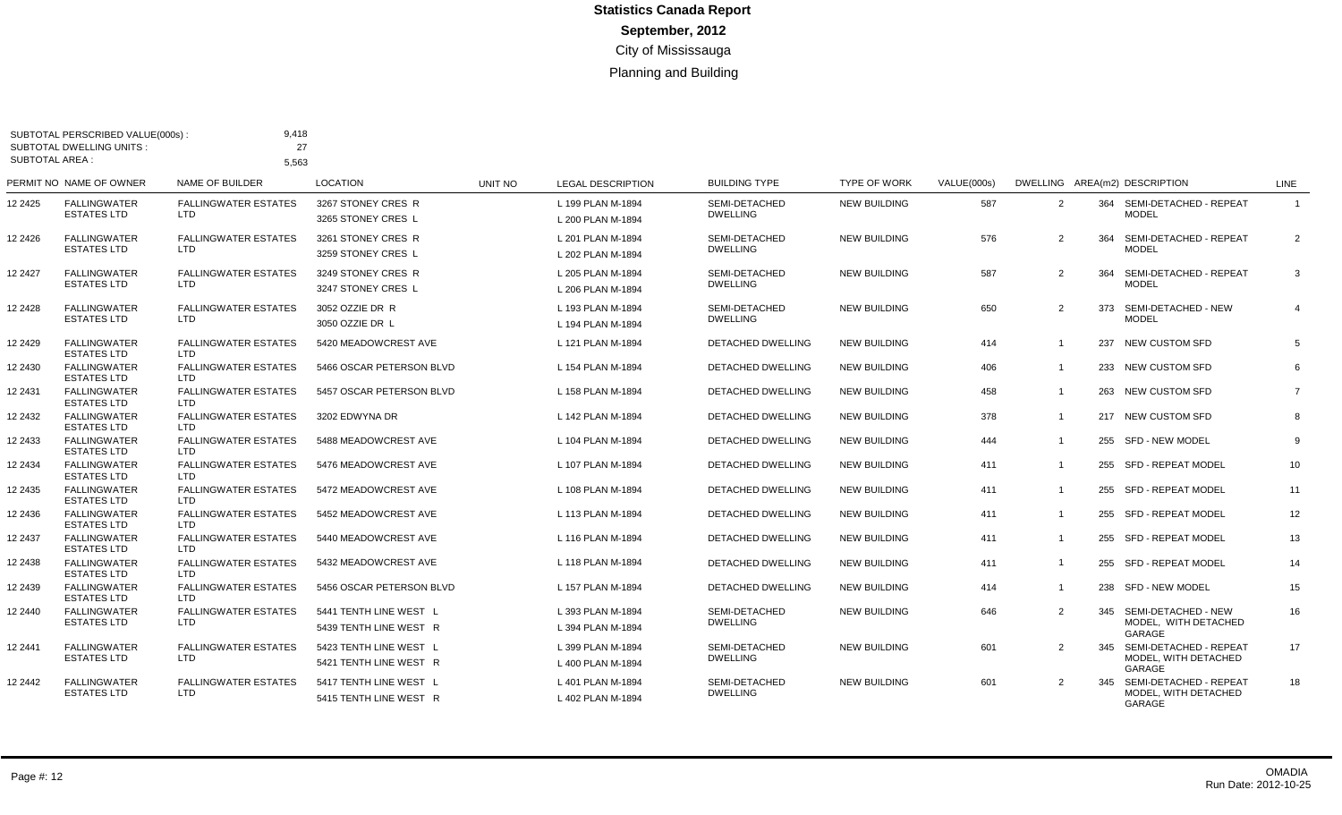| <b>SUBTOTAL AREA:</b> | SUBTOTAL PERSCRIBED VALUE(000s)<br>SUBTOTAL DWELLING UNITS: | 9,418<br>27<br>5,563                      |                                                  |                |                                        |                                         |                     |             |                |     |                                                           |                         |
|-----------------------|-------------------------------------------------------------|-------------------------------------------|--------------------------------------------------|----------------|----------------------------------------|-----------------------------------------|---------------------|-------------|----------------|-----|-----------------------------------------------------------|-------------------------|
|                       | PERMIT NO NAME OF OWNER                                     | <b>NAME OF BUILDER</b>                    | <b>LOCATION</b>                                  | <b>UNIT NO</b> | <b>LEGAL DESCRIPTION</b>               | <b>BUILDING TYPE</b>                    | <b>TYPE OF WORK</b> | VALUE(000s) |                |     | DWELLING AREA(m2) DESCRIPTION                             | <b>LINE</b>             |
| 12 2425               | <b>FALLINGWATER</b><br><b>ESTATES LTD</b>                   | <b>FALLINGWATER ESTATES</b><br><b>LTD</b> | 3267 STONEY CRES R<br>3265 STONEY CRES L         |                | L 199 PLAN M-1894<br>L 200 PLAN M-1894 | <b>SEMI-DETACHED</b><br><b>DWELLING</b> | <b>NEW BUILDING</b> | 587         | $\overline{2}$ |     | 364 SEMI-DETACHED - REPEAT<br><b>MODEL</b>                | $\overline{\mathbf{1}}$ |
| 12 24 26              | <b>FALLINGWATER</b><br><b>ESTATES LTD</b>                   | <b>FALLINGWATER ESTATES</b><br>LTD        | 3261 STONEY CRES R<br>3259 STONEY CRES L         |                | L 201 PLAN M-1894<br>L 202 PLAN M-1894 | SEMI-DETACHED<br><b>DWELLING</b>        | <b>NEW BUILDING</b> | 576         | 2              | 364 | SEMI-DETACHED - REPEAT<br><b>MODEL</b>                    | 2                       |
| 12 2427               | <b>FALLINGWATER</b><br><b>ESTATES LTD</b>                   | <b>FALLINGWATER ESTATES</b><br><b>LTD</b> | 3249 STONEY CRES R<br>3247 STONEY CRES L         |                | L 205 PLAN M-1894<br>L 206 PLAN M-1894 | SEMI-DETACHED<br><b>DWELLING</b>        | <b>NEW BUILDING</b> | 587         | $\overline{2}$ | 364 | SEMI-DETACHED - REPEAT<br><b>MODEL</b>                    | 3                       |
| 12 2428               | <b>FALLINGWATER</b><br><b>ESTATES LTD</b>                   | <b>FALLINGWATER ESTATES</b><br>LTD.       | 3052 OZZIE DR R<br>3050 OZZIE DR L               |                | L 193 PLAN M-1894<br>L 194 PLAN M-1894 | SEMI-DETACHED<br><b>DWELLING</b>        | <b>NEW BUILDING</b> | 650         | 2              | 373 | SEMI-DETACHED - NEW<br><b>MODEL</b>                       | $\overline{4}$          |
| 12 2429               | <b>FALLINGWATER</b><br><b>ESTATES LTD</b>                   | <b>FALLINGWATER ESTATES</b><br>LTD.       | 5420 MEADOWCREST AVE                             |                | L 121 PLAN M-1894                      | <b>DETACHED DWELLING</b>                | <b>NEW BUILDING</b> | 414         | $\overline{1}$ |     | 237 NEW CUSTOM SFD                                        | 5                       |
| 12 2430               | <b>FALLINGWATER</b><br><b>ESTATES LTD</b>                   | <b>FALLINGWATER ESTATES</b><br><b>LTD</b> | 5466 OSCAR PETERSON BLVD                         |                | L 154 PLAN M-1894                      | DETACHED DWELLING                       | <b>NEW BUILDING</b> | 406         | $\overline{1}$ |     | 233 NEW CUSTOM SFD                                        | 6                       |
| 2 2 4 3 1             | <b>FALLINGWATER</b><br><b>ESTATES LTD</b>                   | <b>FALLINGWATER ESTATES</b><br>LTD.       | 5457 OSCAR PETERSON BLVD                         |                | L 158 PLAN M-1894                      | DETACHED DWELLING                       | <b>NEW BUILDING</b> | 458         | $\mathbf{1}$   |     | 263 NEW CUSTOM SFD                                        | $\overline{7}$          |
| 12 2432               | <b>FALLINGWATER</b><br><b>ESTATES LTD</b>                   | <b>FALLINGWATER ESTATES</b><br>LTD.       | 3202 EDWYNA DR                                   |                | L 142 PLAN M-1894                      | DETACHED DWELLING                       | <b>NEW BUILDING</b> | 378         | $\mathbf{1}$   |     | 217 NEW CUSTOM SFD                                        | 8                       |
| 12 2433               | <b>FALLINGWATER</b><br><b>ESTATES LTD</b>                   | <b>FALLINGWATER ESTATES</b><br>LTD.       | 5488 MEADOWCREST AVE                             |                | L 104 PLAN M-1894                      | DETACHED DWELLING                       | <b>NEW BUILDING</b> | 444         | $\overline{1}$ |     | 255 SFD - NEW MODEL                                       | 9                       |
| 12 2434               | <b>FALLINGWATER</b><br><b>ESTATES LTD</b>                   | <b>FALLINGWATER ESTATES</b><br><b>LTD</b> | 5476 MEADOWCREST AVE                             |                | L 107 PLAN M-1894                      | DETACHED DWELLING                       | <b>NEW BUILDING</b> | 411         | $\overline{1}$ | 255 | SFD - REPEAT MODEL                                        | 10                      |
| 12 2435               | <b>FALLINGWATER</b><br><b>ESTATES LTD</b>                   | <b>FALLINGWATER ESTATES</b><br><b>LTD</b> | 5472 MEADOWCREST AVE                             |                | L 108 PLAN M-1894                      | <b>DETACHED DWELLING</b>                | <b>NEW BUILDING</b> | 411         | $\overline{1}$ |     | 255 SFD - REPEAT MODEL                                    | 11                      |
| 12 2436               | <b>FALLINGWATER</b><br><b>ESTATES LTD</b>                   | <b>FALLINGWATER ESTATES</b><br><b>LTD</b> | 5452 MEADOWCREST AVE                             |                | L 113 PLAN M-1894                      | <b>DETACHED DWELLING</b>                | <b>NEW BUILDING</b> | 411         | $\mathbf{1}$   | 255 | SFD - REPEAT MODEL                                        | 12                      |
| 12 2437               | <b>FALLINGWATER</b><br><b>ESTATES LTD</b>                   | <b>FALLINGWATER ESTATES</b><br>LTD.       | 5440 MEADOWCREST AVE                             |                | L 116 PLAN M-1894                      | <b>DETACHED DWELLING</b>                | <b>NEW BUILDING</b> | 411         | $\overline{1}$ |     | 255 SFD - REPEAT MODEL                                    | 13                      |
| 12 2438               | <b>FALLINGWATER</b><br><b>ESTATES LTD</b>                   | <b>FALLINGWATER ESTATES</b><br><b>LTD</b> | 5432 MEADOWCREST AVE                             |                | L 118 PLAN M-1894                      | <b>DETACHED DWELLING</b>                | <b>NEW BUILDING</b> | 411         | $\overline{1}$ | 255 | SFD - REPEAT MODEL                                        | 14                      |
| 12 2439               | <b>FALLINGWATER</b><br><b>ESTATES LTD</b>                   | <b>FALLINGWATER ESTATES</b><br>LTD.       | 5456 OSCAR PETERSON BLVD                         |                | L 157 PLAN M-1894                      | DETACHED DWELLING                       | <b>NEW BUILDING</b> | 414         | $\overline{1}$ |     | 238 SFD - NEW MODEL                                       | 15                      |
| 12 2440               | <b>FALLINGWATER</b><br><b>ESTATES LTD</b>                   | <b>FALLINGWATER ESTATES</b><br><b>LTD</b> | 5441 TENTH LINE WEST L<br>5439 TENTH LINE WEST R |                | L 393 PLAN M-1894<br>L 394 PLAN M-1894 | SEMI-DETACHED<br><b>DWELLING</b>        | <b>NEW BUILDING</b> | 646         | 2              |     | 345 SEMI-DETACHED - NEW<br>MODEL. WITH DETACHED<br>GARAGE | 16                      |
| 12 2441               | <b>FALLINGWATER</b><br><b>ESTATES LTD</b>                   | <b>FALLINGWATER ESTATES</b><br><b>LTD</b> | 5423 TENTH LINE WEST L<br>5421 TENTH LINE WEST R |                | L 399 PLAN M-1894<br>L 400 PLAN M-1894 | SEMI-DETACHED<br><b>DWELLING</b>        | <b>NEW BUILDING</b> | 601         | $\overline{2}$ | 345 | SEMI-DETACHED - REPEAT<br>MODEL. WITH DETACHED<br>GARAGE  | 17                      |
| 12 2442               | <b>FALLINGWATER</b><br><b>ESTATES LTD</b>                   | <b>FALLINGWATER ESTATES</b><br><b>LTD</b> | 5417 TENTH LINE WEST L<br>5415 TENTH LINE WEST R |                | L 401 PLAN M-1894<br>L 402 PLAN M-1894 | SEMI-DETACHED<br><b>DWELLING</b>        | <b>NEW BUILDING</b> | 601         | 2              | 345 | SEMI-DETACHED - REPEAT<br>MODEL, WITH DETACHED<br>GARAGE  | 18                      |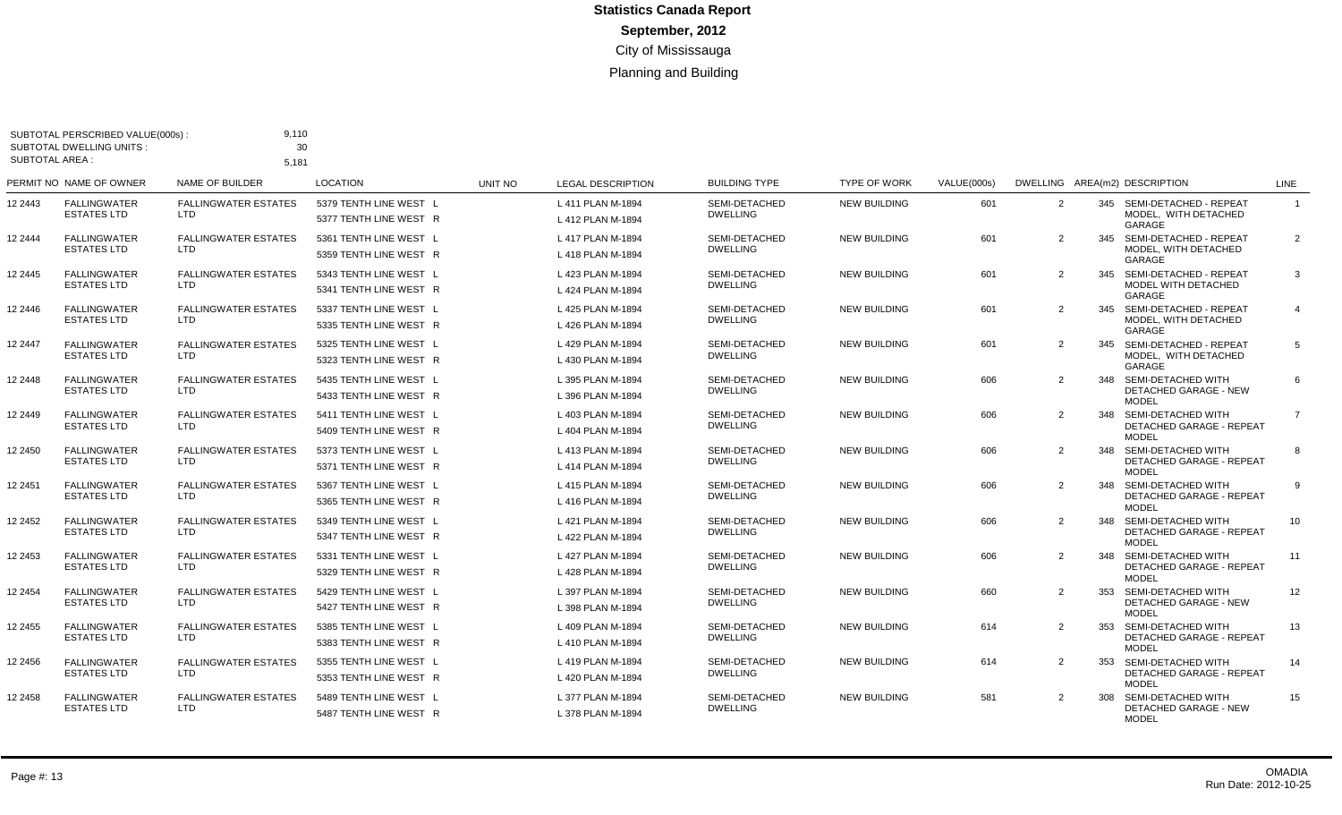| SUBTOTAL AREA : | SUBTOTAL PERSCRIBED VALUE(000s):<br>SUBTOTAL DWELLING UNITS: | 9,110<br>30<br>5,181                      |                                                  |         |                                        |                                  |                     |             |                |     |                                                                           |                |
|-----------------|--------------------------------------------------------------|-------------------------------------------|--------------------------------------------------|---------|----------------------------------------|----------------------------------|---------------------|-------------|----------------|-----|---------------------------------------------------------------------------|----------------|
|                 | PERMIT NO NAME OF OWNER                                      | NAME OF BUILDER                           | <b>LOCATION</b>                                  | UNIT NO | <b>LEGAL DESCRIPTION</b>               | <b>BUILDING TYPE</b>             | <b>TYPE OF WORK</b> | VALUE(000s) |                |     | DWELLING AREA(m2) DESCRIPTION                                             | LINE           |
| 12 2443         | <b>FALLINGWATER</b><br><b>ESTATES LTD</b>                    | <b>FALLINGWATER ESTATES</b><br>LTD        | 5379 TENTH LINE WEST L<br>5377 TENTH LINE WEST R |         | L 411 PLAN M-1894<br>L 412 PLAN M-1894 | SEMI-DETACHED<br><b>DWELLING</b> | <b>NEW BUILDING</b> | 601         | 2              |     | 345 SEMI-DETACHED - REPEAT<br>MODEL. WITH DETACHED<br>GARAGE              | $\overline{1}$ |
| 12 2444         | <b>FALLINGWATER</b><br><b>ESTATES LTD</b>                    | <b>FALLINGWATER ESTATES</b><br>LTD.       | 5361 TENTH LINE WEST L<br>5359 TENTH LINE WEST R |         | L 417 PLAN M-1894<br>L 418 PLAN M-1894 | SEMI-DETACHED<br><b>DWELLING</b> | <b>NEW BUILDING</b> | 601         | 2              |     | 345 SEMI-DETACHED - REPEAT<br>MODEL, WITH DETACHED<br>GARAGE              | 2              |
| 12 2445         | <b>FALLINGWATER</b><br><b>ESTATES LTD</b>                    | <b>FALLINGWATER ESTATES</b><br>LTD.       | 5343 TENTH LINE WEST L<br>5341 TENTH LINE WEST R |         | L 423 PLAN M-1894<br>L 424 PLAN M-1894 | SEMI-DETACHED<br><b>DWELLING</b> | <b>NEW BUILDING</b> | 601         | 2              |     | 345 SEMI-DETACHED - REPEAT<br>MODEL WITH DETACHED<br>GARAGE               | 3              |
| 12 2446         | <b>FALLINGWATER</b><br><b>ESTATES LTD</b>                    | <b>FALLINGWATER ESTATES</b><br>LTD.       | 5337 TENTH LINE WEST L<br>5335 TENTH LINE WEST R |         | L 425 PLAN M-1894<br>L 426 PLAN M-1894 | SEMI-DETACHED<br><b>DWELLING</b> | <b>NEW BUILDING</b> | 601         | 2              |     | 345 SEMI-DETACHED - REPEAT<br>MODEL. WITH DETACHED<br>GARAGE              | $\overline{4}$ |
| 12 2447         | <b>FALLINGWATER</b><br><b>ESTATES LTD</b>                    | <b>FALLINGWATER ESTATES</b><br>LTD.       | 5325 TENTH LINE WEST L<br>5323 TENTH LINE WEST R |         | L 429 PLAN M-1894<br>L 430 PLAN M-1894 | SEMI-DETACHED<br><b>DWELLING</b> | <b>NEW BUILDING</b> | 601         | 2              |     | 345 SEMI-DETACHED - REPEAT<br>MODEL, WITH DETACHED<br>GARAGE              | 5              |
| 12 2448         | <b>FALLINGWATER</b><br><b>ESTATES LTD</b>                    | <b>FALLINGWATER ESTATES</b><br>LTD.       | 5435 TENTH LINE WEST L<br>5433 TENTH LINE WEST R |         | L 395 PLAN M-1894<br>L 396 PLAN M-1894 | SEMI-DETACHED<br><b>DWELLING</b> | <b>NEW BUILDING</b> | 606         | 2              |     | 348 SEMI-DETACHED WITH<br><b>DETACHED GARAGE - NEW</b><br><b>MODEL</b>    | 6              |
| 12 2449         | <b>FALLINGWATER</b><br><b>ESTATES LTD</b>                    | <b>FALLINGWATER ESTATES</b><br>LTD        | 5411 TENTH LINE WEST L<br>5409 TENTH LINE WEST R |         | L 403 PLAN M-1894<br>L 404 PLAN M-1894 | SEMI-DETACHED<br><b>DWELLING</b> | <b>NEW BUILDING</b> | 606         | 2              |     | 348 SEMI-DETACHED WITH<br><b>DETACHED GARAGE - REPEAT</b><br><b>MODEL</b> | $\overline{7}$ |
| 12 2450         | <b>FALLINGWATER</b><br><b>ESTATES LTD</b>                    | <b>FALLINGWATER ESTATES</b><br>LTD.       | 5373 TENTH LINE WEST L<br>5371 TENTH LINE WEST R |         | L 413 PLAN M-1894<br>L 414 PLAN M-1894 | SEMI-DETACHED<br><b>DWELLING</b> | <b>NEW BUILDING</b> | 606         | 2              | 348 | SEMI-DETACHED WITH<br>DETACHED GARAGE - REPEAT<br><b>MODEL</b>            | -8             |
| 12 2451         | <b>FALLINGWATER</b><br><b>ESTATES LTD</b>                    | <b>FALLINGWATER ESTATES</b><br>LTD.       | 5367 TENTH LINE WEST L<br>5365 TENTH LINE WEST R |         | L 415 PLAN M-1894<br>L 416 PLAN M-1894 | SEMI-DETACHED<br><b>DWELLING</b> | <b>NEW BUILDING</b> | 606         | 2              |     | 348 SEMI-DETACHED WITH<br><b>DETACHED GARAGE - REPEAT</b><br><b>MODEL</b> | 9              |
| 12 2452         | <b>FALLINGWATER</b><br><b>ESTATES LTD</b>                    | <b>FALLINGWATER ESTATES</b><br>LTD        | 5349 TENTH LINE WEST L<br>5347 TENTH LINE WEST R |         | L 421 PLAN M-1894<br>L 422 PLAN M-1894 | SEMI-DETACHED<br><b>DWELLING</b> | <b>NEW BUILDING</b> | 606         | $\overline{2}$ |     | 348 SEMI-DETACHED WITH<br><b>DETACHED GARAGE - REPEAT</b><br><b>MODEL</b> | 10             |
| 12 2453         | <b>FALLINGWATER</b><br><b>ESTATES LTD</b>                    | <b>FALLINGWATER ESTATES</b><br><b>LTD</b> | 5331 TENTH LINE WEST L<br>5329 TENTH LINE WEST R |         | L 427 PLAN M-1894<br>L 428 PLAN M-1894 | SEMI-DETACHED<br><b>DWELLING</b> | <b>NEW BUILDING</b> | 606         | 2              | 348 | SEMI-DETACHED WITH<br>DETACHED GARAGE - REPEAT<br><b>MODEL</b>            | 11             |
| 12 2454         | <b>FALLINGWATER</b><br><b>ESTATES LTD</b>                    | <b>FALLINGWATER ESTATES</b><br><b>LTD</b> | 5429 TENTH LINE WEST L<br>5427 TENTH LINE WEST R |         | L 397 PLAN M-1894<br>L 398 PLAN M-1894 | SEMI-DETACHED<br><b>DWELLING</b> | <b>NEW BUILDING</b> | 660         | 2              |     | 353 SEMI-DETACHED WITH<br><b>DETACHED GARAGE - NEW</b><br><b>MODEL</b>    | 12             |
| 12 2455         | <b>FALLINGWATER</b><br><b>ESTATES LTD</b>                    | <b>FALLINGWATER ESTATES</b><br><b>LTD</b> | 5385 TENTH LINE WEST L<br>5383 TENTH LINE WEST R |         | L 409 PLAN M-1894<br>L 410 PLAN M-1894 | SEMI-DETACHED<br><b>DWELLING</b> | <b>NEW BUILDING</b> | 614         | 2              | 353 | SEMI-DETACHED WITH<br><b>DETACHED GARAGE - REPEAT</b><br><b>MODEL</b>     | 13             |
| 12 2456         | <b>FALLINGWATER</b><br><b>ESTATES LTD</b>                    | <b>FALLINGWATER ESTATES</b><br><b>LTD</b> | 5355 TENTH LINE WEST L<br>5353 TENTH LINE WEST R |         | L 419 PLAN M-1894<br>L 420 PLAN M-1894 | SEMI-DETACHED<br><b>DWELLING</b> | <b>NEW BUILDING</b> | 614         | 2              | 353 | SEMI-DETACHED WITH<br><b>DETACHED GARAGE - REPEAT</b><br><b>MODEL</b>     | 14             |
| 12 2458         | <b>FALLINGWATER</b><br><b>ESTATES LTD</b>                    | <b>FALLINGWATER ESTATES</b><br><b>LTD</b> | 5489 TENTH LINE WEST L<br>5487 TENTH LINE WEST R |         | L 377 PLAN M-1894<br>L 378 PLAN M-1894 | SEMI-DETACHED<br><b>DWELLING</b> | <b>NEW BUILDING</b> | 581         | $\mathcal{P}$  |     | 308 SEMI-DETACHED WITH<br><b>DETACHED GARAGE - NEW</b><br><b>MODEL</b>    | 15             |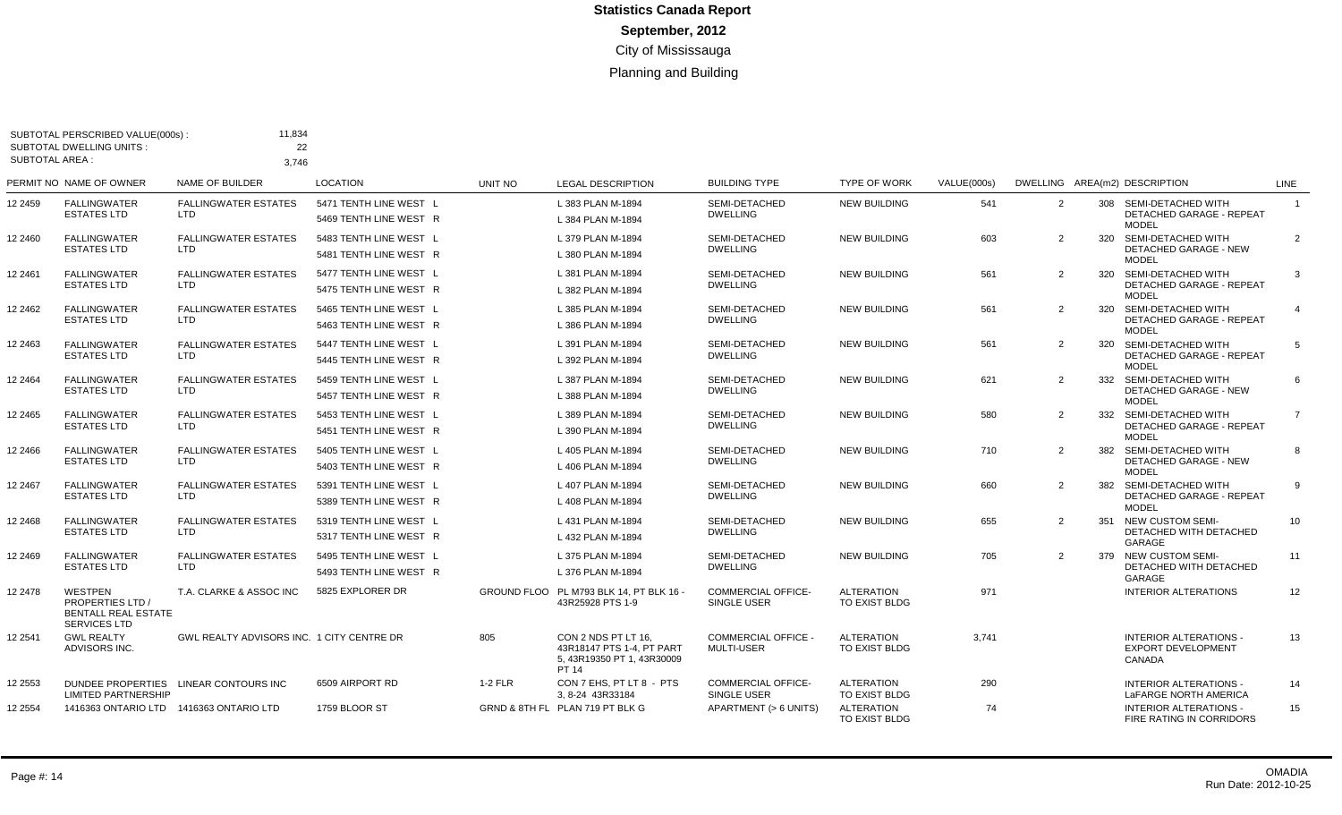| <b>SUBTOTAL AREA:</b> | SUBTOTAL PERSCRIBED VALUE(000s):<br><b>SUBTOTAL DWELLING UNITS:</b>                            | 11,834<br>22<br>3,746                     |                                                  |           |                                                                                         |                                                 |                                    |             |   |     |                                                                           |                |
|-----------------------|------------------------------------------------------------------------------------------------|-------------------------------------------|--------------------------------------------------|-----------|-----------------------------------------------------------------------------------------|-------------------------------------------------|------------------------------------|-------------|---|-----|---------------------------------------------------------------------------|----------------|
|                       | PERMIT NO NAME OF OWNER                                                                        | <b>NAME OF BUILDER</b>                    | <b>LOCATION</b>                                  | UNIT NO   | <b>LEGAL DESCRIPTION</b>                                                                | <b>BUILDING TYPE</b>                            | <b>TYPE OF WORK</b>                | VALUE(000s) |   |     | DWELLING AREA(m2) DESCRIPTION                                             | LINE           |
| 12 2459               | <b>FALLINGWATER</b><br><b>ESTATES LTD</b>                                                      | <b>FALLINGWATER ESTATES</b><br>LTD.       | 5471 TENTH LINE WEST L<br>5469 TENTH LINE WEST R |           | L 383 PLAN M-1894<br>L 384 PLAN M-1894                                                  | SEMI-DETACHED<br><b>DWELLING</b>                | <b>NEW BUILDING</b>                | 541         | 2 | 308 | SEMI-DETACHED WITH<br>DETACHED GARAGE - REPEAT<br><b>MODEL</b>            | $\overline{1}$ |
| 12 2460               | <b>FALLINGWATER</b><br><b>ESTATES LTD</b>                                                      | <b>FALLINGWATER ESTATES</b><br>LTD.       | 5483 TENTH LINE WEST L<br>5481 TENTH LINE WEST R |           | L 379 PLAN M-1894<br>L 380 PLAN M-1894                                                  | SEMI-DETACHED<br><b>DWELLING</b>                | <b>NEW BUILDING</b>                | 603         | 2 | 320 | SEMI-DETACHED WITH<br><b>DETACHED GARAGE - NEW</b><br><b>MODEL</b>        | $\overline{2}$ |
| 12 2461               | <b>FALLINGWATER</b><br><b>ESTATES LTD</b>                                                      | <b>FALLINGWATER ESTATES</b><br><b>LTD</b> | 5477 TENTH LINE WEST L<br>5475 TENTH LINE WEST R |           | L 381 PLAN M-1894<br>L 382 PLAN M-1894                                                  | SEMI-DETACHED<br><b>DWELLING</b>                | <b>NEW BUILDING</b>                | 561         | 2 | 320 | SEMI-DETACHED WITH<br><b>DETACHED GARAGE - REPEAT</b><br><b>MODEL</b>     | 3              |
| 12 2462               | <b>FALLINGWATER</b><br><b>ESTATES LTD</b>                                                      | <b>FALLINGWATER ESTATES</b><br>LTD.       | 5465 TENTH LINE WEST L<br>5463 TENTH LINE WEST R |           | L 385 PLAN M-1894<br>L 386 PLAN M-1894                                                  | SEMI-DETACHED<br><b>DWELLING</b>                | <b>NEW BUILDING</b>                | 561         | 2 | 320 | SEMI-DETACHED WITH<br>DETACHED GARAGE - REPEAT<br><b>MODEL</b>            | $\overline{4}$ |
| 12 2463               | <b>FALLINGWATER</b><br><b>ESTATES LTD</b>                                                      | <b>FALLINGWATER ESTATES</b><br>LTD.       | 5447 TENTH LINE WEST L<br>5445 TENTH LINE WEST R |           | L 391 PLAN M-1894<br>L 392 PLAN M-1894                                                  | SEMI-DETACHED<br><b>DWELLING</b>                | <b>NEW BUILDING</b>                | 561         | 2 |     | 320 SEMI-DETACHED WITH<br><b>DETACHED GARAGE - REPEAT</b><br><b>MODEL</b> | 5              |
| 12 2464               | <b>FALLINGWATER</b><br><b>ESTATES LTD</b>                                                      | <b>FALLINGWATER ESTATES</b><br>LTD        | 5459 TENTH LINE WEST L<br>5457 TENTH LINE WEST R |           | L 387 PLAN M-1894<br>L 388 PLAN M-1894                                                  | SEMI-DETACHED<br><b>DWELLING</b>                | <b>NEW BUILDING</b>                | 621         | 2 | 332 | SEMI-DETACHED WITH<br>DETACHED GARAGE - NEW<br><b>MODEL</b>               | 6              |
| 2 2 4 6 5             | <b>FALLINGWATER</b><br><b>ESTATES LTD</b>                                                      | <b>FALLINGWATER ESTATES</b><br>LTD.       | 5453 TENTH LINE WEST L<br>5451 TENTH LINE WEST R |           | L 389 PLAN M-1894<br>L 390 PLAN M-1894                                                  | SEMI-DETACHED<br><b>DWELLING</b>                | <b>NEW BUILDING</b>                | 580         | 2 | 332 | SEMI-DETACHED WITH<br><b>DETACHED GARAGE - REPEAT</b><br><b>MODEL</b>     | $\overline{7}$ |
| 2 2 4 6 6             | <b>FALLINGWATER</b><br><b>ESTATES LTD</b>                                                      | <b>FALLINGWATER ESTATES</b><br>LTD        | 5405 TENTH LINE WEST L<br>5403 TENTH LINE WEST R |           | L 405 PLAN M-1894<br>L 406 PLAN M-1894                                                  | SEMI-DETACHED<br><b>DWELLING</b>                | <b>NEW BUILDING</b>                | 710         | 2 | 382 | SEMI-DETACHED WITH<br><b>DETACHED GARAGE - NEW</b><br><b>MODEL</b>        | 8              |
| 12 2467               | <b>FALLINGWATER</b><br><b>ESTATES LTD</b>                                                      | <b>FALLINGWATER ESTATES</b><br>LTD.       | 5391 TENTH LINE WEST L<br>5389 TENTH LINE WEST R |           | L 407 PLAN M-1894<br>L 408 PLAN M-1894                                                  | SEMI-DETACHED<br><b>DWELLING</b>                | <b>NEW BUILDING</b>                | 660         | 2 | 382 | SEMI-DETACHED WITH<br><b>DETACHED GARAGE - REPEAT</b><br><b>MODEL</b>     | 9              |
| 12 2468               | <b>FALLINGWATER</b><br><b>ESTATES LTD</b>                                                      | <b>FALLINGWATER ESTATES</b><br>LTD        | 5319 TENTH LINE WEST L<br>5317 TENTH LINE WEST R |           | L 431 PLAN M-1894<br>L 432 PLAN M-1894                                                  | SEMI-DETACHED<br><b>DWELLING</b>                | <b>NEW BUILDING</b>                | 655         | 2 | 351 | <b>NEW CUSTOM SEMI-</b><br>DETACHED WITH DETACHED<br>GARAGE               | 10             |
| 12 2469               | <b>FALLINGWATER</b><br><b>ESTATES LTD</b>                                                      | <b>FALLINGWATER ESTATES</b><br>LTD        | 5495 TENTH LINE WEST L<br>5493 TENTH LINE WEST R |           | L 375 PLAN M-1894<br>L 376 PLAN M-1894                                                  | SEMI-DETACHED<br><b>DWELLING</b>                | <b>NEW BUILDING</b>                | 705         | 2 | 379 | <b>NEW CUSTOM SEMI-</b><br>DETACHED WITH DETACHED<br>GARAGE               | 11             |
| 12 2478               | <b>WESTPEN</b><br><b>PROPERTIES LTD /</b><br><b>BENTALL REAL ESTATE</b><br><b>SERVICES LTD</b> | T.A. CLARKE & ASSOC INC                   | 5825 EXPLORER DR                                 |           | GROUND FLOO PL M793 BLK 14. PT BLK 16 -<br>43R25928 PTS 1-9                             | <b>COMMERCIAL OFFICE-</b><br><b>SINGLE USER</b> | <b>ALTERATION</b><br>TO EXIST BLDG | 971         |   |     | <b>INTERIOR ALTERATIONS</b>                                               | 12             |
| 12 2541               | <b>GWL REALTY</b><br>ADVISORS INC.                                                             | GWL REALTY ADVISORS INC. 1 CITY CENTRE DR |                                                  | 805       | CON 2 NDS PT LT 16.<br>43R18147 PTS 1-4, PT PART<br>5, 43R19350 PT 1, 43R30009<br>PT 14 | <b>COMMERCIAL OFFICE -</b><br><b>MULTI-USER</b> | <b>ALTERATION</b><br>TO EXIST BLDG | 3.741       |   |     | <b>INTERIOR ALTERATIONS</b><br><b>EXPORT DEVELOPMENT</b><br>CANADA        | 13             |
| 12 2553               | DUNDEE PROPERTIES LINEAR CONTOURS INC<br><b>LIMITED PARTNERSHIP</b>                            |                                           | 6509 AIRPORT RD                                  | $1-2$ FLR | CON 7 EHS. PT LT 8 - PTS<br>3, 8-24 43R33184                                            | <b>COMMERCIAL OFFICE-</b><br>SINGLE USER        | <b>ALTERATION</b><br>TO EXIST BLDG | 290         |   |     | <b>INTERIOR ALTERATIONS -</b><br>LaFARGE NORTH AMERICA                    | 14             |
| 12 2554               | 1416363 ONTARIO LTD  1416363 ONTARIO LTD                                                       |                                           | 1759 BLOOR ST                                    |           | GRND & 8TH FL PLAN 719 PT BLK G                                                         | APARTMENT (> 6 UNITS)                           | <b>ALTERATION</b><br>TO EXIST BLDG | 74          |   |     | <b>INTERIOR ALTERATIONS -</b><br>FIRE RATING IN CORRIDORS                 | 15             |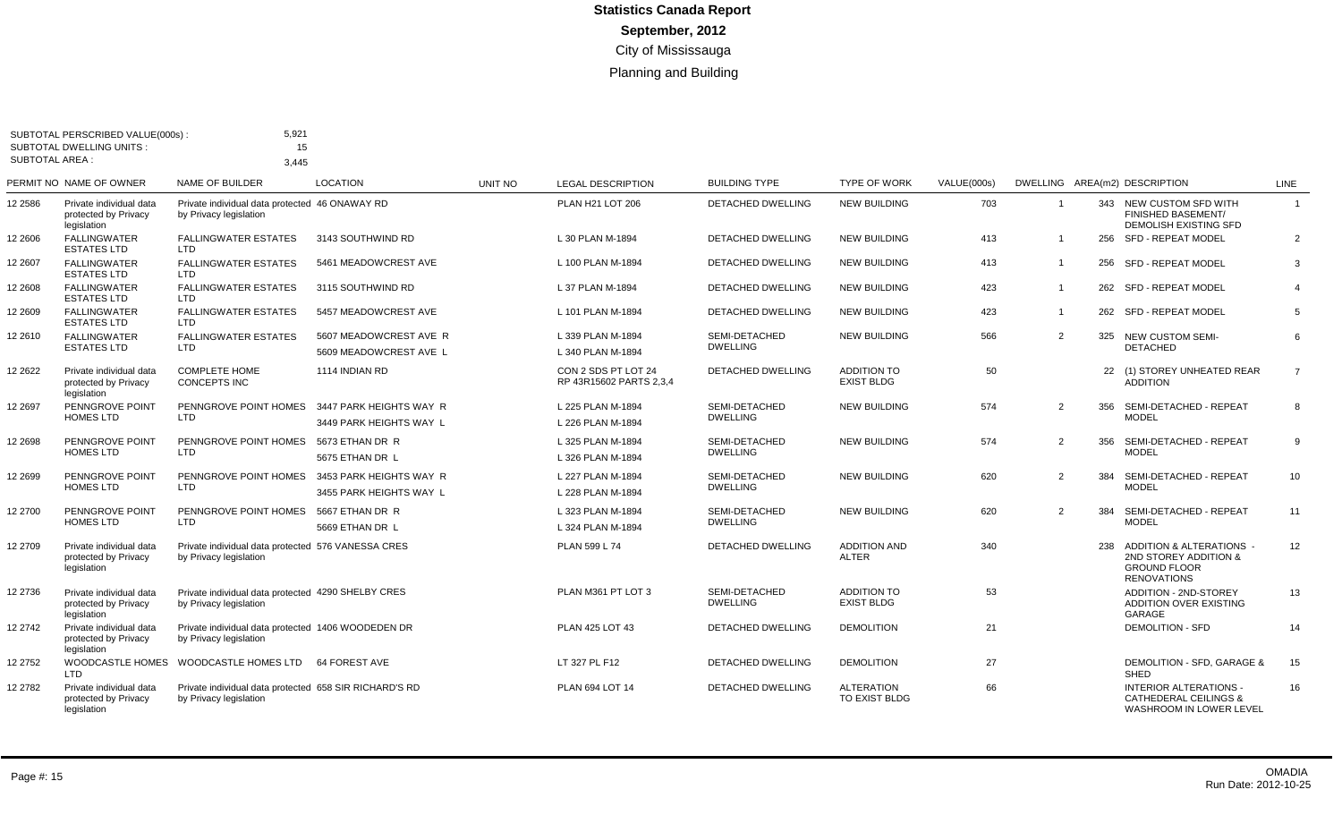|                       | SUBTOTAL PERSCRIBED VALUE(000s):<br><b>SUBTOTAL DWELLING UNITS:</b> | 5,921<br>15                                                                      |                                                    |         |                                                |                                  |                                         |             |                |     |                                                                                                  |                |
|-----------------------|---------------------------------------------------------------------|----------------------------------------------------------------------------------|----------------------------------------------------|---------|------------------------------------------------|----------------------------------|-----------------------------------------|-------------|----------------|-----|--------------------------------------------------------------------------------------------------|----------------|
| <b>SUBTOTAL AREA:</b> |                                                                     | 3.445                                                                            |                                                    |         |                                                |                                  |                                         |             |                |     |                                                                                                  |                |
|                       | PERMIT NO NAME OF OWNER                                             | <b>NAME OF BUILDER</b>                                                           | <b>LOCATION</b>                                    | UNIT NO | <b>LEGAL DESCRIPTION</b>                       | <b>BUILDING TYPE</b>             | <b>TYPE OF WORK</b>                     | VALUE(000s) |                |     | DWELLING AREA(m2) DESCRIPTION                                                                    | LINE           |
| 12 2586               | Private individual data<br>protected by Privacy<br>legislation      | Private individual data protected 46 ONAWAY RD<br>by Privacy legislation         |                                                    |         | PLAN H21 LOT 206                               | <b>DETACHED DWELLING</b>         | <b>NEW BUILDING</b>                     | 703         | $\overline{1}$ |     | 343 NEW CUSTOM SFD WITH<br><b>FINISHED BASEMENT/</b><br>DEMOLISH EXISTING SFD                    | $\mathbf{1}$   |
| 12 2606               | <b>FALLINGWATER</b><br><b>ESTATES LTD</b>                           | <b>FALLINGWATER ESTATES</b><br><b>LTD</b>                                        | 3143 SOUTHWIND RD                                  |         | L 30 PLAN M-1894                               | <b>DETACHED DWELLING</b>         | <b>NEW BUILDING</b>                     | 413         |                |     | 256 SFD - REPEAT MODEL                                                                           | $\overline{2}$ |
| 12 2607               | <b>FALLINGWATER</b><br><b>ESTATES LTD</b>                           | <b>FALLINGWATER ESTATES</b><br>LTD                                               | 5461 MEADOWCREST AVE                               |         | L 100 PLAN M-1894                              | DETACHED DWELLING                | <b>NEW BUILDING</b>                     | 413         | $\overline{1}$ |     | 256 SFD - REPEAT MODEL                                                                           | 3              |
| 12 2608               | <b>FALLINGWATER</b><br><b>ESTATES LTD</b>                           | <b>FALLINGWATER ESTATES</b><br>LTD.                                              | 3115 SOUTHWIND RD                                  |         | L 37 PLAN M-1894                               | DETACHED DWELLING                | <b>NEW BUILDING</b>                     | 423         | $\overline{1}$ |     | 262 SFD - REPEAT MODEL                                                                           | $\overline{4}$ |
| 12 2609               | <b>FALLINGWATER</b><br><b>ESTATES LTD</b>                           | <b>FALLINGWATER ESTATES</b><br>LTD                                               | 5457 MEADOWCREST AVE                               |         | L 101 PLAN M-1894                              | DETACHED DWELLING                | <b>NEW BUILDING</b>                     | 423         | $\overline{1}$ |     | 262 SFD - REPEAT MODEL                                                                           | 5              |
| 12 2610               | <b>FALLINGWATER</b><br><b>ESTATES LTD</b>                           | <b>FALLINGWATER ESTATES</b><br><b>LTD</b>                                        | 5607 MEADOWCREST AVE R<br>5609 MEADOWCREST AVE L   |         | L 339 PLAN M-1894<br>L 340 PLAN M-1894         | SEMI-DETACHED<br><b>DWELLING</b> | <b>NEW BUILDING</b>                     | 566         | $\overline{2}$ |     | 325 NEW CUSTOM SEMI-<br><b>DETACHED</b>                                                          | 6              |
| 12 2622               | Private individual data<br>protected by Privacy<br>legislation      | <b>COMPLETE HOME</b><br>CONCEPTS INC                                             | 1114 INDIAN RD                                     |         | CON 2 SDS PT LOT 24<br>RP 43R15602 PARTS 2.3.4 | DETACHED DWELLING                | <b>ADDITION TO</b><br><b>EXIST BLDG</b> | 50          |                |     | 22 (1) STOREY UNHEATED REAR<br><b>ADDITION</b>                                                   | $\overline{7}$ |
| 12 2697               | PENNGROVE POINT<br><b>HOMES LTD</b>                                 | PENNGROVE POINT HOMES<br><b>LTD</b>                                              | 3447 PARK HEIGHTS WAY R<br>3449 PARK HEIGHTS WAY L |         | L 225 PLAN M-1894<br>L 226 PLAN M-1894         | SEMI-DETACHED<br><b>DWELLING</b> | <b>NEW BUILDING</b>                     | 574         | 2              |     | 356 SEMI-DETACHED - REPEAT<br><b>MODEL</b>                                                       | 8              |
| 12 2698               | PENNGROVE POINT                                                     | PENNGROVE POINT HOMES                                                            | 5673 ETHAN DR R                                    |         | L 325 PLAN M-1894                              | SEMI-DETACHED                    | <b>NEW BUILDING</b>                     | 574         | 2              |     | 356 SEMI-DETACHED - REPEAT                                                                       | 9              |
|                       | <b>HOMES LTD</b>                                                    | <b>LTD</b>                                                                       | 5675 ETHAN DR L                                    |         | L 326 PLAN M-1894                              | <b>DWELLING</b>                  |                                         |             |                |     | <b>MODEL</b>                                                                                     |                |
| 12 2699               | PENNGROVE POINT<br><b>HOMES LTD</b>                                 | PENNGROVE POINT HOMES<br><b>LTD</b>                                              | 3453 PARK HEIGHTS WAY R<br>3455 PARK HEIGHTS WAY L |         | L 227 PLAN M-1894<br>L 228 PLAN M-1894         | SEMI-DETACHED<br><b>DWELLING</b> | <b>NEW BUILDING</b>                     | 620         | 2              | 384 | SEMI-DETACHED - REPEAT<br><b>MODEL</b>                                                           | 10             |
| 12 2700               | PENNGROVE POINT<br><b>HOMES LTD</b>                                 | PENNGROVE POINT HOMES<br>LTD                                                     | 5667 ETHAN DR R<br>5669 ETHAN DR L                 |         | L 323 PLAN M-1894<br>L 324 PLAN M-1894         | SEMI-DETACHED<br><b>DWELLING</b> | <b>NEW BUILDING</b>                     | 620         | $\overline{2}$ | 384 | SEMI-DETACHED - REPEAT<br><b>MODEL</b>                                                           | 11             |
| 12 2709               | Private individual data<br>protected by Privacy<br>legislation      | Private individual data protected 576 VANESSA CRES<br>by Privacy legislation     |                                                    |         | PLAN 599 L 74                                  | <b>DETACHED DWELLING</b>         | <b>ADDITION AND</b><br><b>ALTER</b>     | 340         |                |     | 238 ADDITION & ALTERATIONS<br>2ND STOREY ADDITION &<br><b>GROUND FLOOR</b><br><b>RENOVATIONS</b> | 12             |
| 12 2736               | Private individual data<br>protected by Privacy<br>legislation      | Private individual data protected 4290 SHELBY CRES<br>by Privacy legislation     |                                                    |         | PLAN M361 PT LOT 3                             | SEMI-DETACHED<br><b>DWELLING</b> | <b>ADDITION TO</b><br><b>EXIST BLDG</b> | 53          |                |     | <b>ADDITION - 2ND-STOREY</b><br><b>ADDITION OVER EXISTING</b><br><b>GARAGE</b>                   | 13             |
| 12 2742               | Private individual data<br>protected by Privacy<br>legislation      | Private individual data protected 1406 WOODEDEN DR<br>by Privacy legislation     |                                                    |         | <b>PLAN 425 LOT 43</b>                         | DETACHED DWELLING                | <b>DEMOLITION</b>                       | 21          |                |     | <b>DEMOLITION - SFD</b>                                                                          | 14             |
| 12 2752               | WOODCASTLE HOMES<br><b>LTD</b>                                      | WOODCASTLE HOMES LTD                                                             | 64 FOREST AVE                                      |         | LT 327 PL F12                                  | <b>DETACHED DWELLING</b>         | <b>DEMOLITION</b>                       | 27          |                |     | <b>DEMOLITION - SFD, GARAGE &amp;</b><br><b>SHED</b>                                             | 15             |
| 12 2782               | Private individual data<br>protected by Privacy<br>legislation      | Private individual data protected 658 SIR RICHARD'S RD<br>by Privacy legislation |                                                    |         | PLAN 694 LOT 14                                | <b>DETACHED DWELLING</b>         | <b>ALTERATION</b><br>TO EXIST BLDG      | 66          |                |     | <b>INTERIOR ALTERATIONS -</b><br><b>CATHEDERAL CEILINGS &amp;</b><br>WASHROOM IN LOWER LEVEL     | 16             |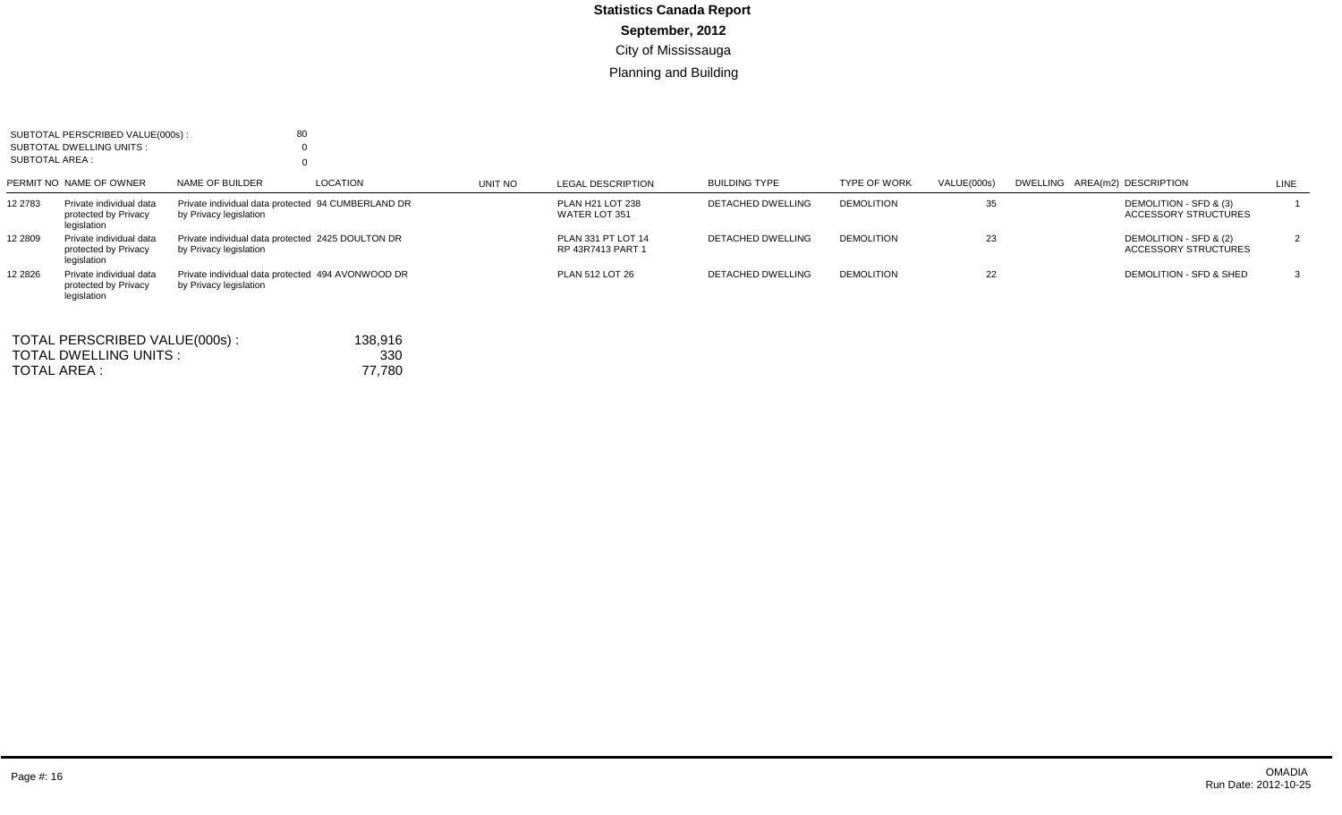| SUBTOTAL AREA : | SUBTOTAL PERSCRIBED VALUE(000s):<br>SUBTOTAL DWELLING UNITS:   | 80                                                                           |         |                                         |                          |                     |             |                                                |      |
|-----------------|----------------------------------------------------------------|------------------------------------------------------------------------------|---------|-----------------------------------------|--------------------------|---------------------|-------------|------------------------------------------------|------|
|                 | PERMIT NO NAME OF OWNER                                        | NAME OF BUILDER<br>LOCATION                                                  | UNIT NO | LEGAL DESCRIPTION                       | <b>BUILDING TYPE</b>     | <b>TYPE OF WORK</b> | VALUE(000s) | DWELLING AREA(m2) DESCRIPTION                  | LINE |
| 12 2783         | Private individual data<br>protected by Privacy<br>legislation | Private individual data protected 94 CUMBERLAND DR<br>by Privacy legislation |         | PLAN H21 LOT 238<br>WATER LOT 351       | <b>DETACHED DWELLING</b> | <b>DEMOLITION</b>   | 35          | DEMOLITION - SFD & (3)<br>ACCESSORY STRUCTURES |      |
| 12 2809         | Private individual data<br>protected by Privacy<br>legislation | Private individual data protected 2425 DOULTON DR<br>by Privacy legislation  |         | PLAN 331 PT LOT 14<br>RP 43R7413 PART 1 | <b>DETACHED DWELLING</b> | <b>DEMOLITION</b>   | 23          | DEMOLITION - SFD & (2)<br>ACCESSORY STRUCTURES |      |
| 12 28 26        | Private individual data<br>protected by Privacy<br>legislation | Private individual data protected 494 AVONWOOD DR<br>by Privacy legislation  |         | PLAN 512 LOT 26                         | <b>DETACHED DWELLING</b> | <b>DEMOLITION</b>   | 22          | DEMOLITION - SFD & SHED                        |      |

| TOTAL PERSCRIBED VALUE(000s): | 138.916 |
|-------------------------------|---------|
| TOTAL DWELLING UNITS :        | 330     |
| TOTAL AREA :                  | 77.780  |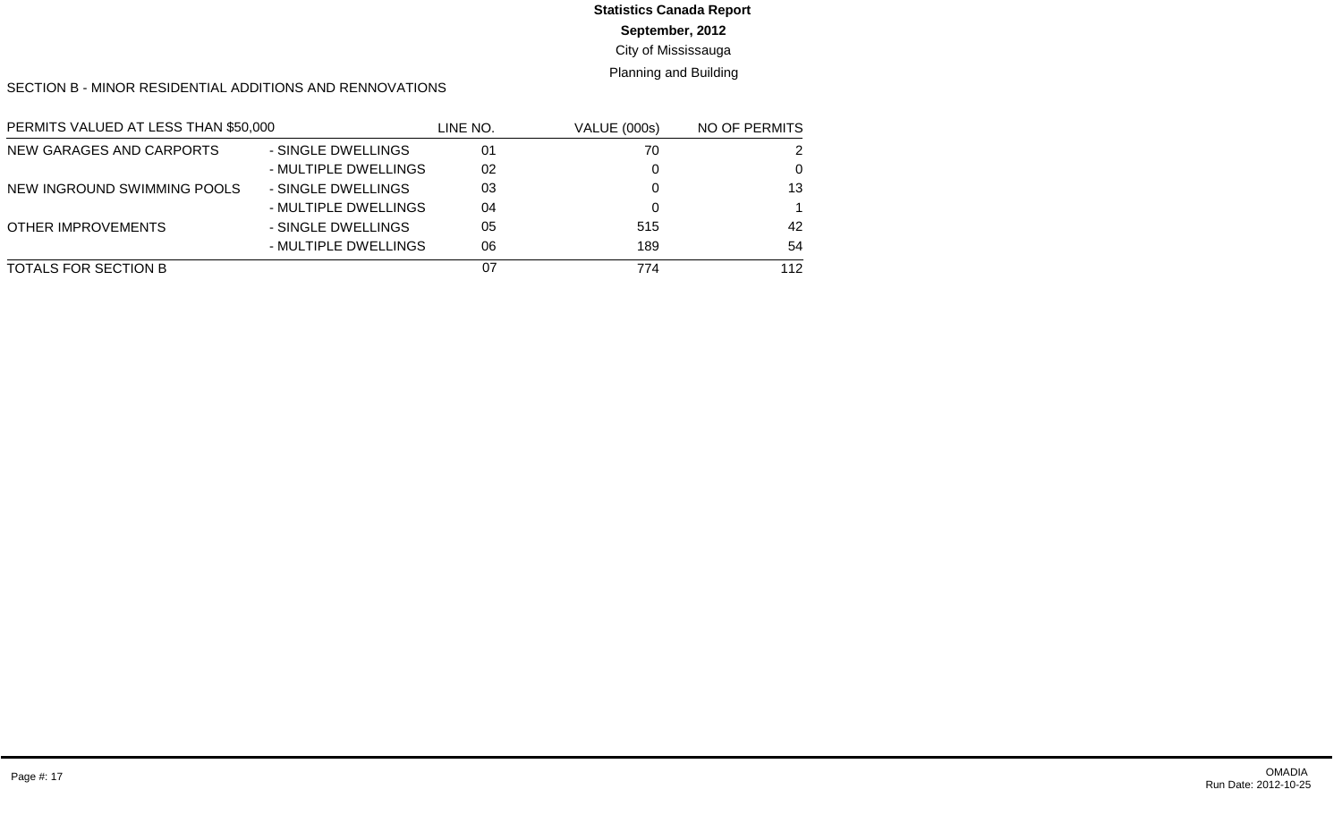### **September, 2012**

### City of Mississauga

### Planning and Building

#### SECTION B - MINOR RESIDENTIAL ADDITIONS AND RENNOVATIONS

| PERMITS VALUED AT LESS THAN \$50,000 |                      | LINE NO. | <b>VALUE (000s)</b> | NO OF PERMITS |
|--------------------------------------|----------------------|----------|---------------------|---------------|
| NEW GARAGES AND CARPORTS             | - SINGLE DWELLINGS   | 01       | 70                  | 2             |
|                                      | - MULTIPLE DWELLINGS | 02       |                     | 0             |
| NEW INGROUND SWIMMING POOLS          | - SINGLE DWELLINGS   | 03       |                     | 13            |
|                                      | - MULTIPLE DWELLINGS | 04       |                     |               |
| OTHER IMPROVEMENTS                   | - SINGLE DWELLINGS   | 05       | 515                 | 42            |
|                                      | - MULTIPLE DWELLINGS | 06       | 189                 | 54            |
| TOTALS FOR SECTION B                 |                      | 07       | 774                 | 112           |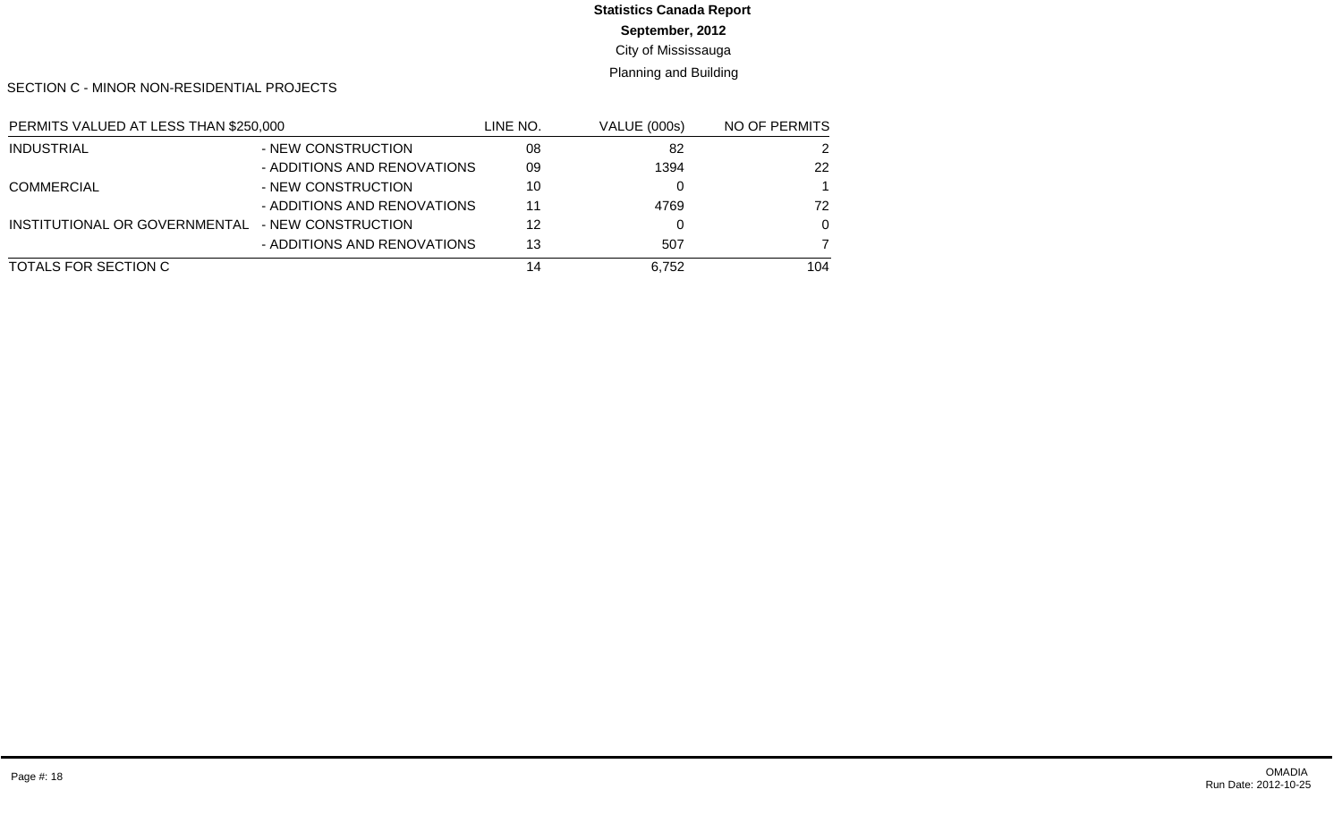**September, 2012**

City of Mississauga

Planning and Building

SECTION C - MINOR NON-RESIDENTIAL PROJECTS

| PERMITS VALUED AT LESS THAN \$250,000 |                             | LINE NO. | <b>VALUE (000s)</b> | NO OF PERMITS |
|---------------------------------------|-----------------------------|----------|---------------------|---------------|
| <b>INDUSTRIAL</b>                     | - NEW CONSTRUCTION          | 08       | 82                  | 2             |
|                                       | - ADDITIONS AND RENOVATIONS | 09       | 1394                | 22            |
| <b>COMMERCIAL</b>                     | - NEW CONSTRUCTION          | 10       |                     |               |
|                                       | - ADDITIONS AND RENOVATIONS | 11       | 4769                | 72            |
| INSTITUTIONAL OR GOVERNMENTAL         | - NEW CONSTRUCTION          | 12       |                     | $\Omega$      |
|                                       | - ADDITIONS AND RENOVATIONS | 13       | 507                 |               |
| TOTALS FOR SECTION C                  |                             | 14       | 6,752               | 104           |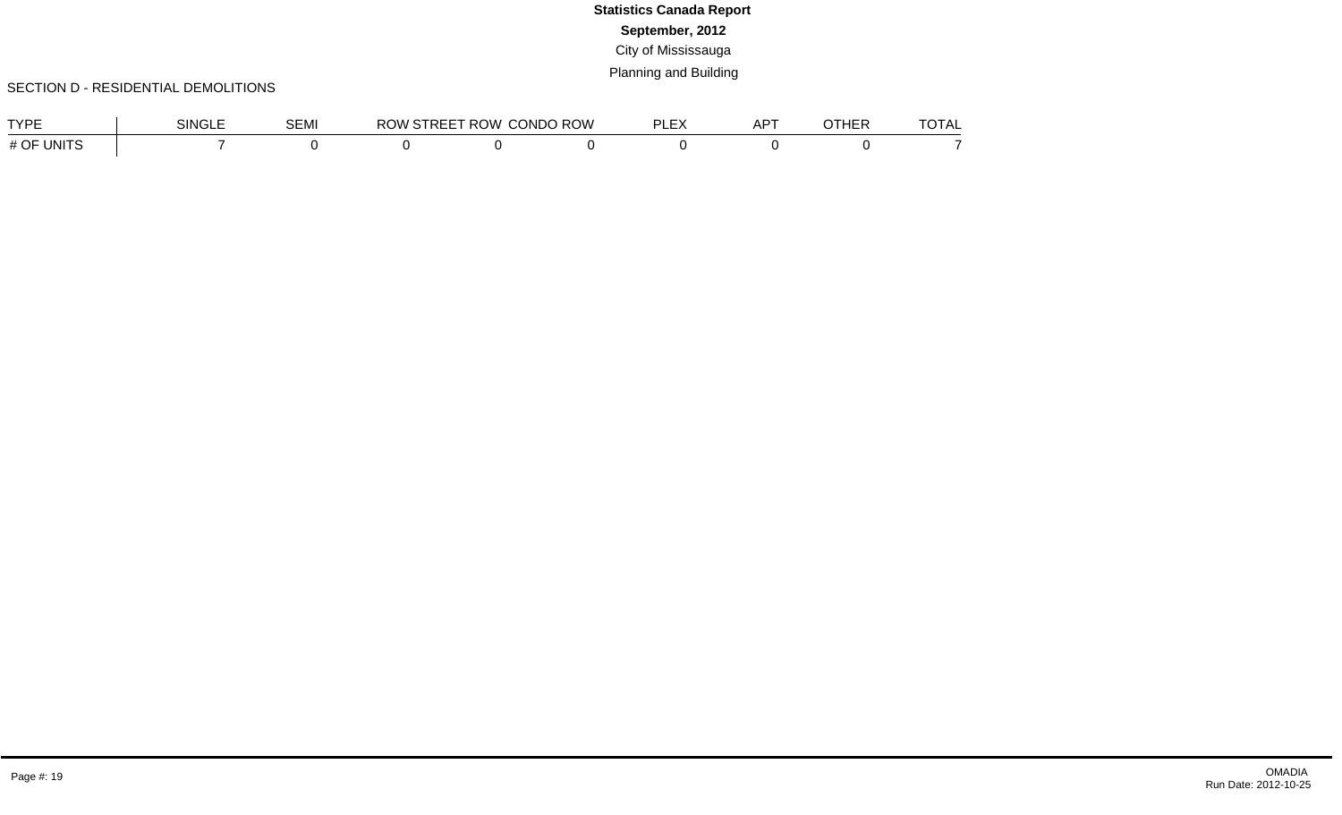### SECTION D - RESIDENTIAL DEMOLITIONS

| <b>TYPE</b>          | SINGLE | SEMI | ROW | 'STREET ROW CONDO ROW | וס<br>⊢∟∧ | $AP^{\tau}$ | <b>ATUED</b><br>INER | $T$ $\cap$ $T \wedge I$<br>UIAL |
|----------------------|--------|------|-----|-----------------------|-----------|-------------|----------------------|---------------------------------|
| <b>UNITS</b><br># OF |        |      |     |                       |           |             |                      |                                 |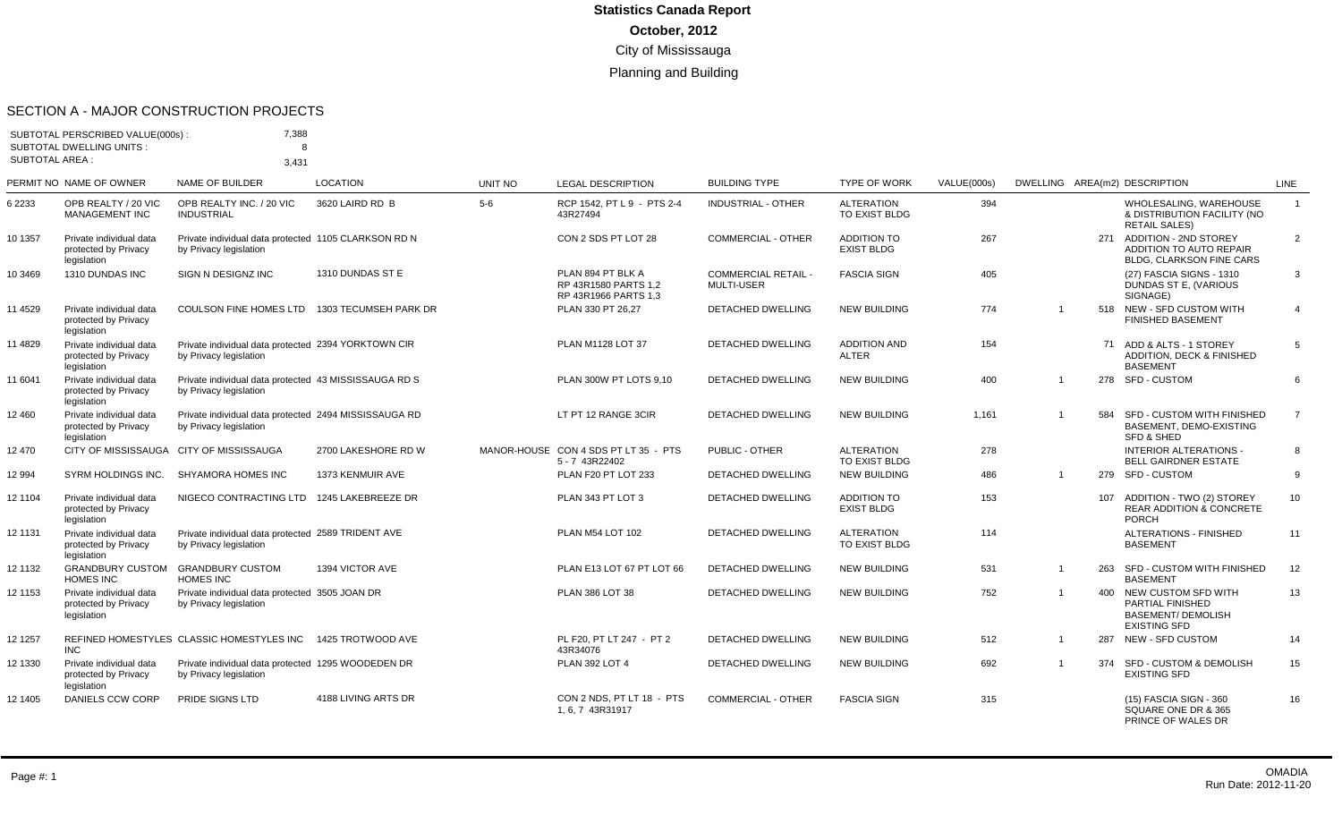#### SECTION A - MAJOR CONSTRUCTION PROJECTS

| <b>SUBTOTAL AREA:</b> | SUBTOTAL PERSCRIBED VALUE(000s):<br><b>SUBTOTAL DWELLING UNITS:</b> | 7,388<br>8<br>3.431                                                             |                       |         |                                                                   |                                                 |                                         |             |                |     |                                                                                                 |                 |
|-----------------------|---------------------------------------------------------------------|---------------------------------------------------------------------------------|-----------------------|---------|-------------------------------------------------------------------|-------------------------------------------------|-----------------------------------------|-------------|----------------|-----|-------------------------------------------------------------------------------------------------|-----------------|
|                       | PERMIT NO NAME OF OWNER                                             | NAME OF BUILDER                                                                 | <b>LOCATION</b>       | UNIT NO | <b>LEGAL DESCRIPTION</b>                                          | <b>BUILDING TYPE</b>                            | <b>TYPE OF WORK</b>                     | VALUE(000s) |                |     | DWELLING AREA(m2) DESCRIPTION                                                                   | <b>LINE</b>     |
| 6 2233                | OPB REALTY / 20 VIC<br><b>MANAGEMENT INC</b>                        | OPB REALTY INC. / 20 VIC<br><b>INDUSTRIAL</b>                                   | 3620 LAIRD RD B       | 5-6     | RCP 1542, PT L 9 - PTS 2-4<br>43R27494                            | <b>INDUSTRIAL - OTHER</b>                       | <b>ALTERATION</b><br>TO EXIST BLDG      | 394         |                |     | WHOLESALING, WAREHOUSE<br>& DISTRIBUTION FACILITY (NO<br><b>RETAIL SALES)</b>                   | $\mathbf{1}$    |
| 10 1357               | Private individual data<br>protected by Privacy<br>legislation      | Private individual data protected 1105 CLARKSON RD N<br>by Privacy legislation  |                       |         | CON 2 SDS PT LOT 28                                               | <b>COMMERCIAL - OTHER</b>                       | <b>ADDITION TO</b><br><b>EXIST BLDG</b> | 267         |                |     | 271 ADDITION - 2ND STOREY<br>ADDITION TO AUTO REPAIR<br><b>BLDG, CLARKSON FINE CARS</b>         | $\overline{2}$  |
| 10 3469               | 1310 DUNDAS INC                                                     | SIGN N DESIGNZ INC                                                              | 1310 DUNDAS ST E      |         | PLAN 894 PT BLK A<br>RP 43R1580 PARTS 1.2<br>RP 43R1966 PARTS 1,3 | <b>COMMERCIAL RETAIL -</b><br><b>MULTI-USER</b> | <b>FASCIA SIGN</b>                      | 405         |                |     | (27) FASCIA SIGNS - 1310<br>DUNDAS ST E, (VARIOUS<br>SIGNAGE)                                   | 3               |
| 14529                 | Private individual data<br>protected by Privacy<br>legislation      | <b>COULSON FINE HOMES LTD</b>                                                   | 1303 TECUMSEH PARK DR |         | PLAN 330 PT 26,27                                                 | <b>DETACHED DWELLING</b>                        | <b>NEW BUILDING</b>                     | 774         |                |     | 518 NEW - SFD CUSTOM WITH<br><b>FINISHED BASEMENT</b>                                           | $\overline{4}$  |
| 11 4829               | Private individual data<br>protected by Privacy<br>legislation      | Private individual data protected 2394 YORKTOWN CIR<br>by Privacy legislation   |                       |         | PLAN M1128 LOT 37                                                 | DETACHED DWELLING                               | <b>ADDITION AND</b><br><b>ALTER</b>     | 154         |                |     | 71 ADD & ALTS - 1 STOREY<br><b>ADDITION, DECK &amp; FINISHED</b><br><b>BASEMENT</b>             | 5               |
| 11 6041               | Private individual data<br>protected by Privacy<br>legislation      | Private individual data protected 43 MISSISSAUGA RD S<br>by Privacy legislation |                       |         | PLAN 300W PT LOTS 9.10                                            | <b>DETACHED DWELLING</b>                        | <b>NEW BUILDING</b>                     | 400         |                |     | 278 SFD - CUSTOM                                                                                | 6               |
| 12 460                | Private individual data<br>protected by Privacy<br>legislation      | Private individual data protected 2494 MISSISSAUGA RD<br>by Privacy legislation |                       |         | LT PT 12 RANGE 3CIR                                               | <b>DETACHED DWELLING</b>                        | <b>NEW BUILDING</b>                     | 1.161       |                |     | 584 SFD - CUSTOM WITH FINISHED<br>BASEMENT, DEMO-EXISTING<br><b>SFD &amp; SHED</b>              | $\overline{7}$  |
| 12 470                | CITY OF MISSISSAUGA CITY OF MISSISSAUGA                             |                                                                                 | 2700 LAKESHORE RD W   |         | MANOR-HOUSE CON 4 SDS PT LT 35 - PTS<br>5-7 43R22402              | PUBLIC - OTHER                                  | <b>ALTERATION</b><br>TO EXIST BLDG      | 278         |                |     | <b>INTERIOR ALTERATIONS -</b><br><b>BELL GAIRDNER ESTATE</b>                                    | 8               |
| 12994                 | SYRM HOLDINGS INC.                                                  | SHYAMORA HOMES INC                                                              | 1373 KENMUIR AVE      |         | PLAN F20 PT LOT 233                                               | DETACHED DWELLING                               | <b>NEW BUILDING</b>                     | 486         |                |     | 279 SFD - CUSTOM                                                                                | 9               |
| 12 1104               | Private individual data<br>protected by Privacy<br>legislation      | NIGECO CONTRACTING LTD                                                          | 1245 LAKEBREEZE DR    |         | PLAN 343 PT LOT 3                                                 | <b>DETACHED DWELLING</b>                        | <b>ADDITION TO</b><br><b>EXIST BLDG</b> | 153         |                |     | 107 ADDITION - TWO (2) STOREY<br><b>REAR ADDITION &amp; CONCRETE</b><br><b>PORCH</b>            | 10 <sup>°</sup> |
| 12 1131               | Private individual data<br>protected by Privacy<br>legislation      | Private individual data protected 2589 TRIDENT AVE<br>by Privacy legislation    |                       |         | PLAN M54 LOT 102                                                  | <b>DETACHED DWELLING</b>                        | <b>ALTERATION</b><br>TO EXIST BLDG      | 114         |                |     | <b>ALTERATIONS - FINISHED</b><br><b>BASEMENT</b>                                                | 11              |
| 12 1132               | <b>GRANDBURY CUSTOM</b><br><b>HOMES INC</b>                         | <b>GRANDBURY CUSTOM</b><br><b>HOMES INC</b>                                     | 1394 VICTOR AVE       |         | PLAN E13 LOT 67 PT LOT 66                                         | DETACHED DWELLING                               | <b>NEW BUILDING</b>                     | 531         | $\overline{1}$ |     | 263 SFD - CUSTOM WITH FINISHED<br><b>BASEMENT</b>                                               | 12              |
| 12 1153               | Private individual data<br>protected by Privacy<br>legislation      | Private individual data protected 3505 JOAN DR<br>by Privacy legislation        |                       |         | PLAN 386 LOT 38                                                   | DETACHED DWELLING                               | <b>NEW BUILDING</b>                     | 752         |                |     | 400 NEW CUSTOM SFD WITH<br>PARTIAL FINISHED<br><b>BASEMENT/ DEMOLISH</b><br><b>EXISTING SFD</b> | 13              |
| 12 1257               | <b>INC</b>                                                          | REFINED HOMESTYLES CLASSIC HOMESTYLES INC                                       | 1425 TROTWOOD AVE     |         | PL F20. PT LT 247 - PT 2<br>43R34076                              | <b>DETACHED DWELLING</b>                        | <b>NEW BUILDING</b>                     | 512         | $\overline{1}$ | 287 | <b>NEW - SFD CUSTOM</b>                                                                         | 14              |
| 12 1330               | Private individual data<br>protected by Privacy<br>legislation      | Private individual data protected 1295 WOODEDEN DR<br>by Privacy legislation    |                       |         | PLAN 392 LOT 4                                                    | <b>DETACHED DWELLING</b>                        | <b>NEW BUILDING</b>                     | 692         | $\overline{1}$ |     | 374 SFD - CUSTOM & DEMOLISH<br><b>EXISTING SFD</b>                                              | 15              |
| 12 1405               | DANIELS CCW CORP                                                    | PRIDE SIGNS LTD                                                                 | 4188 LIVING ARTS DR   |         | CON 2 NDS, PT LT 18 - PTS<br>1, 6, 7 43R31917                     | <b>COMMERCIAL - OTHER</b>                       | <b>FASCIA SIGN</b>                      | 315         |                |     | (15) FASCIA SIGN - 360<br>SQUARE ONE DR & 365<br>PRINCE OF WALES DR                             | 16              |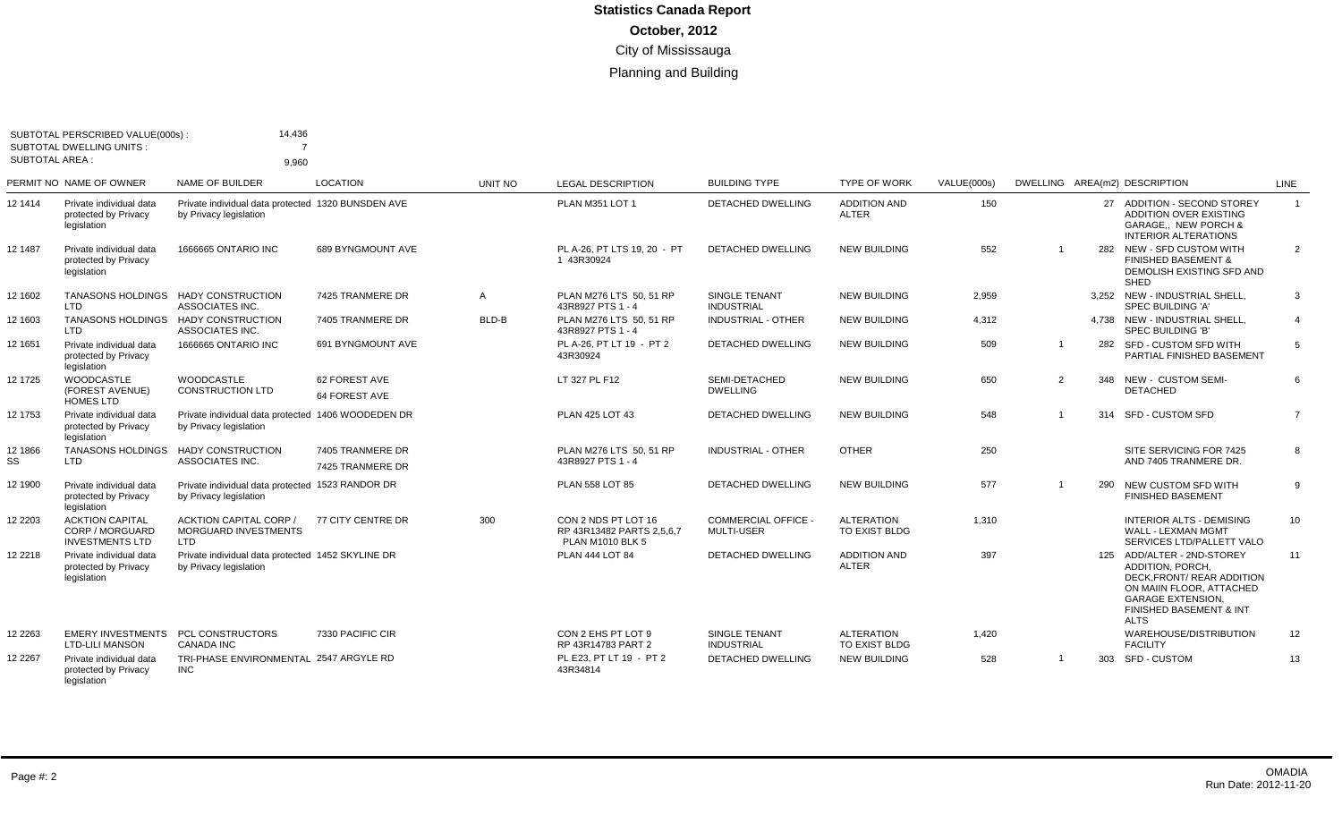| <b>SUBTOTAL AREA:</b> | SUBTOTAL PERSCRIBED VALUE(000s)<br><b>SUBTOTAL DWELLING UNITS:</b>  | 14,436<br>9.960                                                              |                                      |                |                                                                             |                                                 |                                           |             |                |     |                                                                                                                                                                                      |                |
|-----------------------|---------------------------------------------------------------------|------------------------------------------------------------------------------|--------------------------------------|----------------|-----------------------------------------------------------------------------|-------------------------------------------------|-------------------------------------------|-------------|----------------|-----|--------------------------------------------------------------------------------------------------------------------------------------------------------------------------------------|----------------|
|                       | PERMIT NO NAME OF OWNER                                             | NAME OF BUILDER                                                              | <b>LOCATION</b>                      | <b>UNIT NO</b> | <b>LEGAL DESCRIPTION</b>                                                    | <b>BUILDING TYPE</b>                            | <b>TYPE OF WORK</b>                       | VALUE(000s) |                |     | DWELLING AREA(m2) DESCRIPTION                                                                                                                                                        | LINE           |
| 12 1414               | Private individual data<br>protected by Privacy<br>legislation      | Private individual data protected 1320 BUNSDEN AVE<br>by Privacy legislation |                                      |                | PLAN M351 LOT 1                                                             | DETACHED DWELLING                               | <b>ADDITION AND</b><br><b>ALTER</b>       | 150         |                |     | 27 ADDITION - SECOND STOREY<br><b>ADDITION OVER EXISTING</b><br>GARAGE,, NEW PORCH &<br><b>INTERIOR ALTERATIONS</b>                                                                  | $\overline{1}$ |
| 12 1487               | Private individual data<br>protected by Privacy<br>legislation      | 1666665 ONTARIO INC                                                          | 689 BYNGMOUNT AVE                    |                | PL A-26. PT LTS 19, 20 - PT<br>1 43R30924                                   | DETACHED DWELLING                               | <b>NEW BUILDING</b>                       | 552         | $\overline{1}$ |     | 282 NEW - SFD CUSTOM WITH<br><b>FINISHED BASEMENT &amp;</b><br>DEMOLISH EXISTING SFD AND<br>SHED                                                                                     | $\overline{2}$ |
| 12 1602               | <b>TANASONS HOLDINGS</b><br>LTD.                                    | <b>HADY CONSTRUCTION</b><br>ASSOCIATES INC.                                  | 7425 TRANMERE DR                     | A              | PLAN M276 LTS 50, 51 RP<br>43R8927 PTS 1 - 4                                | SINGLE TENANT<br><b>INDUSTRIAL</b>              | <b>NEW BUILDING</b>                       | 2.959       |                |     | 3.252 NEW - INDUSTRIAL SHELL.<br><b>SPEC BUILDING 'A'</b>                                                                                                                            | 3              |
| 12 1603               | <b>TANASONS HOLDINGS</b><br><b>LTD</b>                              | <b>HADY CONSTRUCTION</b><br>ASSOCIATES INC.                                  | 7405 TRANMERE DR                     | BLD-B          | PLAN M276 LTS 50, 51 RP<br>43R8927 PTS 1 - 4                                | <b>INDUSTRIAL - OTHER</b>                       | <b>NEW BUILDING</b>                       | 4,312       |                |     | 4.738 NEW - INDUSTRIAL SHELL.<br>SPEC BUILDING 'B'                                                                                                                                   | $\overline{4}$ |
| 12 1651               | Private individual data<br>protected by Privacy<br>legislation      | 1666665 ONTARIO INC                                                          | 691 BYNGMOUNT AVE                    |                | PL A-26. PT LT 19 - PT 2<br>43R30924                                        | <b>DETACHED DWELLING</b>                        | <b>NEW BUILDING</b>                       | 509         | -1             |     | 282 SFD - CUSTOM SFD WITH<br>PARTIAL FINISHED BASEMENT                                                                                                                               | .5             |
| 12 1725               | <b>WOODCASTLE</b><br>(FOREST AVENUE)<br><b>HOMES LTD</b>            | <b>WOODCASTLE</b><br><b>CONSTRUCTION LTD</b>                                 | 62 FOREST AVE<br>64 FOREST AVE       |                | LT 327 PL F12                                                               | SEMI-DETACHED<br><b>DWELLING</b>                | <b>NEW BUILDING</b>                       | 650         | $\overline{2}$ |     | 348 NEW - CUSTOM SEMI-<br><b>DETACHED</b>                                                                                                                                            | 6              |
| 12 1753               | Private individual data<br>protected by Privacy<br>legislation      | Private individual data protected 1406 WOODEDEN DR<br>by Privacy legislation |                                      |                | PLAN 425 LOT 43                                                             | DETACHED DWELLING                               | <b>NEW BUILDING</b>                       | 548         | $\overline{1}$ |     | 314 SFD - CUSTOM SFD                                                                                                                                                                 | $\overline{7}$ |
| 12 1866<br>SS         | <b>TANASONS HOLDINGS</b><br><b>LTD</b>                              | <b>HADY CONSTRUCTION</b><br>ASSOCIATES INC.                                  | 7405 TRANMERE DR<br>7425 TRANMERE DR |                | PLAN M276 LTS 50, 51 RP<br>43R8927 PTS 1 - 4                                | <b>INDUSTRIAL - OTHER</b>                       | <b>OTHER</b>                              | 250         |                |     | SITE SERVICING FOR 7425<br>AND 7405 TRANMERE DR.                                                                                                                                     | 8              |
| 12 1900               | Private individual data<br>protected by Privacy<br>legislation      | Private individual data protected 1523 RANDOR DR<br>by Privacy legislation   |                                      |                | PLAN 558 LOT 85                                                             | <b>DETACHED DWELLING</b>                        | <b>NEW BUILDING</b>                       | 577         | -1             | 290 | NEW CUSTOM SFD WITH<br><b>FINISHED BASEMENT</b>                                                                                                                                      | -9             |
| 12 2203               | <b>ACKTION CAPITAL</b><br>CORP / MORGUARD<br><b>INVESTMENTS LTD</b> | <b>ACKTION CAPITAL CORP /</b><br><b>MORGUARD INVESTMENTS</b><br>LTD          | 77 CITY CENTRE DR                    | 300            | CON 2 NDS PT LOT 16<br>RP 43R13482 PARTS 2.5.6.7<br><b>PLAN M1010 BLK 5</b> | <b>COMMERCIAL OFFICE -</b><br><b>MULTI-USER</b> | <b>ALTERATION</b><br><b>TO EXIST BLDG</b> | 1.310       |                |     | INTERIOR ALTS - DEMISING<br><b>WALL - LEXMAN MGMT</b><br>SERVICES LTD/PALLETT VALO                                                                                                   | 10             |
| 12 2218               | Private individual data<br>protected by Privacy<br>legislation      | Private individual data protected 1452 SKYLINE DR<br>by Privacy legislation  |                                      |                | <b>PLAN 444 LOT 84</b>                                                      | <b>DETACHED DWELLING</b>                        | <b>ADDITION AND</b><br><b>ALTER</b>       | 397         |                |     | 125 ADD/ALTER - 2ND-STOREY<br><b>ADDITION, PORCH.</b><br>DECK.FRONT/ REAR ADDITION<br>ON MAIIN FLOOR. ATTACHED<br><b>GARAGE EXTENSION.</b><br>FINISHED BASEMENT & INT<br><b>ALTS</b> | 11             |
| 12 2263               | <b>EMERY INVESTMENTS</b><br><b>LTD-LILI MANSON</b>                  | <b>PCL CONSTRUCTORS</b><br><b>CANADA INC</b>                                 | 7330 PACIFIC CIR                     |                | CON 2 EHS PT LOT 9<br>RP 43R14783 PART 2                                    | SINGLE TENANT<br><b>INDUSTRIAL</b>              | <b>ALTERATION</b><br>TO EXIST BLDG        | 1,420       |                |     | WAREHOUSE/DISTRIBUTION<br><b>FACILITY</b>                                                                                                                                            | 12             |
| 12 2267               | Private individual data<br>protected by Privacy                     | TRI-PHASE ENVIRONMENTAL 2547 ARGYLE RD<br><b>INC</b>                         |                                      |                | PL E23. PT LT 19 - PT 2<br>43R34814                                         | <b>DETACHED DWELLING</b>                        | <b>NEW BUILDING</b>                       | 528         | -1             |     | 303 SFD - CUSTOM                                                                                                                                                                     | 13             |

legislation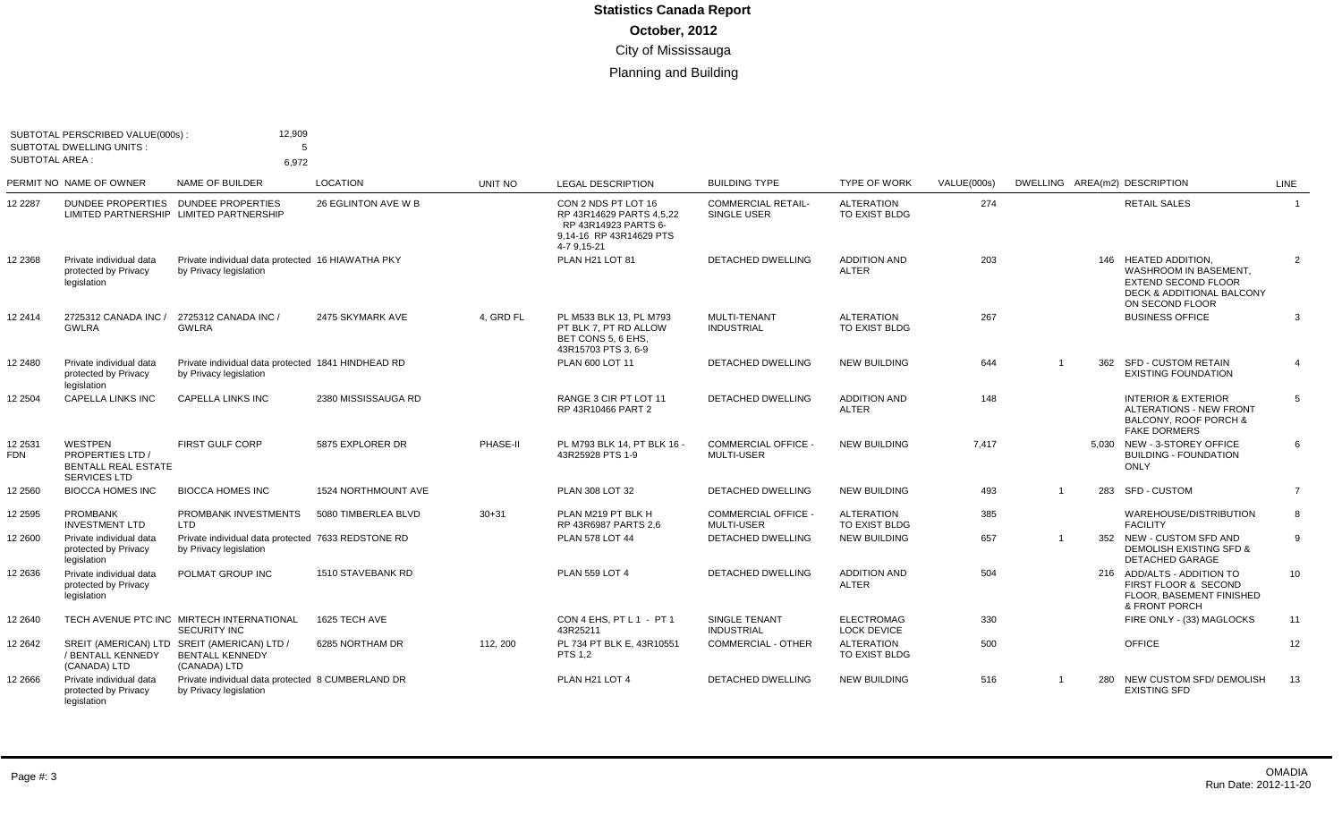| <b>SUBTOTAL AREA:</b> | SUBTOTAL PERSCRIBED VALUE(000s):<br><b>SUBTOTAL DWELLING UNITS:</b>                          | 12,909<br>5<br>6.972                                                                  |                     |           |                                                                                                                   |                                                 |                                         |             |     |                                                                                                                                        |                 |
|-----------------------|----------------------------------------------------------------------------------------------|---------------------------------------------------------------------------------------|---------------------|-----------|-------------------------------------------------------------------------------------------------------------------|-------------------------------------------------|-----------------------------------------|-------------|-----|----------------------------------------------------------------------------------------------------------------------------------------|-----------------|
|                       | PERMIT NO NAME OF OWNER                                                                      | NAME OF BUILDER                                                                       | <b>LOCATION</b>     | UNIT NO   | <b>LEGAL DESCRIPTION</b>                                                                                          | <b>BUILDING TYPE</b>                            | <b>TYPE OF WORK</b>                     | VALUE(000s) |     | DWELLING AREA(m2) DESCRIPTION                                                                                                          | LINE            |
| 12 2287               | DUNDEE PROPERTIES DUNDEE PROPERTIES<br>LIMITED PARTNERSHIP LIMITED PARTNERSHIP               |                                                                                       | 26 EGLINTON AVE W B |           | CON 2 NDS PT LOT 16<br>RP 43R14629 PARTS 4.5.22<br>RP 43R14923 PARTS 6-<br>9.14-16 RP 43R14629 PTS<br>4-7 9,15-21 | <b>COMMERCIAL RETAIL-</b><br><b>SINGLE USER</b> | <b>ALTERATION</b><br>TO EXIST BLDG      | 274         |     | <b>RETAIL SALES</b>                                                                                                                    | $\overline{1}$  |
| 12 2368               | Private individual data<br>protected by Privacy<br>legislation                               | Private individual data protected 16 HIAWATHA PKY<br>by Privacy legislation           |                     |           | PLAN H21 LOT 81                                                                                                   | DETACHED DWELLING                               | <b>ADDITION AND</b><br><b>ALTER</b>     | 203         |     | 146 HEATED ADDITION,<br>WASHROOM IN BASEMENT,<br><b>EXTEND SECOND FLOOR</b><br><b>DECK &amp; ADDITIONAL BALCONY</b><br>ON SECOND FLOOR | 2               |
| 12 2414               | 2725312 CANADA INC /<br><b>GWLRA</b>                                                         | 2725312 CANADA INC /<br><b>GWLRA</b>                                                  | 2475 SKYMARK AVE    | 4, GRD FL | PL M533 BLK 13, PL M793<br>PT BLK 7. PT RD ALLOW<br>BET CONS 5. 6 EHS.<br>43R15703 PTS 3, 6-9                     | MULTI-TENANT<br><b>INDUSTRIAL</b>               | <b>ALTERATION</b><br>TO EXIST BLDG      | 267         |     | <b>BUSINESS OFFICE</b>                                                                                                                 | 3               |
| 12 2480               | Private individual data<br>protected by Privacy<br>legislation                               | Private individual data protected 1841 HINDHEAD RD<br>by Privacy legislation          |                     |           | PLAN 600 LOT 11                                                                                                   | <b>DETACHED DWELLING</b>                        | <b>NEW BUILDING</b>                     | 644         |     | 362 SFD - CUSTOM RETAIN<br><b>EXISTING FOUNDATION</b>                                                                                  | $\overline{4}$  |
| 12 2504               | <b>CAPELLA LINKS INC</b>                                                                     | <b>CAPELLA LINKS INC</b>                                                              | 2380 MISSISSAUGA RD |           | RANGE 3 CIR PT LOT 11<br>RP 43R10466 PART 2                                                                       | <b>DETACHED DWELLING</b>                        | <b>ADDITION AND</b><br><b>ALTER</b>     | 148         |     | <b>INTERIOR &amp; EXTERIOR</b><br>ALTERATIONS - NEW FRONT<br>BALCONY, ROOF PORCH &<br><b>FAKE DORMERS</b>                              | 5               |
| 12 2531<br>FDN        | <b>WESTPEN</b><br><b>PROPERTIES LTD</b><br><b>BENTALL REAL ESTATE</b><br><b>SERVICES LTD</b> | <b>FIRST GULF CORP</b>                                                                | 5875 EXPLORER DR    | PHASE-II  | PL M793 BLK 14. PT BLK 16 -<br>43R25928 PTS 1-9                                                                   | COMMERCIAL OFFICE -<br><b>MULTI-USER</b>        | <b>NEW BUILDING</b>                     | 7.417       |     | 5.030 NEW - 3-STOREY OFFICE<br><b>BUILDING - FOUNDATION</b><br><b>ONLY</b>                                                             | 6               |
| 2 2 5 6 0             | <b>BIOCCA HOMES INC</b>                                                                      | <b>BIOCCA HOMES INC</b>                                                               | 1524 NORTHMOUNT AVE |           | PLAN 308 LOT 32                                                                                                   | DETACHED DWELLING                               | <b>NEW BUILDING</b>                     | 493         | 283 | <b>SFD - CUSTOM</b>                                                                                                                    | $\overline{7}$  |
| 2 2 5 9 5             | <b>PROMBANK</b><br><b>INVESTMENT LTD</b>                                                     | PROMBANK INVESTMENTS<br>LTD                                                           | 5080 TIMBERLEA BLVD | $30 + 31$ | PLAN M219 PT BLK H<br>RP 43R6987 PARTS 2.6                                                                        | <b>COMMERCIAL OFFICE -</b><br><b>MULTI-USER</b> | <b>ALTERATION</b><br>TO EXIST BLDG      | 385         |     | WAREHOUSE/DISTRIBUTION<br><b>FACILITY</b>                                                                                              | 8               |
| 12 2600               | Private individual data<br>protected by Privacy<br>legislation                               | Private individual data protected 7633 REDSTONE RD<br>by Privacy legislation          |                     |           | <b>PLAN 578 LOT 44</b>                                                                                            | <b>DETACHED DWELLING</b>                        | <b>NEW BUILDING</b>                     | 657         |     | 352 NEW - CUSTOM SFD AND<br><b>DEMOLISH EXISTING SFD &amp;</b><br>DETACHED GARAGE                                                      | 9               |
| 12 2636               | Private individual data<br>protected by Privacy<br>legislation                               | POLMAT GROUP INC                                                                      | 1510 STAVEBANK RD   |           | <b>PLAN 559 LOT 4</b>                                                                                             | <b>DETACHED DWELLING</b>                        | <b>ADDITION AND</b><br><b>ALTER</b>     | 504         |     | 216 ADD/ALTS - ADDITION TO<br>FIRST FLOOR & SECOND<br>FLOOR, BASEMENT FINISHED<br>& FRONT PORCH                                        | 10 <sup>°</sup> |
| 12 2640               |                                                                                              | TECH AVENUE PTC INC MIRTECH INTERNATIONAL<br><b>SECURITY INC</b>                      | 1625 TECH AVE       |           | CON 4 EHS. PT L 1 - PT 1<br>43R25211                                                                              | <b>SINGLE TENANT</b><br><b>INDUSTRIAL</b>       | <b>ELECTROMAG</b><br><b>LOCK DEVICE</b> | 330         |     | FIRE ONLY - (33) MAGLOCKS                                                                                                              | 11              |
| 12 2642               | / BENTALL KENNEDY<br>(CANADA) LTD                                                            | SREIT (AMERICAN) LTD SREIT (AMERICAN) LTD /<br><b>BENTALL KENNEDY</b><br>(CANADA) LTD | 6285 NORTHAM DR     | 112, 200  | PL 734 PT BLK E, 43R10551<br><b>PTS 1,2</b>                                                                       | <b>COMMERCIAL - OTHER</b>                       | <b>ALTERATION</b><br>TO EXIST BLDG      | 500         |     | <b>OFFICE</b>                                                                                                                          | 12              |
| 12 2666               | Private individual data<br>protected by Privacy<br>legislation                               | Private individual data protected 8 CUMBERLAND DR<br>by Privacy legislation           |                     |           | PLAN H21 LOT 4                                                                                                    | <b>DETACHED DWELLING</b>                        | <b>NEW BUILDING</b>                     | 516         |     | 280 NEW CUSTOM SFD/ DEMOLISH<br><b>EXISTING SFD</b>                                                                                    | 13              |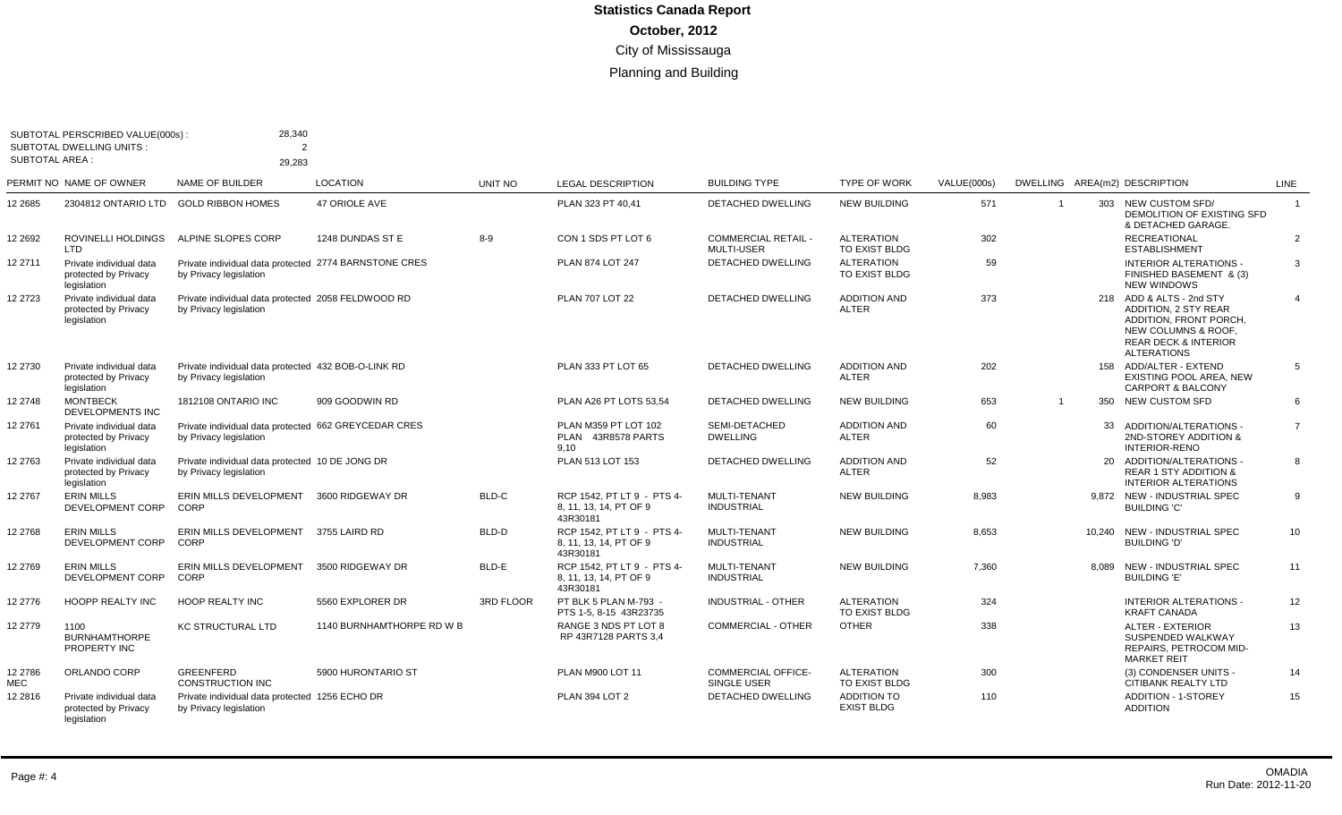| SUBTOTAL AREA : | SUBTOTAL PERSCRIBED VALUE(000s):<br><b>SUBTOTAL DWELLING UNITS:</b> | 28,340<br>$\overline{2}$<br>29.283                                              |                           |           |                                                                  |                                                 |                                         |             |                |       |                                                                                                                                                                   |                |
|-----------------|---------------------------------------------------------------------|---------------------------------------------------------------------------------|---------------------------|-----------|------------------------------------------------------------------|-------------------------------------------------|-----------------------------------------|-------------|----------------|-------|-------------------------------------------------------------------------------------------------------------------------------------------------------------------|----------------|
|                 | PERMIT NO NAME OF OWNER                                             | <b>NAME OF BUILDER</b>                                                          | <b>LOCATION</b>           | UNIT NO   | <b>LEGAL DESCRIPTION</b>                                         | <b>BUILDING TYPE</b>                            | <b>TYPE OF WORK</b>                     | VALUE(000s) |                |       | DWELLING AREA(m2) DESCRIPTION                                                                                                                                     | <b>LINE</b>    |
| 12 2685         | 2304812 ONTARIO LTD                                                 | <b>GOLD RIBBON HOMES</b>                                                        | 47 ORIOLE AVE             |           | PLAN 323 PT 40,41                                                | DETACHED DWELLING                               | <b>NEW BUILDING</b>                     | 571         | $\overline{1}$ |       | 303 NEW CUSTOM SFD/<br>DEMOLITION OF EXISTING SFD<br>& DETACHED GARAGE.                                                                                           | $\overline{1}$ |
| 12 2692         | ROVINELLI HOLDINGS<br><b>LTD</b>                                    | ALPINE SLOPES CORP                                                              | 1248 DUNDAS ST E          | $8-9$     | CON 1 SDS PT LOT 6                                               | <b>COMMERCIAL RETAIL -</b><br><b>MULTI-USER</b> | <b>ALTERATION</b><br>TO EXIST BLDG      | 302         |                |       | <b>RECREATIONAL</b><br><b>ESTABLISHMENT</b>                                                                                                                       | $\overline{2}$ |
| 12 2711         | Private individual data<br>protected by Privacy<br>legislation      | Private individual data protected 2774 BARNSTONE CRES<br>by Privacy legislation |                           |           | PLAN 874 LOT 247                                                 | DETACHED DWELLING                               | <b>ALTERATION</b><br>TO EXIST BLDG      | 59          |                |       | <b>INTERIOR ALTERATIONS -</b><br>FINISHED BASEMENT & (3)<br><b>NEW WINDOWS</b>                                                                                    | 3              |
| 12 2723         | Private individual data<br>protected by Privacy<br>legislation      | Private individual data protected 2058 FELDWOOD RD<br>by Privacy legislation    |                           |           | <b>PLAN 707 LOT 22</b>                                           | <b>DETACHED DWELLING</b>                        | <b>ADDITION AND</b><br><b>ALTER</b>     | 373         |                |       | 218 ADD & ALTS - 2nd STY<br><b>ADDITION, 2 STY REAR</b><br>ADDITION, FRONT PORCH,<br>NEW COLUMNS & ROOF,<br><b>REAR DECK &amp; INTERIOR</b><br><b>ALTERATIONS</b> | $\overline{4}$ |
| 12 2730         | Private individual data<br>protected by Privacy<br>legislation      | Private individual data protected 432 BOB-O-LINK RD<br>by Privacy legislation   |                           |           | PLAN 333 PT LOT 65                                               | DETACHED DWELLING                               | <b>ADDITION AND</b><br><b>ALTER</b>     | 202         |                |       | 158 ADD/ALTER - EXTEND<br>EXISTING POOL AREA, NEW<br><b>CARPORT &amp; BALCONY</b>                                                                                 | 5              |
| 12 2748         | <b>MONTBECK</b><br><b>DEVELOPMENTS INC</b>                          | <b>1812108 ONTARIO INC</b>                                                      | 909 GOODWIN RD            |           | PLAN A26 PT LOTS 53.54                                           | <b>DETACHED DWELLING</b>                        | <b>NEW BUILDING</b>                     | 653         | $\overline{1}$ |       | 350 NEW CUSTOM SFD                                                                                                                                                | 6              |
| 12 2761         | Private individual data<br>protected by Privacy<br>legislation      | Private individual data protected 662 GREYCEDAR CRES<br>by Privacy legislation  |                           |           | PLAN M359 PT LOT 102<br>PLAN 43R8578 PARTS<br>9,10               | SEMI-DETACHED<br><b>DWELLING</b>                | <b>ADDITION AND</b><br><b>ALTER</b>     | 60          |                |       | 33 ADDITION/ALTERATIONS -<br>2ND-STOREY ADDITION &<br><b>INTERIOR-RENO</b>                                                                                        | $\overline{7}$ |
| 12 2763         | Private individual data<br>protected by Privacy<br>legislation      | Private individual data protected 10 DE JONG DR<br>by Privacy legislation       |                           |           | PLAN 513 LOT 153                                                 | DETACHED DWELLING                               | <b>ADDITION AND</b><br><b>ALTER</b>     | 52          |                |       | 20 ADDITION/ALTERATIONS -<br><b>REAR 1 STY ADDITION &amp;</b><br><b>INTERIOR ALTERATIONS</b>                                                                      | 8              |
| 12 2767         | <b>ERIN MILLS</b><br>DEVELOPMENT CORP                               | ERIN MILLS DEVELOPMENT<br>CORP                                                  | 3600 RIDGEWAY DR          | BLD-C     | RCP 1542. PT LT 9 - PTS 4-<br>8, 11, 13, 14, PT OF 9<br>43R30181 | <b>MULTI-TENANT</b><br><b>INDUSTRIAL</b>        | <b>NEW BUILDING</b>                     | 8.983       |                |       | 9,872 NEW - INDUSTRIAL SPEC<br><b>BUILDING 'C'</b>                                                                                                                | 9              |
| 12 2768         | <b>ERIN MILLS</b><br>DEVELOPMENT CORP                               | ERIN MILLS DEVELOPMENT 3755 LAIRD RD<br>CORP                                    |                           | BLD-D     | RCP 1542. PT LT 9 - PTS 4-<br>8, 11, 13, 14, PT OF 9<br>43R30181 | <b>MULTI-TENANT</b><br><b>INDUSTRIAL</b>        | <b>NEW BUILDING</b>                     | 8,653       |                |       | 10.240 NEW - INDUSTRIAL SPEC<br><b>BUILDING 'D'</b>                                                                                                               | 10             |
| 12 2769         | <b>ERIN MILLS</b><br>DEVELOPMENT CORP                               | ERIN MILLS DEVELOPMENT<br>CORP                                                  | 3500 RIDGEWAY DR          | BLD-E     | RCP 1542. PT LT 9 - PTS 4-<br>8, 11, 13, 14, PT OF 9<br>43R30181 | <b>MULTI-TENANT</b><br><b>INDUSTRIAL</b>        | <b>NEW BUILDING</b>                     | 7,360       |                | 8.089 | NEW - INDUSTRIAL SPEC<br><b>BUILDING 'E'</b>                                                                                                                      | 11             |
| 12 2776         | <b>HOOPP REALTY INC</b>                                             | <b>HOOP REALTY INC</b>                                                          | 5560 EXPLORER DR          | 3RD FLOOR | PT BLK 5 PLAN M-793 -<br>PTS 1-5, 8-15 43R23735                  | <b>INDUSTRIAL - OTHER</b>                       | <b>ALTERATION</b><br>TO EXIST BLDG      | 324         |                |       | <b>INTERIOR ALTERATIONS -</b><br><b>KRAFT CANADA</b>                                                                                                              | 12             |
| 12 2779         | 1100<br><b>BURNHAMTHORPE</b><br>PROPERTY INC                        | <b>KC STRUCTURAL LTD</b>                                                        | 1140 BURNHAMTHORPE RD W B |           | RANGE 3 NDS PT LOT 8<br>RP 43R7128 PARTS 3.4                     | COMMERCIAL - OTHER                              | <b>OTHER</b>                            | 338         |                |       | <b>ALTER - EXTERIOR</b><br>SUSPENDED WALKWAY<br>REPAIRS, PETROCOM MID-<br><b>MARKET REIT</b>                                                                      | 13             |
| 12 2786<br>MEC  | ORLANDO CORP                                                        | <b>GREENFERD</b><br><b>CONSTRUCTION INC</b>                                     | 5900 HURONTARIO ST        |           | PLAN M900 LOT 11                                                 | <b>COMMERCIAL OFFICE-</b><br>SINGLE USER        | <b>ALTERATION</b><br>TO EXIST BLDG      | 300         |                |       | (3) CONDENSER UNITS -<br><b>CITIBANK REALTY LTD</b>                                                                                                               | 14             |
| 12 28 16        | Private individual data<br>protected by Privacy<br>legislation      | Private individual data protected 1256 ECHO DR<br>by Privacy legislation        |                           |           | <b>PLAN 394 LOT 2</b>                                            | DETACHED DWELLING                               | <b>ADDITION TO</b><br><b>EXIST BLDG</b> | 110         |                |       | <b>ADDITION - 1-STOREY</b><br><b>ADDITION</b>                                                                                                                     | 15             |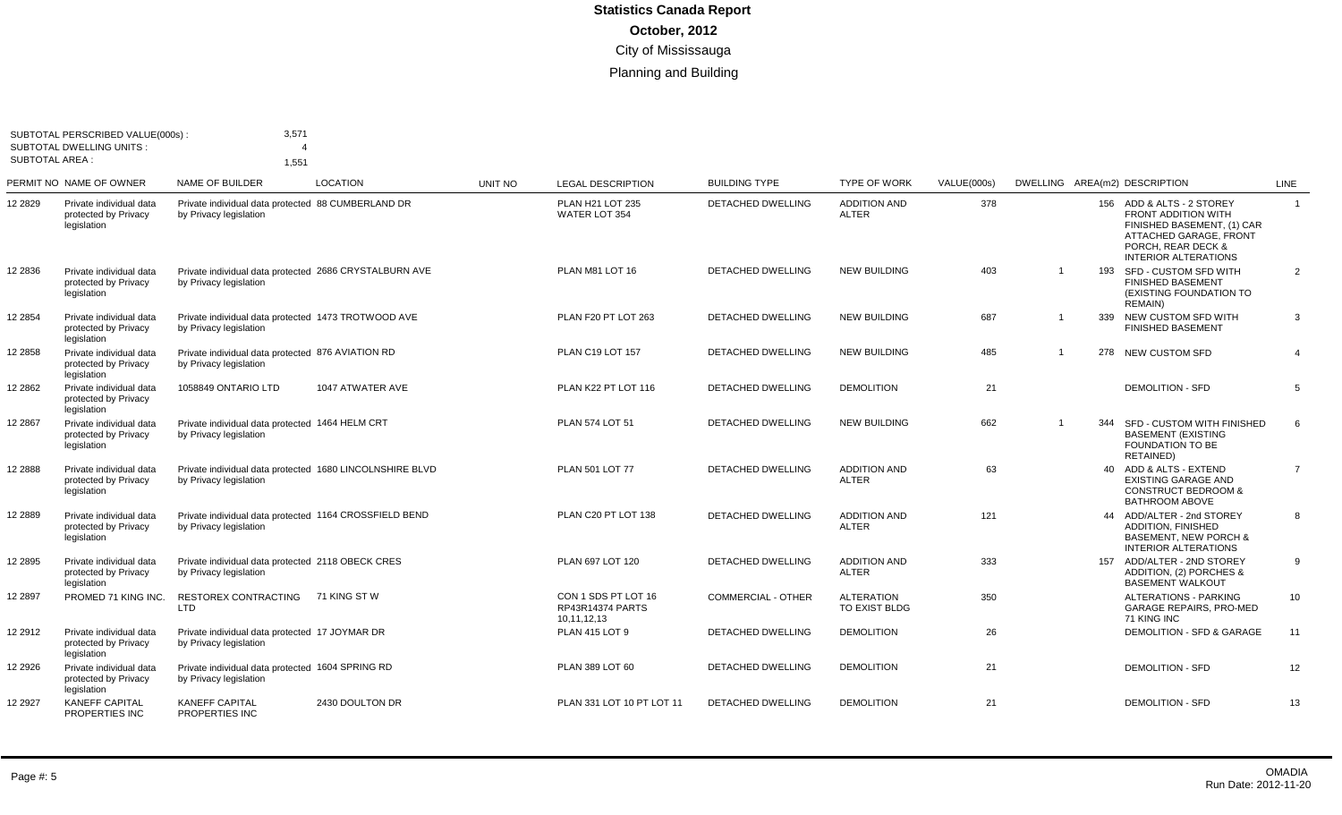|         | SUBTOTAL PERSCRIBED VALUE(000s)<br><b>SUBTOTAL DWELLING UNITS:</b><br><b>SUBTOTAL AREA:</b> | 3,571<br>1.551                                                                     |                  |         |                                                        |                           |                                     |             |                |     |                                                                                                                                                                      |                |
|---------|---------------------------------------------------------------------------------------------|------------------------------------------------------------------------------------|------------------|---------|--------------------------------------------------------|---------------------------|-------------------------------------|-------------|----------------|-----|----------------------------------------------------------------------------------------------------------------------------------------------------------------------|----------------|
|         | PERMIT NO NAME OF OWNER                                                                     | <b>NAME OF BUILDER</b>                                                             | <b>LOCATION</b>  | UNIT NO | <b>LEGAL DESCRIPTION</b>                               | <b>BUILDING TYPE</b>      | <b>TYPE OF WORK</b>                 | VALUE(000s) |                |     | DWELLING AREA(m2) DESCRIPTION                                                                                                                                        | <b>LINE</b>    |
| 12 2829 | Private individual data<br>protected by Privacy<br>legislation                              | Private individual data protected 88 CUMBERLAND DR<br>by Privacy legislation       |                  |         | PLAN H21 LOT 235<br><b>WATER LOT 354</b>               | <b>DETACHED DWELLING</b>  | <b>ADDITION AND</b><br><b>ALTER</b> | 378         |                |     | 156 ADD & ALTS - 2 STOREY<br><b>FRONT ADDITION WITH</b><br>FINISHED BASEMENT, (1) CAR<br>ATTACHED GARAGE, FRONT<br>PORCH. REAR DECK &<br><b>INTERIOR ALTERATIONS</b> | $\overline{1}$ |
| 12 2836 | Private individual data<br>protected by Privacy<br>legislation                              | Private individual data protected 2686 CRYSTALBURN AVE<br>by Privacy legislation   |                  |         | PLAN M81 LOT 16                                        | <b>DETACHED DWELLING</b>  | <b>NEW BUILDING</b>                 | 403         |                | 193 | SFD - CUSTOM SFD WITH<br><b>FINISHED BASEMENT</b><br>(EXISTING FOUNDATION TO<br>REMAIN)                                                                              | 2              |
| 12 2854 | Private individual data<br>protected by Privacy<br>legislation                              | Private individual data protected 1473 TROTWOOD AVE<br>by Privacy legislation      |                  |         | PLAN F20 PT LOT 263                                    | <b>DETACHED DWELLING</b>  | <b>NEW BUILDING</b>                 | 687         | -1             | 339 | NEW CUSTOM SFD WITH<br><b>FINISHED BASEMENT</b>                                                                                                                      | 3              |
| 12 2858 | Private individual data<br>protected by Privacy<br>legislation                              | Private individual data protected 876 AVIATION RD<br>by Privacy legislation        |                  |         | PLAN C19 LOT 157                                       | <b>DETACHED DWELLING</b>  | <b>NEW BUILDING</b>                 | 485         | -1             |     | 278 NEW CUSTOM SFD                                                                                                                                                   | $\overline{4}$ |
| 12 2862 | Private individual data<br>protected by Privacy<br>legislation                              | 1058849 ONTARIO LTD                                                                | 1047 ATWATER AVE |         | PLAN K22 PT LOT 116                                    | <b>DETACHED DWELLING</b>  | <b>DEMOLITION</b>                   | 21          |                |     | <b>DEMOLITION - SFD</b>                                                                                                                                              | 5              |
| 12 2867 | Private individual data<br>protected by Privacy<br>legislation                              | Private individual data protected 1464 HELM CRT<br>by Privacy legislation          |                  |         | <b>PLAN 574 LOT 51</b>                                 | <b>DETACHED DWELLING</b>  | <b>NEW BUILDING</b>                 | 662         | $\overline{ }$ | 344 | SFD - CUSTOM WITH FINISHED<br><b>BASEMENT (EXISTING</b><br><b>FOUNDATION TO BE</b><br>RETAINED)                                                                      | 6              |
| 12 2888 | Private individual data<br>protected by Privacy<br>legislation                              | Private individual data protected 1680 LINCOLNSHIRE BLVD<br>by Privacy legislation |                  |         | PLAN 501 LOT 77                                        | DETACHED DWELLING         | <b>ADDITION AND</b><br><b>ALTER</b> | 63          |                |     | 40 ADD & ALTS - EXTEND<br><b>EXISTING GARAGE AND</b><br><b>CONSTRUCT BEDROOM &amp;</b><br><b>BATHROOM ABOVE</b>                                                      | $\overline{7}$ |
| 12 2889 | Private individual data<br>protected by Privacy<br>legislation                              | Private individual data protected 1164 CROSSFIELD BEND<br>by Privacy legislation   |                  |         | PLAN C20 PT LOT 138                                    | <b>DETACHED DWELLING</b>  | <b>ADDITION AND</b><br><b>ALTER</b> | 121         |                |     | 44 ADD/ALTER - 2nd STOREY<br><b>ADDITION, FINISHED</b><br><b>BASEMENT, NEW PORCH &amp;</b><br>INTERIOR ALTERATIONS                                                   | 8              |
| 12 2895 | Private individual data<br>protected by Privacy<br>legislation                              | Private individual data protected 2118 OBECK CRES<br>by Privacy legislation        |                  |         | PLAN 697 LOT 120                                       | <b>DETACHED DWELLING</b>  | <b>ADDITION AND</b><br><b>ALTER</b> | 333         |                |     | 157 ADD/ALTER - 2ND STOREY<br>ADDITION, (2) PORCHES &<br><b>BASEMENT WALKOUT</b>                                                                                     | 9              |
| 12 2897 | PROMED 71 KING INC.                                                                         | RESTOREX CONTRACTING<br><b>LTD</b>                                                 | 71 KING ST W     |         | CON 1 SDS PT LOT 16<br>RP43R14374 PARTS<br>10,11,12,13 | <b>COMMERCIAL - OTHER</b> | <b>ALTERATION</b><br>TO EXIST BLDG  | 350         |                |     | <b>ALTERATIONS - PARKING</b><br><b>GARAGE REPAIRS, PRO-MED</b><br>71 KING INC                                                                                        | 10             |
| 12 2912 | Private individual data<br>protected by Privacy<br>legislation                              | Private individual data protected 17 JOYMAR DR<br>by Privacy legislation           |                  |         | <b>PLAN 415 LOT 9</b>                                  | <b>DETACHED DWELLING</b>  | <b>DEMOLITION</b>                   | 26          |                |     | DEMOLITION - SFD & GARAGE                                                                                                                                            | 11             |
| 12 2926 | Private individual data<br>protected by Privacv<br>legislation                              | Private individual data protected 1604 SPRING RD<br>by Privacy legislation         |                  |         | PLAN 389 LOT 60                                        | <b>DETACHED DWELLING</b>  | <b>DEMOLITION</b>                   | 21          |                |     | <b>DEMOLITION - SFD</b>                                                                                                                                              | 12             |
| 12 2927 | <b>KANEFF CAPITAL</b><br>PROPERTIES INC                                                     | <b>KANEFF CAPITAL</b><br>PROPERTIES INC                                            | 2430 DOULTON DR  |         | PLAN 331 LOT 10 PT LOT 11                              | <b>DETACHED DWELLING</b>  | <b>DEMOLITION</b>                   | 21          |                |     | <b>DEMOLITION - SFD</b>                                                                                                                                              | 13             |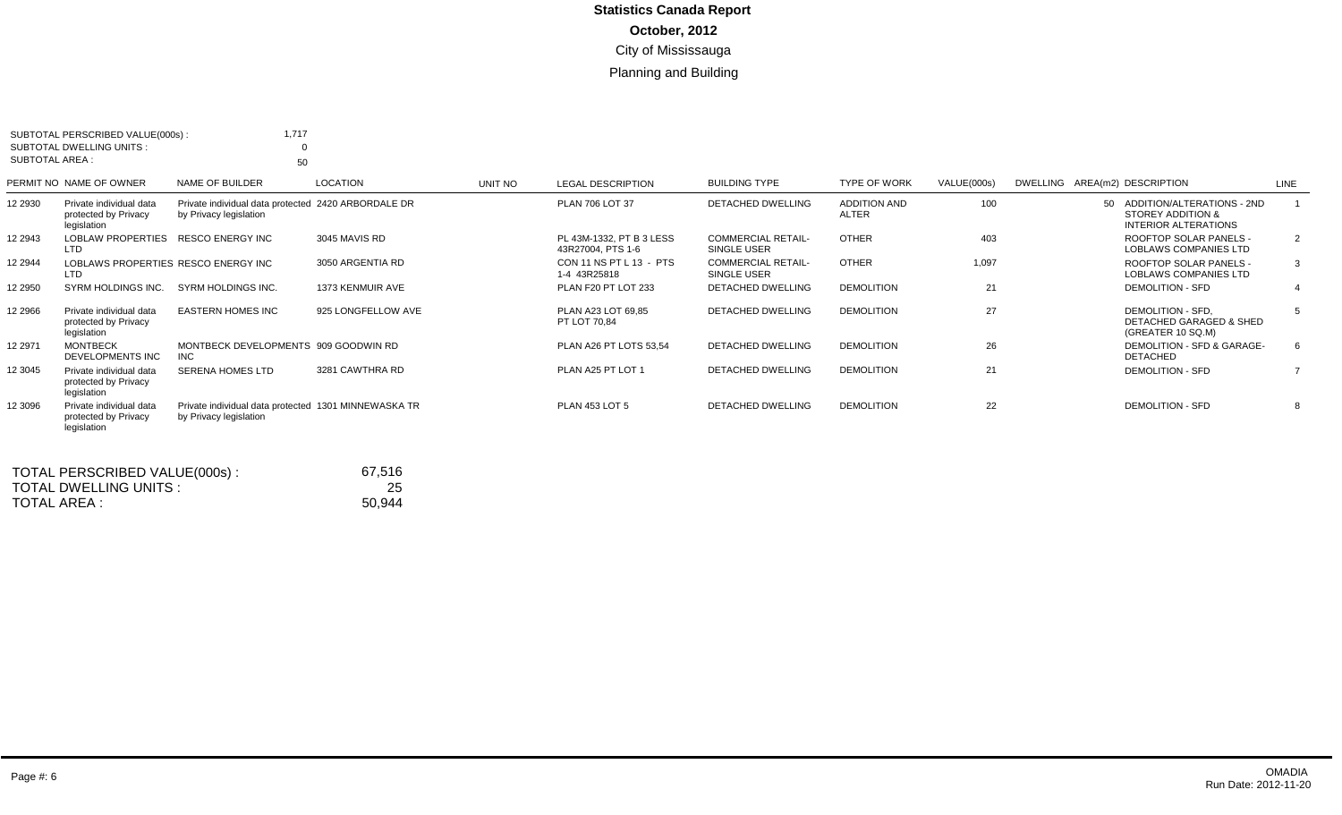| SUBTOTAL PERSCRIBED VALUE(000s):<br>SUBTOTAL DWELLING UNITS:<br><b>SUBTOTAL AREA:</b> |                                                 | 1.717<br>0<br>50                                                               |                    |         |                                               |                                                 |                                     |             |                                                                              |                |
|---------------------------------------------------------------------------------------|-------------------------------------------------|--------------------------------------------------------------------------------|--------------------|---------|-----------------------------------------------|-------------------------------------------------|-------------------------------------|-------------|------------------------------------------------------------------------------|----------------|
| PERMIT NO NAME OF OWNER                                                               |                                                 | NAME OF BUILDER                                                                | <b>LOCATION</b>    | UNIT NO | <b>LEGAL DESCRIPTION</b>                      | <b>BUILDING TYPE</b>                            | <b>TYPE OF WORK</b>                 | VALUE(000s) | DWELLING AREA(m2) DESCRIPTION                                                | LINE           |
| 12 2930<br>legislation                                                                | Private individual data<br>protected by Privacy | Private individual data protected 2420 ARBORDALE DR<br>by Privacy legislation  |                    |         | PLAN 706 LOT 37                               | DETACHED DWELLING                               | <b>ADDITION AND</b><br><b>ALTER</b> | 100         | 50 ADDITION/ALTERATIONS - 2ND<br>STOREY ADDITION &<br>INTERIOR ALTERATIONS   |                |
| 12 2943<br><b>LTD</b>                                                                 | <b>LOBLAW PROPERTIES</b>                        | <b>RESCO ENERGY INC</b>                                                        | 3045 MAVIS RD      |         | PL 43M-1332, PT B 3 LESS<br>43R27004, PTS 1-6 | <b>COMMERCIAL RETAIL-</b><br><b>SINGLE USER</b> | <b>OTHER</b>                        | 403         | ROOFTOP SOLAR PANELS -<br>LOBLAWS COMPANIES LTD                              | $\overline{2}$ |
| 12 2944<br><b>LTD</b>                                                                 |                                                 | LOBLAWS PROPERTIES RESCO ENERGY INC                                            | 3050 ARGENTIA RD   |         | CON 11 NS PT L 13 - PTS<br>1-4 43R25818       | <b>COMMERCIAL RETAIL-</b><br>SINGLE USER        | <b>OTHER</b>                        | 1,097       | ROOFTOP SOLAR PANELS -<br>LOBLAWS COMPANIES LTD                              | 3              |
| 12 2950                                                                               | SYRM HOLDINGS INC.                              | SYRM HOLDINGS INC.                                                             | 1373 KENMUIR AVE   |         | PLAN F20 PT LOT 233                           | <b>DETACHED DWELLING</b>                        | <b>DEMOLITION</b>                   | 21          | <b>DEMOLITION - SFD</b>                                                      |                |
| 12 2966<br>legislation                                                                | Private individual data<br>protected by Privacy | <b>EASTERN HOMES INC</b>                                                       | 925 LONGFELLOW AVE |         | PLAN A23 LOT 69.85<br>PT LOT 70,84            | <b>DETACHED DWELLING</b>                        | <b>DEMOLITION</b>                   | 27          | DEMOLITION - SFD.<br><b>DETACHED GARAGED &amp; SHED</b><br>(GREATER 10 SQ.M) | -5             |
| <b>MONTBECK</b><br>12 2971                                                            | DEVELOPMENTS INC                                | MONTBECK DEVELOPMENTS 909 GOODWIN RD<br>INC.                                   |                    |         | PLAN A26 PT LOTS 53,54                        | <b>DETACHED DWELLING</b>                        | <b>DEMOLITION</b>                   | 26          | DEMOLITION - SFD & GARAGE-<br><b>DETACHED</b>                                | 6              |
| 12 3045<br>legislation                                                                | Private individual data<br>protected by Privacy | SERENA HOMES LTD                                                               | 3281 CAWTHRA RD    |         | PLAN A25 PT LOT 1                             | DETACHED DWELLING                               | <b>DEMOLITION</b>                   | 21          | <b>DEMOLITION - SFD</b>                                                      |                |
| 12 3096<br>legislation                                                                | Private individual data<br>protected by Privacy | Private individual data protected 1301 MINNEWASKA TR<br>by Privacy legislation |                    |         | <b>PLAN 453 LOT 5</b>                         | <b>DETACHED DWELLING</b>                        | <b>DEMOLITION</b>                   | 22          | <b>DEMOLITION - SFD</b>                                                      |                |

| TOTAL PERSCRIBED VALUE(000s): | 67.516 |
|-------------------------------|--------|
| TOTAL DWELLING UNITS:         | 25     |
| TOTAL AREA :                  | 50.944 |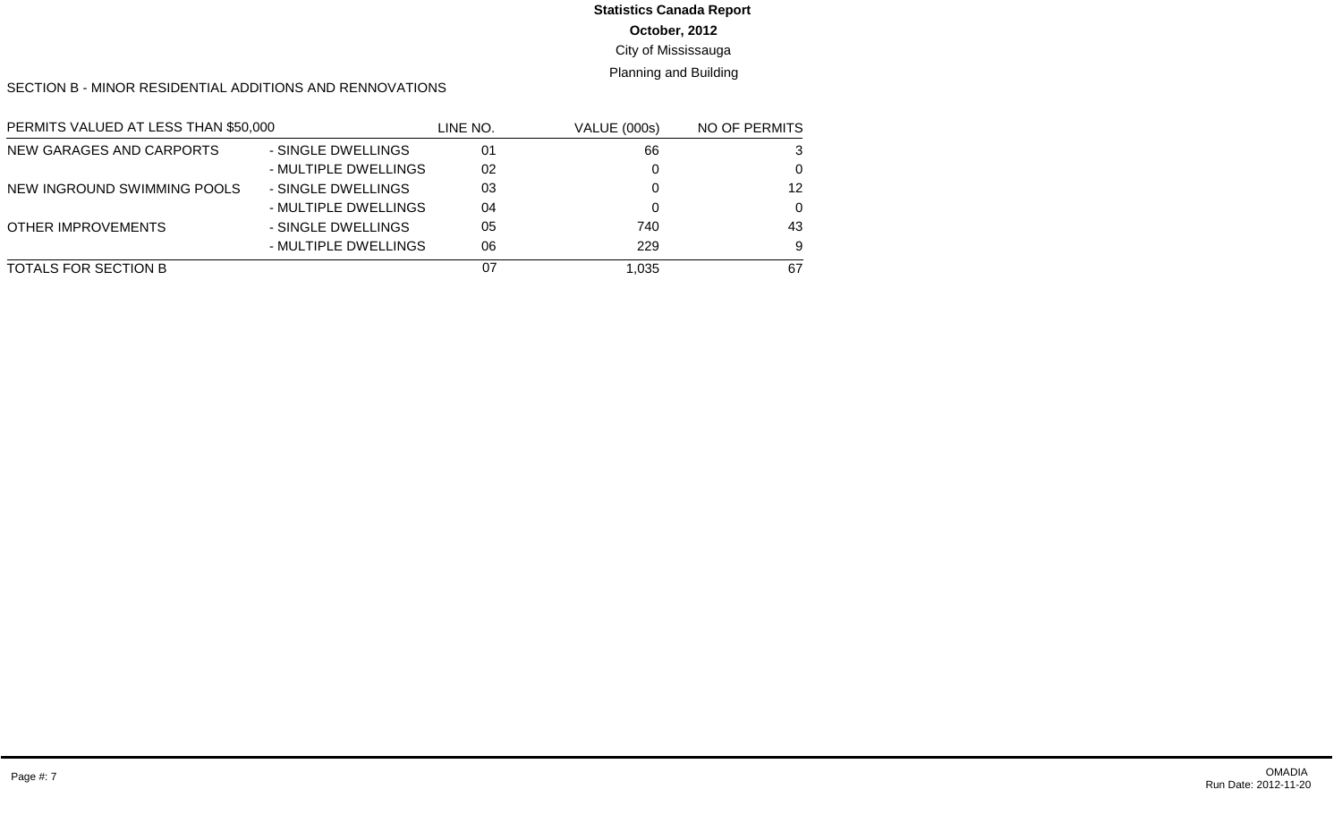**October, 2012**

City of Mississauga

Planning and Building

SECTION B - MINOR RESIDENTIAL ADDITIONS AND RENNOVATIONS

| PERMITS VALUED AT LESS THAN \$50,000 |                      | LINE NO. | <b>VALUE (000s)</b> | <b>NO OF PERMITS</b> |
|--------------------------------------|----------------------|----------|---------------------|----------------------|
| NEW GARAGES AND CARPORTS             | - SINGLE DWELLINGS   | 01       | 66                  | 3                    |
|                                      | - MULTIPLE DWELLINGS | 02       |                     | $\Omega$             |
| NEW INGROUND SWIMMING POOLS          | - SINGLE DWELLINGS   | 03       |                     | 12                   |
|                                      | - MULTIPLE DWELLINGS | 04       |                     | $\Omega$             |
| OTHER IMPROVEMENTS                   | - SINGLE DWELLINGS   | 05       | 740                 | 43                   |
|                                      | - MULTIPLE DWELLINGS | 06       | 229                 | 9                    |
| TOTALS FOR SECTION B                 |                      | 07       | 1,035               | 67                   |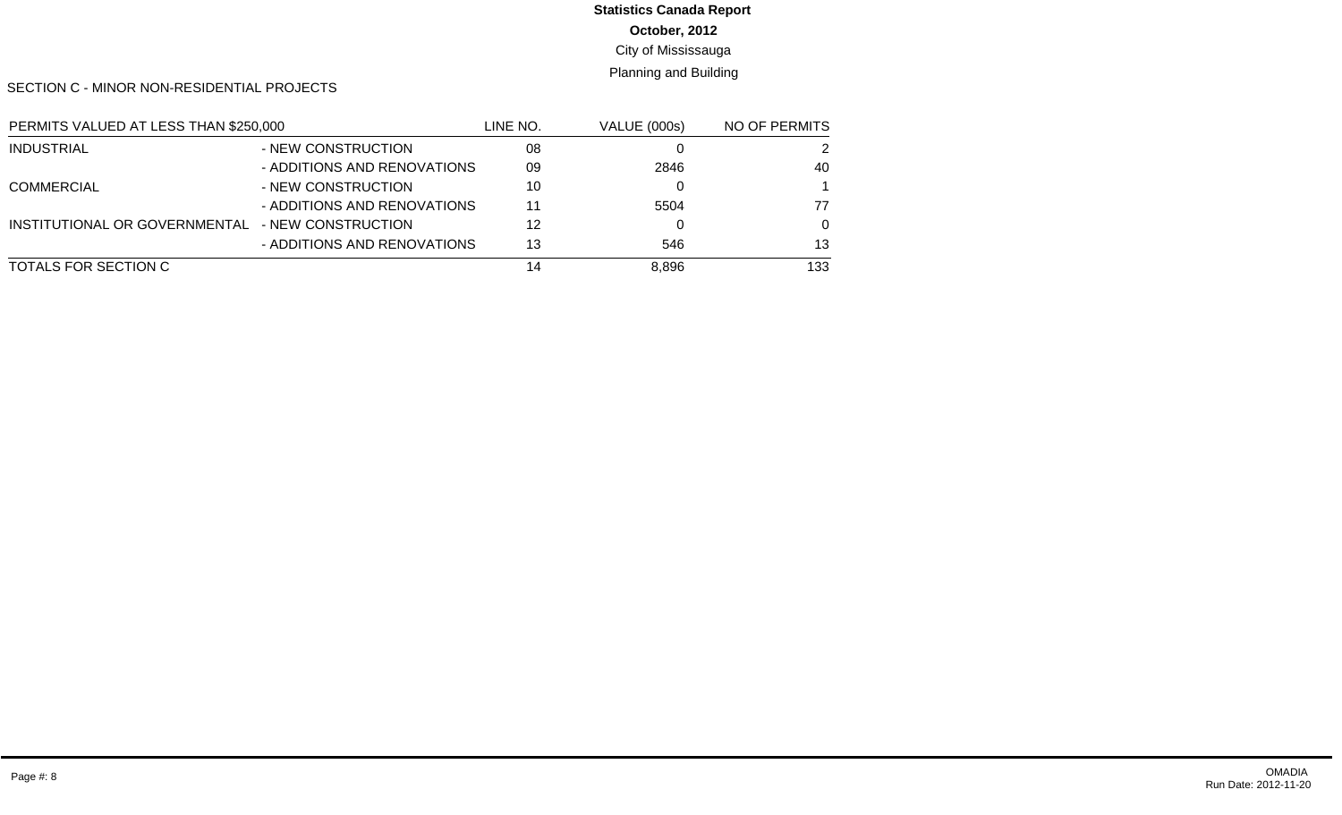**October, 2012**

City of Mississauga

Planning and Building

SECTION C - MINOR NON-RESIDENTIAL PROJECTS

| PERMITS VALUED AT LESS THAN \$250,000 |                             | LINE NO. | <b>VALUE (000s)</b> | NO OF PERMITS |
|---------------------------------------|-----------------------------|----------|---------------------|---------------|
| <b>INDUSTRIAL</b>                     | - NEW CONSTRUCTION          | 08       |                     | 2             |
|                                       | - ADDITIONS AND RENOVATIONS | 09       | 2846                | 40            |
| <b>COMMERCIAL</b>                     | - NEW CONSTRUCTION          | 10       |                     |               |
|                                       | - ADDITIONS AND RENOVATIONS | 11       | 5504                | 77            |
| INSTITUTIONAL OR GOVERNMENTAL         | - NEW CONSTRUCTION          | 12       |                     | $\Omega$      |
|                                       | - ADDITIONS AND RENOVATIONS | 13       | 546                 | 13            |
| TOTALS FOR SECTION C                  |                             | 14       | 8,896               | 133           |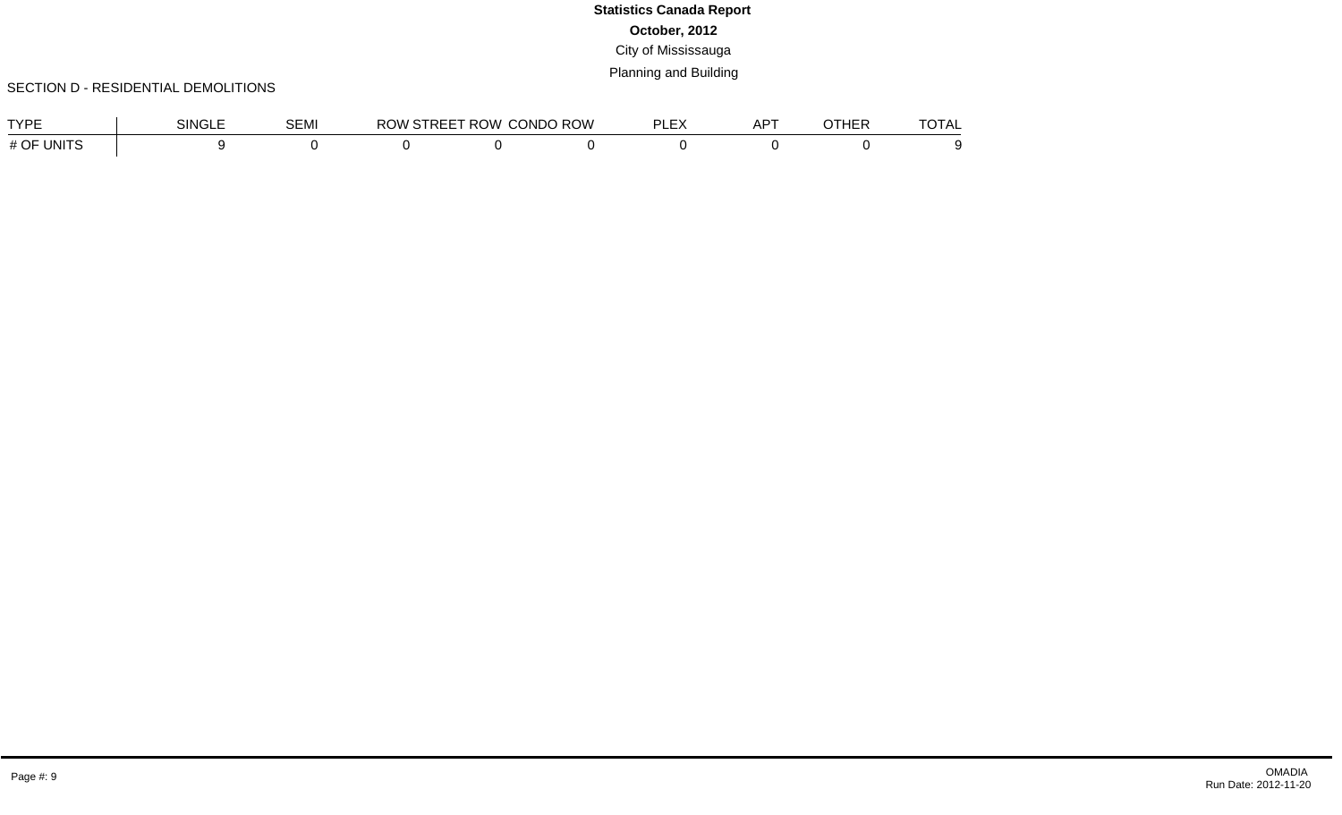### SECTION D - RESIDENTIAL DEMOLITIONS

| <b>TVDE</b>                           | <b>NINGLL</b> | $\sim$ $\sim$ $\sim$ $\sim$<br><b>DEMI</b> | <b>IVV</b> | ROW.<br>. . | CONDO ROW | $ \cdot$<br>וח<br>$\cdot$<br>--- | $\sim$<br>ים בי<br>ור | . | ____<br>1 A L |
|---------------------------------------|---------------|--------------------------------------------|------------|-------------|-----------|----------------------------------|-----------------------|---|---------------|
| <b>TINITS</b><br>$\#$ $\cap$ $\bar{}$ |               |                                            |            |             |           |                                  |                       |   |               |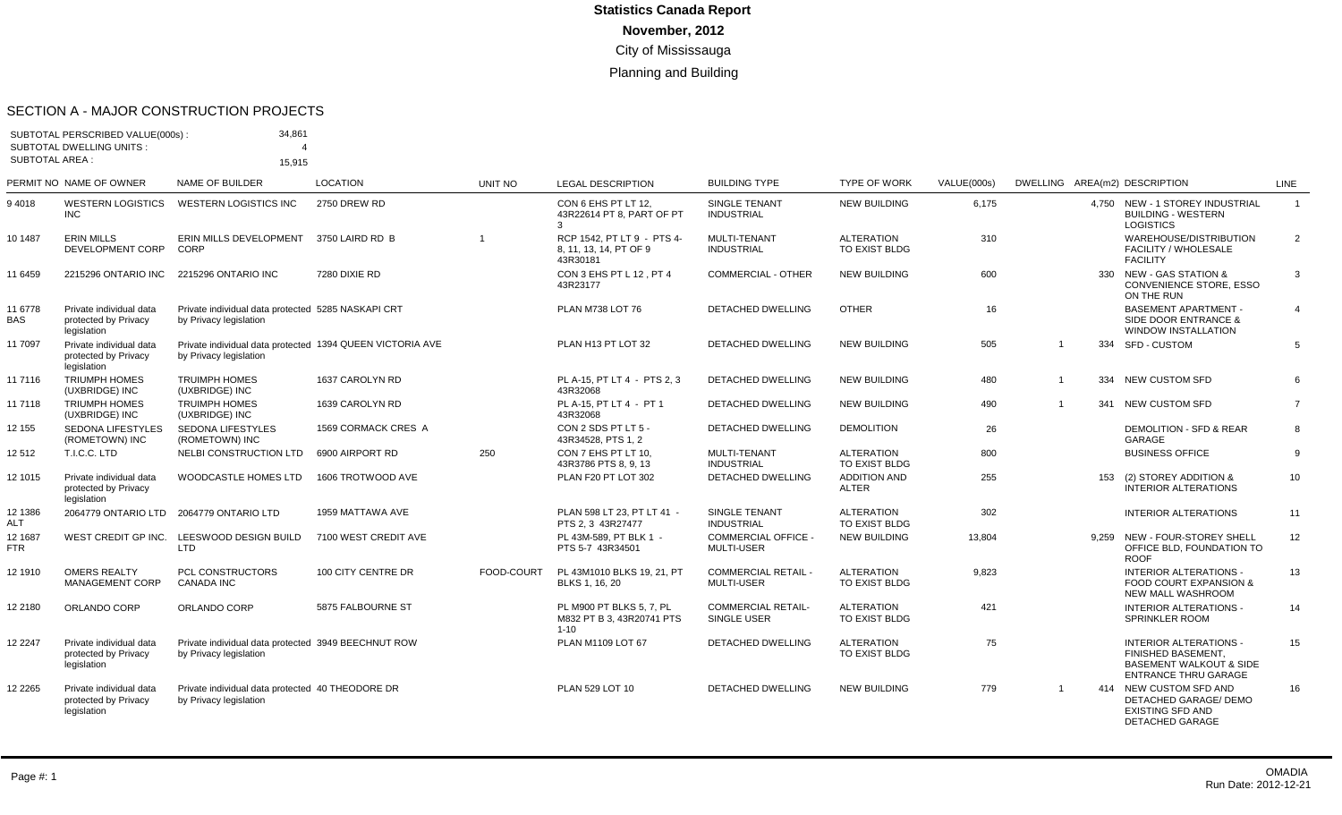#### SECTION A - MAJOR CONSTRUCTION PROJECTS

|                       | SUBTOTAL PERSCRIBED VALUE(000s):<br><b>SUBTOTAL DWELLING UNITS:</b> | 34,861                                                                              |                      |                          |                                                                   |                                                 |                                     |             |                |     |                                                                                                                                 |                |
|-----------------------|---------------------------------------------------------------------|-------------------------------------------------------------------------------------|----------------------|--------------------------|-------------------------------------------------------------------|-------------------------------------------------|-------------------------------------|-------------|----------------|-----|---------------------------------------------------------------------------------------------------------------------------------|----------------|
| <b>SUBTOTAL AREA:</b> |                                                                     | 15.915                                                                              |                      |                          |                                                                   |                                                 |                                     |             |                |     |                                                                                                                                 |                |
|                       | PERMIT NO NAME OF OWNER                                             | NAME OF BUILDER                                                                     | <b>LOCATION</b>      | <b>UNIT NO</b>           | <b>LEGAL DESCRIPTION</b>                                          | <b>BUILDING TYPE</b>                            | <b>TYPE OF WORK</b>                 | VALUE(000s) |                |     | DWELLING AREA(m2) DESCRIPTION                                                                                                   | <b>LINE</b>    |
| 94018                 | <b>WESTERN LOGISTICS</b><br><b>INC</b>                              | <b>WESTERN LOGISTICS INC</b>                                                        | <b>2750 DREW RD</b>  |                          | CON 6 EHS PT LT 12.<br>43R22614 PT 8, PART OF PT<br>3             | <b>SINGLE TENANT</b><br><b>INDUSTRIAL</b>       | <b>NEW BUILDING</b>                 | 6.175       |                |     | 4.750 NEW - 1 STOREY INDUSTRIAL<br><b>BUILDING - WESTERN</b><br><b>LOGISTICS</b>                                                | $\overline{1}$ |
| 10 1487               | <b>ERIN MILLS</b><br>DEVELOPMENT CORP                               | ERIN MILLS DEVELOPMENT<br>CORP                                                      | 3750 LAIRD RD B      | $\overline{\phantom{a}}$ | RCP 1542. PT LT 9 - PTS 4-<br>8, 11, 13, 14, PT OF 9<br>43R30181  | <b>MULTI-TENANT</b><br><b>INDUSTRIAL</b>        | <b>ALTERATION</b><br>TO EXIST BLDG  | 310         |                |     | WAREHOUSE/DISTRIBUTION<br><b>FACILITY / WHOLESALE</b><br><b>FACILITY</b>                                                        | $\overline{2}$ |
| 11 6459               | 2215296 ONTARIO INC                                                 | 2215296 ONTARIO INC                                                                 | 7280 DIXIE RD        |                          | CON 3 EHS PT L 12, PT 4<br>43R23177                               | <b>COMMERCIAL - OTHER</b>                       | <b>NEW BUILDING</b>                 | 600         |                |     | 330 NEW - GAS STATION &<br><b>CONVENIENCE STORE, ESSO</b><br>ON THE RUN                                                         | 3              |
| 11 6778<br>BAS        | Private individual data<br>protected by Privacy<br>legislation      | Private individual data protected 5285 NASKAPI CRT<br>by Privacy legislation        |                      |                          | <b>PLAN M738 LOT 76</b>                                           | <b>DETACHED DWELLING</b>                        | <b>OTHER</b>                        | 16          |                |     | <b>BASEMENT APARTMENT -</b><br>SIDE DOOR ENTRANCE &<br><b>WINDOW INSTALLATION</b>                                               | $\overline{4}$ |
| 11 7097               | Private individual data<br>protected by Privacy<br>legislation      | Private individual data protected 1394 QUEEN VICTORIA AVE<br>by Privacy legislation |                      |                          | PLAN H13 PT LOT 32                                                | <b>DETACHED DWELLING</b>                        | <b>NEW BUILDING</b>                 | 505         | $\overline{1}$ |     | 334 SFD - CUSTOM                                                                                                                | $5^{\circ}$    |
| 11 7116               | <b>TRIUMPH HOMES</b><br>(UXBRIDGE) INC                              | <b>TRUIMPH HOMES</b><br>(UXBRIDGE) INC                                              | 1637 CAROLYN RD      |                          | PL A-15. PT LT 4 - PTS 2.3<br>43R32068                            | <b>DETACHED DWELLING</b>                        | <b>NEW BUILDING</b>                 | 480         | $\overline{1}$ | 334 | NEW CUSTOM SFD                                                                                                                  | 6              |
| 11 7118               | <b>TRIUMPH HOMES</b><br>(UXBRIDGE) INC                              | <b>TRUIMPH HOMES</b><br>(UXBRIDGE) INC                                              | 1639 CAROLYN RD      |                          | PL A-15, PT LT 4 - PT 1<br>43R32068                               | <b>DETACHED DWELLING</b>                        | <b>NEW BUILDING</b>                 | 490         | $\overline{1}$ |     | 341 NEW CUSTOM SFD                                                                                                              | $\overline{7}$ |
| 12 155                | <b>SEDONA LIFESTYLES</b><br>(ROMETOWN) INC                          | <b>SEDONA LIFESTYLES</b><br>(ROMETOWN) INC                                          | 1569 CORMACK CRES A  |                          | CON 2 SDS PT LT 5 -<br>43R34528, PTS 1, 2                         | <b>DETACHED DWELLING</b>                        | <b>DEMOLITION</b>                   | 26          |                |     | <b>DEMOLITION - SFD &amp; REAR</b><br>GARAGE                                                                                    | 8              |
| 12512                 | T.I.C.C. LTD                                                        | NELBI CONSTRUCTION LTD                                                              | 6900 AIRPORT RD      | 250                      | CON 7 EHS PT LT 10.<br>43R3786 PTS 8, 9, 13                       | MULTI-TENANT<br><b>INDUSTRIAL</b>               | <b>ALTERATION</b><br>TO EXIST BLDG  | 800         |                |     | <b>BUSINESS OFFICE</b>                                                                                                          | 9              |
| 12 1015               | Private individual data<br>protected by Privacy<br>legislation      | WOODCASTLE HOMES LTD                                                                | 1606 TROTWOOD AVE    |                          | PLAN F20 PT LOT 302                                               | DETACHED DWELLING                               | <b>ADDITION AND</b><br><b>ALTER</b> | 255         |                | 153 | (2) STOREY ADDITION &<br><b>INTERIOR ALTERATIONS</b>                                                                            | 10             |
| 12 1386<br><b>ALT</b> | 2064779 ONTARIO LTD                                                 | 2064779 ONTARIO LTD                                                                 | 1959 MATTAWA AVE     |                          | PLAN 598 LT 23. PT LT 41 -<br>PTS 2.3 43R27477                    | SINGLE TENANT<br><b>INDUSTRIAL</b>              | <b>ALTERATION</b><br>TO EXIST BLDG  | 302         |                |     | <b>INTERIOR ALTERATIONS</b>                                                                                                     | 11             |
| 12 1687<br><b>FTR</b> | WEST CREDIT GP INC.                                                 | LEESWOOD DESIGN BUILD<br><b>LTD</b>                                                 | 7100 WEST CREDIT AVE |                          | PL 43M-589. PT BLK 1 -<br>PTS 5-7 43R34501                        | <b>COMMERCIAL OFFICE -</b><br><b>MULTI-USER</b> | <b>NEW BUILDING</b>                 | 13.804      |                |     | 9.259 NEW - FOUR-STOREY SHELL<br>OFFICE BLD, FOUNDATION TO<br><b>ROOF</b>                                                       | 12             |
| 12 1910               | <b>OMERS REALTY</b><br>MANAGEMENT CORP                              | <b>PCL CONSTRUCTORS</b><br><b>CANADA INC</b>                                        | 100 CITY CENTRE DR   | FOOD-COURT               | PL 43M1010 BLKS 19, 21, PT<br>BLKS 1, 16, 20                      | <b>COMMERCIAL RETAIL -</b><br><b>MULTI-USER</b> | <b>ALTERATION</b><br>TO EXIST BLDG  | 9,823       |                |     | <b>INTERIOR ALTERATIONS -</b><br><b>FOOD COURT EXPANSION &amp;</b><br>NEW MALL WASHROOM                                         | 13             |
| 12 2180               | ORLANDO CORP                                                        | ORLANDO CORP                                                                        | 5875 FALBOURNE ST    |                          | PL M900 PT BLKS 5. 7. PL<br>M832 PT B 3, 43R20741 PTS<br>$1 - 10$ | <b>COMMERCIAL RETAIL-</b><br>SINGLE USER        | <b>ALTERATION</b><br>TO EXIST BLDG  | 421         |                |     | <b>INTERIOR ALTERATIONS -</b><br><b>SPRINKLER ROOM</b>                                                                          | 14             |
| 12 2247               | Private individual data<br>protected by Privacy<br>legislation      | Private individual data protected 3949 BEECHNUT ROW<br>by Privacy legislation       |                      |                          | PLAN M1109 LOT 67                                                 | <b>DETACHED DWELLING</b>                        | <b>ALTERATION</b><br>TO EXIST BLDG  | 75          |                |     | <b>INTERIOR ALTERATIONS -</b><br><b>FINISHED BASEMENT.</b><br><b>BASEMENT WALKOUT &amp; SIDE</b><br><b>ENTRANCE THRU GARAGE</b> | 15             |
| 12 2 2 6 5            | Private individual data<br>protected by Privacy<br>legislation      | Private individual data protected 40 THEODORE DR<br>by Privacy legislation          |                      |                          | PLAN 529 LOT 10                                                   | <b>DETACHED DWELLING</b>                        | <b>NEW BUILDING</b>                 | 779         |                |     | 414 NEW CUSTOM SFD AND<br>DETACHED GARAGE/ DEMO<br><b>EXISTING SFD AND</b><br><b>DETACHED GARAGE</b>                            | 16             |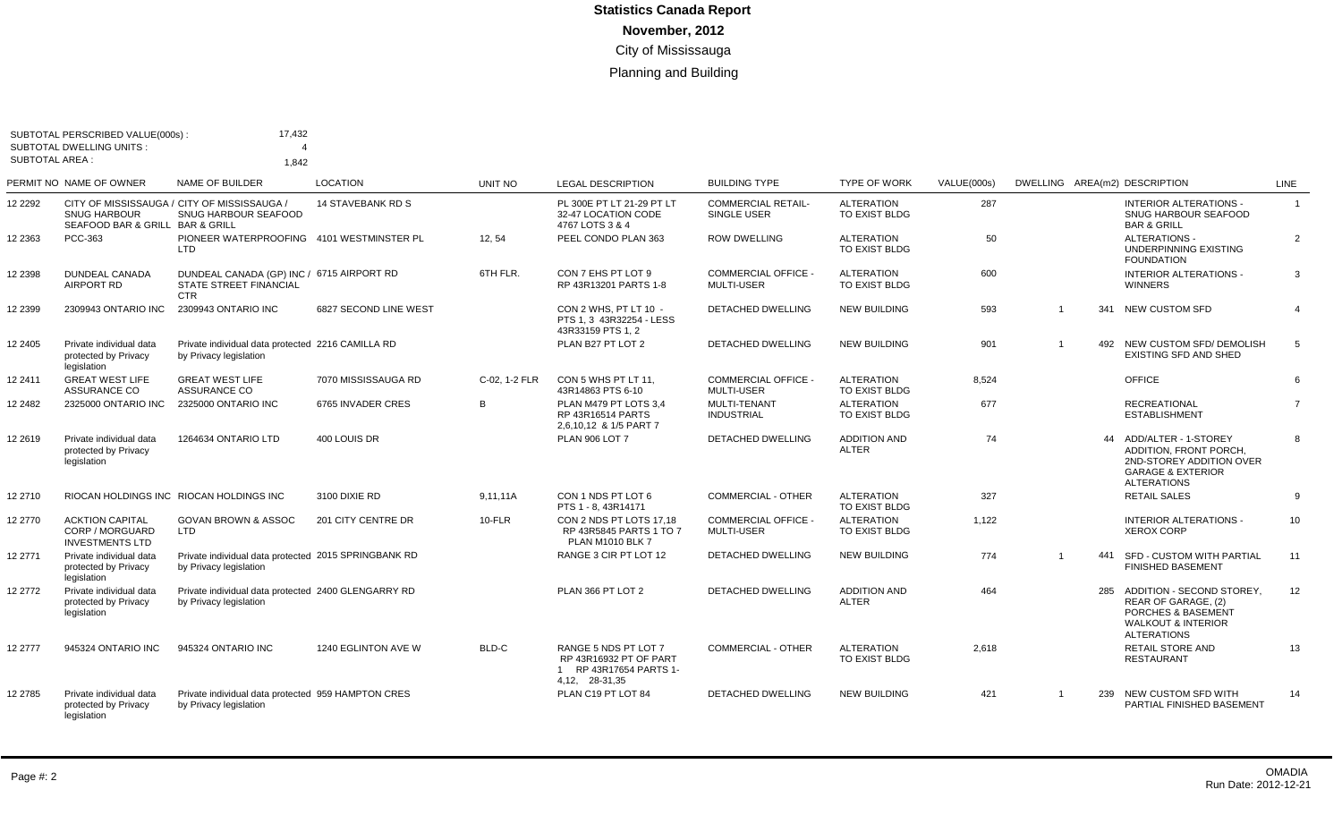|                       | SUBTOTAL PERSCRIBED VALUE(000s):<br><b>SUBTOTAL DWELLING UNITS:</b> | 17.432                                                                                   |                          |               |                                                                                            |                                               |                                     |                    |                |     |                                                                                                                                     |                |
|-----------------------|---------------------------------------------------------------------|------------------------------------------------------------------------------------------|--------------------------|---------------|--------------------------------------------------------------------------------------------|-----------------------------------------------|-------------------------------------|--------------------|----------------|-----|-------------------------------------------------------------------------------------------------------------------------------------|----------------|
| <b>SUBTOTAL AREA:</b> |                                                                     | 1,842                                                                                    |                          |               |                                                                                            |                                               |                                     |                    |                |     |                                                                                                                                     |                |
|                       | PERMIT NO NAME OF OWNER                                             | NAME OF BUILDER                                                                          | <b>LOCATION</b>          | UNIT NO       | <b>LEGAL DESCRIPTION</b>                                                                   | <b>BUILDING TYPE</b>                          | <b>TYPE OF WORK</b>                 | <b>VALUE(000s)</b> |                |     | DWELLING AREA(m2) DESCRIPTION                                                                                                       | LINE           |
| 12 2292               | <b>SNUG HARBOUR</b><br>SEAFOOD BAR & GRILL BAR & GRILL              | CITY OF MISSISSAUGA / CITY OF MISSISSAUGA /<br><b>SNUG HARBOUR SEAFOOD</b>               | <b>14 STAVEBANK RD S</b> |               | PL 300E PT LT 21-29 PT LT<br>32-47 LOCATION CODE<br>4767 LOTS 3 & 4                        | <b>COMMERCIAL RETAIL-</b><br>SINGLE USER      | <b>ALTERATION</b><br>TO EXIST BLDG  | 287                |                |     | INTERIOR ALTERATIONS -<br><b>SNUG HARBOUR SEAFOOD</b><br><b>BAR &amp; GRILL</b>                                                     | $\overline{1}$ |
| 12 2363               | PCC-363                                                             | PIONEER WATERPROOFING 4101 WESTMINSTER PL<br>LTD                                         |                          | 12.54         | PEEL CONDO PLAN 363                                                                        | <b>ROW DWELLING</b>                           | <b>ALTERATION</b><br>TO EXIST BLDG  | 50                 |                |     | <b>ALTERATIONS -</b><br>UNDERPINNING EXISTING<br><b>FOUNDATION</b>                                                                  | $\overline{2}$ |
| 12 2398               | <b>DUNDEAL CANADA</b><br>AIRPORT RD                                 | DUNDEAL CANADA (GP) INC / 6715 AIRPORT RD<br><b>STATE STREET FINANCIAL</b><br><b>CTR</b> |                          | 6TH FLR.      | CON 7 EHS PT LOT 9<br>RP 43R13201 PARTS 1-8                                                | <b>COMMERCIAL OFFICE</b><br><b>MULTI-USER</b> | <b>ALTERATION</b><br>TO EXIST BLDG  | 600                |                |     | <b>INTERIOR ALTERATIONS -</b><br><b>WINNERS</b>                                                                                     | 3              |
| 12 2399               | 2309943 ONTARIO INC                                                 | 2309943 ONTARIO INC                                                                      | 6827 SECOND LINE WEST    |               | CON 2 WHS. PT LT 10 -<br>PTS 1.3 43R32254 - LESS<br>43R33159 PTS 1, 2                      | <b>DETACHED DWELLING</b>                      | <b>NEW BUILDING</b>                 | 593                | $\overline{1}$ | 341 | NEW CUSTOM SFD                                                                                                                      | $\overline{4}$ |
| 12 2405               | Private individual data<br>protected by Privacy<br>legislation      | Private individual data protected 2216 CAMILLA RD<br>by Privacy legislation              |                          |               | PLAN B27 PT LOT 2                                                                          | DETACHED DWELLING                             | <b>NEW BUILDING</b>                 | 901                | $\overline{1}$ |     | 492 NEW CUSTOM SFD/ DEMOLISH<br><b>EXISTING SFD AND SHED</b>                                                                        | -5             |
| 12 2411               | <b>GREAT WEST LIFE</b><br>ASSURANCE CO                              | <b>GREAT WEST LIFE</b><br>ASSURANCE CO                                                   | 7070 MISSISSAUGA RD      | C-02. 1-2 FLR | CON 5 WHS PT LT 11.<br>43R14863 PTS 6-10                                                   | <b>COMMERCIAL OFFICE -</b><br>MULTI-USER      | <b>ALTERATION</b><br>TO EXIST BLDG  | 8,524              |                |     | OFFICE                                                                                                                              | 6              |
| 12 2482               | 2325000 ONTARIO INC                                                 | 2325000 ONTARIO INC                                                                      | 6765 INVADER CRES        | B             | PLAN M479 PT LOTS 3.4<br>RP 43R16514 PARTS<br>2,6,10,12 & 1/5 PART 7                       | <b>MULTI-TENANT</b><br><b>INDUSTRIAL</b>      | <b>ALTERATION</b><br>TO EXIST BLDG  | 677                |                |     | <b>RECREATIONAL</b><br><b>ESTABLISHMENT</b>                                                                                         | $\overline{7}$ |
| 12 2619               | Private individual data<br>protected by Privacy<br>legislation      | 1264634 ONTARIO LTD                                                                      | 400 LOUIS DR             |               | <b>PLAN 906 LOT 7</b>                                                                      | <b>DETACHED DWELLING</b>                      | <b>ADDITION AND</b><br><b>ALTER</b> | 74                 |                |     | 44 ADD/ALTER - 1-STOREY<br>ADDITION. FRONT PORCH.<br>2ND-STOREY ADDITION OVER<br><b>GARAGE &amp; EXTERIOR</b><br><b>ALTERATIONS</b> | $\mathbf{g}$   |
| 12 2710               |                                                                     | RIOCAN HOLDINGS INC RIOCAN HOLDINGS INC                                                  | 3100 DIXIE RD            | 9.11.11A      | CON 1 NDS PT LOT 6<br>PTS 1 - 8.43R14171                                                   | <b>COMMERCIAL - OTHER</b>                     | <b>ALTERATION</b><br>TO EXIST BLDG  | 327                |                |     | <b>RETAIL SALES</b>                                                                                                                 | -9             |
| 12 2770               | <b>ACKTION CAPITAL</b><br>CORP / MORGUARD<br><b>INVESTMENTS LTD</b> | <b>GOVAN BROWN &amp; ASSOC</b><br>LTD                                                    | 201 CITY CENTRE DR       | $10$ -FLR     | CON 2 NDS PT LOTS 17.18<br>RP 43R5845 PARTS 1 TO 7<br><b>PLAN M1010 BLK 7</b>              | <b>COMMERCIAL OFFICE</b><br><b>MULTI-USER</b> | <b>ALTERATION</b><br>TO EXIST BLDG  | 1,122              |                |     | <b>INTERIOR ALTERATIONS -</b><br><b>XEROX CORP</b>                                                                                  | 10             |
| 12 2771               | Private individual data<br>protected by Privacy<br>legislation      | Private individual data protected 2015 SPRINGBANK RD<br>by Privacy legislation           |                          |               | RANGE 3 CIR PT LOT 12                                                                      | DETACHED DWELLING                             | <b>NEW BUILDING</b>                 | 774                |                | 441 | SFD - CUSTOM WITH PARTIAL<br><b>FINISHED BASEMENT</b>                                                                               | 11             |
| 12 2772               | Private individual data<br>protected by Privacy<br>legislation      | Private individual data protected 2400 GLENGARRY RD<br>by Privacy legislation            |                          |               | PLAN 366 PT LOT 2                                                                          | <b>DETACHED DWELLING</b>                      | <b>ADDITION AND</b><br><b>ALTER</b> | 464                |                | 285 | ADDITION - SECOND STOREY.<br>REAR OF GARAGE. (2)<br>PORCHES & BASEMENT<br><b>WALKOUT &amp; INTERIOR</b><br><b>ALTERATIONS</b>       | 12             |
| 12 2777               | 945324 ONTARIO INC                                                  | 945324 ONTARIO INC                                                                       | 1240 EGLINTON AVE W      | BLD-C         | RANGE 5 NDS PT LOT 7<br>RP 43R16932 PT OF PART<br>1 RP 43R17654 PARTS 1-<br>4,12, 28-31,35 | COMMERCIAL - OTHER                            | <b>ALTERATION</b><br>TO EXIST BLDG  | 2.618              |                |     | <b>RETAIL STORE AND</b><br><b>RESTAURANT</b>                                                                                        | 13             |
| 12 2785               | Private individual data<br>protected by Privacy<br>legislation      | Private individual data protected 959 HAMPTON CRES<br>by Privacy legislation             |                          |               | PLAN C19 PT LOT 84                                                                         | <b>DETACHED DWELLING</b>                      | <b>NEW BUILDING</b>                 | 421                |                |     | 239 NEW CUSTOM SFD WITH<br>PARTIAL FINISHED BASEMENT                                                                                | 14             |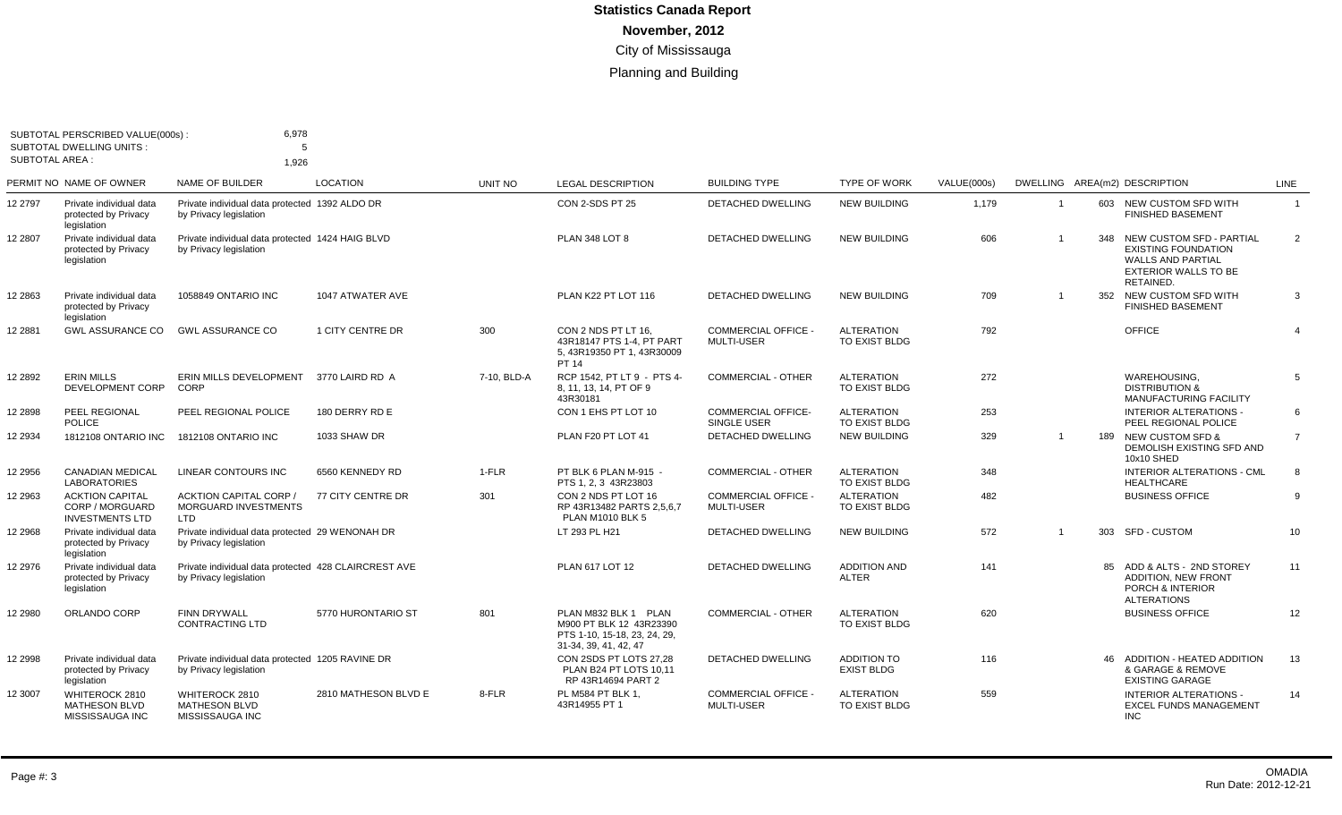| <b>SUBTOTAL AREA:</b> | SUBTOTAL PERSCRIBED VALUE(000s):<br><b>SUBTOTAL DWELLING UNITS:</b> | 6,978<br>5                                                                     |                      |             |                                                                                                          |                                                 |                                         |             |                |                                                                                                                                    |                |
|-----------------------|---------------------------------------------------------------------|--------------------------------------------------------------------------------|----------------------|-------------|----------------------------------------------------------------------------------------------------------|-------------------------------------------------|-----------------------------------------|-------------|----------------|------------------------------------------------------------------------------------------------------------------------------------|----------------|
|                       | PERMIT NO NAME OF OWNER                                             | 1,926<br><b>NAME OF BUILDER</b>                                                | <b>LOCATION</b>      |             |                                                                                                          | <b>BUILDING TYPE</b>                            | <b>TYPE OF WORK</b>                     |             |                |                                                                                                                                    |                |
|                       |                                                                     |                                                                                |                      | UNIT NO     | <b>LEGAL DESCRIPTION</b>                                                                                 |                                                 |                                         | VALUE(000s) |                | DWELLING AREA(m2) DESCRIPTION                                                                                                      | LINE           |
| 12 2797               | Private individual data<br>protected by Privacy<br>legislation      | Private individual data protected 1392 ALDO DR<br>by Privacy legislation       |                      |             | CON 2-SDS PT 25                                                                                          | <b>DETACHED DWELLING</b>                        | <b>NEW BUILDING</b>                     | 1,179       | $\overline{1}$ | 603 NEW CUSTOM SFD WITH<br><b>FINISHED BASEMENT</b>                                                                                | $\mathbf{1}$   |
| 12 2807               | Private individual data<br>protected by Privacy<br>legislation      | Private individual data protected 1424 HAIG BLVD<br>by Privacy legislation     |                      |             | <b>PLAN 348 LOT 8</b>                                                                                    | <b>DETACHED DWELLING</b>                        | <b>NEW BUILDING</b>                     | 606         |                | 348 NEW CUSTOM SFD - PARTIAL<br><b>EXISTING FOUNDATION</b><br><b>WALLS AND PARTIAL</b><br><b>EXTERIOR WALLS TO BE</b><br>RETAINED. | $\overline{2}$ |
| 12 2863               | Private individual data<br>protected by Privacy<br>legislation      | 1058849 ONTARIO INC                                                            | 1047 ATWATER AVE     |             | PLAN K22 PT LOT 116                                                                                      | <b>DETACHED DWELLING</b>                        | <b>NEW BUILDING</b>                     | 709         |                | 352 NEW CUSTOM SFD WITH<br><b>FINISHED BASEMENT</b>                                                                                | 3              |
| 12 2881               | <b>GWL ASSURANCE CO</b>                                             | <b>GWL ASSURANCE CO</b>                                                        | 1 CITY CENTRE DR     | 300         | CON 2 NDS PT LT 16.<br>43R18147 PTS 1-4, PT PART<br>5, 43R19350 PT 1, 43R30009<br>PT 14                  | <b>COMMERCIAL OFFICE -</b><br><b>MULTI-USER</b> | <b>ALTERATION</b><br>TO EXIST BLDG      | 792         |                | <b>OFFICE</b>                                                                                                                      | $\overline{4}$ |
| 12 2892               | <b>ERIN MILLS</b><br>DEVELOPMENT CORP                               | ERIN MILLS DEVELOPMENT<br>CORP                                                 | 3770 LAIRD RD A      | 7-10, BLD-A | RCP 1542, PT LT 9 - PTS 4-<br>8. 11. 13. 14. PT OF 9<br>43R30181                                         | <b>COMMERCIAL - OTHER</b>                       | <b>ALTERATION</b><br>TO EXIST BLDG      | 272         |                | WAREHOUSING,<br><b>DISTRIBUTION &amp;</b><br><b>MANUFACTURING FACILITY</b>                                                         | 5              |
| 12 2898               | PEEL REGIONAL<br><b>POLICE</b>                                      | PEEL REGIONAL POLICE                                                           | 180 DERRY RD E       |             | CON 1 EHS PT LOT 10                                                                                      | <b>COMMERCIAL OFFICE-</b><br>SINGLE USER        | <b>ALTERATION</b><br>TO EXIST BLDG      | 253         |                | <b>INTERIOR ALTERATIONS -</b><br>PEEL REGIONAL POLICE                                                                              | 6              |
| 12 2934               | 1812108 ONTARIO INC                                                 | 1812108 ONTARIO INC                                                            | 1033 SHAW DR         |             | PLAN F20 PT LOT 41                                                                                       | <b>DETACHED DWELLING</b>                        | <b>NEW BUILDING</b>                     | 329         | $\mathbf 1$    | 189 NEW CUSTOM SFD &<br>DEMOLISH EXISTING SFD AND<br>10x10 SHED                                                                    | $\overline{7}$ |
| 12 2956               | <b>CANADIAN MEDICAL</b><br><b>LABORATORIES</b>                      | LINEAR CONTOURS INC                                                            | 6560 KENNEDY RD      | 1-FLR       | PT BLK 6 PLAN M-915 -<br>PTS 1.2.3 43R23803                                                              | <b>COMMERCIAL - OTHER</b>                       | <b>ALTERATION</b><br>TO EXIST BLDG      | 348         |                | <b>INTERIOR ALTERATIONS - CML</b><br><b>HEALTHCARE</b>                                                                             | 8              |
| 12 2963               | <b>ACKTION CAPITAL</b><br>CORP / MORGUARD<br><b>INVESTMENTS LTD</b> | <b>ACKTION CAPITAL CORP /</b><br><b>MORGUARD INVESTMENTS</b><br><b>LTD</b>     | 77 CITY CENTRE DR    | 301         | CON 2 NDS PT LOT 16<br>RP 43R13482 PARTS 2.5.6.7<br><b>PLAN M1010 BLK 5</b>                              | <b>COMMERCIAL OFFICE -</b><br><b>MULTI-USER</b> | <b>ALTERATION</b><br>TO EXIST BLDG      | 482         |                | <b>BUSINESS OFFICE</b>                                                                                                             | 9              |
| 12 2968               | Private individual data<br>protected by Privacy<br>legislation      | Private individual data protected 29 WENONAH DR<br>by Privacy legislation      |                      |             | LT 293 PL H21                                                                                            | DETACHED DWELLING                               | <b>NEW BUILDING</b>                     | 572         | $\mathbf 1$    | 303 SFD - CUSTOM                                                                                                                   | 10             |
| 12 2976               | Private individual data<br>protected by Privacy<br>legislation      | Private individual data protected 428 CLAIRCREST AVE<br>by Privacy legislation |                      |             | PLAN 617 LOT 12                                                                                          | <b>DETACHED DWELLING</b>                        | <b>ADDITION AND</b><br><b>ALTER</b>     | 141         |                | 85 ADD & ALTS - 2ND STOREY<br><b>ADDITION, NEW FRONT</b><br>PORCH & INTERIOR<br><b>ALTERATIONS</b>                                 | 11             |
| 12 2980               | ORLANDO CORP                                                        | FINN DRYWALL<br><b>CONTRACTING LTD</b>                                         | 5770 HURONTARIO ST   | 801         | PLAN M832 BLK 1 PLAN<br>M900 PT BLK 12 43R23390<br>PTS 1-10, 15-18, 23, 24, 29,<br>31-34, 39, 41, 42, 47 | <b>COMMERCIAL - OTHER</b>                       | <b>ALTERATION</b><br>TO EXIST BLDG      | 620         |                | <b>BUSINESS OFFICE</b>                                                                                                             | 12             |
| 12 2998               | Private individual data<br>protected by Privacy<br>legislation      | Private individual data protected 1205 RAVINE DR<br>by Privacy legislation     |                      |             | CON 2SDS PT LOTS 27,28<br>PLAN B24 PT LOTS 10.11<br>RP 43R14694 PART 2                                   | <b>DETACHED DWELLING</b>                        | <b>ADDITION TO</b><br><b>EXIST BLDG</b> | 116         |                | 46 ADDITION - HEATED ADDITION<br>& GARAGE & REMOVE<br><b>EXISTING GARAGE</b>                                                       | 13             |
| 12 3007               | WHITEROCK 2810<br><b>MATHESON BLVD</b><br>MISSISSAUGA INC           | WHITEROCK 2810<br><b>MATHESON BLVD</b><br>MISSISSAUGA INC                      | 2810 MATHESON BLVD E | 8-FLR       | PL M584 PT BLK 1,<br>43R14955 PT 1                                                                       | <b>COMMERCIAL OFFICE -</b><br>MULTI-USER        | <b>ALTERATION</b><br>TO EXIST BLDG      | 559         |                | <b>INTERIOR ALTERATIONS -</b><br><b>EXCEL FUNDS MANAGEMENT</b><br><b>INC</b>                                                       | 14             |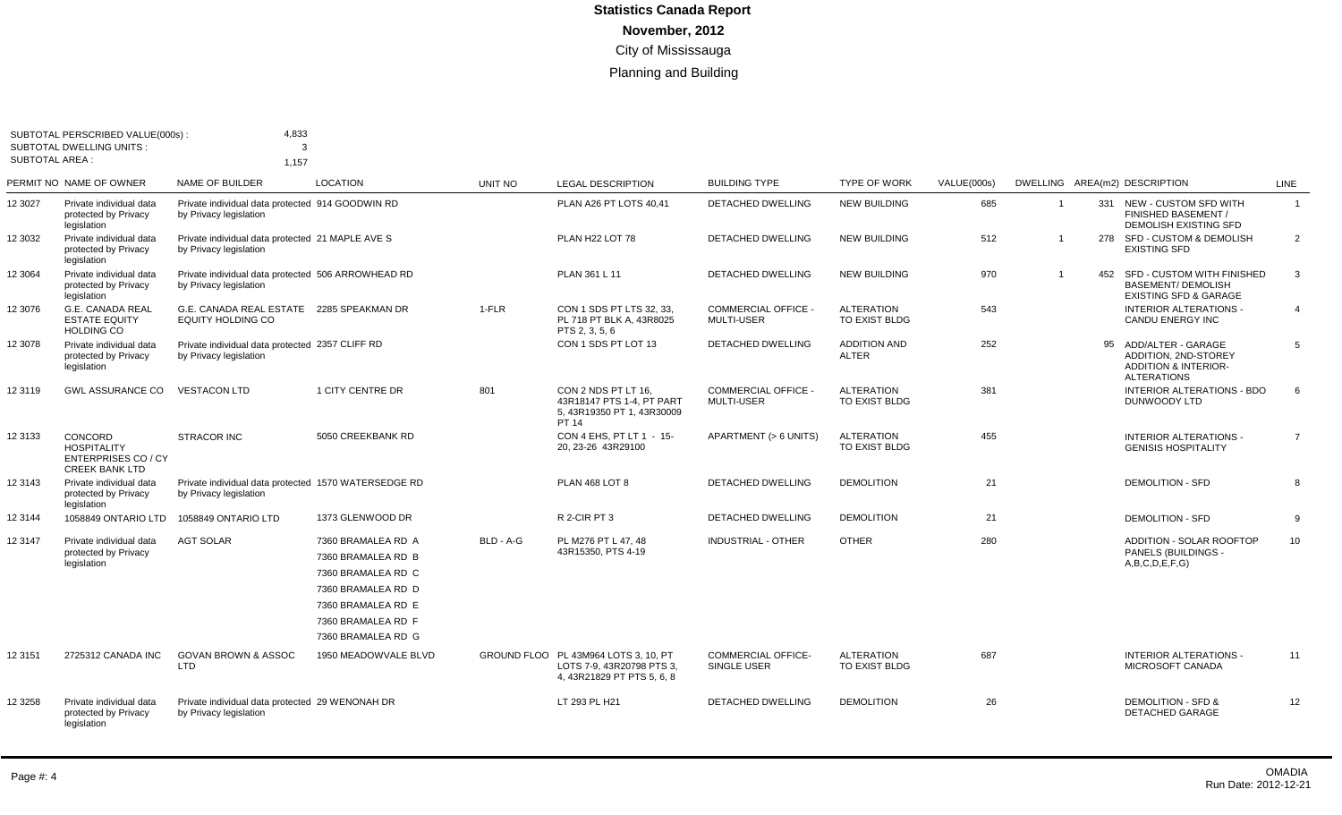|         | SUBTOTAL PERSCRIBED VALUE(000s)<br><b>SUBTOTAL DWELLING UNITS:</b><br><b>SUBTOTAL AREA:</b> |                                                                                |                                                                                                                                                        |           |                                                                                                 |                                                 |                                     |             |                |     |                                                                                                               |                 |
|---------|---------------------------------------------------------------------------------------------|--------------------------------------------------------------------------------|--------------------------------------------------------------------------------------------------------------------------------------------------------|-----------|-------------------------------------------------------------------------------------------------|-------------------------------------------------|-------------------------------------|-------------|----------------|-----|---------------------------------------------------------------------------------------------------------------|-----------------|
|         | PERMIT NO NAME OF OWNER                                                                     | 1,157<br>NAME OF BUILDER                                                       | <b>LOCATION</b>                                                                                                                                        | UNIT NO   | <b>LEGAL DESCRIPTION</b>                                                                        | <b>BUILDING TYPE</b>                            | <b>TYPE OF WORK</b>                 | VALUE(000s) |                |     | DWELLING AREA(m2) DESCRIPTION                                                                                 | LINE            |
| 12 3027 | Private individual data<br>protected by Privacy<br>legislation                              | Private individual data protected 914 GOODWIN RD<br>by Privacy legislation     |                                                                                                                                                        |           | PLAN A26 PT LOTS 40,41                                                                          | <b>DETACHED DWELLING</b>                        | <b>NEW BUILDING</b>                 | 685         | $\mathbf{1}$   |     | 331 NEW - CUSTOM SFD WITH<br>FINISHED BASEMENT /<br>DEMOLISH EXISTING SFD                                     | $\overline{1}$  |
| 12 3032 | Private individual data<br>protected by Privacy<br>legislation                              | Private individual data protected 21 MAPLE AVE S<br>by Privacy legislation     |                                                                                                                                                        |           | PLAN H22 LOT 78                                                                                 | <b>DETACHED DWELLING</b>                        | <b>NEW BUILDING</b>                 | 512         | $\overline{1}$ |     | 278 SFD - CUSTOM & DEMOLISH<br><b>EXISTING SFD</b>                                                            | 2               |
| 12 3064 | Private individual data<br>protected by Privacy<br>legislation                              | Private individual data protected 506 ARROWHEAD RD<br>by Privacy legislation   |                                                                                                                                                        |           | PLAN 361 L 11                                                                                   | <b>DETACHED DWELLING</b>                        | <b>NEW BUILDING</b>                 | 970         |                | 452 | SFD - CUSTOM WITH FINISHED<br><b>BASEMENT/ DEMOLISH</b><br><b>EXISTING SFD &amp; GARAGE</b>                   | 3               |
| 12 3076 | <b>G.E. CANADA REAL</b><br><b>ESTATE EQUITY</b><br><b>HOLDING CO</b>                        | G.E. CANADA REAL ESTATE 2285 SPEAKMAN DR<br><b>EQUITY HOLDING CO</b>           |                                                                                                                                                        | $1-FLR$   | CON 1 SDS PT LTS 32, 33,<br>PL 718 PT BLK A. 43R8025<br>PTS 2, 3, 5, 6                          | <b>COMMERCIAL OFFICE -</b><br><b>MULTI-USER</b> | <b>ALTERATION</b><br>TO EXIST BLDG  | 543         |                |     | <b>INTERIOR ALTERATIONS -</b><br>CANDU ENERGY INC                                                             | 4               |
| 12 3078 | Private individual data<br>protected by Privacy<br>legislation                              | Private individual data protected 2357 CLIFF RD<br>by Privacy legislation      |                                                                                                                                                        |           | CON 1 SDS PT LOT 13                                                                             | <b>DETACHED DWELLING</b>                        | <b>ADDITION AND</b><br><b>ALTER</b> | 252         |                |     | 95 ADD/ALTER - GARAGE<br><b>ADDITION, 2ND-STOREY</b><br><b>ADDITION &amp; INTERIOR-</b><br><b>ALTERATIONS</b> | 5               |
| 12 3119 | <b>GWL ASSURANCE CO</b>                                                                     | <b>VESTACON LTD</b>                                                            | 1 CITY CENTRE DR                                                                                                                                       | 801       | CON 2 NDS PT LT 16,<br>43R18147 PTS 1-4. PT PART<br>5, 43R19350 PT 1, 43R30009<br>PT 14         | <b>COMMERCIAL OFFICE -</b><br><b>MULTI-USER</b> | <b>ALTERATION</b><br>TO EXIST BLDG  | 381         |                |     | INTERIOR ALTERATIONS - BDO<br>DUNWOODY LTD                                                                    | 6               |
| 12 3133 | CONCORD<br><b>HOSPITALITY</b><br><b>ENTERPRISES CO / CY</b><br><b>CREEK BANK LTD</b>        | <b>STRACOR INC</b>                                                             | 5050 CREEKBANK RD                                                                                                                                      |           | CON 4 EHS, PT LT 1 - 15-<br>20, 23-26 43R29100                                                  | APARTMENT (> 6 UNITS)                           | <b>ALTERATION</b><br>TO EXIST BLDG  | 455         |                |     | <b>INTERIOR ALTERATIONS -</b><br><b>GENISIS HOSPITALITY</b>                                                   | $\overline{7}$  |
| 12 3143 | Private individual data<br>protected by Privacy<br>legislation                              | Private individual data protected 1570 WATERSEDGE RD<br>by Privacy legislation |                                                                                                                                                        |           | <b>PLAN 468 LOT 8</b>                                                                           | <b>DETACHED DWELLING</b>                        | <b>DEMOLITION</b>                   | 21          |                |     | <b>DEMOLITION - SFD</b>                                                                                       | 8               |
| 12 3144 | 1058849 ONTARIO LTD                                                                         | 1058849 ONTARIO LTD                                                            | 1373 GLENWOOD DR                                                                                                                                       |           | R 2-CIR PT 3                                                                                    | <b>DETACHED DWELLING</b>                        | <b>DEMOLITION</b>                   | 21          |                |     | <b>DEMOLITION - SFD</b>                                                                                       | 9               |
| 12 3147 | Private individual data<br>protected by Privacy<br>legislation                              | <b>AGT SOLAR</b>                                                               | 7360 BRAMALEA RD A<br>7360 BRAMALEA RD B<br>7360 BRAMALEA RD C<br>7360 BRAMALEA RD D<br>7360 BRAMALEA RD E<br>7360 BRAMALEA RD F<br>7360 BRAMALEA RD G | BLD - A-G | PL M276 PT L 47, 48<br>43R15350, PTS 4-19                                                       | <b>INDUSTRIAL - OTHER</b>                       | <b>OTHER</b>                        | 280         |                |     | ADDITION - SOLAR ROOFTOP<br>PANELS (BUILDINGS -<br>A,B,C,D,E,F,G                                              | 10 <sup>1</sup> |
| 12 3151 | 2725312 CANADA INC                                                                          | <b>GOVAN BROWN &amp; ASSOC</b><br><b>LTD</b>                                   | 1950 MEADOWVALE BLVD                                                                                                                                   |           | GROUND FLOO PL 43M964 LOTS 3, 10, PT<br>LOTS 7-9, 43R20798 PTS 3,<br>4, 43R21829 PT PTS 5, 6, 8 | <b>COMMERCIAL OFFICE-</b><br>SINGLE USER        | <b>ALTERATION</b><br>TO EXIST BLDG  | 687         |                |     | <b>INTERIOR ALTERATIONS -</b><br>MICROSOFT CANADA                                                             | 11              |
| 12 3258 | Private individual data<br>protected by Privacy<br>legislation                              | Private individual data protected 29 WENONAH DR<br>by Privacy legislation      |                                                                                                                                                        |           | LT 293 PL H21                                                                                   | DETACHED DWELLING                               | <b>DEMOLITION</b>                   | 26          |                |     | <b>DEMOLITION - SFD &amp;</b><br><b>DETACHED GARAGE</b>                                                       | 12              |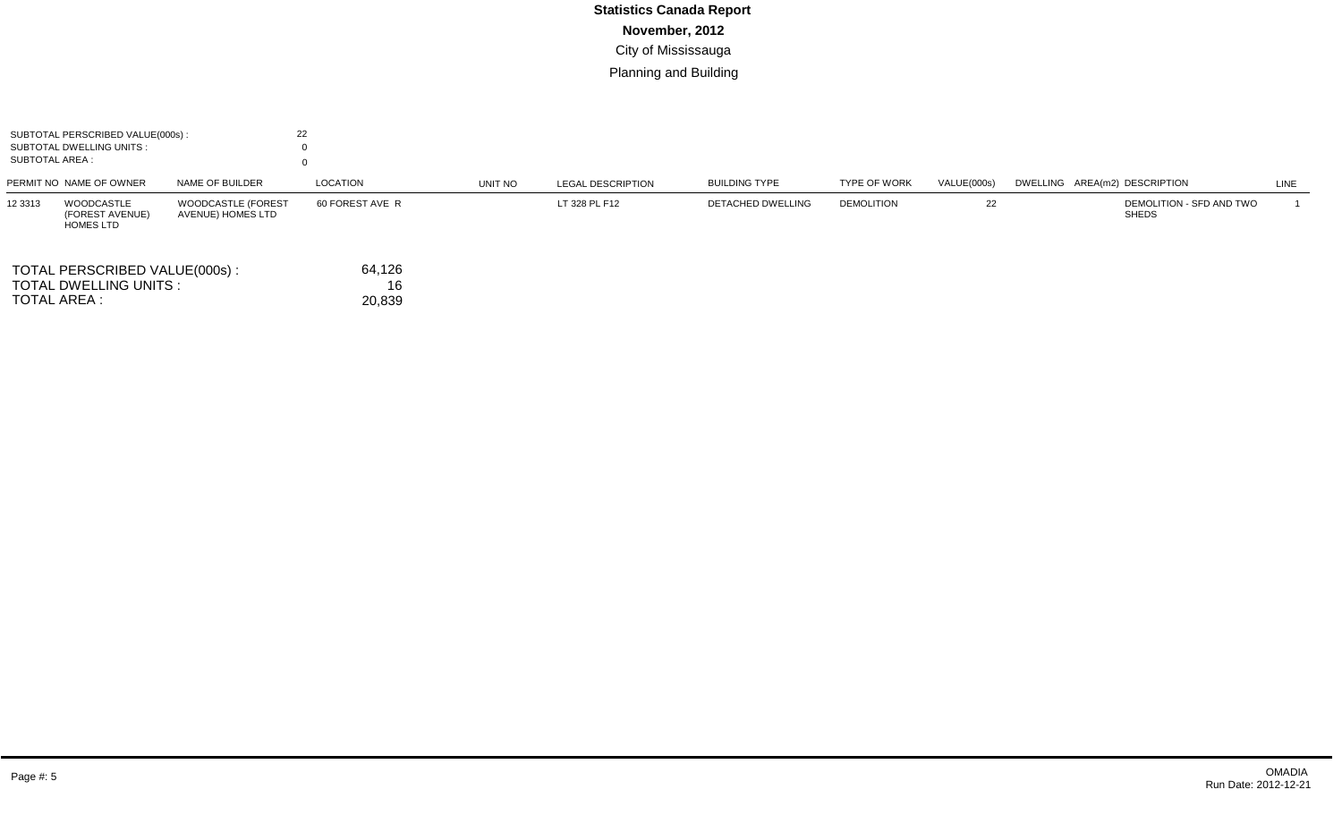| SUBTOTAL PERSCRIBED VALUE(000s):<br>SUBTOTAL DWELLING UNITS :<br>SUBTOTAL AREA : |                                                          | 22                                             |                        |         |                          |                      |                     |             |                                          |      |
|----------------------------------------------------------------------------------|----------------------------------------------------------|------------------------------------------------|------------------------|---------|--------------------------|----------------------|---------------------|-------------|------------------------------------------|------|
|                                                                                  | PERMIT NO NAME OF OWNER                                  | NAME OF BUILDER                                | LOCATION               | UNIT NO | <b>LEGAL DESCRIPTION</b> | <b>BUILDING TYPE</b> | <b>TYPE OF WORK</b> | VALUE(000s) | DWELLING AREA(m2) DESCRIPTION            | LINE |
| 12 3313                                                                          | <b>WOODCASTLE</b><br>(FOREST AVENUE)<br><b>HOMES LTD</b> | <b>WOODCASTLE (FOREST</b><br>AVENUE) HOMES LTD | 60 FOREST AVE R        |         | LT 328 PL F12            | DETACHED DWELLING    | <b>DEMOLITION</b>   | 22          | DEMOLITION - SFD AND TWO<br><b>SHEDS</b> |      |
| TOTAL AREA :                                                                     | TOTAL PERSCRIBED VALUE(000s):<br>TOTAL DWELLING UNITS :  |                                                | 64,126<br>16<br>20,839 |         |                          |                      |                     |             |                                          |      |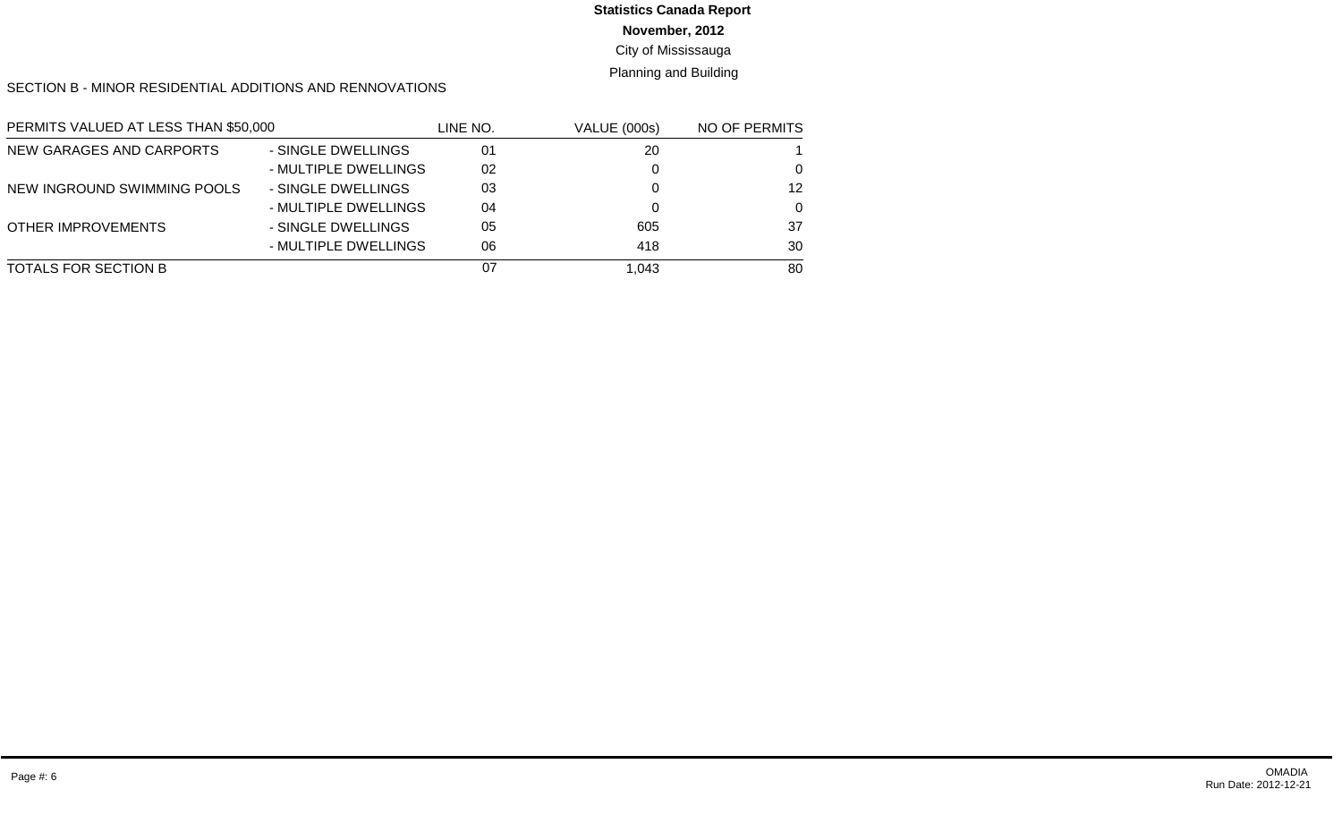**November, 2012**

### City of Mississauga

Planning and Building

SECTION B - MINOR RESIDENTIAL ADDITIONS AND RENNOVATIONS

| PERMITS VALUED AT LESS THAN \$50,000 |                      | LINE NO. | <b>VALUE (000s)</b> | NO OF PERMITS |
|--------------------------------------|----------------------|----------|---------------------|---------------|
| NEW GARAGES AND CARPORTS             | - SINGLE DWELLINGS   | 01       | 20                  |               |
|                                      | - MULTIPLE DWELLINGS | 02       |                     | 0             |
| NEW INGROUND SWIMMING POOLS          | - SINGLE DWELLINGS   | 03       |                     | 12            |
|                                      | - MULTIPLE DWELLINGS | 04       |                     | $\Omega$      |
| <b>OTHER IMPROVEMENTS</b>            | - SINGLE DWELLINGS   | 05       | 605                 | 37            |
|                                      | - MULTIPLE DWELLINGS | 06       | 418                 | 30            |
| TOTALS FOR SECTION B                 |                      | 07       | 1.043               | 80            |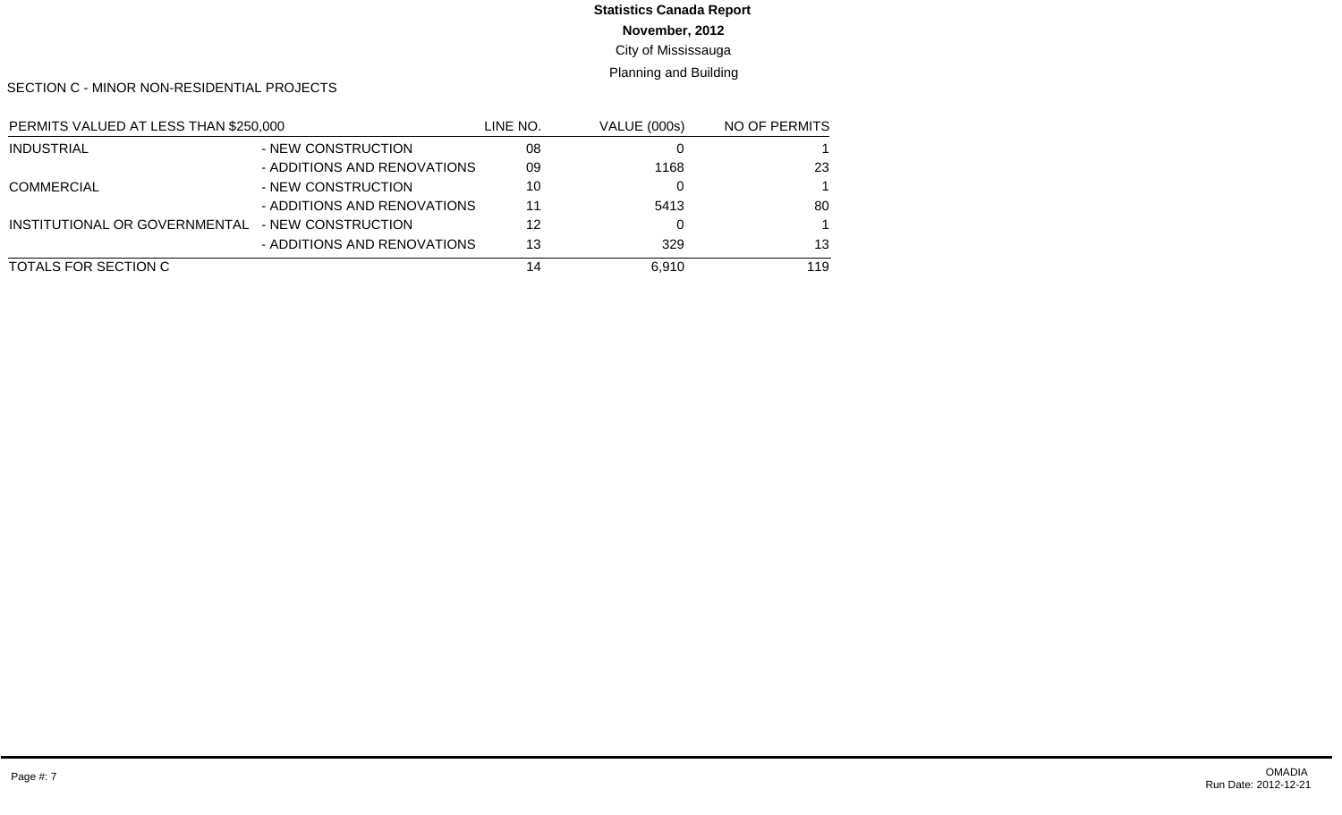**November, 2012**

City of Mississauga

Planning and Building

SECTION C - MINOR NON-RESIDENTIAL PROJECTS

| PERMITS VALUED AT LESS THAN \$250,000 |                             | LINE NO. | <b>VALUE (000s)</b> | NO OF PERMITS |
|---------------------------------------|-----------------------------|----------|---------------------|---------------|
| <b>INDUSTRIAL</b>                     | - NEW CONSTRUCTION          | 08       |                     |               |
|                                       | - ADDITIONS AND RENOVATIONS | 09       | 1168                | 23            |
| <b>COMMERCIAL</b>                     | - NEW CONSTRUCTION          | 10       |                     |               |
|                                       | - ADDITIONS AND RENOVATIONS | 11       | 5413                | 80            |
| INSTITUTIONAL OR GOVERNMENTAL         | - NEW CONSTRUCTION          | 12       |                     |               |
|                                       | - ADDITIONS AND RENOVATIONS | 13       | 329                 | 13            |
| TOTALS FOR SECTION C                  |                             | 14       | 6.910               | 119           |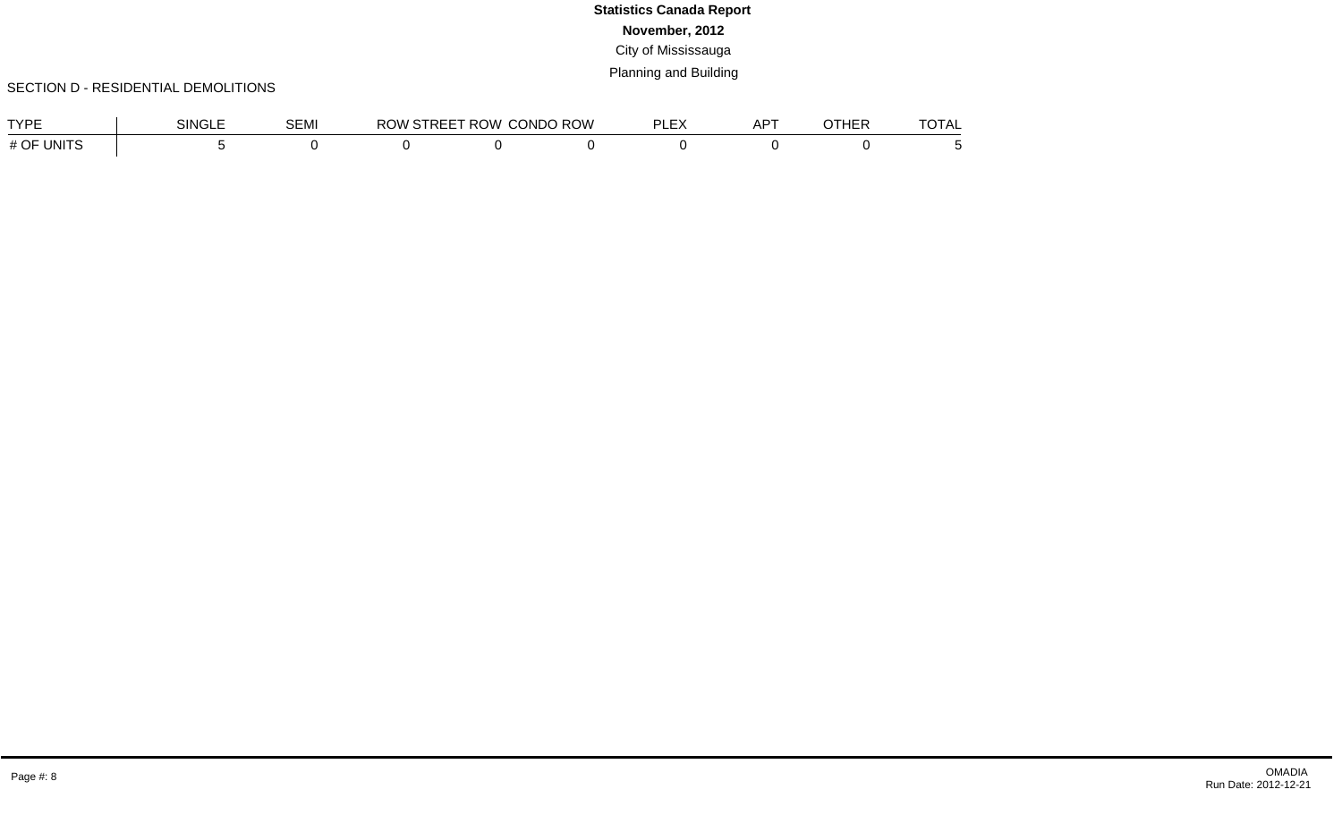### SECTION D - RESIDENTIAL DEMOLITIONS

| TVDE                 | SINGLE | <b>OF 11</b><br>SEMI | <b>ROW</b> | <b>STREET ROW L</b> | <b>CONDO ROW</b> | --- | $AP^{\mathsf{T}}$ | חחשדר<br>ום ה | $\tau \wedge \tau \wedge \tau$<br>OTAL |
|----------------------|--------|----------------------|------------|---------------------|------------------|-----|-------------------|---------------|----------------------------------------|
| # OF<br><b>UNITS</b> |        |                      |            |                     |                  |     |                   |               |                                        |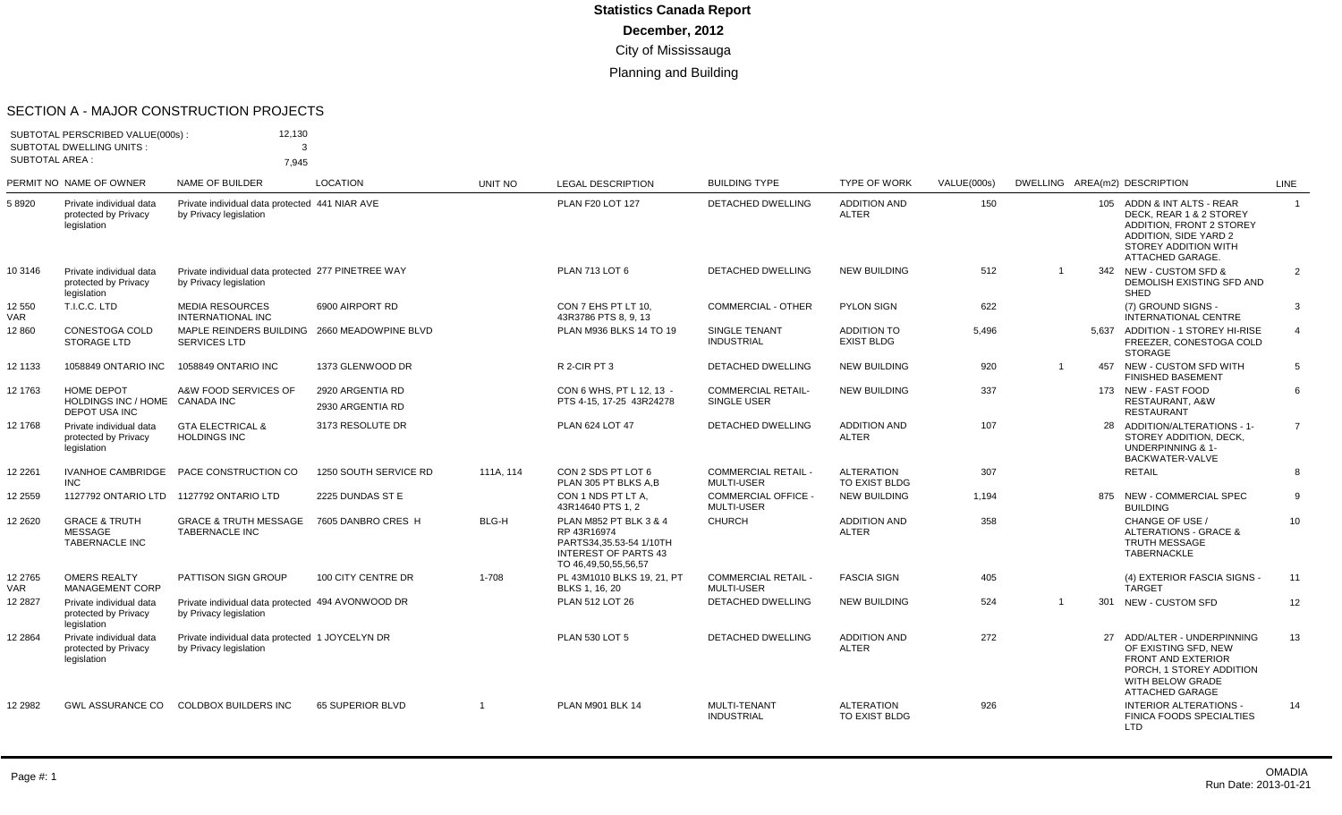#### SECTION A - MAJOR CONSTRUCTION PROJECTS

|                       | SUBTOTAL PERSCRIBED VALUE(000s):<br><b>SUBTOTAL DWELLING UNITS:</b><br><b>SUBTOTAL AREA:</b> | 12,130<br>3<br>7.945                                                         |                                      |                |                                                                                                                         |                                                 |                                         |                    |       |                                                                                                                                                        |                |
|-----------------------|----------------------------------------------------------------------------------------------|------------------------------------------------------------------------------|--------------------------------------|----------------|-------------------------------------------------------------------------------------------------------------------------|-------------------------------------------------|-----------------------------------------|--------------------|-------|--------------------------------------------------------------------------------------------------------------------------------------------------------|----------------|
|                       | PERMIT NO NAME OF OWNER                                                                      | <b>NAME OF BUILDER</b>                                                       | <b>LOCATION</b>                      | <b>UNIT NO</b> | <b>LEGAL DESCRIPTION</b>                                                                                                | <b>BUILDING TYPE</b>                            | <b>TYPE OF WORK</b>                     | <b>VALUE(000s)</b> |       | DWELLING AREA(m2) DESCRIPTION                                                                                                                          | LINE           |
| 58920                 | Private individual data<br>protected by Privacy<br>legislation                               | Private individual data protected 441 NIAR AVE<br>by Privacy legislation     |                                      |                | <b>PLAN F20 LOT 127</b>                                                                                                 | <b>DETACHED DWELLING</b>                        | <b>ADDITION AND</b><br><b>ALTER</b>     | 150                |       | 105 ADDN & INT ALTS - REAR<br>DECK, REAR 1 & 2 STOREY<br>ADDITION, FRONT 2 STOREY<br>ADDITION, SIDE YARD 2<br>STOREY ADDITION WITH<br>ATTACHED GARAGE. | $\overline{1}$ |
| 10 3146               | Private individual data<br>protected by Privacy<br>legislation                               | Private individual data protected 277 PINETREE WAY<br>by Privacy legislation |                                      |                | PLAN 713 LOT 6                                                                                                          | <b>DETACHED DWELLING</b>                        | <b>NEW BUILDING</b>                     | 512                | 342   | <b>NEW - CUSTOM SFD &amp;</b><br>DEMOLISH EXISTING SFD AND<br><b>SHED</b>                                                                              | $\overline{2}$ |
| 12 550<br><b>VAR</b>  | T.I.C.C. LTD                                                                                 | <b>MEDIA RESOURCES</b><br><b>INTERNATIONAL INC</b>                           | 6900 AIRPORT RD                      |                | CON 7 EHS PT LT 10.<br>43R3786 PTS 8, 9, 13                                                                             | COMMERCIAL - OTHER                              | PYLON SIGN                              | 622                |       | (7) GROUND SIGNS -<br>INTERNATIONAL CENTRE                                                                                                             | 3              |
| 12 860                | CONESTOGA COLD<br><b>STORAGE LTD</b>                                                         | MAPLE REINDERS BUILDING 2660 MEADOWPINE BLVD<br><b>SERVICES LTD</b>          |                                      |                | PLAN M936 BLKS 14 TO 19                                                                                                 | <b>SINGLE TENANT</b><br><b>INDUSTRIAL</b>       | <b>ADDITION TO</b><br><b>EXIST BLDG</b> | 5.496              | 5.637 | ADDITION - 1 STOREY HI-RISE<br>FREEZER, CONESTOGA COLD<br><b>STORAGE</b>                                                                               | $\overline{4}$ |
| 12 1133               | 1058849 ONTARIO INC                                                                          | 1058849 ONTARIO INC                                                          | 1373 GLENWOOD DR                     |                | R 2-CIR PT 3                                                                                                            | <b>DETACHED DWELLING</b>                        | <b>NEW BUILDING</b>                     | 920                | 457   | NEW - CUSTOM SFD WITH<br><b>FINISHED BASEMENT</b>                                                                                                      | 5              |
| 12 1763               | HOME DEPOT<br>HOLDINGS INC / HOME CANADA INC<br><b>DEPOT USA INC</b>                         | A&W FOOD SERVICES OF                                                         | 2920 ARGENTIA RD<br>2930 ARGENTIA RD |                | CON 6 WHS. PT L 12. 13 -<br>PTS 4-15, 17-25 43R24278                                                                    | <b>COMMERCIAL RETAIL-</b><br>SINGLE USER        | <b>NEW BUILDING</b>                     | 337                |       | 173 NEW - FAST FOOD<br>RESTAURANT, A&W<br><b>RESTAURANT</b>                                                                                            | 6              |
| 12 1768               | Private individual data<br>protected by Privacy<br>legislation                               | <b>GTA ELECTRICAL &amp;</b><br><b>HOLDINGS INC</b>                           | 3173 RESOLUTE DR                     |                | PLAN 624 LOT 47                                                                                                         | DETACHED DWELLING                               | <b>ADDITION AND</b><br><b>ALTER</b>     | 107                | 28    | ADDITION/ALTERATIONS - 1-<br>STOREY ADDITION, DECK,<br><b>UNDERPINNING &amp; 1-</b><br>BACKWATER-VALVE                                                 | $\overline{7}$ |
| 12 2 2 6 1            | <b>INC</b>                                                                                   | IVANHOE CAMBRIDGE PACE CONSTRUCTION CO                                       | 1250 SOUTH SERVICE RD                | 111A. 114      | CON 2 SDS PT LOT 6<br>PLAN 305 PT BLKS A.B                                                                              | <b>COMMERCIAL RETAIL -</b><br><b>MULTI-USER</b> | <b>ALTERATION</b><br>TO EXIST BLDG      | 307                |       | <b>RETAIL</b>                                                                                                                                          | 8              |
| 12 2559               |                                                                                              | 1127792 ONTARIO LTD 1127792 ONTARIO LTD                                      | 2225 DUNDAS ST E                     |                | CON 1 NDS PT LT A.<br>43R14640 PTS 1, 2                                                                                 | <b>COMMERCIAL OFFICE -</b><br>MULTI-USER        | <b>NEW BUILDING</b>                     | 1,194              | 875   | <b>NEW - COMMERCIAL SPEC</b><br><b>BUILDING</b>                                                                                                        | 9              |
| 12 26 20              | <b>GRACE &amp; TRUTH</b><br><b>MESSAGE</b><br><b>TABERNACLE INC</b>                          | <b>GRACE &amp; TRUTH MESSAGE</b><br><b>TABERNACLE INC</b>                    | 7605 DANBRO CRES H                   | BLG-H          | PLAN M852 PT BLK 3 & 4<br>RP 43R16974<br>PARTS34,35.53-54 1/10TH<br><b>INTEREST OF PARTS 43</b><br>TO 46,49,50,55,56,57 | <b>CHURCH</b>                                   | <b>ADDITION AND</b><br><b>ALTER</b>     | 358                |       | CHANGE OF USE /<br><b>ALTERATIONS - GRACE &amp;</b><br><b>TRUTH MESSAGE</b><br><b>TABERNACKLE</b>                                                      | 10             |
| 12 2765<br><b>VAR</b> | <b>OMERS REALTY</b><br><b>MANAGEMENT CORP</b>                                                | PATTISON SIGN GROUP                                                          | 100 CITY CENTRE DR                   | 1-708          | PL 43M1010 BLKS 19, 21, PT<br>BLKS 1, 16, 20                                                                            | <b>COMMERCIAL RETAIL -</b><br><b>MULTI-USER</b> | <b>FASCIA SIGN</b>                      | 405                |       | (4) EXTERIOR FASCIA SIGNS -<br><b>TARGET</b>                                                                                                           | 11             |
| 12 28 27              | Private individual data<br>protected by Privacy<br>legislation                               | Private individual data protected 494 AVONWOOD DR<br>by Privacy legislation  |                                      |                | PLAN 512 LOT 26                                                                                                         | <b>DETACHED DWELLING</b>                        | <b>NEW BUILDING</b>                     | 524                | 301   | NEW - CUSTOM SFD                                                                                                                                       | 12             |
| 12 28 64              | Private individual data<br>protected by Privacy<br>legislation                               | Private individual data protected 1 JOYCELYN DR<br>by Privacy legislation    |                                      |                | PLAN 530 LOT 5                                                                                                          | <b>DETACHED DWELLING</b>                        | <b>ADDITION AND</b><br><b>ALTER</b>     | 272                | 27    | ADD/ALTER - UNDERPINNING<br>OF EXISTING SFD, NEW<br><b>FRONT AND EXTERIOR</b><br>PORCH, 1 STOREY ADDITION<br>WITH BELOW GRADE<br>ATTACHED GARAGE       | 13             |
| 12 2982               | <b>GWL ASSURANCE CO</b>                                                                      | <b>COLDBOX BUILDERS INC</b>                                                  | 65 SUPERIOR BLVD                     | $\overline{1}$ | <b>PLAN M901 BLK 14</b>                                                                                                 | MULTI-TENANT<br><b>INDUSTRIAL</b>               | <b>ALTERATION</b><br>TO EXIST BLDG      | 926                |       | <b>INTERIOR ALTERATIONS -</b><br>FINICA FOODS SPECIALTIES<br>LTD                                                                                       | 14             |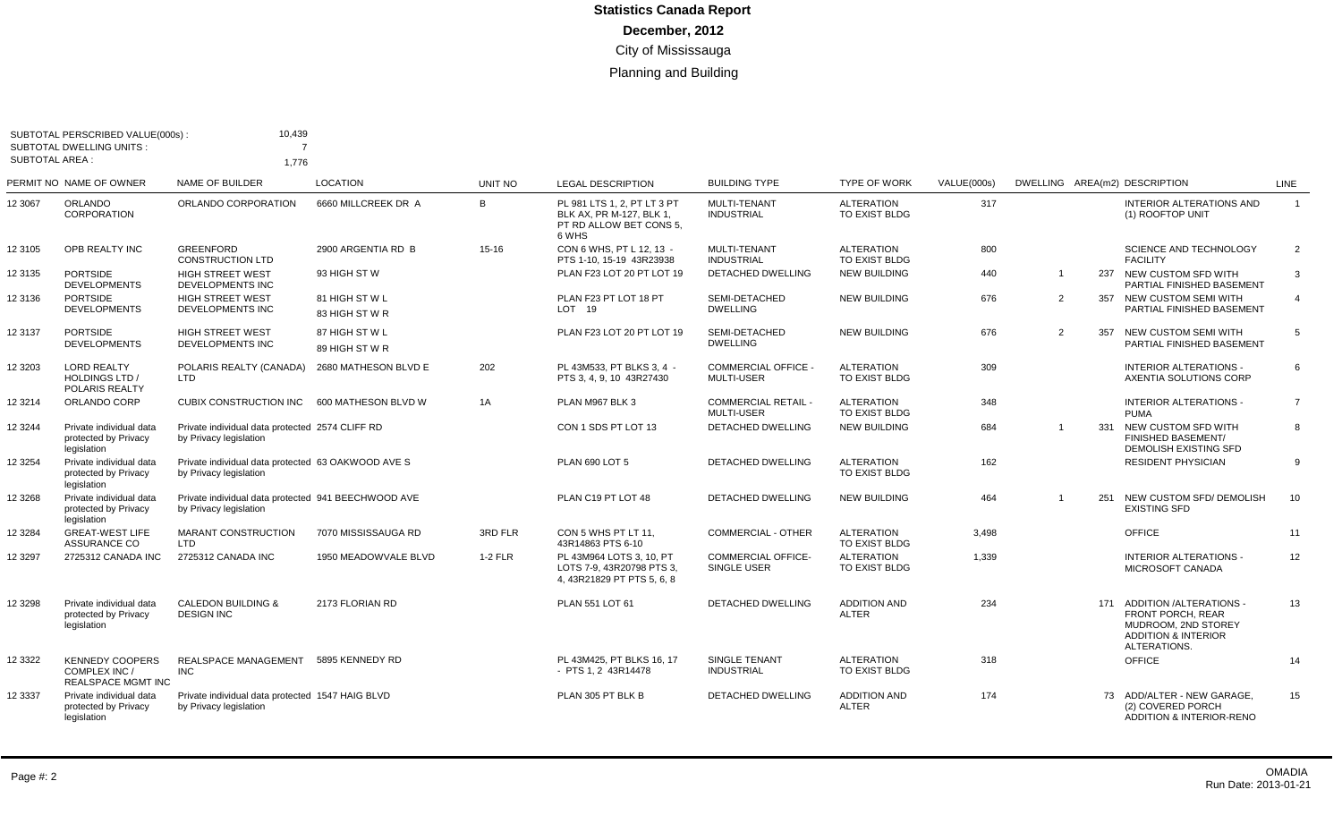| <b>SUBTOTAL AREA:</b> | SUBTOTAL PERSCRIBED VALUE(000s):<br>SUBTOTAL DWELLING UNITS:         | 10,439<br>$\overline{ }$<br>1.776                                             |                                  |           |                                                                                             |                                                 |                                     |             |                |     |                                                                                                                                   |                 |
|-----------------------|----------------------------------------------------------------------|-------------------------------------------------------------------------------|----------------------------------|-----------|---------------------------------------------------------------------------------------------|-------------------------------------------------|-------------------------------------|-------------|----------------|-----|-----------------------------------------------------------------------------------------------------------------------------------|-----------------|
|                       | PERMIT NO NAME OF OWNER                                              | <b>NAME OF BUILDER</b>                                                        | <b>LOCATION</b>                  | UNIT NO   | <b>LEGAL DESCRIPTION</b>                                                                    | <b>BUILDING TYPE</b>                            | <b>TYPE OF WORK</b>                 | VALUE(000s) |                |     | DWELLING AREA(m2) DESCRIPTION                                                                                                     | <b>LINE</b>     |
| 12 3067               | <b>ORLANDO</b><br><b>CORPORATION</b>                                 | ORLANDO CORPORATION                                                           | 6660 MILLCREEK DR A              | B         | PL 981 LTS 1, 2, PT LT 3 PT<br>BLK AX. PR M-127. BLK 1.<br>PT RD ALLOW BET CONS 5.<br>6 WHS | <b>MULTI-TENANT</b><br><b>INDUSTRIAL</b>        | <b>ALTERATION</b><br>TO EXIST BLDG  | 317         |                |     | <b>INTERIOR ALTERATIONS AND</b><br>(1) ROOFTOP UNIT                                                                               | $\mathbf{1}$    |
| 123105                | OPB REALTY INC                                                       | <b>GREENFORD</b><br><b>CONSTRUCTION LTD</b>                                   | 2900 ARGENTIA RD B               | $15 - 16$ | CON 6 WHS, PT L 12, 13 -<br>PTS 1-10, 15-19 43R23938                                        | MULTI-TENANT<br><b>INDUSTRIAL</b>               | <b>ALTERATION</b><br>TO EXIST BLDG  | 800         |                |     | SCIENCE AND TECHNOLOGY<br><b>FACILITY</b>                                                                                         | 2               |
| 12 3135               | <b>PORTSIDE</b><br><b>DEVELOPMENTS</b>                               | <b>HIGH STREET WEST</b><br>DEVELOPMENTS INC                                   | 93 HIGH ST W                     |           | PLAN F23 LOT 20 PT LOT 19                                                                   | DETACHED DWELLING                               | <b>NEW BUILDING</b>                 | 440         | $\overline{1}$ | 237 | NEW CUSTOM SFD WITH<br>PARTIAL FINISHED BASEMENT                                                                                  | 3               |
| 12 3136               | <b>PORTSIDE</b><br><b>DEVELOPMENTS</b>                               | <b>HIGH STREET WEST</b><br>DEVELOPMENTS INC                                   | 81 HIGH ST W L<br>83 HIGH ST W R |           | PLAN F23 PT LOT 18 PT<br>$LOT$ 19                                                           | SEMI-DETACHED<br><b>DWELLING</b>                | <b>NEW BUILDING</b>                 | 676         | 2              | 357 | NEW CUSTOM SEMI WITH<br>PARTIAL FINISHED BASEMENT                                                                                 | $\overline{4}$  |
| 12 3137               | <b>PORTSIDE</b><br><b>DEVELOPMENTS</b>                               | <b>HIGH STREET WEST</b><br>DEVELOPMENTS INC                                   | 87 HIGH ST W L<br>89 HIGH ST W R |           | PLAN F23 LOT 20 PT LOT 19                                                                   | SEMI-DETACHED<br><b>DWELLING</b>                | <b>NEW BUILDING</b>                 | 676         | $\overline{2}$ | 357 | <b>NEW CUSTOM SEMI WITH</b><br>PARTIAL FINISHED BASEMENT                                                                          | 5               |
| 12 3203               | <b>LORD REALTY</b><br><b>HOLDINGS LTD /</b><br>POLARIS REALTY        | POLARIS REALTY (CANADA)<br>LTD.                                               | 2680 MATHESON BLVD E             | 202       | PL 43M533. PT BLKS 3.4 -<br>PTS 3, 4, 9, 10 43R27430                                        | <b>COMMERCIAL OFFICE -</b><br><b>MULTI-USER</b> | <b>ALTERATION</b><br>TO EXIST BLDG  | 309         |                |     | <b>INTERIOR ALTERATIONS -</b><br>AXENTIA SOLUTIONS CORP                                                                           | 6               |
| 12 3214               | ORLANDO CORP                                                         | <b>CUBIX CONSTRUCTION INC</b>                                                 | 600 MATHESON BLVD W              | 1A        | PLAN M967 BLK 3                                                                             | <b>COMMERCIAL RETAIL -</b><br><b>MULTI-USER</b> | <b>ALTERATION</b><br>TO EXIST BLDG  | 348         |                |     | <b>INTERIOR ALTERATIONS -</b><br><b>PUMA</b>                                                                                      | $\overline{7}$  |
| 12 3244               | Private individual data<br>protected by Privacy<br>legislation       | Private individual data protected 2574 CLIFF RD<br>by Privacy legislation     |                                  |           | CON 1 SDS PT LOT 13                                                                         | <b>DETACHED DWELLING</b>                        | <b>NEW BUILDING</b>                 | 684         | $\overline{1}$ |     | 331 NEW CUSTOM SFD WITH<br><b>FINISHED BASEMENT/</b><br><b>DEMOLISH EXISTING SFD</b>                                              | 8               |
| 12 3254               | Private individual data<br>protected by Privacy<br>legislation       | Private individual data protected 63 OAKWOOD AVE S<br>by Privacy legislation  |                                  |           | <b>PLAN 690 LOT 5</b>                                                                       | <b>DETACHED DWELLING</b>                        | <b>ALTERATION</b><br>TO EXIST BLDG  | 162         |                |     | <b>RESIDENT PHYSICIAN</b>                                                                                                         | 9               |
| 12 3268               | Private individual data<br>protected by Privacy<br>legislation       | Private individual data protected 941 BEECHWOOD AVE<br>by Privacy legislation |                                  |           | PLAN C19 PT LOT 48                                                                          | <b>DETACHED DWELLING</b>                        | <b>NEW BUILDING</b>                 | 464         | $\overline{1}$ | 251 | NEW CUSTOM SFD/DEMOLISH<br><b>EXISTING SFD</b>                                                                                    | 10 <sup>°</sup> |
| 12 3284               | <b>GREAT-WEST LIFE</b><br>ASSURANCE CO                               | MARANT CONSTRUCTION<br>LTD                                                    | 7070 MISSISSAUGA RD              | 3RD FLR   | CON 5 WHS PT LT 11.<br>43R14863 PTS 6-10                                                    | <b>COMMERCIAL - OTHER</b>                       | <b>ALTERATION</b><br>TO EXIST BLDG  | 3,498       |                |     | <b>OFFICE</b>                                                                                                                     | 11              |
| 12 3297               | 2725312 CANADA INC                                                   | 2725312 CANADA INC                                                            | 1950 MEADOWVALE BLVD             | 1-2 FLR   | PL 43M964 LOTS 3, 10, PT<br>LOTS 7-9, 43R20798 PTS 3,<br>4, 43R21829 PT PTS 5, 6, 8         | <b>COMMERCIAL OFFICE-</b><br>SINGLE USER        | <b>ALTERATION</b><br>TO EXIST BLDG  | 1,339       |                |     | <b>INTERIOR ALTERATIONS -</b><br>MICROSOFT CANADA                                                                                 | 12              |
| 12 3298               | Private individual data<br>protected by Privacy<br>legislation       | <b>CALEDON BUILDING &amp;</b><br><b>DESIGN INC</b>                            | 2173 FLORIAN RD                  |           | PLAN 551 LOT 61                                                                             | <b>DETACHED DWELLING</b>                        | <b>ADDITION AND</b><br>ALTER        | 234         |                |     | 171 ADDITION / ALTERATIONS -<br><b>FRONT PORCH, REAR</b><br>MUDROOM, 2ND STOREY<br><b>ADDITION &amp; INTERIOR</b><br>ALTERATIONS. | 13              |
| 12 3322               | <b>KENNEDY COOPERS</b><br>COMPLEX INC /<br><b>REALSPACE MGMT INC</b> | REALSPACE MANAGEMENT<br><b>INC</b>                                            | 5895 KENNEDY RD                  |           | PL 43M425. PT BLKS 16, 17<br>- PTS 1, 2 43R14478                                            | SINGLE TENANT<br><b>INDUSTRIAL</b>              | <b>ALTERATION</b><br>TO EXIST BLDG  | 318         |                |     | <b>OFFICE</b>                                                                                                                     | 14              |
| 12 3337               | Private individual data<br>protected by Privacy<br>legislation       | Private individual data protected 1547 HAIG BLVD<br>by Privacy legislation    |                                  |           | PLAN 305 PT BLK B                                                                           | <b>DETACHED DWELLING</b>                        | <b>ADDITION AND</b><br><b>ALTER</b> | 174         |                |     | 73 ADD/ALTER - NEW GARAGE,<br>(2) COVERED PORCH<br>ADDITION & INTERIOR-RENO                                                       | 15              |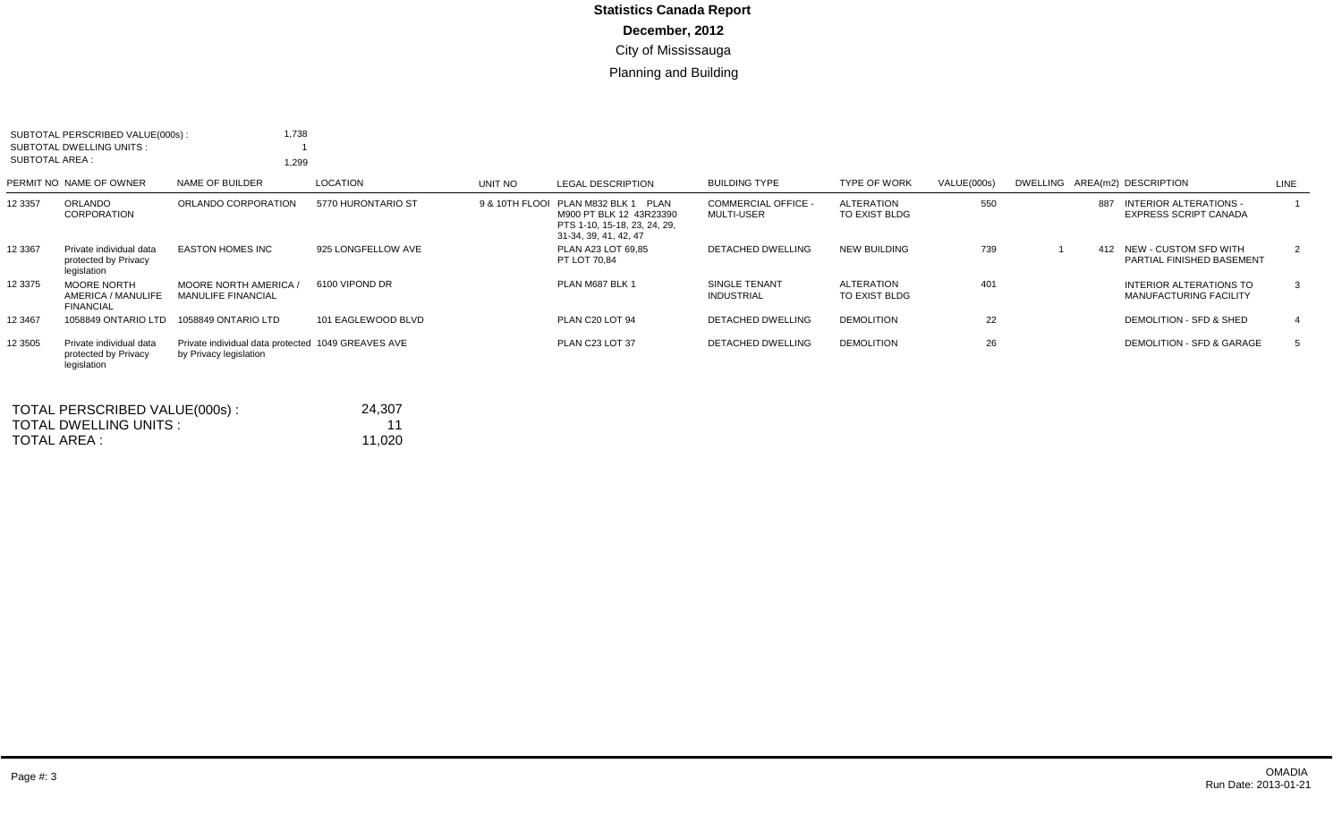| <b>SUBTOTAL AREA:</b> | SUBTOTAL PERSCRIBED VALUE(000s):<br>SUBTOTAL DWELLING UNITS :  | 1,738<br>1,299                                                               |                    |         |                                                                                                                         |                                                 |                                    |             |     |                                                               |             |  |
|-----------------------|----------------------------------------------------------------|------------------------------------------------------------------------------|--------------------|---------|-------------------------------------------------------------------------------------------------------------------------|-------------------------------------------------|------------------------------------|-------------|-----|---------------------------------------------------------------|-------------|--|
|                       | PERMIT NO NAME OF OWNER                                        | NAME OF BUILDER                                                              | LOCATION           | UNIT NO | <b>LEGAL DESCRIPTION</b>                                                                                                | <b>BUILDING TYPE</b>                            | <b>TYPE OF WORK</b>                | VALUE(000s) |     | DWELLING AREA(m2) DESCRIPTION                                 | LINE        |  |
| 12 3357               | ORLANDO<br>CORPORATION                                         | ORLANDO CORPORATION                                                          | 5770 HURONTARIO ST |         | 9 & 10TH FLOOI PLAN M832 BLK 1 PLAN<br>M900 PT BLK 12 43R23390<br>PTS 1-10, 15-18, 23, 24, 29,<br>31-34, 39, 41, 42, 47 | <b>COMMERCIAL OFFICE -</b><br><b>MULTI-USER</b> | <b>ALTERATION</b><br>TO EXIST BLDG | 550         | 887 | <b>INTERIOR ALTERATIONS -</b><br><b>EXPRESS SCRIPT CANADA</b> |             |  |
| 12 3367               | Private individual data<br>protected by Privacy<br>legislation | <b>EASTON HOMES INC</b>                                                      | 925 LONGFELLOW AVE |         | PLAN A23 LOT 69.85<br>PT LOT 70.84                                                                                      | <b>DETACHED DWELLING</b>                        | <b>NEW BUILDING</b>                | 739         |     | 412 NEW - CUSTOM SFD WITH<br>PARTIAL FINISHED BASEMENT        | $2^{\circ}$ |  |
| 12 3375               | <b>MOORE NORTH</b><br>AMERICA / MANULIFE<br><b>FINANCIAL</b>   | <b>MOORE NORTH AMERICA /</b><br><b>MANULIFE FINANCIAL</b>                    | 6100 VIPOND DR     |         | PLAN M687 BLK 1                                                                                                         | SINGLE TENANT<br><b>INDUSTRIAL</b>              | <b>ALTERATION</b><br>TO EXIST BLDG | 401         |     | INTERIOR ALTERATIONS TO<br><b>MANUFACTURING FACILITY</b>      | 3           |  |
| 12 3467               | 1058849 ONTARIO LTD                                            | 1058849 ONTARIO LTD                                                          | 101 EAGLEWOOD BLVD |         | PLAN C20 LOT 94                                                                                                         | DETACHED DWELLING                               | <b>DEMOLITION</b>                  | 22          |     | DEMOLITION - SFD & SHED                                       |             |  |
| 12 3505               | Private individual data<br>protected by Privacy<br>legislation | Private individual data protected 1049 GREAVES AVE<br>by Privacy legislation |                    |         | PLAN C23 LOT 37                                                                                                         | DETACHED DWELLING                               | <b>DEMOLITION</b>                  | 26          |     | <b>DEMOLITION - SFD &amp; GARAGE</b>                          | 5           |  |

| TOTAL PERSCRIBED VALUE(000s): | 24.307 |
|-------------------------------|--------|
| TOTAL DWELLING UNITS:         | 11     |
| TOTAL AREA :                  | 11.020 |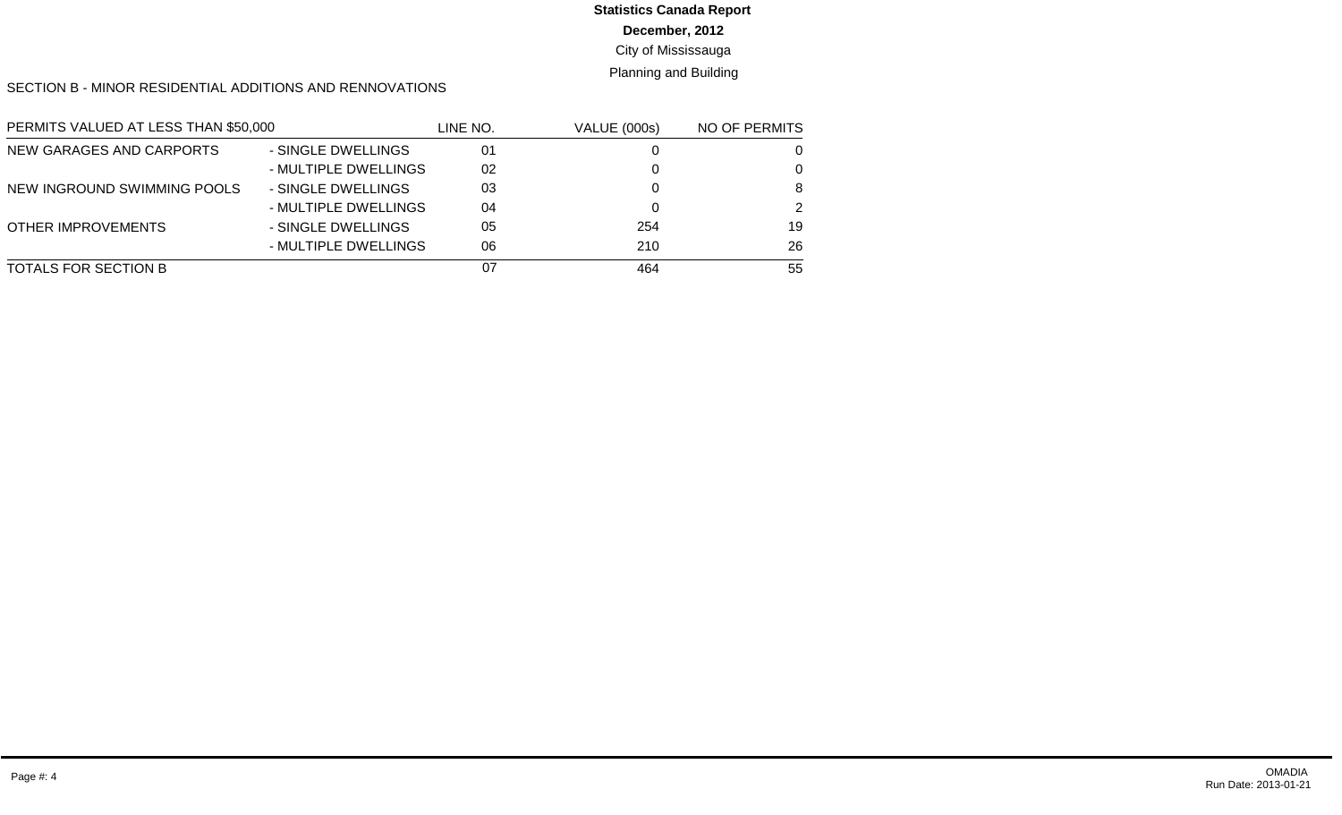**December, 2012**

City of Mississauga

Planning and Building

SECTION B - MINOR RESIDENTIAL ADDITIONS AND RENNOVATIONS

| PERMITS VALUED AT LESS THAN \$50,000 |                      | LINE NO. | <b>VALUE (000s)</b> | NO OF PERMITS |
|--------------------------------------|----------------------|----------|---------------------|---------------|
| NEW GARAGES AND CARPORTS             | - SINGLE DWELLINGS   | 01       |                     | 0             |
|                                      | - MULTIPLE DWELLINGS | 02       |                     | $\Omega$      |
| NEW INGROUND SWIMMING POOLS          | - SINGLE DWELLINGS   | 03       |                     | 8             |
|                                      | - MULTIPLE DWELLINGS | 04       |                     | 2             |
| OTHER IMPROVEMENTS                   | - SINGLE DWELLINGS   | 05       | 254                 | 19            |
|                                      | - MULTIPLE DWELLINGS | 06       | 210                 | 26            |
| TOTALS FOR SECTION B                 |                      | 07       | 464                 | 55            |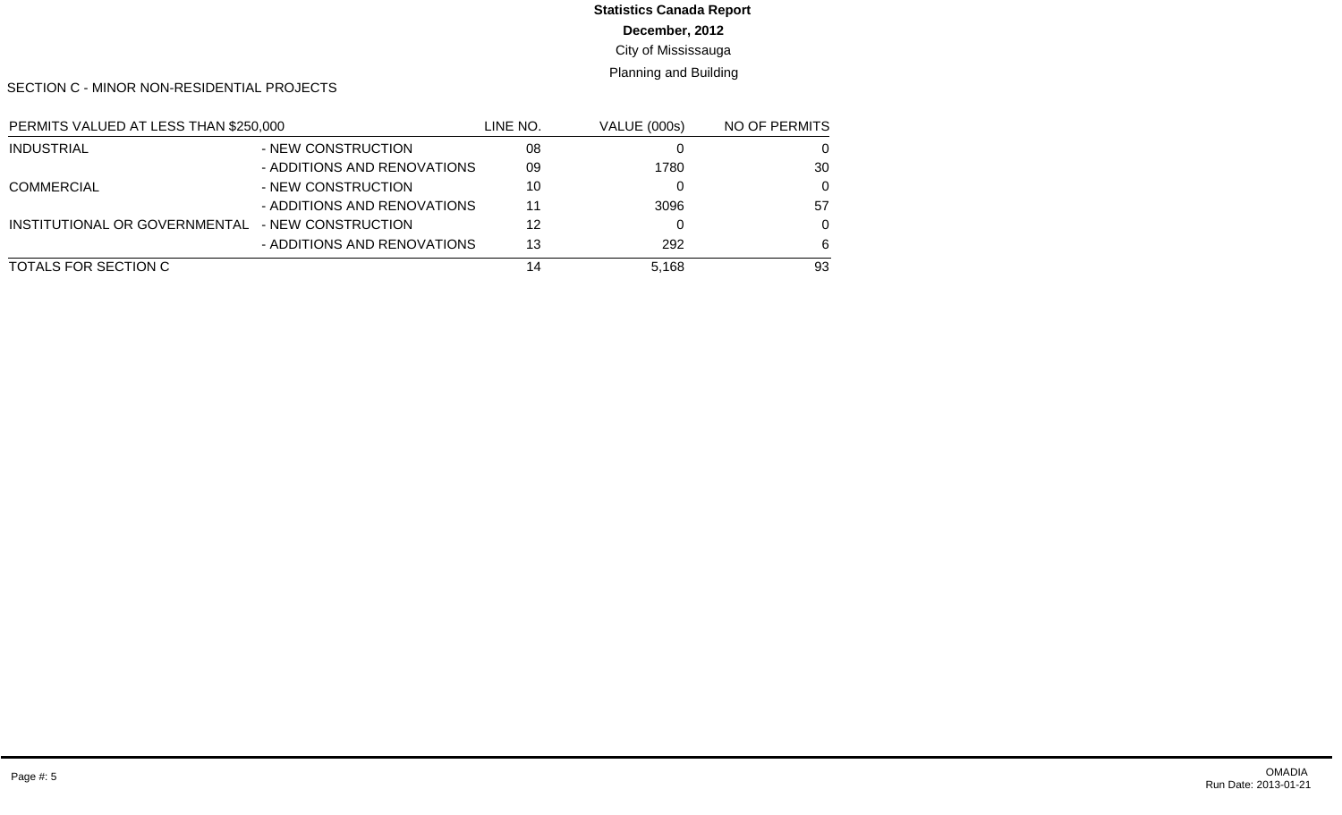**December, 2012**

City of Mississauga

Planning and Building

SECTION C - MINOR NON-RESIDENTIAL PROJECTS

| PERMITS VALUED AT LESS THAN \$250,000 |                             | line no. | VALUE (000s) | NO OF PERMITS |
|---------------------------------------|-----------------------------|----------|--------------|---------------|
| <b>INDUSTRIAL</b>                     | - NEW CONSTRUCTION          | 08       |              | 0             |
|                                       | - ADDITIONS AND RENOVATIONS | 09       | 1780         | 30            |
| <b>COMMERCIAL</b>                     | - NEW CONSTRUCTION          | 10       |              | 0             |
|                                       | - ADDITIONS AND RENOVATIONS | 11       | 3096         | 57            |
| INSTITUTIONAL OR GOVERNMENTAL         | - NEW CONSTRUCTION          | 12       |              | 0             |
|                                       | - ADDITIONS AND RENOVATIONS | 13       | 292          | 6             |
| TOTALS FOR SECTION C                  |                             | 14       | 5.168        | 93            |